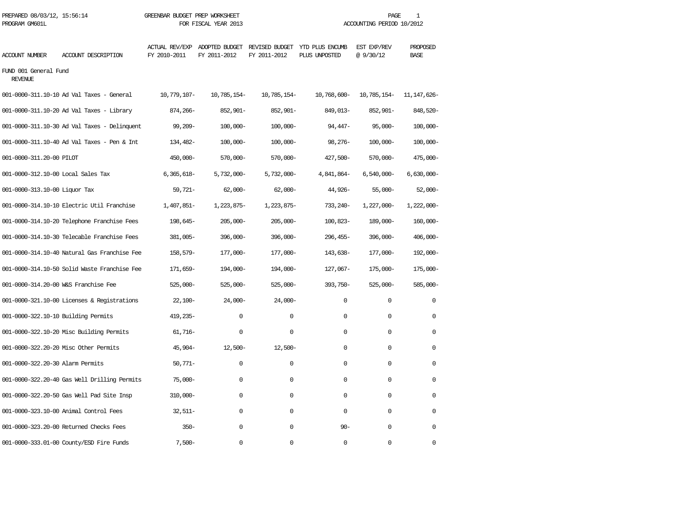| ACCOUNT NUMBER                          | ACCOUNT DESCRIPTION                          | ACTUAL REV/EXP ADOPTED BUDGET<br>FY 2010-2011 | FY 2011-2012  | REVISED BUDGET<br>FY 2011-2012 | YTD PLUS ENCUMB<br>PLUS UNPOSTED | EST EXP/REV<br>@ 9/30/12 | PROPOSED<br><b>BASE</b> |  |
|-----------------------------------------|----------------------------------------------|-----------------------------------------------|---------------|--------------------------------|----------------------------------|--------------------------|-------------------------|--|
| FUND 001 General Fund<br><b>REVENUE</b> |                                              |                                               |               |                                |                                  |                          |                         |  |
|                                         | 001-0000-311.10-10 Ad Val Taxes - General    | 10,779,107-                                   | 10,785,154-   | 10,785,154-                    | 10,768,600-                      | 10,785,154-              | 11, 147, 626-           |  |
|                                         | 001-0000-311.10-20 Ad Val Taxes - Library    | 874,266-                                      | 852,901-      | 852,901-                       | 849,013-                         | 852,901-                 | 848,520-                |  |
|                                         | 001-0000-311.10-30 Ad Val Taxes - Delinquent | 99,209-                                       | $100,000 -$   | $100,000 -$                    | $94,447-$                        | $95,000 -$               | $100,000 -$             |  |
|                                         | 001-0000-311.10-40 Ad Val Taxes - Pen & Int  | 134,482-                                      | $100,000 -$   | $100,000 -$                    | $98,276-$                        | $100,000 -$              | $100,000 -$             |  |
| 001-0000-311.20-00 PILOT                |                                              | 450,000-                                      | $570,000 -$   | $570,000 -$                    | 427,500-                         | $570,000 -$              | 475,000-                |  |
| 001-0000-312.10-00 Local Sales Tax      |                                              | $6,365,618-$                                  | $5,732,000 -$ | $5,732,000 -$                  | 4,841,864-                       | $6,540,000 -$            | $6,630,000 -$           |  |
| 001-0000-313.10-00 Liquor Tax           |                                              | $59,721-$                                     | $62,000 -$    | $62,000-$                      | 44,926-                          | $55,000-$                | $52,000-$               |  |
|                                         | 001-0000-314.10-10 Electric Util Franchise   | 1,407,851-                                    | 1,223,875-    | 1,223,875-                     | 733, 240-                        | $1,227,000 -$            | $1,222,000-$            |  |
|                                         | 001-0000-314.10-20 Telephone Franchise Fees  | 198,645-                                      | $205,000 -$   | $205,000 -$                    | 100,823-                         | 189,000-                 | $160,000 -$             |  |
|                                         | 001-0000-314.10-30 Telecable Franchise Fees  | 381,005-                                      | 396,000-      | $396,000 -$                    | 296, 455-                        | 396,000-                 | $406,000 -$             |  |
|                                         | 001-0000-314.10-40 Natural Gas Franchise Fee | 158,579-                                      | 177,000-      | 177,000-                       | 143,638-                         | 177,000-                 | 192,000-                |  |
|                                         | 001-0000-314.10-50 Solid Waste Franchise Fee | 171,659-                                      | $194,000-$    | 194,000-                       | 127,067-                         | 175,000-                 | 175,000-                |  |
| 001-0000-314.20-00 W&S Franchise Fee    |                                              | $525,000 -$                                   | $525,000-$    | $525,000-$                     | 393,750-                         | $525,000 -$              | $585,000-$              |  |
|                                         | 001-0000-321.10-00 Licenses & Registrations  | $22,100-$                                     | $24,000-$     | $24,000-$                      | 0                                | 0                        | 0                       |  |
| 001-0000-322.10-10 Building Permits     |                                              | 419,235-                                      | $\Omega$      | $\Omega$                       | $\Omega$                         | $\Omega$                 | $\Omega$                |  |
|                                         | 001-0000-322.10-20 Misc Building Permits     | $61,716-$                                     | $\Omega$      | $\mathbf 0$                    | $\Omega$                         | $\Omega$                 | $\Omega$                |  |
|                                         | 001-0000-322.20-20 Misc Other Permits        | $45,904-$                                     | $12,500-$     | $12,500-$                      | $\Omega$                         | $\Omega$                 | $\Omega$                |  |
| 001-0000-322.20-30 Alarm Permits        |                                              | $50,771-$                                     | 0             | $\Omega$                       | $\Omega$                         | $\Omega$                 | $\Omega$                |  |
|                                         | 001-0000-322.20-40 Gas Well Drilling Permits | $75,000-$                                     | 0             | $\mathbf 0$                    | $\Omega$                         | $\mathbf 0$              | 0                       |  |
|                                         | 001-0000-322.20-50 Gas Well Pad Site Insp    | $310,000 -$                                   | $\Omega$      | $\Omega$                       | $\Omega$                         | $\Omega$                 | $\Omega$                |  |
|                                         | 001-0000-323.10-00 Animal Control Fees       | $32,511-$                                     | 0             | $\mathbf 0$                    | 0                                | $\mathbf 0$              | 0                       |  |
|                                         | 001-0000-323.20-00 Returned Checks Fees      | $350 -$                                       | 0             | $\mathbf 0$                    | $90 -$                           | $\mathbf 0$              | 0                       |  |
|                                         | 001-0000-333.01-00 County/ESD Fire Funds     | $7,500-$                                      | 0             | $\mathbf 0$                    | $\Omega$                         | $\Omega$                 | 0                       |  |

PREPARED 08/03/12, 15:56:14 GREENBAR BUDGET PREP WORKSHEET **FREE** AGE 1 PROGRAM GM601L FOR FISCAL YEAR 2013 ACCOUNTING PERIOD 10/2012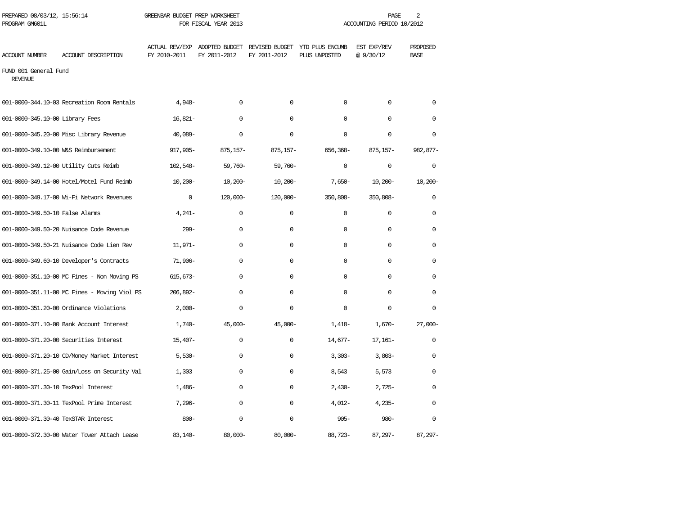| PREPARED 08/03/12, 15:56:14<br>PROGRAM GM601L |                                              | GREENBAR BUDGET PREP WORKSHEET        | FOR FISCAL YEAR 2013 | 2<br>PAGE<br>ACCOUNTING PERIOD 10/2012        |                                  |                         |                         |  |
|-----------------------------------------------|----------------------------------------------|---------------------------------------|----------------------|-----------------------------------------------|----------------------------------|-------------------------|-------------------------|--|
| ACCOUNT NUMBER                                | ACCOUNT DESCRIPTION                          | <b>ACTUAL REV/EXP</b><br>FY 2010-2011 | FY 2011-2012         | ADOPTED BUDGET REVISED BUDGET<br>FY 2011-2012 | YTD PLUS ENCUMB<br>PLUS UNPOSTED | EST EXP/REV<br>@9/30/12 | PROPOSED<br><b>BASE</b> |  |
| FUND 001 General Fund<br><b>REVENUE</b>       |                                              |                                       |                      |                                               |                                  |                         |                         |  |
|                                               | 001-0000-344.10-03 Recreation Room Rentals   | $4,948-$                              | $\mathbf 0$          | $\mathbf 0$                                   | $\mathbf 0$                      | $\mathbf 0$             | $\mathbf 0$             |  |
| 001-0000-345.10-00 Library Fees               |                                              | $16.821 -$                            | $\Omega$             | $\Omega$                                      | $\Omega$                         | $\Omega$                | $\Omega$                |  |
|                                               | 001-0000-345.20-00 Misc Library Revenue      | $40.089 -$                            | $\Omega$             | $\Omega$                                      | $\Omega$                         | $\Omega$                | $\Omega$                |  |
|                                               | 001-0000-349.10-00 W&S Reimbursement         | 917,905-                              | $875, 157 -$         | $875, 157 -$                                  | 656,368-                         | $875, 157 -$            | 982,877-                |  |
|                                               | 001-0000-349.12-00 Utility Cuts Reimb        | 102,548-                              | $59,760-$            | $59,760-$                                     | $\mathbf 0$                      | $\mathbf 0$             | $\mathbf 0$             |  |
|                                               | 001-0000-349.14-00 Hotel/Motel Fund Reimb    | $10,200 -$                            | $10,200 -$           | $10,200 -$                                    | $7,650-$                         | $10,200 -$              | $10,200 -$              |  |
|                                               | 001-0000-349.17-00 Wi-Fi Network Revenues    | $\mathbf 0$                           | $120,000 -$          | $120,000 -$                                   | 350,808-                         | 350,808-                | 0                       |  |
| 001-0000-349.50-10 False Alarms               |                                              | $4,241-$                              | $\mathbf 0$          | $\mathbf 0$                                   | $\mathbf 0$                      | $\mathbf 0$             | 0                       |  |
|                                               | 001-0000-349.50-20 Nuisance Code Revenue     | $299-$                                | 0                    | $\mathbf 0$                                   | $\mathbf 0$                      | 0                       | $\mathbf 0$             |  |
|                                               | 001-0000-349.50-21 Nuisance Code Lien Rev    | $11,971-$                             | $\Omega$             | $\Omega$                                      | $\Omega$                         | $\Omega$                | $\Omega$                |  |
|                                               | 001-0000-349.60-10 Developer's Contracts     | $71,906 -$                            | $\Omega$             | $\Omega$                                      | $\Omega$                         | $\Omega$                | $\Omega$                |  |
|                                               | 001-0000-351.10-00 MC Fines - Non Moving PS  | $615,673-$                            | $\Omega$             | $\mathbf 0$                                   | $\Omega$                         | $\mathbf 0$             | $\Omega$                |  |
|                                               | 001-0000-351.11-00 MC Fines - Moving Viol PS | 206,892-                              | $\Omega$             | $\mathbf 0$                                   | $\Omega$                         | $\Omega$                | 0                       |  |
|                                               | 001-0000-351.20-00 Ordinance Violations      | $2,000-$                              | 0                    | $\mathbf 0$                                   | $\mathbf 0$                      | 0                       | $\Omega$                |  |
|                                               | 001-0000-371.10-00 Bank Account Interest     | $1,740-$                              | $45,000 -$           | $45,000 -$                                    | $1,418-$                         | $1,670-$                | $27,000 -$              |  |
|                                               | 001-0000-371.20-00 Securities Interest       | $15,407-$                             | $\mathbf 0$          | $\mathbf 0$                                   | $14,677-$                        | $17,161-$               | $\mathbf 0$             |  |
|                                               | 001-0000-371.20-10 CD/Money Market Interest  | $5,530-$                              | $\mathbf 0$          | $\mathbf 0$                                   | $3,303-$                         | $3,803-$                | $\mathbf 0$             |  |
|                                               | 001-0000-371.25-00 Gain/Loss on Security Val | 1,303                                 | $\Omega$             | $\Omega$                                      | 8,543                            | 5,573                   | $\Omega$                |  |
| 001-0000-371.30-10 TexPool Interest           |                                              | $1,486-$                              | $\Omega$             | $\mathbf 0$                                   | $2,430-$                         | $2,725-$                | $\Omega$                |  |
|                                               | 001-0000-371.30-11 TexPool Prime Interest    | $7,296-$                              | $\Omega$             | $\mathbf 0$                                   | $4,012-$                         | $4,235-$                | 0                       |  |
| 001-0000-371.30-40 TexSTAR Interest           |                                              | $800 -$                               | $\Omega$             | $\mathbf 0$                                   | $905 -$                          | $980 -$                 | $\Omega$                |  |
|                                               | 001-0000-372.30-00 Water Tower Attach Lease  | $83,140-$                             | $80,000 -$           | $80,000 -$                                    | $88,723-$                        | $87.297 -$              | $87.297 -$              |  |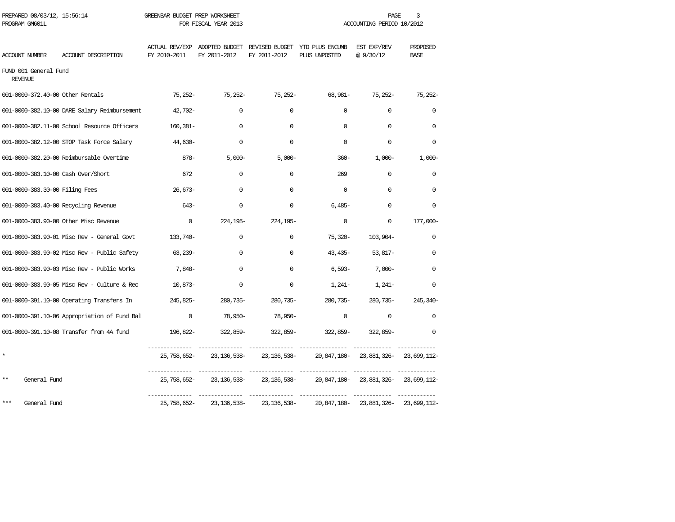| PROGRAM GM601L                          |                                                    |              | FOR FISCAL YEAR 2013       |                     | ACCOUNTING PERIOD 10/2012                                                      |                                   |                         |  |
|-----------------------------------------|----------------------------------------------------|--------------|----------------------------|---------------------|--------------------------------------------------------------------------------|-----------------------------------|-------------------------|--|
| ACCOUNT NUMBER                          | ACCOUNT DESCRIPTION                                | FY 2010-2011 | FY 2011-2012               | FY 2011-2012        | ACTUAL REV/EXP ADOPTED BUDGET REVISED BUDGET YTD PLUS ENCUMB<br>PLUS UNPOSTED  | EST EXP/REV<br>@9/30/12           | PROPOSED<br><b>BASE</b> |  |
| FUND 001 General Fund<br><b>REVENUE</b> |                                                    |              |                            |                     |                                                                                |                                   |                         |  |
| 001-0000-372.40-00 Other Rentals        |                                                    | 75,252-      | $75,252-$                  | 75,252-             | 68,981-                                                                        | 75,252-                           | $75,252-$               |  |
|                                         | 001-0000-382.10-00 DARE Salary Reimbursement       | 42,702-      | $\Omega$                   | $\Omega$            | $\Omega$                                                                       | $\mathbf 0$                       | $\Omega$                |  |
|                                         | 001-0000-382.11-00 School Resource Officers        | 160,381-     | $\Omega$                   | $\Omega$            | $\Omega$                                                                       | $\Omega$                          | $\Omega$                |  |
|                                         | 001-0000-382.12-00 STOP Task Force Salary          | $44,630-$    | 0                          | $\Omega$            | $\Omega$                                                                       | $\Omega$                          | $\Omega$                |  |
|                                         | 001-0000-382.20-00 Reimbursable Overtime           | 878-         | $5,000 -$                  | $5,000-$            | $360 -$                                                                        | $1,000-$                          | $1,000-$                |  |
|                                         | 001-0000-383.10-00 Cash Over/Short                 | 672          | $\Omega$                   | $\Omega$            | 269                                                                            | $\mathbf 0$                       | $\Omega$                |  |
| 001-0000-383.30-00 Filing Fees          |                                                    | $26,673-$    | $\Omega$                   | $\Omega$            | $\Omega$                                                                       | $\Omega$                          | $\Omega$                |  |
|                                         | 001-0000-383.40-00 Recycling Revenue               | $643-$       | $\Omega$                   | $\Omega$            | $6,485-$                                                                       | $\Omega$                          | $\Omega$                |  |
|                                         | 001-0000-383.90-00 Other Misc Revenue              | $\mathbf 0$  |                            | 224, 195- 224, 195- | $\Omega$                                                                       | $\mathbf{0}$                      | 177,000-                |  |
|                                         | 001-0000-383.90-01 Misc Rev - General Govt         | 133,740-     | 0                          | $\mathbf{0}$        | 75,320-                                                                        | 103,904-                          | $\Omega$                |  |
|                                         | 001-0000-383.90-02 Misc Rev - Public Safety        | 63,239-      | $\Omega$                   | $\mathbf{0}$        | 43,435-                                                                        | 53,817–                           | $\Omega$                |  |
|                                         | 001-0000-383.90-03 Misc Rev - Public Works         | 7,848-       | 0                          | $\mathbf{0}$        |                                                                                | $6,593-7,000-$                    | $\Omega$                |  |
|                                         | 001-0000-383.90-05 Misc Rev - Culture & Rec        | 10,873-      | 0                          | $\mathbf{0}$        |                                                                                | $1,241-1,241-$                    | 0                       |  |
|                                         | 001-0000-391.10-00 Operating Transfers In 245,825- |              |                            | 280,735-280,735-    |                                                                                | 280,735-280,735-245,340-          |                         |  |
|                                         | 001-0000-391.10-06 Appropriation of Fund Bal       | $\mathbf{0}$ | 78,950-                    | 78,950-             | $\mathbf{0}$                                                                   | $\mathbf{0}$                      | $\Omega$                |  |
|                                         | 001-0000-391.10-08 Transfer from 4A fund           |              |                            |                     |                                                                                |                                   | $\mathbf 0$             |  |
|                                         |                                                    |              |                            |                     | 25,758,652- 23,136,538- 23,136,538- 20,847,180- 23,881,326- 23,699,112-        |                                   |                         |  |
| **<br>General Fund                      |                                                    |              | 25, 758, 652-23, 136, 538- | 23, 136, 538-       |                                                                                | 20,847,180-23,881,326-23,699,112- |                         |  |
| ***<br>General Fund                     |                                                    |              |                            |                     | 25, 758, 652-23, 136, 538-23, 136, 538-20, 847, 180-23, 881, 326-23, 699, 112- |                                   |                         |  |
|                                         |                                                    |              |                            |                     |                                                                                |                                   |                         |  |

PREPARED 08/03/12, 15:56:14 GREENBAR BUDGET PREP WORKSHEET **FREE** AGE 3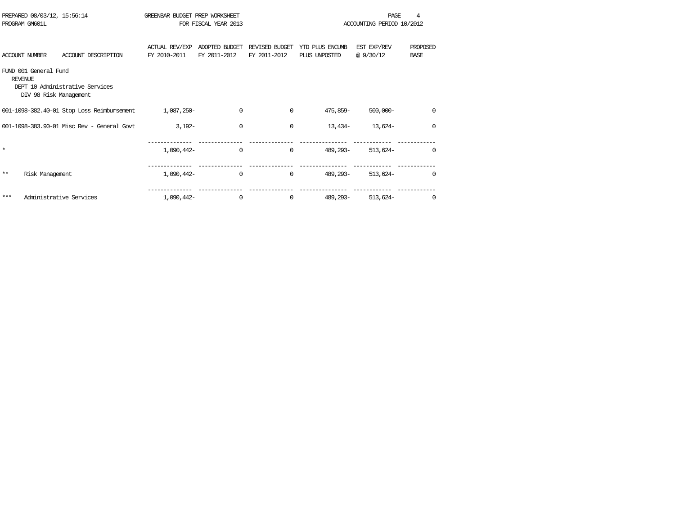|         | PREPARED 08/03/12, 15:56:14<br>PROGRAM GM601L                     |                                            | GREENBAR BUDGET PREP WORKSHEET        | FOR FISCAL YEAR 2013           |                                |                                  | PAGE<br>ACCOUNTING PERIOD 10/2012 |                         |
|---------|-------------------------------------------------------------------|--------------------------------------------|---------------------------------------|--------------------------------|--------------------------------|----------------------------------|-----------------------------------|-------------------------|
|         | <b>ACCOUNT NUMBER</b>                                             | ACCOUNT DESCRIPTION                        | <b>ACTUAL REV/EXP</b><br>FY 2010-2011 | ADOPTED BUDGET<br>FY 2011-2012 | REVISED BUDGET<br>FY 2011-2012 | YTD PLUS ENCUMB<br>PLUS UNPOSTED | EST EXP/REV<br>@9/30/12           | PROPOSED<br><b>BASE</b> |
|         | FUND 001 General Fund<br><b>REVENUE</b><br>DIV 98 Risk Management | DEPT 10 Administrative Services            |                                       |                                |                                |                                  |                                   |                         |
|         |                                                                   | 001-1098-382.40-01 Stop Loss Reimbursement | 1,087,250-                            | 0                              | $\Omega$                       | 475,859-                         | $500,000 -$                       | $\mathbf 0$             |
|         |                                                                   | 001-1098-383.90-01 Misc Rev - General Govt | $3.192 -$                             | $\Omega$                       | $\Omega$                       | $13,434-$                        | $13.624-$                         | $\Omega$                |
| $\star$ |                                                                   |                                            | 1,090,442-                            | $\Omega$                       | $\Omega$                       | 489, 293-                        | $513.624-$                        | $\Omega$                |
| $**$    | Risk Management                                                   |                                            | 1,090,442-                            | 0                              | $\mathbf 0$                    | 489,293-                         | $513,624-$                        | 0                       |
| ***     |                                                                   | Administrative Services                    | 1,090,442-                            | $\Omega$                       | $\Omega$                       | 489, 293-                        | $513,624-$                        | $\Omega$                |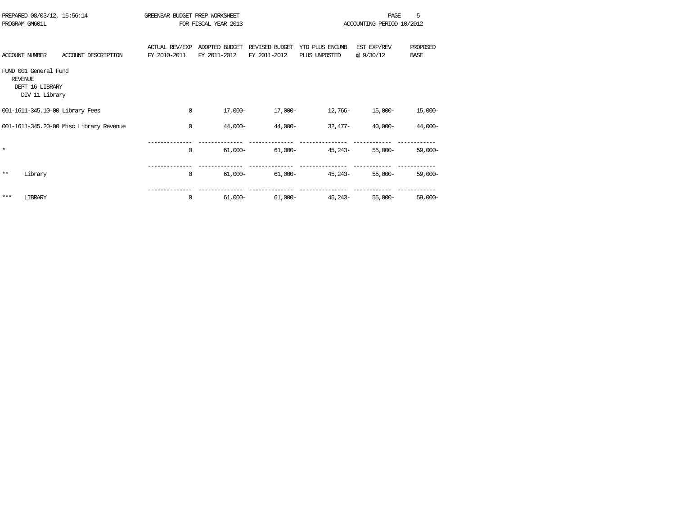|                | PREPARED 08/03/12, 15:56:14<br>PROGRAM GM601L              |                                         | GREENBAR BUDGET PREP WORKSHEET        | FOR FISCAL YEAR 2013           |                                |                                  | PAGE<br>ACCOUNTING PERIOD 10/2012 | 5                       |
|----------------|------------------------------------------------------------|-----------------------------------------|---------------------------------------|--------------------------------|--------------------------------|----------------------------------|-----------------------------------|-------------------------|
|                | <b>ACCOUNT NUMBER</b>                                      | ACCOUNT DESCRIPTION                     | <b>ACTUAL REV/EXP</b><br>FY 2010-2011 | ADOPTED BUDGET<br>FY 2011-2012 | REVISED BUDGET<br>FY 2011-2012 | YTD PLUS ENCUMB<br>PLUS UNPOSTED | EST EXP/REV<br>@9/30/12           | PROPOSED<br><b>BASE</b> |
| <b>REVENUE</b> | FUND 001 General Fund<br>DEPT 16 LIBRARY<br>DIV 11 Library |                                         |                                       |                                |                                |                                  |                                   |                         |
|                |                                                            | 001-1611-345.10-00 Library Fees         | 0                                     | $17,000-$                      | $17,000-$                      | 12,766-                          | $15,000-$                         | $15,000-$               |
|                |                                                            | 001-1611-345.20-00 Misc Library Revenue | $\Omega$                              | 44,000-                        | $44,000-$                      | $32.477-$                        | $40.000 -$                        | 44,000-                 |
| $\star$        |                                                            |                                         | $\Omega$                              | $61,000 -$                     | $61,000-$                      | $45.243-$                        | $55.000 -$                        | $59,000 -$              |
| $***$          | Library                                                    |                                         | $\mathbf{0}$                          | $61,000 -$                     | $61,000 -$                     | 45,243-                          | $55,000-$                         | $59,000-$               |
| ***            | LIBRARY                                                    |                                         | $\Omega$                              | $61,000 -$                     | $61,000 -$                     | $45.243-$                        | $55.000 -$                        | $59,000-$               |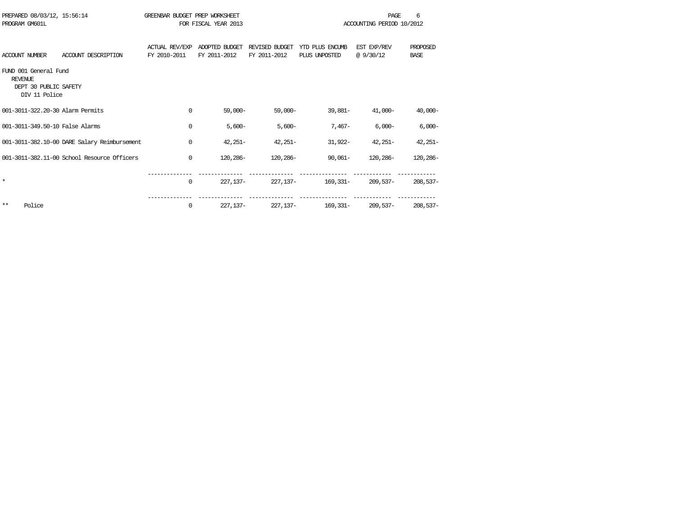| PREPARED 08/03/12, 15:56:14<br>PROGRAM GM601L                                     |                                              | GREENBAR BUDGET PREP WORKSHEET        | FOR FISCAL YEAR 2013           |                                |                                  | PAGE<br>ACCOUNTING PERIOD 10/2012 | 6                       |
|-----------------------------------------------------------------------------------|----------------------------------------------|---------------------------------------|--------------------------------|--------------------------------|----------------------------------|-----------------------------------|-------------------------|
| <b>ACCOUNT NUMBER</b>                                                             | ACCOUNT DESCRIPTION                          | <b>ACTUAL REV/EXP</b><br>FY 2010-2011 | ADOPTED BUDGET<br>FY 2011-2012 | REVISED BUDGET<br>FY 2011-2012 | YTD PLUS ENCUMB<br>PLUS UNPOSTED | EST EXP/REV<br>@9/30/12           | PROPOSED<br><b>BASE</b> |
| FUND 001 General Fund<br><b>REVENUE</b><br>DEPT 30 PUBLIC SAFETY<br>DIV 11 Police |                                              |                                       |                                |                                |                                  |                                   |                         |
| 001-3011-322.20-30 Alarm Permits                                                  |                                              | 0                                     | $59.000 -$                     | $59,000 -$                     | $39.881 -$                       | 41,000-                           | $40,000-$               |
| 001-3011-349.50-10 False Alarms                                                   |                                              | $\Omega$                              | $5,600-$                       | $5,600-$                       | $7,467-$                         | $6,000-$                          | $6,000-$                |
|                                                                                   | 001-3011-382.10-00 DARE Salary Reimbursement | $\Omega$                              | $42,251-$                      | $42,251-$                      | 31,922-                          | $42.251 -$                        | $42,251-$               |
|                                                                                   | 001-3011-382.11-00 School Resource Officers  | $\Omega$                              | 120,286-                       | 120,286-                       | $90.061 -$                       | 120,286-                          | 120,286-                |
| $\star$                                                                           |                                              | 0                                     | $227.137-$                     | 227,137-                       | 169,331-                         | 209,537-                          | $208,537-$              |
| $***$<br>Police                                                                   |                                              | 0                                     | $227.137-$                     | 227, 137-                      | 169,331-                         | 209,537-                          | $208,537-$              |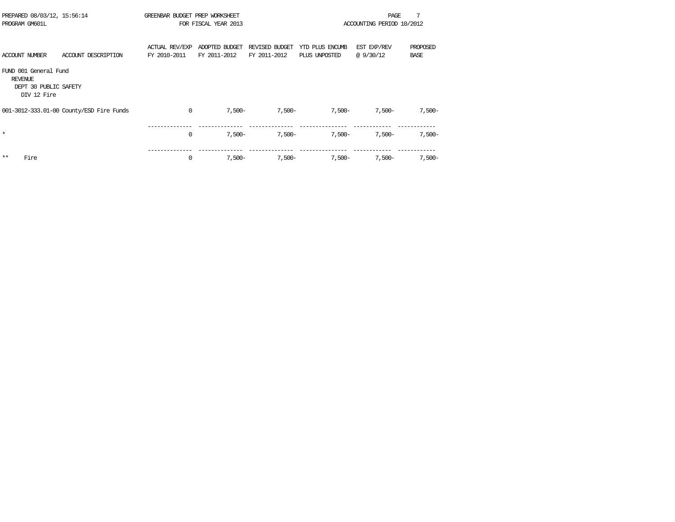| PREPARED 08/03/12, 15:56:14<br>PROGRAM GM601L                                   |                                          | GREENBAR BUDGET PREP WORKSHEET | FOR FISCAL YEAR 2013           |                                |                                  | PAGE<br>ACCOUNTING PERIOD 10/2012 | 7                       |
|---------------------------------------------------------------------------------|------------------------------------------|--------------------------------|--------------------------------|--------------------------------|----------------------------------|-----------------------------------|-------------------------|
| ACCOUNT NUMBER                                                                  | ACCOUNT DESCRIPTION                      | ACTUAL REV/EXP<br>FY 2010-2011 | ADOPTED BUDGET<br>FY 2011-2012 | REVISED BUDGET<br>FY 2011-2012 | YTD PLUS ENCUMB<br>PLUS UNPOSTED | EST EXP/REV<br>@9/30/12           | PROPOSED<br><b>BASE</b> |
| FUND 001 General Fund<br><b>REVENUE</b><br>DEPT 30 PUBLIC SAFETY<br>DIV 12 Fire |                                          |                                |                                |                                |                                  |                                   |                         |
|                                                                                 | 001-3012-333.01-00 County/ESD Fire Funds | $\mathbf 0$                    | $7,500-$                       | $7,500-$                       | $7,500-$                         | $7,500-$                          | 7,500-                  |
| $\star$                                                                         |                                          | $\mathbf 0$                    | $7,500-$                       | $7.500 -$                      | $7.500 -$                        | $7.500 -$                         | $7,500-$                |
| $* *$<br>Fire                                                                   |                                          | 0                              | $7,500-$                       | $7,500-$                       | $7,500-$                         | $7.500 -$                         | $7,500-$                |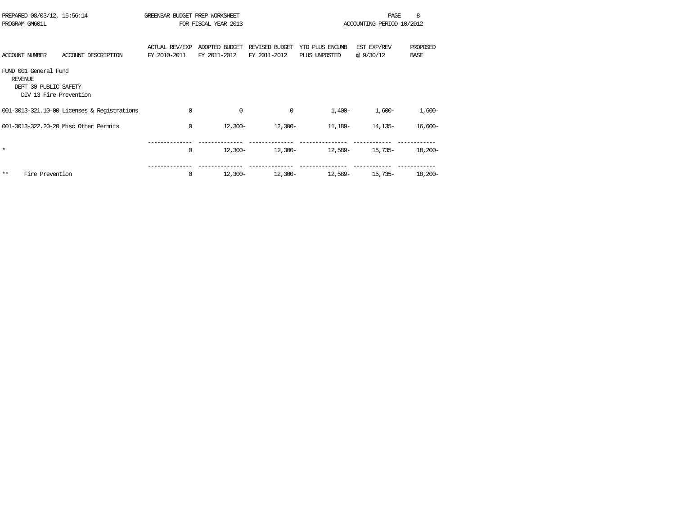| PREPARED 08/03/12, 15:56:14<br>PROGRAM GM601L                                              | GREENBAR BUDGET PREP WORKSHEET        | FOR FISCAL YEAR 2013           |                                |                                  | PAGE<br>ACCOUNTING PERIOD 10/2012 | 8                       |
|--------------------------------------------------------------------------------------------|---------------------------------------|--------------------------------|--------------------------------|----------------------------------|-----------------------------------|-------------------------|
| <b>ACCOUNT NUMBER</b><br>ACCOUNT DESCRIPTION                                               | <b>ACTUAL REV/EXP</b><br>FY 2010-2011 | ADOPTED BUDGET<br>FY 2011-2012 | REVISED BUDGET<br>FY 2011-2012 | YTD PLUS ENCUMB<br>PLUS UNPOSTED | EST EXP/REV<br>@9/30/12           | PROPOSED<br><b>BASE</b> |
| FUND 001 General Fund<br><b>REVENUE</b><br>DEPT 30 PUBLIC SAFETY<br>DIV 13 Fire Prevention |                                       |                                |                                |                                  |                                   |                         |
| 001-3013-321.10-00 Licenses & Registrations                                                | 0                                     | 0                              | 0                              | $1.400 -$                        | $1,600-$                          | $1,600-$                |
| 001-3013-322.20-20 Misc Other Permits                                                      | 0                                     | $12,300-$                      | $12,300-$                      | 11,189-                          | 14,135-                           | $16,600-$               |
| $\star$                                                                                    | 0                                     | 12,300-                        | 12,300-                        | 12,589-                          | 15,735-                           | $18,200-$               |
| Fire Prevention<br>$**$                                                                    | 0                                     | $12,300-$                      | $12,300-$                      | 12,589-                          | 15,735-                           | $18,200 -$              |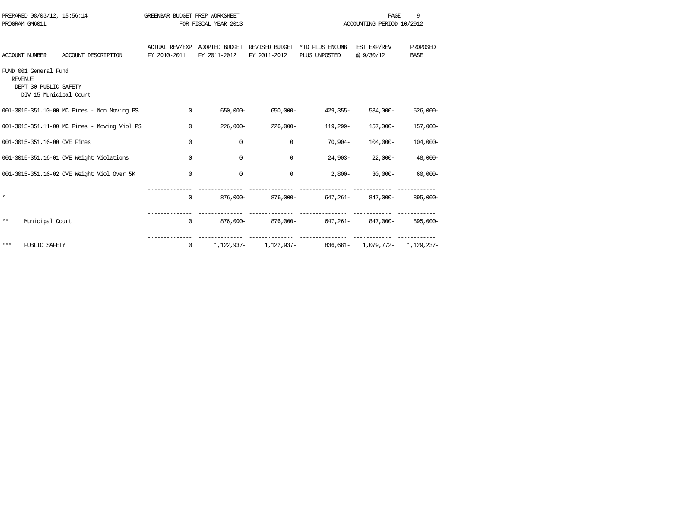|                | PREPARED 08/03/12, 15:56:14<br>PROGRAM GM601L                            |                                              | GREENBAR BUDGET PREP WORKSHEET        | FOR FISCAL YEAR 2013           |                                |                                  | <b>PAGE</b><br>ACCOUNTING PERIOD 10/2012 | 9                       |
|----------------|--------------------------------------------------------------------------|----------------------------------------------|---------------------------------------|--------------------------------|--------------------------------|----------------------------------|------------------------------------------|-------------------------|
|                | <b>ACCOUNT NUMBER</b>                                                    | ACCOUNT DESCRIPTION                          | <b>ACTUAL REV/EXP</b><br>FY 2010-2011 | ADOPTED BUDGET<br>FY 2011-2012 | REVISED BUDGET<br>FY 2011-2012 | YID PLUS ENCUMB<br>PLUS UNPOSTED | EST EXP/REV<br>@ 9/30/12                 | PROPOSED<br><b>BASE</b> |
| <b>REVENUE</b> | FUND 001 General Fund<br>DEPT 30 PUBLIC SAFETY<br>DIV 15 Municipal Court |                                              |                                       |                                |                                |                                  |                                          |                         |
|                |                                                                          | 001-3015-351.10-00 MC Fines - Non Moving PS  | 0                                     | 650,000-                       | 650,000-                       | 429,355-                         | $534,000-$                               | $526,000 -$             |
|                |                                                                          | 001-3015-351.11-00 MC Fines - Moving Viol PS | 0                                     | $226,000 -$                    | $226,000 -$                    | 119,299-                         | 157,000-                                 | 157,000-                |
|                | 001-3015-351.16-00 CVE Fines                                             |                                              | 0                                     | 0                              | $\Omega$                       | $70.904 -$                       | $104.000 -$                              | $104,000-$              |
|                |                                                                          | 001-3015-351.16-01 CVE Weight Violations     | $\mathbf 0$                           | $\Omega$                       | $\Omega$                       | $24.903 -$                       | $22,000-$                                | $48,000-$               |
|                |                                                                          | 001-3015-351.16-02 CVE Weight Viol Over 5K   | $\mathbf 0$                           | 0                              | $\mathbf 0$                    | $2.800 -$                        | $30.000 -$                               | $60,000 -$              |
| $\star$        |                                                                          |                                              | 0                                     | 876,000-                       | 876,000-                       | 647,261-                         | 847,000-                                 | 895,000-                |
| $* *$          | Municipal Court                                                          |                                              | $\mathbf 0$                           | 876,000-                       |                                | 876,000- 647,261- 847,000-       |                                          | 895,000-                |
| ***            | PUBLIC SAFETY                                                            |                                              | 0                                     | 1,122,937-                     | 1,122,937-                     | 836,681-                         |                                          | 1,079,772- 1,129,237-   |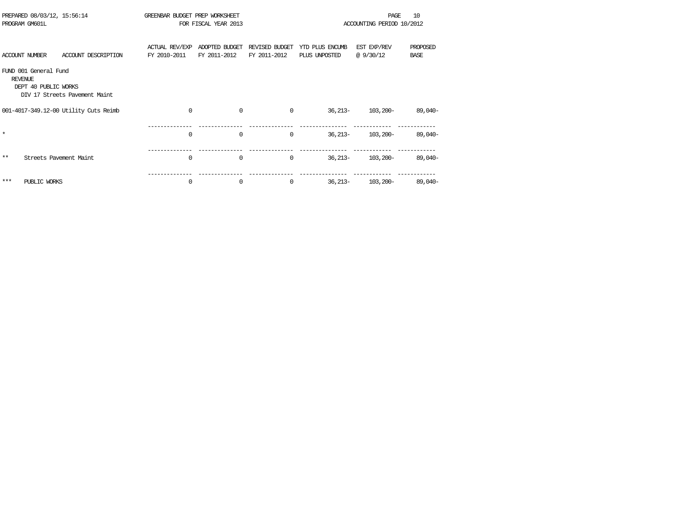|         | PREPARED 08/03/12, 15:56:14<br>PROGRAM GM601L                   |                                       | GREENBAR BUDGET PREP WORKSHEET        | FOR FISCAL YEAR 2013           |                                |                                  | <b>PAGE</b><br>ACCOUNTING PERIOD 10/2012 | 10                      |
|---------|-----------------------------------------------------------------|---------------------------------------|---------------------------------------|--------------------------------|--------------------------------|----------------------------------|------------------------------------------|-------------------------|
|         | <b>ACCOUNT NUMBER</b>                                           | ACCOUNT DESCRIPTION                   | <b>ACTUAL REV/EXP</b><br>FY 2010-2011 | ADOPTED BUDGET<br>FY 2011-2012 | REVISED BUDGET<br>FY 2011-2012 | YTD PLUS ENCUMB<br>PLUS UNPOSTED | EST EXP/REV<br>@9/30/12                  | PROPOSED<br><b>BASE</b> |
|         | FUND 001 General Fund<br><b>REVENUE</b><br>DEPT 40 PUBLIC WORKS | DIV 17 Streets Pavement Maint         |                                       |                                |                                |                                  |                                          |                         |
|         |                                                                 | 001-4017-349.12-00 Utility Cuts Reimb | $\Omega$                              | $\mathbf 0$                    | $\Omega$                       | $36,213-$                        | $103,200-$                               | $89,040-$               |
| $\star$ |                                                                 |                                       | 0                                     | $\mathbf 0$                    | $\Omega$                       | $36,213-$                        | $103,200-$                               | 89,040-                 |
| $***$   |                                                                 | Streets Pavement Maint                | $\Omega$                              | $\mathbf 0$                    | 0                              | $36,213-$                        | $103,200-$                               | 89,040-                 |
| ***     | PUBLIC WORKS                                                    |                                       | 0                                     | $\mathbf 0$                    | 0                              | $36,213-$                        | 103,200-                                 | 89,040-                 |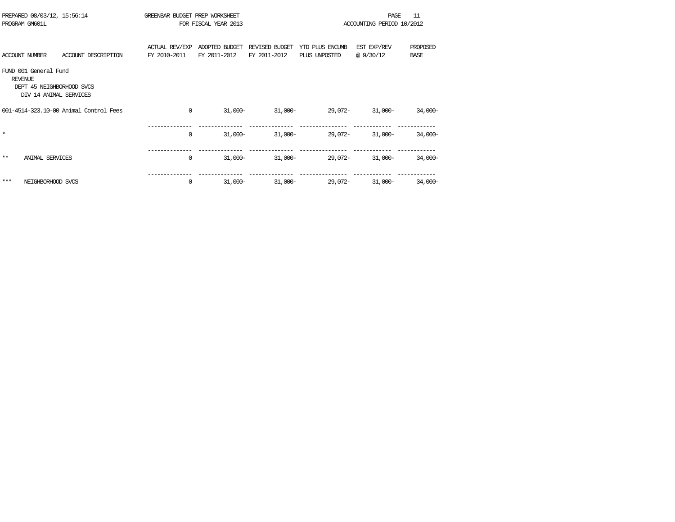|         | PREPARED 08/03/12, 15:56:14<br>PROGRAM GM601L                                                  |                                        | GREENBAR BUDGET PREP WORKSHEET | FOR FISCAL YEAR 2013           |                                |                                  | PAGE<br>ACCOUNTING PERIOD 10/2012 | 11                      |
|---------|------------------------------------------------------------------------------------------------|----------------------------------------|--------------------------------|--------------------------------|--------------------------------|----------------------------------|-----------------------------------|-------------------------|
|         | <b>ACCOUNT NUMBER</b>                                                                          | ACCOUNT DESCRIPTION                    | ACTUAL REV/EXP<br>FY 2010-2011 | ADOPTED BUDGET<br>FY 2011-2012 | REVISED BUDGET<br>FY 2011-2012 | YTD PLUS ENCUMB<br>PLUS UNPOSTED | EST EXP/REV<br>@ 9/30/12          | PROPOSED<br><b>BASE</b> |
|         | FUND 001 General Fund<br><b>REVENUE</b><br>DEPT 45 NEIGHBORHOOD SVCS<br>DIV 14 ANIMAL SERVICES |                                        |                                |                                |                                |                                  |                                   |                         |
|         |                                                                                                | 001-4514-323.10-00 Animal Control Fees | 0                              | $31,000-$                      | $31,000-$                      | 29,072-                          | $31,000-$                         | $34,000-$               |
| $\star$ |                                                                                                |                                        | 0                              | $31,000-$                      | $31,000-$                      | 29,072-                          | $31,000-$                         | $34,000-$               |
| $* *$   | <b>ANIMAL SERVICES</b>                                                                         |                                        | 0                              | $31,000-$                      | $31,000-$                      | 29,072-                          | $31,000-$                         | $34,000-$               |
| $***$   | NEIGHBORHOOD SVCS                                                                              |                                        | 0                              | $31,000 -$                     | $31,000-$                      | 29,072-                          | $31,000-$                         | $34,000-$               |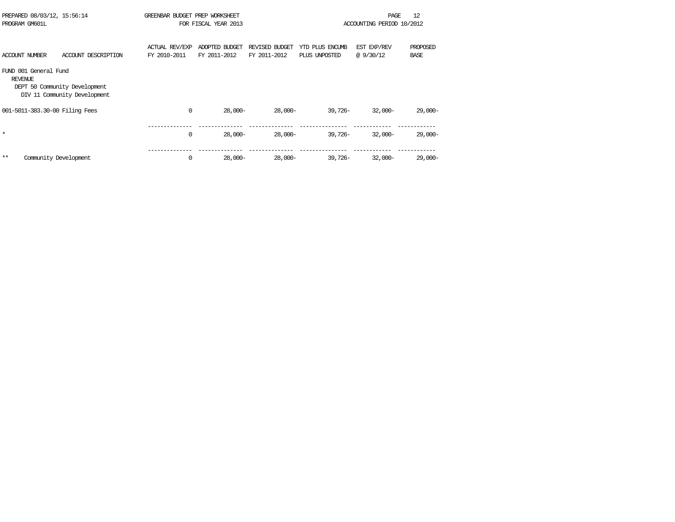| PROGRAM GM601L                   | PREPARED 08/03/12, 15:56:14                                   | GREENBAR BUDGET PREP WORKSHEET        | FOR FISCAL YEAR 2013           |                                |                                  | PAGE<br>ACCOUNTING PERIOD 10/2012 | 12                      |
|----------------------------------|---------------------------------------------------------------|---------------------------------------|--------------------------------|--------------------------------|----------------------------------|-----------------------------------|-------------------------|
| <b>ACCOUNT NUMBER</b>            | ACCOUNT DESCRIPTION                                           | <b>ACTUAL REV/EXP</b><br>FY 2010-2011 | ADOPTED BUDGET<br>FY 2011-2012 | REVISED BUDGET<br>FY 2011-2012 | YTD PLUS ENCUMB<br>PLUS UNPOSTED | EST EXP/REV<br>@ 9/30/12          | PROPOSED<br><b>BASE</b> |
| FUND 001 General Fund<br>REVENUE | DEPT 50 Community Development<br>DIV 11 Community Development |                                       |                                |                                |                                  |                                   |                         |
|                                  | 001-5011-383.30-00 Filing Fees                                | $\mathbf 0$                           | $28,000-$                      | 28,000-                        | $39.726 -$                       | $32,000-$                         | $29,000-$               |
| $\star$                          |                                                               | $\mathbf 0$                           | $28,000-$                      | $28,000-$                      | $39.726 -$                       | $32,000-$                         | $29,000-$               |
| $* *$                            | Community Development                                         | $\mathbf 0$                           | $28,000-$                      | 28,000-                        | $39,726-$                        | $32,000-$                         | $29,000-$               |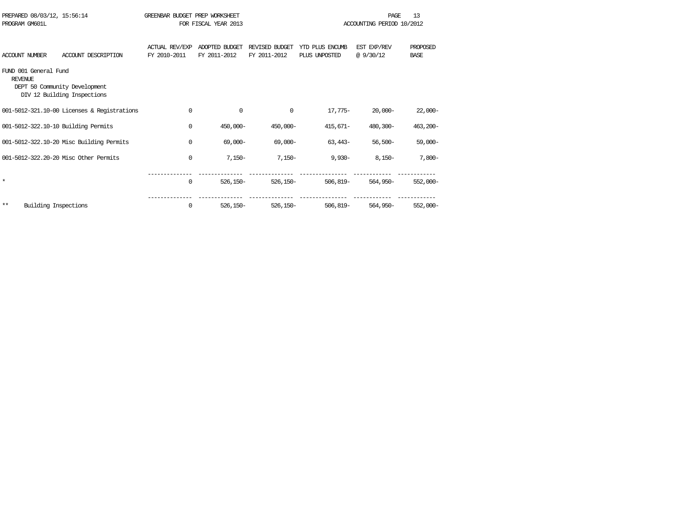| PROGRAM GM601L                          | PREPARED 08/03/12, 15:56:14                                  | GREENBAR BUDGET PREP WORKSHEET        | FOR FISCAL YEAR 2013           |                                |                                  | PAGE<br>ACCOUNTING PERIOD 10/2012 | 13                      |
|-----------------------------------------|--------------------------------------------------------------|---------------------------------------|--------------------------------|--------------------------------|----------------------------------|-----------------------------------|-------------------------|
| <b>ACCOUNT NUMBER</b>                   | ACCOUNT DESCRIPTION                                          | <b>ACTUAL REV/EXP</b><br>FY 2010-2011 | ADOPTED BUDGET<br>FY 2011-2012 | REVISED BUDGET<br>FY 2011-2012 | YTD PLUS ENCUMB<br>PLUS UNPOSTED | EST EXP/REV<br>@9/30/12           | PROPOSED<br><b>BASE</b> |
| FUND 001 General Fund<br><b>REVENUE</b> | DEPT 50 Community Development<br>DIV 12 Building Inspections |                                       |                                |                                |                                  |                                   |                         |
|                                         | 001-5012-321.10-00 Licenses & Registrations                  | 0                                     | 0                              | 0                              | $17.775-$                        | $20,000-$                         | $22,000-$               |
|                                         | 001-5012-322.10-10 Building Permits                          | 0                                     | $450.000 -$                    | $450,000 -$                    | $415.671 -$                      | 480,300-                          | $463,200-$              |
|                                         | 001-5012-322.10-20 Misc Building Permits                     | 0                                     | $69,000 -$                     | $69,000 -$                     | $63,443-$                        | $56,500-$                         | $59,000-$               |
|                                         | 001-5012-322.20-20 Misc Other Permits                        | 0                                     | $7,150-$                       | $7,150-$                       | $9.930 -$                        | $8.150 -$                         | $7,800-$                |
| $\star$                                 |                                                              | 0                                     | $526, 150 -$                   | $526.150 -$                    | $506.819 -$                      | $564.950 -$                       | $552,000 -$             |
| $***$                                   | Building Inspections                                         | 0                                     | $526.150 -$                    | $526.150 -$                    | $506.819 -$                      | $564.950 -$                       | $552,000 -$             |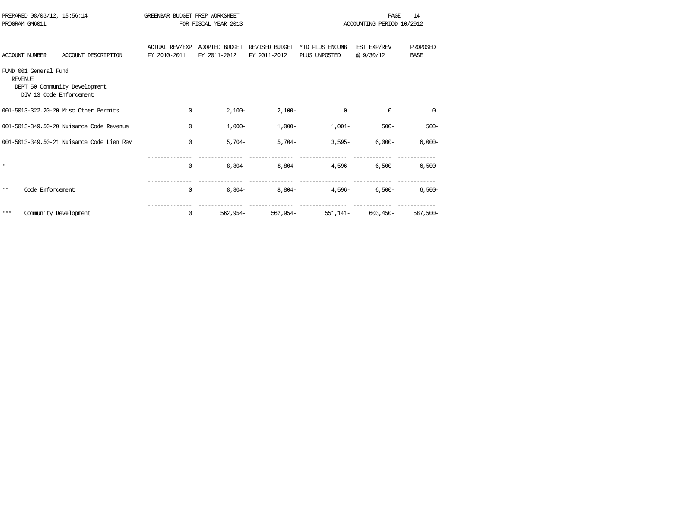|                | PREPARED 08/03/12, 15:56:14<br>PROGRAM GM601L    |                                           | GREENBAR BUDGET PREP WORKSHEET        | FOR FISCAL YEAR 2013           |                                |                                  | PAGE<br>ACCOUNTING PERIOD 10/2012 | 14                      |
|----------------|--------------------------------------------------|-------------------------------------------|---------------------------------------|--------------------------------|--------------------------------|----------------------------------|-----------------------------------|-------------------------|
|                | <b>ACCOUNT NUMBER</b>                            | ACCOUNT DESCRIPTION                       | <b>ACTUAL REV/EXP</b><br>FY 2010-2011 | ADOPTED BUDGET<br>FY 2011-2012 | REVISED BUDGET<br>FY 2011-2012 | YTD PLUS ENCUMB<br>PLUS UNPOSTED | EST EXP/REV<br>@9/30/12           | PROPOSED<br><b>BASE</b> |
| <b>REVENUE</b> | FUND 001 General Fund<br>DIV 13 Code Enforcement | DEPT 50 Community Development             |                                       |                                |                                |                                  |                                   |                         |
|                |                                                  | 001-5013-322.20-20 Misc Other Permits     | 0                                     | $2,100-$                       | $2,100-$                       | $\mathbf 0$                      | $\Omega$                          | $\mathbf 0$             |
|                |                                                  | 001-5013-349.50-20 Nuisance Code Revenue  | 0                                     | $1,000-$                       | $1,000-$                       | $1,001-$                         | $500 -$                           | $500 -$                 |
|                |                                                  | 001-5013-349.50-21 Muisance Code Lien Rev | 0                                     | $5,704-$                       | $5,704-$                       | $3,595-$                         | $6.000 -$                         | $6,000-$                |
| $\star$        |                                                  |                                           | 0                                     | $8,804-$                       | $8,804-$                       | $4.596 -$                        | $6,500-$                          | $6,500-$                |
| $***$          | Code Enforcement                                 |                                           | 0                                     | $8,804-$                       | $8,804-$                       | $4.596-$                         | $6,500-$                          | $6,500-$                |
| ***            | Community Development                            |                                           | 0                                     | $562.954-$                     | $562.954-$                     | $551,141-$                       | $603,450-$                        | 587,500-                |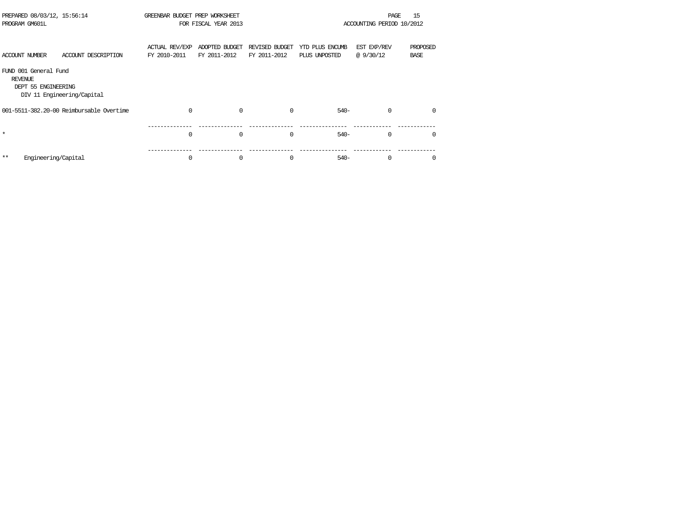| PREPARED 08/03/12, 15:56:14<br>PROGRAM GM601L                  |                                          | GREENBAR BUDGET PREP WORKSHEET        | FOR FISCAL YEAR 2013           |                                |                                  | PAGE<br>ACCOUNTING PERIOD 10/2012 | 15                      |
|----------------------------------------------------------------|------------------------------------------|---------------------------------------|--------------------------------|--------------------------------|----------------------------------|-----------------------------------|-------------------------|
| <b>ACCOUNT NUMBER</b>                                          | ACCOUNT DESCRIPTION                      | <b>ACTUAL REV/EXP</b><br>FY 2010-2011 | ADOPTED BUDGET<br>FY 2011-2012 | REVISED BUDGET<br>FY 2011-2012 | YTD PLUS ENCUMB<br>PLUS UNPOSTED | EST EXP/REV<br>@9/30/12           | PROPOSED<br><b>BASE</b> |
| FUND 001 General Fund<br><b>REVENUE</b><br>DEPT 55 ENGINEERING | DIV 11 Engineering/Capital               |                                       |                                |                                |                                  |                                   |                         |
|                                                                | 001-5511-382.20-00 Reimbursable Overtime |                                       | $\mathbf 0$                    | <sup>0</sup>                   | $540-$                           | $\Omega$                          |                         |
| $\star$                                                        |                                          | 0                                     | $\mathbf 0$                    | $\Omega$                       | $540-$                           | 0                                 | <sup>0</sup>            |
| Engineering/Capital<br>$* *$                                   |                                          | 0                                     | 0                              | $\Omega$                       | $540-$                           | $\Omega$                          |                         |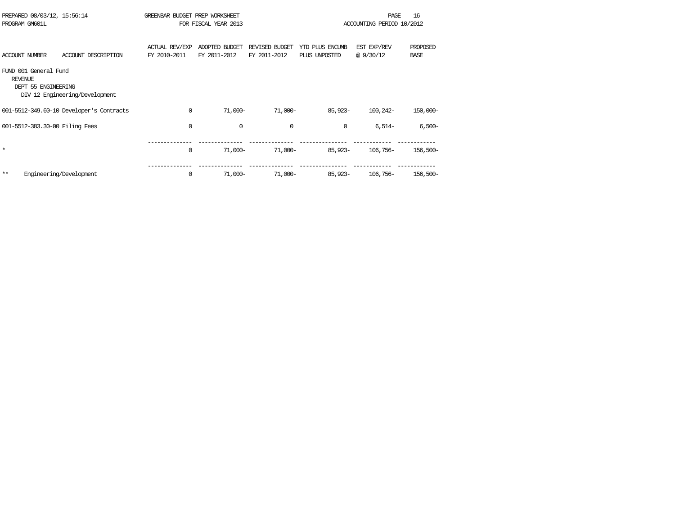| PREPARED 08/03/12, 15:56:14<br>PROGRAM GM601L                                                    |                     | GREENBAR BUDGET PREP WORKSHEET        | FOR FISCAL YEAR 2013           |                                |                                  | PAGE<br>ACCOUNTING PERIOD 10/2012 | 16                      |
|--------------------------------------------------------------------------------------------------|---------------------|---------------------------------------|--------------------------------|--------------------------------|----------------------------------|-----------------------------------|-------------------------|
|                                                                                                  |                     |                                       |                                |                                |                                  |                                   |                         |
| <b>ACCOUNT NUMBER</b>                                                                            | ACCOUNT DESCRIPTION | <b>ACTUAL REV/EXP</b><br>FY 2010-2011 | ADOPTED BUDGET<br>FY 2011-2012 | REVISED BUDGET<br>FY 2011-2012 | YTD PLUS ENCUMB<br>PLUS UNPOSTED | EST EXP/REV<br>@9/30/12           | PROPOSED<br><b>BASE</b> |
| FUND 001 General Fund<br><b>REVENUE</b><br>DEPT 55 ENGINEERING<br>DIV 12 Engineering/Development |                     |                                       |                                |                                |                                  |                                   |                         |
| 001-5512-349.60-10 Developer's Contracts                                                         |                     | $\Omega$                              | $71,000-$                      | $71,000-$                      | $85.923 -$                       | 100,242-                          | 150,000-                |
| 001-5512-383.30-00 Filing Fees                                                                   |                     | 0                                     | 0                              | 0                              | $\mathbf 0$                      | $6,514-$                          | $6,500-$                |
| $\star$                                                                                          |                     | 0                                     | $71,000-$                      | 71,000-                        | $85.923 -$                       | $106.756-$                        | $156,500-$              |
| $***$<br>Engineering/Development                                                                 |                     | 0                                     | $71,000-$                      | $71,000-$                      | 85,923-                          | $106.756-$                        | 156,500-                |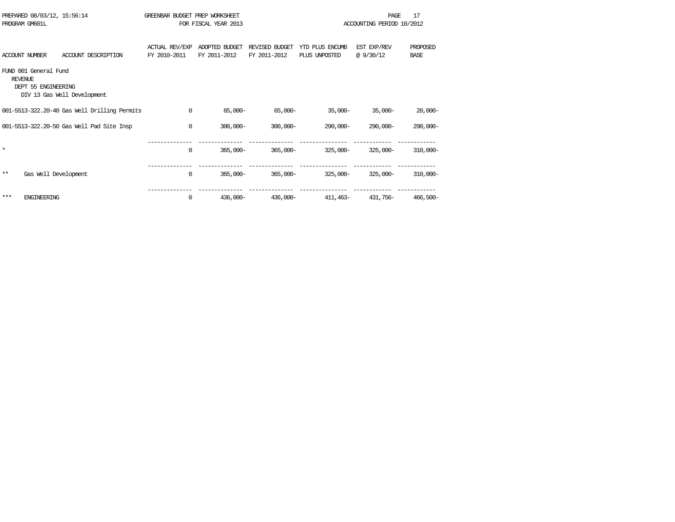|                | PREPARED 08/03/12, 15:56:14<br>PROGRAM GM601L |                                              | GREENBAR BUDGET PREP WORKSHEET        | FOR FISCAL YEAR 2013           |                                |                                  | PAGE<br>ACCOUNTING PERIOD 10/2012 | 17                      |
|----------------|-----------------------------------------------|----------------------------------------------|---------------------------------------|--------------------------------|--------------------------------|----------------------------------|-----------------------------------|-------------------------|
|                | <b>ACCOUNT NUMBER</b>                         | ACCOUNT DESCRIPTION                          | <b>ACTUAL REV/EXP</b><br>FY 2010-2011 | ADOPTED BUDGET<br>FY 2011-2012 | REVISED BUDGET<br>FY 2011-2012 | YTD PLUS ENCUMB<br>PLUS UNPOSTED | EST EXP/REV<br>@9/30/12           | PROPOSED<br><b>BASE</b> |
| <b>REVENUE</b> | FUND 001 General Fund<br>DEPT 55 ENGINEERING  | DIV 13 Gas Well Development                  |                                       |                                |                                |                                  |                                   |                         |
|                |                                               | 001-5513-322.20-40 Gas Well Drilling Permits | 0                                     | $65,000-$                      | $65,000 -$                     | $35,000-$                        | $35,000-$                         | $20,000-$               |
|                |                                               | 001-5513-322.20-50 Gas Well Pad Site Insp    | $\Omega$                              | $300,000 -$                    | $300,000 -$                    | 290,000-                         | $290.000 -$                       | $290,000 -$             |
| $\star$        |                                               |                                              | $\Omega$                              | $365,000 -$                    | $365,000 -$                    | $325.000 -$                      | $325.000 -$                       | $310,000 -$             |
| $***$          | Gas Well Development                          |                                              | 0                                     | $365,000 -$                    | $365,000 -$                    | $325,000 -$                      | $325.000 -$                       | $310,000 -$             |
| ***            | <b>ENGINEERING</b>                            |                                              | $\Omega$                              | $436.000 -$                    | $436,000 -$                    | 411,463–                         | 431,756-                          | 466,500-                |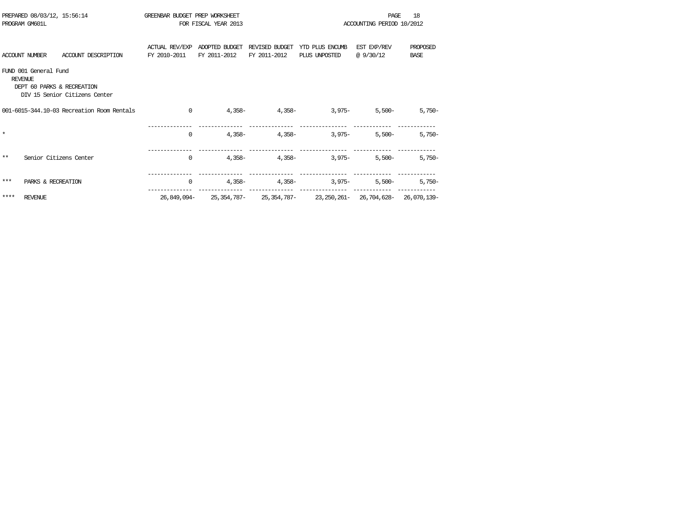|         | PREPARED 08/03/12, 15:56:14<br>PROGRAM GM601L                         |                                            | GREENBAR BUDGET PREP WORKSHEET        | FOR FISCAL YEAR 2013           |                                | 18<br><b>PAGE</b><br>ACCOUNTING PERIOD 10/2012                                                              |                         |                         |  |
|---------|-----------------------------------------------------------------------|--------------------------------------------|---------------------------------------|--------------------------------|--------------------------------|-------------------------------------------------------------------------------------------------------------|-------------------------|-------------------------|--|
|         | ACCOUNT NUMBER                                                        | ACCOUNT DESCRIPTION                        | <b>ACTUAL REV/EXP</b><br>FY 2010-2011 | ADOPTED BUDGET<br>FY 2011-2012 | REVISED BUDGET<br>FY 2011-2012 | YTD PLUS ENCUMB<br>PLUS UNPOSTED                                                                            | EST EXP/REV<br>@9/30/12 | PROPOSED<br><b>BASE</b> |  |
|         | FUND 001 General Fund<br><b>REVENUE</b><br>DEPT 60 PARKS & RECREATION | DIV 15 Senior Citizens Center              |                                       |                                |                                |                                                                                                             |                         |                         |  |
|         |                                                                       | 001-6015-344.10-03 Recreation Room Rentals | $\Omega$                              |                                | $4,358 4,358-$                 | $3,975-$                                                                                                    | $5.500 -$               | $5,750-$                |  |
| $\star$ |                                                                       |                                            | $\mathbf 0$                           | 4,358-                         | $4,358-$                       | $3.975 -$                                                                                                   | $5,500-$                | $5,750-$                |  |
| $***$   | Senior Citizens Center                                                |                                            | $\mathbf 0$                           |                                | $4,358 4,358-$                 | $3,975-$                                                                                                    | $5,500-$                | $5,750-$                |  |
| ***     | PARKS & RECREATION                                                    |                                            | $\mathbf 0$                           | 4,358-                         | $4,358-$                       | $3,975-$                                                                                                    | $5.500 -$               | $5,750-$                |  |
| ****    | <b>REVENUE</b>                                                        |                                            |                                       |                                |                                | --------------- ----------------<br>26,849,094- 25,354,787- 25,354,787- 23,250,261- 26,704,628- 26,070,139- |                         |                         |  |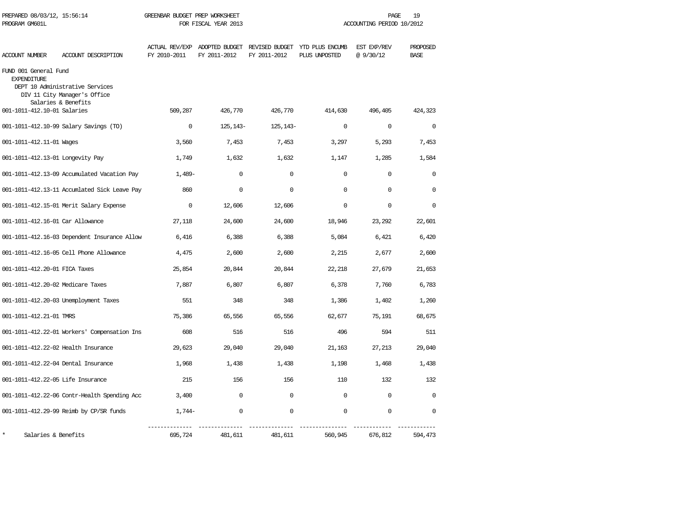| PREPARED 08/03/12, 15:56:14<br>PROGRAM GM601L |                                                                                        | GREENBAR BUDGET PREP WORKSHEET<br>FOR FISCAL YEAR 2013 |              |              | 19<br>PAGE<br>ACCOUNTING PERIOD 10/2012                                       |                         |                         |  |
|-----------------------------------------------|----------------------------------------------------------------------------------------|--------------------------------------------------------|--------------|--------------|-------------------------------------------------------------------------------|-------------------------|-------------------------|--|
| <b>ACCOUNT NUMBER</b>                         | ACCOUNT DESCRIPTION                                                                    | FY 2010-2011                                           | FY 2011-2012 | FY 2011-2012 | ACTUAL REV/EXP ADOPTED BUDGET REVISED BUDGET YTD PLUS ENCUMB<br>PLUS UNPOSTED | EST EXP/REV<br>@9/30/12 | PROPOSED<br><b>BASE</b> |  |
| FUND 001 General Fund<br><b>EXPENDITURE</b>   | DEPT 10 Administrative Services<br>DIV 11 City Manager's Office<br>Salaries & Benefits |                                                        |              |              |                                                                               |                         |                         |  |
| 001-1011-412.10-01 Salaries                   |                                                                                        | 509,287                                                | 426,770      | 426,770      | 414,630                                                                       | 496,405                 | 424,323                 |  |
|                                               | 001-1011-412.10-99 Salary Savings (TO)                                                 | $\mathbf 0$                                            | 125, 143-    | 125, 143-    | $\mathbf 0$                                                                   | $\mathbf 0$             | $\mathbf{0}$            |  |
| 001-1011-412.11-01 Wages                      |                                                                                        | 3,560                                                  | 7,453        | 7,453        | 3,297                                                                         | 5,293                   | 7,453                   |  |
| 001-1011-412.13-01 Longevity Pay              |                                                                                        | 1,749                                                  | 1,632        | 1,632        | 1,147                                                                         | 1,285                   | 1,584                   |  |
|                                               | 001-1011-412.13-09 Accumulated Vacation Pay                                            | $1,489-$                                               | $\mathbf 0$  | $\mathbf 0$  | $\mathbf 0$                                                                   | $\mathbf 0$             | $\mathbf 0$             |  |
|                                               | 001-1011-412.13-11 Accumlated Sick Leave Pay                                           | 860                                                    | $\mathbf 0$  | $\mathbf 0$  | $\Omega$                                                                      | $\mathbf 0$             | $\Omega$                |  |
|                                               | 001-1011-412.15-01 Merit Salary Expense                                                | $\Omega$                                               | 12,606       | 12,606       | $\Omega$                                                                      | $\Omega$                | $\Omega$                |  |
| 001-1011-412.16-01 Car Allowance              |                                                                                        | 27,118                                                 | 24,600       | 24,600       | 18,946                                                                        | 23,292                  | 22,601                  |  |
|                                               | 001-1011-412.16-03 Dependent Insurance Allow                                           | 6,416                                                  | 6,388        | 6,388        | 5,084                                                                         | 6,421                   | 6,420                   |  |
|                                               | 001-1011-412.16-05 Cell Phone Allowance                                                | 4,475                                                  | 2,600        | 2,600        | 2,215                                                                         | 2,677                   | 2,600                   |  |
| 001-1011-412.20-01 FICA Taxes                 |                                                                                        | 25,854                                                 | 20,844       | 20,844       | 22,218                                                                        | 27,679                  | 21,653                  |  |
| 001-1011-412.20-02 Medicare Taxes             |                                                                                        | 7,887                                                  | 6,807        | 6,807        | 6,378                                                                         | 7,760                   | 6,783                   |  |
|                                               | 001-1011-412.20-03 Unemployment Taxes                                                  | 551                                                    | 348          | 348          | 1,386                                                                         | 1,402                   | 1,260                   |  |
| 001-1011-412.21-01 TMRS                       |                                                                                        | 75,386                                                 | 65,556       | 65,556       | 62,677                                                                        | 75,191                  | 68,675                  |  |
|                                               | 001-1011-412.22-01 Workers' Compensation Ins                                           | 608                                                    | 516          | 516          | 496                                                                           | 594                     | 511                     |  |
| 001-1011-412.22-02 Health Insurance           |                                                                                        | 29,623                                                 | 29,040       | 29,040       | 21,163                                                                        | 27,213                  | 29,040                  |  |
| 001-1011-412.22-04 Dental Insurance           |                                                                                        | 1,968                                                  | 1,438        | 1,438        | 1,198                                                                         | 1,468                   | 1,438                   |  |
| 001-1011-412.22-05 Life Insurance             |                                                                                        | 215                                                    | 156          | 156          | 110                                                                           | 132                     | 132                     |  |
|                                               | 001-1011-412.22-06 Contr-Health Spending Acc                                           | 3,400                                                  | $\Omega$     | $\Omega$     | $\Omega$                                                                      | 0                       | $\Omega$                |  |
|                                               | 001-1011-412.29-99 Reimb by CP/SR funds                                                | 1,744-                                                 | 0            | 0            | $\mathbf 0$                                                                   | 0                       | $\Omega$                |  |
| Salaries & Benefits                           |                                                                                        | 695,724                                                | 481,611      | 481,611      | 560,945                                                                       | 676,812                 | 594,473                 |  |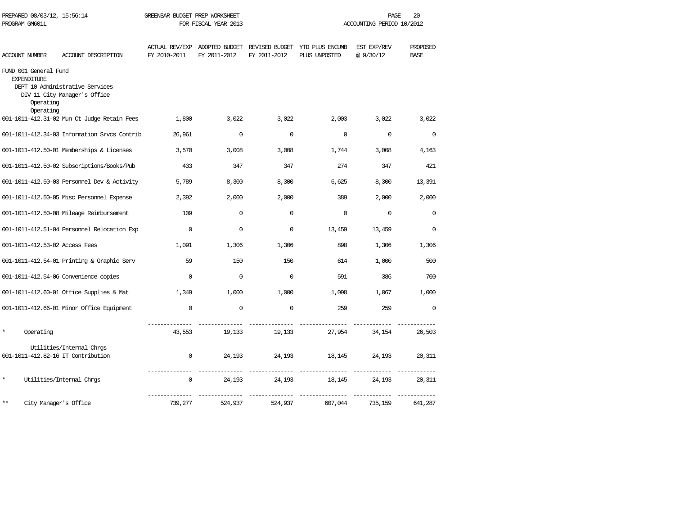| PREPARED 08/03/12, 15:56:14<br>PROGRAM GM601L                         |                                                                 | GREENBAR BUDGET PREP WORKSHEET<br>FOR FISCAL YEAR 2013 |                                               |              | 20<br>PAGE<br>ACCOUNTING PERIOD 10/2012         |                          |                         |  |
|-----------------------------------------------------------------------|-----------------------------------------------------------------|--------------------------------------------------------|-----------------------------------------------|--------------|-------------------------------------------------|--------------------------|-------------------------|--|
| <b>ACCOUNT NUMBER</b>                                                 | ACCOUNT DESCRIPTION                                             | FY 2010-2011                                           | ACTUAL REV/EXP ADOPTED BUDGET<br>FY 2011-2012 | FY 2011-2012 | REVISED BUDGET YTD PLUS ENCUMB<br>PLUS UNPOSTED | EST EXP/REV<br>@ 9/30/12 | PROPOSED<br><b>BASE</b> |  |
| FUND 001 General Fund<br><b>EXPENDITURE</b><br>Operating<br>Operating | DEPT 10 Administrative Services<br>DIV 11 City Manager's Office |                                                        |                                               |              |                                                 |                          |                         |  |
|                                                                       | 001-1011-412.31-02 Mun Ct Judge Retain Fees                     | 1,800                                                  | 3,022                                         | 3,022        | 2,003                                           | 3,022                    | 3,022                   |  |
|                                                                       | 001-1011-412.34-03 Information Srvcs Contrib                    | 26,961                                                 | $\mathbf 0$                                   | $\mathbf 0$  | $\mathbf 0$                                     | $\mathbf 0$              | $\mathbf 0$             |  |
|                                                                       | 001-1011-412.50-01 Memberships & Licenses                       | 3,570                                                  | 3,008                                         | 3,008        | 1,744                                           | 3,008                    | 4,163                   |  |
|                                                                       | 001-1011-412.50-02 Subscriptions/Books/Pub                      | 433                                                    | 347                                           | 347          | 274                                             | 347                      | 421                     |  |
|                                                                       | 001-1011-412.50-03 Personnel Dev & Activity                     | 5,789                                                  | 8,300                                         | 8,300        | 6,625                                           | 8,300                    | 13,391                  |  |
|                                                                       | 001-1011-412.50-05 Misc Personnel Expense                       | 2,392                                                  | 2,000                                         | 2,000        | 389                                             | 2,000                    | 2,000                   |  |
|                                                                       | 001-1011-412.50-08 Mileage Reimbursement                        | 109                                                    | $\mathbf 0$                                   | $\Omega$     | $\Omega$                                        | $\Omega$                 | $\Omega$                |  |
|                                                                       | 001-1011-412.51-04 Personnel Relocation Exp                     | $\mathbf 0$                                            | $\mathbf 0$                                   | $\mathbf 0$  | 13,459                                          | 13,459                   | $\mathbf 0$             |  |
| 001-1011-412.53-02 Access Fees                                        |                                                                 | 1,091                                                  | 1,306                                         | 1,306        | 898                                             | 1,306                    | 1,306                   |  |
|                                                                       | 001-1011-412.54-01 Printing & Graphic Serv                      | 59                                                     | 150                                           | 150          | 614                                             | 1,000                    | 500                     |  |
|                                                                       | 001-1011-412.54-06 Convenience copies                           | $\Omega$                                               | $\mathbf 0$                                   | $\Omega$     | 591                                             | 386                      | 700                     |  |
|                                                                       | 001-1011-412.60-01 Office Supplies & Mat                        | 1,349                                                  | 1,000                                         | 1,000        | 1,098                                           | 1,067                    | 1,000                   |  |
|                                                                       | 001-1011-412.66-01 Minor Office Equipment                       | $\Omega$                                               | $\Omega$                                      | $\mathbf 0$  | 259                                             | 259                      | $\Omega$                |  |
| Operating                                                             |                                                                 | 43,553                                                 | 19,133                                        | 19,133       | 27,954                                          | 34,154                   | 26,503                  |  |
| 001-1011-412.82-16 IT Contribution                                    | Utilities/Internal Chrgs                                        | $\Omega$                                               | 24,193                                        | 24,193       | 18,145                                          | 24,193                   | 20,311                  |  |
| $\star$                                                               | Utilities/Internal Chrgs                                        | $\mathbf 0$                                            | 24,193                                        | 24,193       | 18,145                                          | 24,193                   | 20,311                  |  |
| **<br>City Manager's Office                                           |                                                                 | 739,277                                                | 524,937                                       | 524,937      | 607,044                                         | 735,159                  | 641,287                 |  |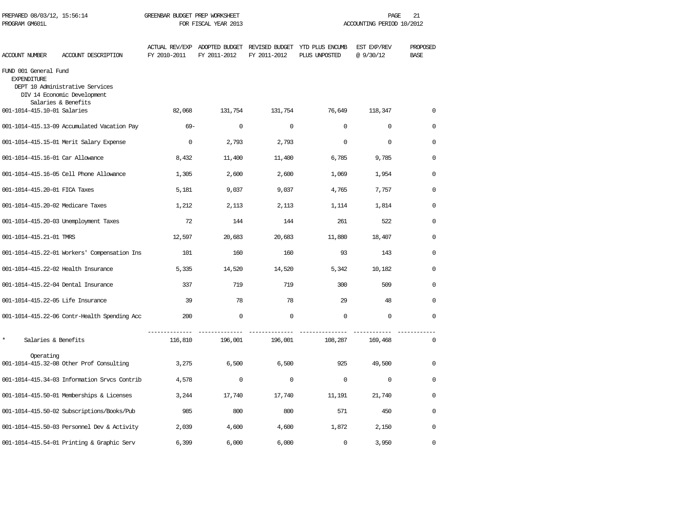| PREPARED 08/03/12, 15:56:14<br>PROGRAM GM601L |                                                                | GREENBAR BUDGET PREP WORKSHEET<br>FOR FISCAL YEAR 2013 |              |              |                                                                               | PAGE<br>ACCOUNTING PERIOD 10/2012 | 21                      |  |
|-----------------------------------------------|----------------------------------------------------------------|--------------------------------------------------------|--------------|--------------|-------------------------------------------------------------------------------|-----------------------------------|-------------------------|--|
| <b>ACCOUNT NUMBER</b>                         | ACCOUNT DESCRIPTION                                            | FY 2010-2011                                           | FY 2011-2012 | FY 2011-2012 | ACTUAL REV/EXP ADOPTED BUDGET REVISED BUDGET YTD PLUS ENCUMB<br>PLUS UNPOSTED | EST EXP/REV<br>@9/30/12           | PROPOSED<br><b>BASE</b> |  |
| FUND 001 General Fund<br><b>EXPENDITURE</b>   | DEPT 10 Administrative Services<br>DIV 14 Economic Development |                                                        |              |              |                                                                               |                                   |                         |  |
| 001-1014-415.10-01 Salaries                   | Salaries & Benefits                                            | 82,068                                                 | 131,754      | 131,754      | 76,649                                                                        | 118,347                           | 0                       |  |
|                                               | 001-1014-415.13-09 Accumulated Vacation Pay                    | $69 -$                                                 | $\mathbf 0$  | $\mathbf 0$  | $\mathbf 0$                                                                   | $\mathbf 0$                       | $\mathbf 0$             |  |
|                                               | 001-1014-415.15-01 Merit Salary Expense                        | $\Omega$                                               | 2,793        | 2,793        | $\mathbf 0$                                                                   | $\mathbf 0$                       | $\mathbf 0$             |  |
| 001-1014-415.16-01 Car Allowance              |                                                                | 8,432                                                  | 11,400       | 11,400       | 6,785                                                                         | 9,785                             | $\Omega$                |  |
|                                               | 001-1014-415.16-05 Cell Phone Allowance                        | 1,305                                                  | 2,600        | 2,600        | 1,069                                                                         | 1,954                             | $\Omega$                |  |
| 001-1014-415.20-01 FICA Taxes                 |                                                                | 5,181                                                  | 9,037        | 9,037        | 4,765                                                                         | 7,757                             | $\Omega$                |  |
| 001-1014-415.20-02 Medicare Taxes             |                                                                | 1,212                                                  | 2,113        | 2,113        | 1,114                                                                         | 1,814                             | $\Omega$                |  |
|                                               | 001-1014-415.20-03 Unemployment Taxes                          | 72                                                     | 144          | 144          | 261                                                                           | 522                               | $\Omega$                |  |
| 001-1014-415.21-01 TMRS                       |                                                                | 12,597                                                 | 20,683       | 20,683       | 11,880                                                                        | 18,407                            | 0                       |  |
|                                               | 001-1014-415.22-01 Workers' Compensation Ins                   | 101                                                    | 160          | 160          | 93                                                                            | 143                               | 0                       |  |
| 001-1014-415.22-02 Health Insurance           |                                                                | 5,335                                                  | 14,520       | 14,520       | 5,342                                                                         | 10,182                            | 0                       |  |
| 001-1014-415.22-04 Dental Insurance           |                                                                | 337                                                    | 719          | 719          | 300                                                                           | 509                               | $\Omega$                |  |
| 001-1014-415.22-05 Life Insurance             |                                                                | 39                                                     | 78           | 78           | 29                                                                            | 48                                | $\Omega$                |  |
|                                               | 001-1014-415.22-06 Contr-Health Spending Acc                   | 200                                                    | $\mathbf 0$  | $\mathbf 0$  | $\mathbf 0$                                                                   | $\mathbf 0$                       | $\Omega$                |  |
| $\star$<br>Salaries & Benefits                |                                                                | 116,810                                                | 196,001      | 196,001      | 108,287                                                                       | 169,468                           | $\Omega$                |  |
| Operating                                     | 001-1014-415.32-08 Other Prof Consulting                       | 3,275                                                  | 6,500        | 6,500        | 925                                                                           | 49,500                            | 0                       |  |
|                                               | 001-1014-415.34-03 Information Srvcs Contrib                   | 4,578                                                  | $\mathbf 0$  | $\mathbf 0$  | $\Omega$                                                                      | $\mathbf 0$                       | $\Omega$                |  |
|                                               | 001-1014-415.50-01 Memberships & Licenses                      | 3,244                                                  | 17,740       | 17,740       | 11,191                                                                        | 21,740                            | $\Omega$                |  |
|                                               | 001-1014-415.50-02 Subscriptions/Books/Pub                     | 985                                                    | 800          | 800          | 571                                                                           | 450                               | $\Omega$                |  |
|                                               | 001-1014-415.50-03 Personnel Dev & Activity                    | 2,039                                                  | 4,600        | 4,600        | 1,872                                                                         | 2,150                             | 0                       |  |
|                                               | 001-1014-415.54-01 Printing & Graphic Serv                     | 6,399                                                  | 6,000        | 6,000        | $\mathbf 0$                                                                   | 3,950                             | $\mathbf 0$             |  |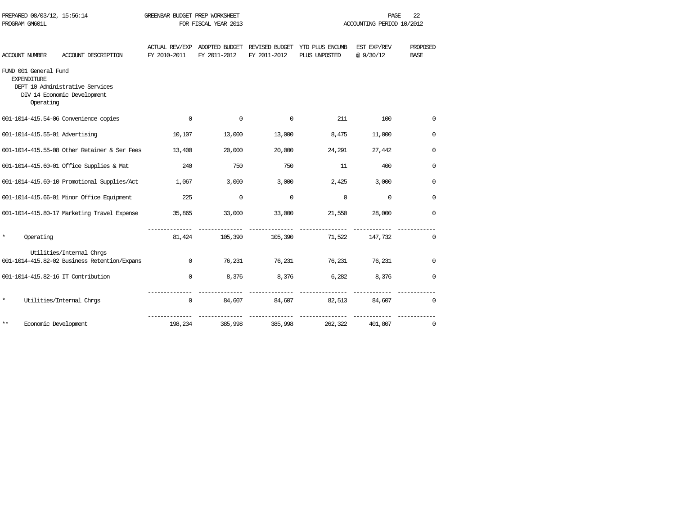|         | PROGRAM GM601L                                           |                                                                          |              | FOR FISCAL YEAR 2013                                         |              |                                  | ACCOUNTING PERIOD 10/2012 |                         |
|---------|----------------------------------------------------------|--------------------------------------------------------------------------|--------------|--------------------------------------------------------------|--------------|----------------------------------|---------------------------|-------------------------|
|         | <b>ACCOUNT NUMBER</b>                                    | ACCOUNT DESCRIPTION                                                      | FY 2010-2011 | ACTUAL REV/EXP ADOPTED BUDGET REVISED BUDGET<br>FY 2011-2012 | FY 2011-2012 | YTD PLUS ENCUMB<br>PLUS UNPOSTED | EST EXP/REV<br>@9/30/12   | PROPOSED<br><b>BASE</b> |
|         | FUND 001 General Fund<br><b>EXPENDITURE</b><br>Operating | DEPT 10 Administrative Services<br>DIV 14 Economic Development           |              |                                                              |              |                                  |                           |                         |
|         |                                                          | 001-1014-415.54-06 Convenience copies                                    | $\Omega$     | $\mathbf 0$                                                  | 0            | 211                              | 100                       | 0                       |
|         |                                                          | 001-1014-415.55-01 Advertising                                           | 10,107       | 13,000                                                       | 13,000       | 8,475                            | 11,000                    | $\mathbf 0$             |
|         |                                                          | 001-1014-415.55-08 Other Retainer & Ser Fees                             | 13,400       | 20,000                                                       | 20,000       | 24,291                           | 27,442                    | $\mathbf 0$             |
|         |                                                          | 001-1014-415.60-01 Office Supplies & Mat                                 | 240          | 750                                                          | 750          | 11                               | 400                       | 0                       |
|         |                                                          | 001-1014-415.60-10 Promotional Supplies/Act                              | 1,067        | 3,000                                                        | 3,000        | 2,425                            | 3,000                     | 0                       |
|         |                                                          | 001-1014-415.66-01 Minor Office Equipment                                | 225          | 0                                                            | $\mathbf 0$  | $\Omega$                         | $\Omega$                  | 0                       |
|         |                                                          | 001-1014-415.80-17 Marketing Travel Expense                              | 35,865       | 33,000                                                       | 33,000       | 21,550                           | 28,000                    | $\mathbf 0$             |
| $\star$ | Operating                                                |                                                                          |              |                                                              |              | 81,424 105,390 105,390 71,522    | 147,732                   | $\Omega$                |
|         |                                                          | Utilities/Internal Chrgs<br>001-1014-415.82-02 Business Retention/Expans | $\Omega$     | 76,231                                                       | 76,231       | 76,231                           | 76,231                    | $\mathbf 0$             |
|         |                                                          | 001-1014-415.82-16 IT Contribution                                       | $\Omega$     | 8,376                                                        | 8,376        | 6,282                            | 8,376                     | $\mathbf 0$             |
| *       |                                                          | Utilities/Internal Chrgs                                                 | $\mathbf 0$  | 84,607                                                       | 84,607       | 82,513                           | 84,607                    | $\mathbf 0$             |
| $***$   | Economic Development                                     |                                                                          | 198,234      | 385,998                                                      | 385,998      | 262,322                          | 401,807                   | 0                       |

PREPARED 08/03/12, 15:56:14 GREENBAR BUDGET PREP WORKSHEET **FREE** 22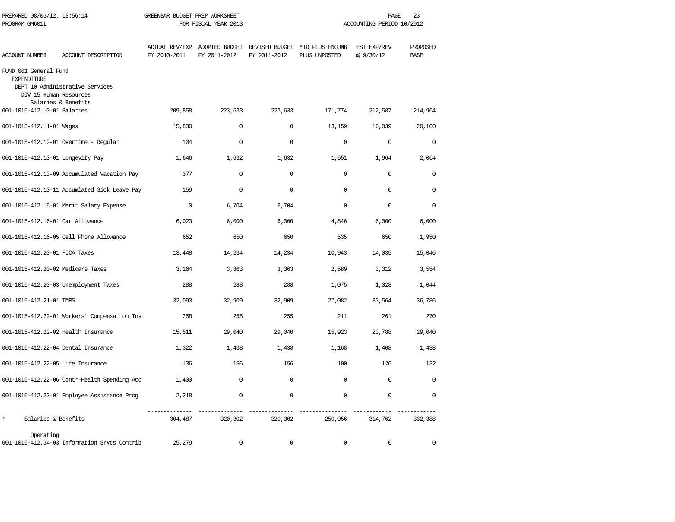| PREPARED 08/03/12, 15:56:14<br>PROGRAM GM601L                         |                                                        | GREENBAR BUDGET PREP WORKSHEET<br>FOR FISCAL YEAR 2013 |              |              | PAGE<br>23<br>ACCOUNTING PERIOD 10/2012                                       |                         |                         |  |
|-----------------------------------------------------------------------|--------------------------------------------------------|--------------------------------------------------------|--------------|--------------|-------------------------------------------------------------------------------|-------------------------|-------------------------|--|
| <b>ACCOUNT NUMBER</b>                                                 | ACCOUNT DESCRIPTION                                    | FY 2010-2011                                           | FY 2011-2012 | FY 2011-2012 | ACTUAL REV/EXP ADOPTED BUDGET REVISED BUDGET YTD PLUS ENCUMB<br>PLUS UNPOSTED | EST EXP/REV<br>@9/30/12 | PROPOSED<br><b>BASE</b> |  |
| FUND 001 General Fund<br><b>EXPENDITURE</b><br>DIV 15 Human Resources | DEPT 10 Administrative Services<br>Salaries & Benefits |                                                        |              |              |                                                                               |                         |                         |  |
| 001-1015-412.10-01 Salaries                                           |                                                        | 209,858                                                | 223,633      | 223,633      | 171,774                                                                       | 212,587                 | 214,964                 |  |
| 001-1015-412.11-01 Wages                                              |                                                        | 15,830                                                 | $\Omega$     | $\mathbf 0$  | 13,159                                                                        | 16,039                  | 20,100                  |  |
|                                                                       | $001 - 1015 - 412.12 - 01$ Overtime - Regular          | 104                                                    | 0            | $\mathbf 0$  | $\mathbf 0$                                                                   | 0                       | $\mathbf 0$             |  |
| 001-1015-412.13-01 Longevity Pay                                      |                                                        | 1,646                                                  | 1,632        | 1,632        | 1,551                                                                         | 1,964                   | 2,064                   |  |
|                                                                       | 001-1015-412.13-09 Accumulated Vacation Pay            | 377                                                    | $\mathbf 0$  | $\mathbf 0$  | $\Omega$                                                                      | $\mathbf 0$             | $\mathbf 0$             |  |
|                                                                       | 001-1015-412.13-11 Accumlated Sick Leave Pay           | 159                                                    | $\mathbf 0$  | $\mathbf 0$  | $\cap$                                                                        | $\mathbf 0$             | $\Omega$                |  |
|                                                                       | 001-1015-412.15-01 Merit Salary Expense                | $\mathbf{0}$                                           | 6,704        | 6,704        | $\Omega$                                                                      | $\mathbf 0$             | $\Omega$                |  |
| 001-1015-412.16-01 Car Allowance                                      |                                                        | 6,023                                                  | 6,000        | 6,000        | 4,846                                                                         | 6,000                   | 6,000                   |  |
|                                                                       | 001-1015-412.16-05 Cell Phone Allowance                | 652                                                    | 650          | 650          | 535                                                                           | 650                     | 1,950                   |  |
| 001-1015-412.20-01 FICA Taxes                                         |                                                        | 13,448                                                 | 14,234       | 14,234       | 10,943                                                                        | 14,035                  | 15,046                  |  |
| 001-1015-412.20-02 Medicare Taxes                                     |                                                        | 3,164                                                  | 3,363        | 3,363        | 2,589                                                                         | 3,312                   | 3,554                   |  |
|                                                                       | 001-1015-412.20-03 Unemployment Taxes                  | 288                                                    | 288          | 288          | 1,075                                                                         | 1,028                   | 1,044                   |  |
| 001-1015-412.21-01 TMRS                                               |                                                        | 32,093                                                 | 32,909       | 32,909       | 27,082                                                                        | 33,564                  | 36,786                  |  |
|                                                                       | 001-1015-412.22-01 Workers' Compensation Ins           | 258                                                    | 255          | 255          | 211                                                                           | 261                     | 270                     |  |
| 001-1015-412.22-02 Health Insurance                                   |                                                        | 15,511                                                 | 29,040       | 29,040       | 15,923                                                                        | 23,788                  | 29,040                  |  |
| 001-1015-412.22-04 Dental Insurance                                   |                                                        | 1,322                                                  | 1,438        | 1,438        | 1,168                                                                         | 1,408                   | 1,438                   |  |
| 001-1015-412.22-05 Life Insurance                                     |                                                        | 136                                                    | 156          | 156          | 100                                                                           | 126                     | 132                     |  |
|                                                                       | 001-1015-412.22-06 Contr-Health Spending Acc           | 1,400                                                  | $\mathbf 0$  | $\mathbf 0$  | $\mathbf 0$                                                                   | $\mathbf 0$             | $\mathbf 0$             |  |
|                                                                       | 001-1015-412.23-01 Employee Assistance Prog            | 2,218                                                  | $\mathbf 0$  | $\mathbf 0$  | $\mathbf 0$                                                                   | $\mathbf 0$             | $\mathbf 0$             |  |
| $\star$<br>Salaries & Benefits                                        |                                                        | 304,487                                                | 320,302      | 320,302      | 250,956                                                                       | 314,762                 | 332,388                 |  |
| Operating                                                             | 001-1015-412.34-03 Information Srvcs Contrib           | 25,279                                                 | $\Omega$     | $\Omega$     | $\Omega$                                                                      | $\mathbf 0$             | $\Omega$                |  |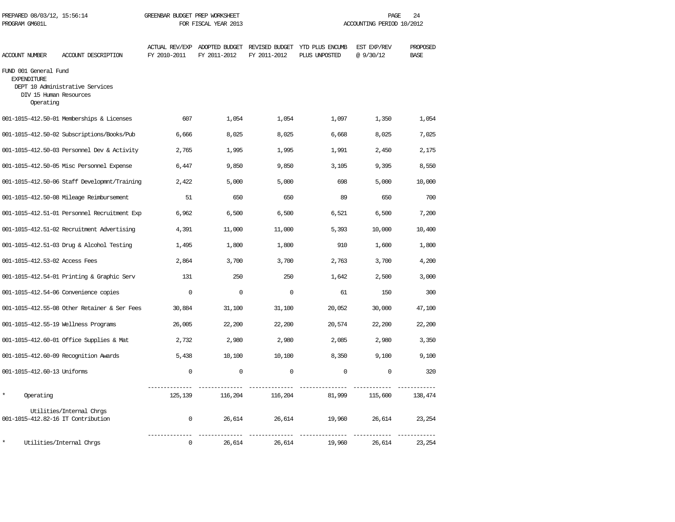| PREPARED 08/03/12, 15:56:14<br>PROGRAM GM601L                                      |                                              | GREENBAR BUDGET PREP WORKSHEET<br>FOR FISCAL YEAR 2013 |              |              | PAGE<br>24<br>ACCOUNTING PERIOD 10/2012                                       |                         |                         |  |
|------------------------------------------------------------------------------------|----------------------------------------------|--------------------------------------------------------|--------------|--------------|-------------------------------------------------------------------------------|-------------------------|-------------------------|--|
| ACCOUNT NUMBER                                                                     | ACCOUNT DESCRIPTION                          | FY 2010-2011                                           | FY 2011-2012 | FY 2011-2012 | ACTUAL REV/EXP ADOPTED BUDGET REVISED BUDGET YTD PLUS ENCUMB<br>PLUS UNPOSTED | EST EXP/REV<br>@9/30/12 | PROPOSED<br><b>BASE</b> |  |
| FUND 001 General Fund<br><b>EXPENDITURE</b><br>DIV 15 Human Resources<br>Operating | DEPT 10 Administrative Services              |                                                        |              |              |                                                                               |                         |                         |  |
|                                                                                    | 001-1015-412.50-01 Memberships & Licenses    | 607                                                    | 1,054        | 1,054        | 1,097                                                                         | 1,350                   | 1,054                   |  |
|                                                                                    | 001-1015-412.50-02 Subscriptions/Books/Pub   | 6,666                                                  | 8,025        | 8,025        | 6,668                                                                         | 8,025                   | 7,025                   |  |
|                                                                                    | 001-1015-412.50-03 Personnel Dev & Activity  | 2,765                                                  | 1,995        | 1,995        | 1,991                                                                         | 2,450                   | 2,175                   |  |
|                                                                                    | 001-1015-412.50-05 Misc Personnel Expense    | 6,447                                                  | 9,850        | 9,850        | 3,105                                                                         | 9,395                   | 8,550                   |  |
|                                                                                    | 001-1015-412.50-06 Staff Developmnt/Training | 2,422                                                  | 5,000        | 5,000        | 698                                                                           | 5,000                   | 10,000                  |  |
|                                                                                    | 001-1015-412.50-08 Mileage Reimbursement     | 51                                                     | 650          | 650          | 89                                                                            | 650                     | 700                     |  |
|                                                                                    | 001-1015-412.51-01 Personnel Recruitment Exp | 6,962                                                  | 6,500        | 6,500        | 6,521                                                                         | 6,500                   | 7,200                   |  |
|                                                                                    | 001-1015-412.51-02 Recruitment Advertising   | 4,391                                                  | 11,000       | 11,000       | 5,393                                                                         | 10,000                  | 10,400                  |  |
|                                                                                    | 001-1015-412.51-03 Drug & Alcohol Testing    | 1,495                                                  | 1,800        | 1,800        | 910                                                                           | 1,600                   | 1,800                   |  |
| 001-1015-412.53-02 Access Fees                                                     |                                              | 2,864                                                  | 3,700        | 3,700        | 2,763                                                                         | 3,700                   | 4,200                   |  |
|                                                                                    | 001-1015-412.54-01 Printing & Graphic Serv   | 131                                                    | 250          | 250          | 1,642                                                                         | 2,500                   | 3,000                   |  |
|                                                                                    | 001-1015-412.54-06 Convenience copies        | $\Omega$                                               | $\Omega$     | $\Omega$     | 61                                                                            | 150                     | 300                     |  |
|                                                                                    | 001-1015-412.55-08 Other Retainer & Ser Fees | 30,884                                                 | 31,100       | 31,100       | 20,052                                                                        | 30,000                  | 47,100                  |  |
|                                                                                    | 001-1015-412.55-19 Wellness Programs         | 26,005                                                 | 22,200       | 22,200       | 20,574                                                                        | 22,200                  | 22,200                  |  |
|                                                                                    | 001-1015-412.60-01 Office Supplies & Mat     | 2,732                                                  | 2,980        | 2,980        | 2,085                                                                         | 2,980                   | 3,350                   |  |
|                                                                                    | 001-1015-412.60-09 Recognition Awards        | 5,438                                                  | 10,100       | 10,100       | 8,350                                                                         | 9,100                   | 9,100                   |  |
| 001-1015-412.60-13 Uniforms                                                        |                                              | $\mathbf 0$                                            | $\mathbf 0$  | $\mathbf 0$  | $\mathbf{0}$                                                                  | $\mathbf 0$             | 320                     |  |
| Operating                                                                          |                                              | 125,139                                                | 116,204      | 116,204      | 81,999                                                                        | 115,600                 | 138,474                 |  |
| 001-1015-412.82-16 IT Contribution                                                 | Utilities/Internal Chrgs                     | $\mathbf 0$                                            | 26,614       | 26,614       | 19,960                                                                        | 26,614                  | 23,254                  |  |
|                                                                                    | Utilities/Internal Chrqs                     | $\Omega$                                               | 26,614       | 26,614       | 19,960                                                                        | 26,614                  | 23,254                  |  |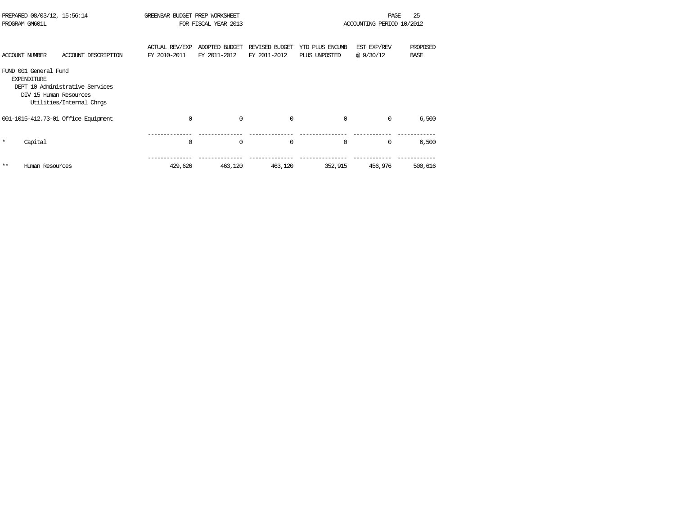|         | PREPARED 08/03/12, 15:56:14<br>PROGRAM GM601L                         |                                                             | GREENBAR BUDGET PREP WORKSHEET        | FOR FISCAL YEAR 2013           |                                |                                  | <b>PAGE</b><br>ACCOUNTING PERIOD 10/2012 | 25                      |
|---------|-----------------------------------------------------------------------|-------------------------------------------------------------|---------------------------------------|--------------------------------|--------------------------------|----------------------------------|------------------------------------------|-------------------------|
|         | <b>ACCOUNT NUMBER</b>                                                 | ACCOUNT DESCRIPTION                                         | <b>ACTUAL REV/EXP</b><br>FY 2010-2011 | ADOPTED BUDGET<br>FY 2011-2012 | REVISED BUDGET<br>FY 2011-2012 | YTD PLUS ENCUMB<br>PLUS UNPOSTED | EST EXP/REV<br>@9/30/12                  | PROPOSED<br><b>BASE</b> |
|         | FUND 001 General Fund<br><b>EXPENDITURE</b><br>DIV 15 Human Resources | DEPT 10 Administrative Services<br>Utilities/Internal Chrgs |                                       |                                |                                |                                  |                                          |                         |
|         |                                                                       | 001-1015-412.73-01 Office Equipment                         | 0                                     | $\mathbf 0$                    | 0                              | $\mathbf{0}$                     | $\mathbf 0$                              | 6,500                   |
| $\star$ | Capital                                                               |                                                             | $\Omega$                              | $\mathbf 0$                    | 0                              | 0                                | $\Omega$                                 | 6,500                   |
| $**$    | Human Resources                                                       |                                                             | 429,626                               | 463,120                        | 463,120                        | 352,915                          | 456,976                                  | 500,616                 |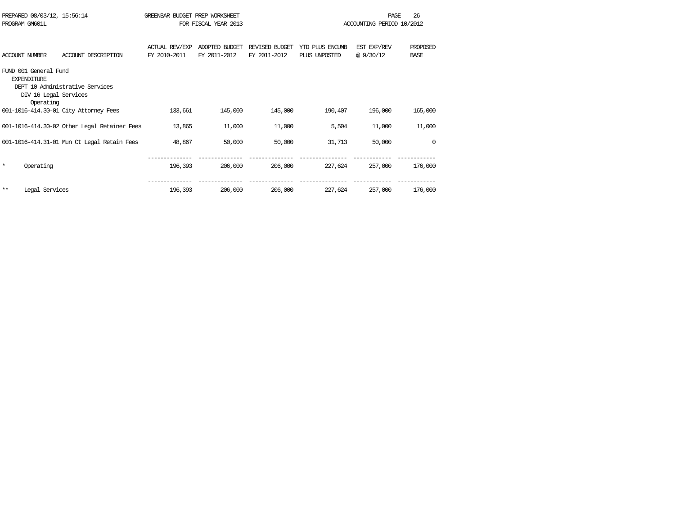| PREPARED 08/03/12, 15:56:14           |                                              | GREENBAR BUDGET PREP WORKSHEET |                      |                |                 | PAGE                      | 26          |
|---------------------------------------|----------------------------------------------|--------------------------------|----------------------|----------------|-----------------|---------------------------|-------------|
| PROGRAM GM601L                        |                                              |                                | FOR FISCAL YEAR 2013 |                |                 | ACCOUNTING PERIOD 10/2012 |             |
|                                       |                                              |                                |                      |                |                 |                           |             |
|                                       |                                              | <b>ACTUAL REV/EXP</b>          | ADOPTED BUDGET       | REVISED BUDGET | YTD PLUS ENCUMB | EST EXP/REV               | PROPOSED    |
| <b>ACCOUNT NUMBER</b>                 | ACCOUNT DESCRIPTION                          | FY 2010-2011                   | FY 2011-2012         | FY 2011-2012   | PLUS UNPOSTED   | @9/30/12                  | <b>BASE</b> |
| FUND 001 General Fund                 |                                              |                                |                      |                |                 |                           |             |
| <b>EXPENDITURE</b>                    |                                              |                                |                      |                |                 |                           |             |
| DEPT 10 Administrative Services       |                                              |                                |                      |                |                 |                           |             |
| DIV 16 Legal Services                 |                                              |                                |                      |                |                 |                           |             |
| Operating                             |                                              |                                |                      |                |                 |                           |             |
| 001-1016-414.30-01 City Attorney Fees |                                              | 133,661                        | 145,000              | 145,000        | 190,407         | 196,000                   | 165,000     |
|                                       |                                              |                                |                      |                |                 |                           |             |
|                                       | 001-1016-414.30-02 Other Legal Retainer Fees | 13,865                         | 11,000               | 11,000         | 5,504           | 11,000                    | 11,000      |
|                                       |                                              |                                |                      |                |                 |                           |             |
|                                       | 001-1016-414.31-01 Mun Ct Legal Retain Fees  | 48,867                         | 50,000               | 50,000         | 31,713          | 50,000                    | $\Omega$    |
|                                       |                                              |                                |                      |                |                 |                           |             |
| $\star$<br>Operating                  |                                              | 196,393                        | 206,000              | 206,000        | 227,624         | 257,000                   | 176,000     |
|                                       |                                              |                                |                      |                |                 |                           |             |
|                                       |                                              |                                |                      |                |                 |                           |             |
| $***$<br>Legal Services               |                                              | 196,393                        | 206,000              | 206,000        | 227,624         | 257,000                   | 176,000     |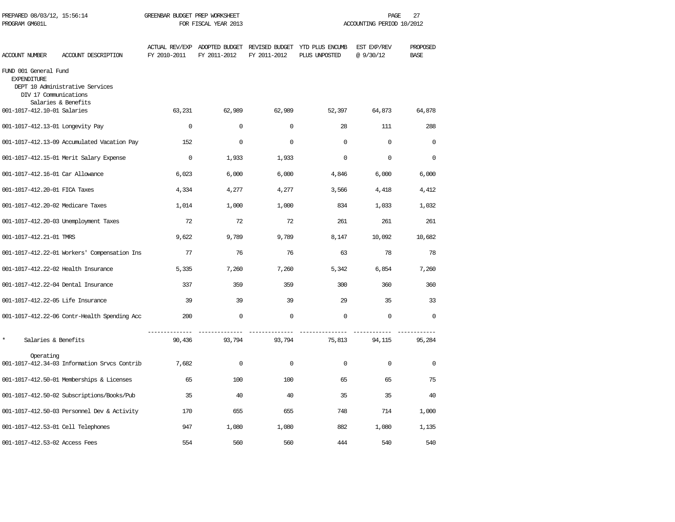| PREPARED 08/03/12, 15:56:14<br>PROGRAM GM601L                        |                                                        | GREENBAR BUDGET PREP WORKSHEET<br>FOR FISCAL YEAR 2013 |              |              | PAGE<br>27<br>ACCOUNTING PERIOD 10/2012                                       |                          |                         |  |
|----------------------------------------------------------------------|--------------------------------------------------------|--------------------------------------------------------|--------------|--------------|-------------------------------------------------------------------------------|--------------------------|-------------------------|--|
| ACCOUNT NUMBER                                                       | ACCOUNT DESCRIPTION                                    | FY 2010-2011                                           | FY 2011-2012 | FY 2011-2012 | ACTUAL REV/EXP ADOPTED BUDGET REVISED BUDGET YTD PLUS ENCUMB<br>PLUS UNPOSTED | EST EXP/REV<br>@ 9/30/12 | PROPOSED<br><b>BASE</b> |  |
| FUND 001 General Fund<br><b>EXPENDITURE</b><br>DIV 17 Communications | DEPT 10 Administrative Services<br>Salaries & Benefits |                                                        |              |              |                                                                               |                          |                         |  |
| 001-1017-412.10-01 Salaries                                          |                                                        | 63,231                                                 | 62,989       | 62,989       | 52,397                                                                        | 64,873                   | 64,878                  |  |
| 001-1017-412.13-01 Longevity Pay                                     |                                                        | $\mathbf{0}$                                           | $\mathbf 0$  | $\mathbf 0$  | 28                                                                            | 111                      | 288                     |  |
|                                                                      | 001-1017-412.13-09 Accumulated Vacation Pay            | 152                                                    | $\mathbf 0$  | $\mathbf 0$  | $\mathbf 0$                                                                   | $\mathbf 0$              | $\Omega$                |  |
|                                                                      | 001-1017-412.15-01 Merit Salary Expense                | $\Omega$                                               | 1,933        | 1,933        | $\Omega$                                                                      | $\Omega$                 | $\Omega$                |  |
| 001-1017-412.16-01 Car Allowance                                     |                                                        | 6,023                                                  | 6,000        | 6,000        | 4,846                                                                         | 6,000                    | 6,000                   |  |
| 001-1017-412.20-01 FICA Taxes                                        |                                                        | 4,334                                                  | 4,277        | 4,277        | 3,566                                                                         | 4,418                    | 4,412                   |  |
| 001-1017-412.20-02 Medicare Taxes                                    |                                                        | 1,014                                                  | 1,000        | 1,000        | 834                                                                           | 1,033                    | 1,032                   |  |
|                                                                      | 001-1017-412.20-03 Unemployment Taxes                  | 72                                                     | 72           | 72           | 261                                                                           | 261                      | 261                     |  |
| 001-1017-412.21-01 TMRS                                              |                                                        | 9,622                                                  | 9,789        | 9,789        | 8,147                                                                         | 10,092                   | 10,682                  |  |
|                                                                      | 001-1017-412.22-01 Workers' Compensation Ins           | 77                                                     | 76           | 76           | 63                                                                            | 78                       | 78                      |  |
| 001-1017-412.22-02 Health Insurance                                  |                                                        | 5,335                                                  | 7,260        | 7,260        | 5,342                                                                         | 6,854                    | 7,260                   |  |
| 001-1017-412.22-04 Dental Insurance                                  |                                                        | 337                                                    | 359          | 359          | 300                                                                           | 360                      | 360                     |  |
| 001-1017-412.22-05 Life Insurance                                    |                                                        | 39                                                     | 39           | 39           | 29                                                                            | 35                       | 33                      |  |
|                                                                      | 001-1017-412.22-06 Contr-Health Spending Acc           | 200                                                    | $\mathbf 0$  | $\mathbf 0$  | $\mathbf 0$                                                                   | $\mathbf 0$              | $\mathbf 0$             |  |
| $\star$<br>Salaries & Benefits                                       |                                                        | 90,436                                                 | 93,794       | 93,794       | 75,813                                                                        | 94,115                   | 95,284                  |  |
| Operating                                                            | 001-1017-412.34-03 Information Srvcs Contrib           | 7,682                                                  | $\mathbf 0$  | $\mathbf 0$  | 0                                                                             | $\mathbf 0$              | $\mathbf 0$             |  |
|                                                                      | 001-1017-412.50-01 Memberships & Licenses              | 65                                                     | 100          | 100          | 65                                                                            | 65                       | 75                      |  |
|                                                                      | 001-1017-412.50-02 Subscriptions/Books/Pub             | 35                                                     | 40           | 40           | 35                                                                            | 35                       | 40                      |  |
|                                                                      | 001-1017-412.50-03 Personnel Dev & Activity            | 170                                                    | 655          | 655          | 748                                                                           | 714                      | 1,000                   |  |
| 001-1017-412.53-01 Cell Telephones                                   |                                                        | 947                                                    | 1,080        | 1,080        | 882                                                                           | 1,080                    | 1,135                   |  |
| 001-1017-412.53-02 Access Fees                                       |                                                        | 554                                                    | 560          | 560          | 444                                                                           | 540                      | 540                     |  |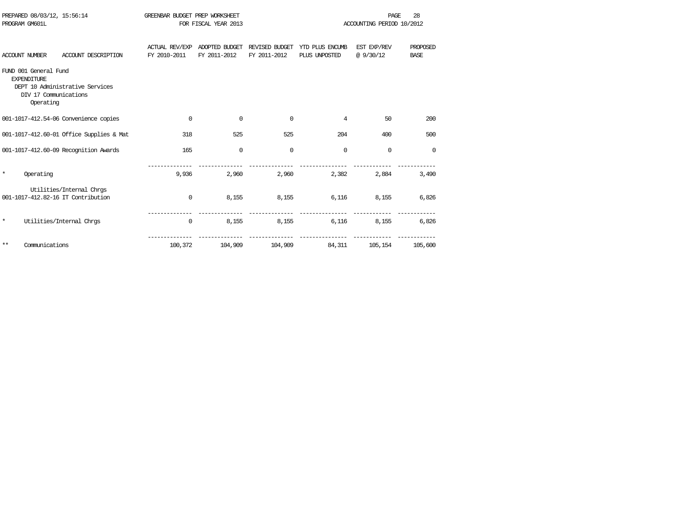|         | PREPARED 08/03/12, 15:56:14<br>PROGRAM GM601L                                     |                                                                | GREENBAR BUDGET PREP WORKSHEET        | FOR FISCAL YEAR 2013           |                                |                                  | <b>PAGE</b><br>ACCOUNTING PERIOD 10/2012 | 28                      |
|---------|-----------------------------------------------------------------------------------|----------------------------------------------------------------|---------------------------------------|--------------------------------|--------------------------------|----------------------------------|------------------------------------------|-------------------------|
|         |                                                                                   |                                                                |                                       |                                |                                |                                  |                                          |                         |
|         | <b>ACCOUNT NUMBER</b>                                                             | ACCOUNT DESCRIPTION                                            | <b>ACTUAL REV/EXP</b><br>FY 2010-2011 | ADOPTED BUDGET<br>FY 2011-2012 | REVISED BUDGET<br>FY 2011-2012 | YTD PLUS ENCUMB<br>PLUS UNPOSTED | EST EXP/REV<br>@ 9/30/12                 | PROPOSED<br><b>BASE</b> |
|         | FUND 001 General Fund<br><b>EXPENDITURE</b><br>DIV 17 Communications<br>Operating | DEPT 10 Administrative Services                                |                                       |                                |                                |                                  |                                          |                         |
|         |                                                                                   | 001-1017-412.54-06 Convenience copies                          | $\mathbf 0$                           | $\Omega$                       | $\Omega$                       | 4                                | 50                                       | 200                     |
|         |                                                                                   | 001-1017-412.60-01 Office Supplies & Mat                       | 318                                   | 525                            | 525                            | 204                              | 400                                      | 500                     |
|         |                                                                                   | 001-1017-412.60-09 Recognition Awards                          | 165                                   | $\mathbf 0$                    | $\mathbf 0$                    | $\mathbf 0$                      | 0                                        | $\Omega$                |
| $\star$ | Operating                                                                         |                                                                | 9,936                                 | 2,960                          | 2,960                          | 2,382                            | 2,884                                    | 3,490                   |
|         |                                                                                   | Utilities/Internal Chrgs<br>001-1017-412.82-16 IT Contribution | $\mathbf 0$                           | 8,155                          | 8,155                          | 6,116                            | 8,155                                    | 6,826                   |
| $\star$ |                                                                                   | Utilities/Internal Chrgs                                       | 0                                     | 8,155                          | 8,155                          | 6,116                            | 8,155                                    | 6,826                   |
| $* *$   | Communications                                                                    |                                                                | 100,372                               | 104,909                        | 104,909                        | 84,311                           | 105,154                                  | 105,600                 |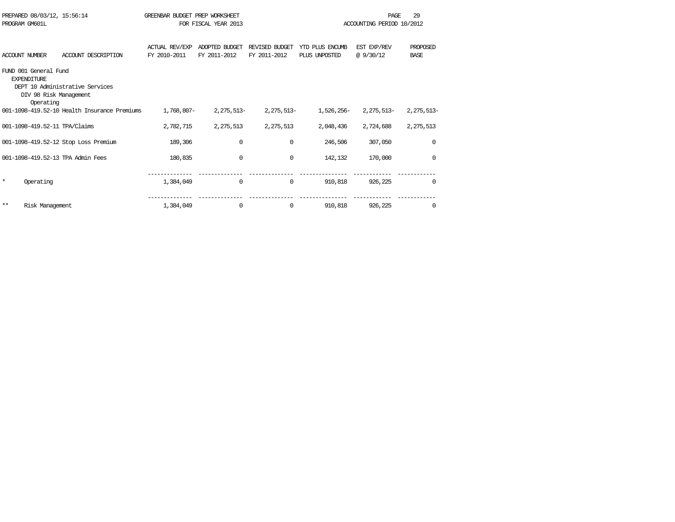|         | PREPARED 08/03/12, 15:56:14<br>PROGRAM GM601L                                      |                                              | GREENBAR BUDGET PREP WORKSHEET | FOR FISCAL YEAR 2013           |                                |                                  | <b>PAGE</b><br>ACCOUNTING PERIOD 10/2012 | 29                      |
|---------|------------------------------------------------------------------------------------|----------------------------------------------|--------------------------------|--------------------------------|--------------------------------|----------------------------------|------------------------------------------|-------------------------|
|         | <b>ACCOUNT NUMBER</b>                                                              | ACCOUNT DESCRIPTION                          | ACTUAL REV/EXP<br>FY 2010-2011 | ADOPTED BUDGET<br>FY 2011-2012 | REVISED BUDGET<br>FY 2011-2012 | YTD PLUS ENCUMB<br>PLUS UNPOSTED | EST EXP/REV<br>@9/30/12                  | PROPOSED<br><b>BASE</b> |
|         | FUND 001 General Fund<br><b>EXPENDITURE</b><br>DIV 98 Risk Management<br>Operating | DEPT 10 Administrative Services              |                                |                                |                                |                                  |                                          |                         |
|         |                                                                                    | 001-1098-419.52-10 Health Insurance Premiums | 1,768,807-                     | $2.275.513-$                   | $2,275,513-$                   | 1,526,256-                       | 2,275,513-                               | 2,275,513-              |
|         | 001-1098-419.52-11 TPA/Claims                                                      |                                              | 2,782,715                      | 2,275,513                      | 2, 275, 513                    | 2,048,436                        | 2,724,688                                | 2,275,513               |
|         |                                                                                    | 001-1098-419.52-12 Stop Loss Premium         | 189,306                        | 0                              | $\Omega$                       | 246,506                          | 307,050                                  | $\mathbf 0$             |
|         |                                                                                    | 001-1098-419.52-13 TPA Admin Fees            | 180,835                        | $\Omega$                       | $\mathbf 0$                    | 142,132                          | 170,000                                  | $\Omega$                |
| $\star$ | Operating                                                                          |                                              | 1,384,049                      | 0                              | 0                              | 910,818                          | 926,225                                  | $\Omega$                |
| $* *$   | Risk Management                                                                    |                                              | 1,384,049                      | 0                              | 0                              | 910,818                          | 926,225                                  | 0                       |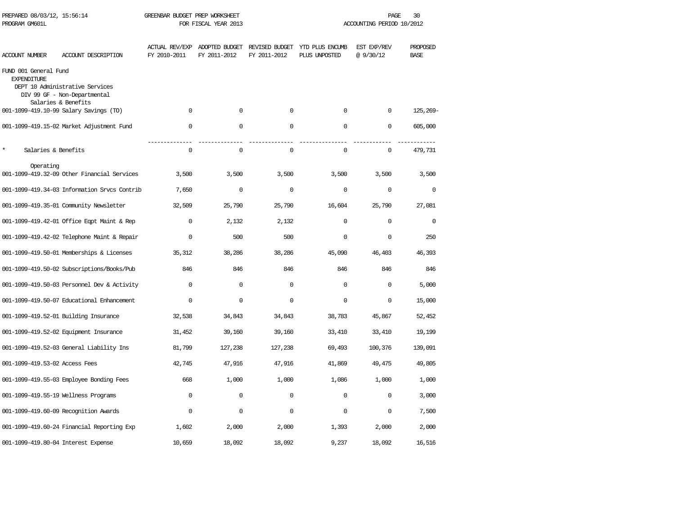| PREPARED 08/03/12, 15:56:14<br>PROGRAM GM601L |                                                                 | GREENBAR BUDGET PREP WORKSHEET<br>FOR FISCAL YEAR 2013 |                                               |              |                                                 | 30<br>PAGE<br>ACCOUNTING PERIOD 10/2012 |                         |  |
|-----------------------------------------------|-----------------------------------------------------------------|--------------------------------------------------------|-----------------------------------------------|--------------|-------------------------------------------------|-----------------------------------------|-------------------------|--|
| ACCOUNT NUMBER                                | ACCOUNT DESCRIPTION                                             | FY 2010-2011                                           | ACTUAL REV/EXP ADOPTED BUDGET<br>FY 2011-2012 | FY 2011-2012 | REVISED BUDGET YTD PLUS ENCUMB<br>PLUS UNPOSTED | EST EXP/REV<br>@ 9/30/12                | PROPOSED<br><b>BASE</b> |  |
| FUND 001 General Fund<br><b>EXPENDITURE</b>   | DEPT 10 Administrative Services<br>DIV 99 GF - Non-Departmental |                                                        |                                               |              |                                                 |                                         |                         |  |
|                                               | Salaries & Benefits<br>001-1099-419.10-99 Salary Savings (TO)   | $\Omega$                                               | $\mathbf 0$                                   | $\mathbf 0$  | $\Omega$                                        | $\Omega$                                | 125, 269-               |  |
|                                               | 001-1099-419.15-02 Market Adjustment Fund                       | $\mathbf 0$                                            | 0                                             | $\mathbf 0$  | $\mathbf 0$                                     | $\mathbf 0$                             | 605,000                 |  |
| $\star$<br>Salaries & Benefits                |                                                                 | $\mathbf 0$                                            | $\mathsf 0$                                   | $\mathbf 0$  | $\mathbf 0$                                     | $\mathbf 0$                             | 479,731                 |  |
| Operating                                     | 001-1099-419.32-09 Other Financial Services                     | 3,500                                                  | 3,500                                         | 3,500        | 3,500                                           | 3,500                                   | 3,500                   |  |
|                                               | 001-1099-419.34-03 Information Srvcs Contrib                    | 7,650                                                  | $\mathbf 0$                                   | $\mathbf 0$  | $\mathbf 0$                                     | $\mathbf 0$                             | $\mathbf 0$             |  |
|                                               | 001-1099-419.35-01 Community Newsletter                         | 32,509                                                 | 25,790                                        | 25,790       | 16,604                                          | 25,790                                  | 27,081                  |  |
|                                               | 001-1099-419.42-01 Office Eqpt Maint & Rep                      | $\mathbf 0$                                            | 2,132                                         | 2,132        | $\mathbf 0$                                     | $\Omega$                                | $\mathbf 0$             |  |
|                                               | 001-1099-419.42-02 Telephone Maint & Repair                     | $\mathbf 0$                                            | 500                                           | 500          | $\mathbf 0$                                     | $\mathbf 0$                             | 250                     |  |
|                                               | 001-1099-419.50-01 Memberships & Licenses                       | 35,312                                                 | 38,286                                        | 38,286       | 45,090                                          | 46,403                                  | 46,393                  |  |
|                                               | 001-1099-419.50-02 Subscriptions/Books/Pub                      | 846                                                    | 846                                           | 846          | 846                                             | 846                                     | 846                     |  |
|                                               | 001-1099-419.50-03 Personnel Dev & Activity                     | $\mathbf 0$                                            | $\mathbf 0$                                   | $\mathbf 0$  | $\mathbf 0$                                     | $\mathbf 0$                             | 5,000                   |  |
|                                               | 001-1099-419.50-07 Educational Enhancement                      | 0                                                      | $\mathbf 0$                                   | $\mathbf 0$  | 0                                               | $\mathbf 0$                             | 15,000                  |  |
|                                               | 001-1099-419.52-01 Building Insurance                           | 32,538                                                 | 34,843                                        | 34,843       | 38,783                                          | 45,867                                  | 52,452                  |  |
|                                               | 001-1099-419.52-02 Equipment Insurance                          | 31,452                                                 | 39,160                                        | 39,160       | 33,410                                          | 33,410                                  | 19,199                  |  |
|                                               | 001-1099-419.52-03 General Liability Ins                        | 81,799                                                 | 127,238                                       | 127,238      | 69,493                                          | 100,376                                 | 139,091                 |  |
| 001-1099-419.53-02 Access Fees                |                                                                 | 42,745                                                 | 47,916                                        | 47,916       | 41,869                                          | 49,475                                  | 49,805                  |  |
|                                               | 001-1099-419.55-03 Employee Bonding Fees                        | 668                                                    | 1,000                                         | 1,000        | 1,086                                           | 1,000                                   | 1,000                   |  |
|                                               | 001-1099-419.55-19 Wellness Programs                            | $\mathbf 0$                                            | $\mathbf 0$                                   | $\mathbf 0$  | $\mathbf 0$                                     | $\mathbf 0$                             | 3,000                   |  |
|                                               | 001-1099-419.60-09 Recognition Awards                           | 0                                                      | $\mathsf 0$                                   | 0            | $\Omega$                                        | $\Omega$                                | 7,500                   |  |
|                                               | 001-1099-419.60-24 Financial Reporting Exp                      | 1,602                                                  | 2,000                                         | 2,000        | 1,393                                           | 2,000                                   | 2,000                   |  |
|                                               | 001-1099-419.80-04 Interest Expense                             | 10,659                                                 | 18,092                                        | 18,092       | 9,237                                           | 18,092                                  | 16,516                  |  |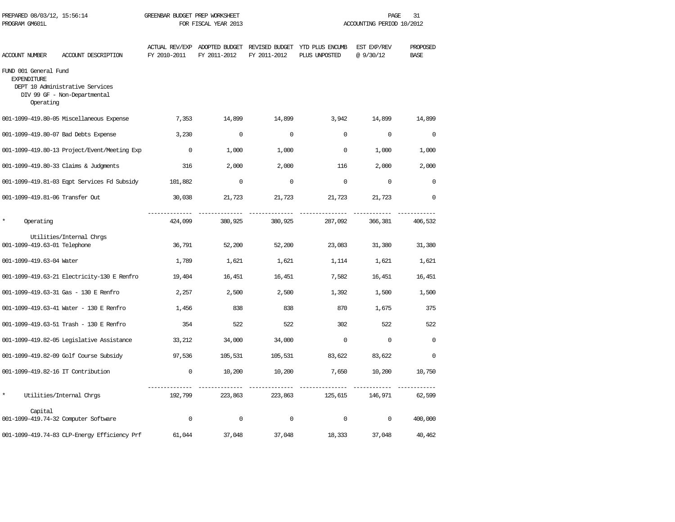| PREPARED 08/03/12, 15:56:14<br>PROGRAM GM601L            |                                                                 | GREENBAR BUDGET PREP WORKSHEET | FOR FISCAL YEAR 2013                          |              |                                                 | PAGE<br>ACCOUNTING PERIOD 10/2012 | 31                      |
|----------------------------------------------------------|-----------------------------------------------------------------|--------------------------------|-----------------------------------------------|--------------|-------------------------------------------------|-----------------------------------|-------------------------|
| <b>ACCOUNT NUMBER</b>                                    | ACCOUNT DESCRIPTION                                             | FY 2010-2011                   | ACTUAL REV/EXP ADOPTED BUDGET<br>FY 2011-2012 | FY 2011-2012 | REVISED BUDGET YTD PLUS ENCUMB<br>PLUS UNPOSTED | EST EXP/REV<br>@9/30/12           | PROPOSED<br><b>BASE</b> |
| FUND 001 General Fund<br><b>EXPENDITURE</b><br>Operating | DEPT 10 Administrative Services<br>DIV 99 GF - Non-Departmental |                                |                                               |              |                                                 |                                   |                         |
|                                                          | 001-1099-419.80-05 Miscellaneous Expense                        | 7,353                          | 14,899                                        | 14,899       | 3,942                                           | 14,899                            | 14,899                  |
|                                                          | 001-1099-419.80-07 Bad Debts Expense                            | 3,230                          | $\mathbf 0$                                   | $\Omega$     | $\Omega$                                        | $\Omega$                          | $\Omega$                |
|                                                          | 001-1099-419.80-13 Project/Event/Meeting Exp                    | $\Omega$                       | 1,000                                         | 1,000        | $\Omega$                                        | 1,000                             | 1,000                   |
|                                                          | 001-1099-419.80-33 Claims & Judgments                           | 316                            | 2,000                                         | 2,000        | 116                                             | 2,000                             | 2,000                   |
|                                                          | 001-1099-419.81-03 Eqpt Services Fd Subsidy                     | 101,882                        | $\mathbf 0$                                   | $\Omega$     | $\Omega$                                        | $\Omega$                          | $\Omega$                |
| 001-1099-419.81-06 Transfer Out                          |                                                                 | 30,038                         | 21,723                                        | 21,723       | 21,723                                          | 21,723                            | $\mathbf 0$             |
| $\star$<br>Operating                                     |                                                                 | 424,099                        | 380,925                                       | 380,925      | 287,092                                         | 366,381                           | 406,532                 |
| 001-1099-419.63-01 Telephone                             | Utilities/Internal Chrgs                                        | 36,791                         | 52,200                                        | 52,200       | 23,083                                          | 31,380                            | 31,380                  |
| 001-1099-419.63-04 Water                                 |                                                                 | 1,789                          | 1,621                                         | 1,621        | 1,114                                           | 1,621                             | 1,621                   |
|                                                          | 001-1099-419.63-21 Electricity-130 E Renfro                     | 19,404                         | 16,451                                        | 16,451       | 7,582                                           | 16,451                            | 16,451                  |
|                                                          | 001-1099-419.63-31 Gas - 130 E Renfro                           | 2,257                          | 2,500                                         | 2,500        | 1,392                                           | 1,500                             | 1,500                   |
|                                                          | 001-1099-419.63-41 Water - 130 E Renfro                         | 1,456                          | 838                                           | 838          | 870                                             | 1,675                             | 375                     |
|                                                          | 001-1099-419.63-51 Trash - 130 E Renfro                         | 354                            | 522                                           | 522          | 302                                             | 522                               | 522                     |
|                                                          | 001-1099-419.82-05 Legislative Assistance                       | 33,212                         | 34,000                                        | 34,000       | $\Omega$                                        | $\Omega$                          | $\Omega$                |
|                                                          | 001-1099-419.82-09 Golf Course Subsidy                          | 97,536                         | 105,531                                       | 105,531      | 83,622                                          | 83,622                            | $\mathbf 0$             |
| 001-1099-419.82-16 IT Contribution                       |                                                                 | $\mathbf 0$                    | 10,200                                        | 10,200       | 7,650                                           | 10,200                            | 10,750                  |
| $\star$                                                  | Utilities/Internal Chrgs                                        | 192,799                        | 223,863                                       | 223,863      | 125,615                                         | 146,971                           | 62,599                  |
| Capital                                                  | 001-1099-419.74-32 Computer Software                            | $\mathbf 0$                    | $\mathbf 0$                                   | $\mathbf 0$  | $\mathbf 0$                                     | $\mathbf 0$                       | 400,000                 |
|                                                          | 001-1099-419.74-83 CLP-Energy Efficiency Prf                    | 61,044                         | 37,048                                        | 37,048       | 18,333                                          | 37,048                            | 40,462                  |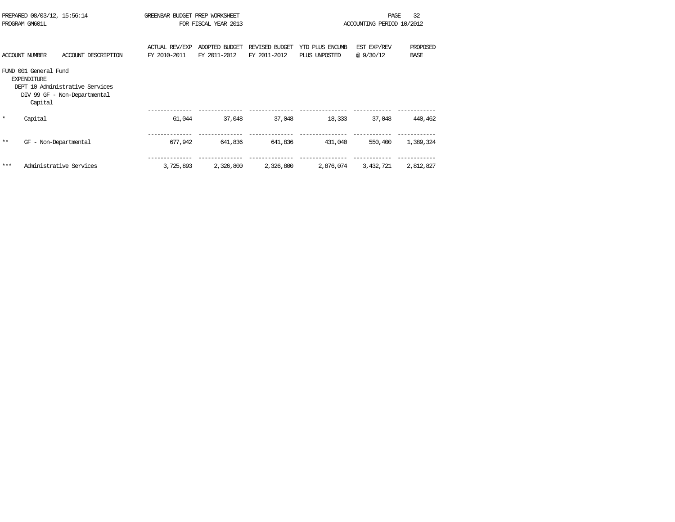| PREPARED 08/03/12, 15:56:14<br>PROGRAM GM601L |                                                        | GREENBAR BUDGET PREP WORKSHEET<br>FOR FISCAL YEAR 2013          |                                       |                                |                                | 32<br>PAGE<br>ACCOUNTING PERIOD 10/2012 |                         |                         |
|-----------------------------------------------|--------------------------------------------------------|-----------------------------------------------------------------|---------------------------------------|--------------------------------|--------------------------------|-----------------------------------------|-------------------------|-------------------------|
|                                               | <b>ACCOUNT NUMBER</b>                                  | ACCOUNT DESCRIPTION                                             | <b>ACTUAL REV/EXP</b><br>FY 2010-2011 | ADOPTED BUDGET<br>FY 2011-2012 | REVISED BUDGET<br>FY 2011-2012 | YTD PLUS ENCUMB<br>PLUS UNPOSTED        | EST EXP/REV<br>@9/30/12 | PROPOSED<br><b>BASE</b> |
|                                               | FUND 001 General Fund<br><b>EXPENDITURE</b><br>Capital | DEPT 10 Administrative Services<br>DIV 99 GF - Non-Departmental |                                       |                                |                                |                                         |                         |                         |
| $\star$                                       | Capital                                                |                                                                 | 61,044                                | 37,048                         | 37,048                         | 18,333                                  | 37,048                  | 440,462                 |
| $**$                                          | GF                                                     | - Non-Departmental                                              | 677,942                               | 641,836                        | 641,836                        | 431,040                                 | 550,400                 | 1,389,324               |
| ***                                           |                                                        | Administrative Services                                         | 3,725,893                             | 2,326,800                      | 2,326,800                      | 2,876,074                               | 3,432,721               | 2,812,827               |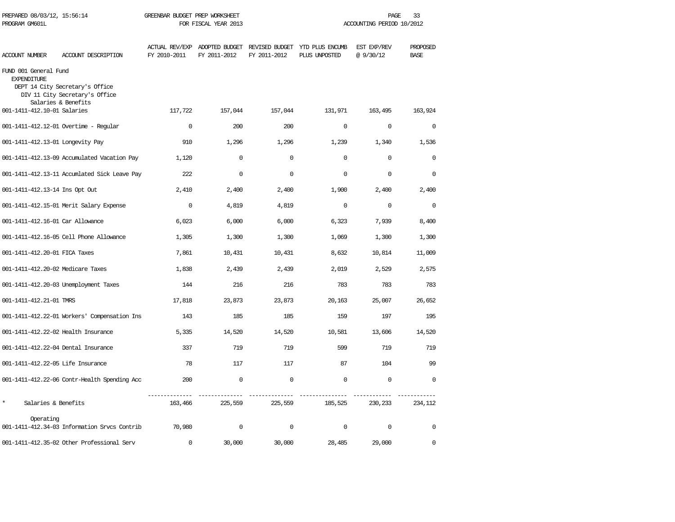| PREPARED 08/03/12, 15:56:14<br>PROGRAM GM601L |                                                                                          | GREENBAR BUDGET PREP WORKSHEET | FOR FISCAL YEAR 2013 |              |                                                                               | PAGE<br>ACCOUNTING PERIOD 10/2012 | 33                      |
|-----------------------------------------------|------------------------------------------------------------------------------------------|--------------------------------|----------------------|--------------|-------------------------------------------------------------------------------|-----------------------------------|-------------------------|
| <b>ACCOUNT NUMBER</b>                         | ACCOUNT DESCRIPTION                                                                      | FY 2010-2011                   | FY 2011-2012         | FY 2011-2012 | ACTUAL REV/EXP ADOPTED BUDGET REVISED BUDGET YTD PLUS ENCUMB<br>PLUS UNPOSTED | EST EXP/REV<br>@9/30/12           | PROPOSED<br><b>BASE</b> |
| FUND 001 General Fund<br><b>EXPENDITURE</b>   | DEPT 14 City Secretary's Office<br>DIV 11 City Secretary's Office<br>Salaries & Benefits |                                |                      |              |                                                                               |                                   |                         |
| 001-1411-412.10-01 Salaries                   |                                                                                          | 117,722                        | 157,044              | 157,044      | 131,971                                                                       | 163,495                           | 163,924                 |
|                                               | 001-1411-412.12-01 Overtime - Regular                                                    | $\Omega$                       | 200                  | 200          | $\Omega$                                                                      | $\Omega$                          | $\Omega$                |
| 001-1411-412.13-01 Longevity Pay              |                                                                                          | 910                            | 1,296                | 1,296        | 1,239                                                                         | 1,340                             | 1,536                   |
|                                               | 001-1411-412.13-09 Accumulated Vacation Pay                                              | 1,120                          | $\Omega$             | $\mathbf 0$  | $\Omega$                                                                      | $\Omega$                          | $\mathbf 0$             |
|                                               | 001-1411-412.13-11 Accumlated Sick Leave Pay                                             | 2.2.2                          | $\Omega$             | $\Omega$     | $\Omega$                                                                      | $\Omega$                          | $\Omega$                |
| 001-1411-412.13-14 Ins Opt Out                |                                                                                          | 2,410                          | 2,400                | 2,400        | 1,900                                                                         | 2,400                             | 2,400                   |
|                                               | 001-1411-412.15-01 Merit Salary Expense                                                  | $\mathbf 0$                    | 4,819                | 4,819        | $\mathbf 0$                                                                   | $\mathbf 0$                       | $\mathbf 0$             |
| 001-1411-412.16-01 Car Allowance              |                                                                                          | 6,023                          | 6,000                | 6,000        | 6,323                                                                         | 7,939                             | 8,400                   |
|                                               | 001-1411-412.16-05 Cell Phone Allowance                                                  | 1,305                          | 1,300                | 1,300        | 1,069                                                                         | 1,300                             | 1,300                   |
| 001-1411-412.20-01 FICA Taxes                 |                                                                                          | 7,861                          | 10,431               | 10,431       | 8,632                                                                         | 10,814                            | 11,009                  |
| 001-1411-412.20-02 Medicare Taxes             |                                                                                          | 1,838                          | 2,439                | 2,439        | 2,019                                                                         | 2,529                             | 2,575                   |
|                                               | 001-1411-412.20-03 Unemployment Taxes                                                    | 144                            | 216                  | 216          | 783                                                                           | 783                               | 783                     |
| 001-1411-412.21-01 TMRS                       |                                                                                          | 17,818                         | 23,873               | 23,873       | 20,163                                                                        | 25,007                            | 26,652                  |
|                                               | 001-1411-412.22-01 Workers' Compensation Ins                                             | 143                            | 185                  | 185          | 159                                                                           | 197                               | 195                     |
| 001-1411-412.22-02 Health Insurance           |                                                                                          | 5,335                          | 14,520               | 14,520       | 10,581                                                                        | 13,606                            | 14,520                  |
| 001-1411-412.22-04 Dental Insurance           |                                                                                          | 337                            | 719                  | 719          | 599                                                                           | 719                               | 719                     |
| 001-1411-412.22-05 Life Insurance             |                                                                                          | 78                             | 117                  | 117          | 87                                                                            | 104                               | 99                      |
|                                               | 001-1411-412.22-06 Contr-Health Spending Acc                                             | 200                            | $\Omega$             | $\Omega$     | $\Omega$                                                                      | $\Omega$                          | $\Omega$                |
| $\star$<br>Salaries & Benefits                |                                                                                          | 163,466                        | 225,559              | 225,559      | 185,525                                                                       | 230,233                           | 234,112                 |
| Operating                                     | 001-1411-412.34-03 Information Srvcs Contrib                                             | 70,980                         | $\mathbf 0$          | $\mathbf 0$  | $\mathbf 0$                                                                   | $\mathbf 0$                       | $\mathbf 0$             |
|                                               | 001-1411-412.35-02 Other Professional Serv                                               | $\Omega$                       | 30,000               | 30,000       | 28,485                                                                        | 29,000                            | $\Omega$                |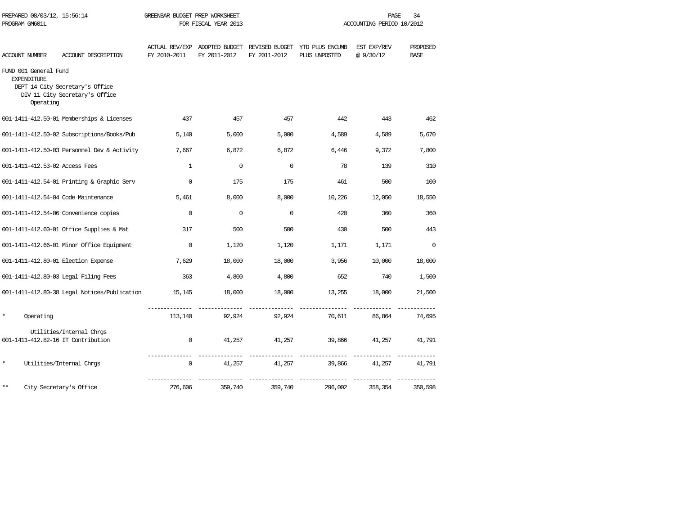| PREPARED 08/03/12, 15:56:14<br>PROGRAM GM601L            |                                                                   | GREENBAR BUDGET PREP WORKSHEET<br>FOR FISCAL YEAR 2013 |              |              | 34<br>PAGE<br>ACCOUNTING PERIOD 10/2012                                       |                         |                         |  |
|----------------------------------------------------------|-------------------------------------------------------------------|--------------------------------------------------------|--------------|--------------|-------------------------------------------------------------------------------|-------------------------|-------------------------|--|
| ACCOUNT NUMBER                                           | ACCOUNT DESCRIPTION                                               | FY 2010-2011                                           | FY 2011-2012 | FY 2011-2012 | ACTUAL REV/EXP ADOPTED BUDGET REVISED BUDGET YTD PLUS ENCUMB<br>PLUS UNPOSTED | EST EXP/REV<br>@9/30/12 | PROPOSED<br><b>BASE</b> |  |
| FUND 001 General Fund<br><b>EXPENDITURE</b><br>Operating | DEPT 14 City Secretary's Office<br>DIV 11 City Secretary's Office |                                                        |              |              |                                                                               |                         |                         |  |
|                                                          | 001-1411-412.50-01 Memberships & Licenses                         | 437                                                    | 457          | 457          | 442                                                                           | 443                     | 462                     |  |
|                                                          | 001-1411-412.50-02 Subscriptions/Books/Pub                        | 5,140                                                  | 5,000        | 5,000        | 4,589                                                                         | 4,589                   | 5,670                   |  |
|                                                          | 001-1411-412.50-03 Personnel Dev & Activity                       | 7,667                                                  | 6,872        | 6,872        | 6,446                                                                         | 9,372                   | 7,800                   |  |
| 001-1411-412.53-02 Access Fees                           |                                                                   | $\mathbf{1}$                                           | $\mathbf 0$  | $\Omega$     | 78                                                                            | 139                     | 310                     |  |
|                                                          | 001-1411-412.54-01 Printing & Graphic Serv                        | $\Omega$                                               | 175          | 175          | 461                                                                           | 500                     | 100                     |  |
|                                                          | 001-1411-412.54-04 Code Maintenance                               | 5,461                                                  | 8,000        | 8,000        | 10,226                                                                        | 12,050                  | 18,550                  |  |
|                                                          | 001-1411-412.54-06 Convenience copies                             | $\Omega$                                               | $\Omega$     | $\Omega$     | 420                                                                           | 360                     | 360                     |  |
|                                                          | 001-1411-412.60-01 Office Supplies & Mat                          | 317                                                    | 500          | 500          | 430                                                                           | 500                     | 443                     |  |
|                                                          | 001-1411-412.66-01 Minor Office Equipment                         | $\mathbf 0$                                            | 1,120        | 1,120        | 1,171                                                                         | 1,171                   | $\mathbf 0$             |  |
|                                                          | 001-1411-412.80-01 Election Expense                               | 7,629                                                  | 18,000       | 18,000       | 3,956                                                                         | 10,000                  | 18,000                  |  |
|                                                          | 001-1411-412.80-03 Legal Filing Fees                              | 363                                                    | 4,800        | 4,800        | 652                                                                           | 740                     | 1,500                   |  |
|                                                          | 001-1411-412.80-38 Legal Notices/Publication                      | 15,145                                                 | 18,000       | 18,000       | 13,255                                                                        | 18,000                  | 21,500                  |  |
| $\star$<br>Operating                                     |                                                                   | 113,140                                                | 92,924       | 92,924       | 70,611                                                                        | 86,864                  | 74,695                  |  |
|                                                          | Utilities/Internal Chrgs<br>001-1411-412.82-16 IT Contribution    | $\mathbf 0$                                            | 41,257       | 41,257       | 39,866                                                                        | 41,257                  | 41,791                  |  |
| $\star$                                                  | Utilities/Internal Chrgs                                          | 0                                                      | 41,257       | 41,257       | 39,866                                                                        | 41,257                  | 41,791                  |  |
| **                                                       | City Secretary's Office                                           | 276,606                                                | 359,740      | 359,740      | 296,002                                                                       | 358,354                 | 350,598                 |  |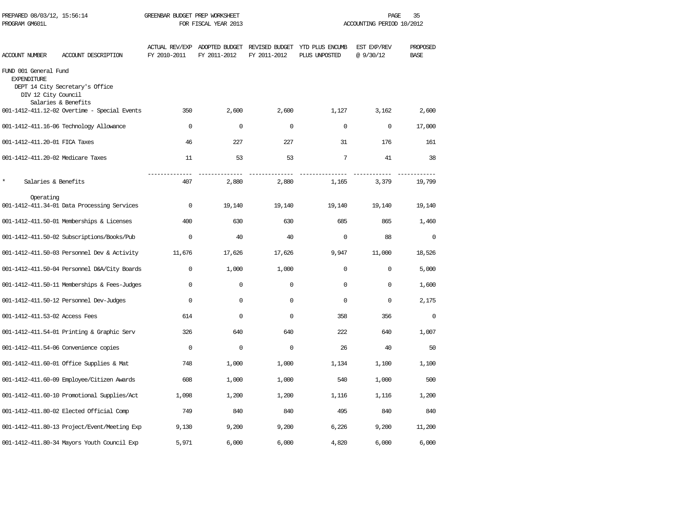| PREPARED 08/03/12, 15:56:14<br>PROGRAM GM601L                      |                                                        | GREENBAR BUDGET PREP WORKSHEET | FOR FISCAL YEAR 2013                          | ACCOUNTING PERIOD 10/2012 |                                                 |                          | PAGE<br>35              |  |
|--------------------------------------------------------------------|--------------------------------------------------------|--------------------------------|-----------------------------------------------|---------------------------|-------------------------------------------------|--------------------------|-------------------------|--|
| <b>ACCOUNT NUMBER</b>                                              | ACCOUNT DESCRIPTION                                    | FY 2010-2011                   | ACTUAL REV/EXP ADOPTED BUDGET<br>FY 2011-2012 | FY 2011-2012              | REVISED BUDGET YTD PLUS ENCUMB<br>PLUS UNPOSTED | EST EXP/REV<br>@ 9/30/12 | PROPOSED<br><b>BASE</b> |  |
| FUND 001 General Fund<br><b>EXPENDITURE</b><br>DIV 12 City Council | DEPT 14 City Secretary's Office<br>Salaries & Benefits |                                |                                               |                           |                                                 |                          |                         |  |
|                                                                    | 001-1412-411.12-02 Overtime - Special Events           | 350                            | 2,600                                         | 2,600                     | 1,127                                           | 3,162                    | 2,600                   |  |
|                                                                    | 001-1412-411.16-06 Technology Allowance                | $\mathbf 0$                    | $\mathbf 0$                                   | $\mathbf 0$               | $\mathbf 0$                                     | $\mathbf 0$              | 17,000                  |  |
| 001-1412-411.20-01 FICA Taxes                                      |                                                        | 46                             | 227                                           | 227                       | 31                                              | 176                      | 161                     |  |
| 001-1412-411.20-02 Medicare Taxes                                  |                                                        | 11                             | 53                                            | 53                        | 7                                               | 41                       | 38                      |  |
| $\star$<br>Salaries & Benefits                                     |                                                        | 407                            | 2,880                                         | 2,880                     | 1,165                                           | 3,379                    | 19,799                  |  |
| Operating                                                          | 001-1412-411.34-01 Data Processing Services            | $\mathbf 0$                    | 19,140                                        | 19,140                    | 19,140                                          | 19,140                   | 19,140                  |  |
|                                                                    | 001-1412-411.50-01 Memberships & Licenses              | 400                            | 630                                           | 630                       | 685                                             | 865                      | 1,460                   |  |
|                                                                    | 001-1412-411.50-02 Subscriptions/Books/Pub             | $\Omega$                       | 40                                            | 40                        | $\mathbf 0$                                     | 88                       | $\mathbf 0$             |  |
|                                                                    | 001-1412-411.50-03 Personnel Dev & Activity            | 11,676                         | 17,626                                        | 17,626                    | 9,947                                           | 11,000                   | 18,526                  |  |
|                                                                    | 001-1412-411.50-04 Personnel D&A/City Boards           | $\mathbf 0$                    | 1,000                                         | 1,000                     | $\mathbf 0$                                     | $\mathbf 0$              | 5,000                   |  |
|                                                                    | 001-1412-411.50-11 Memberships & Fees-Judges           | $\mathbf 0$                    | $\mathbf 0$                                   | $\mathbf 0$               | $\mathbf 0$                                     | $\mathbf 0$              | 1,600                   |  |
|                                                                    | 001-1412-411.50-12 Personnel Dev-Judges                | $\mathbf 0$                    | $\mathbf 0$                                   | $\mathbf 0$               | $\mathbf 0$                                     | $\mathbf 0$              | 2,175                   |  |
| 001-1412-411.53-02 Access Fees                                     |                                                        | 614                            | $\mathsf 0$                                   | $\mathbf 0$               | 358                                             | 356                      | $\mathbf 0$             |  |
|                                                                    | 001-1412-411.54-01 Printing & Graphic Serv             | 326                            | 640                                           | 640                       | 222                                             | 640                      | 1,007                   |  |
|                                                                    | 001-1412-411.54-06 Convenience copies                  | $\mathbf 0$                    | $\mathbf 0$                                   | $\mathbf 0$               | 26                                              | 40                       | 50                      |  |
|                                                                    | 001-1412-411.60-01 Office Supplies & Mat               | 748                            | 1,000                                         | 1,000                     | 1,134                                           | 1,100                    | 1,100                   |  |
|                                                                    | 001-1412-411.60-09 Employee/Citizen Awards             | 608                            | 1,000                                         | 1,000                     | 540                                             | 1,000                    | 500                     |  |
|                                                                    | 001-1412-411.60-10 Promotional Supplies/Act            | 1,098                          | 1,200                                         | 1,200                     | 1,116                                           | 1,116                    | 1,200                   |  |
|                                                                    | 001-1412-411.80-02 Elected Official Comp               | 749                            | 840                                           | 840                       | 495                                             | 840                      | 840                     |  |
|                                                                    | 001-1412-411.80-13 Project/Event/Meeting Exp           | 9,130                          | 9,200                                         | 9,200                     | 6,226                                           | 9,200                    | 11,200                  |  |
|                                                                    | 001-1412-411.80-34 Mayors Youth Council Exp            | 5,971                          | 6,000                                         | 6,000                     | 4,820                                           | 6,000                    | 6,000                   |  |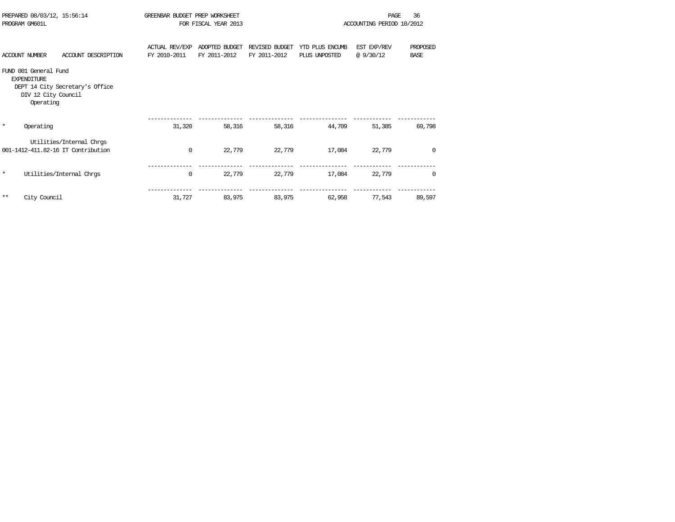| PROGRAM GM601L                              | PREPARED 08/03/12, 15:56:14                                         | GREENBAR BUDGET PREP WORKSHEET<br>FOR FISCAL YEAR 2013 |                                |                                | 36<br>PAGE<br>ACCOUNTING PERIOD 10/2012 |                         |                         |
|---------------------------------------------|---------------------------------------------------------------------|--------------------------------------------------------|--------------------------------|--------------------------------|-----------------------------------------|-------------------------|-------------------------|
| <b>ACCOUNT NUMBER</b>                       | ACCOUNT DESCRIPTION                                                 | <b>ACTUAL REV/EXP</b><br>FY 2010-2011                  | ADOPTED BUDGET<br>FY 2011-2012 | REVISED BUDGET<br>FY 2011-2012 | YTD PLUS ENCUMB<br>PLUS UNPOSTED        | EST EXP/REV<br>@9/30/12 | PROPOSED<br><b>BASE</b> |
| FUND 001 General Fund<br><b>EXPENDITURE</b> | DEPT 14 City Secretary's Office<br>DIV 12 City Council<br>Operating |                                                        |                                |                                |                                         |                         |                         |
| $\star$<br>Operating                        |                                                                     | 31,320                                                 | 58,316                         | 58,316                         | 44,709                                  | 51,385                  | 69,798                  |
|                                             | Utilities/Internal Chros<br>001-1412-411.82-16 IT Contribution      | $\mathbf 0$                                            | 22,779                         | 22,779                         | 17,084                                  | 22,779                  | $\Omega$                |
| $\star$                                     | Utilities/Internal Chros                                            | $\mathbf 0$                                            | 22,779                         | 22,779                         | 17,084                                  | 22,779                  | 0                       |
| $***$<br>City Council                       |                                                                     | 31,727                                                 | 83,975                         | 83,975                         | 62,958                                  | 77,543                  | 89,597                  |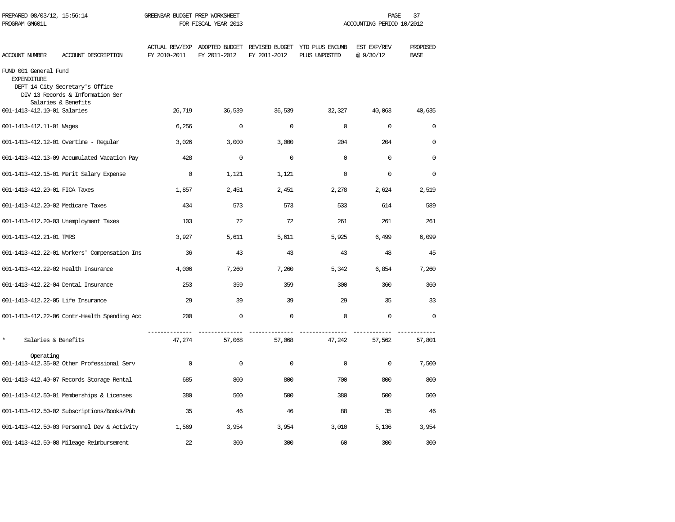| PREPARED 08/03/12, 15:56:14<br>PROGRAM GM601L |                                                                                            | GREENBAR BUDGET PREP WORKSHEET<br>FOR FISCAL YEAR 2013 |              |              | 37<br>PAGE<br>ACCOUNTING PERIOD 10/2012                                       |                         |                         |
|-----------------------------------------------|--------------------------------------------------------------------------------------------|--------------------------------------------------------|--------------|--------------|-------------------------------------------------------------------------------|-------------------------|-------------------------|
| <b>ACCOUNT NUMBER</b>                         | ACCOUNT DESCRIPTION                                                                        | FY 2010-2011                                           | FY 2011-2012 | FY 2011-2012 | ACTUAL REV/EXP ADOPTED BUDGET REVISED BUDGET YTD PLUS ENCUMB<br>PLUS UNPOSTED | EST EXP/REV<br>@9/30/12 | PROPOSED<br><b>BASE</b> |
| FUND 001 General Fund<br><b>EXPENDITURE</b>   | DEPT 14 City Secretary's Office<br>DIV 13 Records & Information Ser<br>Salaries & Benefits |                                                        |              |              |                                                                               |                         |                         |
| 001-1413-412.10-01 Salaries                   |                                                                                            | 26,719                                                 | 36,539       | 36,539       | 32,327                                                                        | 40,063                  | 40,635                  |
| 001-1413-412.11-01 Wages                      |                                                                                            | 6,256                                                  | $\mathbf 0$  | $\mathbf 0$  | $\mathbf 0$                                                                   | $\mathbf 0$             | $\mathbf 0$             |
|                                               | 001-1413-412.12-01 Overtime - Regular                                                      | 3,026                                                  | 3,000        | 3,000        | 204                                                                           | 204                     | $\Omega$                |
|                                               | 001-1413-412.13-09 Accumulated Vacation Pay                                                | 428                                                    | $\mathbf{0}$ | $\mathbf 0$  | $\Omega$                                                                      | $\mathbf 0$             | $\Omega$                |
|                                               | 001-1413-412.15-01 Merit Salary Expense                                                    | $\Omega$                                               | 1,121        | 1,121        | $\Omega$                                                                      | $\Omega$                | $\Omega$                |
| 001-1413-412.20-01 FICA Taxes                 |                                                                                            | 1,857                                                  | 2,451        | 2,451        | 2,278                                                                         | 2,624                   | 2,519                   |
| 001-1413-412.20-02 Medicare Taxes             |                                                                                            | 434                                                    | 573          | 573          | 533                                                                           | 614                     | 589                     |
|                                               | 001-1413-412.20-03 Unemployment Taxes                                                      | 103                                                    | 72           | 72           | 261                                                                           | 261                     | 261                     |
| 001-1413-412.21-01 TMRS                       |                                                                                            | 3,927                                                  | 5,611        | 5,611        | 5,925                                                                         | 6,499                   | 6,099                   |
|                                               | 001-1413-412.22-01 Workers' Compensation Ins                                               | 36                                                     | 43           | 43           | 43                                                                            | 48                      | 45                      |
| 001-1413-412.22-02 Health Insurance           |                                                                                            | 4,006                                                  | 7,260        | 7,260        | 5,342                                                                         | 6,854                   | 7,260                   |
| 001-1413-412.22-04 Dental Insurance           |                                                                                            | 253                                                    | 359          | 359          | 300                                                                           | 360                     | 360                     |
| 001-1413-412.22-05 Life Insurance             |                                                                                            | 29                                                     | 39           | 39           | 29                                                                            | 35                      | 33                      |
|                                               | 001-1413-412.22-06 Contr-Health Spending Acc                                               | 200                                                    | $\Omega$     | $\Omega$     | $\Omega$                                                                      | $\Omega$                | $\Omega$                |
| $\star$<br>Salaries & Benefits                |                                                                                            | 47,274                                                 | 57,068       | 57,068       | 47,242                                                                        | 57,562                  | 57,801                  |
| Operating                                     | 001-1413-412.35-02 Other Professional Serv                                                 | $\Omega$                                               | 0            | $\Omega$     | $\Omega$                                                                      | $\mathsf 0$             | 7,500                   |
|                                               | 001-1413-412.40-07 Records Storage Rental                                                  | 685                                                    | 800          | 800          | 700                                                                           | 800                     | 800                     |
|                                               | 001-1413-412.50-01 Memberships & Licenses                                                  | 380                                                    | 500          | 500          | 380                                                                           | 500                     | 500                     |
|                                               | 001-1413-412.50-02 Subscriptions/Books/Pub                                                 | 35                                                     | 46           | 46           | 88                                                                            | 35                      | 46                      |
|                                               | 001-1413-412.50-03 Personnel Dev & Activity                                                | 1,569                                                  | 3,954        | 3,954        | 3,010                                                                         | 5,136                   | 3,954                   |
|                                               | 001-1413-412.50-08 Mileage Reimbursement                                                   | 22                                                     | 300          | 300          | 60                                                                            | 300                     | 300                     |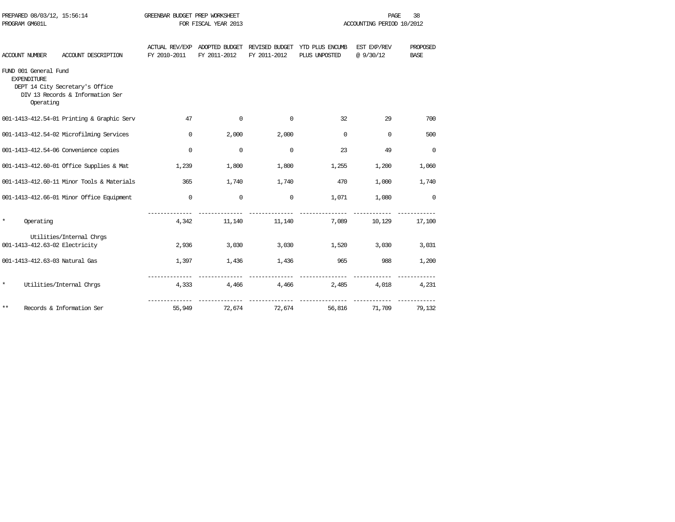| PROGRAM GM601L        |                                                                                                           | FOR FISCAL YEAR 2013 |                                               |                                | ACCOUNTING PERIOD 10/2012        |                          |                         |  |
|-----------------------|-----------------------------------------------------------------------------------------------------------|----------------------|-----------------------------------------------|--------------------------------|----------------------------------|--------------------------|-------------------------|--|
| <b>ACCOUNT NUMBER</b> | ACCOUNT DESCRIPTION                                                                                       | FY 2010-2011         | ACTUAL REV/EXP ADOPTED BUDGET<br>FY 2011-2012 | REVISED BUDGET<br>FY 2011-2012 | YTD PLUS ENCUMB<br>PLUS UNPOSTED | EST EXP/REV<br>@ 9/30/12 | PROPOSED<br><b>BASE</b> |  |
| <b>EXPENDITURE</b>    | FUND 001 General Fund<br>DEPT 14 City Secretary's Office<br>DIV 13 Records & Information Ser<br>Operating |                      |                                               |                                |                                  |                          |                         |  |
|                       | 001-1413-412.54-01 Printing & Graphic Serv                                                                | 47                   | $\mathbf 0$                                   | $\mathbf 0$                    | 32                               | 29                       | 700                     |  |
|                       | 001-1413-412.54-02 Microfilming Services                                                                  | $\mathbf 0$          | 2,000                                         | 2,000                          | $\mathbf 0$                      | $\Omega$                 | 500                     |  |
|                       | 001-1413-412.54-06 Convenience copies                                                                     | $\mathbf 0$          | $\mathbf 0$                                   | $\mathbf 0$                    | 23                               | 49                       | $\mathbf 0$             |  |
|                       | 001-1413-412.60-01 Office Supplies & Mat                                                                  | 1,239                | 1,800                                         | 1,800                          | 1,255                            | 1,200                    | 1,060                   |  |
|                       | 001-1413-412.60-11 Minor Tools & Materials                                                                | 365                  | 1,740                                         | 1,740                          | 470                              | 1,000                    | 1,740                   |  |
|                       | 001-1413-412.66-01 Minor Office Equipment                                                                 | $\mathbf 0$          | $\mathbf 0$                                   | $\mathbf 0$                    | 1,071                            | 1,080                    | $\mathbf 0$             |  |
| $\star$               | Operating                                                                                                 | 4,342                | 11,140                                        | 11,140                         | 7,089                            | 10,129                   | 17,100                  |  |
|                       | Utilities/Internal Chros<br>001-1413-412.63-02 Electricity                                                | 2,936                | 3,030                                         | 3,030                          | 1,520                            | 3,030                    | 3,031                   |  |
|                       | 001-1413-412.63-03 Natural Gas                                                                            | 1,397                | 1,436                                         | 1,436                          | 965                              | 988                      | 1,200                   |  |
| $\star$               | Utilities/Internal Chrgs                                                                                  | 4,333                | 4,466                                         | 4,466                          | 2,485                            | 4,018                    | 4,231                   |  |
| $***$                 | Records & Information Ser                                                                                 | 55,949               | 72,674                                        | 72,674                         | 56,816                           | 71,709                   | 79,132                  |  |

PREPARED 08/03/12, 15:56:14 GREENBAR BUDGET PREP WORKSHEET **FREED ASSESSED ASSESSED** 38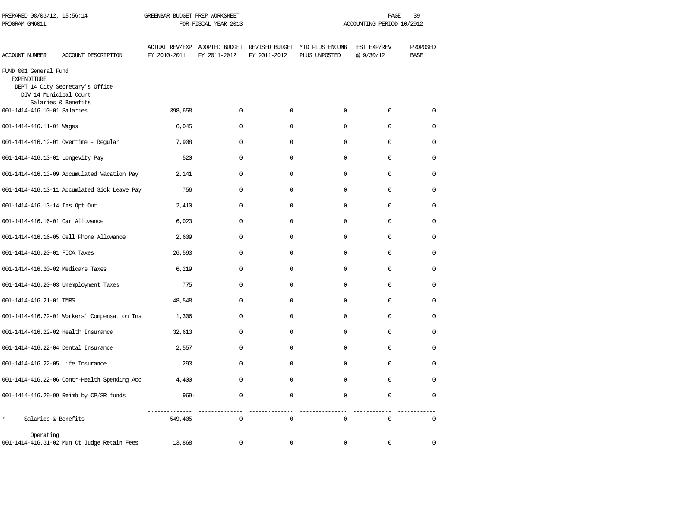| PREPARED 08/03/12, 15:56:14<br>PROGRAM GM601L                         |                                              | GREENBAR BUDGET PREP WORKSHEET<br>FOR FISCAL YEAR 2013 |              |              |                                                                               | 39<br>PAGE<br>ACCOUNTING PERIOD 10/2012 |                         |
|-----------------------------------------------------------------------|----------------------------------------------|--------------------------------------------------------|--------------|--------------|-------------------------------------------------------------------------------|-----------------------------------------|-------------------------|
| ACCOUNT NUMBER                                                        | ACCOUNT DESCRIPTION                          | FY 2010-2011                                           | FY 2011-2012 | FY 2011-2012 | ACTUAL REV/EXP ADOPTED BUDGET REVISED BUDGET YTD PLUS ENCUMB<br>PLUS UNPOSTED | EST EXP/REV<br>@9/30/12                 | PROPOSED<br><b>BASE</b> |
| FUND 001 General Fund<br><b>EXPENDITURE</b><br>DIV 14 Municipal Court | DEPT 14 City Secretary's Office              |                                                        |              |              |                                                                               |                                         |                         |
| 001-1414-416.10-01 Salaries                                           | Salaries & Benefits                          | 398,658                                                | $\Omega$     | $\Omega$     | $\Omega$                                                                      | $\Omega$                                | $\Omega$                |
| 001-1414-416.11-01 Wages                                              |                                              | 6,045                                                  | $\Omega$     | $\Omega$     | $\Omega$                                                                      | $\Omega$                                | $\Omega$                |
|                                                                       | 001-1414-416.12-01 Overtime - Regular        | 7,908                                                  | $\Omega$     | $\Omega$     | $\Omega$                                                                      | $\Omega$                                | $\Omega$                |
| 001-1414-416.13-01 Longevity Pay                                      |                                              | 520                                                    | $\mathbf 0$  | 0            | 0                                                                             | 0                                       | 0                       |
|                                                                       | 001-1414-416.13-09 Accumulated Vacation Pay  | 2,141                                                  | $\Omega$     | $\Omega$     | 0                                                                             | $\Omega$                                | $\Omega$                |
|                                                                       | 001-1414-416.13-11 Accumlated Sick Leave Pay | 756                                                    | $\mathbf 0$  | $\mathbf 0$  | 0                                                                             | $\mathbf 0$                             | 0                       |
| 001-1414-416.13-14 Ins Opt Out                                        |                                              | 2,410                                                  | $\mathbf 0$  | $\mathbf 0$  | 0                                                                             | $\mathbf 0$                             | 0                       |
| 001-1414-416.16-01 Car Allowance                                      |                                              | 6,023                                                  | $\mathbf 0$  | $\mathbf 0$  | $\mathbf 0$                                                                   | $\Omega$                                | 0                       |
|                                                                       | 001-1414-416.16-05 Cell Phone Allowance      | 2,609                                                  | $\mathbf 0$  | $\mathbf 0$  | 0                                                                             | $\mathbf 0$                             | $\Omega$                |
| 001-1414-416.20-01 FICA Taxes                                         |                                              | 26,593                                                 | $\Omega$     | $\mathbf 0$  | 0                                                                             | $\Omega$                                | $\Omega$                |
| 001-1414-416.20-02 Medicare Taxes                                     |                                              | 6,219                                                  | $\mathbf 0$  | $\mathbf 0$  | 0                                                                             | $\mathbf 0$                             | $\Omega$                |
|                                                                       | 001-1414-416.20-03 Unemployment Taxes        | 775                                                    | $\Omega$     | $\Omega$     | $\Omega$                                                                      | $\Omega$                                | $\Omega$                |
| 001-1414-416.21-01 TMRS                                               |                                              | 48,548                                                 | $\Omega$     | $\Omega$     | $\Omega$                                                                      | $\Omega$                                | $\Omega$                |
|                                                                       | 001-1414-416.22-01 Workers' Compensation Ins | 1,306                                                  | $\Omega$     | $\Omega$     | 0                                                                             | $\Omega$                                | $\Omega$                |
| 001-1414-416.22-02 Health Insurance                                   |                                              | 32,613                                                 | $\mathbf 0$  | 0            | 0                                                                             | $\Omega$                                | $\Omega$                |
|                                                                       | 001-1414-416.22-04 Dental Insurance          | 2,557                                                  | $\mathbf 0$  | $\Omega$     | 0                                                                             | $\Omega$                                | $\Omega$                |
| 001-1414-416.22-05 Life Insurance                                     |                                              | 293                                                    | $\mathbf 0$  | $\Omega$     | 0                                                                             | 0                                       | $\Omega$                |
|                                                                       | 001-1414-416.22-06 Contr-Health Spending Acc | 4,400                                                  | $\mathbf 0$  | $\mathbf 0$  | $\mathbf 0$                                                                   | $\mathbf 0$                             | $\mathbf 0$             |
|                                                                       | 001-1414-416.29-99 Reimb by CP/SR funds      | $969 -$                                                | $\mathbf 0$  | $\mathbf 0$  | $\mathbf 0$                                                                   | $\mathbf 0$                             | $\mathbf 0$             |
| $\star$<br>Salaries & Benefits                                        |                                              | 549,405                                                | $\mathbf 0$  | $\mathbf 0$  | $\mathbf 0$                                                                   | $\mathbf 0$                             | $\mathbf 0$             |
| Operating                                                             | 001-1414-416.31-02 Mun Ct Judge Retain Fees  | 13,868                                                 | $\mathbf 0$  | $\mathbf 0$  | 0                                                                             | 0                                       | $\mathbf 0$             |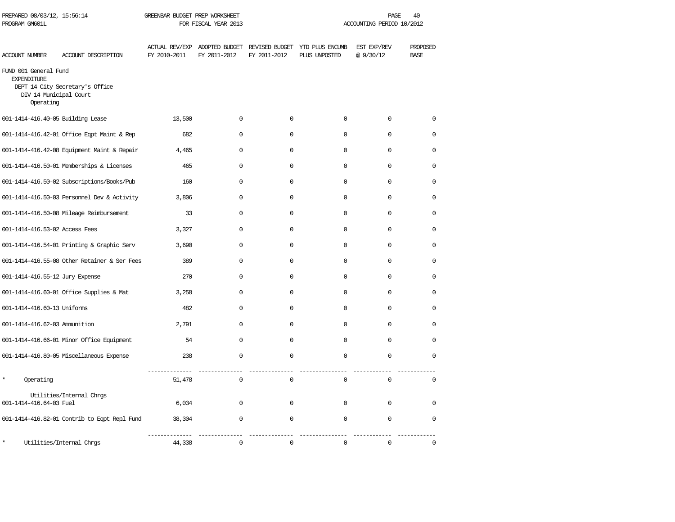| PREPARED 08/03/12, 15:56:14<br>PROGRAM GM601L                                      |                                              | GREENBAR BUDGET PREP WORKSHEET<br>FOR FISCAL YEAR 2013 |              |              |                                                                               | PAGE<br>ACCOUNTING PERIOD 10/2012 |                         |  |  |
|------------------------------------------------------------------------------------|----------------------------------------------|--------------------------------------------------------|--------------|--------------|-------------------------------------------------------------------------------|-----------------------------------|-------------------------|--|--|
| ACCOUNT NUMBER                                                                     | ACCOUNT DESCRIPTION                          | FY 2010-2011                                           | FY 2011-2012 | FY 2011-2012 | ACTUAL REV/EXP ADOPTED BUDGET REVISED BUDGET YTD PLUS ENCUMB<br>PLUS UNPOSTED | EST EXP/REV<br>@9/30/12           | PROPOSED<br><b>BASE</b> |  |  |
| FUND 001 General Fund<br><b>EXPENDITURE</b><br>DIV 14 Municipal Court<br>Operating | DEPT 14 City Secretary's Office              |                                                        |              |              |                                                                               |                                   |                         |  |  |
| 001-1414-416.40-05 Building Lease                                                  |                                              | 13,500                                                 | $\mathbf 0$  | $\mathbf 0$  | $\mathbf 0$                                                                   | $\mathbf 0$                       | $\mathbf 0$             |  |  |
|                                                                                    | 001-1414-416.42-01 Office Eqpt Maint & Rep   | 682                                                    | 0            | $\mathbf 0$  | 0                                                                             | $\mathbf 0$                       | $\mathbf 0$             |  |  |
|                                                                                    | 001-1414-416.42-08 Equipment Maint & Repair  | 4,465                                                  | $\mathbf 0$  | $\mathbf 0$  | $\mathbf{0}$                                                                  | $\mathbf 0$                       | $\mathbf 0$             |  |  |
|                                                                                    | 001-1414-416.50-01 Memberships & Licenses    | 465                                                    | $\Omega$     | $\Omega$     | $\Omega$                                                                      | $\mathbf 0$                       | $\Omega$                |  |  |
|                                                                                    | 001-1414-416.50-02 Subscriptions/Books/Pub   | 160                                                    | $\Omega$     | $\mathbf 0$  | $\mathbf{0}$                                                                  | $\mathbf 0$                       | $\Omega$                |  |  |
|                                                                                    | 001-1414-416.50-03 Personnel Dev & Activity  | 3,806                                                  | $\Omega$     | 0            | $\mathbf{0}$                                                                  | $\Omega$                          | $\Omega$                |  |  |
|                                                                                    | 001-1414-416.50-08 Mileage Reimbursement     | 33                                                     | $\Omega$     | $\Omega$     | $\mathbf{0}$                                                                  | $\Omega$                          | $\Omega$                |  |  |
| 001-1414-416.53-02 Access Fees                                                     |                                              | 3,327                                                  | $\mathbf 0$  | $\Omega$     | $\mathbf{0}$                                                                  | $\Omega$                          | $\Omega$                |  |  |
|                                                                                    | 001-1414-416.54-01 Printing & Graphic Serv   | 3,690                                                  | $\mathbf 0$  | $\mathbf 0$  | $\mathbf 0$                                                                   | $\mathbf 0$                       | $\mathbf 0$             |  |  |
|                                                                                    | 001-1414-416.55-08 Other Retainer & Ser Fees | 389                                                    | $\mathbf 0$  | $\mathbf 0$  | $\mathbf{0}$                                                                  | $\mathbf 0$                       | $\mathbf 0$             |  |  |
| 001-1414-416.55-12 Jury Expense                                                    |                                              | 270                                                    | 0            | 0            | $\Omega$                                                                      | $\Omega$                          | $\Omega$                |  |  |
|                                                                                    | 001-1414-416.60-01 Office Supplies & Mat     | 3,258                                                  | 0            | 0            | $\Omega$                                                                      | $\Omega$                          | $\Omega$                |  |  |
| 001-1414-416.60-13 Uniforms                                                        |                                              | 482                                                    | 0            | 0            | 0                                                                             | $\mathbf 0$                       | 0                       |  |  |
| 001-1414-416.62-03 Ammunition                                                      |                                              | 2,791                                                  | $\mathbf 0$  | $\mathbf 0$  | $\mathbf{0}$                                                                  | $\mathbf 0$                       | $\mathbf 0$             |  |  |
|                                                                                    | 001-1414-416.66-01 Minor Office Equipment    | 54                                                     | $\mathbf 0$  | $\mathbf 0$  | $\mathbf 0$                                                                   | $\mathbf 0$                       | $\mathbf 0$             |  |  |
|                                                                                    | 001-1414-416.80-05 Miscellaneous Expense     | 238                                                    | $\mathsf 0$  | $\mathbf 0$  | $\mathsf 0$                                                                   | $\mathbf 0$                       | $\mathbf 0$             |  |  |
| $\star$<br>Operating                                                               |                                              | 51,478                                                 | $\mathsf 0$  | $\mathbf 0$  | $\mathsf{O}\xspace$                                                           | $\Omega$                          | $\Omega$                |  |  |
| 001-1414-416.64-03 Fuel                                                            | Utilities/Internal Chrgs                     | 6,034                                                  | $\Omega$     | $\Omega$     | $\Omega$                                                                      | $\Omega$                          | $\Omega$                |  |  |
|                                                                                    | 001-1414-416.82-01 Contrib to Eqpt Repl Fund | 38,304                                                 | 0            | $\mathbf 0$  | $\mathbf 0$                                                                   | $\Omega$                          | $\Omega$                |  |  |
| $\star$                                                                            | Utilities/Internal Chrgs                     | 44,338                                                 | $\mathbf 0$  | $\mathbf 0$  | $\mathbf 0$                                                                   | $\mathbf 0$                       | $\mathbf 0$             |  |  |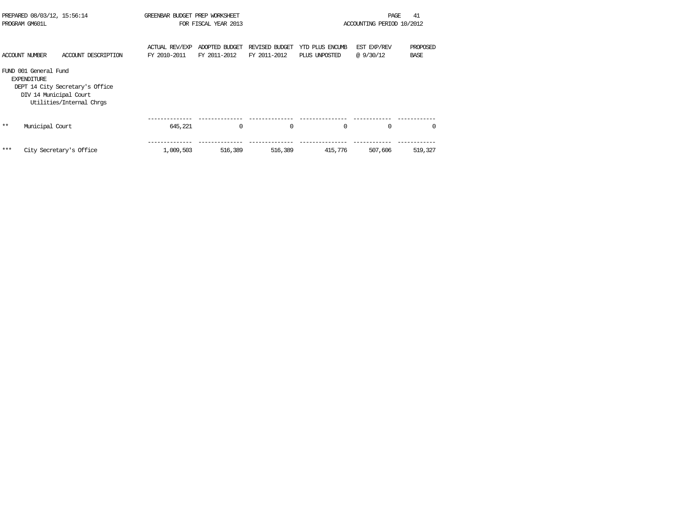| PREPARED 08/03/12, 15:56:14<br>PROGRAM GM601L |                                                                       | GREENBAR BUDGET PREP WORKSHEET<br>FOR FISCAL YEAR 2013      |                                       |                                | 41<br>PAGE<br>ACCOUNTING PERIOD 10/2012 |                                  |                          |                         |
|-----------------------------------------------|-----------------------------------------------------------------------|-------------------------------------------------------------|---------------------------------------|--------------------------------|-----------------------------------------|----------------------------------|--------------------------|-------------------------|
|                                               | <b>ACCOUNT NUMBER</b>                                                 | ACCOUNT DESCRIPTION                                         | <b>ACTUAL REV/EXP</b><br>FY 2010-2011 | ADOPTED BUDGET<br>FY 2011-2012 | REVISED BUDGET<br>FY 2011-2012          | YTD PLUS ENCUMB<br>PLUS UNPOSTED | EST EXP/REV<br>@ 9/30/12 | PROPOSED<br><b>BASE</b> |
|                                               | FUND 001 General Fund<br><b>EXPENDITURE</b><br>DIV 14 Municipal Court | DEPT 14 City Secretary's Office<br>Utilities/Internal Chros |                                       |                                |                                         |                                  |                          |                         |
| $***$                                         | Municipal Court                                                       |                                                             | 645,221                               | $\Omega$                       | $\Omega$                                | $\Omega$                         | $\mathbf 0$              | $\Omega$                |
| ***                                           |                                                                       | City Secretary's Office                                     | 1,009,503                             | 516,389                        | 516,389                                 | 415,776                          | 507,606                  | 519,327                 |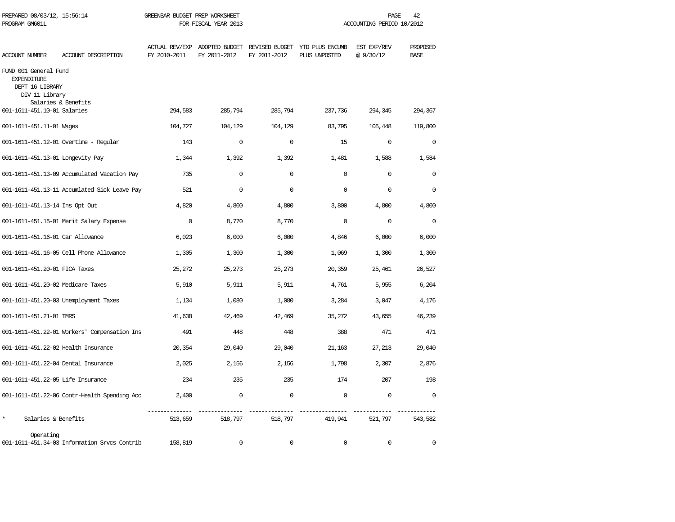| PREPARED 08/03/12, 15:56:14<br>PROGRAM GM601L                                    |                                              | GREENBAR BUDGET PREP WORKSHEET<br>FOR FISCAL YEAR 2013 |                                               |              |                                                 | PAGE<br>42<br>ACCOUNTING PERIOD 10/2012 |                         |
|----------------------------------------------------------------------------------|----------------------------------------------|--------------------------------------------------------|-----------------------------------------------|--------------|-------------------------------------------------|-----------------------------------------|-------------------------|
| <b>ACCOUNT NUMBER</b>                                                            | ACCOUNT DESCRIPTION                          | FY 2010-2011                                           | ACTUAL REV/EXP ADOPTED BUDGET<br>FY 2011-2012 | FY 2011-2012 | REVISED BUDGET YTD PLUS ENCUMB<br>PLUS UNPOSTED | EST EXP/REV<br>@9/30/12                 | PROPOSED<br><b>BASE</b> |
| FUND 001 General Fund<br><b>EXPENDITURE</b><br>DEPT 16 LIBRARY<br>DIV 11 Library |                                              |                                                        |                                               |              |                                                 |                                         |                         |
| 001-1611-451.10-01 Salaries                                                      | Salaries & Benefits                          | 294,583                                                | 285,794                                       | 285,794      | 237,736                                         | 294,345                                 | 294,367                 |
| 001-1611-451.11-01 Wages                                                         |                                              | 104,727                                                | 104,129                                       | 104,129      | 83,795                                          | 105,448                                 | 119,800                 |
|                                                                                  | 001-1611-451.12-01 Overtime - Regular        | 143                                                    | $\mathbf 0$                                   | $\mathbf 0$  | 15                                              | 0                                       | $\mathbf 0$             |
| 001-1611-451.13-01 Longevity Pay                                                 |                                              | 1,344                                                  | 1,392                                         | 1,392        | 1,481                                           | 1,588                                   | 1,584                   |
|                                                                                  | 001-1611-451.13-09 Accumulated Vacation Pay  | 735                                                    | $\Omega$                                      | $\Omega$     | $\Omega$                                        | $\Omega$                                | $\Omega$                |
|                                                                                  | 001-1611-451.13-11 Accumlated Sick Leave Pay | 521                                                    | $\Omega$                                      | $\Omega$     | $\Omega$                                        | $\Omega$                                | $\Omega$                |
| 001-1611-451.13-14 Ins Opt Out                                                   |                                              | 4,820                                                  | 4,800                                         | 4,800        | 3,800                                           | 4,800                                   | 4,800                   |
|                                                                                  | 001-1611-451.15-01 Merit Salary Expense      | $\mathbf 0$                                            | 8,770                                         | 8,770        | $\Omega$                                        | $\Omega$                                | $\Omega$                |
| 001-1611-451.16-01 Car Allowance                                                 |                                              | 6,023                                                  | 6,000                                         | 6,000        | 4,846                                           | 6,000                                   | 6,000                   |
|                                                                                  | 001-1611-451.16-05 Cell Phone Allowance      | 1,305                                                  | 1,300                                         | 1,300        | 1,069                                           | 1,300                                   | 1,300                   |
| 001-1611-451.20-01 FICA Taxes                                                    |                                              | 25,272                                                 | 25,273                                        | 25,273       | 20,359                                          | 25,461                                  | 26,527                  |
| 001-1611-451.20-02 Medicare Taxes                                                |                                              | 5,910                                                  | 5,911                                         | 5,911        | 4,761                                           | 5,955                                   | 6,204                   |
|                                                                                  | 001-1611-451.20-03 Unemployment Taxes        | 1,134                                                  | 1,080                                         | 1,080        | 3,284                                           | 3,047                                   | 4,176                   |
| 001-1611-451.21-01 TMRS                                                          |                                              | 41,638                                                 | 42,469                                        | 42,469       | 35,272                                          | 43,655                                  | 46,239                  |
|                                                                                  | 001-1611-451.22-01 Workers' Compensation Ins | 491                                                    | 448                                           | 448          | 388                                             | 471                                     | 471                     |
| 001-1611-451.22-02 Health Insurance                                              |                                              | 20,354                                                 | 29,040                                        | 29,040       | 21,163                                          | 27,213                                  | 29,040                  |
| 001-1611-451.22-04 Dental Insurance                                              |                                              | 2,025                                                  | 2,156                                         | 2,156        | 1,798                                           | 2,307                                   | 2,876                   |
| 001-1611-451.22-05 Life Insurance                                                |                                              | 234                                                    | 235                                           | 235          | 174                                             | 207                                     | 198                     |
|                                                                                  | 001-1611-451.22-06 Contr-Health Spending Acc | 2,400                                                  | $\mathbf 0$                                   | $\mathbf 0$  | $\mathbf 0$                                     | $\mathbf 0$                             | $\Omega$                |
| Salaries & Benefits                                                              |                                              | 513,659                                                | 518,797                                       | 518,797      | 419,941                                         | 521,797                                 | 543,582                 |
| Operating                                                                        | 001-1611-451.34-03 Information Srvcs Contrib | 158,819                                                | $\mathbf 0$                                   | $\Omega$     | $\mathbf 0$                                     | $\mathbf 0$                             | $\mathbf 0$             |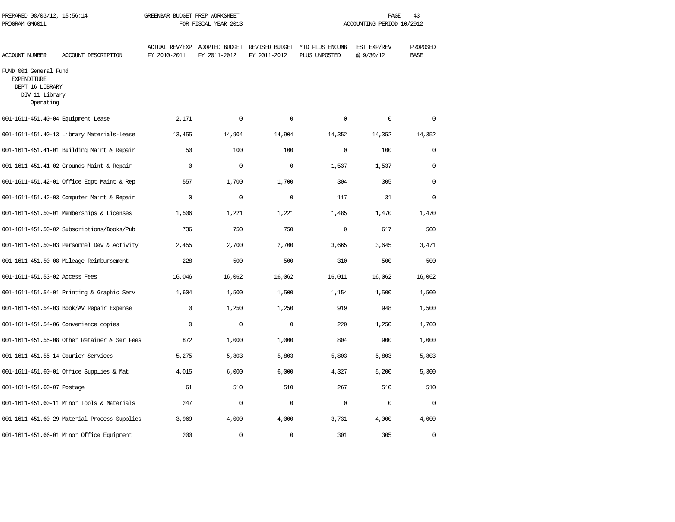| PREPARED 08/03/12, 15:56:14<br>PROGRAM GM601L                                                 |                                              | GREENBAR BUDGET PREP WORKSHEET | FOR FISCAL YEAR 2013 |              |                                                                               | PAGE<br>ACCOUNTING PERIOD 10/2012 | 43                      |
|-----------------------------------------------------------------------------------------------|----------------------------------------------|--------------------------------|----------------------|--------------|-------------------------------------------------------------------------------|-----------------------------------|-------------------------|
| <b>ACCOUNT NUMBER</b>                                                                         | ACCOUNT DESCRIPTION                          | FY 2010-2011                   | FY 2011-2012         | FY 2011-2012 | ACTUAL REV/EXP ADOPTED BUDGET REVISED BUDGET YTD PLUS ENCUMB<br>PLUS UNPOSTED | EST EXP/REV<br>@9/30/12           | PROPOSED<br><b>BASE</b> |
| FUND 001 General Fund<br><b>EXPENDITURE</b><br>DEPT 16 LIBRARY<br>DIV 11 Library<br>Operating |                                              |                                |                      |              |                                                                               |                                   |                         |
| 001-1611-451.40-04 Equipment Lease                                                            |                                              | 2,171                          | $\mathbf 0$          | $\mathbf 0$  | $\mathbf 0$                                                                   | $\mathbf 0$                       | $\mathbf 0$             |
|                                                                                               | 001-1611-451.40-13 Library Materials-Lease   | 13,455                         | 14,904               | 14,904       | 14,352                                                                        | 14,352                            | 14,352                  |
|                                                                                               | 001-1611-451.41-01 Building Maint & Repair   | 50                             | 100                  | 100          | $\mathbf{0}$                                                                  | 100                               | $\mathbf 0$             |
|                                                                                               | 001-1611-451.41-02 Grounds Maint & Repair    | $\mathbf 0$                    | $\mathbf 0$          | $\mathbf 0$  | 1,537                                                                         | 1,537                             | $\mathbf 0$             |
|                                                                                               | 001-1611-451.42-01 Office Eqpt Maint & Rep   | 557                            | 1,700                | 1,700        | 304                                                                           | 305                               | $\mathbf 0$             |
|                                                                                               | 001-1611-451.42-03 Computer Maint & Repair   | $\mathbf 0$                    | $\mathbf 0$          | $\mathbf 0$  | 117                                                                           | 31                                | $\mathbf 0$             |
|                                                                                               | 001-1611-451.50-01 Memberships & Licenses    | 1,506                          | 1,221                | 1,221        | 1,485                                                                         | 1,470                             | 1,470                   |
|                                                                                               | 001-1611-451.50-02 Subscriptions/Books/Pub   | 736                            | 750                  | 750          | $\mathbf 0$                                                                   | 617                               | 500                     |
|                                                                                               | 001-1611-451.50-03 Personnel Dev & Activity  | 2,455                          | 2,700                | 2,700        | 3,665                                                                         | 3,645                             | 3,471                   |
|                                                                                               | 001-1611-451.50-08 Mileage Reimbursement     | 228                            | 500                  | 500          | 310                                                                           | 500                               | 500                     |
| 001-1611-451.53-02 Access Fees                                                                |                                              | 16,046                         | 16,062               | 16,062       | 16,011                                                                        | 16,062                            | 16,062                  |
|                                                                                               | 001-1611-451.54-01 Printing & Graphic Serv   | 1,604                          | 1,500                | 1,500        | 1,154                                                                         | 1,500                             | 1,500                   |
|                                                                                               | 001-1611-451.54-03 Book/AV Repair Expense    | $\mathbf 0$                    | 1,250                | 1,250        | 919                                                                           | 948                               | 1,500                   |
|                                                                                               | 001-1611-451.54-06 Convenience copies        | $\Omega$                       | $\mathbf 0$          | $\mathbf 0$  | 220                                                                           | 1,250                             | 1,700                   |
|                                                                                               | 001-1611-451.55-08 Other Retainer & Ser Fees | 872                            | 1,000                | 1,000        | 804                                                                           | 900                               | 1,000                   |
| 001-1611-451.55-14 Courier Services                                                           |                                              | 5,275                          | 5,803                | 5,803        | 5,803                                                                         | 5,803                             | 5,803                   |
|                                                                                               | 001-1611-451.60-01 Office Supplies & Mat     | 4,015                          | 6,000                | 6,000        | 4,327                                                                         | 5,200                             | 5,300                   |
| 001-1611-451.60-07 Postage                                                                    |                                              | 61                             | 510                  | 510          | 267                                                                           | 510                               | 510                     |
|                                                                                               | 001-1611-451.60-11 Minor Tools & Materials   | 247                            | $\Omega$             | $\mathbf 0$  | $\Omega$                                                                      | $\Omega$                          | $\Omega$                |
|                                                                                               | 001-1611-451.60-29 Material Process Supplies | 3,969                          | 4,000                | 4,000        | 3,731                                                                         | 4,000                             | 4,000                   |
|                                                                                               | 001-1611-451.66-01 Minor Office Equipment    | 200                            | $\mathbf 0$          | $\mathbf 0$  | 301                                                                           | 305                               | $\mathbf 0$             |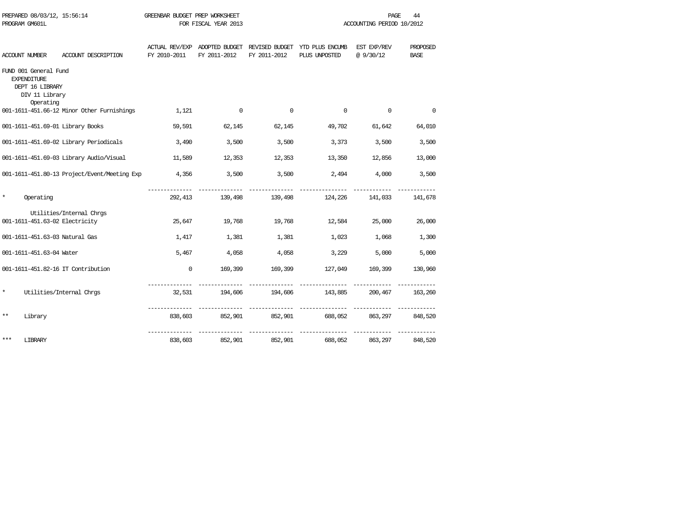| PROGRAM GM601L |                                                                                               |                                                            | FOR FISCAL YEAR 2013 |                          |                               | ACCOUNTING PERIOD 10/2012                                                     |                         |                         |  |
|----------------|-----------------------------------------------------------------------------------------------|------------------------------------------------------------|----------------------|--------------------------|-------------------------------|-------------------------------------------------------------------------------|-------------------------|-------------------------|--|
|                | ACCOUNT NUMBER                                                                                | ACCOUNT DESCRIPTION                                        | FY 2010-2011         | FY 2011-2012             | FY 2011-2012                  | ACTUAL REV/EXP ADOPTED BUDGET REVISED BUDGET YTD PLUS ENCUMB<br>PLUS UNPOSTED | EST EXP/REV<br>@9/30/12 | PROPOSED<br><b>BASE</b> |  |
|                | FUND 001 General Fund<br><b>EXPENDITURE</b><br>DEPT 16 LIBRARY<br>DIV 11 Library<br>Operating |                                                            |                      |                          |                               |                                                                               |                         |                         |  |
|                |                                                                                               | 001-1611-451.66-12 Minor Other Furnishings                 | 1,121                | $\overline{\phantom{0}}$ | $\overline{0}$                | $\mathbf 0$                                                                   | $\Omega$                | $\mathbf 0$             |  |
|                |                                                                                               | 001-1611-451.69-01 Library Books                           | 59,591               | 62,145                   | 62,145                        | 49,702                                                                        | 61,642                  | 64,010                  |  |
|                |                                                                                               | 001-1611-451.69-02 Library Periodicals                     | 3,490                | 3,500                    | 3,500                         | 3,373                                                                         | 3,500                   | 3,500                   |  |
|                |                                                                                               | 001-1611-451.69-03 Library Audio/Visual                    | 11,589               | 12,353                   | 12,353                        | 13,350                                                                        | 12,856                  | 13,000                  |  |
|                |                                                                                               | 001-1611-451.80-13 Project/Event/Meeting Exp               | 4,356                | 3,500                    | 3,500                         | 2,494                                                                         | 4,000                   | 3,500                   |  |
| $^\star$       | Operating                                                                                     |                                                            |                      |                          |                               | 292.413 139.498 139.498 124.226                                               | 141,033                 | 141,678                 |  |
|                |                                                                                               | Utilities/Internal Chrgs<br>001-1611-451.63-02 Electricity | 25,647               | 19,768                   |                               | 19,768 12,584                                                                 | 25,000                  | 26,000                  |  |
|                |                                                                                               | 001-1611-451.63-03 Natural Gas                             | 1,417                | 1,381                    | 1,381                         | 1,023                                                                         | 1,068                   | 1,300                   |  |
|                | 001-1611-451.63-04 Water                                                                      |                                                            | 5,467                | 4,058                    | 4,058                         | 3,229                                                                         | 5,000                   | 5,000                   |  |
|                |                                                                                               | 001-1611-451.82-16 IT Contribution                         | $\mathbf{0}$         | 169,399                  |                               | 169,399 127,049 169,399                                                       |                         | 130,960                 |  |
| $\star$        |                                                                                               | Utilities/Internal Chros                                   |                      |                          |                               | $32,531$ $194,606$ $194,606$ $143,885$ $200,467$ $163,260$                    |                         |                         |  |
| $***$          | Library                                                                                       |                                                            |                      |                          | --------------- ------------- | 838,603 852,901 852,901 688,052                                               | 863,297                 | 848,520                 |  |
| $***$          | LIBRARY                                                                                       |                                                            |                      | 838,603 852,901          |                               | 852,901 688,052                                                               | 863,297                 | 848,520                 |  |

PREPARED 08/03/12, 15:56:14 GREENBAR BUDGET PREP WORKSHEET **FREED ACTION** PAGE 44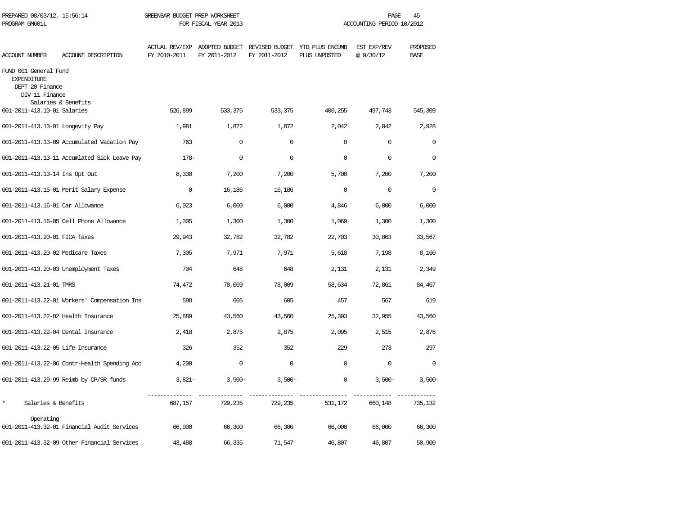| PREPARED 08/03/12, 15:56:14<br>PROGRAM GM601L                                    |                                              | GREENBAR BUDGET PREP WORKSHEET | FOR FISCAL YEAR 2013                          |              |                                                 | PAGE<br>45<br>ACCOUNTING PERIOD 10/2012 |                         |  |  |
|----------------------------------------------------------------------------------|----------------------------------------------|--------------------------------|-----------------------------------------------|--------------|-------------------------------------------------|-----------------------------------------|-------------------------|--|--|
| ACCOUNT NUMBER                                                                   | ACCOUNT DESCRIPTION                          | FY 2010-2011                   | ACTUAL REV/EXP ADOPTED BUDGET<br>FY 2011-2012 | FY 2011-2012 | REVISED BUDGET YTD PLUS ENCUMB<br>PLUS UNPOSTED | EST EXP/REV<br>@9/30/12                 | PROPOSED<br><b>BASE</b> |  |  |
| FUND 001 General Fund<br><b>EXPENDITURE</b><br>DEPT 20 Finance<br>DIV 11 Finance |                                              |                                |                                               |              |                                                 |                                         |                         |  |  |
| 001-2011-413.10-01 Salaries                                                      | Salaries & Benefits                          | 526,899                        | 533,375                                       | 533,375      | 400,255                                         | 497,743                                 | 545,309                 |  |  |
| 001-2011-413.13-01 Longevity Pay                                                 |                                              | 1,981                          | 1,872                                         | 1,872        | 2,042                                           | 2,042                                   | 2,928                   |  |  |
|                                                                                  | 001-2011-413.13-09 Accumulated Vacation Pay  | 763                            | $\mathbf 0$                                   | $\Omega$     | $\Omega$                                        | $\mathbf 0$                             | $\Omega$                |  |  |
|                                                                                  | 001-2011-413.13-11 Accumlated Sick Leave Pay | $178-$                         | $\Omega$                                      | $\Omega$     | $\Omega$                                        | $\Omega$                                | $\Omega$                |  |  |
| 001-2011-413.13-14 Ins Opt Out                                                   |                                              | 8,330                          | 7,200                                         | 7,200        | 5,700                                           | 7,200                                   | 7,200                   |  |  |
|                                                                                  | 001-2011-413.15-01 Merit Salary Expense      | $\mathbf 0$                    | 16,186                                        | 16,186       | $\mathbf 0$                                     | $\mathbf 0$                             | $\mathbf 0$             |  |  |
| 001-2011-413.16-01 Car Allowance                                                 |                                              | 6,023                          | 6,000                                         | 6,000        | 4,846                                           | 6,000                                   | 6,000                   |  |  |
|                                                                                  | 001-2011-413.16-05 Cell Phone Allowance      | 1,305                          | 1,300                                         | 1,300        | 1,069                                           | 1,300                                   | 1,300                   |  |  |
| 001-2011-413.20-01 FICA Taxes                                                    |                                              | 29,943                         | 32,782                                        | 32,782       | 22,703                                          | 30,863                                  | 33,567                  |  |  |
| 001-2011-413.20-02 Medicare Taxes                                                |                                              | 7,305                          | 7,971                                         | 7,971        | 5,618                                           | 7,198                                   | 8,160                   |  |  |
|                                                                                  | 001-2011-413.20-03 Unemployment Taxes        | 704                            | 648                                           | 648          | 2,131                                           | 2,131                                   | 2,349                   |  |  |
| 001-2011-413.21-01 TMRS                                                          |                                              | 74,472                         | 78,009                                        | 78,009       | 58,634                                          | 72,861                                  | 84,467                  |  |  |
|                                                                                  | 001-2011-413.22-01 Workers' Compensation Ins | 598                            | 605                                           | 605          | 457                                             | 567                                     | 619                     |  |  |
| 001-2011-413.22-02 Health Insurance                                              |                                              | 25,889                         | 43,560                                        | 43,560       | 25,393                                          | 32,955                                  | 43,560                  |  |  |
| 001-2011-413.22-04 Dental Insurance                                              |                                              | 2,418                          | 2,875                                         | 2,875        | 2,095                                           | 2,515                                   | 2,876                   |  |  |
| 001-2011-413.22-05 Life Insurance                                                |                                              | 326                            | 352                                           | 352          | 229                                             | 273                                     | 297                     |  |  |
|                                                                                  | 001-2011-413.22-06 Contr-Health Spending Acc | 4,200                          | $\mathbf 0$                                   | $\Omega$     | $\Omega$                                        | $\mathbf 0$                             | $\Omega$                |  |  |
|                                                                                  | 001-2011-413.29-99 Reimb by CP/SR funds      | $3,821-$                       | $3,500-$                                      | $3,500-$     | $\mathbf 0$                                     | $3,500-$                                | $3,500-$                |  |  |
| $\star$<br>Salaries & Benefits                                                   |                                              | 687,157                        | 729,235                                       | 729,235      | 531,172                                         | 660,148                                 | 735,132                 |  |  |
| Operating                                                                        | 001-2011-413.32-01 Financial Audit Services  | 66,000                         | 66,300                                        | 66,300       | 66,000                                          | 66,000                                  | 66,300                  |  |  |
|                                                                                  | 001-2011-413.32-09 Other Financial Services  | 43,488                         | 66,335                                        | 71,547       | 46,807                                          | 46,807                                  | 50,900                  |  |  |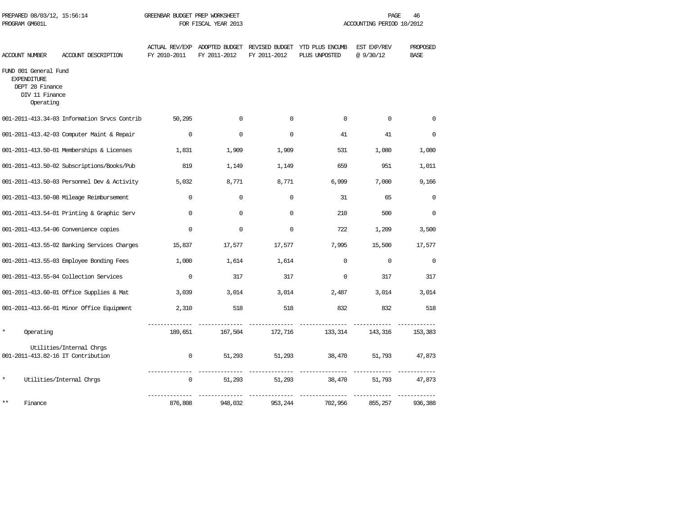| PROGRAM GM601L                                                                                |                                                                | FOR FISCAL YEAR 2013                  |              |              | ACCOUNTING PERIOD 10/2012                                      |                          |                         |  |
|-----------------------------------------------------------------------------------------------|----------------------------------------------------------------|---------------------------------------|--------------|--------------|----------------------------------------------------------------|--------------------------|-------------------------|--|
| ACCOUNT NUMBER                                                                                | ACCOUNT DESCRIPTION                                            | <b>ACTUAL REV/EXP</b><br>FY 2010-2011 | FY 2011-2012 | FY 2011-2012 | ADOPTED BUDGET REVISED BUDGET YTD PLUS ENCUMB<br>PLUS UNPOSTED | EST EXP/REV<br>@ 9/30/12 | PROPOSED<br><b>BASE</b> |  |
| FUND 001 General Fund<br><b>EXPENDITURE</b><br>DEPT 20 Finance<br>DIV 11 Finance<br>Operating |                                                                |                                       |              |              |                                                                |                          |                         |  |
|                                                                                               | 001-2011-413.34-03 Information Srvcs Contrib                   | 50,295                                | $\mathbf 0$  | $\mathbf 0$  | $\mathbf 0$                                                    | $\mathbf 0$              | $\mathbf 0$             |  |
|                                                                                               | 001-2011-413.42-03 Computer Maint & Repair                     | $\mathbf 0$                           | $\mathbf 0$  | $\mathbf 0$  | 41                                                             | 41                       | $\mathbf 0$             |  |
|                                                                                               | 001-2011-413.50-01 Memberships & Licenses                      | 1,831                                 | 1,909        | 1,909        | 531                                                            | 1,080                    | 1,080                   |  |
|                                                                                               | 001-2011-413.50-02 Subscriptions/Books/Pub                     | 819                                   | 1,149        | 1,149        | 659                                                            | 951                      | 1,011                   |  |
|                                                                                               | 001-2011-413.50-03 Personnel Dev & Activity                    | 5,032                                 | 8,771        | 8,771        | 6,999                                                          | 7,000                    | 9,166                   |  |
|                                                                                               | 001-2011-413.50-08 Mileage Reimbursement                       | $\mathbf 0$                           | 0            | $\mathbf 0$  | 31                                                             | 65                       | 0                       |  |
|                                                                                               | 001-2011-413.54-01 Printing & Graphic Serv                     | $\mathbf 0$                           | $\mathbf 0$  | $\mathbf 0$  | 210                                                            | 500                      | $\mathbf 0$             |  |
|                                                                                               | 001-2011-413.54-06 Convenience copies                          | $\Omega$                              | $\Omega$     | $\Omega$     | 722                                                            | 1,209                    | 3,500                   |  |
|                                                                                               | 001-2011-413.55-02 Banking Services Charges                    | 15,837                                | 17,577       | 17,577       | 7,995                                                          | 15,500                   | 17,577                  |  |
|                                                                                               | 001-2011-413.55-03 Employee Bonding Fees                       | 1,000                                 | 1,614        | 1,614        | $\Omega$                                                       | $\Omega$                 | $\Omega$                |  |
|                                                                                               | 001-2011-413.55-04 Collection Services                         | $\Omega$                              | 317          | 317          | $\Omega$                                                       | 317                      | 317                     |  |
|                                                                                               | 001-2011-413.60-01 Office Supplies & Mat                       | 3,039                                 | 3,014        | 3,014        | 2,487                                                          | 3,014                    | 3,014                   |  |
|                                                                                               | 001-2011-413.66-01 Minor Office Equipment                      | 2,310                                 | 518          | 518          | 832                                                            | 832                      | 518                     |  |
| *<br>Operating                                                                                |                                                                | 189,651                               | 167,504      | 172,716      | 133,314                                                        | 143,316                  | 153,383                 |  |
|                                                                                               | Utilities/Internal Chrgs<br>001-2011-413.82-16 IT Contribution | $\mathbf 0$                           | 51,293       | 51,293       | 38,470                                                         | 51,793                   | 47,873                  |  |
| *                                                                                             | Utilities/Internal Chrgs                                       | 0                                     | 51,293       | 51,293       | 38,470                                                         | 51,793                   | 47,873                  |  |
| $***$<br>Finance                                                                              |                                                                | 876,808                               | 948,032      | 953,244      | 702,956                                                        | 855,257                  | 936,388                 |  |

PREPARED 08/03/12, 15:56:14 GREENBAR BUDGET PREP WORKSHEET **CHANNEL CONSTRUSS OF A SET ASSET** 46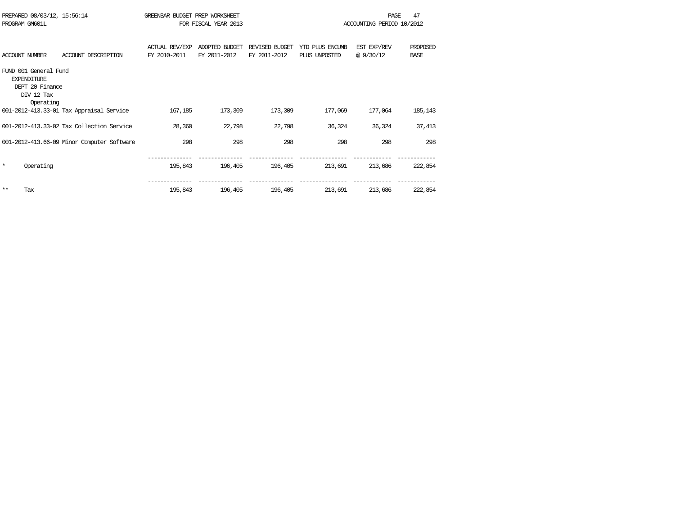| PREPARED 08/03/12, 15:56:14 |                                            | GREENBAR BUDGET PREP WORKSHEET |                      |                |                 | PAGE                      | 47          |
|-----------------------------|--------------------------------------------|--------------------------------|----------------------|----------------|-----------------|---------------------------|-------------|
| PROGRAM GM601L              |                                            |                                | FOR FISCAL YEAR 2013 |                |                 | ACCOUNTING PERIOD 10/2012 |             |
|                             |                                            |                                |                      |                |                 |                           |             |
|                             |                                            | <b>ACTUAL REV/EXP</b>          | ADOPTED BUDGET       | REVISED BUDGET | YTD PLUS ENCUMB | EST EXP/REV               | PROPOSED    |
| ACCOUNT NUMBER              | ACCOUNT DESCRIPTION                        | FY 2010-2011                   | FY 2011-2012         | FY 2011-2012   | PLUS UNPOSTED   | @9/30/12                  | <b>BASE</b> |
| FUND 001 General Fund       |                                            |                                |                      |                |                 |                           |             |
| <b>EXPENDITURE</b>          |                                            |                                |                      |                |                 |                           |             |
| DEPT 20 Finance             |                                            |                                |                      |                |                 |                           |             |
| DIV 12 Tax                  |                                            |                                |                      |                |                 |                           |             |
| Operating                   |                                            |                                |                      |                |                 |                           |             |
|                             | 001-2012-413.33-01 Tax Appraisal Service   | 167,185                        | 173,309              | 173,309        | 177,069         | 177,064                   | 185,143     |
|                             | 001-2012-413.33-02 Tax Collection Service  | 28,360                         | 22,798               | 22,798         | 36,324          | 36,324                    | 37,413      |
|                             |                                            |                                |                      |                |                 |                           |             |
|                             | 001-2012-413.66-09 Minor Computer Software | 298                            | 298                  | 298            | 298             | 298                       | 298         |
|                             |                                            |                                |                      |                |                 |                           |             |
| $\star$<br>Operating        |                                            | 195,843                        | 196,405              | 196,405        | 213,691         | 213,686                   | 222,854     |
|                             |                                            |                                |                      |                |                 |                           |             |
|                             |                                            |                                |                      |                |                 |                           |             |
| $***$<br>Tax                |                                            | 195,843                        | 196,405              | 196,405        | 213,691         | 213,686                   | 222,854     |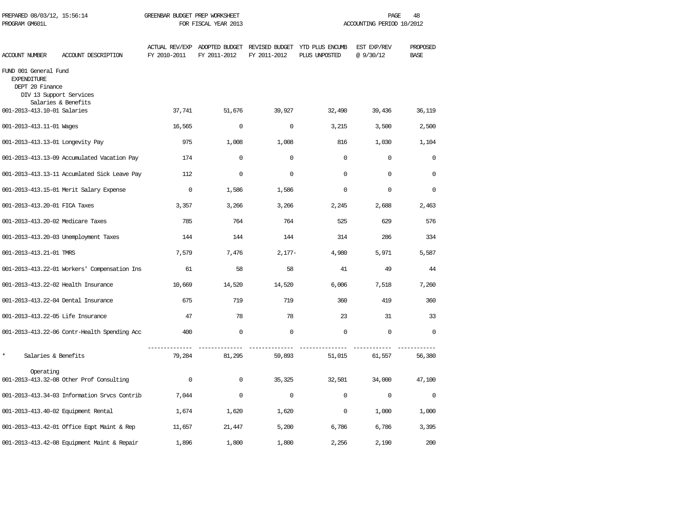| PREPARED 08/03/12, 15:56:14<br>PROGRAM GM601L                                             |                                              | GREENBAR BUDGET PREP WORKSHEET | FOR FISCAL YEAR 2013 |              |                                                                               | PAGE<br>ACCOUNTING PERIOD 10/2012 | 48                      |
|-------------------------------------------------------------------------------------------|----------------------------------------------|--------------------------------|----------------------|--------------|-------------------------------------------------------------------------------|-----------------------------------|-------------------------|
| ACCOUNT NUMBER                                                                            | ACCOUNT DESCRIPTION                          | FY 2010-2011                   | FY 2011-2012         | FY 2011-2012 | ACTUAL REV/EXP ADOPTED BUDGET REVISED BUDGET YTD PLUS ENCUMB<br>PLUS UNPOSTED | EST EXP/REV<br>@9/30/12           | PROPOSED<br><b>BASE</b> |
| FUND 001 General Fund<br><b>EXPENDITURE</b><br>DEPT 20 Finance<br>DIV 13 Support Services | Salaries & Benefits                          |                                |                      |              |                                                                               |                                   |                         |
| 001-2013-413.10-01 Salaries                                                               |                                              | 37,741                         | 51,676               | 39,927       | 32,490                                                                        | 39,436                            | 36,119                  |
| 001-2013-413.11-01 Wages                                                                  |                                              | 16,565                         | $\Omega$             | $\Omega$     | 3,215                                                                         | 3,500                             | 2,500                   |
| 001-2013-413.13-01 Longevity Pay                                                          |                                              | 975                            | 1,008                | 1,008        | 816                                                                           | 1,030                             | 1,104                   |
|                                                                                           | 001-2013-413.13-09 Accumulated Vacation Pay  | 174                            | $\mathbf 0$          | $\mathbf 0$  | $\mathbf 0$                                                                   | $\mathbf 0$                       | $\mathbf 0$             |
|                                                                                           | 001-2013-413.13-11 Accumlated Sick Leave Pay | 112                            | $\mathbf 0$          | $\mathbf 0$  | $\mathbf 0$                                                                   | $\Omega$                          | $\mathbf 0$             |
|                                                                                           | 001-2013-413.15-01 Merit Salary Expense      | $\mathbf 0$                    | 1,586                | 1,586        | $\Omega$                                                                      | $\Omega$                          | $\Omega$                |
| 001-2013-413.20-01 FICA Taxes                                                             |                                              | 3,357                          | 3,266                | 3,266        | 2,245                                                                         | 2,688                             | 2,463                   |
| 001-2013-413.20-02 Medicare Taxes                                                         |                                              | 785                            | 764                  | 764          | 525                                                                           | 629                               | 576                     |
|                                                                                           | 001-2013-413.20-03 Unemployment Taxes        | 144                            | 144                  | 144          | 314                                                                           | 286                               | 334                     |
| 001-2013-413.21-01 TMRS                                                                   |                                              | 7,579                          | 7,476                | $2,177-$     | 4,980                                                                         | 5,971                             | 5,587                   |
|                                                                                           | 001-2013-413.22-01 Workers' Compensation Ins | 61                             | 58                   | 58           | 41                                                                            | 49                                | 44                      |
| 001-2013-413.22-02 Health Insurance                                                       |                                              | 10,669                         | 14,520               | 14,520       | 6,006                                                                         | 7,518                             | 7,260                   |
| 001-2013-413.22-04 Dental Insurance                                                       |                                              | 675                            | 719                  | 719          | 360                                                                           | 419                               | 360                     |
| 001-2013-413.22-05 Life Insurance                                                         |                                              | 47                             | 78                   | 78           | 23                                                                            | 31                                | 33                      |
|                                                                                           | 001-2013-413.22-06 Contr-Health Spending Acc | 400                            | $\mathbf 0$          | $\Omega$     | $\Omega$                                                                      | $\Omega$                          | $\Omega$                |
| $\star$<br>Salaries & Benefits                                                            |                                              | 79,284                         | 81,295               | 59,893       | 51,015                                                                        | 61,557                            | 56,380                  |
| Operating                                                                                 | 001-2013-413.32-08 Other Prof Consulting     | $\mathbf 0$                    | $\mathbf 0$          | 35,325       | 32,501                                                                        | 34,000                            | 47,100                  |
|                                                                                           | 001-2013-413.34-03 Information Srvcs Contrib | 7,044                          | $\mathbf 0$          | $\Omega$     | $\Omega$                                                                      | $\Omega$                          | $\Omega$                |
| 001-2013-413.40-02 Equipment Rental                                                       |                                              | 1,674                          | 1,620                | 1,620        | 0                                                                             | 1,000                             | 1,000                   |
|                                                                                           | 001-2013-413.42-01 Office Eqpt Maint & Rep   | 11,657                         | 21,447               | 5,200        | 6,786                                                                         | 6,786                             | 3,395                   |
|                                                                                           | 001-2013-413.42-08 Equipment Maint & Repair  | 1,896                          | 1,800                | 1,800        | 2,256                                                                         | 2,190                             | 200                     |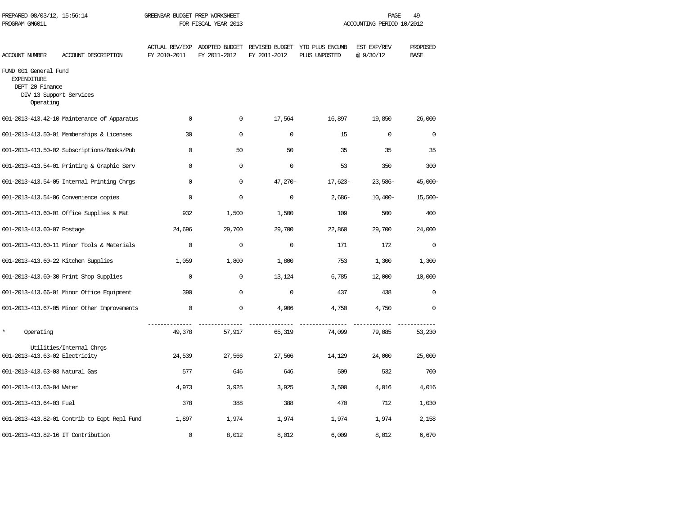| PREPARED 08/03/12, 15:56:14<br>GREENBAR BUDGET PREP WORKSHEET<br>PROGRAM GM601L<br>FOR FISCAL YEAR 2013 |                                              |              |                                                              | 49<br>PAGE<br>ACCOUNTING PERIOD 10/2012 |                                  |                         |                         |
|---------------------------------------------------------------------------------------------------------|----------------------------------------------|--------------|--------------------------------------------------------------|-----------------------------------------|----------------------------------|-------------------------|-------------------------|
| ACCOUNT NUMBER                                                                                          | ACCOUNT DESCRIPTION                          | FY 2010-2011 | ACTUAL REV/EXP ADOPTED BUDGET REVISED BUDGET<br>FY 2011-2012 | FY 2011-2012                            | YTD PLUS ENCUMB<br>PLUS UNPOSTED | EST EXP/REV<br>@9/30/12 | PROPOSED<br><b>BASE</b> |
| FUND 001 General Fund<br><b>EXPENDITURE</b><br>DEPT 20 Finance<br>DIV 13 Support Services<br>Operating  |                                              |              |                                                              |                                         |                                  |                         |                         |
|                                                                                                         | 001-2013-413.42-10 Maintenance of Apparatus  | $\mathbf 0$  | 0                                                            | 17,564                                  | 16,897                           | 19,850                  | 26,000                  |
|                                                                                                         | 001-2013-413.50-01 Memberships & Licenses    | 30           | $\Omega$                                                     | $\Omega$                                | 15                               | $\Omega$                | $\Omega$                |
|                                                                                                         | 001-2013-413.50-02 Subscriptions/Books/Pub   | $\Omega$     | 50                                                           | 50                                      | 35                               | 35                      | 35                      |
|                                                                                                         | 001-2013-413.54-01 Printing & Graphic Serv   | $\Omega$     | $\Omega$                                                     | $\Omega$                                | 53                               | 350                     | 300                     |
|                                                                                                         | 001-2013-413.54-05 Internal Printing Chrgs   | $\Omega$     | $\Omega$                                                     | $47,270-$                               | 17,623-                          | $23,586-$               | $45,000-$               |
|                                                                                                         | 001-2013-413.54-06 Convenience copies        | $\Omega$     | $\mathbf 0$                                                  | $\mathbf 0$                             | $2,686-$                         | $10,400-$               | $15,500-$               |
|                                                                                                         | 001-2013-413.60-01 Office Supplies & Mat     | 932          | 1,500                                                        | 1,500                                   | 109                              | 500                     | 400                     |
| 001-2013-413.60-07 Postage                                                                              |                                              | 24,696       | 29,700                                                       | 29,700                                  | 22,860                           | 29,700                  | 24,000                  |
|                                                                                                         | 001-2013-413.60-11 Minor Tools & Materials   | $\mathbf 0$  | $\mathbf 0$                                                  | $\mathbf 0$                             | 171                              | 172                     | $\mathbf 0$             |
|                                                                                                         | 001-2013-413.60-22 Kitchen Supplies          | 1,059        | 1,800                                                        | 1,800                                   | 753                              | 1,300                   | 1,300                   |
|                                                                                                         | 001-2013-413.60-30 Print Shop Supplies       | $\Omega$     | 0                                                            | 13,124                                  | 6,785                            | 12,000                  | 10,000                  |
|                                                                                                         | 001-2013-413.66-01 Minor Office Equipment    | 390          | $\Omega$                                                     | $\Omega$                                | 437                              | 438                     | $\Omega$                |
|                                                                                                         | 001-2013-413.67-05 Minor Other Improvements  | $\mathbf 0$  | $\mathbf 0$                                                  | 4,906                                   | 4,750                            | 4,750                   | $\mathbf 0$             |
| $\star$<br>Operating                                                                                    |                                              | 49,378       | ------- --------------<br>57,917                             | 65,319                                  | 74,099                           | 79,085                  | 53,230                  |
| 001-2013-413.63-02 Electricity                                                                          | Utilities/Internal Chrgs                     | 24,539       | 27,566                                                       | 27,566                                  | 14,129                           | 24,000                  | 25,000                  |
| 001-2013-413.63-03 Natural Gas                                                                          |                                              | 577          | 646                                                          | 646                                     | 509                              | 532                     | 700                     |
| 001-2013-413.63-04 Water                                                                                |                                              | 4,973        | 3,925                                                        | 3,925                                   | 3,500                            | 4,016                   | 4,016                   |
| 001-2013-413.64-03 Fuel                                                                                 |                                              | 378          | 388                                                          | 388                                     | 470                              | 712                     | 1,030                   |
|                                                                                                         | 001-2013-413.82-01 Contrib to Eqpt Repl Fund | 1,897        | 1,974                                                        | 1,974                                   | 1,974                            | 1,974                   | 2,158                   |
| 001-2013-413.82-16 IT Contribution                                                                      |                                              | $\mathbf 0$  | 8,012                                                        | 8,012                                   | 6,009                            | 8,012                   | 6,670                   |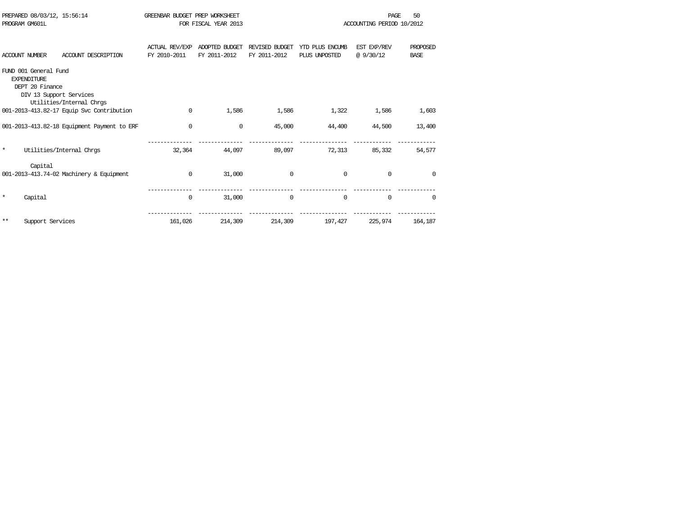|         | PREPARED 08/03/12, 15:56:14                                                               |                                             | GREENBAR BUDGET PREP WORKSHEET |                      |                |                 | PAGE                      | 50              |
|---------|-------------------------------------------------------------------------------------------|---------------------------------------------|--------------------------------|----------------------|----------------|-----------------|---------------------------|-----------------|
|         | PROGRAM GM601L                                                                            |                                             |                                | FOR FISCAL YEAR 2013 |                |                 | ACCOUNTING PERIOD 10/2012 |                 |
|         |                                                                                           |                                             |                                |                      |                |                 |                           |                 |
|         |                                                                                           |                                             | <b>ACTUAL REV/EXP</b>          | ADOPTED BUDGET       | REVISED BUDGET | YTD PLUS ENCUMB | EST EXP/REV               | <b>PROPOSED</b> |
|         | <b>ACCOUNT NUMBER</b>                                                                     | ACCOUNT DESCRIPTION                         | FY 2010-2011                   | FY 2011-2012         | FY 2011-2012   | PLUS UNPOSTED   | @9/30/12                  | <b>BASE</b>     |
|         | FUND 001 General Fund<br><b>EXPENDITURE</b><br>DEPT 20 Finance<br>DIV 13 Support Services | Utilities/Internal Chrgs                    |                                |                      |                |                 |                           |                 |
|         |                                                                                           | 001-2013-413.82-17 Equip Svc Contribution   | $\Omega$                       | 1,586                | 1,586          | 1,322           | 1,586                     | 1,603           |
|         |                                                                                           | 001-2013-413.82-18 Equipment Payment to ERF | $\mathbf 0$                    | 0                    | 45,000         | 44,400          | 44,500                    | 13,400          |
| $\star$ |                                                                                           | Utilities/Internal Chros                    | 32,364                         | 44,097               | 89,097         | 72,313          | 85,332                    | 54,577          |
|         | Capital                                                                                   | 001-2013-413.74-02 Machinery & Equipment    | $\mathbf 0$                    | 31,000               | $\Omega$       | $\Omega$        | $\Omega$                  | $\Omega$        |
| $\star$ | Capital                                                                                   |                                             | $\mathbf{0}$                   | 31,000               | $\Omega$       | $\Omega$        | $\Omega$                  | $\Omega$        |
| $***$   | Support Services                                                                          |                                             | 161,026                        | 214,309              | 214,309        | 197,427         | 225,974                   | 164,187         |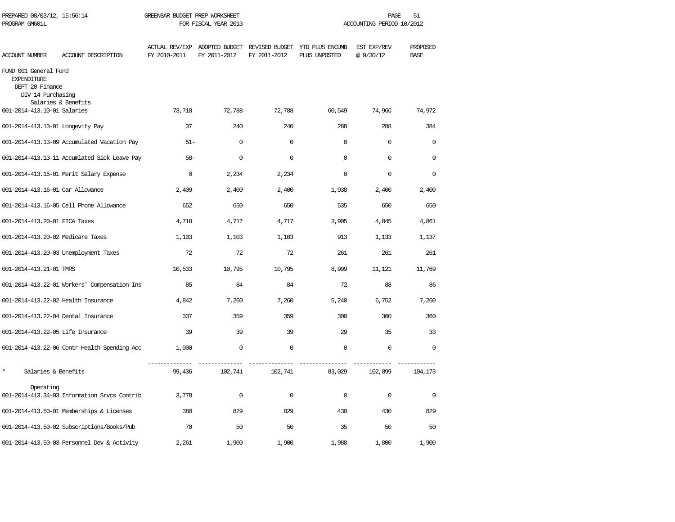| PREPARED 08/03/12, 15:56:14<br>PROGRAM GM601L                                       |                                              | GREENBAR BUDGET PREP WORKSHEET | FOR FISCAL YEAR 2013 |              |                                                                               | PAGE<br>ACCOUNTING PERIOD 10/2012 | 51                      |
|-------------------------------------------------------------------------------------|----------------------------------------------|--------------------------------|----------------------|--------------|-------------------------------------------------------------------------------|-----------------------------------|-------------------------|
| <b>ACCOUNT NUMBER</b>                                                               | ACCOUNT DESCRIPTION                          | FY 2010-2011                   | FY 2011-2012         | FY 2011-2012 | ACTUAL REV/EXP ADOPTED BUDGET REVISED BUDGET YTD PLUS ENCUMB<br>PLUS UNPOSTED | EST EXP/REV<br>@9/30/12           | PROPOSED<br><b>BASE</b> |
| FUND 001 General Fund<br><b>EXPENDITURE</b><br>DEPT 20 Finance<br>DIV 14 Purchasing | Salaries & Benefits                          |                                |                      |              |                                                                               |                                   |                         |
| 001-2014-413.10-01 Salaries                                                         |                                              | 73,718                         | 72,788               | 72,788       | 60,549                                                                        | 74,966                            | 74,972                  |
| 001-2014-413.13-01 Longevity Pay                                                    |                                              | 37                             | 240                  | 240          | 288                                                                           | 288                               | 384                     |
|                                                                                     | 001-2014-413.13-09 Accumulated Vacation Pay  | $51 -$                         | $\mathbf 0$          | $\mathbf 0$  | $\mathbf 0$                                                                   | $\mathbf 0$                       | $\mathbf 0$             |
|                                                                                     | 001-2014-413.13-11 Accumlated Sick Leave Pay | $58-$                          | $\mathbf 0$          | $\mathbf 0$  | $\mathbf 0$                                                                   | $\mathbf 0$                       | 0                       |
|                                                                                     | 001-2014-413.15-01 Merit Salary Expense      | $\mathbf 0$                    | 2,234                | 2,234        | $\mathbf 0$                                                                   | $\mathbf 0$                       | $\mathbf 0$             |
| 001-2014-413.16-01 Car Allowance                                                    |                                              | 2,409                          | 2,400                | 2,400        | 1,938                                                                         | 2,400                             | 2,400                   |
|                                                                                     | 001-2014-413.16-05 Cell Phone Allowance      | 652                            | 650                  | 650          | 535                                                                           | 650                               | 650                     |
| 001-2014-413.20-01 FICA Taxes                                                       |                                              | 4,718                          | 4,717                | 4,717        | 3,905                                                                         | 4,845                             | 4,861                   |
| 001-2014-413.20-02 Medicare Taxes                                                   |                                              | 1,103                          | 1,103                | 1,103        | 913                                                                           | 1,133                             | 1,137                   |
|                                                                                     | 001-2014-413.20-03 Unemployment Taxes        | 72                             | 72                   | 72           | 261                                                                           | 261                               | 261                     |
| 001-2014-413.21-01 TMRS                                                             |                                              | 10,533                         | 10,795               | 10,795       | 8,999                                                                         | 11,121                            | 11,769                  |
|                                                                                     | 001-2014-413.22-01 Workers' Compensation Ins | 85                             | 84                   | 84           | 72                                                                            | 88                                | 86                      |
| 001-2014-413.22-02 Health Insurance                                                 |                                              | 4,842                          | 7,260                | 7,260        | 5,240                                                                         | 6,752                             | 7,260                   |
| 001-2014-413.22-04 Dental Insurance                                                 |                                              | 337                            | 359                  | 359          | 300                                                                           | 360                               | 360                     |
| 001-2014-413.22-05 Life Insurance                                                   |                                              | 39                             | 39                   | 39           | 29                                                                            | 35                                | 33                      |
|                                                                                     | 001-2014-413.22-06 Contr-Health Spending Acc | 1,000                          | $\mathbf 0$          | $\mathbf 0$  | $\mathbf 0$                                                                   | $\mathbf 0$                       | $\mathbf 0$             |
| $\star$<br>Salaries & Benefits                                                      |                                              | 99,436                         | 102,741              | 102,741      | 83,029                                                                        | 102,899                           | 104,173                 |
| Operating                                                                           | 001-2014-413.34-03 Information Srvcs Contrib | 3,778                          | $\mathbf 0$          | 0            | $\mathbf 0$                                                                   | 0                                 | $\mathbf 0$             |
|                                                                                     | 001-2014-413.50-01 Memberships & Licenses    | 380                            | 829                  | 829          | 430                                                                           | 430                               | 829                     |
|                                                                                     | 001-2014-413.50-02 Subscriptions/Books/Pub   | 70                             | 50                   | 50           | 35                                                                            | 50                                | 50                      |
|                                                                                     | 001-2014-413.50-03 Personnel Dev & Activity  | 2,261                          | 1,900                | 1,900        | 1,988                                                                         | 1,800                             | 1,900                   |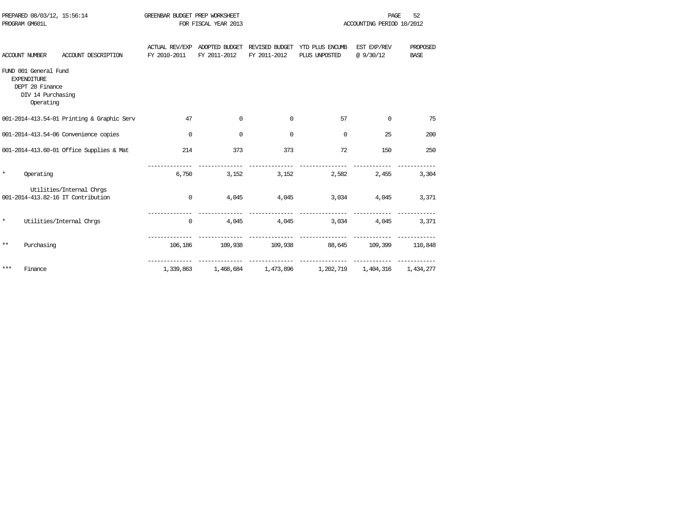| PROGRAM GM601L |                                                                                                  |                                                                |                                | FOR FISCAL YEAR 2013           |                                | ACCOUNTING PERIOD 10/2012                      |                               |                         |  |
|----------------|--------------------------------------------------------------------------------------------------|----------------------------------------------------------------|--------------------------------|--------------------------------|--------------------------------|------------------------------------------------|-------------------------------|-------------------------|--|
|                | <b>ACCOUNT NUMBER</b>                                                                            | ACCOUNT DESCRIPTION                                            | ACTUAL REV/EXP<br>FY 2010-2011 | ADOPTED BUDGET<br>FY 2011-2012 | REVISED BUDGET<br>FY 2011-2012 | YTD PLUS ENCUMB<br>PLUS UNPOSTED               | EST EXP/REV<br>@ 9/30/12      | PROPOSED<br><b>BASE</b> |  |
|                | FUND 001 General Fund<br><b>EXPENDITURE</b><br>DEPT 20 Finance<br>DIV 14 Purchasing<br>Operating |                                                                |                                |                                |                                |                                                |                               |                         |  |
|                |                                                                                                  | 001-2014-413.54-01 Printing & Graphic Serv                     | 47                             | $\Omega$                       | $\mathbf 0$                    | 57                                             | $\Omega$                      | 75                      |  |
|                |                                                                                                  | 001-2014-413.54-06 Convenience copies                          | $\mathbf 0$                    | $\mathbf 0$                    | $\mathbf 0$                    | $\mathbf 0$                                    | 25                            | 200                     |  |
|                |                                                                                                  | 001-2014-413.60-01 Office Supplies & Mat                       | 214                            | 373                            | 373                            | 72                                             | 150                           | 250                     |  |
| $\star$        | Operating                                                                                        |                                                                | 6,750                          | 3,152                          | 3,152                          | 2,582                                          | 2,455                         | 3,304                   |  |
|                |                                                                                                  | Utilities/Internal Chrgs<br>001-2014-413.82-16 IT Contribution | $\mathbf 0$                    | 4,045                          | 4,045                          | 3,034                                          | 4,045                         | 3,371                   |  |
| $\star$        |                                                                                                  | Utilities/Internal Chrgs                                       | $\mathbf 0$                    | 4,045                          | 4,045                          | 3,034                                          | 4,045                         | 3,371                   |  |
| $***$          | Purchasing                                                                                       |                                                                |                                |                                |                                | 106,186 109,938 109,938 88,645 109,399 110,848 |                               |                         |  |
| $***$          | Finance                                                                                          |                                                                | 1,339,863                      | 1,468,684                      | 1,473,896                      |                                                | 1,202,719 1,404,316 1,434,277 |                         |  |

PREPARED 08/03/12, 15:56:14 GREENBAR BUDGET PREP WORKSHEET **FREED AGE 52** PAGE 52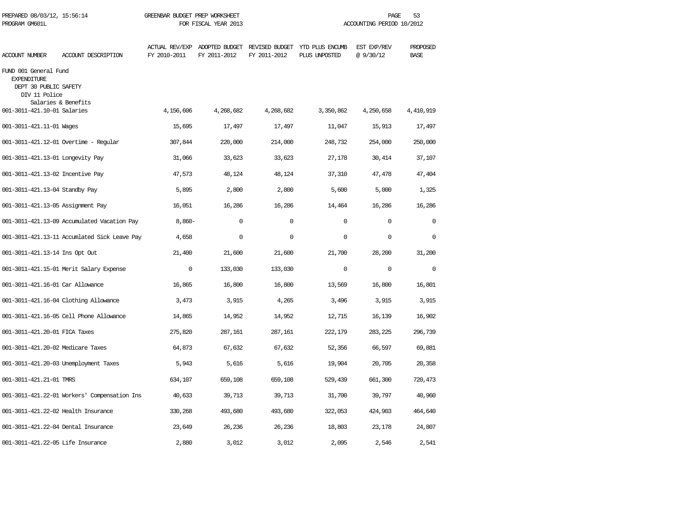| PREPARED 08/03/12, 15:56:14<br>PROGRAM GM601L                                         |                                              | GREENBAR BUDGET PREP WORKSHEET        | FOR FISCAL YEAR 2013                          |              | PAGE<br>53<br>ACCOUNTING PERIOD 10/2012 |                         |                         |  |
|---------------------------------------------------------------------------------------|----------------------------------------------|---------------------------------------|-----------------------------------------------|--------------|-----------------------------------------|-------------------------|-------------------------|--|
| ACCOUNT NUMBER                                                                        | ACCOUNT DESCRIPTION                          | <b>ACTUAL REV/EXP</b><br>FY 2010-2011 | ADOPTED BUDGET REVISED BUDGET<br>FY 2011-2012 | FY 2011-2012 | YTD PLUS ENCUMB<br>PLUS UNPOSTED        | EST EXP/REV<br>@9/30/12 | PROPOSED<br><b>BASE</b> |  |
| FUND 001 General Fund<br><b>EXPENDITURE</b><br>DEPT 30 PUBLIC SAFETY<br>DIV 11 Police | Salaries & Benefits                          |                                       |                                               |              |                                         |                         |                         |  |
| 001-3011-421.10-01 Salaries                                                           |                                              | 4,156,606                             | 4,268,682                                     | 4,268,682    | 3,350,862                               | 4,250,658               | 4,410,919               |  |
| 001-3011-421.11-01 Wages                                                              |                                              | 15,695                                | 17,497                                        | 17,497       | 11,047                                  | 15,913                  | 17,497                  |  |
|                                                                                       | 001-3011-421.12-01 Overtime - Regular        | 307,844                               | 220,000                                       | 214,000      | 248,732                                 | 254,000                 | 250,000                 |  |
| 001-3011-421.13-01 Longevity Pay                                                      |                                              | 31,066                                | 33,623                                        | 33,623       | 27,178                                  | 30,414                  | 37,107                  |  |
| 001-3011-421.13-02 Incentive Pay                                                      |                                              | 47,573                                | 48,124                                        | 48,124       | 37,310                                  | 47,478                  | 47,404                  |  |
| 001-3011-421.13-04 Standby Pay                                                        |                                              | 5,895                                 | 2,800                                         | 2,800        | 5,600                                   | 5,000                   | 1,325                   |  |
| 001-3011-421.13-05 Assignment Pay                                                     |                                              | 16,051                                | 16,286                                        | 16,286       | 14,464                                  | 16,286                  | 16,286                  |  |
|                                                                                       | 001-3011-421.13-09 Accumulated Vacation Pay  | $8,860-$                              | $\Omega$                                      | $\mathbf 0$  | $\Omega$                                | $\Omega$                | $\Omega$                |  |
|                                                                                       | 001-3011-421.13-11 Accumlated Sick Leave Pay | 4,658                                 | 0                                             | $\mathbf 0$  | $\Omega$                                | $\mathbf 0$             | $\Omega$                |  |
| 001-3011-421.13-14 Ins Opt Out                                                        |                                              | 21,400                                | 21,600                                        | 21,600       | 21,700                                  | 28,200                  | 31,200                  |  |
|                                                                                       | 001-3011-421.15-01 Merit Salary Expense      | $\Omega$                              | 133,030                                       | 133,030      | $\Omega$                                | $\mathbf 0$             | $\mathbf 0$             |  |
| 001-3011-421.16-01 Car Allowance                                                      |                                              | 16,865                                | 16,800                                        | 16,800       | 13,569                                  | 16,800                  | 16,801                  |  |
|                                                                                       | 001-3011-421.16-04 Clothing Allowance        | 3,473                                 | 3,915                                         | 4,265        | 3,496                                   | 3,915                   | 3,915                   |  |
|                                                                                       | 001-3011-421.16-05 Cell Phone Allowance      | 14,865                                | 14,952                                        | 14,952       | 12,715                                  | 16,139                  | 16,902                  |  |
| 001-3011-421.20-01 FICA Taxes                                                         |                                              | 275,820                               | 287,161                                       | 287,161      | 222,179                                 | 283,225                 | 296,739                 |  |
| 001-3011-421.20-02 Medicare Taxes                                                     |                                              | 64,873                                | 67,632                                        | 67,632       | 52,356                                  | 66,597                  | 69,881                  |  |
|                                                                                       | 001-3011-421.20-03 Unemployment Taxes        | 5,943                                 | 5,616                                         | 5,616        | 19,904                                  | 20,705                  | 20,358                  |  |
| 001-3011-421.21-01 TMRS                                                               |                                              | 634,107                               | 659,108                                       | 659,108      | 529,439                                 | 661,300                 | 720,473                 |  |
|                                                                                       | 001-3011-421.22-01 Workers' Compensation Ins | 40,633                                | 39,713                                        | 39,713       | 31,700                                  | 39,797                  | 40,960                  |  |
| 001-3011-421.22-02 Health Insurance                                                   |                                              | 330,268                               | 493,680                                       | 493,680      | 322,053                                 | 424,903                 | 464,640                 |  |
| 001-3011-421.22-04 Dental Insurance                                                   |                                              | 23,649                                | 26,236                                        | 26,236       | 18,803                                  | 23,178                  | 24,807                  |  |
| 001-3011-421.22-05 Life Insurance                                                     |                                              | 2,880                                 | 3,012                                         | 3,012        | 2,095                                   | 2,546                   | 2,541                   |  |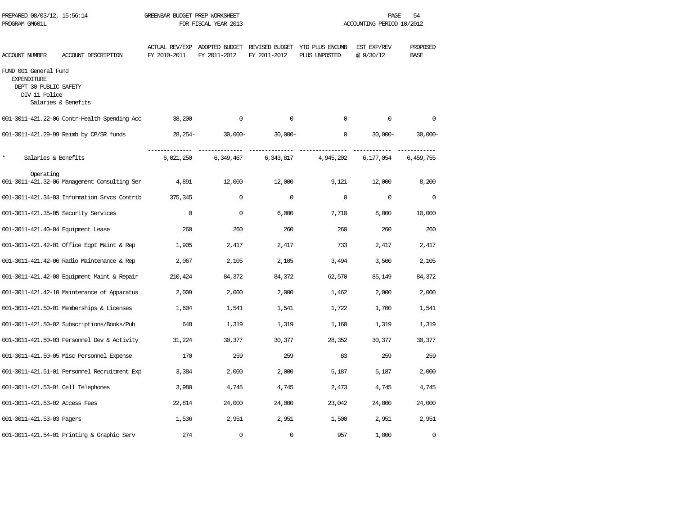| PREPARED 08/03/12, 15:56:14<br>PROGRAM GM601L                                         |                                              | GREENBAR BUDGET PREP WORKSHEET | FOR FISCAL YEAR 2013 |              |                                                                               | PAGE<br>54<br>ACCOUNTING PERIOD 10/2012 |                         |
|---------------------------------------------------------------------------------------|----------------------------------------------|--------------------------------|----------------------|--------------|-------------------------------------------------------------------------------|-----------------------------------------|-------------------------|
| ACCOUNT NUMBER                                                                        | ACCOUNT DESCRIPTION                          | FY 2010-2011                   | FY 2011-2012         | FY 2011-2012 | ACTUAL REV/EXP ADOPTED BUDGET REVISED BUDGET YTD PLUS ENCUMB<br>PLUS UNPOSTED | EST EXP/REV<br>@ 9/30/12                | PROPOSED<br><b>BASE</b> |
| FUND 001 General Fund<br><b>EXPENDITURE</b><br>DEPT 30 PUBLIC SAFETY<br>DIV 11 Police | Salaries & Benefits                          |                                |                      |              |                                                                               |                                         |                         |
|                                                                                       | 001-3011-421.22-06 Contr-Health Spending Acc | 38,200                         | $\mathbf 0$          | $\mathbf 0$  | $\Omega$                                                                      | $\circ$                                 | $\Omega$                |
|                                                                                       | 001-3011-421.29-99 Reimb by CP/SR funds      | 28,254-                        | 30,000-              | $30,000 -$   | $\mathbf{0}$                                                                  | $30,000-$                               | $30,000 -$              |
| $\star$<br>Salaries & Benefits                                                        |                                              | 6,021,250                      | 6,349,467            | 6,343,817    | 4,945,202                                                                     | 6,177,054                               | 6,459,755               |
| Operating                                                                             | 001-3011-421.32-06 Management Consulting Ser | 4,891                          | 12,000               | 12,000       | 9,121                                                                         | 12,000                                  | 8,200                   |
|                                                                                       | 001-3011-421.34-03 Information Srvcs Contrib | 375,345                        | $\circ$              | $\circ$      | $\mathbf{0}$                                                                  | $\mathbf 0$                             | $\mathbf 0$             |
|                                                                                       | 001-3011-421.35-05 Security Services         | $\Omega$                       | $\Omega$             | 6,000        | 7,710                                                                         | 8,000                                   | 10,000                  |
| 001-3011-421.40-04 Equipment Lease                                                    |                                              | 260                            | 260                  | 260          | 260                                                                           | 260                                     | 260                     |
|                                                                                       | 001-3011-421.42-01 Office Eqpt Maint & Rep   | 1,905                          | 2,417                | 2,417        | 733                                                                           | 2,417                                   | 2,417                   |
|                                                                                       | 001-3011-421.42-06 Radio Maintenance & Rep   | 2,067                          | 2,105                | 2,105        | 3,494                                                                         | 3,500                                   | 2,105                   |
|                                                                                       | 001-3011-421.42-08 Equipment Maint & Repair  | 210,424                        | 84,372               | 84,372       | 62,570                                                                        | 85,149                                  | 84,372                  |
|                                                                                       | 001-3011-421.42-10 Maintenance of Apparatus  | 2,009                          | 2,000                | 2,000        | 1,462                                                                         | 2,000                                   | 2,000                   |
|                                                                                       | 001-3011-421.50-01 Memberships & Licenses    | 1,604                          | 1,541                | 1,541        | 1,722                                                                         | 1,700                                   | 1,541                   |
|                                                                                       | 001-3011-421.50-02 Subscriptions/Books/Pub   | 648                            | 1,319                | 1,319        | 1,160                                                                         | 1,319                                   | 1,319                   |
|                                                                                       | 001-3011-421.50-03 Personnel Dev & Activity  | 31,224                         | 30,377               | 30,377       | 28,352                                                                        | 30,377                                  | 30,377                  |
|                                                                                       | 001-3011-421.50-05 Misc Personnel Expense    | 170                            | 259                  | 259          | 83                                                                            | 259                                     | 259                     |
|                                                                                       | 001-3011-421.51-01 Personnel Recruitment Exp | 3,384                          | 2,000                | 2,000        | 5,187                                                                         | 5,187                                   | 2,000                   |
| 001-3011-421.53-01 Cell Telephones                                                    |                                              | 3,980                          | 4,745                | 4,745        | 2,473                                                                         | 4,745                                   | 4,745                   |
| 001-3011-421.53-02 Access Fees                                                        |                                              | 22,814                         | 24,000               | 24,000       | 23,042                                                                        | 24,000                                  | 24,000                  |
| 001-3011-421.53-03 Pagers                                                             |                                              | 1,536                          | 2,951                | 2,951        | 1,500                                                                         | 2,951                                   | 2,951                   |
|                                                                                       | 001-3011-421.54-01 Printing & Graphic Serv   | 274                            | $\mathbf 0$          | 0            | 957                                                                           | 1,000                                   | 0                       |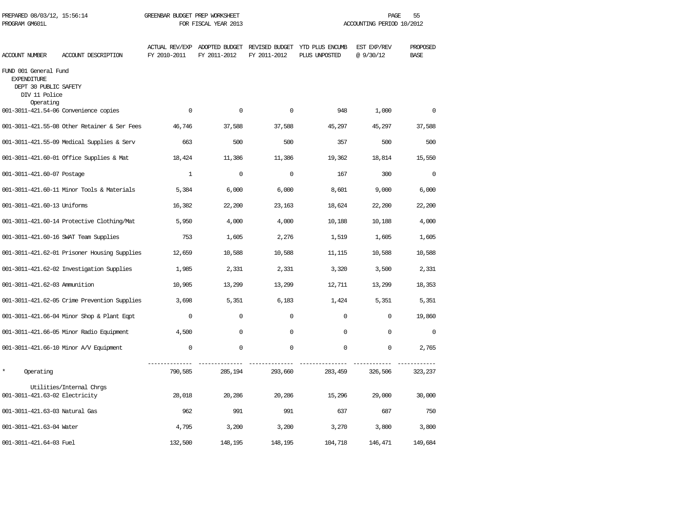| PREPARED 08/03/12, 15:56:14<br>PROGRAM GM601L                                                      |                                              |              | GREENBAR BUDGET PREP WORKSHEET<br>FOR FISCAL YEAR 2013 |              |                                                                               |                         | PAGE<br>55<br>ACCOUNTING PERIOD 10/2012 |  |  |
|----------------------------------------------------------------------------------------------------|----------------------------------------------|--------------|--------------------------------------------------------|--------------|-------------------------------------------------------------------------------|-------------------------|-----------------------------------------|--|--|
| <b>ACCOUNT NUMBER</b>                                                                              | ACCOUNT DESCRIPTION                          | FY 2010-2011 | FY 2011-2012                                           | FY 2011-2012 | ACTUAL REV/EXP ADOPTED BUDGET REVISED BUDGET YTD PLUS ENCUMB<br>PLUS UNPOSTED | EST EXP/REV<br>@9/30/12 | PROPOSED<br><b>BASE</b>                 |  |  |
| FUND 001 General Fund<br><b>EXPENDITURE</b><br>DEPT 30 PUBLIC SAFETY<br>DIV 11 Police<br>Operating |                                              |              |                                                        |              |                                                                               |                         |                                         |  |  |
|                                                                                                    | 001-3011-421.54-06 Convenience copies        | $\Omega$     | $\Omega$                                               | $\Omega$     | 948                                                                           | 1,000                   | $\Omega$                                |  |  |
|                                                                                                    | 001-3011-421.55-08 Other Retainer & Ser Fees | 46,746       | 37,588                                                 | 37,588       | 45,297                                                                        | 45,297                  | 37,588                                  |  |  |
|                                                                                                    | 001-3011-421.55-09 Medical Supplies & Serv   | 663          | 500                                                    | 500          | 357                                                                           | 500                     | 500                                     |  |  |
|                                                                                                    | 001-3011-421.60-01 Office Supplies & Mat     | 18,424       | 11,386                                                 | 11,386       | 19,362                                                                        | 18,814                  | 15,550                                  |  |  |
| 001-3011-421.60-07 Postage                                                                         |                                              | $\mathbf{1}$ | $\mathbf 0$                                            | $\mathbf 0$  | 167                                                                           | 300                     | $\mathbf 0$                             |  |  |
|                                                                                                    | 001-3011-421.60-11 Minor Tools & Materials   | 5,384        | 6,000                                                  | 6,000        | 8,601                                                                         | 9,000                   | 6,000                                   |  |  |
| 001-3011-421.60-13 Uniforms                                                                        |                                              | 16,382       | 22,200                                                 | 23,163       | 18,624                                                                        | 22,200                  | 22,200                                  |  |  |
|                                                                                                    | 001-3011-421.60-14 Protective Clothing/Mat   | 5,950        | 4,000                                                  | 4,000        | 10,188                                                                        | 10,188                  | 4,000                                   |  |  |
|                                                                                                    | 001-3011-421.60-16 SWAT Team Supplies        | 753          | 1,605                                                  | 2,276        | 1,519                                                                         | 1,605                   | 1,605                                   |  |  |
|                                                                                                    | 001-3011-421.62-01 Prisoner Housing Supplies | 12,659       | 10,588                                                 | 10,588       | 11,115                                                                        | 10,588                  | 10,588                                  |  |  |
|                                                                                                    | 001-3011-421.62-02 Investigation Supplies    | 1,985        | 2,331                                                  | 2,331        | 3,320                                                                         | 3,500                   | 2,331                                   |  |  |
| 001-3011-421.62-03 Ammunition                                                                      |                                              | 10,905       | 13,299                                                 | 13,299       | 12,711                                                                        | 13,299                  | 18,353                                  |  |  |
|                                                                                                    | 001-3011-421.62-05 Crime Prevention Supplies | 3,698        | 5,351                                                  | 6,183        | 1,424                                                                         | 5,351                   | 5,351                                   |  |  |
|                                                                                                    | 001-3011-421.66-04 Minor Shop & Plant Eqpt   | $\Omega$     | $\mathbf 0$                                            | $\Omega$     | $\Omega$                                                                      | 0                       | 19,860                                  |  |  |
|                                                                                                    | 001-3011-421.66-05 Minor Radio Equipment     | 4,500        | $\Omega$                                               | $\Omega$     | $\Omega$                                                                      | $\Omega$                | $\Omega$                                |  |  |
|                                                                                                    | 001-3011-421.66-10 Minor A/V Equipment       | $\mathbf 0$  | $\mathbf 0$                                            | $\mathbf 0$  | $\mathbf{0}$                                                                  | 0                       | 2,765                                   |  |  |
| $\star$<br>Operating                                                                               |                                              | 790,585      | 285,194                                                | 293,660      | 283,459                                                                       | 326,506                 | 323,237                                 |  |  |
| 001-3011-421.63-02 Electricity                                                                     | Utilities/Internal Chrgs                     | 28,018       | 20,286                                                 | 20,286       | 15,296                                                                        | 29,000                  | 30,000                                  |  |  |
| 001-3011-421.63-03 Natural Gas                                                                     |                                              | 962          | 991                                                    | 991          | 637                                                                           | 687                     | 750                                     |  |  |
| 001-3011-421.63-04 Water                                                                           |                                              | 4,795        | 3,200                                                  | 3,200        | 3,270                                                                         | 3,800                   | 3,800                                   |  |  |
| 001-3011-421.64-03 Fuel                                                                            |                                              | 132,500      | 148,195                                                | 148,195      | 104,718                                                                       | 146,471                 | 149,684                                 |  |  |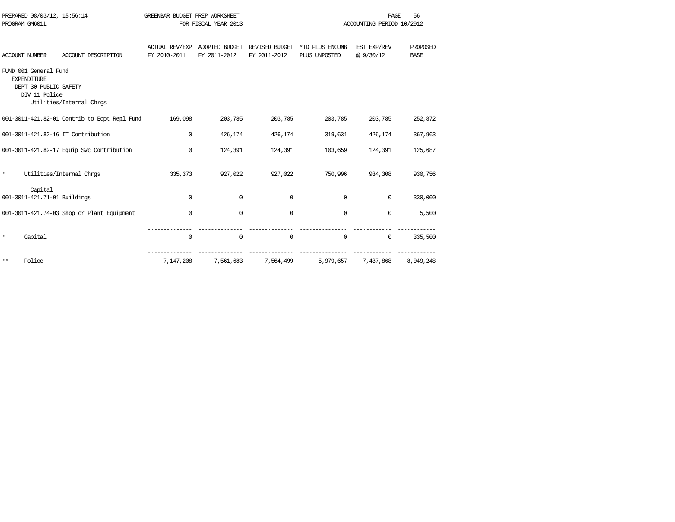| PREPARED 08/03/12, 15:56:14<br>PROGRAM GM601L |                                                                                       |                                              | GREENBAR BUDGET PREP WORKSHEET | FOR FISCAL YEAR 2013           |                                |                                  | 56<br>PAGE<br>ACCOUNTING PERIOD 10/2012 |                         |
|-----------------------------------------------|---------------------------------------------------------------------------------------|----------------------------------------------|--------------------------------|--------------------------------|--------------------------------|----------------------------------|-----------------------------------------|-------------------------|
| <b>ACCOUNT NUMBER</b>                         |                                                                                       | ACCOUNT DESCRIPTION                          | ACTUAL REV/EXP<br>FY 2010-2011 | ADOPTED BUDGET<br>FY 2011-2012 | REVISED BUDGET<br>FY 2011-2012 | YTD PLUS ENCUMB<br>PLUS UNPOSTED | EST EXP/REV<br>@9/30/12                 | PROPOSED<br><b>BASE</b> |
|                                               | FUND 001 General Fund<br><b>EXPENDITURE</b><br>DEPT 30 PUBLIC SAFETY<br>DIV 11 Police | Utilities/Internal Chrgs                     |                                |                                |                                |                                  |                                         |                         |
|                                               |                                                                                       | 001-3011-421.82-01 Contrib to Eqpt Repl Fund | 169,098                        | 203,785                        | 203,785                        | 203,785                          | 203,785                                 | 252,872                 |
|                                               |                                                                                       | 001-3011-421.82-16 IT Contribution           | 0                              | 426,174                        | 426,174                        | 319,631                          | 426,174                                 | 367,963                 |
|                                               |                                                                                       | 001-3011-421.82-17 Equip Svc Contribution    | 0                              | 124,391                        | 124,391                        | 103,659                          | 124,391                                 | 125,687                 |
| $\star$                                       |                                                                                       | Utilities/Internal Chrgs                     | 335,373                        | 927,022                        | 927,022                        | 750,996                          | 934,308                                 | 930,756                 |
|                                               | Capital<br>001-3011-421.71-01 Buildings                                               |                                              | 0                              | $\Omega$                       | 0                              | $\mathbf 0$                      | $\Omega$                                | 330,000                 |
|                                               |                                                                                       | 001-3011-421.74-03 Shop or Plant Equipment   | 0                              | 0                              | $\mathbf 0$                    | $\mathbf 0$                      | 0                                       | 5,500                   |
| $\star$                                       | Capital                                                                               |                                              | 0                              | $\mathbf 0$                    | $\mathbf 0$                    | $\mathbf 0$                      | 0                                       | 335,500                 |
| $***$                                         | Police                                                                                |                                              | 7,147,208                      | 7,561,683                      | 7,564,499                      | 5,979,657                        | 7,437,868                               | 8,049,248               |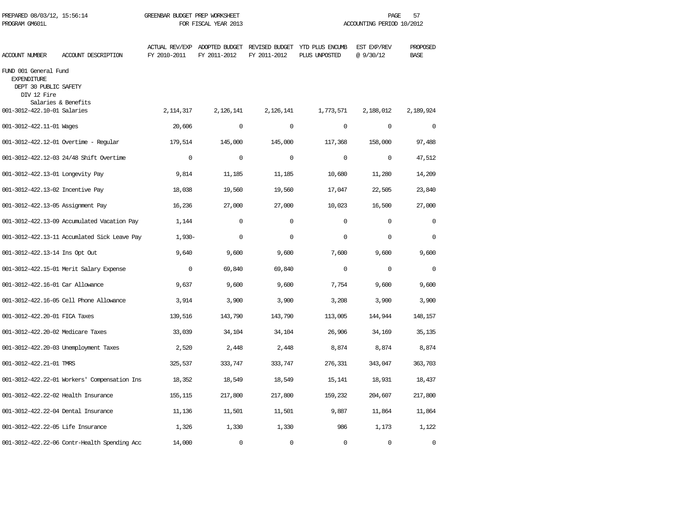| PREPARED 08/03/12, 15:56:14<br>PROGRAM GM601L                                       |                                              | GREENBAR BUDGET PREP WORKSHEET | FOR FISCAL YEAR 2013 |              | PAGE<br>57<br>ACCOUNTING PERIOD 10/2012                                       |                          |                         |
|-------------------------------------------------------------------------------------|----------------------------------------------|--------------------------------|----------------------|--------------|-------------------------------------------------------------------------------|--------------------------|-------------------------|
| <b>ACCOUNT NUMBER</b>                                                               | ACCOUNT DESCRIPTION                          | FY 2010-2011                   | FY 2011-2012         | FY 2011-2012 | ACTUAL REV/EXP ADOPTED BUDGET REVISED BUDGET YTD PLUS ENCUMB<br>PLUS UNPOSTED | EST EXP/REV<br>@ 9/30/12 | PROPOSED<br><b>BASE</b> |
| FUND 001 General Fund<br><b>EXPENDITURE</b><br>DEPT 30 PUBLIC SAFETY<br>DIV 12 Fire | Salaries & Benefits                          |                                |                      |              |                                                                               |                          |                         |
| 001-3012-422.10-01 Salaries                                                         |                                              | 2, 114, 317                    | 2,126,141            | 2,126,141    | 1,773,571                                                                     | 2,188,012                | 2,189,924               |
| 001-3012-422.11-01 Wages                                                            |                                              | 20,606                         | $\Omega$             | $\Omega$     | $\Omega$                                                                      | $\Omega$                 | $\Omega$                |
|                                                                                     | 001-3012-422.12-01 Overtime - Regular        | 179,514                        | 145,000              | 145,000      | 117,368                                                                       | 158,000                  | 97,488                  |
|                                                                                     | 001-3012-422.12-03 24/48 Shift Overtime      | $\Omega$                       | $\Omega$             | $\Omega$     | $\Omega$                                                                      | $\Omega$                 | 47,512                  |
| 001-3012-422.13-01 Longevity Pay                                                    |                                              | 9,814                          | 11,185               | 11,185       | 10,680                                                                        | 11,280                   | 14,209                  |
| 001-3012-422.13-02 Incentive Pay                                                    |                                              | 18,038                         | 19,560               | 19,560       | 17,047                                                                        | 22,505                   | 23,840                  |
| 001-3012-422.13-05 Assignment Pay                                                   |                                              | 16,236                         | 27,000               | 27,000       | 10,023                                                                        | 16,500                   | 27,000                  |
|                                                                                     | 001-3012-422.13-09 Accumulated Vacation Pay  | 1,144                          | $\Omega$             | $\Omega$     | $\Omega$                                                                      | $\Omega$                 | $\Omega$                |
|                                                                                     | 001-3012-422.13-11 Accumlated Sick Leave Pay | $1,930-$                       | $\mathbf 0$          | $\mathbf 0$  | $\mathbf 0$                                                                   | 0                        | $\mathbf 0$             |
| 001-3012-422.13-14 Ins Opt Out                                                      |                                              | 9,640                          | 9,600                | 9,600        | 7,600                                                                         | 9,600                    | 9,600                   |
|                                                                                     | 001-3012-422.15-01 Merit Salary Expense      | $\Omega$                       | 69,840               | 69,840       | $\Omega$                                                                      | $\Omega$                 | $\Omega$                |
| 001-3012-422.16-01 Car Allowance                                                    |                                              | 9,637                          | 9,600                | 9,600        | 7,754                                                                         | 9,600                    | 9,600                   |
|                                                                                     | 001-3012-422.16-05 Cell Phone Allowance      | 3,914                          | 3,900                | 3,900        | 3,208                                                                         | 3,900                    | 3,900                   |
| 001-3012-422.20-01 FICA Taxes                                                       |                                              | 139,516                        | 143,790              | 143,790      | 113,005                                                                       | 144,944                  | 148,157                 |
| 001-3012-422.20-02 Medicare Taxes                                                   |                                              | 33,039                         | 34,104               | 34,104       | 26,906                                                                        | 34,169                   | 35,135                  |
|                                                                                     | 001-3012-422.20-03 Unemployment Taxes        | 2,520                          | 2,448                | 2,448        | 8,874                                                                         | 8,874                    | 8,874                   |
| 001-3012-422.21-01 TMRS                                                             |                                              | 325,537                        | 333,747              | 333,747      | 276,331                                                                       | 343,047                  | 363,703                 |
|                                                                                     | 001-3012-422.22-01 Workers' Compensation Ins | 18,352                         | 18,549               | 18,549       | 15,141                                                                        | 18,931                   | 18,437                  |
| 001-3012-422.22-02 Health Insurance                                                 |                                              | 155,115                        | 217,800              | 217,800      | 159,232                                                                       | 204,607                  | 217,800                 |
| 001-3012-422.22-04 Dental Insurance                                                 |                                              | 11,136                         | 11,501               | 11,501       | 9,887                                                                         | 11,864                   | 11,864                  |
| 001-3012-422.22-05 Life Insurance                                                   |                                              | 1,326                          | 1,330                | 1,330        | 986                                                                           | 1,173                    | 1,122                   |
|                                                                                     | 001-3012-422.22-06 Contr-Health Spending Acc | 14,000                         | $\Omega$             | $\Omega$     | $\Omega$                                                                      | $\Omega$                 | $\Omega$                |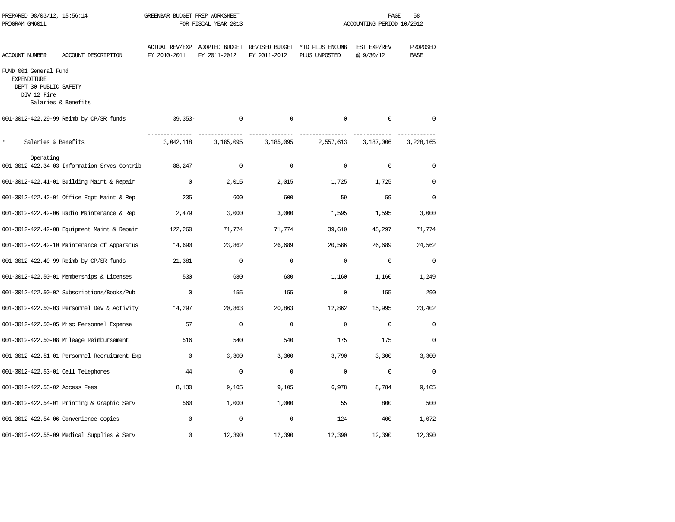| PREPARED 08/03/12, 15:56:14<br>PROGRAM GM601L                                       |                                              | GREENBAR BUDGET PREP WORKSHEET<br>FOR FISCAL YEAR 2013 |              |              | PAGE<br>58<br>ACCOUNTING PERIOD 10/2012                                       |                          |                         |  |  |
|-------------------------------------------------------------------------------------|----------------------------------------------|--------------------------------------------------------|--------------|--------------|-------------------------------------------------------------------------------|--------------------------|-------------------------|--|--|
| ACCOUNT NUMBER                                                                      | ACCOUNT DESCRIPTION                          | FY 2010-2011                                           | FY 2011-2012 | FY 2011-2012 | ACTUAL REV/EXP ADOPTED BUDGET REVISED BUDGET YTD PLUS ENCUMB<br>PLUS UNPOSTED | EST EXP/REV<br>@ 9/30/12 | PROPOSED<br><b>BASE</b> |  |  |
| FUND 001 General Fund<br><b>EXPENDITURE</b><br>DEPT 30 PUBLIC SAFETY<br>DIV 12 Fire | Salaries & Benefits                          |                                                        |              |              |                                                                               |                          |                         |  |  |
|                                                                                     | 001-3012-422.29-99 Reimb by CP/SR funds      | $39,353-$                                              | 0            | $\mathbf 0$  | $\Omega$                                                                      | $\mathbf 0$              | $\mathbf 0$             |  |  |
| *<br>Salaries & Benefits                                                            |                                              | 3,042,118                                              | 3,185,095    | 3,185,095    | 2,557,613                                                                     | 3,187,006                | 3,228,165               |  |  |
| Operating                                                                           | 001-3012-422.34-03 Information Srvcs Contrib | 88,247                                                 | $\mathbf 0$  | $\mathbf 0$  | $\Omega$                                                                      | $\Omega$                 | $\Omega$                |  |  |
|                                                                                     | 001-3012-422.41-01 Building Maint & Repair   | $\Omega$                                               | 2,015        | 2,015        | 1,725                                                                         | 1,725                    | $\Omega$                |  |  |
|                                                                                     | 001-3012-422.42-01 Office Eqpt Maint & Rep   | 235                                                    | 600          | 600          | 59                                                                            | 59                       | $\Omega$                |  |  |
|                                                                                     | 001-3012-422.42-06 Radio Maintenance & Rep   | 2,479                                                  | 3,000        | 3,000        | 1,595                                                                         | 1,595                    | 3,000                   |  |  |
|                                                                                     | 001-3012-422.42-08 Equipment Maint & Repair  | 122,260                                                | 71,774       | 71,774       | 39,610                                                                        | 45,297                   | 71,774                  |  |  |
|                                                                                     | 001-3012-422.42-10 Maintenance of Apparatus  | 14,690                                                 | 23,862       | 26,689       | 20,586                                                                        | 26,689                   | 24,562                  |  |  |
|                                                                                     | 001-3012-422.49-99 Reimb by CP/SR funds      | $21,381-$                                              | $\Omega$     | $\Omega$     | $\Omega$                                                                      | $\Omega$                 | $\Omega$                |  |  |
|                                                                                     | 001-3012-422.50-01 Memberships & Licenses    | 530                                                    | 680          | 680          | 1,160                                                                         | 1,160                    | 1,249                   |  |  |
|                                                                                     | 001-3012-422.50-02 Subscriptions/Books/Pub   | $\Omega$                                               | 155          | 155          | $\mathbf 0$                                                                   | 155                      | 290                     |  |  |
|                                                                                     | 001-3012-422.50-03 Personnel Dev & Activity  | 14,297                                                 | 20,863       | 20,863       | 12,862                                                                        | 15,995                   | 23,402                  |  |  |
|                                                                                     | 001-3012-422.50-05 Misc Personnel Expense    | 57                                                     | $\Omega$     | $\Omega$     | $\Omega$                                                                      | $\Omega$                 | $\Omega$                |  |  |
|                                                                                     | 001-3012-422.50-08 Mileage Reimbursement     | 516                                                    | 540          | 540          | 175                                                                           | 175                      | $\Omega$                |  |  |
|                                                                                     | 001-3012-422.51-01 Personnel Recruitment Exp | $\mathbf 0$                                            | 3,300        | 3,300        | 3,790                                                                         | 3,300                    | 3,300                   |  |  |
| 001-3012-422.53-01 Cell Telephones                                                  |                                              | 44                                                     | $\mathbf 0$  | $\mathbf 0$  | $\mathbf{0}$                                                                  | $\mathbf 0$              | $\mathbf 0$             |  |  |
| 001-3012-422.53-02 Access Fees                                                      |                                              | 8,130                                                  | 9,105        | 9,105        | 6,978                                                                         | 8,784                    | 9,105                   |  |  |
|                                                                                     | 001-3012-422.54-01 Printing & Graphic Serv   | 560                                                    | 1,000        | 1,000        | 55                                                                            | 800                      | 500                     |  |  |
|                                                                                     | 001-3012-422.54-06 Convenience copies        | $\Omega$                                               | $\mathbf 0$  | $\Omega$     | 124                                                                           | 400                      | 1,072                   |  |  |
|                                                                                     | 001-3012-422.55-09 Medical Supplies & Serv   | $\Omega$                                               | 12,390       | 12,390       | 12,390                                                                        | 12,390                   | 12,390                  |  |  |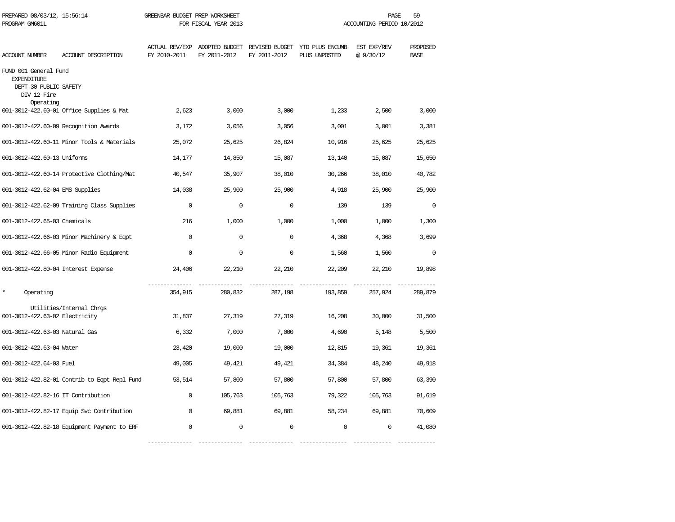| PREPARED 08/03/12, 15:56:14<br>PROGRAM GM601L                                                    |                                              | GREENBAR BUDGET PREP WORKSHEET<br>FOR FISCAL YEAR 2013 |                                               |              |                                                 | 59<br>PAGE<br>ACCOUNTING PERIOD 10/2012 |                         |  |
|--------------------------------------------------------------------------------------------------|----------------------------------------------|--------------------------------------------------------|-----------------------------------------------|--------------|-------------------------------------------------|-----------------------------------------|-------------------------|--|
| ACCOUNT NUMBER                                                                                   | ACCOUNT DESCRIPTION                          | FY 2010-2011                                           | ACTUAL REV/EXP ADOPTED BUDGET<br>FY 2011-2012 | FY 2011-2012 | REVISED BUDGET YTD PLUS ENCUMB<br>PLUS UNPOSTED | EST EXP/REV<br>@ 9/30/12                | PROPOSED<br><b>BASE</b> |  |
| FUND 001 General Fund<br><b>EXPENDITURE</b><br>DEPT 30 PUBLIC SAFETY<br>DIV 12 Fire<br>Operating |                                              |                                                        |                                               |              |                                                 |                                         |                         |  |
|                                                                                                  | 001-3012-422.60-01 Office Supplies & Mat     | 2,623                                                  | 3,000                                         | 3,000        | 1,233                                           | 2,500                                   | 3,000                   |  |
|                                                                                                  | 001-3012-422.60-09 Recognition Awards        | 3,172                                                  | 3,056                                         | 3,056        | 3,001                                           | 3,001                                   | 3,381                   |  |
|                                                                                                  | 001-3012-422.60-11 Minor Tools & Materials   | 25,072                                                 | 25,625                                        | 26,824       | 10,916                                          | 25,625                                  | 25,625                  |  |
| 001-3012-422.60-13 Uniforms                                                                      |                                              | 14,177                                                 | 14,850                                        | 15,087       | 13,140                                          | 15,087                                  | 15,650                  |  |
|                                                                                                  | 001-3012-422.60-14 Protective Clothing/Mat   | 40,547                                                 | 35,907                                        | 38,010       | 30,266                                          | 38,010                                  | 40,782                  |  |
| 001-3012-422.62-04 EMS Supplies                                                                  |                                              | 14,038                                                 | 25,900                                        | 25,900       | 4,918                                           | 25,900                                  | 25,900                  |  |
|                                                                                                  | 001-3012-422.62-09 Training Class Supplies   | $\Omega$                                               | $\Omega$                                      | $\Omega$     | 139                                             | 139                                     | $\Omega$                |  |
| 001-3012-422.65-03 Chemicals                                                                     |                                              | 216                                                    | 1,000                                         | 1,000        | 1,000                                           | 1,000                                   | 1,300                   |  |
|                                                                                                  | 001-3012-422.66-03 Minor Machinery & Eqpt    | $\Omega$                                               | $\mathbf 0$                                   | $\mathbf 0$  | 4,368                                           | 4,368                                   | 3,699                   |  |
|                                                                                                  | 001-3012-422.66-05 Minor Radio Equipment     | $\Omega$                                               | $\Omega$                                      | $\Omega$     | 1,560                                           | 1,560                                   | $\Omega$                |  |
| 001-3012-422.80-04 Interest Expense                                                              |                                              | 24,406                                                 | 22,210                                        | 22,210       | 22,209                                          | 22,210                                  | 19,898                  |  |
| $\star$<br>Operating                                                                             |                                              | 354,915                                                | 280,832                                       | 287,198      | 193,859                                         | 257,924                                 | 289,879                 |  |
| 001-3012-422.63-02 Electricity                                                                   | Utilities/Internal Chrgs                     | 31,837                                                 | 27,319                                        | 27,319       | 16,208                                          | 30,000                                  | 31,500                  |  |
| 001-3012-422.63-03 Natural Gas                                                                   |                                              | 6,332                                                  | 7,000                                         | 7,000        | 4,690                                           | 5,148                                   | 5,500                   |  |
| 001-3012-422.63-04 Water                                                                         |                                              | 23,420                                                 | 19,000                                        | 19,000       | 12,815                                          | 19,361                                  | 19,361                  |  |
| 001-3012-422.64-03 Fuel                                                                          |                                              | 49,005                                                 | 49,421                                        | 49,421       | 34,384                                          | 48,240                                  | 49,918                  |  |
|                                                                                                  | 001-3012-422.82-01 Contrib to Eqpt Repl Fund | 53,514                                                 | 57,800                                        | 57,800       | 57,800                                          | 57,800                                  | 63,390                  |  |
| 001-3012-422.82-16 IT Contribution                                                               |                                              | $\mathbf 0$                                            | 105,763                                       | 105,763      | 79,322                                          | 105,763                                 | 91,619                  |  |
|                                                                                                  | 001-3012-422.82-17 Equip Svc Contribution    | $\mathbf 0$                                            | 69,881                                        | 69,881       | 58,234                                          | 69,881                                  | 70,609                  |  |
|                                                                                                  | 001-3012-422.82-18 Equipment Payment to ERF  | $\Omega$                                               | $\mathbf 0$                                   | $\mathbf 0$  | $\Omega$                                        | $\mathbf 0$                             | 41,080                  |  |

-------------- -------------- -------------- --------------- ------------ ------------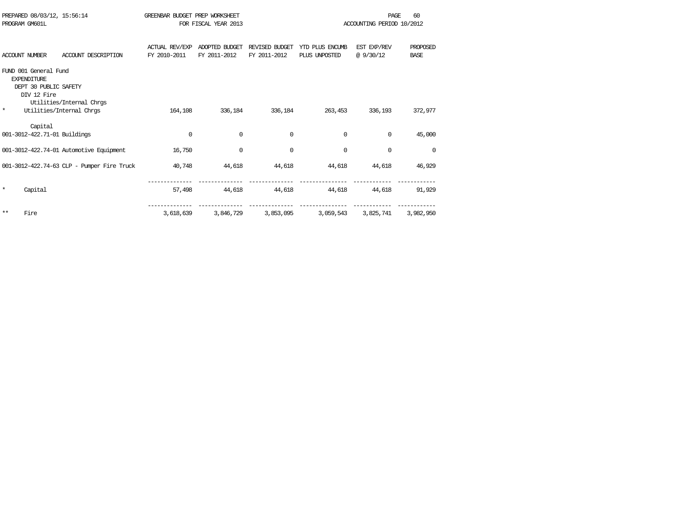|                       |                                                                                                                                                                                                                                                                                       |                |                                                                     |                 | PAGE        | 60                                     |
|-----------------------|---------------------------------------------------------------------------------------------------------------------------------------------------------------------------------------------------------------------------------------------------------------------------------------|----------------|---------------------------------------------------------------------|-----------------|-------------|----------------------------------------|
| PROGRAM GM601L        |                                                                                                                                                                                                                                                                                       |                |                                                                     |                 |             |                                        |
|                       |                                                                                                                                                                                                                                                                                       |                |                                                                     |                 |             |                                        |
|                       | <b>ACTUAL REV/EXP</b>                                                                                                                                                                                                                                                                 | ADOPTED BUDGET | REVISED BUDGET                                                      | YTD PLUS ENCUMB | EST EXP/REV | PROPOSED                               |
| <b>ACCOUNT NUMBER</b> | FY 2010-2011                                                                                                                                                                                                                                                                          | FY 2011-2012   | FY 2011-2012                                                        | PLUS UNPOSTED   | @9/30/12    | <b>BASE</b>                            |
|                       |                                                                                                                                                                                                                                                                                       |                |                                                                     |                 |             |                                        |
| <b>EXPENDITURE</b>    |                                                                                                                                                                                                                                                                                       |                |                                                                     |                 |             |                                        |
|                       |                                                                                                                                                                                                                                                                                       |                |                                                                     |                 |             |                                        |
| DIV 12 Fire           |                                                                                                                                                                                                                                                                                       |                |                                                                     |                 |             |                                        |
|                       |                                                                                                                                                                                                                                                                                       |                |                                                                     |                 |             |                                        |
|                       | 164,108                                                                                                                                                                                                                                                                               | 336,184        | 336,184                                                             | 263,453         | 336,193     | 372,977                                |
|                       |                                                                                                                                                                                                                                                                                       |                |                                                                     |                 |             |                                        |
| Capital               |                                                                                                                                                                                                                                                                                       |                |                                                                     |                 |             |                                        |
|                       | $\mathbf 0$                                                                                                                                                                                                                                                                           | $\Omega$       | $\Omega$                                                            | $\Omega$        | 0           | 45,000                                 |
|                       |                                                                                                                                                                                                                                                                                       |                |                                                                     |                 |             |                                        |
|                       | 16,750                                                                                                                                                                                                                                                                                | $\Omega$       | $\Omega$                                                            | $\Omega$        | $\mathbf 0$ | $\Omega$                               |
|                       |                                                                                                                                                                                                                                                                                       |                |                                                                     |                 |             |                                        |
|                       | 40,748                                                                                                                                                                                                                                                                                | 44,618         | 44,618                                                              | 44,618          | 44,618      | 46,929                                 |
|                       |                                                                                                                                                                                                                                                                                       |                |                                                                     |                 |             |                                        |
|                       |                                                                                                                                                                                                                                                                                       |                |                                                                     |                 |             |                                        |
| Capital               | 57,498                                                                                                                                                                                                                                                                                | 44,618         | 44,618                                                              | 44,618          | 44,618      | 91,929                                 |
|                       |                                                                                                                                                                                                                                                                                       |                |                                                                     |                 |             |                                        |
| Fire                  |                                                                                                                                                                                                                                                                                       |                |                                                                     |                 |             | 3,982,950                              |
|                       | PREPARED 08/03/12, 15:56:14<br>ACCOUNT DESCRIPTION<br>FUND 001 General Fund<br>DEPT 30 PUBLIC SAFETY<br>Utilities/Internal Chrgs<br>Utilities/Internal Chros<br>001-3012-422.71-01 Buildings<br>001-3012-422.74-01 Automotive Equipment<br>001-3012-422.74-63 CLP - Pumper Fire Truck | 3,618,639      | GREENBAR BUDGET PREP WORKSHEET<br>FOR FISCAL YEAR 2013<br>3,846,729 | 3,853,095       | 3,059,543   | ACCOUNTING PERIOD 10/2012<br>3,825,741 |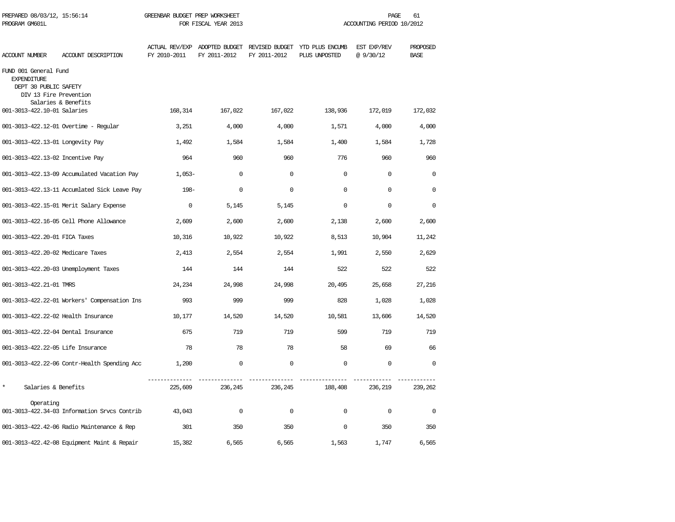| PREPARED 08/03/12, 15:56:14<br>PROGRAM GM601L                                                  |                                              | GREENBAR BUDGET PREP WORKSHEET | FOR FISCAL YEAR 2013 |              |                                                                               | PAGE<br>ACCOUNTING PERIOD 10/2012 | 61                      |
|------------------------------------------------------------------------------------------------|----------------------------------------------|--------------------------------|----------------------|--------------|-------------------------------------------------------------------------------|-----------------------------------|-------------------------|
| <b>ACCOUNT NUMBER</b>                                                                          | ACCOUNT DESCRIPTION                          | FY 2010-2011                   | FY 2011-2012         | FY 2011-2012 | ACTUAL REV/EXP ADOPTED BUDGET REVISED BUDGET YTD PLUS ENCUMB<br>PLUS UNPOSTED | EST EXP/REV<br>@9/30/12           | PROPOSED<br><b>BASE</b> |
| FUND 001 General Fund<br><b>EXPENDITURE</b><br>DEPT 30 PUBLIC SAFETY<br>DIV 13 Fire Prevention | Salaries & Benefits                          |                                |                      |              |                                                                               |                                   |                         |
| 001-3013-422.10-01 Salaries                                                                    |                                              | 168,314                        | 167,022              | 167,022      | 138,936                                                                       | 172,019                           | 172,032                 |
|                                                                                                | 001-3013-422.12-01 Overtime - Regular        | 3,251                          | 4,000                | 4,000        | 1,571                                                                         | 4,000                             | 4,000                   |
| 001-3013-422.13-01 Longevity Pay                                                               |                                              | 1,492                          | 1,584                | 1,584        | 1,400                                                                         | 1,584                             | 1,728                   |
| 001-3013-422.13-02 Incentive Pay                                                               |                                              | 964                            | 960                  | 960          | 776                                                                           | 960                               | 960                     |
|                                                                                                | 001-3013-422.13-09 Accumulated Vacation Pay  | $1,053-$                       | $\Omega$             | $\Omega$     | $\Omega$                                                                      | $\Omega$                          | $\Omega$                |
|                                                                                                | 001-3013-422.13-11 Accumlated Sick Leave Pay | $198 -$                        | $\mathbf 0$          | $\Omega$     | $\Omega$                                                                      | $\Omega$                          | $\Omega$                |
|                                                                                                | 001-3013-422.15-01 Merit Salary Expense      | $\Omega$                       | 5,145                | 5,145        | $\Omega$                                                                      | $\Omega$                          | $\Omega$                |
|                                                                                                | 001-3013-422.16-05 Cell Phone Allowance      | 2,609                          | 2,600                | 2,600        | 2,138                                                                         | 2,600                             | 2,600                   |
| 001-3013-422.20-01 FICA Taxes                                                                  |                                              | 10,316                         | 10,922               | 10,922       | 8,513                                                                         | 10,904                            | 11,242                  |
| 001-3013-422.20-02 Medicare Taxes                                                              |                                              | 2,413                          | 2,554                | 2,554        | 1,991                                                                         | 2,550                             | 2,629                   |
|                                                                                                | 001-3013-422.20-03 Unemployment Taxes        | 144                            | 144                  | 144          | 522                                                                           | 522                               | 522                     |
| 001-3013-422.21-01 TMRS                                                                        |                                              | 24,234                         | 24,998               | 24,998       | 20,495                                                                        | 25,658                            | 27,216                  |
|                                                                                                | 001-3013-422.22-01 Workers' Compensation Ins | 993                            | 999                  | 999          | 828                                                                           | 1,028                             | 1,028                   |
| 001-3013-422.22-02 Health Insurance                                                            |                                              | 10,177                         | 14,520               | 14,520       | 10,581                                                                        | 13,606                            | 14,520                  |
| 001-3013-422.22-04 Dental Insurance                                                            |                                              | 675                            | 719                  | 719          | 599                                                                           | 719                               | 719                     |
| 001-3013-422.22-05 Life Insurance                                                              |                                              | 78                             | 78                   | 78           | 58                                                                            | 69                                | 66                      |
|                                                                                                | 001-3013-422.22-06 Contr-Health Spending Acc | 1,200                          | $\mathbf 0$          | $\mathbf 0$  | $\mathbf 0$                                                                   | $\mathbf 0$                       | $\Omega$                |
| $\star$<br>Salaries & Benefits                                                                 |                                              | 225,609                        | 236,245              | 236,245      | 188,408                                                                       | 236,219                           | 239,262                 |
| Operating                                                                                      | 001-3013-422.34-03 Information Srvcs Contrib | 43,043                         | $\mathbf 0$          | $\mathbf 0$  | $\mathbf 0$                                                                   | $\mathbf 0$                       | $\mathbf 0$             |
|                                                                                                | 001-3013-422.42-06 Radio Maintenance & Rep   | 301                            | 350                  | 350          | $\Omega$                                                                      | 350                               | 350                     |
|                                                                                                | 001-3013-422.42-08 Equipment Maint & Repair  | 15,382                         | 6,565                | 6,565        | 1,563                                                                         | 1,747                             | 6,565                   |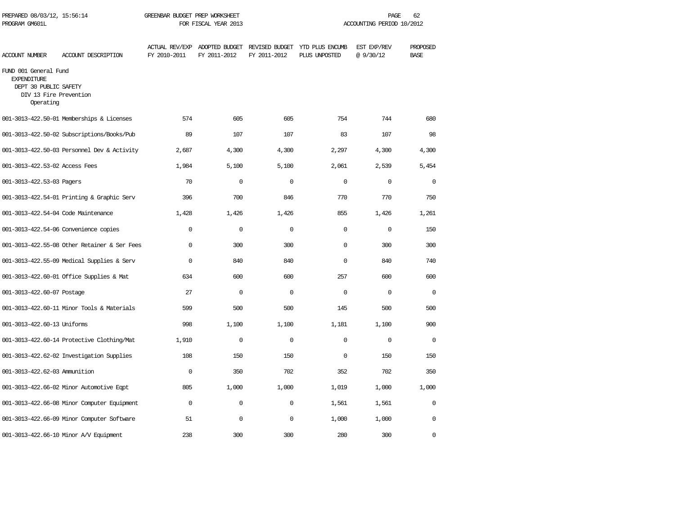| PREPARED 08/03/12, 15:56:14<br>PROGRAM GM601L                                                               |                                              | GREENBAR BUDGET PREP WORKSHEET<br>FOR FISCAL YEAR 2013 |                                                              |              | PAGE<br>62<br>ACCOUNTING PERIOD 10/2012 |                          |                         |  |
|-------------------------------------------------------------------------------------------------------------|----------------------------------------------|--------------------------------------------------------|--------------------------------------------------------------|--------------|-----------------------------------------|--------------------------|-------------------------|--|
| ACCOUNT NUMBER                                                                                              | ACCOUNT DESCRIPTION                          | FY 2010-2011                                           | ACTUAL REV/EXP ADOPTED BUDGET REVISED BUDGET<br>FY 2011-2012 | FY 2011-2012 | YTD PLUS ENCUMB<br>PLUS UNPOSTED        | EST EXP/REV<br>@ 9/30/12 | PROPOSED<br><b>BASE</b> |  |
| FUND 001 General Fund<br><b>EXPENDITURE</b><br>DEPT 30 PUBLIC SAFETY<br>DIV 13 Fire Prevention<br>Operating |                                              |                                                        |                                                              |              |                                         |                          |                         |  |
|                                                                                                             | 001-3013-422.50-01 Memberships & Licenses    | 574                                                    | 605                                                          | 605          | 754                                     | 744                      | 680                     |  |
|                                                                                                             | 001-3013-422.50-02 Subscriptions/Books/Pub   | 89                                                     | 107                                                          | 107          | 83                                      | 107                      | 98                      |  |
|                                                                                                             | 001-3013-422.50-03 Personnel Dev & Activity  | 2,687                                                  | 4,300                                                        | 4,300        | 2,297                                   | 4,300                    | 4,300                   |  |
| 001-3013-422.53-02 Access Fees                                                                              |                                              | 1,984                                                  | 5,100                                                        | 5,100        | 2,061                                   | 2,539                    | 5,454                   |  |
| 001-3013-422.53-03 Pagers                                                                                   |                                              | 70                                                     | $\Omega$                                                     | $\Omega$     | $\Omega$                                | $\Omega$                 | $\Omega$                |  |
|                                                                                                             | 001-3013-422.54-01 Printing & Graphic Serv   | 396                                                    | 700                                                          | 846          | 770                                     | 770                      | 750                     |  |
| 001-3013-422.54-04 Code Maintenance                                                                         |                                              | 1,428                                                  | 1,426                                                        | 1,426        | 855                                     | 1,426                    | 1,261                   |  |
|                                                                                                             | 001-3013-422.54-06 Convenience copies        | $\Omega$                                               | $\mathbf{0}$                                                 | $\mathbf 0$  | $\Omega$                                | $\mathbf 0$              | 150                     |  |
|                                                                                                             | 001-3013-422.55-08 Other Retainer & Ser Fees | $\Omega$                                               | 300                                                          | 300          | $\Omega$                                | 300                      | 300                     |  |
|                                                                                                             | 001-3013-422.55-09 Medical Supplies & Serv   | $\Omega$                                               | 840                                                          | 840          | $\Omega$                                | 840                      | 740                     |  |
|                                                                                                             | 001-3013-422.60-01 Office Supplies & Mat     | 634                                                    | 600                                                          | 600          | 257                                     | 600                      | 600                     |  |
| 001-3013-422.60-07 Postage                                                                                  |                                              | 27                                                     | $\Omega$                                                     | $\Omega$     | $\Omega$                                | $\Omega$                 | $\Omega$                |  |
|                                                                                                             | 001-3013-422.60-11 Minor Tools & Materials   | 599                                                    | 500                                                          | 500          | 145                                     | 500                      | 500                     |  |
| 001-3013-422.60-13 Uniforms                                                                                 |                                              | 998                                                    | 1,100                                                        | 1,100        | 1,181                                   | 1,100                    | 900                     |  |
|                                                                                                             | 001-3013-422.60-14 Protective Clothing/Mat   | 1,910                                                  | $\mathbf{0}$                                                 | $\mathbf 0$  | $\Omega$                                | $\mathbf 0$              | $\mathbf 0$             |  |
|                                                                                                             | 001-3013-422.62-02 Investigation Supplies    | 108                                                    | 150                                                          | 150          | $\Omega$                                | 150                      | 150                     |  |
| 001-3013-422.62-03 Ammunition                                                                               |                                              | $\Omega$                                               | 350                                                          | 702          | 352                                     | 702                      | 350                     |  |
|                                                                                                             | 001-3013-422.66-02 Minor Automotive Eqpt     | 805                                                    | 1,000                                                        | 1,000        | 1,019                                   | 1,000                    | 1,000                   |  |
|                                                                                                             | 001-3013-422.66-08 Minor Computer Equipment  | $\Omega$                                               | $\mathbf 0$                                                  | $\mathbf 0$  | 1,561                                   | 1,561                    | $\mathbf{0}$            |  |
|                                                                                                             | 001-3013-422.66-09 Minor Computer Software   | 51                                                     | $\mathbf 0$                                                  | $\mathbf 0$  | 1,000                                   | 1,000                    | 0                       |  |
|                                                                                                             | 001-3013-422.66-10 Minor A/V Equipment       | 238                                                    | 300                                                          | 300          | 280                                     | 300                      | 0                       |  |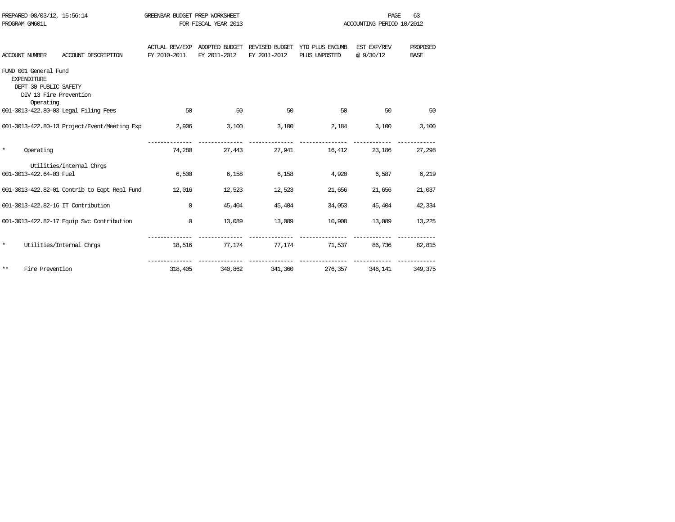|         | PROGRAM GM601L                                                                                              |                                                     |              | FOR FISCAL YEAR 2013 |              |                                                                                           | ACCOUNTING PERIOD 10/2012 |                         |
|---------|-------------------------------------------------------------------------------------------------------------|-----------------------------------------------------|--------------|----------------------|--------------|-------------------------------------------------------------------------------------------|---------------------------|-------------------------|
|         | <b>ACCOUNT NUMBER</b>                                                                                       | ACCOUNT DESCRIPTION                                 | FY 2010-2011 | FY 2011-2012         | FY 2011-2012 | ACTUAL REV/EXP ADOPTED BUDGET REVISED BUDGET YTD PLUS ENCUMB EST EXP/REV<br>PLUS UNPOSTED | @9/30/12                  | PROPOSED<br><b>BASE</b> |
|         | FUND 001 General Fund<br><b>EXPENDITURE</b><br>DEPT 30 PUBLIC SAFETY<br>DIV 13 Fire Prevention<br>Operating |                                                     |              |                      |              |                                                                                           |                           |                         |
|         |                                                                                                             | 001-3013-422.80-03 Legal Filing Fees                | 50           | 50                   | 50           | 50                                                                                        | 50                        | 50                      |
|         |                                                                                                             | 001-3013-422.80-13 Project/Event/Meeting Exp        | 2,906        | 3.100                | 3,100        | 2,184                                                                                     | 3,100                     | 3,100                   |
| $\star$ | Operating                                                                                                   |                                                     | 74,280       |                      |              | 27,443 27,941 16,412                                                                      | 23,186                    | 27,298                  |
|         | 001-3013-422.64-03 Fuel                                                                                     | Utilities/Internal Chros                            | 6,500        | 6,158                | 6,158        | 4,920                                                                                     | 6,587                     | 6,219                   |
|         |                                                                                                             | 001-3013-422.82-01 Contrib to Egpt Repl Fund 12,016 |              | 12,523               | 12,523       | 21,656                                                                                    | 21,656                    | 21,037                  |
|         |                                                                                                             | 001-3013-422.82-16 IT Contribution                  | $\Omega$     | 45,404               | 45,404       | 34,053                                                                                    | 45,404                    | 42,334                  |
|         |                                                                                                             | 001-3013-422.82-17 Equip Svc Contribution           | $\mathbf 0$  | 13,089               | 13,089       | 10,908                                                                                    | 13,089                    | 13,225                  |
| $\star$ |                                                                                                             | Utilities/Internal Chrgs                            | 18,516       |                      |              | 77,174 77,174 71,537                                                                      | 86,736                    | 82,815                  |
| **      | Fire Prevention                                                                                             |                                                     | 318,405      | 340,862              | 341,360      | 276,357                                                                                   | 346,141                   | 349,375                 |

PREPARED 08/03/12, 15:56:14 GREENBAR BUDGET PREP WORKSHEET **FREED ASSESSED ASSAULT** PAGE 63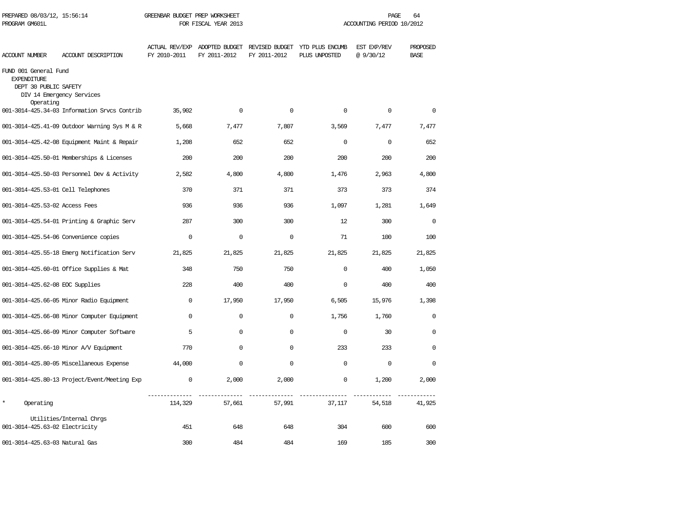| PREPARED 08/03/12, 15:56:14<br>PROGRAM GM601L                                     |                                              | GREENBAR BUDGET PREP WORKSHEET<br>FOR FISCAL YEAR 2013 |                                               |              |                                                 | 64<br>PAGE<br>ACCOUNTING PERIOD 10/2012 |                         |  |
|-----------------------------------------------------------------------------------|----------------------------------------------|--------------------------------------------------------|-----------------------------------------------|--------------|-------------------------------------------------|-----------------------------------------|-------------------------|--|
| <b>ACCOUNT NUMBER</b>                                                             | ACCOUNT DESCRIPTION                          | FY 2010-2011                                           | ACTUAL REV/EXP ADOPTED BUDGET<br>FY 2011-2012 | FY 2011-2012 | REVISED BUDGET YTD PLUS ENCUMB<br>PLUS UNPOSTED | EST EXP/REV<br>@9/30/12                 | PROPOSED<br><b>BASE</b> |  |
| FUND 001 General Fund<br><b>EXPENDITURE</b><br>DEPT 30 PUBLIC SAFETY<br>Operating | DIV 14 Emergency Services                    |                                                        |                                               |              |                                                 |                                         |                         |  |
|                                                                                   | 001-3014-425.34-03 Information Srvcs Contrib | 35,902                                                 | $\Omega$                                      | $\Omega$     | $\Omega$                                        | $\Omega$                                | $\Omega$                |  |
|                                                                                   | 001-3014-425.41-09 Outdoor Warning Sys M & R | 5,668                                                  | 7,477                                         | 7,807        | 3,569                                           | 7,477                                   | 7,477                   |  |
|                                                                                   | 001-3014-425.42-08 Equipment Maint & Repair  | 1,208                                                  | 652                                           | 652          | $\Omega$                                        | $\Omega$                                | 652                     |  |
|                                                                                   | 001-3014-425.50-01 Memberships & Licenses    | 200                                                    | 200                                           | 200          | 200                                             | 200                                     | 200                     |  |
|                                                                                   | 001-3014-425.50-03 Personnel Dev & Activity  | 2,582                                                  | 4,800                                         | 4,800        | 1,476                                           | 2,963                                   | 4,800                   |  |
| 001-3014-425.53-01 Cell Telephones                                                |                                              | 370                                                    | 371                                           | 371          | 373                                             | 373                                     | 374                     |  |
| 001-3014-425.53-02 Access Fees                                                    |                                              | 936                                                    | 936                                           | 936          | 1,097                                           | 1,281                                   | 1,649                   |  |
|                                                                                   | 001-3014-425.54-01 Printing & Graphic Serv   | 287                                                    | 300                                           | 300          | 12                                              | 300                                     | $\mathbf 0$             |  |
|                                                                                   | 001-3014-425.54-06 Convenience copies        | $\mathbf 0$                                            | $\mathbf 0$                                   | $\mathbf 0$  | 71                                              | 100                                     | 100                     |  |
|                                                                                   | 001-3014-425.55-18 Emerg Notification Serv   | 21,825                                                 | 21,825                                        | 21,825       | 21,825                                          | 21,825                                  | 21,825                  |  |
|                                                                                   | 001-3014-425.60-01 Office Supplies & Mat     | 348                                                    | 750                                           | 750          | $\mathbf 0$                                     | 400                                     | 1,050                   |  |
| 001-3014-425.62-08 EOC Supplies                                                   |                                              | 228                                                    | 400                                           | 400          | $\Omega$                                        | 400                                     | 400                     |  |
|                                                                                   | 001-3014-425.66-05 Minor Radio Equipment     | $\Omega$                                               | 17,950                                        | 17,950       | 6,505                                           | 15,976                                  | 1,398                   |  |
|                                                                                   | 001-3014-425.66-08 Minor Computer Equipment  | $\Omega$                                               | $\mathbf 0$                                   | $\mathbf 0$  | 1,756                                           | 1,760                                   | $\Omega$                |  |
|                                                                                   | 001-3014-425.66-09 Minor Computer Software   | 5                                                      | $\mathbf 0$                                   | 0            | $\mathbf 0$                                     | 30                                      | 0                       |  |
|                                                                                   | 001-3014-425.66-10 Minor A/V Equipment       | 770                                                    | $\mathbf 0$                                   | $\mathbf 0$  | 233                                             | 233                                     | $\Omega$                |  |
|                                                                                   | 001-3014-425.80-05 Miscellaneous Expense     | 44,000                                                 | $\mathbf 0$                                   | $\Omega$     | $\mathbf 0$                                     | 0                                       | $\Omega$                |  |
|                                                                                   | 001-3014-425.80-13 Project/Event/Meeting Exp | $\mathsf 0$                                            | 2,000                                         | 2,000        | $\mathsf 0$                                     | 1,200                                   | 2,000                   |  |
| $\star$<br>Operating                                                              |                                              | 114,329                                                | 57,661                                        | 57,991       | 37,117                                          | 54,518                                  | 41,925                  |  |
| 001-3014-425.63-02 Electricity                                                    | Utilities/Internal Chrgs                     | 451                                                    | 648                                           | 648          | 304                                             | 600                                     | 600                     |  |
| 001-3014-425.63-03 Natural Gas                                                    |                                              | 300                                                    | 484                                           | 484          | 169                                             | 185                                     | 300                     |  |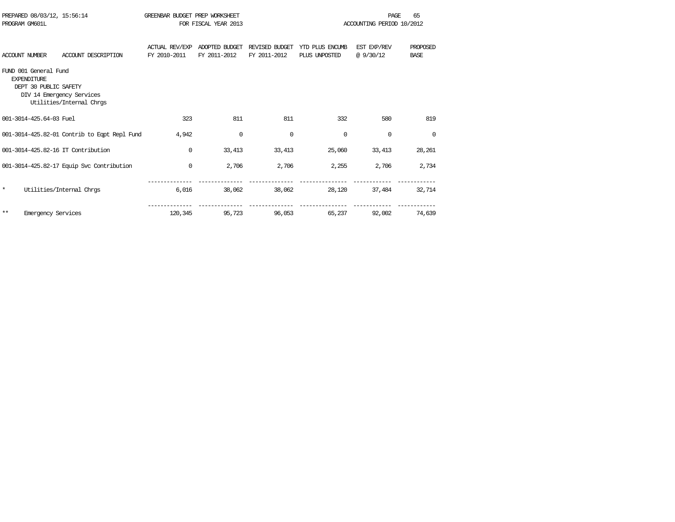| PROGRAM GM601L        | PREPARED 08/03/12, 15:56:14                                          |                                                       | GREENBAR BUDGET PREP WORKSHEET        | FOR FISCAL YEAR 2013           |                                |                                  | PAGE<br>ACCOUNTING PERIOD 10/2012 | 65                      |
|-----------------------|----------------------------------------------------------------------|-------------------------------------------------------|---------------------------------------|--------------------------------|--------------------------------|----------------------------------|-----------------------------------|-------------------------|
| <b>ACCOUNT NUMBER</b> |                                                                      | ACCOUNT DESCRIPTION                                   | <b>ACTUAL REV/EXP</b><br>FY 2010-2011 | ADOPTED BUDGET<br>FY 2011-2012 | REVISED BUDGET<br>FY 2011-2012 | YTD PLUS ENCUMB<br>PLUS UNPOSTED | EST EXP/REV<br>@ 9/30/12          | PROPOSED<br><b>BASE</b> |
|                       | FUND 001 General Fund<br><b>EXPENDITIRE</b><br>DEPT 30 PUBLIC SAFETY | DIV 14 Emergency Services<br>Utilities/Internal Chros |                                       |                                |                                |                                  |                                   |                         |
|                       | 001-3014-425.64-03 Fuel                                              |                                                       | 323                                   | 811                            | 811                            | 332                              | 580                               | 819                     |
|                       |                                                                      | 001-3014-425.82-01 Contrib to Eqpt Repl Fund          | 4,942                                 | $\mathbf 0$                    | $\mathbf 0$                    | 0                                | $\Omega$                          | $\Omega$                |
|                       |                                                                      | 001-3014-425.82-16 IT Contribution                    | 0                                     | 33,413                         | 33,413                         | 25,060                           | 33,413                            | 28,261                  |
|                       |                                                                      | 001-3014-425.82-17 Equip Svc Contribution             | 0                                     | 2,706                          | 2,706                          | 2,255                            | 2,706                             | 2,734                   |
| $\star$               |                                                                      | Utilities/Internal Chros                              | 6,016                                 | 38,062                         | 38,062                         | 28,120                           | 37,484                            | 32,714                  |
| $* *$                 | <b>Emergency Services</b>                                            |                                                       | 120,345                               | 95,723                         | 96,053                         | 65,237                           | 92,002                            | 74,639                  |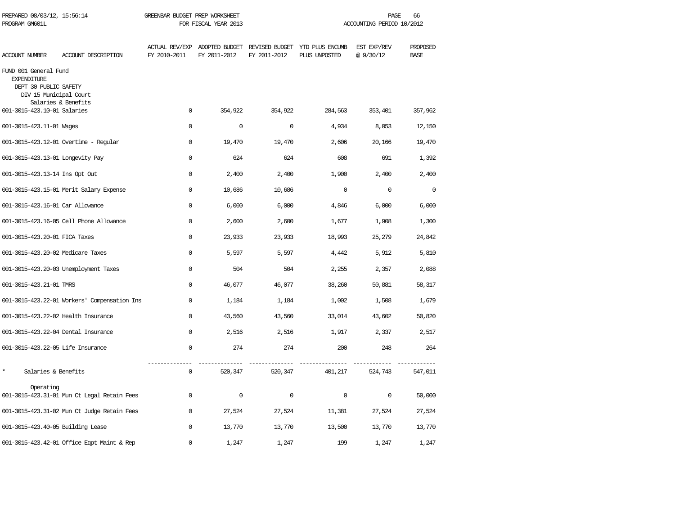| PREPARED 08/03/12, 15:56:14<br>PROGRAM GM601L                                                  |                                              | GREENBAR BUDGET PREP WORKSHEET | FOR FISCAL YEAR 2013                          |              |                                                 | PAGE<br>ACCOUNTING PERIOD 10/2012 | 66                      |
|------------------------------------------------------------------------------------------------|----------------------------------------------|--------------------------------|-----------------------------------------------|--------------|-------------------------------------------------|-----------------------------------|-------------------------|
| <b>ACCOUNT NUMBER</b>                                                                          | ACCOUNT DESCRIPTION                          | FY 2010-2011                   | ACTUAL REV/EXP ADOPTED BUDGET<br>FY 2011-2012 | FY 2011-2012 | REVISED BUDGET YTD PLUS ENCUMB<br>PLUS UNPOSTED | EST EXP/REV<br>@9/30/12           | PROPOSED<br><b>BASE</b> |
| FUND 001 General Fund<br><b>EXPENDITURE</b><br>DEPT 30 PUBLIC SAFETY<br>DIV 15 Municipal Court | Salaries & Benefits                          |                                |                                               |              |                                                 |                                   |                         |
| 001-3015-423.10-01 Salaries                                                                    |                                              | $\Omega$                       | 354,922                                       | 354,922      | 284,563                                         | 353,401                           | 357,962                 |
| 001-3015-423.11-01 Wages                                                                       |                                              | $\Omega$                       | $\mathbf{0}$                                  | $\mathbf 0$  | 4,934                                           | 8,053                             | 12,150                  |
|                                                                                                | 001-3015-423.12-01 Overtime - Regular        | $\Omega$                       | 19,470                                        | 19,470       | 2,606                                           | 20,166                            | 19,470                  |
| 001-3015-423.13-01 Longevity Pay                                                               |                                              | $\Omega$                       | 624                                           | 624          | 608                                             | 691                               | 1,392                   |
| 001-3015-423.13-14 Ins Opt Out                                                                 |                                              | $\Omega$                       | 2,400                                         | 2,400        | 1,900                                           | 2,400                             | 2,400                   |
|                                                                                                | 001-3015-423.15-01 Merit Salary Expense      | $\mathbf 0$                    | 10,686                                        | 10,686       | $\mathbf 0$                                     | $\mathbf 0$                       | $\mathbf 0$             |
| 001-3015-423.16-01 Car Allowance                                                               |                                              | $\mathbf 0$                    | 6,000                                         | 6,000        | 4,846                                           | 6,000                             | 6,000                   |
|                                                                                                | 001-3015-423.16-05 Cell Phone Allowance      | $\mathbf 0$                    | 2,600                                         | 2,600        | 1,677                                           | 1,908                             | 1,300                   |
| 001-3015-423.20-01 FICA Taxes                                                                  |                                              | $\mathbf 0$                    | 23,933                                        | 23,933       | 18,993                                          | 25,279                            | 24,842                  |
| 001-3015-423.20-02 Medicare Taxes                                                              |                                              | $\Omega$                       | 5,597                                         | 5,597        | 4,442                                           | 5,912                             | 5,810                   |
|                                                                                                | 001-3015-423.20-03 Unemployment Taxes        | $\Omega$                       | 504                                           | 504          | 2,255                                           | 2,357                             | 2,088                   |
| 001-3015-423.21-01 TMRS                                                                        |                                              | $\Omega$                       | 46,077                                        | 46,077       | 38,260                                          | 50,881                            | 58,317                  |
|                                                                                                | 001-3015-423.22-01 Workers' Compensation Ins | $\Omega$                       | 1,184                                         | 1,184        | 1,002                                           | 1,508                             | 1,679                   |
| 001-3015-423.22-02 Health Insurance                                                            |                                              | $\mathbf{0}$                   | 43,560                                        | 43,560       | 33,014                                          | 43,602                            | 50,820                  |
| 001-3015-423.22-04 Dental Insurance                                                            |                                              | $\mathbf{0}$                   | 2,516                                         | 2,516        | 1,917                                           | 2,337                             | 2,517                   |
| 001-3015-423.22-05 Life Insurance                                                              |                                              | $\mathbf{0}$                   | 274                                           | 274          | 200                                             | 248                               | 264                     |
| $\star$<br>Salaries & Benefits                                                                 |                                              | 0                              | 520,347                                       | 520,347      | 401,217                                         | 524,743                           | 547,011                 |
| Operating                                                                                      | 001-3015-423.31-01 Mun Ct Legal Retain Fees  | $\Omega$                       | 0                                             | $\mathbf 0$  | $\Omega$                                        | $\Omega$                          | 50,000                  |
|                                                                                                | 001-3015-423.31-02 Mun Ct Judge Retain Fees  | 0                              | 27,524                                        | 27,524       | 11,381                                          | 27,524                            | 27,524                  |
| 001-3015-423.40-05 Building Lease                                                              |                                              | $\Omega$                       | 13,770                                        | 13,770       | 13,500                                          | 13,770                            | 13,770                  |
|                                                                                                | 001-3015-423.42-01 Office Eqpt Maint & Rep   | $\Omega$                       | 1,247                                         | 1,247        | 199                                             | 1,247                             | 1,247                   |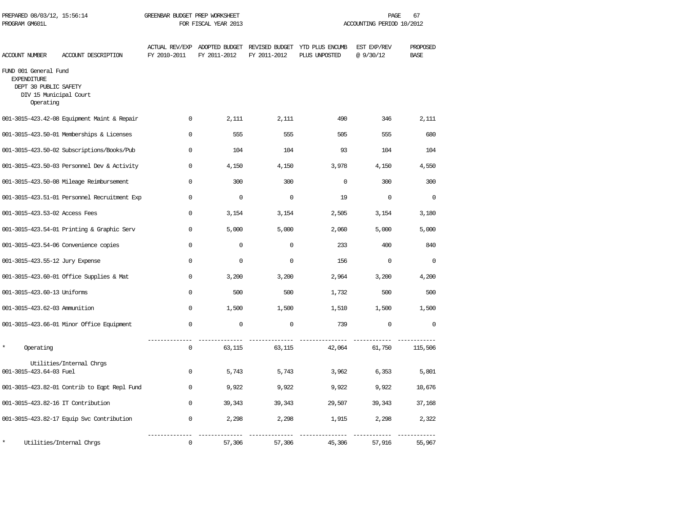| PREPARED 08/03/12, 15:56:14<br>PROGRAM GM601L                                                               |                                              | GREENBAR BUDGET PREP WORKSHEET<br>FOR FISCAL YEAR 2013 |                                               |              | PAGE<br>67<br>ACCOUNTING PERIOD 10/2012         |                         |                         |
|-------------------------------------------------------------------------------------------------------------|----------------------------------------------|--------------------------------------------------------|-----------------------------------------------|--------------|-------------------------------------------------|-------------------------|-------------------------|
| <b>ACCOUNT NUMBER</b>                                                                                       | ACCOUNT DESCRIPTION                          | FY 2010-2011                                           | ACTUAL REV/EXP ADOPTED BUDGET<br>FY 2011-2012 | FY 2011-2012 | REVISED BUDGET YTD PLUS ENCUMB<br>PLUS UNPOSTED | EST EXP/REV<br>@9/30/12 | PROPOSED<br><b>BASE</b> |
| FUND 001 General Fund<br><b>EXPENDITURE</b><br>DEPT 30 PUBLIC SAFETY<br>DIV 15 Municipal Court<br>Operating |                                              |                                                        |                                               |              |                                                 |                         |                         |
|                                                                                                             | 001-3015-423.42-08 Equipment Maint & Repair  | $\Omega$                                               | 2,111                                         | 2,111        | 490                                             | 346                     | 2,111                   |
|                                                                                                             | 001-3015-423.50-01 Memberships & Licenses    | $\Omega$                                               | 555                                           | 555          | 505                                             | 555                     | 680                     |
|                                                                                                             | 001-3015-423.50-02 Subscriptions/Books/Pub   | $\mathbf{0}$                                           | 104                                           | 104          | 93                                              | 104                     | 104                     |
|                                                                                                             | 001-3015-423.50-03 Personnel Dev & Activity  | $\mathbf 0$                                            | 4,150                                         | 4,150        | 3,978                                           | 4,150                   | 4,550                   |
|                                                                                                             | 001-3015-423.50-08 Mileage Reimbursement     | $\mathbf{0}$                                           | 300                                           | 300          | $\mathbf 0$                                     | 300                     | 300                     |
|                                                                                                             | 001-3015-423.51-01 Personnel Recruitment Exp | $\Omega$                                               | $\Omega$                                      | $\Omega$     | 19                                              | $\Omega$                | $\Omega$                |
| 001-3015-423.53-02 Access Fees                                                                              |                                              | $\Omega$                                               | 3,154                                         | 3,154        | 2,505                                           | 3,154                   | 3,180                   |
|                                                                                                             | 001-3015-423.54-01 Printing & Graphic Serv   | $\Omega$                                               | 5,000                                         | 5,000        | 2,060                                           | 5,000                   | 5,000                   |
|                                                                                                             | 001-3015-423.54-06 Convenience copies        | $\Omega$                                               | $\mathbf 0$                                   | $\mathbf 0$  | 233                                             | 400                     | 840                     |
| 001-3015-423.55-12 Jury Expense                                                                             |                                              | $\Omega$                                               | $\mathbf 0$                                   | $\mathbf 0$  | 156                                             | $\mathbf 0$             | $\Omega$                |
|                                                                                                             | 001-3015-423.60-01 Office Supplies & Mat     | $\Omega$                                               | 3,200                                         | 3,200        | 2,964                                           | 3,200                   | 4,200                   |
| 001-3015-423.60-13 Uniforms                                                                                 |                                              | $\Omega$                                               | 500                                           | 500          | 1,732                                           | 500                     | 500                     |
| 001-3015-423.62-03 Ammunition                                                                               |                                              | $\mathbf{0}$                                           | 1,500                                         | 1,500        | 1,510                                           | 1,500                   | 1,500                   |
|                                                                                                             | 001-3015-423.66-01 Minor Office Equipment    | $\mathbf{0}$                                           | $\mathbf 0$                                   | $\mathbf 0$  | 739                                             | $\mathbf 0$             | 0                       |
| Operating                                                                                                   |                                              | $\Omega$                                               | 63,115                                        | 63,115       | 42,064                                          | 61,750                  | 115,506                 |
| 001-3015-423.64-03 Fuel                                                                                     | Utilities/Internal Chrgs                     | $\mathbf 0$                                            | 5,743                                         | 5,743        | 3,962                                           | 6,353                   | 5,801                   |
|                                                                                                             | 001-3015-423.82-01 Contrib to Eqpt Repl Fund | $\mathbf{0}$                                           | 9,922                                         | 9,922        | 9,922                                           | 9,922                   | 10,676                  |
| 001-3015-423.82-16 IT Contribution                                                                          |                                              | $\Omega$                                               | 39,343                                        | 39,343       | 29,507                                          | 39,343                  | 37,168                  |
|                                                                                                             | 001-3015-423.82-17 Equip Svc Contribution    | 0                                                      | 2,298                                         | 2,298        | 1,915                                           | 2,298                   | 2,322                   |
|                                                                                                             | Utilities/Internal Chrqs                     | 0                                                      | 57,306                                        | 57,306       | 45,306                                          | 57,916                  | 55,967                  |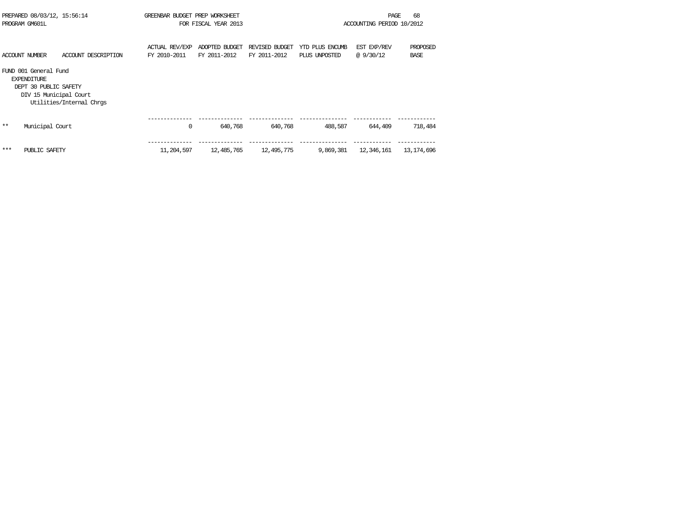|      | PREPARED 08/03/12, 15:56:14<br>PROGRAM GM601L                                                  |                          | GREENBAR BUDGET PREP WORKSHEET | FOR FISCAL YEAR 2013           |                                |                                  | PAGE<br>ACCOUNTING PERIOD 10/2012 | 68                      |
|------|------------------------------------------------------------------------------------------------|--------------------------|--------------------------------|--------------------------------|--------------------------------|----------------------------------|-----------------------------------|-------------------------|
|      | ACCOUNT NUMBER                                                                                 | ACCOUNT DESCRIPTION      | ACTUAL REV/EXP<br>FY 2010-2011 | ADOPTED BUDGET<br>FY 2011-2012 | REVISED BUDGET<br>FY 2011-2012 | YTD PLUS ENCUMB<br>PLUS UNPOSTED | EST EXP/REV<br>@9/30/12           | PROPOSED<br><b>BASE</b> |
|      | FUND 001 General Fund<br><b>EXPENDITURE</b><br>DEPT 30 PUBLIC SAFETY<br>DIV 15 Municipal Court | Utilities/Internal Chrqs |                                |                                |                                |                                  |                                   |                         |
| $**$ | Municipal Court                                                                                |                          | 0                              | 640,768                        | 640,768                        | 488,587                          | 644,409                           | 718,484                 |
| ***  | PUBLIC SAFETY                                                                                  |                          | 11,204,597                     | 12,485,765                     | 12,495,775                     | 9,869,381                        | 12,346,161                        | 13,174,696              |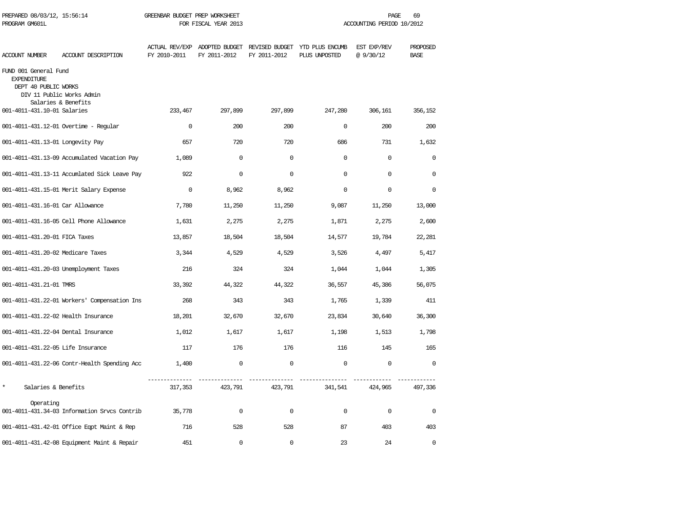| PREPARED 08/03/12, 15:56:14<br>PROGRAM GM601L                       |                                              | GREENBAR BUDGET PREP WORKSHEET<br>FOR FISCAL YEAR 2013 |              |              | 69<br>PAGE<br>ACCOUNTING PERIOD 10/2012                                       |                          |                         |  |  |
|---------------------------------------------------------------------|----------------------------------------------|--------------------------------------------------------|--------------|--------------|-------------------------------------------------------------------------------|--------------------------|-------------------------|--|--|
| ACCOUNT NUMBER                                                      | ACCOUNT DESCRIPTION                          | FY 2010-2011                                           | FY 2011-2012 | FY 2011-2012 | ACTUAL REV/EXP ADOPTED BUDGET REVISED BUDGET YTD PLUS ENCUMB<br>PLUS UNPOSTED | EST EXP/REV<br>@ 9/30/12 | PROPOSED<br><b>BASE</b> |  |  |
| FUND 001 General Fund<br><b>EXPENDITURE</b><br>DEPT 40 PUBLIC WORKS | DIV 11 Public Works Admin                    |                                                        |              |              |                                                                               |                          |                         |  |  |
| 001-4011-431.10-01 Salaries                                         | Salaries & Benefits                          | 233,467                                                | 297,899      | 297,899      | 247,280                                                                       | 306,161                  | 356,152                 |  |  |
|                                                                     | 001-4011-431.12-01 Overtime - Regular        | $\mathbf 0$                                            | 200          | 200          | $\Omega$                                                                      | 200                      | 200                     |  |  |
| 001-4011-431.13-01 Longevity Pay                                    |                                              | 657                                                    | 720          | 720          | 686                                                                           | 731                      | 1,632                   |  |  |
|                                                                     | 001-4011-431.13-09 Accumulated Vacation Pay  | 1,089                                                  | $\mathbf 0$  | $\mathbf 0$  | $\mathbf 0$                                                                   | $\mathbf 0$              | $\mathbf 0$             |  |  |
|                                                                     | 001-4011-431.13-11 Accumlated Sick Leave Pay | 922                                                    | $\mathbf 0$  | $\mathbf 0$  | $\Omega$                                                                      | $\mathbf 0$              | 0                       |  |  |
|                                                                     | 001-4011-431.15-01 Merit Salary Expense      | $\mathbf 0$                                            | 8,962        | 8,962        | $\cap$                                                                        | $\mathbf 0$              | 0                       |  |  |
| 001-4011-431.16-01 Car Allowance                                    |                                              | 7,780                                                  | 11,250       | 11,250       | 9,087                                                                         | 11,250                   | 13,000                  |  |  |
|                                                                     | 001-4011-431.16-05 Cell Phone Allowance      | 1,631                                                  | 2,275        | 2,275        | 1,871                                                                         | 2,275                    | 2,600                   |  |  |
| 001-4011-431.20-01 FICA Taxes                                       |                                              | 13,857                                                 | 18,504       | 18,504       | 14,577                                                                        | 19,784                   | 22,281                  |  |  |
| 001-4011-431.20-02 Medicare Taxes                                   |                                              | 3,344                                                  | 4,529        | 4,529        | 3,526                                                                         | 4,497                    | 5,417                   |  |  |
|                                                                     | 001-4011-431.20-03 Unemployment Taxes        | 216                                                    | 324          | 324          | 1,044                                                                         | 1,044                    | 1,305                   |  |  |
| 001-4011-431.21-01 TMRS                                             |                                              | 33,392                                                 | 44,322       | 44,322       | 36,557                                                                        | 45,386                   | 56,075                  |  |  |
|                                                                     | 001-4011-431.22-01 Workers' Compensation Ins | 268                                                    | 343          | 343          | 1,765                                                                         | 1,339                    | 411                     |  |  |
| 001-4011-431.22-02 Health Insurance                                 |                                              | 18,201                                                 | 32,670       | 32,670       | 23,834                                                                        | 30,640                   | 36,300                  |  |  |
| 001-4011-431.22-04 Dental Insurance                                 |                                              | 1,012                                                  | 1,617        | 1,617        | 1,198                                                                         | 1,513                    | 1,798                   |  |  |
| 001-4011-431.22-05 Life Insurance                                   |                                              | 117                                                    | 176          | 176          | 116                                                                           | 145                      | 165                     |  |  |
|                                                                     | 001-4011-431.22-06 Contr-Health Spending Acc | 1,400                                                  | $\mathbf 0$  | $\mathbf 0$  | $\mathbf 0$                                                                   | $\mathbf 0$              | $\mathbf 0$             |  |  |
| $\star$<br>Salaries & Benefits                                      |                                              | 317,353                                                | 423,791      | 423,791      | 341,541                                                                       | 424,965                  | 497,336                 |  |  |
| Operating                                                           | 001-4011-431.34-03 Information Srvcs Contrib | 35,778                                                 | 0            | $\Omega$     | $\Omega$                                                                      | 0                        | 0                       |  |  |
|                                                                     | 001-4011-431.42-01 Office Eqpt Maint & Rep   | 716                                                    | 528          | 528          | 87                                                                            | 403                      | 403                     |  |  |
|                                                                     | 001-4011-431.42-08 Equipment Maint & Repair  | 451                                                    | $\Omega$     | $\Omega$     | 23                                                                            | 24                       | $\Omega$                |  |  |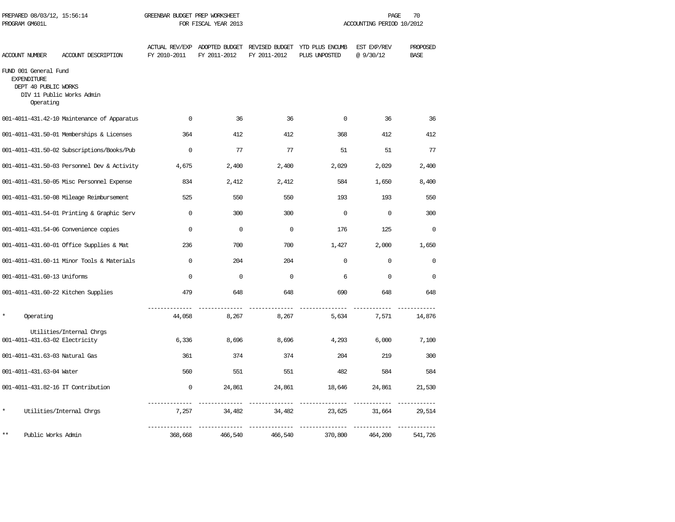| PREPARED 08/03/12, 15:56:14<br>PROGRAM GM601L                                    |                                             | GREENBAR BUDGET PREP WORKSHEET<br>FOR FISCAL YEAR 2013 |                                               |              | PAGE<br>70<br>ACCOUNTING PERIOD 10/2012         |                          |                         |  |
|----------------------------------------------------------------------------------|---------------------------------------------|--------------------------------------------------------|-----------------------------------------------|--------------|-------------------------------------------------|--------------------------|-------------------------|--|
| <b>ACCOUNT NUMBER</b>                                                            | ACCOUNT DESCRIPTION                         | FY 2010-2011                                           | ACTUAL REV/EXP ADOPTED BUDGET<br>FY 2011-2012 | FY 2011-2012 | REVISED BUDGET YTD PLUS ENCUMB<br>PLUS UNPOSTED | EST EXP/REV<br>@ 9/30/12 | PROPOSED<br><b>BASE</b> |  |
| FUND 001 General Fund<br><b>EXPENDITURE</b><br>DEPT 40 PUBLIC WORKS<br>Operating | DIV 11 Public Works Admin                   |                                                        |                                               |              |                                                 |                          |                         |  |
|                                                                                  | 001-4011-431.42-10 Maintenance of Apparatus | $\Omega$                                               | 36                                            | 36           | $\Omega$                                        | 36                       | 36                      |  |
|                                                                                  | 001-4011-431.50-01 Memberships & Licenses   | 364                                                    | 412                                           | 412          | 368                                             | 412                      | 412                     |  |
|                                                                                  | 001-4011-431.50-02 Subscriptions/Books/Pub  | $\mathbf 0$                                            | 77                                            | 77           | 51                                              | 51                       | 77                      |  |
|                                                                                  | 001-4011-431.50-03 Personnel Dev & Activity | 4,675                                                  | 2,400                                         | 2,400        | 2,029                                           | 2,029                    | 2,400                   |  |
|                                                                                  | 001-4011-431.50-05 Misc Personnel Expense   | 834                                                    | 2,412                                         | 2,412        | 584                                             | 1,650                    | 8,400                   |  |
|                                                                                  | 001-4011-431.50-08 Mileage Reimbursement    | 525                                                    | 550                                           | 550          | 193                                             | 193                      | 550                     |  |
|                                                                                  | 001-4011-431.54-01 Printing & Graphic Serv  | $\mathbf 0$                                            | 300                                           | 300          | $\mathbf 0$                                     | $\mathbf 0$              | 300                     |  |
|                                                                                  | 001-4011-431.54-06 Convenience copies       | $\Omega$                                               | $\Omega$                                      | $\Omega$     | 176                                             | 125                      | $\mathbf 0$             |  |
|                                                                                  | 001-4011-431.60-01 Office Supplies & Mat    | 236                                                    | 700                                           | 700          | 1,427                                           | 2,000                    | 1,650                   |  |
|                                                                                  | 001-4011-431.60-11 Minor Tools & Materials  | $\Omega$                                               | 204                                           | 204          | $\Omega$                                        | $\mathbf 0$              | $\Omega$                |  |
| 001-4011-431.60-13 Uniforms                                                      |                                             | $\Omega$                                               | $\mathbf 0$                                   | $\Omega$     | 6                                               | $\mathsf 0$              | $\Omega$                |  |
| 001-4011-431.60-22 Kitchen Supplies                                              |                                             | 479                                                    | 648                                           | 648          | 690                                             | 648                      | 648                     |  |
| Operating                                                                        |                                             | 44,058                                                 | 8,267                                         | 8,267        | 5,634                                           | 7,571                    | 14,876                  |  |
| 001-4011-431.63-02 Electricity                                                   | Utilities/Internal Chrgs                    | 6,336                                                  | 8,696                                         | 8,696        | 4,293                                           | 6,000                    | 7,100                   |  |
| 001-4011-431.63-03 Natural Gas                                                   |                                             | 361                                                    | 374                                           | 374          | 204                                             | 219                      | 300                     |  |
| 001-4011-431.63-04 Water                                                         |                                             | 560                                                    | 551                                           | 551          | 482                                             | 584                      | 584                     |  |
| 001-4011-431.82-16 IT Contribution                                               |                                             | $\mathbf 0$                                            | 24,861                                        | 24,861       | 18,646                                          | 24,861                   | 21,530                  |  |
| $\star$                                                                          | Utilities/Internal Chrgs                    | 7,257                                                  | 34,482                                        | 34,482       | 23,625                                          | 31,664                   | 29,514                  |  |
| $* *$<br>Public Works Admin                                                      |                                             | 368,668                                                | 466,540                                       | 466,540      | 370,800                                         | 464,200                  | 541,726                 |  |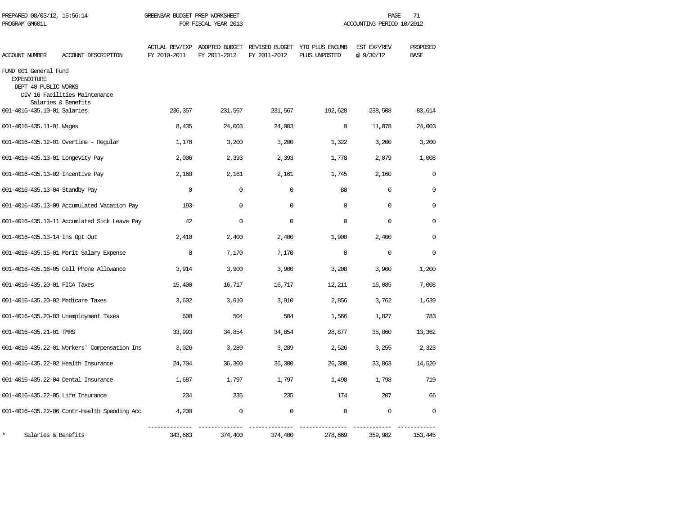| PREPARED 08/03/12, 15:56:14<br>PROGRAM GM601L                       |                                                      | GREENBAR BUDGET PREP WORKSHEET | FOR FISCAL YEAR 2013 |              |                                                                               | PAGE<br>ACCOUNTING PERIOD 10/2012 | 71                      |
|---------------------------------------------------------------------|------------------------------------------------------|--------------------------------|----------------------|--------------|-------------------------------------------------------------------------------|-----------------------------------|-------------------------|
| ACCOUNT NUMBER                                                      | ACCOUNT DESCRIPTION                                  | FY 2010-2011                   | FY 2011-2012         | FY 2011-2012 | ACTUAL REV/EXP ADOPTED BUDGET REVISED BUDGET YTD PLUS ENCUMB<br>PLUS UNPOSTED | EST EXP/REV<br>@9/30/12           | PROPOSED<br><b>BASE</b> |
| FUND 001 General Fund<br><b>EXPENDITURE</b><br>DEPT 40 PUBLIC WORKS | DIV 16 Facilities Maintenance<br>Salaries & Benefits |                                |                      |              |                                                                               |                                   |                         |
| 001-4016-435.10-01 Salaries                                         |                                                      | 236,357                        | 231,567              | 231,567      | 192,628                                                                       | 238,508                           | 83,614                  |
| 001-4016-435.11-01 Wages                                            |                                                      | 8,435                          | 24,003               | 24,003       | $\mathbf 0$                                                                   | 11,078                            | 24,003                  |
|                                                                     | 001-4016-435.12-01 Overtime - Regular                | 1,178                          | 3,200                | 3,200        | 1,322                                                                         | 3,200                             | 3,200                   |
| 001-4016-435.13-01 Longevity Pay                                    |                                                      | 2,006                          | 2,393                | 2,393        | 1,778                                                                         | 2,079                             | 1,008                   |
| 001-4016-435.13-02 Incentive Pay                                    |                                                      | 2,168                          | 2,161                | 2,161        | 1,745                                                                         | 2,160                             | $\Omega$                |
| 001-4016-435.13-04 Standby Pay                                      |                                                      | $\Omega$                       | $\Omega$             | $\Omega$     | 80                                                                            | $\mathbf 0$                       | $\Omega$                |
|                                                                     | 001-4016-435.13-09 Accumulated Vacation Pay          | $193 -$                        | $\Omega$             | $\Omega$     | $\Omega$                                                                      | $\Omega$                          | $\Omega$                |
|                                                                     | 001-4016-435.13-11 Accumlated Sick Leave Pay         | 42                             | $\mathbf 0$          | $\mathbf 0$  | 0                                                                             | $\mathbf 0$                       | $\Omega$                |
| 001-4016-435.13-14 Ins Opt Out                                      |                                                      | 2,410                          | 2,400                | 2,400        | 1,900                                                                         | 2,400                             | 0                       |
|                                                                     | 001-4016-435.15-01 Merit Salary Expense              | $\mathbf 0$                    | 7,170                | 7,170        | $\mathbf 0$                                                                   | $\mathbf 0$                       | $\Omega$                |
|                                                                     | 001-4016-435.16-05 Cell Phone Allowance              | 3,914                          | 3,900                | 3,900        | 3,208                                                                         | 3,900                             | 1,200                   |
| 001-4016-435.20-01 FICA Taxes                                       |                                                      | 15,400                         | 16,717               | 16,717       | 12,211                                                                        | 16,085                            | 7,008                   |
| 001-4016-435.20-02 Medicare Taxes                                   |                                                      | 3,602                          | 3,910                | 3,910        | 2,856                                                                         | 3,762                             | 1,639                   |
|                                                                     | 001-4016-435.20-03 Unemployment Taxes                | 500                            | 504                  | 504          | 1,566                                                                         | 1,827                             | 783                     |
| 001-4016-435.21-01 TMRS                                             |                                                      | 33,993                         | 34,854               | 34,854       | 28,877                                                                        | 35,860                            | 13,362                  |
|                                                                     | 001-4016-435.22-01 Workers' Compensation Ins         | 3,026                          | 3,289                | 3,289        | 2,526                                                                         | 3,255                             | 2,323                   |
| 001-4016-435.22-02 Health Insurance                                 |                                                      | 24,704                         | 36,300               | 36,300       | 26,300                                                                        | 33,863                            | 14,520                  |
| 001-4016-435.22-04 Dental Insurance                                 |                                                      | 1,687                          | 1,797                | 1,797        | 1,498                                                                         | 1,798                             | 719                     |
| 001-4016-435.22-05 Life Insurance                                   |                                                      | 234                            | 235                  | 235          | 174                                                                           | 207                               | 66                      |
|                                                                     | 001-4016-435.22-06 Contr-Health Spending Acc         | 4,200                          | $\mathbf 0$          | 0            | $\mathbf 0$                                                                   | 0                                 | $\Omega$                |
| Salaries & Benefits                                                 |                                                      | 343,663                        | 374,400              | 374,400      | 278,669                                                                       | 359,982                           | 153,445                 |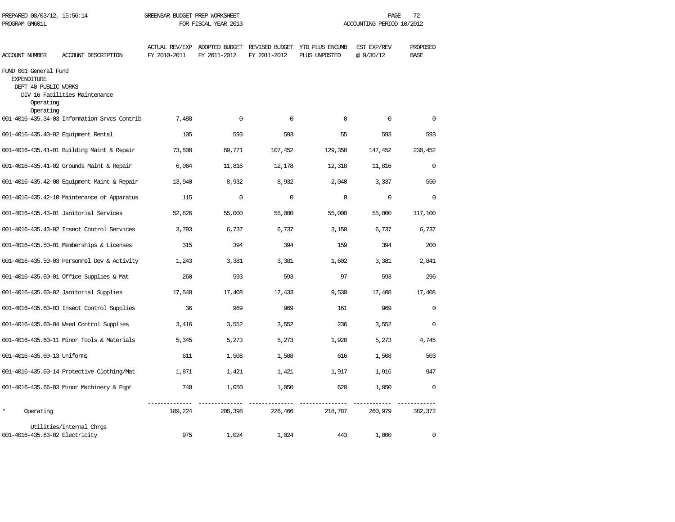| PROGRAM GM601L                                                                                |                                              |                                       | FOR FISCAL YEAR 2013                          |              | ACCOUNTING PERIOD 10/2012        |                         |                         |  |
|-----------------------------------------------------------------------------------------------|----------------------------------------------|---------------------------------------|-----------------------------------------------|--------------|----------------------------------|-------------------------|-------------------------|--|
| <b>ACCOUNT NUMBER</b>                                                                         | ACCOUNT DESCRIPTION                          | <b>ACTUAL REV/EXP</b><br>FY 2010-2011 | ADOPTED BUDGET REVISED BUDGET<br>FY 2011-2012 | FY 2011-2012 | YTD PLUS ENCUMB<br>PLUS UNPOSTED | EST EXP/REV<br>@9/30/12 | PROPOSED<br><b>BASE</b> |  |
| FUND 001 General Fund<br><b>EXPENDITURE</b><br>DEPT 40 PUBLIC WORKS<br>Operating<br>Operating | DIV 16 Facilities Maintenance                |                                       |                                               |              |                                  |                         |                         |  |
|                                                                                               | 001-4016-435.34-03 Information Srvcs Contrib | 7,488                                 | $\mathbf 0$                                   | $\mathbf 0$  | 0                                | $\mathbf 0$             | $\mathbf 0$             |  |
|                                                                                               | 001-4016-435.40-02 Equipment Rental          | 105                                   | 593                                           | 593          | 55                               | 593                     | 593                     |  |
|                                                                                               | 001-4016-435.41-01 Building Maint & Repair   | 73,508                                | 89,771                                        | 107,452      | 129,358                          | 147,452                 | 230,452                 |  |
|                                                                                               | 001-4016-435.41-02 Grounds Maint & Repair    | 6,064                                 | 11,816                                        | 12,178       | 12,318                           | 11,816                  | $\Omega$                |  |
|                                                                                               | 001-4016-435.42-08 Equipment Maint & Repair  | 13,940                                | 8,932                                         | 8,932        | 2,040                            | 3,337                   | 550                     |  |
|                                                                                               | 001-4016-435.42-10 Maintenance of Apparatus  | 115                                   | $\mathbf 0$                                   | $\mathbf 0$  | $\mathbf 0$                      | $\mathbf 0$             | $\mathbf 0$             |  |
|                                                                                               | 001-4016-435.43-01 Janitorial Services       | 52,826                                | 55,000                                        | 55,000       | 55,000                           | 55,000                  | 117,100                 |  |
|                                                                                               | 001-4016-435.43-02 Insect Control Services   | 3,793                                 | 6,737                                         | 6,737        | 3,150                            | 6,737                   | 6,737                   |  |
|                                                                                               | 001-4016-435.50-01 Memberships & Licenses    | 315                                   | 394                                           | 394          | 159                              | 394                     | 200                     |  |
|                                                                                               | 001-4016-435.50-03 Personnel Dev & Activity  | 1,243                                 | 3,381                                         | 3,381        | 1,602                            | 3,381                   | 2,841                   |  |
|                                                                                               | 001-4016-435.60-01 Office Supplies & Mat     | 260                                   | 593                                           | 593          | 97                               | 593                     | 296                     |  |
|                                                                                               | 001-4016-435.60-02 Janitorial Supplies       | 17,548                                | 17,408                                        | 17,433       | 9,530                            | 17,408                  | 17,408                  |  |
|                                                                                               | 001-4016-435.60-03 Insect Control Supplies   | 36                                    | 969                                           | 969          | 161                              | 969                     | $\mathbf{0}$            |  |
|                                                                                               | 001-4016-435.60-04 Weed Control Supplies     | 3,416                                 | 3,552                                         | 3,552        | 236                              | 3,552                   | 0                       |  |
|                                                                                               | 001-4016-435.60-11 Minor Tools & Materials   | 5,345                                 | 5,273                                         | 5,273        | 1,928                            | 5,273                   | 4,745                   |  |
| 001-4016-435.60-13 Uniforms                                                                   |                                              | 611                                   | 1,508                                         | 1,508        | 616                              | 1,508                   | 503                     |  |
|                                                                                               | 001-4016-435.60-14 Protective Clothing/Mat   | 1,871                                 | 1,421                                         | 1,421        | 1,917                            | 1,916                   | 947                     |  |
|                                                                                               | 001-4016-435.66-03 Minor Machinery & Eqpt    | 740                                   | 1,050                                         | 1,050        | 620                              | 1,050                   | $\Omega$                |  |
| $\star$<br>Operating                                                                          |                                              | 189,224                               | 208,398                                       | 226,466      | 218,787                          | 260,979                 | 382,372                 |  |
| 001-4016-435.63-02 Electricity                                                                | Utilities/Internal Chrgs                     | 975                                   | 1,024                                         | 1,024        | 443                              | 1,000                   | $\mathbf 0$             |  |

PREPARED 08/03/12, 15:56:14 GREENBAR BUDGET PREP WORKSHEET **FREED AGE 72** PAGE 72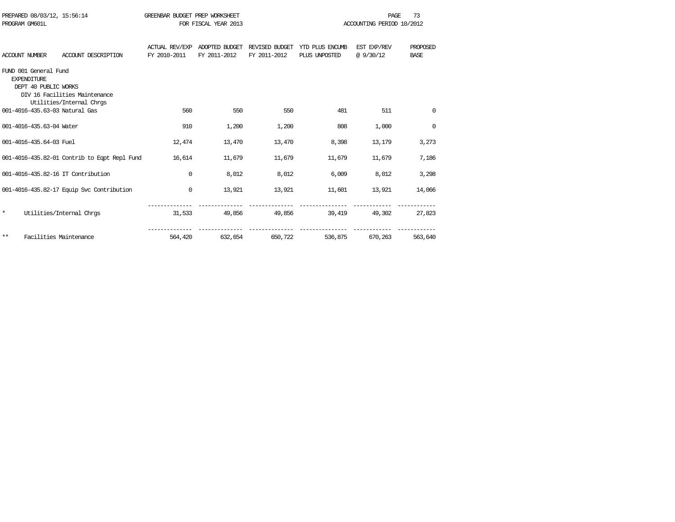| PROGRAM GM601L        | PREPARED 08/03/12, 15:56:14                                         |                                                           | GREENBAR BUDGET PREP WORKSHEET        | FOR FISCAL YEAR 2013           |                                |                                  | <b>PAGE</b><br>ACCOUNTING PERIOD 10/2012 | 73                      |
|-----------------------|---------------------------------------------------------------------|-----------------------------------------------------------|---------------------------------------|--------------------------------|--------------------------------|----------------------------------|------------------------------------------|-------------------------|
| <b>ACCOUNT NUMBER</b> |                                                                     | ACCOUNT DESCRIPTION                                       | <b>ACTUAL REV/EXP</b><br>FY 2010-2011 | ADOPTED BUDGET<br>FY 2011-2012 | REVISED BUDGET<br>FY 2011-2012 | YTD PLUS ENCUMB<br>PLUS UNPOSTED | EST EXP/REV<br>@9/30/12                  | PROPOSED<br><b>BASE</b> |
|                       | FUND 001 General Fund<br><b>EXPENDITURE</b><br>DEPT 40 PUBLIC WORKS | DIV 16 Facilities Maintenance<br>Utilities/Internal Chrgs |                                       |                                |                                |                                  |                                          |                         |
|                       |                                                                     | 001-4016-435.63-03 Natural Gas                            | 560                                   | 550                            | 550                            | 481                              | 511                                      | 0                       |
|                       | 001-4016-435.63-04 Water                                            |                                                           | 910                                   | 1,200                          | 1,200                          | 808                              | 1,000                                    | $\mathbf 0$             |
|                       | 001-4016-435.64-03 Fuel                                             |                                                           | 12,474                                | 13,470                         | 13,470                         | 8,398                            | 13,179                                   | 3,273                   |
|                       |                                                                     | 001-4016-435.82-01 Contrib to Eqpt Repl Fund              | 16,614                                | 11,679                         | 11,679                         | 11,679                           | 11,679                                   | 7,186                   |
|                       |                                                                     | 001-4016-435.82-16 IT Contribution                        | $\mathbf{0}$                          | 8,012                          | 8,012                          | 6,009                            | 8,012                                    | 3,298                   |
|                       |                                                                     | 001-4016-435.82-17 Equip Svc Contribution                 | 0                                     | 13,921                         | 13,921                         | 11,601                           | 13,921                                   | 14,066                  |
| $\star$               |                                                                     | Utilities/Internal Chros                                  | 31,533                                | 49,856                         | 49,856                         | 39,419                           | 49,302                                   | 27,823                  |
| $***$                 |                                                                     | Facilities Maintenance                                    | 564,420                               | 632,654                        | 650,722                        | 536,875                          | 670,263                                  | 563,640                 |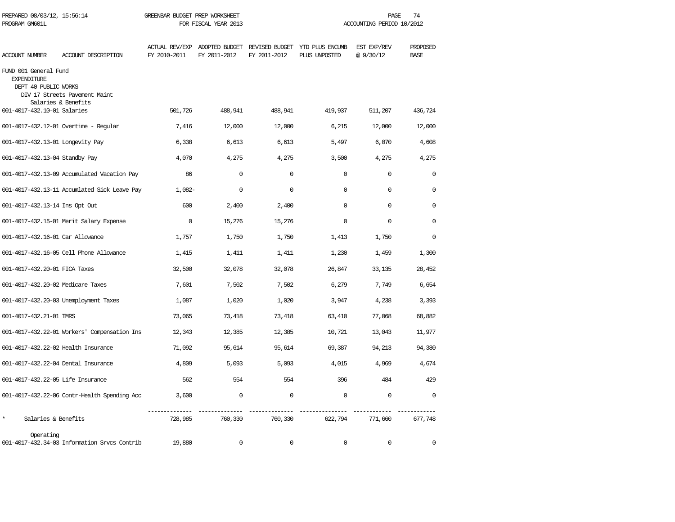| PREPARED 08/03/12, 15:56:14<br>PROGRAM GM601L                       |                                                      | GREENBAR BUDGET PREP WORKSHEET<br>FOR FISCAL YEAR 2013 |              |              | PAGE<br>74<br>ACCOUNTING PERIOD 10/2012                                       |                         |                         |
|---------------------------------------------------------------------|------------------------------------------------------|--------------------------------------------------------|--------------|--------------|-------------------------------------------------------------------------------|-------------------------|-------------------------|
| <b>ACCOUNT NUMBER</b>                                               | ACCOUNT DESCRIPTION                                  | FY 2010-2011                                           | FY 2011-2012 | FY 2011-2012 | ACTUAL REV/EXP ADOPTED BUDGET REVISED BUDGET YTD PLUS ENCUMB<br>PLUS UNPOSTED | EST EXP/REV<br>@9/30/12 | PROPOSED<br><b>BASE</b> |
| FUND 001 General Fund<br><b>EXPENDITURE</b><br>DEPT 40 PUBLIC WORKS | DIV 17 Streets Pavement Maint<br>Salaries & Benefits |                                                        |              |              |                                                                               |                         |                         |
| 001-4017-432.10-01 Salaries                                         |                                                      | 501,726                                                | 488,941      | 488,941      | 419,937                                                                       | 511,207                 | 436,724                 |
|                                                                     | 001-4017-432.12-01 Overtime - Regular                | 7,416                                                  | 12,000       | 12,000       | 6,215                                                                         | 12,000                  | 12,000                  |
| 001-4017-432.13-01 Longevity Pay                                    |                                                      | 6,338                                                  | 6,613        | 6,613        | 5,497                                                                         | 6,070                   | 4,608                   |
| 001-4017-432.13-04 Standby Pay                                      |                                                      | 4,070                                                  | 4,275        | 4,275        | 3,500                                                                         | 4,275                   | 4,275                   |
|                                                                     | 001-4017-432.13-09 Accumulated Vacation Pay          | 86                                                     | $\mathbf 0$  | $\mathbf 0$  | 0                                                                             | $\mathbf 0$             | $\mathbf 0$             |
|                                                                     | 001-4017-432.13-11 Accumlated Sick Leave Pay         | $1,082-$                                               | $\mathbf 0$  | 0            | $\cap$                                                                        | $\mathbf 0$             | $\Omega$                |
| 001-4017-432.13-14 Ins Opt Out                                      |                                                      | 600                                                    | 2,400        | 2,400        | $\Omega$                                                                      | $\mathbf 0$             | $\cap$                  |
|                                                                     | 001-4017-432.15-01 Merit Salary Expense              | $\mathbf 0$                                            | 15,276       | 15,276       | 0                                                                             | $\Omega$                | 0                       |
| 001-4017-432.16-01 Car Allowance                                    |                                                      | 1,757                                                  | 1,750        | 1,750        | 1,413                                                                         | 1,750                   | $\cap$                  |
|                                                                     | 001-4017-432.16-05 Cell Phone Allowance              | 1,415                                                  | 1,411        | 1,411        | 1,230                                                                         | 1,459                   | 1,300                   |
| 001-4017-432.20-01 FICA Taxes                                       |                                                      | 32,500                                                 | 32,078       | 32,078       | 26,847                                                                        | 33,135                  | 28,452                  |
| 001-4017-432.20-02 Medicare Taxes                                   |                                                      | 7,601                                                  | 7,502        | 7,502        | 6,279                                                                         | 7,749                   | 6,654                   |
|                                                                     | 001-4017-432.20-03 Unemployment Taxes                | 1,087                                                  | 1,020        | 1,020        | 3,947                                                                         | 4,238                   | 3,393                   |
| 001-4017-432.21-01 TMRS                                             |                                                      | 73,065                                                 | 73,418       | 73,418       | 63,410                                                                        | 77,068                  | 68,882                  |
|                                                                     | 001-4017-432.22-01 Workers' Compensation Ins         | 12,343                                                 | 12,385       | 12,385       | 10,721                                                                        | 13,043                  | 11,977                  |
| 001-4017-432.22-02 Health Insurance                                 |                                                      | 71,092                                                 | 95,614       | 95,614       | 69,387                                                                        | 94,213                  | 94,380                  |
| 001-4017-432.22-04 Dental Insurance                                 |                                                      | 4,809                                                  | 5,093        | 5,093        | 4,015                                                                         | 4,969                   | 4,674                   |
| 001-4017-432.22-05 Life Insurance                                   |                                                      | 562                                                    | 554          | 554          | 396                                                                           | 484                     | 429                     |
|                                                                     | 001-4017-432.22-06 Contr-Health Spending Acc         | 3,600                                                  | 0            | $\mathbf 0$  | $\mathbf 0$                                                                   | $\mathbf 0$             | $\mathbf 0$             |
| $\star$<br>Salaries & Benefits                                      |                                                      | 728,985                                                | 760,330      | 760,330      | 622,794                                                                       | 771,660                 | 677,748                 |
| Operating                                                           | 001-4017-432.34-03 Information Srvcs Contrib         | 19,880                                                 | $\Omega$     | $\Omega$     | $\Omega$                                                                      | $\mathbf 0$             | $\Omega$                |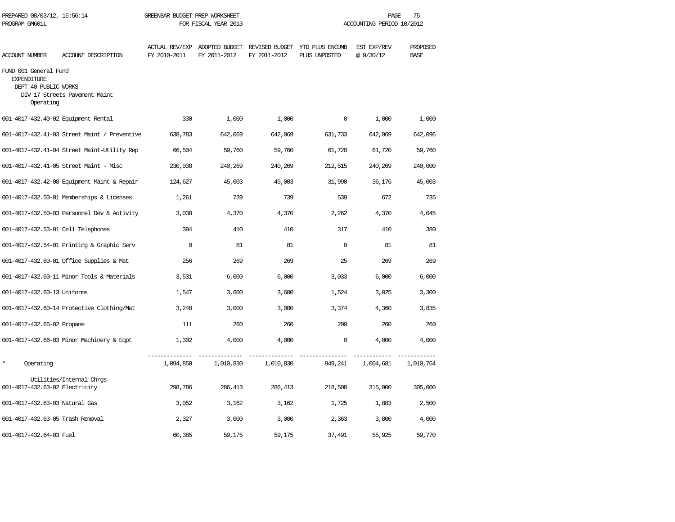| PREPARED 08/03/12, 15:56:14<br>PROGRAM GM601L                                    |                                              | GREENBAR BUDGET PREP WORKSHEET | FOR FISCAL YEAR 2013 |              |                                                                               | 75<br>PAGE<br>ACCOUNTING PERIOD 10/2012 |                         |  |  |
|----------------------------------------------------------------------------------|----------------------------------------------|--------------------------------|----------------------|--------------|-------------------------------------------------------------------------------|-----------------------------------------|-------------------------|--|--|
| <b>ACCOUNT NUMBER</b>                                                            | ACCOUNT DESCRIPTION                          | FY 2010-2011                   | FY 2011-2012         | FY 2011-2012 | ACTUAL REV/EXP ADOPTED BUDGET REVISED BUDGET YTD PLUS ENCUMB<br>PLUS UNPOSTED | EST EXP/REV<br>@9/30/12                 | PROPOSED<br><b>BASE</b> |  |  |
| FUND 001 General Fund<br><b>EXPENDITURE</b><br>DEPT 40 PUBLIC WORKS<br>Operating | DIV 17 Streets Pavement Maint                |                                |                      |              |                                                                               |                                         |                         |  |  |
| 001-4017-432.40-02 Equipment Rental                                              |                                              | 330                            | 1,000                | 1,000        | 0                                                                             | 1,000                                   | 1,000                   |  |  |
|                                                                                  | 001-4017-432.41-03 Street Maint / Preventive | 638,783                        | 642,069              | 642,069      | 631,733                                                                       | 642,069                                 | 642,096                 |  |  |
|                                                                                  | 001-4017-432.41-04 Street Maint-Utility Rep  | 66,504                         | 59,760               | 59,760       | 61,720                                                                        | 61,720                                  | 59,760                  |  |  |
|                                                                                  | 001-4017-432.41-05 Street Maint - Misc       | 230,038                        | 240,269              | 240,269      | 212,515                                                                       | 240,269                                 | 240,000                 |  |  |
|                                                                                  | 001-4017-432.42-08 Equipment Maint & Repair  | 124,627                        | 45,003               | 45,003       | 31,990                                                                        | 36,176                                  | 45,003                  |  |  |
|                                                                                  | 001-4017-432.50-01 Memberships & Licenses    | 1,261                          | 739                  | 739          | 539                                                                           | 672                                     | 735                     |  |  |
|                                                                                  | 001-4017-432.50-03 Personnel Dev & Activity  | 3,038                          | 4,370                | 4,370        | 2,262                                                                         | 4,370                                   | 4,045                   |  |  |
| 001-4017-432.53-01 Cell Telephones                                               |                                              | 394                            | 410                  | 410          | 317                                                                           | 410                                     | 380                     |  |  |
|                                                                                  | 001-4017-432.54-01 Printing & Graphic Serv   | $\mathbf 0$                    | 81                   | 81           | $\mathbf 0$                                                                   | 81                                      | 81                      |  |  |
|                                                                                  | 001-4017-432.60-01 Office Supplies & Mat     | 256                            | 269                  | 269          | 25                                                                            | 269                                     | 269                     |  |  |
|                                                                                  | 001-4017-432.60-11 Minor Tools & Materials   | 3,531                          | 6,000                | 6,000        | 3,033                                                                         | 6,000                                   | 6,000                   |  |  |
| 001-4017-432.60-13 Uniforms                                                      |                                              | 1,547                          | 3,600                | 3,600        | 1,524                                                                         | 3,025                                   | 3,300                   |  |  |
|                                                                                  | 001-4017-432.60-14 Protective Clothing/Mat   | 3,248                          | 3,000                | 3,000        | 3,374                                                                         | 4,360                                   | 3,835                   |  |  |
| 001-4017-432.65-02 Propane                                                       |                                              | 111                            | 260                  | 260          | 209                                                                           | 260                                     | 260                     |  |  |
|                                                                                  | 001-4017-432.66-03 Minor Machinery & Eqpt    | 1,302                          | 4,000                | 4,000        | $\mathbf 0$                                                                   | 4,000                                   | 4,000                   |  |  |
| $\star$<br>Operating                                                             |                                              | 1,094,850                      | 1,010,830            | 1,010,830    | 949,241                                                                       | 1,004,681                               | 1,010,764               |  |  |
| 001-4017-432.63-02 Electricity                                                   | Utilities/Internal Chros                     | 298,786                        | 286,413              | 286,413      | 218,508                                                                       | 315,000                                 | 305,000                 |  |  |
| 001-4017-432.63-03 Natural Gas                                                   |                                              | 3,052                          | 3,162                | 3,162        | 1,725                                                                         | 1,883                                   | 2,500                   |  |  |
| 001-4017-432.63-05 Trash Removal                                                 |                                              | 2,327                          | 3,000                | 3,000        | 2,363                                                                         | 3,800                                   | 4,000                   |  |  |
| 001-4017-432.64-03 Fuel                                                          |                                              | 60,385                         | 59,175               | 59,175       | 37,491                                                                        | 55,925                                  | 59,770                  |  |  |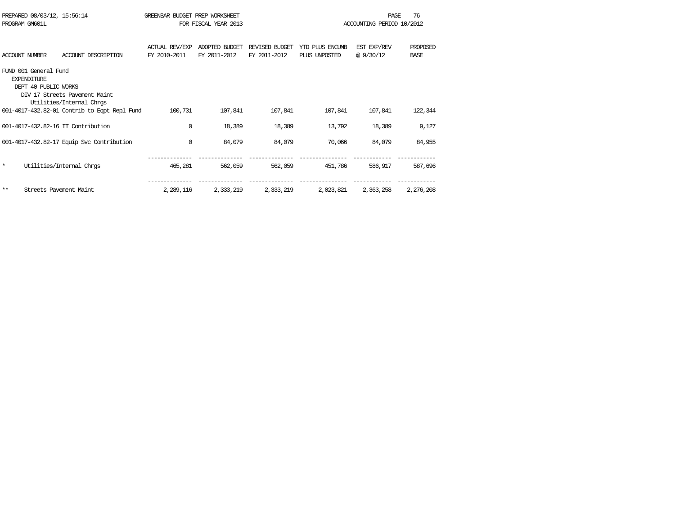| PREPARED 08/03/12, 15:56:14        |                                              | GREENBAR BUDGET PREP WORKSHEET |                      |                |                 | PAGE                      | 76          |
|------------------------------------|----------------------------------------------|--------------------------------|----------------------|----------------|-----------------|---------------------------|-------------|
| PROGRAM GM601L                     |                                              |                                | FOR FISCAL YEAR 2013 |                |                 | ACCOUNTING PERIOD 10/2012 |             |
|                                    |                                              |                                |                      |                |                 |                           |             |
|                                    |                                              | <b>ACTUAL REV/EXP</b>          | ADOPTED BUDGET       | REVISED BUDGET | YTD PLUS ENCUMB | EST EXP/REV               | PROPOSED    |
| <b>ACCOUNT NUMBER</b>              | ACCOUNT DESCRIPTION                          | FY 2010-2011                   | FY 2011-2012         | FY 2011-2012   | PLUS UNPOSTED   | @9/30/12                  | <b>BASE</b> |
| FUND 001 General Fund              |                                              |                                |                      |                |                 |                           |             |
| <b>EXPENDITURE</b>                 |                                              |                                |                      |                |                 |                           |             |
| DEPT 40 PUBLIC WORKS               |                                              |                                |                      |                |                 |                           |             |
|                                    | DIV 17 Streets Pavement Maint                |                                |                      |                |                 |                           |             |
|                                    | Utilities/Internal Chros                     |                                |                      |                |                 |                           |             |
|                                    | 001-4017-432.82-01 Contrib to Eqpt Repl Fund | 100,731                        | 107,841              | 107,841        | 107,841         | 107,841                   | 122,344     |
| 001-4017-432.82-16 IT Contribution |                                              | 0                              | 18,389               | 18,389         | 13,792          | 18,389                    | 9,127       |
|                                    |                                              |                                |                      |                |                 |                           |             |
|                                    | 001-4017-432.82-17 Equip Svc Contribution    | $\mathbf{0}$                   | 84,079               | 84,079         | 70,066          | 84,079                    | 84,955      |
|                                    |                                              |                                |                      |                |                 |                           |             |
| $\star$                            | Utilities/Internal Chros                     | 465,281                        | 562,059              | 562,059        | 451,786         | 586,917                   | 587,696     |
|                                    |                                              |                                |                      |                |                 |                           |             |
| $***$                              | Streets Pavement Maint                       | 2,289,116                      | 2,333,219            | 2,333,219      | 2,023,821       | 2,363,258                 | 2,276,208   |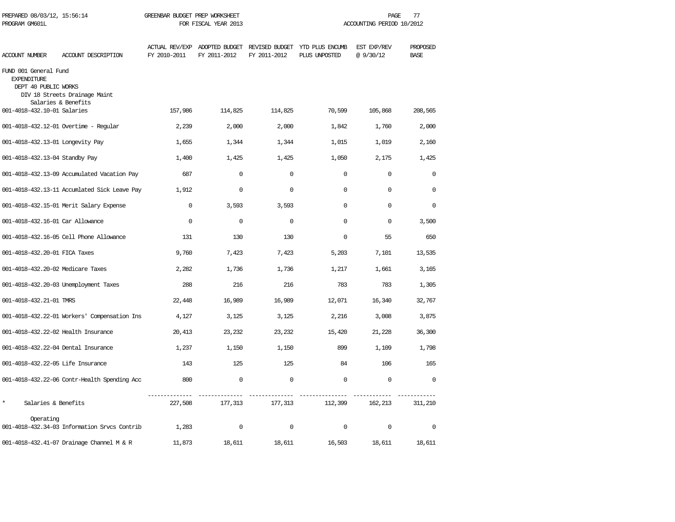| PREPARED 08/03/12, 15:56:14<br>PROGRAM GM601L                       |                                                      | GREENBAR BUDGET PREP WORKSHEET | FOR FISCAL YEAR 2013                          |              |                                                 | PAGE<br>77<br>ACCOUNTING PERIOD 10/2012 |                         |  |  |
|---------------------------------------------------------------------|------------------------------------------------------|--------------------------------|-----------------------------------------------|--------------|-------------------------------------------------|-----------------------------------------|-------------------------|--|--|
| <b>ACCOUNT NUMBER</b>                                               | ACCOUNT DESCRIPTION                                  | FY 2010-2011                   | ACTUAL REV/EXP ADOPTED BUDGET<br>FY 2011-2012 | FY 2011-2012 | REVISED BUDGET YTD PLUS ENCUMB<br>PLUS UNPOSTED | EST EXP/REV<br>@ 9/30/12                | PROPOSED<br><b>BASE</b> |  |  |
| FUND 001 General Fund<br><b>EXPENDITURE</b><br>DEPT 40 PUBLIC WORKS | DIV 18 Streets Drainage Maint<br>Salaries & Benefits |                                |                                               |              |                                                 |                                         |                         |  |  |
| 001-4018-432.10-01 Salaries                                         |                                                      | 157,986                        | 114,825                                       | 114,825      | 70,599                                          | 105,868                                 | 208,565                 |  |  |
|                                                                     | 001-4018-432.12-01 Overtime - Regular                | 2,239                          | 2,000                                         | 2,000        | 1,842                                           | 1,760                                   | 2,000                   |  |  |
| 001-4018-432.13-01 Longevity Pay                                    |                                                      | 1,655                          | 1,344                                         | 1,344        | 1,015                                           | 1,019                                   | 2,160                   |  |  |
| 001-4018-432.13-04 Standby Pay                                      |                                                      | 1,400                          | 1,425                                         | 1,425        | 1,050                                           | 2,175                                   | 1,425                   |  |  |
|                                                                     | 001-4018-432.13-09 Accumulated Vacation Pay          | 687                            | $\mathbf 0$                                   | $\mathbf 0$  | $\mathbf{0}$                                    | $\mathbf 0$                             | $\mathbf 0$             |  |  |
|                                                                     | 001-4018-432.13-11 Accumlated Sick Leave Pay         | 1,912                          | $\mathbf 0$                                   | $\mathbf 0$  | $\Omega$                                        | $\mathbf 0$                             | $\Omega$                |  |  |
|                                                                     | 001-4018-432.15-01 Merit Salary Expense              | $\Omega$                       | 3,593                                         | 3,593        | $\Omega$                                        | $\Omega$                                | $\Omega$                |  |  |
| 001-4018-432.16-01 Car Allowance                                    |                                                      | $\mathbf 0$                    | $\mathbf 0$                                   | $\mathbf 0$  | $\Omega$                                        | $\mathbf 0$                             | 3,500                   |  |  |
|                                                                     | 001-4018-432.16-05 Cell Phone Allowance              | 131                            | 130                                           | 130          | $\mathbf{0}$                                    | 55                                      | 650                     |  |  |
| 001-4018-432.20-01 FICA Taxes                                       |                                                      | 9,760                          | 7,423                                         | 7,423        | 5,203                                           | 7,101                                   | 13,535                  |  |  |
| 001-4018-432.20-02 Medicare Taxes                                   |                                                      | 2,282                          | 1,736                                         | 1,736        | 1,217                                           | 1,661                                   | 3,165                   |  |  |
|                                                                     | 001-4018-432.20-03 Unemployment Taxes                | 288                            | 216                                           | 216          | 783                                             | 783                                     | 1,305                   |  |  |
| 001-4018-432.21-01 TMRS                                             |                                                      | 22,448                         | 16,989                                        | 16,989       | 12,071                                          | 16,340                                  | 32,767                  |  |  |
|                                                                     | 001-4018-432.22-01 Workers' Compensation Ins         | 4,127                          | 3,125                                         | 3,125        | 2,216                                           | 3,008                                   | 3,875                   |  |  |
| 001-4018-432.22-02 Health Insurance                                 |                                                      | 20,413                         | 23,232                                        | 23,232       | 15,420                                          | 21,228                                  | 36,300                  |  |  |
| 001-4018-432.22-04 Dental Insurance                                 |                                                      | 1,237                          | 1,150                                         | 1,150        | 899                                             | 1,109                                   | 1,798                   |  |  |
| 001-4018-432.22-05 Life Insurance                                   |                                                      | 143                            | 125                                           | 125          | 84                                              | 106                                     | 165                     |  |  |
|                                                                     | 001-4018-432.22-06 Contr-Health Spending Acc         | 800                            | $\mathbf 0$                                   | $\mathbf 0$  | $\mathbf 0$                                     | $\mathbf 0$                             | $\mathbf 0$             |  |  |
| $\star$<br>Salaries & Benefits                                      |                                                      | 227,508                        | 177,313                                       | 177,313      | 112,399                                         | 162,213                                 | 311,210                 |  |  |
| Operating                                                           | 001-4018-432.34-03 Information Srvcs Contrib         | 1,283                          | $\mathbf 0$                                   | $\mathbf 0$  | $\mathbf 0$                                     | 0                                       | $\mathbf 0$             |  |  |
|                                                                     | 001-4018-432.41-07 Drainage Channel M & R            | 11,873                         | 18,611                                        | 18,611       | 16,503                                          | 18,611                                  | 18,611                  |  |  |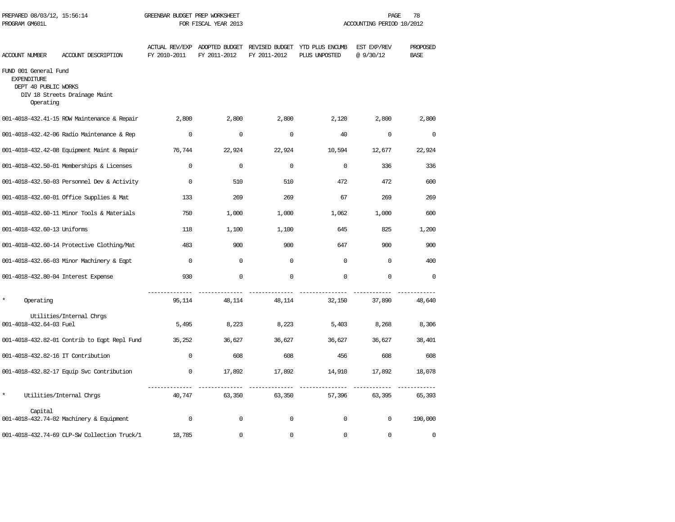| PREPARED 08/03/12, 15:56:14<br>PROGRAM GM601L                                    |                                              | GREENBAR BUDGET PREP WORKSHEET<br>FOR FISCAL YEAR 2013 |                                               |              | 78<br>PAGE<br>ACCOUNTING PERIOD 10/2012         |                          |                         |  |
|----------------------------------------------------------------------------------|----------------------------------------------|--------------------------------------------------------|-----------------------------------------------|--------------|-------------------------------------------------|--------------------------|-------------------------|--|
| ACCOUNT NUMBER                                                                   | ACCOUNT DESCRIPTION                          | FY 2010-2011                                           | ACTUAL REV/EXP ADOPTED BUDGET<br>FY 2011-2012 | FY 2011-2012 | REVISED BUDGET YTD PLUS ENCUMB<br>PLUS UNPOSTED | EST EXP/REV<br>@ 9/30/12 | PROPOSED<br><b>BASE</b> |  |
| FUND 001 General Fund<br><b>EXPENDITURE</b><br>DEPT 40 PUBLIC WORKS<br>Operating | DIV 18 Streets Drainage Maint                |                                                        |                                               |              |                                                 |                          |                         |  |
|                                                                                  | 001-4018-432.41-15 ROW Maintenance & Repair  | 2,800                                                  | 2,800                                         | 2,800        | 2,120                                           | 2,800                    | 2,800                   |  |
|                                                                                  | 001-4018-432.42-06 Radio Maintenance & Rep   | $\Omega$                                               | $\Omega$                                      | $\Omega$     | 40                                              | $\Omega$                 | $\Omega$                |  |
|                                                                                  | 001-4018-432.42-08 Equipment Maint & Repair  | 76,744                                                 | 22,924                                        | 22,924       | 10,594                                          | 12,677                   | 22,924                  |  |
|                                                                                  | 001-4018-432.50-01 Memberships & Licenses    | $\Omega$                                               | $\Omega$                                      | $\Omega$     | $\Omega$                                        | 336                      | 336                     |  |
|                                                                                  | 001-4018-432.50-03 Personnel Dev & Activity  | $\Omega$                                               | 510                                           | 510          | 472                                             | 472                      | 600                     |  |
|                                                                                  | 001-4018-432.60-01 Office Supplies & Mat     | 133                                                    | 269                                           | 269          | 67                                              | 269                      | 269                     |  |
|                                                                                  | 001-4018-432.60-11 Minor Tools & Materials   | 750                                                    | 1,000                                         | 1,000        | 1,062                                           | 1,000                    | 600                     |  |
| 001-4018-432.60-13 Uniforms                                                      |                                              | 118                                                    | 1,100                                         | 1,100        | 645                                             | 825                      | 1,200                   |  |
|                                                                                  | 001-4018-432.60-14 Protective Clothing/Mat   | 483                                                    | 900                                           | 900          | 647                                             | 900                      | 900                     |  |
|                                                                                  | 001-4018-432.66-03 Minor Machinery & Eqpt    | $\Omega$                                               | 0                                             | $\Omega$     | $\Omega$                                        | $\Omega$                 | 400                     |  |
| 001-4018-432.80-04 Interest Expense                                              |                                              | 930                                                    | $\mathbf 0$                                   | $\Omega$     | $\Omega$                                        | $\mathbf 0$              | $\Omega$                |  |
| $\star$<br>Operating                                                             |                                              | 95,114                                                 | 48,114                                        | 48,114       | 32,150                                          | 37,890                   | 48,640                  |  |
| 001-4018-432.64-03 Fuel                                                          | Utilities/Internal Chrgs                     | 5,495                                                  | 8,223                                         | 8,223        | 5,403                                           | 8,268                    | 8,306                   |  |
|                                                                                  | 001-4018-432.82-01 Contrib to Eqpt Repl Fund | 35,252                                                 | 36,627                                        | 36,627       | 36,627                                          | 36,627                   | 38,401                  |  |
| 001-4018-432.82-16 IT Contribution                                               |                                              | $\Omega$                                               | 608                                           | 608          | 456                                             | 608                      | 608                     |  |
|                                                                                  | 001-4018-432.82-17 Equip Svc Contribution    | $\mathbf 0$                                            | 17,892                                        | 17,892       | 14,910                                          | 17,892                   | 18,078                  |  |
| $\star$                                                                          | Utilities/Internal Chrgs                     | 40,747                                                 | 63,350                                        | 63,350       | 57,396                                          | 63,395                   | 65,393                  |  |
| Capital                                                                          | 001-4018-432.74-02 Machinery & Equipment     | $\mathbf 0$                                            | $\mathbf 0$                                   | $\mathbf 0$  | $\mathbf 0$                                     | $\mathbf 0$              | 190,000                 |  |
|                                                                                  | 001-4018-432.74-69 CLP-SW Collection Truck/1 | 18,785                                                 | 0                                             | $\mathbf 0$  | $\mathbf 0$                                     | $\mathbf 0$              | $\mathbf 0$             |  |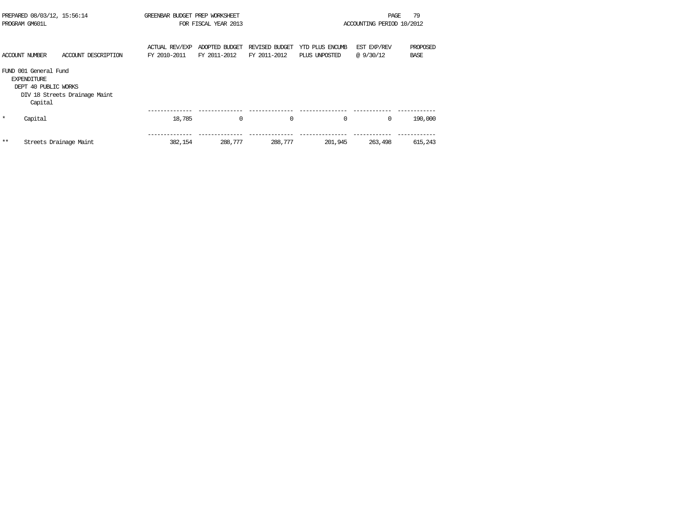| PREPARED 08/03/12, 15:56:14<br>PROGRAM GM601L |                                                                                | GREENBAR BUDGET PREP WORKSHEET<br>FOR FISCAL YEAR 2013 |                                       |                                | 79<br>PAGE<br>ACCOUNTING PERIOD 10/2012 |                                  |                          |                         |
|-----------------------------------------------|--------------------------------------------------------------------------------|--------------------------------------------------------|---------------------------------------|--------------------------------|-----------------------------------------|----------------------------------|--------------------------|-------------------------|
|                                               | ACCOUNT NUMBER                                                                 | ACCOUNT DESCRIPTION                                    | <b>ACTUAL REV/EXP</b><br>FY 2010-2011 | ADOPTED BUDGET<br>FY 2011-2012 | REVISED BUDGET<br>FY 2011-2012          | YTD PLUS ENCUMB<br>PLUS UNPOSTED | EST EXP/REV<br>@ 9/30/12 | PROPOSED<br><b>BASE</b> |
|                                               | FUND 001 General Fund<br><b>EXPENDITURE</b><br>DEPT 40 PUBLIC WORKS<br>Capital | DIV 18 Streets Drainage Maint                          |                                       |                                |                                         |                                  |                          |                         |
| $\star$                                       | Capital                                                                        |                                                        | 18,785                                | $\mathbf 0$                    | 0                                       | 0                                | $\mathbf 0$              | 190,000                 |
| **                                            | Streets Drainage Maint                                                         |                                                        | 382,154                               | 288,777                        | 288,777                                 | 201,945                          | 263,498                  | 615,243                 |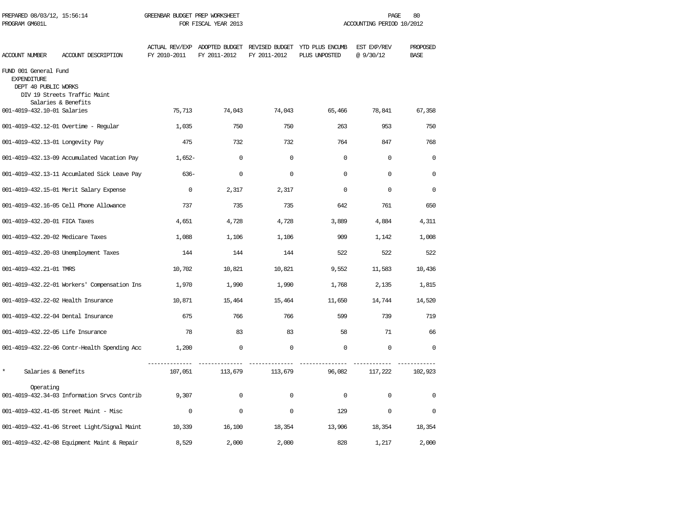| PREPARED 08/03/12, 15:56:14<br>PROGRAM GM601L                       |                                                     | GREENBAR BUDGET PREP WORKSHEET<br>FOR FISCAL YEAR 2013 |              |              | PAGE<br>80<br>ACCOUNTING PERIOD 10/2012                                       |                         |                         |
|---------------------------------------------------------------------|-----------------------------------------------------|--------------------------------------------------------|--------------|--------------|-------------------------------------------------------------------------------|-------------------------|-------------------------|
| ACCOUNT NUMBER                                                      | ACCOUNT DESCRIPTION                                 | FY 2010-2011                                           | FY 2011-2012 | FY 2011-2012 | ACTUAL REV/EXP ADOPTED BUDGET REVISED BUDGET YTD PLUS ENCUMB<br>PLUS UNPOSTED | EST EXP/REV<br>@9/30/12 | PROPOSED<br><b>BASE</b> |
| FUND 001 General Fund<br><b>EXPENDITURE</b><br>DEPT 40 PUBLIC WORKS | DIV 19 Streets Traffic Maint<br>Salaries & Benefits |                                                        |              |              |                                                                               |                         |                         |
| 001-4019-432.10-01 Salaries                                         |                                                     | 75,713                                                 | 74,043       | 74,043       | 65,466                                                                        | 78,841                  | 67,358                  |
|                                                                     | 001-4019-432.12-01 Overtime - Regular               | 1,035                                                  | 750          | 750          | 263                                                                           | 953                     | 750                     |
| 001-4019-432.13-01 Longevity Pay                                    |                                                     | 475                                                    | 732          | 732          | 764                                                                           | 847                     | 768                     |
|                                                                     | 001-4019-432.13-09 Accumulated Vacation Pay         | 1,652-                                                 | $\mathbf 0$  | 0            | $\Omega$                                                                      | 0                       | $\Omega$                |
|                                                                     | 001-4019-432.13-11 Accumlated Sick Leave Pay        | $636-$                                                 | $\mathbf 0$  | $\mathbf 0$  | $\Omega$                                                                      | $\Omega$                | $\Omega$                |
|                                                                     | 001-4019-432.15-01 Merit Salary Expense             | $\mathbf 0$                                            | 2,317        | 2,317        | $\mathbf 0$                                                                   | $\mathbf 0$             | $\Omega$                |
|                                                                     | 001-4019-432.16-05 Cell Phone Allowance             | 737                                                    | 735          | 735          | 642                                                                           | 761                     | 650                     |
| 001-4019-432.20-01 FICA Taxes                                       |                                                     | 4,651                                                  | 4,728        | 4,728        | 3,889                                                                         | 4,884                   | 4,311                   |
| 001-4019-432.20-02 Medicare Taxes                                   |                                                     | 1,088                                                  | 1,106        | 1,106        | 909                                                                           | 1,142                   | 1,008                   |
|                                                                     | 001-4019-432.20-03 Unemployment Taxes               | 144                                                    | 144          | 144          | 522                                                                           | 522                     | 522                     |
| 001-4019-432.21-01 TMRS                                             |                                                     | 10,702                                                 | 10,821       | 10,821       | 9,552                                                                         | 11,583                  | 10,436                  |
|                                                                     | 001-4019-432.22-01 Workers' Compensation Ins        | 1,970                                                  | 1,990        | 1,990        | 1,768                                                                         | 2,135                   | 1,815                   |
| 001-4019-432.22-02 Health Insurance                                 |                                                     | 10,871                                                 | 15,464       | 15,464       | 11,650                                                                        | 14,744                  | 14,520                  |
| 001-4019-432.22-04 Dental Insurance                                 |                                                     | 675                                                    | 766          | 766          | 599                                                                           | 739                     | 719                     |
| 001-4019-432.22-05 Life Insurance                                   |                                                     | 78                                                     | 83           | 83           | 58                                                                            | 71                      | 66                      |
|                                                                     | 001-4019-432.22-06 Contr-Health Spending Acc        | 1,200                                                  | $\mathbf 0$  | $\mathbf 0$  | $\mathbf 0$                                                                   | $\mathbf 0$             | $\mathbf 0$             |
| $\star$<br>Salaries & Benefits                                      |                                                     | 107,051                                                | 113,679      | 113,679      | 96,082                                                                        | 117,222                 | 102,923                 |
| Operating                                                           | 001-4019-432.34-03 Information Srvcs Contrib        | 9,307                                                  | $\mathbf 0$  | $\mathbf 0$  | $\mathbf 0$                                                                   | $\Omega$                | $\Omega$                |
|                                                                     | 001-4019-432.41-05 Street Maint - Misc              | $\mathbf 0$                                            | $\Omega$     | $\mathbf 0$  | 129                                                                           | $\Omega$                | $\Omega$                |
|                                                                     | 001-4019-432.41-06 Street Light/Signal Maint        | 10,339                                                 | 16,100       | 18,354       | 13,906                                                                        | 18,354                  | 18,354                  |
|                                                                     | 001-4019-432.42-08 Equipment Maint & Repair         | 8,529                                                  | 2,000        | 2,000        | 828                                                                           | 1,217                   | 2,000                   |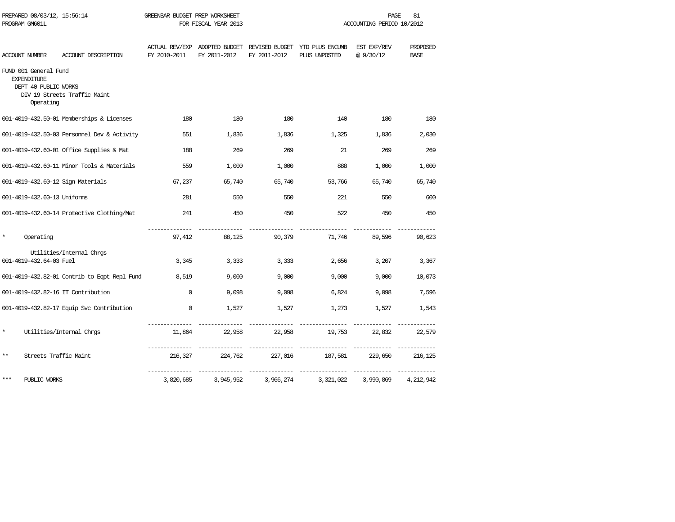|          | PROGRAM GM601L                                                                   |                                              |              | FOR FISCAL YEAR 2013        |              | ACCOUNTING PERIOD 10/2012                                                     |                          |                         |  |
|----------|----------------------------------------------------------------------------------|----------------------------------------------|--------------|-----------------------------|--------------|-------------------------------------------------------------------------------|--------------------------|-------------------------|--|
|          | ACCOUNT NUMBER                                                                   | ACCOUNT DESCRIPTION                          | FY 2010-2011 | FY 2011-2012                | FY 2011-2012 | ACTUAL REV/EXP ADOPTED BUDGET REVISED BUDGET YTD PLUS ENCUMB<br>PLUS UNPOSTED | EST EXP/REV<br>@ 9/30/12 | PROPOSED<br><b>BASE</b> |  |
|          | FUND 001 General Fund<br><b>EXPENDITURE</b><br>DEPT 40 PUBLIC WORKS<br>Operating | DIV 19 Streets Traffic Maint                 |              |                             |              |                                                                               |                          |                         |  |
|          |                                                                                  | 001-4019-432.50-01 Memberships & Licenses    | 180          | 180                         | 180          | 140                                                                           | 180                      | 180                     |  |
|          |                                                                                  | 001-4019-432.50-03 Personnel Dev & Activity  | 551          | 1,836                       | 1,836        | 1,325                                                                         | 1,836                    | 2,030                   |  |
|          |                                                                                  | 001-4019-432.60-01 Office Supplies & Mat     | 188          | 269                         | 269          | 21                                                                            | 269                      | 269                     |  |
|          |                                                                                  | 001-4019-432.60-11 Minor Tools & Materials   | 559          | 1,000                       | 1,000        | 888                                                                           | 1,000                    | 1,000                   |  |
|          |                                                                                  | 001-4019-432.60-12 Sign Materials            | 67,237       | 65,740                      | 65,740       | 53,766                                                                        | 65,740                   | 65,740                  |  |
|          | 001-4019-432.60-13 Uniforms                                                      |                                              | 281          | 550                         | 550          | 221                                                                           | 550                      | 600                     |  |
|          |                                                                                  | 001-4019-432.60-14 Protective Clothing/Mat   | 241          | 450                         | 450          | 522                                                                           | 450                      | 450                     |  |
| $\star$  | Operating                                                                        |                                              | 97,412       | 88,125                      | 90,379       | 71,746                                                                        | 89,596                   | 90,623                  |  |
|          | 001-4019-432.64-03 Fuel                                                          | Utilities/Internal Chrgs                     | 3,345        | 3,333                       | 3,333        | 2,656                                                                         | 3,207                    | 3,367                   |  |
|          |                                                                                  | 001-4019-432.82-01 Contrib to Eqpt Repl Fund | 8,519        | 9,000                       | 9,000        | 9,000                                                                         | 9,000                    | 10,073                  |  |
|          |                                                                                  | 001-4019-432.82-16 IT Contribution           | $\Omega$     | 9,098                       | 9,098        | 6,824                                                                         | 9,098                    | 7,596                   |  |
|          |                                                                                  | 001-4019-432.82-17 Equip Svc Contribution    | $\Omega$     | 1,527                       | 1,527        | 1,273                                                                         | 1,527                    | 1,543                   |  |
| $^\star$ |                                                                                  | Utilities/Internal Chrgs                     | 11,864       | 22,958                      | 22,958       | ---------------<br>19,753 22,832                                              |                          | 22,579                  |  |
| $***$    | Streets Traffic Maint                                                            |                                              | 216,327      | --- ----------<br>224,762   | 227,016      | 187,581                                                                       | 229,650                  | 216,125                 |  |
| ***      | PUBLIC WORKS                                                                     |                                              | 3,820,685    | ______________<br>3,945,952 | 3,966,274    | 3,321,022                                                                     | 3,990,869                | 4,212,942               |  |

PREPARED 08/03/12, 15:56:14 GREENBAR BUDGET PREP WORKSHEET **FREED ACTION** PAGE 81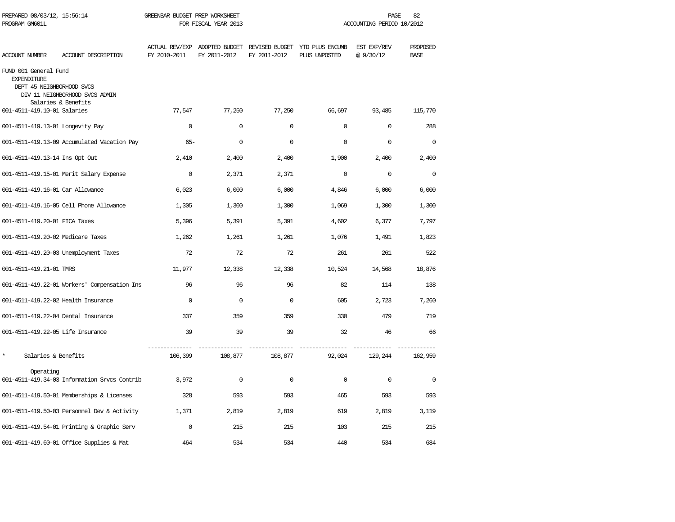| PREPARED 08/03/12, 15:56:14<br>PROGRAM GM601L                            |                                                       | GREENBAR BUDGET PREP WORKSHEET<br>FOR FISCAL YEAR 2013 |                     |              |                                                                               | PAGE<br>82<br>ACCOUNTING PERIOD 10/2012 |                         |
|--------------------------------------------------------------------------|-------------------------------------------------------|--------------------------------------------------------|---------------------|--------------|-------------------------------------------------------------------------------|-----------------------------------------|-------------------------|
| ACCOUNT NUMBER                                                           | ACCOUNT DESCRIPTION                                   | FY 2010-2011                                           | FY 2011-2012        | FY 2011-2012 | ACTUAL REV/EXP ADOPTED BUDGET REVISED BUDGET YTD PLUS ENCUMB<br>PLUS UNPOSTED | EST EXP/REV<br>@9/30/12                 | PROPOSED<br><b>BASE</b> |
| FUND 001 General Fund<br><b>EXPENDITURE</b><br>DEPT 45 NEIGHBORHOOD SVCS | DIV 11 NEIGHBORHOOD SVCS ADMIN<br>Salaries & Benefits |                                                        |                     |              |                                                                               |                                         |                         |
| 001-4511-419.10-01 Salaries                                              |                                                       | 77,547                                                 | 77,250              | 77,250       | 66,697                                                                        | 93,485                                  | 115,770                 |
| 001-4511-419.13-01 Longevity Pay                                         |                                                       | $\mathbf 0$                                            | $\mathbf 0$         | $\mathbf 0$  | $\mathbf 0$                                                                   | $\mathbf 0$                             | 288                     |
|                                                                          | 001-4511-419.13-09 Accumulated Vacation Pay           | $65 -$                                                 | $\mathbf 0$         | $\mathbf 0$  | $\mathbf{0}$                                                                  | $\mathbf 0$                             | $\mathbf 0$             |
| 001-4511-419.13-14 Ins Opt Out                                           |                                                       | 2,410                                                  | 2,400               | 2,400        | 1,900                                                                         | 2,400                                   | 2,400                   |
|                                                                          | 001-4511-419.15-01 Merit Salary Expense               | $\mathbf{0}$                                           | 2,371               | 2,371        | $\Omega$                                                                      | $\Omega$                                | $\Omega$                |
| 001-4511-419.16-01 Car Allowance                                         |                                                       | 6,023                                                  | 6,000               | 6,000        | 4,846                                                                         | 6,000                                   | 6,000                   |
|                                                                          | 001-4511-419.16-05 Cell Phone Allowance               | 1,305                                                  | 1,300               | 1,300        | 1,069                                                                         | 1,300                                   | 1,300                   |
| 001-4511-419.20-01 FICA Taxes                                            |                                                       | 5,396                                                  | 5,391               | 5,391        | 4,602                                                                         | 6,377                                   | 7.797                   |
| 001-4511-419.20-02 Medicare Taxes                                        |                                                       | 1,262                                                  | 1,261               | 1,261        | 1,076                                                                         | 1,491                                   | 1,823                   |
|                                                                          | 001-4511-419.20-03 Unemployment Taxes                 | 72                                                     | 72                  | 72           | 261                                                                           | 261                                     | 522                     |
| 001-4511-419.21-01 TMRS                                                  |                                                       | 11,977                                                 | 12,338              | 12,338       | 10,524                                                                        | 14,568                                  | 18,876                  |
|                                                                          | 001-4511-419.22-01 Workers' Compensation Ins          | 96                                                     | 96                  | 96           | 82                                                                            | 114                                     | 138                     |
|                                                                          | 001-4511-419.22-02 Health Insurance                   | $\Omega$                                               | $\Omega$            | $\Omega$     | 605                                                                           | 2,723                                   | 7,260                   |
|                                                                          | 001-4511-419.22-04 Dental Insurance                   | 337                                                    | 359                 | 359          | 330                                                                           | 479                                     | 719                     |
| 001-4511-419.22-05 Life Insurance                                        |                                                       | 39                                                     | 39                  | 39           | 32                                                                            | 46                                      | 66                      |
| $\star$<br>Salaries & Benefits                                           |                                                       | 106,399                                                | 108,877             | 108,877      | 92,024                                                                        | 129,244                                 | 162,959                 |
| Operating                                                                | 001-4511-419.34-03 Information Srvcs Contrib          | 3,972                                                  | $\mathsf{O}\xspace$ | $\mathsf 0$  | $\Omega$                                                                      | $\mathsf 0$                             | $\mathbf 0$             |
|                                                                          | 001-4511-419.50-01 Memberships & Licenses             | 328                                                    | 593                 | 593          | 465                                                                           | 593                                     | 593                     |
|                                                                          | 001-4511-419.50-03 Personnel Dev & Activity           | 1,371                                                  | 2,819               | 2,819        | 619                                                                           | 2,819                                   | 3,119                   |
|                                                                          | 001-4511-419.54-01 Printing & Graphic Serv            | $\Omega$                                               | 215                 | 215          | 103                                                                           | 215                                     | 215                     |
|                                                                          | 001-4511-419.60-01 Office Supplies & Mat              | 464                                                    | 534                 | 534          | 440                                                                           | 534                                     | 684                     |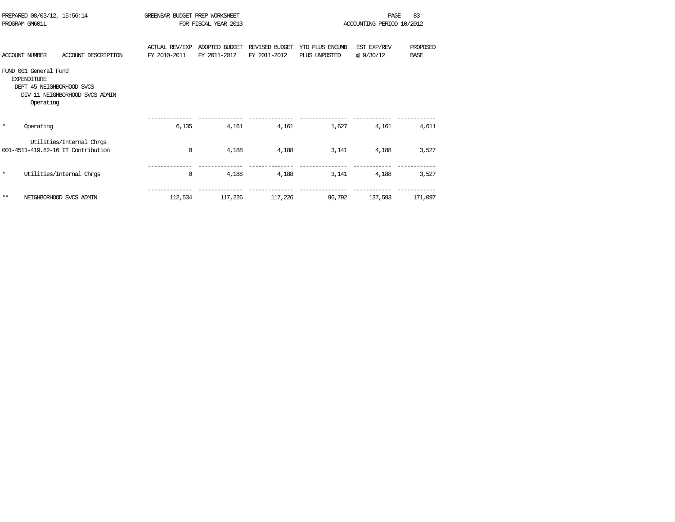| PREPARED 08/03/12, 15:56:14<br>PROGRAM GM601L                                         |                                                                |                                       | GREENBAR BUDGET PREP WORKSHEET<br>FOR FISCAL YEAR 2013 |                                |                                  | PAGE<br>ACCOUNTING PERIOD 10/2012 |                         |  |
|---------------------------------------------------------------------------------------|----------------------------------------------------------------|---------------------------------------|--------------------------------------------------------|--------------------------------|----------------------------------|-----------------------------------|-------------------------|--|
| <b>ACCOUNT NUMBER</b>                                                                 | ACCOUNT DESCRIPTION                                            | <b>ACTUAL REV/EXP</b><br>FY 2010-2011 | ADOPTED BUDGET<br>FY 2011-2012                         | REVISED BUDGET<br>FY 2011-2012 | YTD PLUS ENCUMB<br>PLUS UNPOSTED | EST EXP/REV<br>@9/30/12           | PROPOSED<br><b>BASE</b> |  |
| FUND 001 General Fund<br><b>EXPENDITURE</b><br>DEPT 45 NEIGHBORHOOD SVCS<br>Operating | DIV 11 NEIGHBORHOOD SVCS ADMIN                                 |                                       |                                                        |                                |                                  |                                   |                         |  |
| $\star$<br>Operating                                                                  |                                                                | 6,135                                 | 4,161                                                  | 4,161                          | 1,627                            | 4,161                             | 4,611                   |  |
|                                                                                       | Utilities/Internal Chrgs<br>001-4511-419.82-16 IT Contribution | $\mathbf 0$                           | 4,188                                                  | 4,188                          | 3,141                            | 4,188                             | 3,527                   |  |
| $\star$                                                                               | Utilities/Internal Chros                                       | 0                                     | 4,188                                                  | 4,188                          | 3,141                            | 4,188                             | 3,527                   |  |
| $***$                                                                                 | NEIGHBORHOOD SVCS ADMIN                                        | 112,534                               | 117,226                                                | 117,226                        | 96,792                           | 137,593                           | 171,097                 |  |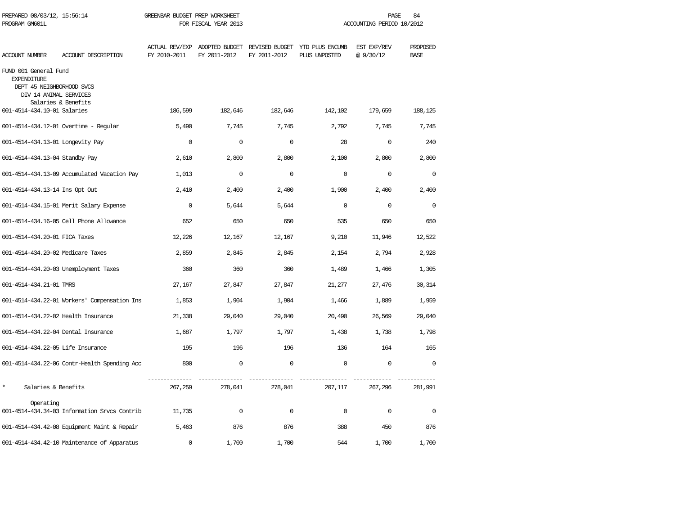| PREPARED 08/03/12, 15:56:14<br>PROGRAM GM601L                                                      |                                              | GREENBAR BUDGET PREP WORKSHEET<br>FOR FISCAL YEAR 2013 |              |              |                                                                               | PAGE<br>84<br>ACCOUNTING PERIOD 10/2012 |                         |
|----------------------------------------------------------------------------------------------------|----------------------------------------------|--------------------------------------------------------|--------------|--------------|-------------------------------------------------------------------------------|-----------------------------------------|-------------------------|
| <b>ACCOUNT NUMBER</b>                                                                              | ACCOUNT DESCRIPTION                          | FY 2010-2011                                           | FY 2011-2012 | FY 2011-2012 | ACTUAL REV/EXP ADOPTED BUDGET REVISED BUDGET YTD PLUS ENCUMB<br>PLUS UNPOSTED | EST EXP/REV<br>@9/30/12                 | PROPOSED<br><b>BASE</b> |
| FUND 001 General Fund<br><b>EXPENDITURE</b><br>DEPT 45 NEIGHBORHOOD SVCS<br>DIV 14 ANIMAL SERVICES | Salaries & Benefits                          |                                                        |              |              |                                                                               |                                         |                         |
| 001-4514-434.10-01 Salaries                                                                        |                                              | 186,599                                                | 182,646      | 182,646      | 142,102                                                                       | 179,659                                 | 188,125                 |
|                                                                                                    | 001-4514-434.12-01 Overtime - Regular        | 5,490                                                  | 7,745        | 7,745        | 2,792                                                                         | 7,745                                   | 7,745                   |
| 001-4514-434.13-01 Longevity Pay                                                                   |                                              | $\Omega$                                               | $\mathbf 0$  | $\mathbf 0$  | 28                                                                            | $\mathbf 0$                             | 240                     |
| 001-4514-434.13-04 Standby Pay                                                                     |                                              | 2,610                                                  | 2,800        | 2,800        | 2,100                                                                         | 2,800                                   | 2,800                   |
|                                                                                                    | 001-4514-434.13-09 Accumulated Vacation Pay  | 1,013                                                  | $\Omega$     | $\Omega$     | $\Omega$                                                                      | $\Omega$                                | $\Omega$                |
| 001-4514-434.13-14 Ins Opt Out                                                                     |                                              | 2,410                                                  | 2,400        | 2,400        | 1,900                                                                         | 2,400                                   | 2,400                   |
|                                                                                                    | 001-4514-434.15-01 Merit Salary Expense      | $\Omega$                                               | 5,644        | 5,644        | $\Omega$                                                                      | $\Omega$                                | $\Omega$                |
|                                                                                                    | 001-4514-434.16-05 Cell Phone Allowance      | 652                                                    | 650          | 650          | 535                                                                           | 650                                     | 650                     |
| 001-4514-434.20-01 FICA Taxes                                                                      |                                              | 12,226                                                 | 12,167       | 12,167       | 9,210                                                                         | 11,946                                  | 12,522                  |
| 001-4514-434.20-02 Medicare Taxes                                                                  |                                              | 2,859                                                  | 2,845        | 2,845        | 2,154                                                                         | 2,794                                   | 2,928                   |
|                                                                                                    | 001-4514-434.20-03 Unemployment Taxes        | 360                                                    | 360          | 360          | 1,489                                                                         | 1,466                                   | 1,305                   |
| 001-4514-434.21-01 TMRS                                                                            |                                              | 27,167                                                 | 27,847       | 27,847       | 21,277                                                                        | 27,476                                  | 30,314                  |
|                                                                                                    | 001-4514-434.22-01 Workers' Compensation Ins | 1,853                                                  | 1,904        | 1,904        | 1,466                                                                         | 1,889                                   | 1,959                   |
| 001-4514-434.22-02 Health Insurance                                                                |                                              | 21,338                                                 | 29,040       | 29,040       | 20,490                                                                        | 26,569                                  | 29,040                  |
| 001-4514-434.22-04 Dental Insurance                                                                |                                              | 1,687                                                  | 1,797        | 1,797        | 1,438                                                                         | 1,738                                   | 1,798                   |
| 001-4514-434.22-05 Life Insurance                                                                  |                                              | 195                                                    | 196          | 196          | 136                                                                           | 164                                     | 165                     |
|                                                                                                    | 001-4514-434.22-06 Contr-Health Spending Acc | 800                                                    | $\mathbf 0$  | $\mathbf 0$  | $\mathbf 0$                                                                   | $\mathbf 0$                             | $\Omega$                |
| $\star$<br>Salaries & Benefits                                                                     |                                              | 267,259                                                | 278,041      | 278,041      | 207,117                                                                       | 267,296                                 | 281,991                 |
| Operating                                                                                          | 001-4514-434.34-03 Information Srvcs Contrib | 11,735                                                 | $\Omega$     | $\Omega$     | $\Omega$                                                                      | $\Omega$                                | $\Omega$                |
|                                                                                                    | 001-4514-434.42-08 Equipment Maint & Repair  | 5,463                                                  | 876          | 876          | 388                                                                           | 450                                     | 876                     |
|                                                                                                    | 001-4514-434.42-10 Maintenance of Apparatus  | $\mathbf 0$                                            | 1,700        | 1,700        | 544                                                                           | 1,700                                   | 1,700                   |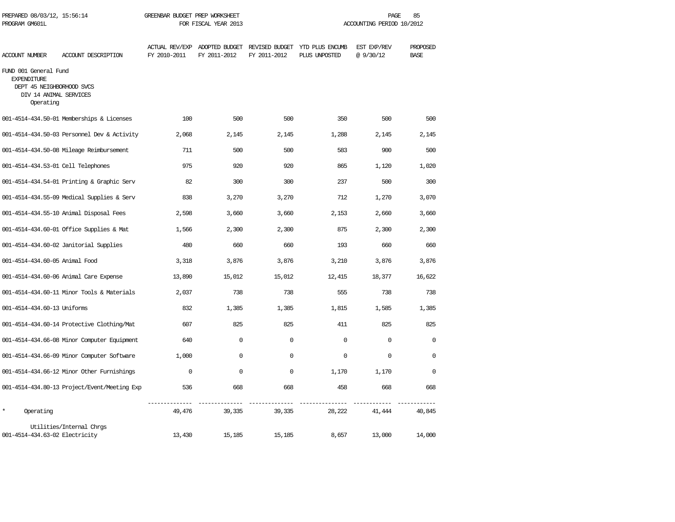| PREPARED 08/03/12, 15:56:14<br>PROGRAM GM601L                                                                   |                                              | GREENBAR BUDGET PREP WORKSHEET<br>FOR FISCAL YEAR 2013 |              |              | 85<br>PAGE<br>ACCOUNTING PERIOD 10/2012                                       |                         |                         |  |
|-----------------------------------------------------------------------------------------------------------------|----------------------------------------------|--------------------------------------------------------|--------------|--------------|-------------------------------------------------------------------------------|-------------------------|-------------------------|--|
| ACCOUNT NUMBER                                                                                                  | ACCOUNT DESCRIPTION                          | FY 2010-2011                                           | FY 2011-2012 | FY 2011-2012 | ACTUAL REV/EXP ADOPTED BUDGET REVISED BUDGET YTD PLUS ENCUMB<br>PLUS UNPOSTED | EST EXP/REV<br>@9/30/12 | PROPOSED<br><b>BASE</b> |  |
| FUND 001 General Fund<br><b>EXPENDITURE</b><br>DEPT 45 NEIGHBORHOOD SVCS<br>DIV 14 ANIMAL SERVICES<br>Operating |                                              |                                                        |              |              |                                                                               |                         |                         |  |
|                                                                                                                 | 001-4514-434.50-01 Memberships & Licenses    | 100                                                    | 500          | 500          | 350                                                                           | 500                     | 500                     |  |
|                                                                                                                 | 001-4514-434.50-03 Personnel Dev & Activity  | 2,068                                                  | 2,145        | 2,145        | 1,288                                                                         | 2,145                   | 2,145                   |  |
|                                                                                                                 | 001-4514-434.50-08 Mileage Reimbursement     | 711                                                    | 500          | 500          | 583                                                                           | 900                     | 500                     |  |
| 001-4514-434.53-01 Cell Telephones                                                                              |                                              | 975                                                    | 920          | 920          | 865                                                                           | 1,120                   | 1,020                   |  |
|                                                                                                                 | 001-4514-434.54-01 Printing & Graphic Serv   | 82                                                     | 300          | 300          | 237                                                                           | 500                     | 300                     |  |
|                                                                                                                 | 001-4514-434.55-09 Medical Supplies & Serv   | 838                                                    | 3,270        | 3,270        | 712                                                                           | 1,270                   | 3,070                   |  |
|                                                                                                                 | 001-4514-434.55-10 Animal Disposal Fees      | 2,598                                                  | 3,660        | 3,660        | 2,153                                                                         | 2,660                   | 3,660                   |  |
|                                                                                                                 | 001-4514-434.60-01 Office Supplies & Mat     | 1,566                                                  | 2,300        | 2,300        | 875                                                                           | 2,300                   | 2,300                   |  |
|                                                                                                                 | 001-4514-434.60-02 Janitorial Supplies       | 480                                                    | 660          | 660          | 193                                                                           | 660                     | 660                     |  |
| 001-4514-434.60-05 Animal Food                                                                                  |                                              | 3,318                                                  | 3,876        | 3,876        | 3,210                                                                         | 3,876                   | 3,876                   |  |
|                                                                                                                 | 001-4514-434.60-06 Animal Care Expense       | 13,890                                                 | 15,012       | 15,012       | 12,415                                                                        | 18,377                  | 16,622                  |  |
|                                                                                                                 | 001-4514-434.60-11 Minor Tools & Materials   | 2,037                                                  | 738          | 738          | 555                                                                           | 738                     | 738                     |  |
| 001-4514-434.60-13 Uniforms                                                                                     |                                              | 832                                                    | 1,385        | 1,385        | 1,815                                                                         | 1,585                   | 1,385                   |  |
|                                                                                                                 | 001-4514-434.60-14 Protective Clothing/Mat   | 607                                                    | 825          | 825          | 411                                                                           | 825                     | 825                     |  |
|                                                                                                                 | 001-4514-434.66-08 Minor Computer Equipment  | 640                                                    | 0            | $\Omega$     | $\Omega$                                                                      | $\mathbf 0$             | $\Omega$                |  |
|                                                                                                                 | 001-4514-434.66-09 Minor Computer Software   | 1,000                                                  | $\Omega$     | $\Omega$     | $\Omega$                                                                      | $\Omega$                | $\Omega$                |  |
|                                                                                                                 | 001-4514-434.66-12 Minor Other Furnishings   | $\mathbf 0$                                            | $\mathbf 0$  | $\mathbf 0$  | 1,170                                                                         | 1,170                   | $\mathbf 0$             |  |
|                                                                                                                 | 001-4514-434.80-13 Project/Event/Meeting Exp | 536                                                    | 668          | 668          | 458                                                                           | 668                     | 668                     |  |
| $\star$<br>Operating                                                                                            |                                              | ----------<br>49,476                                   | 39,335       | 39,335       | 28,222                                                                        | 41,444                  | 40,845                  |  |
| 001-4514-434.63-02 Electricity                                                                                  | Utilities/Internal Chrgs                     | 13,430                                                 | 15,185       | 15,185       | 8,657                                                                         | 13,000                  | 14,000                  |  |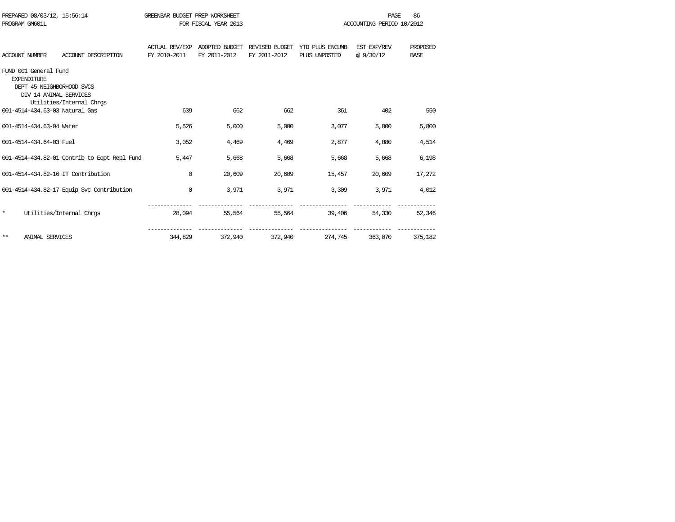| PREPARED 08/03/12, 15:56:14<br>PROGRAM GM601L |                                                                                                    |                                              | GREENBAR BUDGET PREP WORKSHEET        | FOR FISCAL YEAR 2013           | PAGE<br>ACCOUNTING PERIOD 10/2012 |                                  |                          | 86                      |
|-----------------------------------------------|----------------------------------------------------------------------------------------------------|----------------------------------------------|---------------------------------------|--------------------------------|-----------------------------------|----------------------------------|--------------------------|-------------------------|
|                                               | <b>ACCOUNT NUMBER</b>                                                                              | ACCOUNT DESCRIPTION                          | <b>ACTUAL REV/EXP</b><br>FY 2010-2011 | ADOPTED BUDGET<br>FY 2011-2012 | REVISED BUDGET<br>FY 2011-2012    | YTD PLUS ENCUMB<br>PLUS UNPOSTED | EST EXP/REV<br>@ 9/30/12 | PROPOSED<br><b>BASE</b> |
|                                               | FUND 001 General Fund<br><b>EXPENDITURE</b><br>DEPT 45 NEIGHBORHOOD SVCS<br>DIV 14 ANIMAL SERVICES | Utilities/Internal Chrgs                     |                                       |                                |                                   |                                  |                          |                         |
|                                               |                                                                                                    | 001-4514-434.63-03 Natural Gas               | 639                                   | 662                            | 662                               | 361                              | 402                      | 550                     |
|                                               | 001-4514-434.63-04 Water                                                                           |                                              | 5,526                                 | 5,000                          | 5,000                             | 3,077                            | 5,800                    | 5,800                   |
|                                               | 001-4514-434.64-03 Fuel                                                                            |                                              | 3,052                                 | 4,469                          | 4,469                             | 2,877                            | 4,880                    | 4,514                   |
|                                               |                                                                                                    | 001-4514-434.82-01 Contrib to Eqpt Repl Fund | 5,447                                 | 5,668                          | 5,668                             | 5,668                            | 5,668                    | 6,198                   |
|                                               |                                                                                                    | 001-4514-434.82-16 IT Contribution           | $\mathbf 0$                           | 20,609                         | 20,609                            | 15,457                           | 20,609                   | 17,272                  |
|                                               |                                                                                                    | 001-4514-434.82-17 Equip Svc Contribution    | $\mathbf 0$                           | 3,971                          | 3,971                             | 3,309                            | 3,971                    | 4,012                   |
| $\star$                                       |                                                                                                    | Utilities/Internal Chrgs                     | 28,094                                | 55,564                         | 55,564                            | 39,406                           | 54,330                   | 52,346                  |
| **                                            | <b>ANIMAL SERVICES</b>                                                                             |                                              | 344,829                               | 372,940                        | 372,940                           | 274,745                          | 363,070                  | 375,182                 |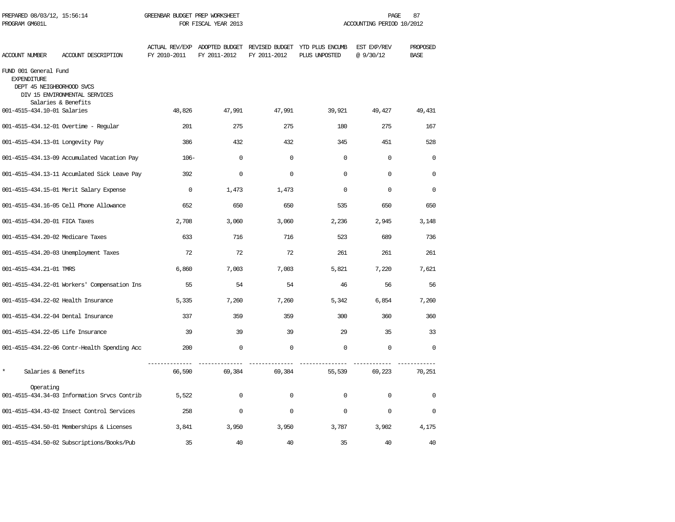| PREPARED 08/03/12, 15:56:14<br>PROGRAM GM601L                            |                                                      | GREENBAR BUDGET PREP WORKSHEET<br>FOR FISCAL YEAR 2013 |              |              | 87<br>PAGE<br>ACCOUNTING PERIOD 10/2012                                       |                         |                         |  |
|--------------------------------------------------------------------------|------------------------------------------------------|--------------------------------------------------------|--------------|--------------|-------------------------------------------------------------------------------|-------------------------|-------------------------|--|
| <b>ACCOUNT NUMBER</b>                                                    | ACCOUNT DESCRIPTION                                  | FY 2010-2011                                           | FY 2011-2012 | FY 2011-2012 | ACTUAL REV/EXP ADOPTED BUDGET REVISED BUDGET YTD PLUS ENCUMB<br>PLUS UNPOSTED | EST EXP/REV<br>@9/30/12 | PROPOSED<br><b>BASE</b> |  |
| FUND 001 General Fund<br><b>EXPENDITURE</b><br>DEPT 45 NEIGHBORHOOD SVCS | DIV 15 ENVIRONMENTAL SERVICES<br>Salaries & Benefits |                                                        |              |              |                                                                               |                         |                         |  |
| 001-4515-434.10-01 Salaries                                              |                                                      | 48,826                                                 | 47,991       | 47,991       | 39,921                                                                        | 49,427                  | 49,431                  |  |
|                                                                          | 001-4515-434.12-01 Overtime - Regular                | 201                                                    | 275          | 275          | 180                                                                           | 275                     | 167                     |  |
| 001-4515-434.13-01 Longevity Pay                                         |                                                      | 386                                                    | 432          | 432          | 345                                                                           | 451                     | 528                     |  |
|                                                                          | 001-4515-434.13-09 Accumulated Vacation Pay          | $106-$                                                 | $\mathbf 0$  | $\Omega$     | $\Omega$                                                                      | $\Omega$                | $\Omega$                |  |
|                                                                          | 001-4515-434.13-11 Accumlated Sick Leave Pay         | 392                                                    | $\mathbf 0$  | $\Omega$     | $\Omega$                                                                      | $\Omega$                | $\Omega$                |  |
|                                                                          | 001-4515-434.15-01 Merit Salary Expense              | $\mathbf 0$                                            | 1,473        | 1,473        | $\mathbf 0$                                                                   | $\mathbf 0$             | $\Omega$                |  |
|                                                                          | 001-4515-434.16-05 Cell Phone Allowance              | 652                                                    | 650          | 650          | 535                                                                           | 650                     | 650                     |  |
| 001-4515-434.20-01 FICA Taxes                                            |                                                      | 2,708                                                  | 3,060        | 3,060        | 2,236                                                                         | 2,945                   | 3,148                   |  |
| 001-4515-434.20-02 Medicare Taxes                                        |                                                      | 633                                                    | 716          | 716          | 523                                                                           | 689                     | 736                     |  |
|                                                                          | 001-4515-434.20-03 Unemployment Taxes                | 72                                                     | 72           | 72           | 261                                                                           | 261                     | 261                     |  |
| 001-4515-434.21-01 TMRS                                                  |                                                      | 6,860                                                  | 7,003        | 7,003        | 5,821                                                                         | 7,220                   | 7,621                   |  |
|                                                                          | 001-4515-434.22-01 Workers' Compensation Ins         | 55                                                     | 54           | 54           | 46                                                                            | 56                      | 56                      |  |
| 001-4515-434.22-02 Health Insurance                                      |                                                      | 5,335                                                  | 7,260        | 7,260        | 5,342                                                                         | 6,854                   | 7,260                   |  |
| 001-4515-434.22-04 Dental Insurance                                      |                                                      | 337                                                    | 359          | 359          | 300                                                                           | 360                     | 360                     |  |
| 001-4515-434.22-05 Life Insurance                                        |                                                      | 39                                                     | 39           | 39           | 29                                                                            | 35                      | 33                      |  |
|                                                                          | 001-4515-434.22-06 Contr-Health Spending Acc         | 200                                                    | $\mathbf 0$  | $\mathbf 0$  | $\mathbf 0$                                                                   | $\mathbf 0$             | $\mathbf 0$             |  |
| $\star$<br>Salaries & Benefits                                           |                                                      | 66,590                                                 | 69,384       | 69,384       | 55,539                                                                        | 69,223                  | 70,251                  |  |
| Operating                                                                | 001-4515-434.34-03 Information Srvcs Contrib         | 5,522                                                  | $\mathbf 0$  | $\mathbf 0$  | $\Omega$                                                                      | $\Omega$                | $\Omega$                |  |
|                                                                          | 001-4515-434.43-02 Insect Control Services           | 258                                                    | $\Omega$     | $\Omega$     | $\mathbf 0$                                                                   | $\Omega$                | $\Omega$                |  |
|                                                                          | 001-4515-434.50-01 Memberships & Licenses            | 3,841                                                  | 3,950        | 3,950        | 3,787                                                                         | 3,902                   | 4,175                   |  |
|                                                                          | 001-4515-434.50-02 Subscriptions/Books/Pub           | 35                                                     | 40           | 40           | 35                                                                            | 40                      | 40                      |  |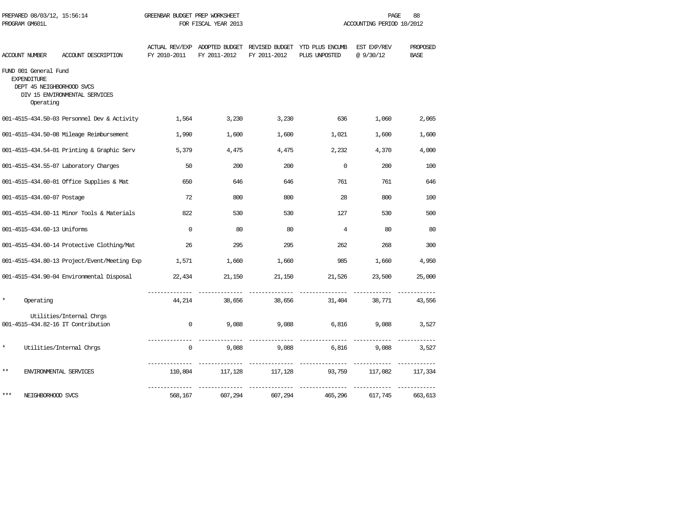| PREPARED 08/03/12, 15:56:14<br>PROGRAM GM601L            |                                                                | GREENBAR BUDGET PREP WORKSHEET<br>FOR FISCAL YEAR 2013 |                                               |                      | 88<br>PAGE<br>ACCOUNTING PERIOD 10/2012         |                         |                         |
|----------------------------------------------------------|----------------------------------------------------------------|--------------------------------------------------------|-----------------------------------------------|----------------------|-------------------------------------------------|-------------------------|-------------------------|
| ACCOUNT NUMBER                                           | ACCOUNT DESCRIPTION                                            | FY 2010-2011                                           | ACTUAL REV/EXP ADOPTED BUDGET<br>FY 2011-2012 | FY 2011-2012         | REVISED BUDGET YTD PLUS ENCUMB<br>PLUS UNPOSTED | EST EXP/REV<br>@9/30/12 | PROPOSED<br><b>BASE</b> |
| FUND 001 General Fund<br><b>EXPENDITURE</b><br>Operating | DEPT 45 NEIGHBORHOOD SVCS<br>DIV 15 ENVIRONMENTAL SERVICES     |                                                        |                                               |                      |                                                 |                         |                         |
|                                                          | 001-4515-434.50-03 Personnel Dev & Activity                    | 1,564                                                  | 3,230                                         | 3,230                | 636                                             | 1,060                   | 2,065                   |
|                                                          | 001-4515-434.50-08 Mileage Reimbursement                       | 1,990                                                  | 1,600                                         | 1,600                | 1,021                                           | 1,600                   | 1,600                   |
|                                                          | 001-4515-434.54-01 Printing & Graphic Serv                     | 5,379                                                  | 4,475                                         | 4,475                | 2,232                                           | 4,370                   | 4,000                   |
|                                                          | 001-4515-434.55-07 Laboratory Charges                          | 50                                                     | 200                                           | 200                  | $\Omega$                                        | 200                     | 100                     |
|                                                          | 001-4515-434.60-01 Office Supplies & Mat                       | 650                                                    | 646                                           | 646                  | 761                                             | 761                     | 646                     |
| 001-4515-434.60-07 Postage                               |                                                                | 72                                                     | 800                                           | 800                  | 28                                              | 800                     | 100                     |
|                                                          | 001-4515-434.60-11 Minor Tools & Materials                     | 822                                                    | 530                                           | 530                  | 127                                             | 530                     | 500                     |
| 001-4515-434.60-13 Uniforms                              |                                                                | $\Omega$                                               | 80                                            | 80                   | $\overline{4}$                                  | 80                      | 80                      |
|                                                          | 001-4515-434.60-14 Protective Clothing/Mat                     | 26                                                     | 295                                           | 295                  | 262                                             | 268                     | 300                     |
|                                                          | 001-4515-434.80-13 Project/Event/Meeting Exp                   | 1,571                                                  | 1,660                                         | 1,660                | 985                                             | 1,660                   | 4,950                   |
|                                                          | 001-4515-434.90-04 Environmental Disposal                      | 22,434                                                 | 21,150                                        | 21,150               | 21,526                                          | 23,500                  | 25,000                  |
| $\star$<br>Operating                                     |                                                                | 44,214                                                 | 38,656                                        | 38,656               | 31,404                                          | 38,771                  | 43,556                  |
|                                                          | Utilities/Internal Chrgs<br>001-4515-434.82-16 IT Contribution | $\circ$                                                | 9,088                                         | 9,088                | 6,816                                           | 9,088                   | 3,527                   |
| $\star$                                                  | Utilities/Internal Chrgs                                       | --------------<br>$\mathbf{0}$                         | 9,088                                         | 9,088                | _______________<br>6,816                        | 9,088                   | 3,527                   |
| $***$                                                    | ENVIRONMENTAL SERVICES                                         | 110,804                                                | 117,128                                       | _________<br>117,128 | ---- -----------<br>93,759                      | 117,082                 | 117,334                 |
| ***                                                      | NEIGHBORHOOD SVCS                                              | 568,167                                                | 607,294                                       | 607,294              | 465,296                                         | 617,745                 | 663,613                 |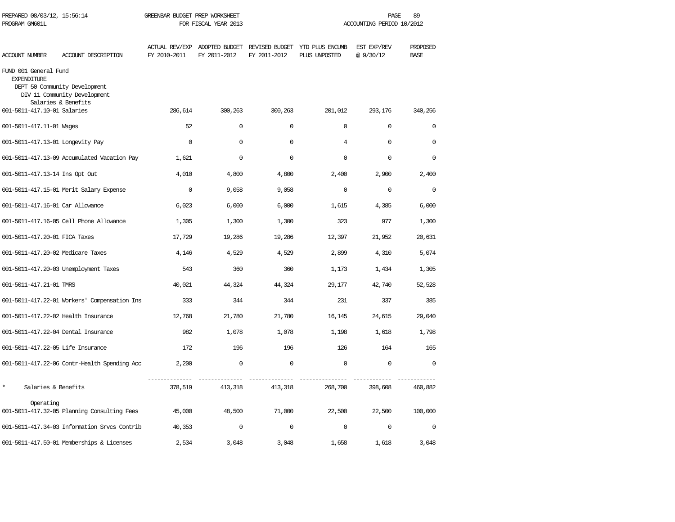| PREPARED 08/03/12, 15:56:14<br>PROGRAM GM601L |                                                                                      | GREENBAR BUDGET PREP WORKSHEET        | FOR FISCAL YEAR 2013           |                                |                                  | PAGE<br>ACCOUNTING PERIOD 10/2012 | 89                      |
|-----------------------------------------------|--------------------------------------------------------------------------------------|---------------------------------------|--------------------------------|--------------------------------|----------------------------------|-----------------------------------|-------------------------|
| <b>ACCOUNT NUMBER</b>                         | ACCOUNT DESCRIPTION                                                                  | <b>ACTUAL REV/EXP</b><br>FY 2010-2011 | ADOPTED BUDGET<br>FY 2011-2012 | REVISED BUDGET<br>FY 2011-2012 | YTD PLUS ENCUMB<br>PLUS UNPOSTED | EST EXP/REV<br>@ 9/30/12          | PROPOSED<br><b>BASE</b> |
| FUND 001 General Fund<br><b>EXPENDITURE</b>   | DEPT 50 Community Development<br>DIV 11 Community Development<br>Salaries & Benefits |                                       |                                |                                |                                  |                                   |                         |
| 001-5011-417.10-01 Salaries                   |                                                                                      | 286,614                               | 300,263                        | 300,263                        | 201,012                          | 293,176                           | 340,256                 |
| 001-5011-417.11-01 Wages                      |                                                                                      | 52                                    | $\Omega$                       | $\Omega$                       | $\Omega$                         | 0                                 | $\Omega$                |
| 001-5011-417.13-01 Longevity Pay              |                                                                                      | $\mathbf 0$                           | $\mathbf 0$                    | $\mathbf 0$                    | $\overline{4}$                   | $\mathbf 0$                       | $\mathbf 0$             |
|                                               | 001-5011-417.13-09 Accumulated Vacation Pay                                          | 1,621                                 | $\Omega$                       | $\mathbf 0$                    | $\Omega$                         | $\mathbf 0$                       | $\mathbf 0$             |
| 001-5011-417.13-14 Ins Opt Out                |                                                                                      | 4,010                                 | 4,800                          | 4,800                          | 2,400                            | 2,900                             | 2,400                   |
|                                               | 001-5011-417.15-01 Merit Salary Expense                                              | $\mathbf 0$                           | 9,058                          | 9,058                          | $\mathbf 0$                      | $\mathbf 0$                       | $\mathbf 0$             |
| 001-5011-417.16-01 Car Allowance              |                                                                                      | 6,023                                 | 6,000                          | 6,000                          | 1,615                            | 4,385                             | 6,000                   |
|                                               | 001-5011-417.16-05 Cell Phone Allowance                                              | 1,305                                 | 1,300                          | 1,300                          | 323                              | 977                               | 1,300                   |
| 001-5011-417.20-01 FICA Taxes                 |                                                                                      | 17,729                                | 19,286                         | 19,286                         | 12,397                           | 21,952                            | 20,631                  |
| 001-5011-417.20-02 Medicare Taxes             |                                                                                      | 4,146                                 | 4,529                          | 4,529                          | 2,899                            | 4,310                             | 5,074                   |
|                                               | 001-5011-417.20-03 Unemployment Taxes                                                | 543                                   | 360                            | 360                            | 1,173                            | 1,434                             | 1,305                   |
| 001-5011-417.21-01 TMRS                       |                                                                                      | 40,021                                | 44,324                         | 44,324                         | 29,177                           | 42,740                            | 52,528                  |
|                                               | 001-5011-417.22-01 Workers' Compensation Ins                                         | 333                                   | 344                            | 344                            | 231                              | 337                               | 385                     |
| 001-5011-417.22-02 Health Insurance           |                                                                                      | 12,768                                | 21,780                         | 21,780                         | 16,145                           | 24,615                            | 29,040                  |
| 001-5011-417.22-04 Dental Insurance           |                                                                                      | 982                                   | 1,078                          | 1,078                          | 1,198                            | 1,618                             | 1,798                   |
| 001-5011-417.22-05 Life Insurance             |                                                                                      | 172                                   | 196                            | 196                            | 126                              | 164                               | 165                     |
|                                               | 001-5011-417.22-06 Contr-Health Spending Acc                                         | 2,200                                 | $\mathbf 0$                    | $\mathbf 0$                    | $\Omega$                         | $\mathbf 0$                       | $\Omega$                |
| $\star$<br>Salaries & Benefits                |                                                                                      | 378,519                               | 413,318                        | 413,318                        | 268,700                          | 398,608                           | 460,882                 |
| Operating                                     | 001-5011-417.32-05 Planning Consulting Fees                                          | 45,000                                | 48,500                         | 71,000                         | 22,500                           | 22,500                            | 100,000                 |
|                                               | 001-5011-417.34-03 Information Srvcs Contrib                                         | 40,353                                | $\mathbf 0$                    | $\mathbf 0$                    | $\mathbf 0$                      | $\mathbf 0$                       | $\mathbf 0$             |
|                                               | 001-5011-417.50-01 Memberships & Licenses                                            | 2,534                                 | 3,048                          | 3,048                          | 1,658                            | 1,618                             | 3,048                   |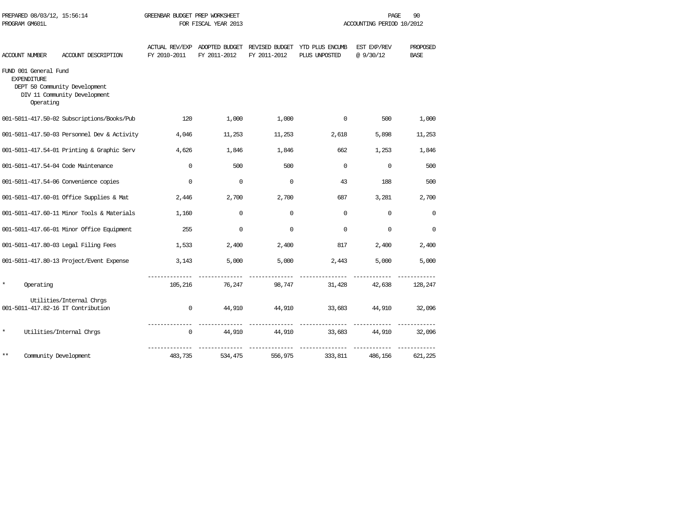|         | PROGRAM GM601L                                           |                                                                |              | FOR FISCAL YEAR 2013 |              |                                                                               | ACCOUNTING PERIOD 10/2012 |                         |
|---------|----------------------------------------------------------|----------------------------------------------------------------|--------------|----------------------|--------------|-------------------------------------------------------------------------------|---------------------------|-------------------------|
|         | ACCOUNT NUMBER                                           | ACCOUNT DESCRIPTION                                            | FY 2010-2011 | FY 2011-2012         | FY 2011-2012 | ACTUAL REV/EXP ADOPTED BUDGET REVISED BUDGET YTD PLUS ENCUMB<br>PLUS UNPOSTED | EST EXP/REV<br>@ 9/30/12  | PROPOSED<br><b>BASE</b> |
|         | FUND 001 General Fund<br><b>EXPENDITURE</b><br>Operating | DEPT 50 Community Development<br>DIV 11 Community Development  |              |                      |              |                                                                               |                           |                         |
|         |                                                          | 001-5011-417.50-02 Subscriptions/Books/Pub                     | 120          | 1,000                | 1,000        | $\mathbf 0$                                                                   | 500                       | 1,000                   |
|         |                                                          | 001-5011-417.50-03 Personnel Dev & Activity                    | 4,046        | 11,253               | 11,253       | 2,618                                                                         | 5,898                     | 11,253                  |
|         |                                                          | 001-5011-417.54-01 Printing & Graphic Serv                     | 4,626        | 1,846                | 1,846        | 662                                                                           | 1,253                     | 1,846                   |
|         |                                                          | 001-5011-417.54-04 Code Maintenance                            | $\Omega$     | 500                  | 500          | $\Omega$                                                                      | $\mathbf 0$               | 500                     |
|         |                                                          | 001-5011-417.54-06 Convenience copies                          | $\Omega$     | $\Omega$             | $\Omega$     | 43                                                                            | 188                       | 500                     |
|         |                                                          | 001-5011-417.60-01 Office Supplies & Mat                       | 2,446        | 2,700                | 2,700        | 687                                                                           | 3,281                     | 2,700                   |
|         |                                                          | 001-5011-417.60-11 Minor Tools & Materials                     | 1,160        | $\Omega$             | $\Omega$     | $\Omega$                                                                      | $\Omega$                  | $\Omega$                |
|         |                                                          | 001-5011-417.66-01 Minor Office Equipment                      | 255          | $\mathbf 0$          | $\Omega$     | $\mathbf{0}$                                                                  | $\Omega$                  | $\mathbf 0$             |
|         |                                                          | 001-5011-417.80-03 Legal Filing Fees                           | 1,533        | 2,400                | 2,400        | 817                                                                           | 2,400                     | 2,400                   |
|         |                                                          | 001-5011-417.80-13 Project/Event Expense                       | 3,143        | 5,000                | 5,000        | 2,443                                                                         | 5,000                     | 5,000                   |
| *       | Operating                                                |                                                                |              | 105,216 76,247       |              | 98,747                                                                        | 31,428 42,638             | 128,247                 |
|         |                                                          | Utilities/Internal Chrgs<br>001-5011-417.82-16 IT Contribution | $\Omega$     |                      |              |                                                                               |                           |                         |
|         |                                                          |                                                                |              | 44,910               | 44,910       | 33,683 44,910 32,096                                                          |                           |                         |
| $\star$ |                                                          | Utilities/Internal Chros                                       | $\mathbf{0}$ | 44,910               | 44,910       | 33,683                                                                        | 44,910                    | 32,096                  |
| $***$   | Community Development                                    |                                                                | 483,735      | 534,475              | 556,975      | 333,811                                                                       | 486,156                   | 621,225                 |

PREPARED 08/03/12, 15:56:14 GREENBAR BUDGET PREP WORKSHEET **FREED ACCESS OF A PAGE** 90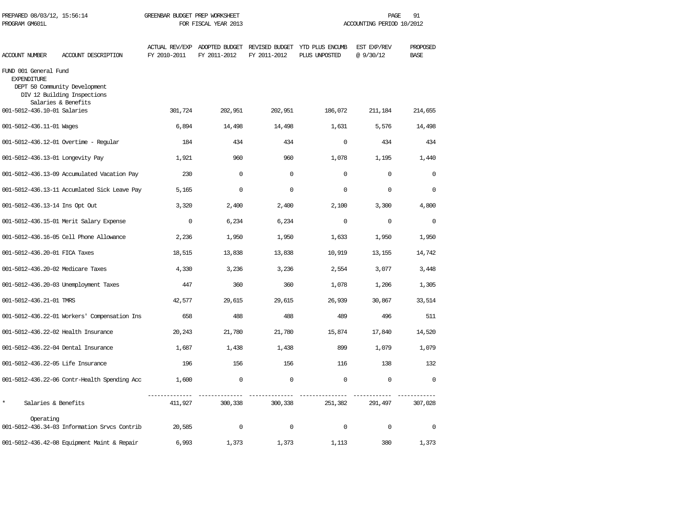| PREPARED 08/03/12, 15:56:14<br>PROGRAM GM601L |                                                                                     | GREENBAR BUDGET PREP WORKSHEET | FOR FISCAL YEAR 2013                          |              |                                                 | PAGE<br>ACCOUNTING PERIOD 10/2012 | 91                      |
|-----------------------------------------------|-------------------------------------------------------------------------------------|--------------------------------|-----------------------------------------------|--------------|-------------------------------------------------|-----------------------------------|-------------------------|
| ACCOUNT NUMBER                                | ACCOUNT DESCRIPTION                                                                 | FY 2010-2011                   | ACTUAL REV/EXP ADOPTED BUDGET<br>FY 2011-2012 | FY 2011-2012 | REVISED BUDGET YTD PLUS ENCUMB<br>PLUS UNPOSTED | EST EXP/REV<br>@9/30/12           | PROPOSED<br><b>BASE</b> |
| FUND 001 General Fund<br><b>EXPENDITURE</b>   | DEPT 50 Community Development<br>DIV 12 Building Inspections<br>Salaries & Benefits |                                |                                               |              |                                                 |                                   |                         |
| 001-5012-436.10-01 Salaries                   |                                                                                     | 301,724                        | 202,951                                       | 202,951      | 186,072                                         | 211,184                           | 214,655                 |
| 001-5012-436.11-01 Wages                      |                                                                                     | 6,894                          | 14,498                                        | 14,498       | 1,631                                           | 5,576                             | 14,498                  |
|                                               | 001-5012-436.12-01 Overtime - Regular                                               | 184                            | 434                                           | 434          | $\mathbf 0$                                     | 434                               | 434                     |
| 001-5012-436.13-01 Longevity Pay              |                                                                                     | 1,921                          | 960                                           | 960          | 1,078                                           | 1,195                             | 1,440                   |
|                                               | 001-5012-436.13-09 Accumulated Vacation Pay                                         | 230                            | $\Omega$                                      | $\Omega$     | $\Omega$                                        | $\Omega$                          | $\Omega$                |
|                                               | 001-5012-436.13-11 Accumlated Sick Leave Pay                                        | 5,165                          | $\Omega$                                      | $\Omega$     | $\Omega$                                        | $\mathbf 0$                       | $\Omega$                |
| 001-5012-436.13-14 Ins Opt Out                |                                                                                     | 3,320                          | 2,400                                         | 2,400        | 2,100                                           | 3,300                             | 4,800                   |
|                                               | 001-5012-436.15-01 Merit Salary Expense                                             | $\mathbf 0$                    | 6,234                                         | 6,234        | $\Omega$                                        | $\mathbf 0$                       | $\mathbf 0$             |
|                                               | 001-5012-436.16-05 Cell Phone Allowance                                             | 2,236                          | 1,950                                         | 1,950        | 1,633                                           | 1,950                             | 1,950                   |
| 001-5012-436.20-01 FICA Taxes                 |                                                                                     | 18,515                         | 13,838                                        | 13,838       | 10,919                                          | 13,155                            | 14,742                  |
| 001-5012-436.20-02 Medicare Taxes             |                                                                                     | 4,330                          | 3,236                                         | 3,236        | 2,554                                           | 3,077                             | 3,448                   |
|                                               | 001-5012-436.20-03 Unemployment Taxes                                               | 447                            | 360                                           | 360          | 1,078                                           | 1,206                             | 1,305                   |
| 001-5012-436.21-01 TMRS                       |                                                                                     | 42,577                         | 29,615                                        | 29,615       | 26,939                                          | 30,867                            | 33,514                  |
|                                               | 001-5012-436.22-01 Workers' Compensation Ins                                        | 658                            | 488                                           | 488          | 489                                             | 496                               | 511                     |
| 001-5012-436.22-02 Health Insurance           |                                                                                     | 20,243                         | 21,780                                        | 21,780       | 15,874                                          | 17,840                            | 14,520                  |
| 001-5012-436.22-04 Dental Insurance           |                                                                                     | 1,687                          | 1,438                                         | 1,438        | 899                                             | 1,079                             | 1,079                   |
| 001-5012-436.22-05 Life Insurance             |                                                                                     | 196                            | 156                                           | 156          | 116                                             | 138                               | 132                     |
|                                               | 001-5012-436.22-06 Contr-Health Spending Acc                                        | 1,600                          | $\Omega$                                      | $\Omega$     | $\Omega$                                        | $\Omega$                          | $\Omega$                |
| $\star$<br>Salaries & Benefits                |                                                                                     | 411,927                        | 300,338                                       | 300,338      | 251,382                                         | 291,497                           | 307,028                 |
| Operating                                     | 001-5012-436.34-03 Information Srvcs Contrib                                        | 20,585                         | $\mathbf 0$                                   | $\mathbf 0$  | $\mathbf 0$                                     | $\mathsf 0$                       | $\mathbf 0$             |
|                                               | 001-5012-436.42-08 Equipment Maint & Repair                                         | 6,993                          | 1,373                                         | 1,373        | 1,113                                           | 380                               | 1,373                   |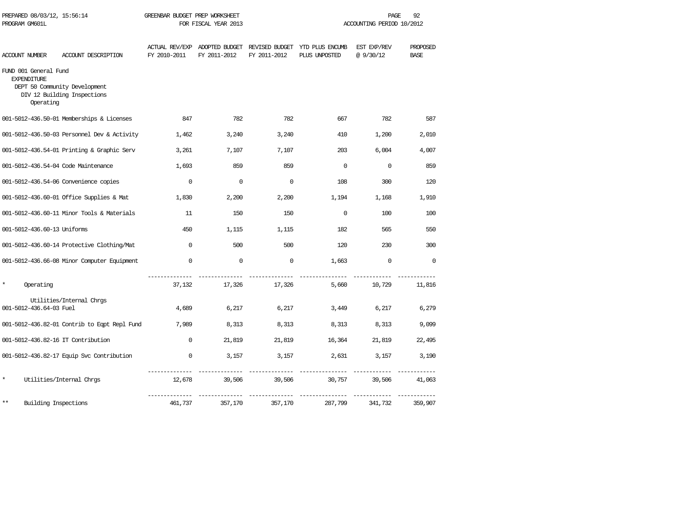| PREPARED 08/03/12, 15:56:14<br>PROGRAM GM601L            |                                                              | GREENBAR BUDGET PREP WORKSHEET<br>FOR FISCAL YEAR 2013 |                                |                                | 92<br>PAGE<br>ACCOUNTING PERIOD 10/2012 |                          |                         |  |
|----------------------------------------------------------|--------------------------------------------------------------|--------------------------------------------------------|--------------------------------|--------------------------------|-----------------------------------------|--------------------------|-------------------------|--|
| <b>ACCOUNT NUMBER</b>                                    | ACCOUNT DESCRIPTION                                          | <b>ACTUAL REV/EXP</b><br>FY 2010-2011                  | ADOPTED BUDGET<br>FY 2011-2012 | REVISED BUDGET<br>FY 2011-2012 | YTD PLUS ENCUMB<br>PLUS UNPOSTED        | EST EXP/REV<br>@ 9/30/12 | PROPOSED<br><b>BASE</b> |  |
| FUND 001 General Fund<br><b>EXPENDITURE</b><br>Operating | DEPT 50 Community Development<br>DIV 12 Building Inspections |                                                        |                                |                                |                                         |                          |                         |  |
|                                                          | 001-5012-436.50-01 Memberships & Licenses                    | 847                                                    | 782                            | 782                            | 667                                     | 782                      | 587                     |  |
|                                                          | 001-5012-436.50-03 Personnel Dev & Activity                  | 1,462                                                  | 3,240                          | 3,240                          | 410                                     | 1,200                    | 2,010                   |  |
|                                                          | 001-5012-436.54-01 Printing & Graphic Serv                   | 3,261                                                  | 7,107                          | 7,107                          | 203                                     | 6,004                    | 4,007                   |  |
|                                                          | 001-5012-436.54-04 Code Maintenance                          | 1,693                                                  | 859                            | 859                            | $\Omega$                                | $\Omega$                 | 859                     |  |
|                                                          | 001-5012-436.54-06 Convenience copies                        | $\mathbf 0$                                            | $\mathbf 0$                    | $\mathbf 0$                    | 108                                     | 300                      | 120                     |  |
|                                                          | 001-5012-436.60-01 Office Supplies & Mat                     | 1,830                                                  | 2,200                          | 2,200                          | 1,194                                   | 1,168                    | 1,910                   |  |
|                                                          | 001-5012-436.60-11 Minor Tools & Materials                   | 11                                                     | 150                            | 150                            | $\Omega$                                | 100                      | 100                     |  |
| 001-5012-436.60-13 Uniforms                              |                                                              | 450                                                    | 1,115                          | 1,115                          | 182                                     | 565                      | 550                     |  |
|                                                          | 001-5012-436.60-14 Protective Clothing/Mat                   | $\Omega$                                               | 500                            | 500                            | 120                                     | 230                      | 300                     |  |
|                                                          | 001-5012-436.66-08 Minor Computer Equipment                  | $\Omega$                                               | $\mathbf 0$                    | $\mathbf 0$                    | 1,663                                   | $\Omega$                 | $\Omega$                |  |
| Operating                                                |                                                              | 37,132                                                 | 17,326                         | 17,326                         | 5,660                                   | 10,729                   | 11,816                  |  |
| 001-5012-436.64-03 Fuel                                  | Utilities/Internal Chros                                     | 4,689                                                  | 6,217                          | 6,217                          | 3,449                                   | 6,217                    | 6,279                   |  |
|                                                          | 001-5012-436.82-01 Contrib to Eqpt Repl Fund                 | 7,989                                                  | 8,313                          | 8,313                          | 8,313                                   | 8,313                    | 9,099                   |  |
| 001-5012-436.82-16 IT Contribution                       |                                                              | $\Omega$                                               | 21,819                         | 21,819                         | 16,364                                  | 21,819                   | 22,495                  |  |
|                                                          | 001-5012-436.82-17 Equip Svc Contribution                    | $\Omega$                                               | 3,157                          | 3,157                          | 2,631                                   | 3,157                    | 3,190                   |  |
| $\star$                                                  | Utilities/Internal Chrgs                                     | 12,678                                                 | 39,506                         | 39,506                         | 30,757                                  | 39,506                   | 41,063                  |  |
| Building Inspections<br>**                               |                                                              | 461,737                                                | 357,170                        | 357,170                        | 287,799                                 | 341,732                  | 359,907                 |  |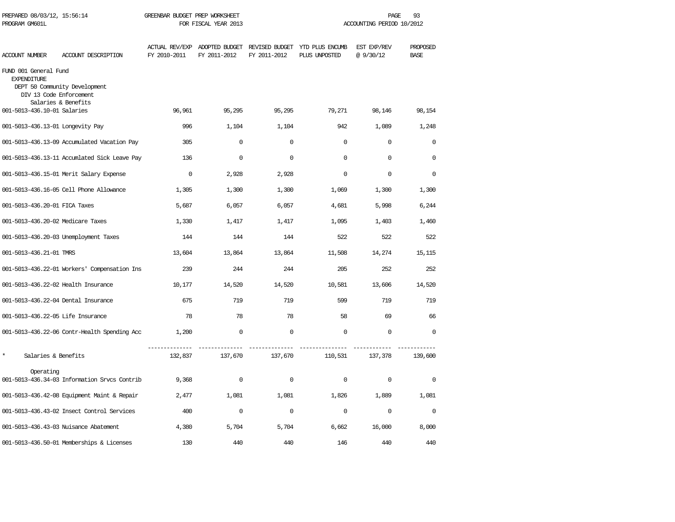| PREPARED 08/03/12, 15:56:14<br>PROGRAM GM601L                          |                                                      | GREENBAR BUDGET PREP WORKSHEET<br>FOR FISCAL YEAR 2013 |                                               |              |                                                 | PAGE<br>93<br>ACCOUNTING PERIOD 10/2012 |                         |
|------------------------------------------------------------------------|------------------------------------------------------|--------------------------------------------------------|-----------------------------------------------|--------------|-------------------------------------------------|-----------------------------------------|-------------------------|
| <b>ACCOUNT NUMBER</b>                                                  | ACCOUNT DESCRIPTION                                  | FY 2010-2011                                           | ACTUAL REV/EXP ADOPTED BUDGET<br>FY 2011-2012 | FY 2011-2012 | REVISED BUDGET YTD PLUS ENCUMB<br>PLUS UNPOSTED | EST EXP/REV<br>@9/30/12                 | PROPOSED<br><b>BASE</b> |
| FUND 001 General Fund<br><b>EXPENDITURE</b><br>DIV 13 Code Enforcement | DEPT 50 Community Development<br>Salaries & Benefits |                                                        |                                               |              |                                                 |                                         |                         |
| 001-5013-436.10-01 Salaries                                            |                                                      | 96,961                                                 | 95,295                                        | 95,295       | 79,271                                          | 98,146                                  | 98,154                  |
| 001-5013-436.13-01 Longevity Pay                                       |                                                      | 996                                                    | 1,104                                         | 1,104        | 942                                             | 1,089                                   | 1,248                   |
|                                                                        | 001-5013-436.13-09 Accumulated Vacation Pay          | 305                                                    | $\mathbf 0$                                   | $\mathbf 0$  | $\Omega$                                        | $\mathbf 0$                             | $\mathbf 0$             |
|                                                                        | 001-5013-436.13-11 Accumlated Sick Leave Pay         | 136                                                    | $\mathbf 0$                                   | $\Omega$     | $\Omega$                                        | $\Omega$                                | $\Omega$                |
|                                                                        | 001-5013-436.15-01 Merit Salary Expense              | $\Omega$                                               | 2,928                                         | 2,928        | $\Omega$                                        | $\Omega$                                | $\Omega$                |
|                                                                        | 001-5013-436.16-05 Cell Phone Allowance              | 1,305                                                  | 1,300                                         | 1,300        | 1,069                                           | 1,300                                   | 1,300                   |
| 001-5013-436.20-01 FICA Taxes                                          |                                                      | 5,687                                                  | 6,057                                         | 6,057        | 4,681                                           | 5,998                                   | 6,244                   |
| 001-5013-436.20-02 Medicare Taxes                                      |                                                      | 1,330                                                  | 1,417                                         | 1,417        | 1,095                                           | 1,403                                   | 1,460                   |
|                                                                        | 001-5013-436.20-03 Unemployment Taxes                | 144                                                    | 144                                           | 144          | 522                                             | 522                                     | 522                     |
| 001-5013-436.21-01 TMRS                                                |                                                      | 13,604                                                 | 13,864                                        | 13,864       | 11,508                                          | 14,274                                  | 15,115                  |
|                                                                        | 001-5013-436.22-01 Workers' Compensation Ins         | 239                                                    | 244                                           | 244          | 205                                             | 252                                     | 252                     |
| 001-5013-436.22-02 Health Insurance                                    |                                                      | 10,177                                                 | 14,520                                        | 14,520       | 10,581                                          | 13,606                                  | 14,520                  |
| 001-5013-436.22-04 Dental Insurance                                    |                                                      | 675                                                    | 719                                           | 719          | 599                                             | 719                                     | 719                     |
| 001-5013-436.22-05 Life Insurance                                      |                                                      | 78                                                     | 78                                            | 78           | 58                                              | 69                                      | 66                      |
|                                                                        | 001-5013-436.22-06 Contr-Health Spending Acc         | 1,200                                                  | $\Omega$                                      | $\Omega$     | $\Omega$                                        | $\Omega$                                | $\Omega$                |
| $\star$<br>Salaries & Benefits                                         |                                                      | 132,837                                                | 137,670                                       | 137,670      | 110,531                                         | 137,378                                 | 139,600                 |
| Operating                                                              | 001-5013-436.34-03 Information Srvcs Contrib         | 9,368                                                  | $\mathsf{O}\xspace$                           | $\Omega$     | $\Omega$                                        | $\Omega$                                | $\mathsf{O}\xspace$     |
|                                                                        | 001-5013-436.42-08 Equipment Maint & Repair          | 2,477                                                  | 1,081                                         | 1,081        | 1,826                                           | 1,889                                   | 1,081                   |
|                                                                        | 001-5013-436.43-02 Insect Control Services           | 400                                                    | $\mathbf 0$                                   | $\mathbf 0$  | $\mathbf 0$                                     | $\mathbf 0$                             | $\mathbf 0$             |
|                                                                        | 001-5013-436.43-03 Nuisance Abatement                | 4,380                                                  | 5,704                                         | 5,704        | 6,662                                           | 16,000                                  | 8,000                   |
|                                                                        | 001-5013-436.50-01 Memberships & Licenses            | 130                                                    | 440                                           | 440          | 146                                             | 440                                     | 440                     |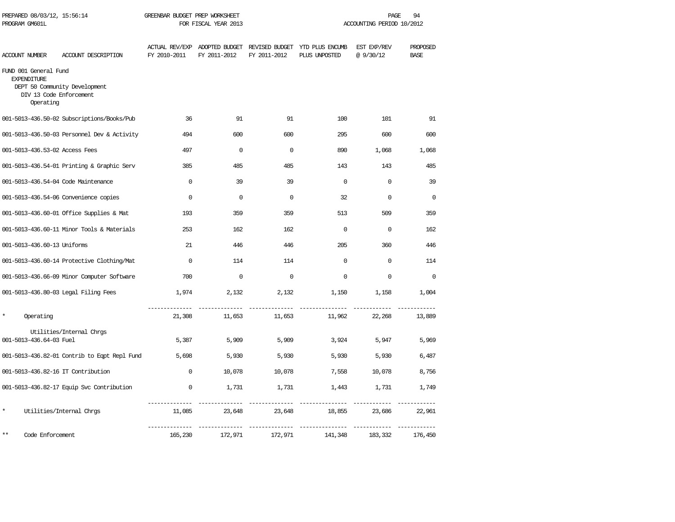| PREPARED 08/03/12, 15:56:14<br>PROGRAM GM601L                                       |                                              | GREENBAR BUDGET PREP WORKSHEET<br>FOR FISCAL YEAR 2013 |              |              | PAGE<br>94<br>ACCOUNTING PERIOD 10/2012                                       |                         |                         |  |
|-------------------------------------------------------------------------------------|----------------------------------------------|--------------------------------------------------------|--------------|--------------|-------------------------------------------------------------------------------|-------------------------|-------------------------|--|
| ACCOUNT NUMBER                                                                      | ACCOUNT DESCRIPTION                          | FY 2010-2011                                           | FY 2011-2012 | FY 2011-2012 | ACTUAL REV/EXP ADOPTED BUDGET REVISED BUDGET YTD PLUS ENCUMB<br>PLUS UNPOSTED | EST EXP/REV<br>@9/30/12 | PROPOSED<br><b>BASE</b> |  |
| FUND 001 General Fund<br><b>EXPENDITURE</b><br>DIV 13 Code Enforcement<br>Operating | DEPT 50 Community Development                |                                                        |              |              |                                                                               |                         |                         |  |
|                                                                                     | 001-5013-436.50-02 Subscriptions/Books/Pub   | 36                                                     | 91           | 91           | 100                                                                           | 101                     | 91                      |  |
|                                                                                     | 001-5013-436.50-03 Personnel Dev & Activity  | 494                                                    | 600          | 600          | 295                                                                           | 600                     | 600                     |  |
| 001-5013-436.53-02 Access Fees                                                      |                                              | 497                                                    | $\Omega$     | $\Omega$     | 890                                                                           | 1,068                   | 1,068                   |  |
|                                                                                     | 001-5013-436.54-01 Printing & Graphic Serv   | 385                                                    | 485          | 485          | 143                                                                           | 143                     | 485                     |  |
| 001-5013-436.54-04 Code Maintenance                                                 |                                              | $\mathbf 0$                                            | 39           | 39           | $\mathbf 0$                                                                   | $\mathbf 0$             | 39                      |  |
|                                                                                     | 001-5013-436.54-06 Convenience copies        | $\Omega$                                               | $\Omega$     | $\Omega$     | 32                                                                            | $\Omega$                | $\Omega$                |  |
|                                                                                     | 001-5013-436.60-01 Office Supplies & Mat     | 193                                                    | 359          | 359          | 513                                                                           | 509                     | 359                     |  |
|                                                                                     | 001-5013-436.60-11 Minor Tools & Materials   | 253                                                    | 162          | 162          | $\Omega$                                                                      | $\Omega$                | 162                     |  |
| 001-5013-436.60-13 Uniforms                                                         |                                              | 21                                                     | 446          | 446          | 205                                                                           | 360                     | 446                     |  |
|                                                                                     | 001-5013-436.60-14 Protective Clothing/Mat   | $\Omega$                                               | 114          | 114          | $\Omega$                                                                      | $\Omega$                | 114                     |  |
|                                                                                     | 001-5013-436.66-09 Minor Computer Software   | 700                                                    | $\mathbf 0$  | $\mathbf 0$  | $\mathbf 0$                                                                   | $\mathbf 0$             | $\mathbf 0$             |  |
|                                                                                     | 001-5013-436.80-03 Legal Filing Fees         | 1,974                                                  | 2,132        | 2,132        | 1,150                                                                         | 1,158                   | 1,004                   |  |
| $\star$<br>Operating                                                                |                                              | 21,308                                                 | 11,653       | 11,653       | 11,962                                                                        | 22,268                  | 13,889                  |  |
| 001-5013-436.64-03 Fuel                                                             | Utilities/Internal Chrgs                     | 5,387                                                  | 5,909        | 5,909        | 3,924                                                                         | 5,947                   | 5,969                   |  |
|                                                                                     | 001-5013-436.82-01 Contrib to Eqpt Repl Fund | 5,698                                                  | 5,930        | 5,930        | 5,930                                                                         | 5,930                   | 6,487                   |  |
| 001-5013-436.82-16 IT Contribution                                                  |                                              | $\mathbf 0$                                            | 10,078       | 10,078       | 7,558                                                                         | 10,078                  | 8,756                   |  |
|                                                                                     | 001-5013-436.82-17 Equip Svc Contribution    | $\mathbf 0$                                            | 1,731        | 1,731        | 1,443                                                                         | 1,731                   | 1,749                   |  |
| $\star$                                                                             | Utilities/Internal Chrgs                     | 11,085                                                 | 23,648       | 23,648       | 18,855                                                                        | 23,686                  | 22,961                  |  |
| Code Enforcement<br>$* *$                                                           |                                              | 165,230                                                | 172,971      | 172,971      | 141,348                                                                       | 183,332                 | 176,450                 |  |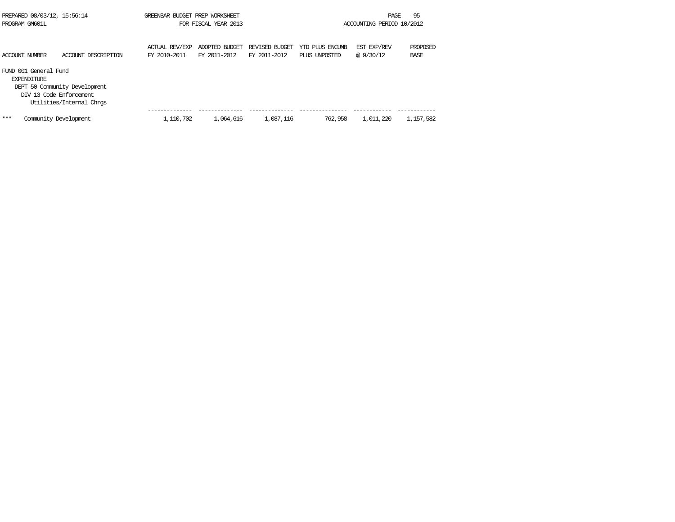| PREPARED 08/03/12, 15:56:14                 |                                                                                      | GREENBAR BUDGET PREP WORKSHEET |                      |                |                 | PAGE                      | 95          |
|---------------------------------------------|--------------------------------------------------------------------------------------|--------------------------------|----------------------|----------------|-----------------|---------------------------|-------------|
| PROGRAM GM601L                              |                                                                                      |                                | FOR FISCAL YEAR 2013 |                |                 | ACCOUNTING PERIOD 10/2012 |             |
|                                             |                                                                                      |                                |                      |                |                 |                           |             |
|                                             |                                                                                      | ACTUAL REV/EXP                 | ADOPTED BUDGET       | REVISED BUDGET | YTD PLUS ENCUMB | EST EXP/REV               | PROPOSED    |
| ACCOUNT NUMBER                              | ACCOUNT DESCRIPTION                                                                  | FY 2010-2011                   | FY 2011-2012         | FY 2011-2012   | PLUS UNPOSTED   | @ 9/30/12                 | <b>BASE</b> |
| FUND 001 General Fund<br><b>EXPENDITURE</b> | DEPT 50 Community Development<br>DIV 13 Code Enforcement<br>Utilities/Internal Chros |                                |                      |                |                 |                           |             |
| ***                                         | Community Development                                                                | 1,110,702                      | 1,064,616            | 1,087,116      | 762,958         | 1,011,220                 | 1,157,582   |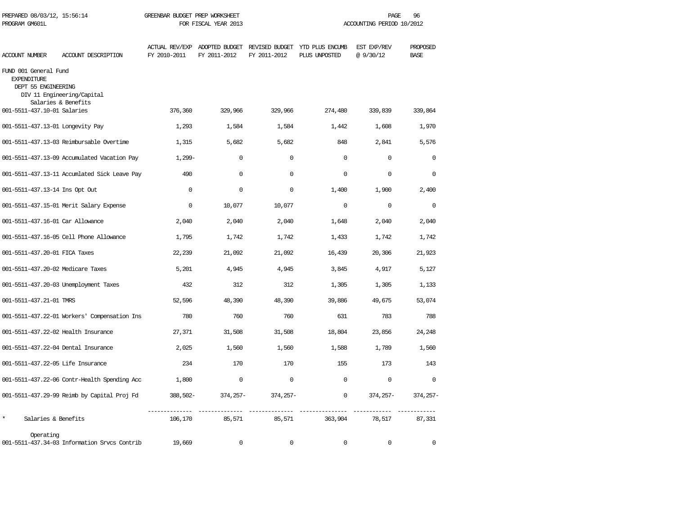| PREPARED 08/03/12, 15:56:14<br>PROGRAM GM601L                      |                                                   | GREENBAR BUDGET PREP WORKSHEET | FOR FISCAL YEAR 2013                      |              |                                                                               | PAGE<br>ACCOUNTING PERIOD 10/2012 | 96                      |
|--------------------------------------------------------------------|---------------------------------------------------|--------------------------------|-------------------------------------------|--------------|-------------------------------------------------------------------------------|-----------------------------------|-------------------------|
| <b>ACCOUNT NUMBER</b>                                              | ACCOUNT DESCRIPTION                               | FY 2010-2011                   | FY 2011-2012                              | FY 2011-2012 | ACTUAL REV/EXP ADOPTED BUDGET REVISED BUDGET YTD PLUS ENCUMB<br>PLUS UNPOSTED | EST EXP/REV<br>@9/30/12           | PROPOSED<br><b>BASE</b> |
| FUND 001 General Fund<br><b>EXPENDITURE</b><br>DEPT 55 ENGINEERING | DIV 11 Engineering/Capital<br>Salaries & Benefits |                                |                                           |              |                                                                               |                                   |                         |
| 001-5511-437.10-01 Salaries                                        |                                                   | 376,360                        | 329,966                                   | 329,966      | 274,480                                                                       | 339,839                           | 339,864                 |
| 001-5511-437.13-01 Longevity Pay                                   |                                                   | 1,293                          | 1,584                                     | 1,584        | 1,442                                                                         | 1,608                             | 1,970                   |
|                                                                    | 001-5511-437.13-03 Reimbursable Overtime          | 1,315                          | 5,682                                     | 5,682        | 848                                                                           | 2,841                             | 5,576                   |
|                                                                    | 001-5511-437.13-09 Accumulated Vacation Pay       | $1,299-$                       | $\Omega$                                  | $\Omega$     | $\Omega$                                                                      | $\Omega$                          | $\Omega$                |
|                                                                    | 001-5511-437.13-11 Accumlated Sick Leave Pay      | 490                            | $\mathbf 0$                               | $\mathbf 0$  | $\Omega$                                                                      | $\mathbf 0$                       | $\mathbf 0$             |
| 001-5511-437.13-14 Ins Opt Out                                     |                                                   | $\Omega$                       | $\Omega$                                  | $\mathbf 0$  | 1,400                                                                         | 1,900                             | 2,400                   |
|                                                                    | 001-5511-437.15-01 Merit Salary Expense           | $\mathbf{0}$                   | 10,077                                    | 10,077       | $\mathbf{0}$                                                                  | $\mathbf 0$                       | $\overline{0}$          |
| 001-5511-437.16-01 Car Allowance                                   |                                                   | 2,040                          | 2,040                                     | 2,040        | 1,648                                                                         | 2,040                             | 2,040                   |
|                                                                    | 001-5511-437.16-05 Cell Phone Allowance           | 1,795                          | 1,742                                     | 1,742        | 1,433                                                                         | 1,742                             | 1,742                   |
| 001-5511-437.20-01 FICA Taxes                                      |                                                   | 22,239                         | 21,092                                    | 21,092       | 16,439                                                                        | 20,306                            | 21,923                  |
| 001-5511-437.20-02 Medicare Taxes                                  |                                                   | 5,201                          | 4,945                                     | 4,945        | 3,845                                                                         | 4,917                             | 5,127                   |
|                                                                    | 001-5511-437.20-03 Unemployment Taxes             | 432                            | 312                                       | 312          | 1,305                                                                         | 1,305                             | 1,133                   |
| 001-5511-437.21-01 TMRS                                            |                                                   | 52,596                         | 48,390                                    | 48,390       | 39,886                                                                        | 49,675                            | 53,074                  |
|                                                                    | 001-5511-437.22-01 Workers' Compensation Ins      | 780                            | 760                                       | 760          | 631                                                                           | 783                               | 788                     |
| 001-5511-437.22-02 Health Insurance                                |                                                   | 27,371                         | 31,508                                    | 31,508       | 18,804                                                                        | 23,856                            | 24,248                  |
| 001-5511-437.22-04 Dental Insurance                                |                                                   | 2,025                          | 1,560                                     | 1,560        | 1,588                                                                         | 1,789                             | 1,560                   |
| 001-5511-437.22-05 Life Insurance                                  |                                                   | 234                            | 170                                       | 170          | 155                                                                           | 173                               | 143                     |
|                                                                    | 001-5511-437.22-06 Contr-Health Spending Acc      | 1,800                          | $\mathbf 0$                               | $\mathbf 0$  | $\mathbf{0}$                                                                  | $\mathbf 0$                       | $\mathbf 0$             |
|                                                                    | 001-5511-437.29-99 Reimb by Capital Proj Fd       | 388,502-                       | 374,257-                                  | 374,257-     | $\mathbf{0}$                                                                  | 374,257-                          | $374, 257 -$            |
| $\star$<br>Salaries & Benefits                                     |                                                   | 106,170                        | _______________________________<br>85,571 | 85,571       | 363,904                                                                       | 78,517                            | 87,331                  |
| Operating                                                          | 001-5511-437.34-03 Information Srvcs Contrib      | 19,669                         | $\Omega$                                  | $\Omega$     | $\Omega$                                                                      | $\Omega$                          | $\Omega$                |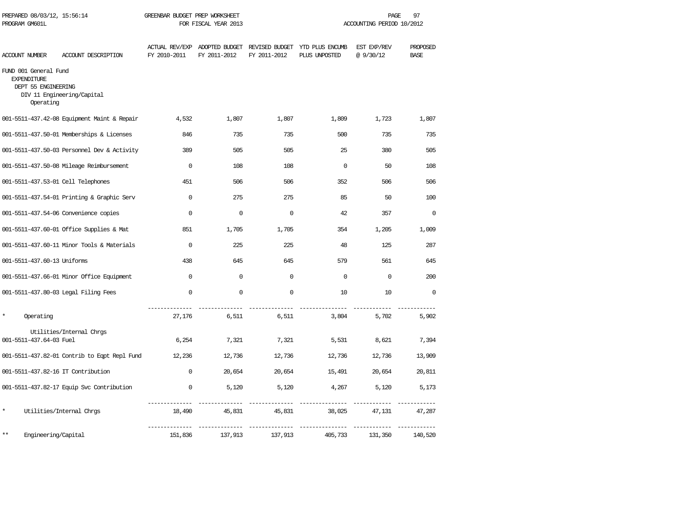| PREPARED 08/03/12, 15:56:14<br>PROGRAM GM601L                                   |                                              | GREENBAR BUDGET PREP WORKSHEET | FOR FISCAL YEAR 2013                          |              |                                                 | 97<br>PAGE<br>ACCOUNTING PERIOD 10/2012 |                         |  |
|---------------------------------------------------------------------------------|----------------------------------------------|--------------------------------|-----------------------------------------------|--------------|-------------------------------------------------|-----------------------------------------|-------------------------|--|
| ACCOUNT NUMBER                                                                  | ACCOUNT DESCRIPTION                          | FY 2010-2011                   | ACTUAL REV/EXP ADOPTED BUDGET<br>FY 2011-2012 | FY 2011-2012 | REVISED BUDGET YTD PLUS ENCUMB<br>PLUS UNPOSTED | EST EXP/REV<br>@ 9/30/12                | PROPOSED<br><b>BASE</b> |  |
| FUND 001 General Fund<br><b>EXPENDITURE</b><br>DEPT 55 ENGINEERING<br>Operating | DIV 11 Engineering/Capital                   |                                |                                               |              |                                                 |                                         |                         |  |
|                                                                                 | 001-5511-437.42-08 Equipment Maint & Repair  | 4,532                          | 1,807                                         | 1,807        | 1,809                                           | 1,723                                   | 1,807                   |  |
|                                                                                 | 001-5511-437.50-01 Memberships & Licenses    | 846                            | 735                                           | 735          | 500                                             | 735                                     | 735                     |  |
|                                                                                 | 001-5511-437.50-03 Personnel Dev & Activity  | 389                            | 505                                           | 505          | 25                                              | 380                                     | 505                     |  |
|                                                                                 | 001-5511-437.50-08 Mileage Reimbursement     | $\mathbf 0$                    | 108                                           | 108          | $\Omega$                                        | 50                                      | 108                     |  |
| 001-5511-437.53-01 Cell Telephones                                              |                                              | 451                            | 506                                           | 506          | 352                                             | 506                                     | 506                     |  |
|                                                                                 | 001-5511-437.54-01 Printing & Graphic Serv   | $\Omega$                       | 275                                           | 275          | 85                                              | 50                                      | 100                     |  |
|                                                                                 | 001-5511-437.54-06 Convenience copies        | $\mathbf 0$                    | $\mathbf 0$                                   | $\mathbf 0$  | 42                                              | 357                                     | $\Omega$                |  |
|                                                                                 | 001-5511-437.60-01 Office Supplies & Mat     | 851                            | 1,705                                         | 1,705        | 354                                             | 1,205                                   | 1,009                   |  |
|                                                                                 | 001-5511-437.60-11 Minor Tools & Materials   | $\mathbf 0$                    | 225                                           | 225          | 48                                              | 125                                     | 287                     |  |
| 001-5511-437.60-13 Uniforms                                                     |                                              | 438                            | 645                                           | 645          | 579                                             | 561                                     | 645                     |  |
|                                                                                 | 001-5511-437.66-01 Minor Office Equipment    | $\mathbf 0$                    | $\mathbf 0$                                   | $\mathbf 0$  | $\mathbf 0$                                     | $\mathbf 0$                             | 200                     |  |
|                                                                                 | 001-5511-437.80-03 Legal Filing Fees         | $\mathbf{0}$                   | $\mathbf 0$                                   | $\mathbf 0$  | 10                                              | 10                                      | $\Omega$                |  |
| Operating                                                                       |                                              | 27,176                         | 6,511                                         | 6,511        | 3,804                                           | 5,702                                   | 5,902                   |  |
| 001-5511-437.64-03 Fuel                                                         | Utilities/Internal Chrgs                     | 6,254                          | 7,321                                         | 7,321        | 5,531                                           | 8,621                                   | 7,394                   |  |
|                                                                                 | 001-5511-437.82-01 Contrib to Eqpt Repl Fund | 12,236                         | 12,736                                        | 12,736       | 12,736                                          | 12,736                                  | 13,909                  |  |
| 001-5511-437.82-16 IT Contribution                                              |                                              | $\mathbf 0$                    | 20,654                                        | 20,654       | 15,491                                          | 20,654                                  | 20,811                  |  |
|                                                                                 | 001-5511-437.82-17 Equip Svc Contribution    | 0                              | 5,120                                         | 5,120        | 4,267                                           | 5,120                                   | 5,173                   |  |
| $\star$                                                                         | Utilities/Internal Chrgs                     | 18,490                         | 45,831                                        | 45,831       | 38,025                                          | 47,131                                  | 47,287                  |  |
| $***$<br>Engineering/Capital                                                    |                                              | 151,836                        | 137,913                                       | 137,913      | 405,733                                         | 131,350                                 | 140,520                 |  |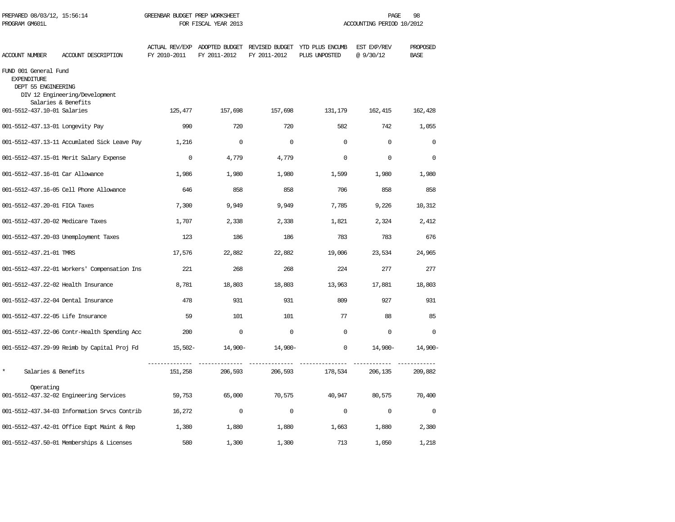| PREPARED 08/03/12, 15:56:14<br>PROGRAM GM601L                      |                                                       | GREENBAR BUDGET PREP WORKSHEET<br>FOR FISCAL YEAR 2013 |              |              | PAGE<br>98<br>ACCOUNTING PERIOD 10/2012                                       |                          |                         |
|--------------------------------------------------------------------|-------------------------------------------------------|--------------------------------------------------------|--------------|--------------|-------------------------------------------------------------------------------|--------------------------|-------------------------|
| ACCOUNT NUMBER                                                     | ACCOUNT DESCRIPTION                                   | FY 2010-2011                                           | FY 2011-2012 | FY 2011-2012 | ACTUAL REV/EXP ADOPTED BUDGET REVISED BUDGET YTD PLUS ENCUMB<br>PLUS UNPOSTED | EST EXP/REV<br>@ 9/30/12 | PROPOSED<br><b>BASE</b> |
| FUND 001 General Fund<br><b>EXPENDITURE</b><br>DEPT 55 ENGINEERING | DIV 12 Engineering/Development<br>Salaries & Benefits |                                                        |              |              |                                                                               |                          |                         |
| 001-5512-437.10-01 Salaries                                        |                                                       | 125,477                                                | 157,698      | 157,698      | 131,179                                                                       | 162,415                  | 162,428                 |
| 001-5512-437.13-01 Longevity Pay                                   |                                                       | 990                                                    | 720          | 720          | 582                                                                           | 742                      | 1,055                   |
|                                                                    | 001-5512-437.13-11 Accumlated Sick Leave Pay          | 1,216                                                  | $\mathbf 0$  | $\mathbf 0$  | $\mathbf 0$                                                                   | $\mathbf 0$              | $\mathbf 0$             |
|                                                                    | 001-5512-437.15-01 Merit Salary Expense               | $\mathbf 0$                                            | 4,779        | 4,779        | $\mathbf 0$                                                                   | $\mathbf 0$              | $\mathbf 0$             |
| 001-5512-437.16-01 Car Allowance                                   |                                                       | 1,986                                                  | 1,980        | 1,980        | 1,599                                                                         | 1,980                    | 1,980                   |
|                                                                    | 001-5512-437.16-05 Cell Phone Allowance               | 646                                                    | 858          | 858          | 706                                                                           | 858                      | 858                     |
| 001-5512-437.20-01 FICA Taxes                                      |                                                       | 7,300                                                  | 9,949        | 9,949        | 7,785                                                                         | 9,226                    | 10,312                  |
| 001-5512-437.20-02 Medicare Taxes                                  |                                                       | 1,707                                                  | 2,338        | 2,338        | 1,821                                                                         | 2,324                    | 2,412                   |
|                                                                    | 001-5512-437.20-03 Unemployment Taxes                 | 123                                                    | 186          | 186          | 783                                                                           | 783                      | 676                     |
| 001-5512-437.21-01 TMRS                                            |                                                       | 17,576                                                 | 22,882       | 22,882       | 19,006                                                                        | 23,534                   | 24,965                  |
|                                                                    | 001-5512-437.22-01 Workers' Compensation Ins          | 221                                                    | 268          | 268          | 224                                                                           | 277                      | 277                     |
| 001-5512-437.22-02 Health Insurance                                |                                                       | 8,781                                                  | 18,803       | 18,803       | 13,963                                                                        | 17,881                   | 18,803                  |
| 001-5512-437.22-04 Dental Insurance                                |                                                       | 478                                                    | 931          | 931          | 809                                                                           | 927                      | 931                     |
| 001-5512-437.22-05 Life Insurance                                  |                                                       | 59                                                     | 101          | 101          | 77                                                                            | 88                       | 85                      |
|                                                                    | 001-5512-437.22-06 Contr-Health Spending Acc          | 200                                                    | $\Omega$     | $\Omega$     | $\Omega$                                                                      | $\Omega$                 | $\Omega$                |
|                                                                    | 001-5512-437.29-99 Reimb by Capital Proj Fd           | 15,502–                                                | 14,900-      | $14,900-$    | $\mathbf 0$                                                                   | 14,900-                  | 14,900-                 |
| $\star$<br>Salaries & Benefits                                     |                                                       | 151,258                                                | 206,593      | 206,593      | 178,534                                                                       | 206,135                  | ------------<br>209,882 |
| Operating                                                          | 001-5512-437.32-02 Engineering Services               | 59,753                                                 | 65,000       | 70,575       | 40,947                                                                        | 80,575                   | 70,400                  |
|                                                                    | 001-5512-437.34-03 Information Srvcs Contrib          | 16,272                                                 | $\mathbf 0$  | $\mathbf 0$  | $\mathbf 0$                                                                   | $\mathbf 0$              | $\overline{0}$          |
|                                                                    | 001-5512-437.42-01 Office Eqpt Maint & Rep            | 1,380                                                  | 1,880        | 1,880        | 1,663                                                                         | 1,880                    | 2,380                   |
|                                                                    | 001-5512-437.50-01 Memberships & Licenses             | 580                                                    | 1,300        | 1,300        | 713                                                                           | 1,050                    | 1,218                   |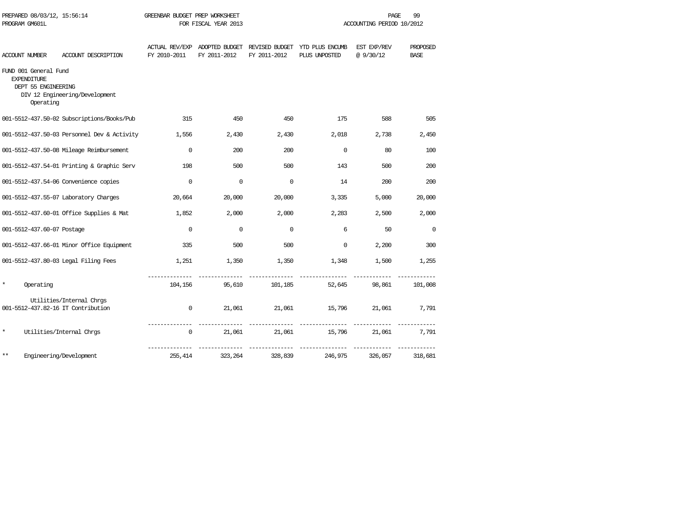| PROGRAM GM601L |                                                                                 |                                             |                               | FOR FISCAL YEAR 2013 |              |                                                                               | ACCOUNTING PERIOD 10/2012 |                         |
|----------------|---------------------------------------------------------------------------------|---------------------------------------------|-------------------------------|----------------------|--------------|-------------------------------------------------------------------------------|---------------------------|-------------------------|
| ACCOUNT NUMBER |                                                                                 | ACCOUNT DESCRIPTION                         | FY 2010-2011                  | FY 2011-2012         | FY 2011-2012 | ACTUAL REV/EXP ADOPTED BUDGET REVISED BUDGET YTD PLUS ENCUMB<br>PLUS UNPOSTED | EST EXP/REV<br>@9/30/12   | PROPOSED<br><b>BASE</b> |
|                | FUND 001 General Fund<br><b>EXPENDITURE</b><br>DEPT 55 ENGINEERING<br>Operating | DIV 12 Engineering/Development              |                               |                      |              |                                                                               |                           |                         |
|                |                                                                                 | 001-5512-437.50-02 Subscriptions/Books/Pub  | 315                           | 450                  | 450          | 175                                                                           | 588                       | 505                     |
|                |                                                                                 | 001-5512-437.50-03 Personnel Dev & Activity | 1,556                         | 2,430                | 2,430        | 2,018                                                                         | 2,738                     | 2,450                   |
|                |                                                                                 | 001-5512-437.50-08 Mileage Reimbursement    | $\mathbf 0$                   | 200                  | 200          | $\mathbf 0$                                                                   | 80                        | 100                     |
|                |                                                                                 | 001-5512-437.54-01 Printing & Graphic Serv  | 198                           | 500                  | 500          | 143                                                                           | 500                       | 200                     |
|                |                                                                                 | 001-5512-437.54-06 Convenience copies       | $\Omega$                      | $\mathbf 0$          | $\Omega$     | 14                                                                            | 200                       | 200                     |
|                |                                                                                 | 001-5512-437.55-07 Laboratory Charges       | 20,664                        | 20,000               | 20,000       | 3,335                                                                         | 5,000                     | 20,000                  |
|                |                                                                                 | 001-5512-437.60-01 Office Supplies & Mat    | 1,852                         | 2,000                | 2,000        | 2,283                                                                         | 2,500                     | 2,000                   |
|                | 001-5512-437.60-07 Postage                                                      |                                             | $\mathbf{0}$                  | $\Omega$             | $\Omega$     | 6                                                                             | 50                        | $\mathbf 0$             |
|                |                                                                                 | 001-5512-437.66-01 Minor Office Equipment   | 335                           | 500                  | 500          | $\mathbf 0$                                                                   | 2,200                     | 300                     |
|                |                                                                                 | 001-5512-437.80-03 Legal Filing Fees        | 1,251                         | 1,350                | 1,350        | 1,348                                                                         | 1,500                     | 1,255                   |
| $\star$        | Operating                                                                       |                                             |                               | 104,156<br>95,610    | 101,185      | ---------------<br>52,645                                                     | 98,861                    | 101,008                 |
|                |                                                                                 | Utilities/Internal Chrgs                    |                               |                      |              |                                                                               |                           |                         |
|                |                                                                                 | 001-5512-437.82-16 IT Contribution          | $\mathbf{0}$                  | 21,061               | 21,061       |                                                                               | 15,796 21,061             | 7,791                   |
| $^{\star}$     |                                                                                 | Utilities/Internal Chrgs                    | --------------<br>$\mathbf 0$ | 21,061               | 21,061       | 15,796                                                                        | 21,061                    | 7,791                   |
| $***$          |                                                                                 | Engineering/Development                     | 255,414                       | 323,264              | 328,839      | 246,975                                                                       | 326,057                   | 318,681                 |

PREPARED 08/03/12, 15:56:14 GREENBAR BUDGET PREP WORKSHEET **FREED ASSESSED ASSAULT** PAGE 99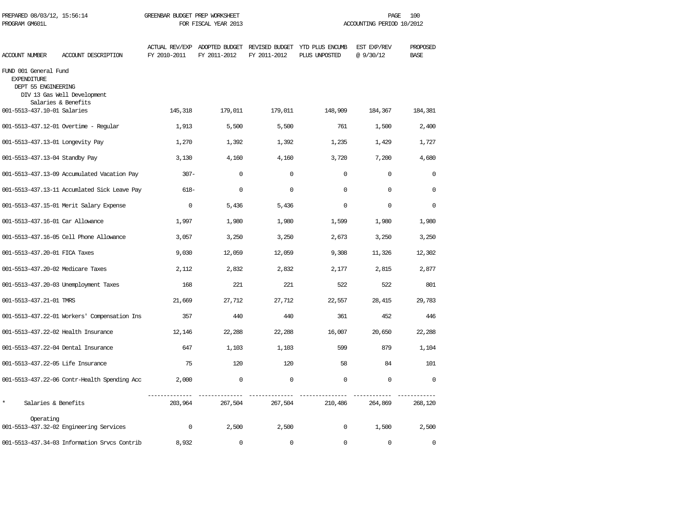| PREPARED 08/03/12, 15:56:14<br>PROGRAM GM601L                      |                                              | GREENBAR BUDGET PREP WORKSHEET<br>FOR FISCAL YEAR 2013 |                                               |              | 100<br>PAGE<br>ACCOUNTING PERIOD 10/2012        |                         |                         |  |
|--------------------------------------------------------------------|----------------------------------------------|--------------------------------------------------------|-----------------------------------------------|--------------|-------------------------------------------------|-------------------------|-------------------------|--|
| ACCOUNT NUMBER                                                     | ACCOUNT DESCRIPTION                          | FY 2010-2011                                           | ACTUAL REV/EXP ADOPTED BUDGET<br>FY 2011-2012 | FY 2011-2012 | REVISED BUDGET YTD PLUS ENCUMB<br>PLUS UNPOSTED | EST EXP/REV<br>@9/30/12 | PROPOSED<br><b>BASE</b> |  |
| FUND 001 General Fund<br><b>EXPENDITURE</b><br>DEPT 55 ENGINEERING | DIV 13 Gas Well Development                  |                                                        |                                               |              |                                                 |                         |                         |  |
| 001-5513-437.10-01 Salaries                                        | Salaries & Benefits                          | 145,318                                                | 179,011                                       | 179,011      | 148,909                                         | 184,367                 | 184,381                 |  |
|                                                                    | 001-5513-437.12-01 Overtime - Regular        | 1,913                                                  | 5,500                                         | 5,500        | 761                                             | 1,500                   | 2,400                   |  |
| 001-5513-437.13-01 Longevity Pay                                   |                                              | 1,270                                                  | 1,392                                         | 1,392        | 1,235                                           | 1,429                   | 1,727                   |  |
| 001-5513-437.13-04 Standby Pay                                     |                                              | 3,130                                                  | 4,160                                         | 4,160        | 3,720                                           | 7,200                   | 4,680                   |  |
|                                                                    | 001-5513-437.13-09 Accumulated Vacation Pay  | $307 -$                                                | $\mathbf 0$                                   | $\mathbf 0$  | $\mathbf 0$                                     | $\mathbf 0$             | $\mathbf 0$             |  |
|                                                                    | 001-5513-437.13-11 Accumlated Sick Leave Pay | $618-$                                                 | 0                                             | $\mathbf 0$  | $\mathbf 0$                                     | $\mathbf 0$             | $\mathbf 0$             |  |
|                                                                    | 001-5513-437.15-01 Merit Salary Expense      | $\mathbf 0$                                            | 5,436                                         | 5,436        | $\mathbf 0$                                     | $\mathbf 0$             | $\mathbf 0$             |  |
| 001-5513-437.16-01 Car Allowance                                   |                                              | 1,997                                                  | 1,980                                         | 1,980        | 1,599                                           | 1,980                   | 1,980                   |  |
|                                                                    | 001-5513-437.16-05 Cell Phone Allowance      | 3,057                                                  | 3,250                                         | 3,250        | 2,673                                           | 3,250                   | 3,250                   |  |
| 001-5513-437.20-01 FICA Taxes                                      |                                              | 9,030                                                  | 12,059                                        | 12,059       | 9,308                                           | 11,326                  | 12,302                  |  |
| 001-5513-437.20-02 Medicare Taxes                                  |                                              | 2,112                                                  | 2,832                                         | 2,832        | 2,177                                           | 2,815                   | 2,877                   |  |
|                                                                    | 001-5513-437.20-03 Unemployment Taxes        | 168                                                    | 221                                           | 221          | 522                                             | 522                     | 801                     |  |
| 001-5513-437.21-01 TMRS                                            |                                              | 21,669                                                 | 27,712                                        | 27,712       | 22,557                                          | 28,415                  | 29,783                  |  |
|                                                                    | 001-5513-437.22-01 Workers' Compensation Ins | 357                                                    | 440                                           | 440          | 361                                             | 452                     | 446                     |  |
| 001-5513-437.22-02 Health Insurance                                |                                              | 12,146                                                 | 22,288                                        | 22,288       | 16,007                                          | 20,650                  | 22,288                  |  |
| 001-5513-437.22-04 Dental Insurance                                |                                              | 647                                                    | 1,103                                         | 1,103        | 599                                             | 879                     | 1,104                   |  |
| 001-5513-437.22-05 Life Insurance                                  |                                              | 75                                                     | 120                                           | 120          | 58                                              | 84                      | 101                     |  |
|                                                                    | 001-5513-437.22-06 Contr-Health Spending Acc | 2,000                                                  | $\mathbf 0$                                   | $\mathbf 0$  | $\mathbf 0$                                     | $\mathbf 0$             | $\Omega$                |  |
| $\star$<br>Salaries & Benefits                                     |                                              | 203,964                                                | 267,504                                       | 267,504      | 210,486                                         | 264,869                 | 268,120                 |  |
| Operating                                                          | 001-5513-437.32-02 Engineering Services      | $\mathbf 0$                                            | 2,500                                         | 2,500        | $\mathbf 0$                                     | 1,500                   | 2,500                   |  |
|                                                                    | 001-5513-437.34-03 Information Srvcs Contrib | 8,932                                                  | $\Omega$                                      | $\Omega$     | $\Omega$                                        | $\Omega$                | $\Omega$                |  |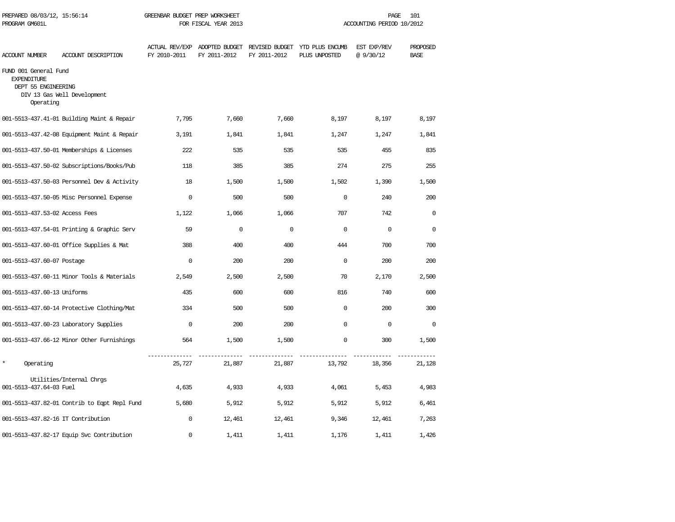| PREPARED 08/03/12, 15:56:14<br>PROGRAM GM601L                                   |                                              | GREENBAR BUDGET PREP WORKSHEET<br>FOR FISCAL YEAR 2013 |              |              | PAGE<br>101<br>ACCOUNTING PERIOD 10/2012                                      |                         |                         |  |
|---------------------------------------------------------------------------------|----------------------------------------------|--------------------------------------------------------|--------------|--------------|-------------------------------------------------------------------------------|-------------------------|-------------------------|--|
| ACCOUNT NUMBER                                                                  | ACCOUNT DESCRIPTION                          | FY 2010-2011                                           | FY 2011-2012 | FY 2011-2012 | ACTUAL REV/EXP ADOPTED BUDGET REVISED BUDGET YTD PLUS ENCUMB<br>PLUS UNPOSTED | EST EXP/REV<br>@9/30/12 | PROPOSED<br><b>BASE</b> |  |
| FUND 001 General Fund<br><b>EXPENDITURE</b><br>DEPT 55 ENGINEERING<br>Operating | DIV 13 Gas Well Development                  |                                                        |              |              |                                                                               |                         |                         |  |
|                                                                                 | 001-5513-437.41-01 Building Maint & Repair   | 7,795                                                  | 7,660        | 7,660        | 8,197                                                                         | 8,197                   | 8,197                   |  |
|                                                                                 | 001-5513-437.42-08 Equipment Maint & Repair  | 3,191                                                  | 1,841        | 1,841        | 1,247                                                                         | 1,247                   | 1,841                   |  |
|                                                                                 | 001-5513-437.50-01 Memberships & Licenses    | 222.2                                                  | 535          | 535          | 535                                                                           | 455                     | 835                     |  |
|                                                                                 | 001-5513-437.50-02 Subscriptions/Books/Pub   | 118                                                    | 385          | 385          | 274                                                                           | 275                     | 255                     |  |
|                                                                                 | 001-5513-437.50-03 Personnel Dev & Activity  | 18                                                     | 1,500        | 1,500        | 1,502                                                                         | 1,390                   | 1,500                   |  |
|                                                                                 | 001-5513-437.50-05 Misc Personnel Expense    | $\mathbf 0$                                            | 500          | 500          | $\mathbf 0$                                                                   | 240                     | 200                     |  |
| 001-5513-437.53-02 Access Fees                                                  |                                              | 1,122                                                  | 1,066        | 1,066        | 707                                                                           | 742                     | $\Omega$                |  |
|                                                                                 | 001-5513-437.54-01 Printing & Graphic Serv   | 59                                                     | $\Omega$     | $\mathbf 0$  | $\Omega$                                                                      | $\mathbf 0$             | $\mathbf 0$             |  |
|                                                                                 | 001-5513-437.60-01 Office Supplies & Mat     | 388                                                    | 400          | 400          | 444                                                                           | 700                     | 700                     |  |
| 001-5513-437.60-07 Postage                                                      |                                              | $\Omega$                                               | 200          | 200          | $\Omega$                                                                      | 200                     | 200                     |  |
|                                                                                 | 001-5513-437.60-11 Minor Tools & Materials   | 2,549                                                  | 2,500        | 2,500        | 70                                                                            | 2,170                   | 2,500                   |  |
| 001-5513-437.60-13 Uniforms                                                     |                                              | 435                                                    | 600          | 600          | 816                                                                           | 740                     | 600                     |  |
|                                                                                 | 001-5513-437.60-14 Protective Clothing/Mat   | 334                                                    | 500          | 500          | $\mathbf 0$                                                                   | 200                     | 300                     |  |
|                                                                                 | 001-5513-437.60-23 Laboratory Supplies       | $\Omega$                                               | 200          | 200          | $\Omega$                                                                      | $\mathbf 0$             | $\Omega$                |  |
|                                                                                 | 001-5513-437.66-12 Minor Other Furnishings   | 564                                                    | 1,500        | 1,500        | $\Omega$                                                                      | 300                     | 1,500                   |  |
| $\star$<br>Operating                                                            |                                              | -------------<br>25,727                                | 21,887       | 21,887       | 13,792                                                                        | 18,356                  | 21,128                  |  |
| 001-5513-437.64-03 Fuel                                                         | Utilities/Internal Chrgs                     | 4,635                                                  | 4,933        | 4,933        | 4,061                                                                         | 5,453                   | 4,983                   |  |
|                                                                                 | 001-5513-437.82-01 Contrib to Eqpt Repl Fund | 5,680                                                  | 5,912        | 5,912        | 5,912                                                                         | 5,912                   | 6,461                   |  |
| 001-5513-437.82-16 IT Contribution                                              |                                              | $\mathbf 0$                                            | 12,461       | 12,461       | 9,346                                                                         | 12,461                  | 7,263                   |  |
|                                                                                 | 001-5513-437.82-17 Equip Svc Contribution    | $\mathbf 0$                                            | 1,411        | 1,411        | 1,176                                                                         | 1,411                   | 1,426                   |  |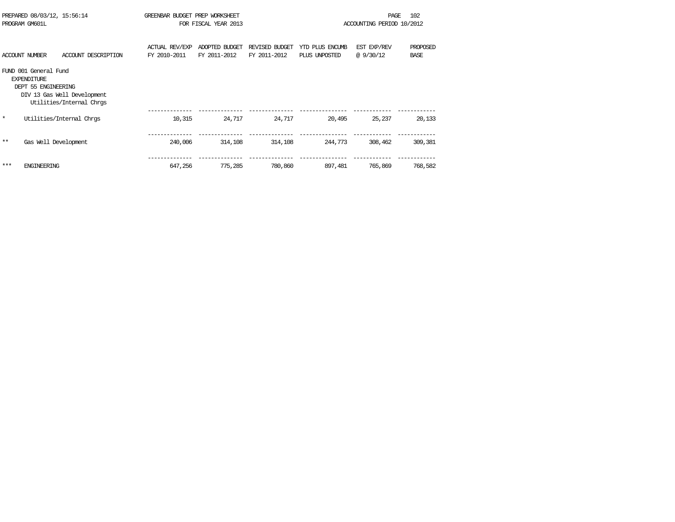| PREPARED 08/03/12, 15:56:14<br>PROGRAM GM601L |                                                                    | GREENBAR BUDGET PREP WORKSHEET<br>FOR FISCAL YEAR 2013  |                                       |                                |                                | 102<br>PAGE<br>ACCOUNTING PERIOD 10/2012 |                         |                         |
|-----------------------------------------------|--------------------------------------------------------------------|---------------------------------------------------------|---------------------------------------|--------------------------------|--------------------------------|------------------------------------------|-------------------------|-------------------------|
|                                               | <b>ACCOUNT NUMBER</b>                                              | ACCOUNT DESCRIPTION                                     | <b>ACTUAL REV/EXP</b><br>FY 2010-2011 | ADOPTED BUDGET<br>FY 2011-2012 | REVISED BUDGET<br>FY 2011-2012 | YTD PLUS ENCUMB<br>PLUS UNPOSTED         | EST EXP/REV<br>@9/30/12 | PROPOSED<br><b>BASE</b> |
|                                               | FUND 001 General Fund<br><b>EXPENDITURE</b><br>DEPT 55 ENGINEERING | DIV 13 Gas Well Development<br>Utilities/Internal Chros |                                       |                                |                                |                                          |                         |                         |
| $\star$                                       |                                                                    | Utilities/Internal Chrgs                                | 10,315                                | 24,717                         | 24,717                         | 20,495                                   | 25,237                  | 20,133                  |
| $**$                                          | Gas Well Development                                               |                                                         | 240,006                               | 314,108                        | 314,108                        | 244,773                                  | 308,462                 | 309,381                 |
| ***                                           | <b>ENGINEERING</b>                                                 |                                                         | 647,256                               | 775,285                        | 780,860                        | 897,481                                  | 765,869                 | 768,582                 |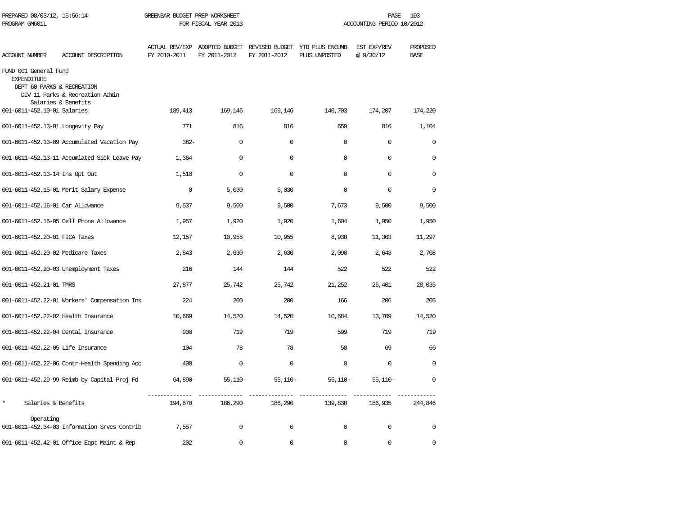| PREPARED 08/03/12, 15:56:14<br>PROGRAM GM601L                             |                                                        | GREENBAR BUDGET PREP WORKSHEET<br>FOR FISCAL YEAR 2013 |                                |                                | PAGE<br>103<br>ACCOUNTING PERIOD 10/2012 |                          |                         |  |
|---------------------------------------------------------------------------|--------------------------------------------------------|--------------------------------------------------------|--------------------------------|--------------------------------|------------------------------------------|--------------------------|-------------------------|--|
| <b>ACCOUNT NUMBER</b>                                                     | ACCOUNT DESCRIPTION                                    | <b>ACTUAL REV/EXP</b><br>FY 2010-2011                  | ADOPTED BUDGET<br>FY 2011-2012 | REVISED BUDGET<br>FY 2011-2012 | YTD PLUS ENCUMB<br>PLUS UNPOSTED         | EST EXP/REV<br>@ 9/30/12 | PROPOSED<br><b>BASE</b> |  |
| FUND 001 General Fund<br><b>EXPENDITURE</b><br>DEPT 60 PARKS & RECREATION | DIV 11 Parks & Recreation Admin<br>Salaries & Benefits |                                                        |                                |                                |                                          |                          |                         |  |
| 001-6011-452.10-01 Salaries                                               |                                                        | 189,413                                                | 169,146                        | 169,146                        | 140,703                                  | 174,207                  | 174,220                 |  |
| 001-6011-452.13-01 Longevity Pay                                          |                                                        | 771                                                    | 816                            | 816                            | 659                                      | 816                      | 1,104                   |  |
|                                                                           | 001-6011-452.13-09 Accumulated Vacation Pay            | $382-$                                                 | 0                              | $\mathbf 0$                    | $\mathbf 0$                              | $\mathbf 0$              | $\mathbf 0$             |  |
|                                                                           | 001-6011-452.13-11 Accumlated Sick Leave Pay           | 1,364                                                  | $\Omega$                       | $\Omega$                       | $\Omega$                                 | $\Omega$                 | $\Omega$                |  |
| 001-6011-452.13-14 Ins Opt Out                                            |                                                        | 1,510                                                  | $\mathbf 0$                    | $\mathbf 0$                    | $\Omega$                                 | $\mathbf 0$              | 0                       |  |
|                                                                           | 001-6011-452.15-01 Merit Salary Expense                | $\mathbf 0$                                            | 5,030                          | 5,030                          | $\Omega$                                 | $\Omega$                 | 0                       |  |
| 001-6011-452.16-01 Car Allowance                                          |                                                        | 9,537                                                  | 9,500                          | 9,500                          | 7,673                                    | 9,500                    | 9,500                   |  |
|                                                                           | 001-6011-452.16-05 Cell Phone Allowance                | 1,957                                                  | 1,920                          | 1,920                          | 1,604                                    | 1,950                    | 1,950                   |  |
| 001-6011-452.20-01 FICA Taxes                                             |                                                        | 12,157                                                 | 10,955                         | 10,955                         | 8,938                                    | 11,303                   | 11,297                  |  |
| 001-6011-452.20-02 Medicare Taxes                                         |                                                        | 2,843                                                  | 2,630                          | 2,630                          | 2,090                                    | 2,643                    | 2,708                   |  |
|                                                                           | 001-6011-452.20-03 Unemployment Taxes                  | 216                                                    | 144                            | 144                            | 522                                      | 522                      | 522                     |  |
| 001-6011-452.21-01 TMRS                                                   |                                                        | 27,877                                                 | 25,742                         | 25,742                         | 21,252                                   | 26,401                   | 28,035                  |  |
|                                                                           | 001-6011-452.22-01 Workers' Compensation Ins           | 224                                                    | 200                            | 200                            | 166                                      | 206                      | 205                     |  |
| 001-6011-452.22-02 Health Insurance                                       |                                                        | 10,669                                                 | 14,520                         | 14,520                         | 10,684                                   | 13,709                   | 14,520                  |  |
| 001-6011-452.22-04 Dental Insurance                                       |                                                        | 900                                                    | 719                            | 719                            | 599                                      | 719                      | 719                     |  |
| 001-6011-452.22-05 Life Insurance                                         |                                                        | 104                                                    | 78                             | 78                             | 58                                       | 69                       | 66                      |  |
|                                                                           | 001-6011-452.22-06 Contr-Health Spending Acc           | 400                                                    | $\mathbf 0$                    | $\mathbf 0$                    | $\mathbf 0$                              | $\mathbf 0$              | $\mathbf 0$             |  |
|                                                                           | 001-6011-452.29-99 Reimb by Capital Proj Fd            | 64,890-                                                | $55,110-$                      | $55,110-$                      | $55,110-$                                | $55,110-$                | $\mathbf 0$             |  |
| $\star$<br>Salaries & Benefits                                            |                                                        | 194,670                                                | 186,290                        | 186,290                        | 139,838                                  | 186,935                  | 244,846                 |  |
| Operating                                                                 | 001-6011-452.34-03 Information Srvcs Contrib           | 7,557                                                  | $\Omega$                       | $\Omega$                       | $\Omega$                                 | $\mathbf 0$              | 0                       |  |
|                                                                           | 001-6011-452.42-01 Office Eqpt Maint & Rep             | 202                                                    | $\Omega$                       | $\Omega$                       | $\Omega$                                 | $\Omega$                 | $\Omega$                |  |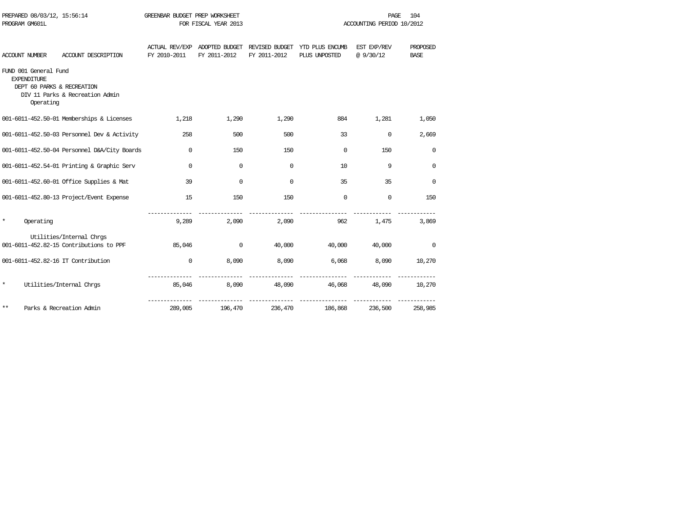| PROGRAM GM601L                              |           |                                                                     | FOR FISCAL YEAR 2013 |                                               |                                | ACCOUNTING PERIOD 10/2012        |                          |                         |  |
|---------------------------------------------|-----------|---------------------------------------------------------------------|----------------------|-----------------------------------------------|--------------------------------|----------------------------------|--------------------------|-------------------------|--|
| ACCOUNT NUMBER                              |           | ACCOUNT DESCRIPTION                                                 | FY 2010-2011         | ACTUAL REV/EXP ADOPTED BUDGET<br>FY 2011-2012 | REVISED BUDGET<br>FY 2011-2012 | YTD PLUS ENCUMB<br>PLUS UNPOSTED | EST EXP/REV<br>@ 9/30/12 | PROPOSED<br><b>BASE</b> |  |
| FUND 001 General Fund<br><b>EXPENDITURE</b> | Operating | DEPT 60 PARKS & RECREATION<br>DIV 11 Parks & Recreation Admin       |                      |                                               |                                |                                  |                          |                         |  |
|                                             |           | 001-6011-452.50-01 Memberships & Licenses                           | 1,218                | 1,290                                         | 1,290                          | 884                              | 1,281                    | 1,050                   |  |
|                                             |           | 001-6011-452.50-03 Personnel Dev & Activity                         | 258                  | 500                                           | 500                            | 33                               | $\Omega$                 | 2,669                   |  |
|                                             |           | 001-6011-452.50-04 Personnel D&A/City Boards                        | $\Omega$             | 150                                           | 150                            | $\Omega$                         | 150                      | $\Omega$                |  |
|                                             |           | 001-6011-452.54-01 Printing & Graphic Serv                          | $\Omega$             | $\Omega$                                      | $\Omega$                       | 10                               | 9                        | $\Omega$                |  |
|                                             |           | 001-6011-452.60-01 Office Supplies & Mat                            | 39                   | $\Omega$                                      | $\Omega$                       | 35                               | 35                       | $\Omega$                |  |
|                                             |           | 001-6011-452.80-13 Project/Event Expense                            | 15                   | 150                                           | 150                            | $\Omega$                         | $\Omega$                 | 150                     |  |
| $^\star$                                    | Operating |                                                                     | 9,289                | 2,090                                         | 2,090                          | 962                              | 1,475                    | 3,869                   |  |
|                                             |           | Utilities/Internal Chrgs<br>001-6011-452.82-15 Contributions to PPF | 85,046               | $\Omega$                                      | 40,000                         | 40,000                           | 40,000                   | $\mathbf 0$             |  |
|                                             |           | 001-6011-452.82-16 IT Contribution                                  | $\Omega$             | 8,090                                         | 8,090                          | 6,068                            | 8,090                    | 10,270                  |  |
| $^{\star}$                                  |           | Utilities/Internal Chros                                            | 85,046               | 8,090                                         | 48,090                         | 46,068                           | 48,090                   | 10,270                  |  |
| $***$                                       |           | Parks & Recreation Admin                                            | 289,005              | 196,470                                       | 236,470                        | 186,868                          | 236,500                  | 258,985                 |  |

PREPARED 08/03/12, 15:56:14 GREENBAR BUDGET PREP WORKSHEET **FREED AGE 104** PAGE 104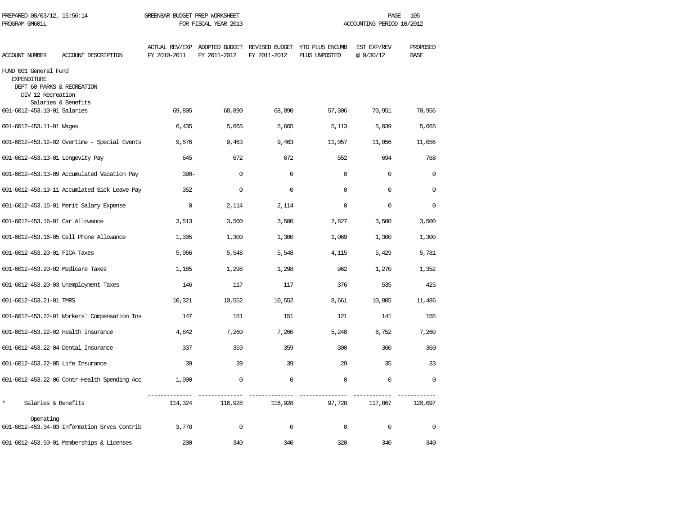| PREPARED 08/03/12, 15:56:14<br>PROGRAM GM601L                                                  |                                              | GREENBAR BUDGET PREP WORKSHEET<br>FOR FISCAL YEAR 2013 |              |              | 105<br>PAGE<br>ACCOUNTING PERIOD 10/2012                                      |                         |                         |  |
|------------------------------------------------------------------------------------------------|----------------------------------------------|--------------------------------------------------------|--------------|--------------|-------------------------------------------------------------------------------|-------------------------|-------------------------|--|
| ACCOUNT NUMBER                                                                                 | ACCOUNT DESCRIPTION                          | FY 2010-2011                                           | FY 2011-2012 | FY 2011-2012 | ACTUAL REV/EXP ADOPTED BUDGET REVISED BUDGET YTD PLUS ENCUMB<br>PLUS UNPOSTED | EST EXP/REV<br>@9/30/12 | PROPOSED<br><b>BASE</b> |  |
| FUND 001 General Fund<br><b>EXPENDITURE</b><br>DEPT 60 PARKS & RECREATION<br>DIV 12 Recreation |                                              |                                                        |              |              |                                                                               |                         |                         |  |
| 001-6012-453.10-01 Salaries                                                                    | Salaries & Benefits                          | 69,805                                                 | 68,890       | 68,890       | 57,306                                                                        | 70,951                  | 70,956                  |  |
| 001-6012-453.11-01 Wages                                                                       |                                              | 6,435                                                  | 5,665        | 5,665        | 5,113                                                                         | 5,039                   | 5,665                   |  |
|                                                                                                | 001-6012-453.12-02 Overtime - Special Events | 9,576                                                  | 9,463        | 9,463        | 11,057                                                                        | 11,056                  | 11,056                  |  |
| 001-6012-453.13-01 Longevity Pay                                                               |                                              | 645                                                    | 672          | 672          | 552                                                                           | 694                     | 768                     |  |
|                                                                                                | 001-6012-453.13-09 Accumulated Vacation Pay  | $390 -$                                                | $\mathbf 0$  | $\mathbf 0$  | $\Omega$                                                                      | $\Omega$                | $\Omega$                |  |
|                                                                                                | 001-6012-453.13-11 Accumlated Sick Leave Pay | 352                                                    | $\mathbf 0$  | $\mathbf 0$  | $\Omega$                                                                      | $\mathbf 0$             | $\Omega$                |  |
|                                                                                                | 001-6012-453.15-01 Merit Salary Expense      | $\mathbf 0$                                            | 2,114        | 2,114        | $\mathbf 0$                                                                   | $\mathbf 0$             | $\mathbf 0$             |  |
| 001-6012-453.16-01 Car Allowance                                                               |                                              | 3,513                                                  | 3,500        | 3,500        | 2,827                                                                         | 3,500                   | 3,500                   |  |
|                                                                                                | 001-6012-453.16-05 Cell Phone Allowance      | 1,305                                                  | 1,300        | 1,300        | 1,069                                                                         | 1,300                   | 1,300                   |  |
| 001-6012-453.20-01 FICA Taxes                                                                  |                                              | 5,066                                                  | 5,548        | 5,548        | 4,115                                                                         | 5,429                   | 5,781                   |  |
| 001-6012-453.20-02 Medicare Taxes                                                              |                                              | 1,185                                                  | 1,298        | 1,298        | 962                                                                           | 1,270                   | 1,352                   |  |
|                                                                                                | 001-6012-453.20-03 Unemployment Taxes        | 146                                                    | 117          | 117          | 376                                                                           | 535                     | 425                     |  |
| 001-6012-453.21-01 TMRS                                                                        |                                              | 10,321                                                 | 10,552       | 10,552       | 8,661                                                                         | 10,805                  | 11,486                  |  |
|                                                                                                | 001-6012-453.22-01 Workers' Compensation Ins | 147                                                    | 151          | 151          | 121                                                                           | 141                     | 155                     |  |
| 001-6012-453.22-02 Health Insurance                                                            |                                              | 4,842                                                  | 7,260        | 7,260        | 5,240                                                                         | 6,752                   | 7,260                   |  |
| 001-6012-453.22-04 Dental Insurance                                                            |                                              | 337                                                    | 359          | 359          | 300                                                                           | 360                     | 360                     |  |
| 001-6012-453.22-05 Life Insurance                                                              |                                              | 39                                                     | 39           | 39           | 29                                                                            | 35                      | 33                      |  |
|                                                                                                | 001-6012-453.22-06 Contr-Health Spending Acc | 1,000                                                  | $\mathbf{0}$ | $\mathbf 0$  | $\Omega$                                                                      | $\mathbf 0$             | $\Omega$                |  |
| $\star$<br>Salaries & Benefits                                                                 |                                              | 114,324                                                | 116,928      | 116,928      | 97,728                                                                        | 117,867                 | 120,097                 |  |
| Operating                                                                                      | 001-6012-453.34-03 Information Srvcs Contrib | 3,778                                                  | $\mathbf 0$  | $\mathbf 0$  | $\Omega$                                                                      | $\mathbf 0$             | $\mathbf 0$             |  |
|                                                                                                | 001-6012-453.50-01 Memberships & Licenses    | 200                                                    | 340          | 340          | 320                                                                           | 340                     | 340                     |  |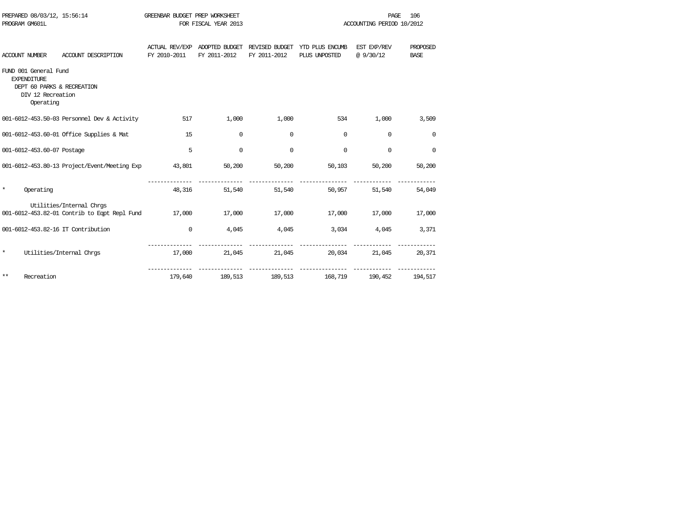| PROGRAM GM601L | PREPARED 08/03/12, 15:56:14                                                   |                                                                                 | GREENBAR BUDGET PREP WORKSHEET | FOR FISCAL YEAR 2013   |               |                                                                               | PAGE<br>ACCOUNTING PERIOD 10/2012 | 106                     |
|----------------|-------------------------------------------------------------------------------|---------------------------------------------------------------------------------|--------------------------------|------------------------|---------------|-------------------------------------------------------------------------------|-----------------------------------|-------------------------|
|                | ACCOUNT NUMBER                                                                | ACCOUNT DESCRIPTION                                                             | FY 2010-2011                   | FY 2011-2012           | FY 2011-2012  | ACTUAL REV/EXP ADOPTED BUDGET REVISED BUDGET YTD PLUS ENCUMB<br>PLUS UNPOSTED | EST EXP/REV<br>@9/30/12           | PROPOSED<br><b>BASE</b> |
|                | FUND 001 General Fund<br><b>EXPENDITURE</b><br>DIV 12 Recreation<br>Operating | DEPT 60 PARKS & RECREATION                                                      |                                |                        |               |                                                                               |                                   |                         |
|                |                                                                               | 001-6012-453.50-03 Personnel Dev & Activity                                     | 517                            | 1,000                  | 1,000         |                                                                               | 534<br>1,000                      | 3,509                   |
|                |                                                                               | 001-6012-453.60-01 Office Supplies & Mat                                        | 15                             | $\mathbf 0$            | 0             | $\Omega$                                                                      | $\Omega$                          | $\mathbf 0$             |
|                | 001-6012-453.60-07 Postage                                                    |                                                                                 | 5                              | $\Omega$               | $\mathbf 0$   | $\mathbf 0$                                                                   | $\Omega$                          | $\overline{0}$          |
|                |                                                                               | 001-6012-453.80-13 Project/Event/Meeting Exp 43,801                             |                                |                        | 50,200 50,200 | 50,103                                                                        | 50,200                            | 50,200                  |
| $\star$        | Operating                                                                     |                                                                                 |                                | ------------<br>48,316 | 51,540        | ---------------<br>51,540<br>50,957                                           | 51,540                            | 54,049                  |
|                |                                                                               | Utilities/Internal Chros<br>001-6012-453.82-01 Contrib to Eqpt Repl Fund 17,000 |                                |                        | 17,000 17,000 | 17,000                                                                        | 17,000                            | 17,000                  |
|                |                                                                               | 001-6012-453.82-16 IT Contribution                                              | $\mathbf 0$                    |                        |               | $4,045$ $4,045$ $3,034$ $4,045$                                               |                                   | 3,371                   |
| $\star$        |                                                                               | Utilities/Internal Chros                                                        |                                |                        |               | ---------------<br>17,000 21,045 21,045 20,034 21,045 20,371                  |                                   |                         |
| $***$          | Recreation                                                                    |                                                                                 | 179,640                        |                        |               | ----------------------------------<br>189,513 189,513 168,719 190,452         |                                   | 194,517                 |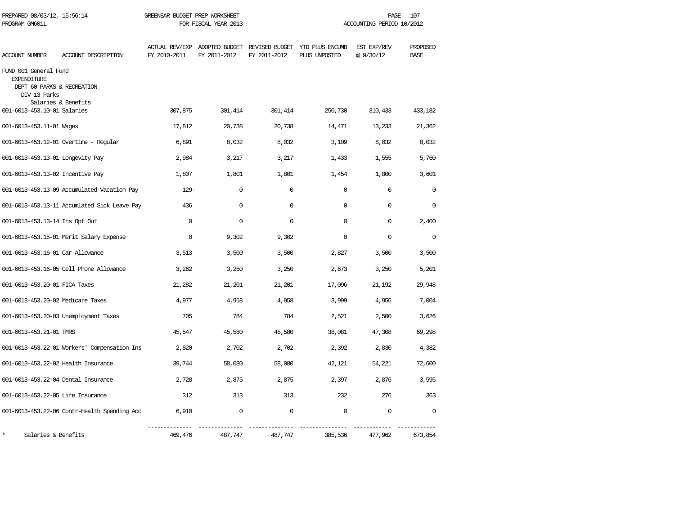| PREPARED 08/03/12, 15:56:14<br>PROGRAM GM601L                                             |                                              | GREENBAR BUDGET PREP WORKSHEET<br>FOR FISCAL YEAR 2013 |                                               |              | PAGE<br>107<br>ACCOUNTING PERIOD 10/2012 |                         |                         |  |
|-------------------------------------------------------------------------------------------|----------------------------------------------|--------------------------------------------------------|-----------------------------------------------|--------------|------------------------------------------|-------------------------|-------------------------|--|
| ACCOUNT NUMBER                                                                            | ACCOUNT DESCRIPTION                          | <b>ACTUAL REV/EXP</b><br>FY 2010-2011                  | ADOPTED BUDGET REVISED BUDGET<br>FY 2011-2012 | FY 2011-2012 | YTD PLUS ENCUMB<br>PLUS UNPOSTED         | EST EXP/REV<br>@9/30/12 | PROPOSED<br><b>BASE</b> |  |
| FUND 001 General Fund<br><b>EXPENDITURE</b><br>DEPT 60 PARKS & RECREATION<br>DIV 13 Parks | Salaries & Benefits                          |                                                        |                                               |              |                                          |                         |                         |  |
| 001-6013-453.10-01 Salaries                                                               |                                              | 307,875                                                | 301,414                                       | 301,414      | 250,730                                  | 310,433                 | 433,182                 |  |
| 001-6013-453.11-01 Wages                                                                  |                                              | 17,812                                                 | 20,738                                        | 20,738       | 14,471                                   | 13,233                  | 21,362                  |  |
|                                                                                           | 001-6013-453.12-01 Overtime - Regular        | 6,891                                                  | 8,032                                         | 8,032        | 3,109                                    | 8,032                   | 8,032                   |  |
| 001-6013-453.13-01 Longevity Pay                                                          |                                              | 2,984                                                  | 3,217                                         | 3,217        | 1,433                                    | 1,555                   | 5,760                   |  |
| 001-6013-453.13-02 Incentive Pay                                                          |                                              | 1,807                                                  | 1,801                                         | 1,801        | 1,454                                    | 1,800                   | 3,601                   |  |
|                                                                                           | 001-6013-453.13-09 Accumulated Vacation Pay  | $129 -$                                                | $\mathbf 0$                                   | $\mathbf 0$  | $\mathbf 0$                              | $\mathbf 0$             | $\mathbf 0$             |  |
|                                                                                           | 001-6013-453.13-11 Accumlated Sick Leave Pay | 436                                                    | $\mathbf 0$                                   | $\mathbf 0$  | $\Omega$                                 | $\Omega$                | 0                       |  |
| 001-6013-453.13-14 Ins Opt Out                                                            |                                              | $\Omega$                                               | $\Omega$                                      | $\Omega$     | $\Omega$                                 | $\Omega$                | 2,400                   |  |
|                                                                                           | 001-6013-453.15-01 Merit Salary Expense      | $\Omega$                                               | 9,302                                         | 9,302        | $\Omega$                                 | $\Omega$                | $\Omega$                |  |
| 001-6013-453.16-01 Car Allowance                                                          |                                              | 3,513                                                  | 3,500                                         | 3,500        | 2,827                                    | 3,500                   | 3,500                   |  |
|                                                                                           | 001-6013-453.16-05 Cell Phone Allowance      | 3,262                                                  | 3,250                                         | 3,250        | 2,673                                    | 3,250                   | 5,201                   |  |
| 001-6013-453.20-01 FICA Taxes                                                             |                                              | 21,282                                                 | 21,201                                        | 21,201       | 17,096                                   | 21,192                  | 29,948                  |  |
| 001-6013-453.20-02 Medicare Taxes                                                         |                                              | 4,977                                                  | 4,958                                         | 4,958        | 3,999                                    | 4,956                   | 7,004                   |  |
|                                                                                           | 001-6013-453.20-03 Unemployment Taxes        | 705                                                    | 784                                           | 784          | 2,521                                    | 2,500                   | 3,626                   |  |
| 001-6013-453.21-01 TMRS                                                                   |                                              | 45,547                                                 | 45,580                                        | 45,580       | 38,081                                   | 47,308                  | 69,298                  |  |
|                                                                                           | 001-6013-453.22-01 Workers' Compensation Ins | 2,820                                                  | 2,702                                         | 2,702        | 2,392                                    | 2,830                   | 4,382                   |  |
| 001-6013-453.22-02 Health Insurance                                                       |                                              | 39,744                                                 | 58,080                                        | 58,080       | 42,121                                   | 54,221                  | 72,600                  |  |
| 001-6013-453.22-04 Dental Insurance                                                       |                                              | 2,728                                                  | 2,875                                         | 2,875        | 2,397                                    | 2,876                   | 3,595                   |  |
| 001-6013-453.22-05 Life Insurance                                                         |                                              | 312                                                    | 313                                           | 313          | 232                                      | 276                     | 363                     |  |
|                                                                                           | 001-6013-453.22-06 Contr-Health Spending Acc | 6,910                                                  | $\mathbf 0$                                   | $\mathbf 0$  | $\mathbf 0$                              | $\mathbf 0$             | $\Omega$                |  |
| Salaries & Benefits                                                                       |                                              | 469,476                                                | 487,747                                       | 487,747      | 385,536                                  | 477,962                 | 673,854                 |  |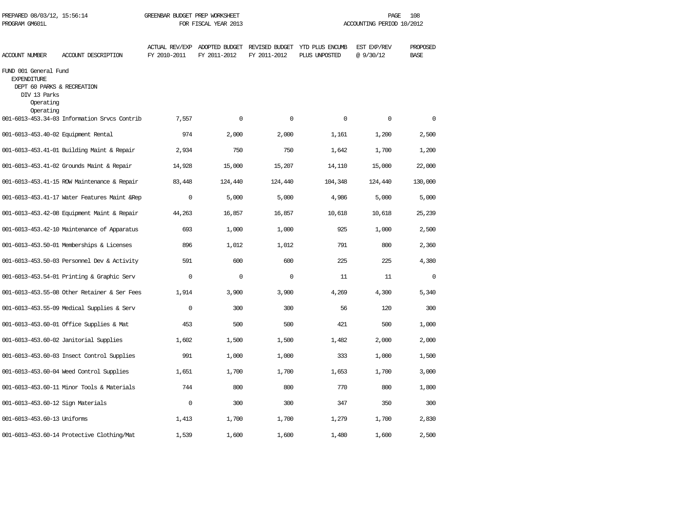| PROGRAM GM601L                                                                                                      |                                               | FOR FISCAL YEAR 2013                  |                                |                                | ACCOUNTING PERIOD 10/2012        |                         |                         |  |
|---------------------------------------------------------------------------------------------------------------------|-----------------------------------------------|---------------------------------------|--------------------------------|--------------------------------|----------------------------------|-------------------------|-------------------------|--|
| <b>ACCOUNT NUMBER</b>                                                                                               | ACCOUNT DESCRIPTION                           | <b>ACTUAL REV/EXP</b><br>FY 2010-2011 | ADOPTED BUDGET<br>FY 2011-2012 | REVISED BUDGET<br>FY 2011-2012 | YTD PLUS ENCUMB<br>PLUS UNPOSTED | EST EXP/REV<br>@9/30/12 | PROPOSED<br><b>BASE</b> |  |
| FUND 001 General Fund<br><b>EXPENDITURE</b><br>DEPT 60 PARKS & RECREATION<br>DIV 13 Parks<br>Operating<br>Operating |                                               |                                       |                                |                                |                                  |                         |                         |  |
|                                                                                                                     | 001-6013-453.34-03 Information Srvcs Contrib  | 7,557                                 | $\Omega$                       | $\Omega$                       | $\Omega$                         | $\mathbf 0$             | $\Omega$                |  |
| 001-6013-453.40-02 Equipment Rental                                                                                 |                                               | 974                                   | 2,000                          | 2,000                          | 1,161                            | 1,200                   | 2,500                   |  |
|                                                                                                                     | 001-6013-453.41-01 Building Maint & Repair    | 2,934                                 | 750                            | 750                            | 1,642                            | 1,700                   | 1,200                   |  |
|                                                                                                                     | 001-6013-453.41-02 Grounds Maint & Repair     | 14,928                                | 15,000                         | 15,207                         | 14,110                           | 15,000                  | 22,000                  |  |
|                                                                                                                     | 001-6013-453.41-15 ROW Maintenance & Repair   | 83,448                                | 124,440                        | 124,440                        | 104,348                          | 124,440                 | 130,000                 |  |
|                                                                                                                     | 001-6013-453.41-17 Water Features Maint & Rep | $\Omega$                              | 5,000                          | 5,000                          | 4,986                            | 5,000                   | 5,000                   |  |
|                                                                                                                     | 001-6013-453.42-08 Equipment Maint & Repair   | 44,263                                | 16,857                         | 16,857                         | 10,618                           | 10,618                  | 25,239                  |  |
|                                                                                                                     | 001-6013-453.42-10 Maintenance of Apparatus   | 693                                   | 1,000                          | 1,000                          | 925                              | 1,000                   | 2,500                   |  |
|                                                                                                                     | 001-6013-453.50-01 Memberships & Licenses     | 896                                   | 1,012                          | 1,012                          | 791                              | 800                     | 2,360                   |  |
|                                                                                                                     | 001-6013-453.50-03 Personnel Dev & Activity   | 591                                   | 600                            | 600                            | 225                              | 225                     | 4,380                   |  |
|                                                                                                                     | 001-6013-453.54-01 Printing & Graphic Serv    | $\Omega$                              | $\Omega$                       | $\Omega$                       | 11                               | 11                      | $\Omega$                |  |
|                                                                                                                     | 001-6013-453.55-08 Other Retainer & Ser Fees  | 1,914                                 | 3,900                          | 3,900                          | 4,269                            | 4,300                   | 5,340                   |  |
|                                                                                                                     | 001-6013-453.55-09 Medical Supplies & Serv    | $\Omega$                              | 300                            | 300                            | 56                               | 120                     | 300                     |  |
|                                                                                                                     | 001-6013-453.60-01 Office Supplies & Mat      | 453                                   | 500                            | 500                            | 421                              | 500                     | 1,000                   |  |
|                                                                                                                     | 001-6013-453.60-02 Janitorial Supplies        | 1,602                                 | 1,500                          | 1,500                          | 1,482                            | 2,000                   | 2,000                   |  |
|                                                                                                                     | 001-6013-453.60-03 Insect Control Supplies    | 991                                   | 1,000                          | 1,000                          | 333                              | 1,000                   | 1,500                   |  |
|                                                                                                                     | 001-6013-453.60-04 Weed Control Supplies      | 1,651                                 | 1,700                          | 1,700                          | 1,653                            | 1,700                   | 3,000                   |  |
|                                                                                                                     | 001-6013-453.60-11 Minor Tools & Materials    | 744                                   | 800                            | 800                            | 770                              | 800                     | 1,800                   |  |
| 001-6013-453.60-12 Sign Materials                                                                                   |                                               | $\Omega$                              | 300                            | 300                            | 347                              | 350                     | 300                     |  |
| 001-6013-453.60-13 Uniforms                                                                                         |                                               | 1,413                                 | 1,700                          | 1,700                          | 1,279                            | 1,700                   | 2,830                   |  |
|                                                                                                                     | 001-6013-453.60-14 Protective Clothing/Mat    | 1,539                                 | 1,600                          | 1,600                          | 1,480                            | 1,600                   | 2,500                   |  |

PREPARED 08/03/12, 15:56:14 GREENBAR BUDGET PREP WORKSHEET **FREED AGE 108** PAGE 108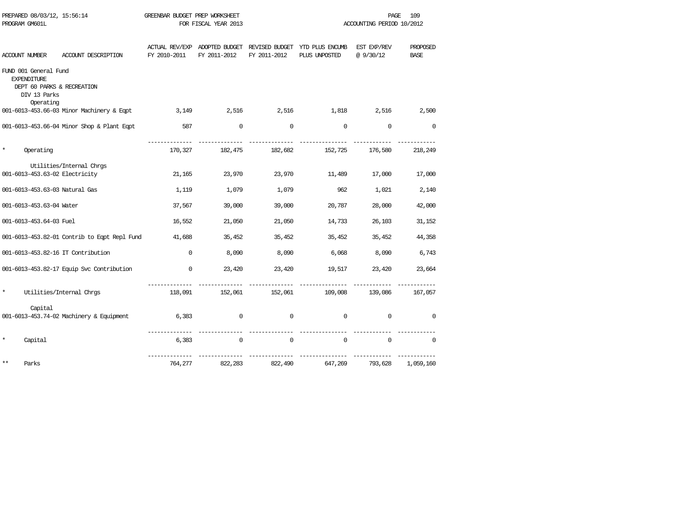| PREPARED 08/03/12, 15:56:14                                | GREENBAR BUDGET PREP WORKSHEET |                      | 109<br>PAGE  |                                                              |                           |             |  |
|------------------------------------------------------------|--------------------------------|----------------------|--------------|--------------------------------------------------------------|---------------------------|-------------|--|
| PROGRAM GM601L                                             |                                | FOR FISCAL YEAR 2013 |              |                                                              | ACCOUNTING PERIOD 10/2012 |             |  |
|                                                            |                                |                      |              |                                                              |                           |             |  |
|                                                            |                                |                      |              | ACTUAL REV/EXP ADOPTED BUDGET REVISED BUDGET YTD PLUS ENCUMB | EST EXP/REV               | PROPOSED    |  |
| ACCOUNT DESCRIPTION<br><b>ACCOUNT NUMBER</b>               | FY 2010-2011                   | FY 2011-2012         | FY 2011-2012 | PLUS UNPOSTED                                                | @9/30/12                  | <b>BASE</b> |  |
| FUND 001 General Fund                                      |                                |                      |              |                                                              |                           |             |  |
| <b>EXPENDITURE</b>                                         |                                |                      |              |                                                              |                           |             |  |
| DEPT 60 PARKS & RECREATION                                 |                                |                      |              |                                                              |                           |             |  |
| DIV 13 Parks                                               |                                |                      |              |                                                              |                           |             |  |
| Operating                                                  |                                |                      |              |                                                              |                           |             |  |
| 001-6013-453.66-03 Minor Machinery & Eqpt                  | 3,149                          | 2,516                | 2,516        | 1,818                                                        | 2,516                     | 2,500       |  |
| 001-6013-453.66-04 Minor Shop & Plant Eqpt                 | 587                            | $\mathbf 0$          | $\mathbf 0$  | $\mathbf 0$                                                  | $\mathbf 0$               | $\mathbf 0$ |  |
| $\star$<br>Operating                                       | 170,327                        | 182,475              | 182,682      | 152,725                                                      | 176,580                   | 218,249     |  |
|                                                            |                                |                      |              |                                                              |                           |             |  |
| Utilities/Internal Chrgs<br>001-6013-453.63-02 Electricity | 21,165                         | 23,970               | 23,970       | 11,489                                                       | 17,000                    | 17,000      |  |
|                                                            |                                |                      |              |                                                              |                           |             |  |
| 001-6013-453.63-03 Natural Gas                             | 1,119                          | 1,079                | 1,079        | 962                                                          | 1,021                     | 2,140       |  |
| 001-6013-453.63-04 Water                                   | 37,567                         | 39,000               | 39,000       | 20,787                                                       | 28,000                    | 42,000      |  |
| 001-6013-453.64-03 Fuel                                    | 16,552                         | 21,050               | 21,050       | 14,733                                                       | 26,103                    | 31,152      |  |
| 001-6013-453.82-01 Contrib to Eqpt Repl Fund               | 41,688                         | 35,452               | 35,452       | 35,452                                                       | 35,452                    | 44,358      |  |
| 001-6013-453.82-16 IT Contribution                         | $\Omega$                       | 8,090                | 8,090        | 6,068                                                        | 8,090                     | 6,743       |  |
| 001-6013-453.82-17 Equip Svc Contribution                  | $\mathbf 0$                    | 23,420               | 23,420       | 19,517                                                       | 23,420                    | 23,664      |  |
| $\star$<br>Utilities/Internal Chrgs                        | 118,091                        | 152,061              | 152,061      | 109,008                                                      | 139,086                   | 167,057     |  |
|                                                            |                                |                      |              |                                                              |                           |             |  |
| Capital<br>001-6013-453.74-02 Machinery & Equipment        | 6,383                          | 0                    | $\mathbf{0}$ | 0                                                            | 0                         | $\mathbf 0$ |  |
|                                                            |                                |                      |              |                                                              |                           |             |  |
| $\star$<br>Capital                                         | 6,383                          | $\mathbf 0$          | $\mathbf 0$  | $\mathbf 0$                                                  | 0                         | $\Omega$    |  |
| $***$<br>Parks                                             | 764,277                        | 822,283              | 822,490      | 647,269                                                      | 793,628                   | 1,059,160   |  |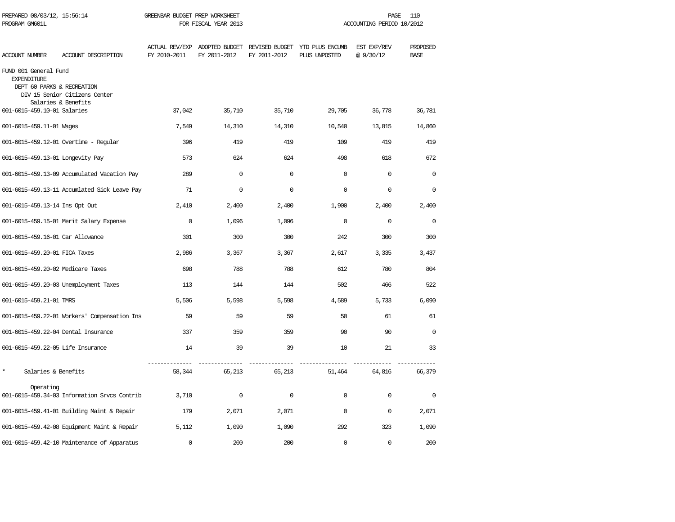| PREPARED 08/03/12, 15:56:14<br>PROGRAM GM601L                             |                                                      | GREENBAR BUDGET PREP WORKSHEET | FOR FISCAL YEAR 2013 |              |                                                                               | PAGE<br>ACCOUNTING PERIOD 10/2012 | 110                     |
|---------------------------------------------------------------------------|------------------------------------------------------|--------------------------------|----------------------|--------------|-------------------------------------------------------------------------------|-----------------------------------|-------------------------|
| ACCOUNT NUMBER                                                            | ACCOUNT DESCRIPTION                                  | FY 2010-2011                   | FY 2011-2012         | FY 2011-2012 | ACTUAL REV/EXP ADOPTED BUDGET REVISED BUDGET YTD PLUS ENCUMB<br>PLUS UNPOSTED | EST EXP/REV<br>@9/30/12           | PROPOSED<br><b>BASE</b> |
| FUND 001 General Fund<br><b>EXPENDITURE</b><br>DEPT 60 PARKS & RECREATION | DIV 15 Senior Citizens Center<br>Salaries & Benefits |                                |                      |              |                                                                               |                                   |                         |
| 001-6015-459.10-01 Salaries                                               |                                                      | 37,042                         | 35,710               | 35,710       | 29,705                                                                        | 36,778                            | 36,781                  |
| 001-6015-459.11-01 Wages                                                  |                                                      | 7,549                          | 14,310               | 14,310       | 10,540                                                                        | 13,815                            | 14,860                  |
|                                                                           | 001-6015-459.12-01 Overtime - Regular                | 396                            | 419                  | 419          | 109                                                                           | 419                               | 419                     |
| 001-6015-459.13-01 Longevity Pay                                          |                                                      | 573                            | 624                  | 624          | 498                                                                           | 618                               | 672                     |
|                                                                           | 001-6015-459.13-09 Accumulated Vacation Pay          | 289                            | $\mathbf 0$          | $\mathbf 0$  | $\mathbf 0$                                                                   | $\mathbf 0$                       | $\mathbf 0$             |
|                                                                           | 001-6015-459.13-11 Accumlated Sick Leave Pay         | 71                             | $\mathbf 0$          | $\mathbf 0$  | $\mathbf 0$                                                                   | $\Omega$                          | $\Omega$                |
| 001-6015-459.13-14 Ins Opt Out                                            |                                                      | 2,410                          | 2,400                | 2,400        | 1,900                                                                         | 2,400                             | 2,400                   |
|                                                                           | 001-6015-459.15-01 Merit Salary Expense              | $\Omega$                       | 1,096                | 1,096        | $\Omega$                                                                      | $\Omega$                          | $\Omega$                |
| 001-6015-459.16-01 Car Allowance                                          |                                                      | 301                            | 300                  | 300          | 242                                                                           | 300                               | 300                     |
| 001-6015-459.20-01 FICA Taxes                                             |                                                      | 2,986                          | 3,367                | 3,367        | 2,617                                                                         | 3,335                             | 3,437                   |
| 001-6015-459.20-02 Medicare Taxes                                         |                                                      | 698                            | 788                  | 788          | 612                                                                           | 780                               | 804                     |
|                                                                           | 001-6015-459.20-03 Unemployment Taxes                | 113                            | 144                  | 144          | 502                                                                           | 466                               | 522                     |
| 001-6015-459.21-01 TMRS                                                   |                                                      | 5,506                          | 5,598                | 5,598        | 4,589                                                                         | 5,733                             | 6,090                   |
|                                                                           | 001-6015-459.22-01 Workers' Compensation Ins         | 59                             | 59                   | 59           | 50                                                                            | 61                                | 61                      |
| 001-6015-459.22-04 Dental Insurance                                       |                                                      | 337                            | 359                  | 359          | 90                                                                            | 90                                | $\Omega$                |
| 001-6015-459.22-05 Life Insurance                                         |                                                      | 14                             | 39                   | 39           | 10                                                                            | 21                                | 33                      |
| $\star$<br>Salaries & Benefits                                            |                                                      | 58,344                         | 65,213               | 65,213       | 51,464                                                                        | 64,816                            | 66,379                  |
| Operating                                                                 | 001-6015-459.34-03 Information Srvcs Contrib         | 3,710                          | $\mathbf 0$          | $\mathbf 0$  | $\Omega$                                                                      | $\Omega$                          | 0                       |
|                                                                           | 001-6015-459.41-01 Building Maint & Repair           | 179                            | 2,071                | 2,071        | $\Omega$                                                                      | $\mathbf 0$                       | 2,071                   |
|                                                                           | 001-6015-459.42-08 Equipment Maint & Repair          | 5,112                          | 1,090                | 1,090        | 292                                                                           | 323                               | 1,090                   |
|                                                                           | 001-6015-459.42-10 Maintenance of Apparatus          | $\Omega$                       | 200                  | 200          | $\Omega$                                                                      | $\Omega$                          | 200                     |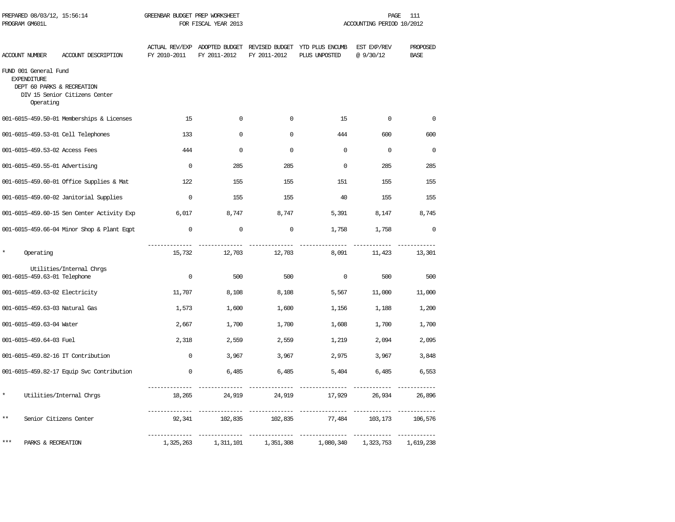| PROGRAM GM601L                              | PREPARED 08/03/12, 15:56:14                                              |                             | GREENBAR BUDGET PREP WORKSHEET<br>FOR FISCAL YEAR 2013 |                              |                                                                               | PAGE<br>111<br>ACCOUNTING PERIOD 10/2012 |                                  |  |
|---------------------------------------------|--------------------------------------------------------------------------|-----------------------------|--------------------------------------------------------|------------------------------|-------------------------------------------------------------------------------|------------------------------------------|----------------------------------|--|
| ACCOUNT NUMBER                              | ACCOUNT DESCRIPTION                                                      | FY 2010-2011                | FY 2011-2012                                           | FY 2011-2012                 | ACTUAL REV/EXP ADOPTED BUDGET REVISED BUDGET YTD PLUS ENCUMB<br>PLUS UNPOSTED | EST EXP/REV<br>@9/30/12                  | PROPOSED<br><b>BASE</b>          |  |
| FUND 001 General Fund<br><b>EXPENDITURE</b> | DEPT 60 PARKS & RECREATION<br>DIV 15 Senior Citizens Center<br>Operating |                             |                                                        |                              |                                                                               |                                          |                                  |  |
|                                             | 001-6015-459.50-01 Memberships & Licenses                                | 15                          | 0                                                      | $\mathbf 0$                  | 15                                                                            | $\Omega$                                 | $\mathbf 0$                      |  |
|                                             | 001-6015-459.53-01 Cell Telephones                                       | 133                         | $\Omega$                                               | $\Omega$                     | 444                                                                           | 600                                      | 600                              |  |
|                                             | 001-6015-459.53-02 Access Fees                                           | 444                         | $\Omega$                                               | $\Omega$                     | $\Omega$                                                                      | $\Omega$                                 | $\Omega$                         |  |
|                                             | 001-6015-459.55-01 Advertising                                           | $\Omega$                    | 285                                                    | 285                          | $\Omega$                                                                      | 285                                      | 285                              |  |
|                                             | 001-6015-459.60-01 Office Supplies & Mat                                 | 122                         | 155                                                    | 155                          | 151                                                                           | 155                                      | 155                              |  |
|                                             | 001-6015-459.60-02 Janitorial Supplies                                   | $\Omega$                    | 155                                                    | 155                          | 40                                                                            | 155                                      | 155                              |  |
|                                             | 001-6015-459.60-15 Sen Center Activity Exp                               | 6,017                       | 8,747                                                  | 8,747                        | 5,391                                                                         | 8,147                                    | 8,745                            |  |
|                                             | 001-6015-459.66-04 Minor Shop & Plant Eqpt                               | $\mathbf 0$                 | $\mathbf 0$                                            | $\mathbf 0$                  | 1,758                                                                         | 1,758                                    | $\mathbf 0$                      |  |
| $\star$                                     | Operating                                                                | 15,732                      | 12,703                                                 | 12,703                       | 8,091                                                                         | 11,423                                   | 13,301                           |  |
|                                             | Utilities/Internal Chrgs<br>001-6015-459.63-01 Telephone                 | $\mathbf 0$                 | 500                                                    | 500                          | $\mathbf 0$                                                                   | 500                                      | 500                              |  |
|                                             | 001-6015-459.63-02 Electricity                                           | 11,707                      | 8,108                                                  | 8,108                        | 5,567                                                                         | 11,000                                   | 11,000                           |  |
|                                             | 001-6015-459.63-03 Natural Gas                                           | 1,573                       | 1,600                                                  | 1,600                        | 1,156                                                                         | 1,188                                    | 1,200                            |  |
|                                             | 001-6015-459.63-04 Water                                                 | 2,667                       | 1,700                                                  | 1,700                        | 1,608                                                                         | 1,700                                    | 1,700                            |  |
|                                             | 001-6015-459.64-03 Fuel                                                  | 2,318                       | 2,559                                                  | 2,559                        | 1,219                                                                         | 2,094                                    | 2,095                            |  |
|                                             | 001-6015-459.82-16 IT Contribution                                       | $\Omega$                    | 3,967                                                  | 3,967                        | 2,975                                                                         | 3,967                                    | 3,848                            |  |
|                                             | 001-6015-459.82-17 Equip Svc Contribution                                | $\mathbf{0}$                | 6,485                                                  | 6,485                        | 5,404                                                                         | 6,485                                    | 6,553                            |  |
| $\star$                                     | Utilities/Internal Chrgs                                                 | 18,265                      | 24,919                                                 | 24,919                       | 17,929                                                                        | 26,934                                   | 26,896                           |  |
| $* *$                                       | Senior Citizens Center                                                   | ___________<br>92,341       | 102,835                                                | 102,835                      | 77,484                                                                        | 103,173                                  | 106,576                          |  |
| ***                                         | PARKS & RECREATION                                                       | --------------<br>1,325,263 | ________________<br>1,311,101                          | _______________<br>1,351,308 | ________________<br>1,080,340                                                 | _____________<br>1,323,753               | <u>____________</u><br>1,619,238 |  |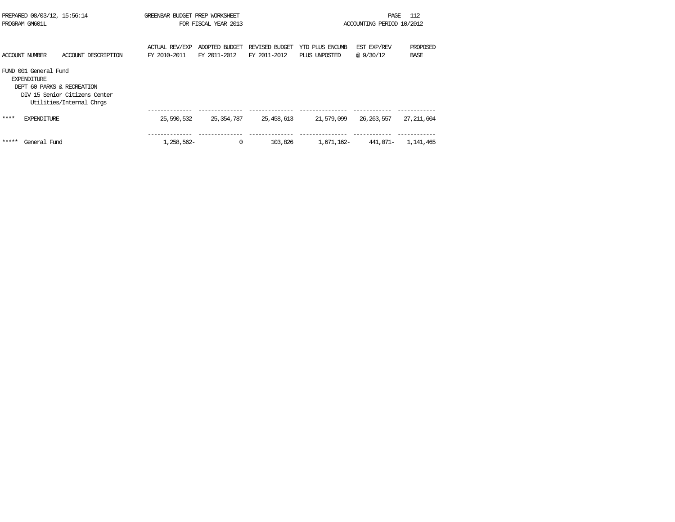| PREPARED 08/03/12, 15:56:14<br>PROGRAM GM601L |                                             | GREENBAR BUDGET PREP WORKSHEET<br>FOR FISCAL YEAR 2013                                  |                                |                                | 112<br>PAGE<br>ACCOUNTING PERIOD 10/2012 |                                  |                          |                         |
|-----------------------------------------------|---------------------------------------------|-----------------------------------------------------------------------------------------|--------------------------------|--------------------------------|------------------------------------------|----------------------------------|--------------------------|-------------------------|
|                                               | <b>ACCOUNT NUMBER</b>                       | ACCOUNT DESCRIPTION                                                                     | ACTUAL REV/EXP<br>FY 2010-2011 | ADOPTED BUDGET<br>FY 2011-2012 | REVISED BUDGET<br>FY 2011-2012           | YTD PLUS ENCUMB<br>PLUS UNPOSTED | EST EXP/REV<br>@ 9/30/12 | PROPOSED<br><b>BASE</b> |
|                                               | FUND 001 General Fund<br><b>EXPENDITURE</b> | DEPT 60 PARKS & RECREATION<br>DIV 15 Senior Citizens Center<br>Utilities/Internal Chros |                                |                                |                                          |                                  |                          |                         |
| ****                                          | <b>EXPENDITURE</b>                          |                                                                                         | 25,590,532                     | 25,354,787                     | 25, 458, 613                             | 21,579,099                       | 26, 263, 557             | 27, 211, 604            |
| *****                                         | General Fund                                |                                                                                         | 1,258,562-                     | $\mathbf 0$                    | 103,826                                  | 1,671,162-                       | 441,071-                 | 1,141,465               |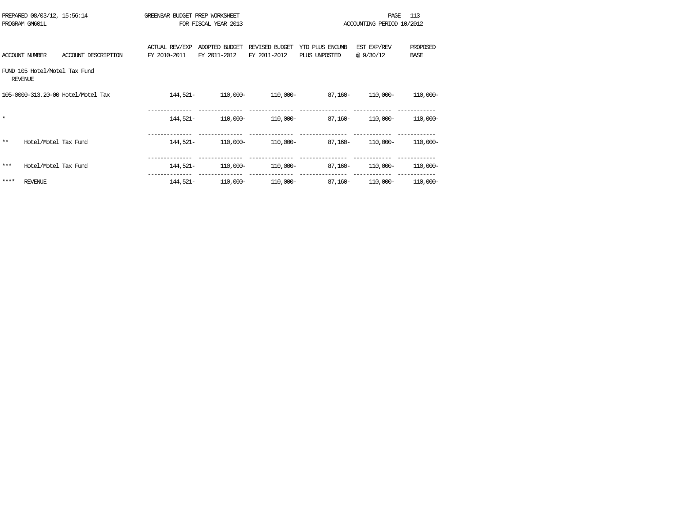|         | PREPARED 08/03/12, 15:56:14<br>PROGRAM GM601L   |                                    | GREENBAR BUDGET PREP WORKSHEET        | FOR FISCAL YEAR 2013           |                                |                                   | PAGE.<br>ACCOUNTING PERIOD 10/2012 | 113                     |
|---------|-------------------------------------------------|------------------------------------|---------------------------------------|--------------------------------|--------------------------------|-----------------------------------|------------------------------------|-------------------------|
|         | ACCOUNT NUMBER                                  | ACCOUNT DESCRIPTION                | <b>ACTUAL REV/EXP</b><br>FY 2010-2011 | ADOPTED BUDGET<br>FY 2011-2012 | REVISED BUDGET<br>FY 2011-2012 | YTD PLUS ENCUMB<br>PLUS UNPOSTED  | EST EXP/REV<br>@ 9/30/12           | PROPOSED<br><b>BASE</b> |
|         | FUND 105 Hotel/Motel Tax Fund<br><b>REVENUE</b> |                                    |                                       |                                |                                |                                   |                                    |                         |
|         |                                                 | 105-0000-313.20-00 Hotel/Motel Tax | 144,521-                              | 110,000-                       | 110,000-                       | 87,160-                           | 110,000-                           | $110,000 -$             |
| $\star$ |                                                 |                                    | 144,521-                              | 110,000-                       | 110,000-                       | 87,160-                           | 110,000-                           | $110,000 -$             |
| **      | Hotel/Motel Tax Fund                            |                                    | 144,521-                              | 110,000-                       | 110,000-                       | 87,160-                           | 110,000-                           | 110,000-                |
| $***$   | Hotel/Motel Tax Fund                            |                                    | 144,521-                              | 110,000-                       | 110,000-                       | 87,160-                           | 110,000-                           | 110,000-                |
| ****    | <b>REVENUE</b>                                  |                                    | 144,521-                              |                                |                                | $110,000 110,000 87,160 110,000-$ |                                    | 110,000-                |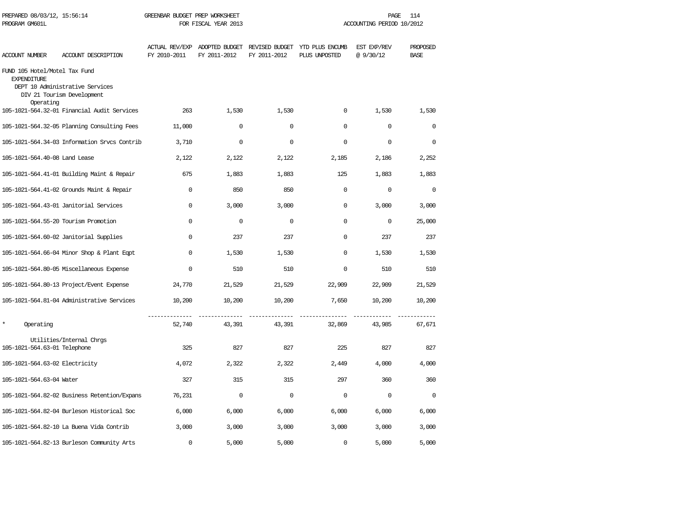| PROGRAM GM601L                                                   | PREPARED 08/03/12, 15:56:14<br>GREENBAR BUDGET PREP WORKSHEET<br>PAGE<br>FOR FISCAL YEAR 2013<br>ACCOUNTING PERIOD 10/2012 |              |              |              | 114                                                                           |                         |                         |
|------------------------------------------------------------------|----------------------------------------------------------------------------------------------------------------------------|--------------|--------------|--------------|-------------------------------------------------------------------------------|-------------------------|-------------------------|
| <b>ACCOUNT NUMBER</b>                                            | ACCOUNT DESCRIPTION                                                                                                        | FY 2010-2011 | FY 2011-2012 | FY 2011-2012 | ACTUAL REV/EXP ADOPTED BUDGET REVISED BUDGET YTD PLUS ENCUMB<br>PLUS UNPOSTED | EST EXP/REV<br>@9/30/12 | PROPOSED<br><b>BASE</b> |
| FUND 105 Hotel/Motel Tax Fund<br><b>EXPENDITURE</b><br>Operating | DEPT 10 Administrative Services<br>DIV 21 Tourism Development                                                              |              |              |              |                                                                               |                         |                         |
|                                                                  | 105-1021-564.32-01 Financial Audit Services                                                                                | 263          | 1,530        | 1,530        | $\Omega$                                                                      | 1,530                   | 1,530                   |
|                                                                  | 105-1021-564.32-05 Planning Consulting Fees                                                                                | 11,000       | $\mathbf 0$  | $\mathbf 0$  | $\mathbf 0$                                                                   | $\mathbf 0$             | $\mathbf 0$             |
|                                                                  | 105-1021-564.34-03 Information Srvcs Contrib                                                                               | 3,710        | $\mathbf 0$  | $\mathbf 0$  | 0                                                                             | $\mathbf 0$             | $\mathbf 0$             |
| 105-1021-564.40-08 Land Lease                                    |                                                                                                                            | 2,122        | 2,122        | 2,122        | 2,185                                                                         | 2,186                   | 2,252                   |
|                                                                  | 105-1021-564.41-01 Building Maint & Repair                                                                                 | 675          | 1,883        | 1,883        | 125                                                                           | 1,883                   | 1,883                   |
|                                                                  | 105-1021-564.41-02 Grounds Maint & Repair                                                                                  | $\Omega$     | 850          | 850          | $\Omega$                                                                      | $\mathbf 0$             | $\Omega$                |
|                                                                  | 105-1021-564.43-01 Janitorial Services                                                                                     | $\Omega$     | 3,000        | 3,000        | $\Omega$                                                                      | 3,000                   | 3,000                   |
|                                                                  | 105-1021-564.55-20 Tourism Promotion                                                                                       | $\Omega$     | $\Omega$     | $\Omega$     | $\Omega$                                                                      | $\Omega$                | 25,000                  |
|                                                                  | 105-1021-564.60-02 Janitorial Supplies                                                                                     | $\cap$       | 237          | 237          | $\cap$                                                                        | 237                     | 237                     |
|                                                                  | 105-1021-564.66-04 Minor Shop & Plant Eqpt                                                                                 | $\Omega$     | 1,530        | 1,530        | $\Omega$                                                                      | 1,530                   | 1,530                   |
|                                                                  | 105-1021-564.80-05 Miscellaneous Expense                                                                                   | $\Omega$     | 510          | 510          | $\Omega$                                                                      | 510                     | 510                     |
|                                                                  | 105-1021-564.80-13 Project/Event Expense                                                                                   | 24,770       | 21,529       | 21,529       | 22,909                                                                        | 22,909                  | 21,529                  |
|                                                                  | 105-1021-564.81-04 Administrative Services                                                                                 | 10,200       | 10,200       | 10,200       | 7,650                                                                         | 10,200                  | 10,200                  |
| $\star$<br>Operating                                             |                                                                                                                            | 52,740       | 43,391       | 43,391       | 32,869                                                                        | 43,985                  | 67,671                  |
| 105-1021-564.63-01 Telephone                                     | Utilities/Internal Chrgs                                                                                                   | 325          | 827          | 827          | 225                                                                           | 827                     | 827                     |
| 105-1021-564.63-02 Electricity                                   |                                                                                                                            | 4,072        | 2,322        | 2,322        | 2,449                                                                         | 4,000                   | 4,000                   |
| 105-1021-564.63-04 Water                                         |                                                                                                                            | 327          | 315          | 315          | 297                                                                           | 360                     | 360                     |
|                                                                  | 105-1021-564.82-02 Business Retention/Expans                                                                               | 76,231       | $\Omega$     | $\Omega$     | $\Omega$                                                                      | $\Omega$                | $\Omega$                |
|                                                                  | 105-1021-564.82-04 Burleson Historical Soc                                                                                 | 6,000        | 6,000        | 6,000        | 6,000                                                                         | 6,000                   | 6,000                   |
|                                                                  | 105-1021-564.82-10 La Buena Vida Contrib                                                                                   | 3,000        | 3,000        | 3,000        | 3,000                                                                         | 3,000                   | 3,000                   |
|                                                                  | 105-1021-564.82-13 Burleson Community Arts                                                                                 | $\mathbf 0$  | 5,000        | 5,000        | $\mathbf 0$                                                                   | 5,000                   | 5,000                   |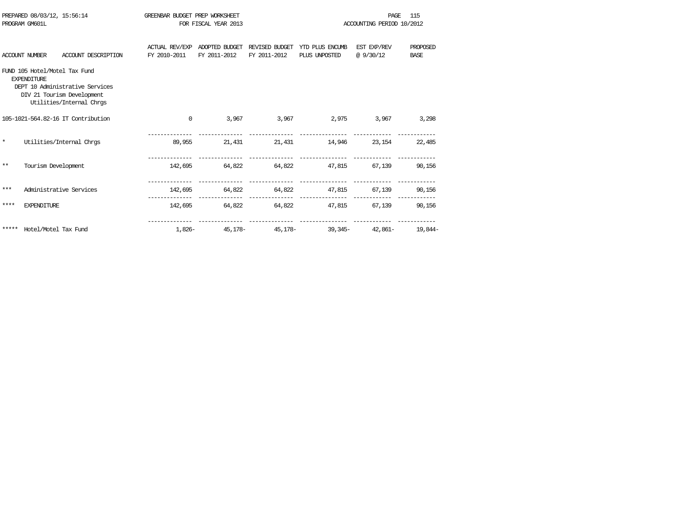|         | PREPARED 08/03/12, 15:56:14<br>PROGRAM GM601L       |                                                                                           | GREENBAR BUDGET PREP WORKSHEET |                                |                                | 115<br><b>PAGE</b>                                |                           |                         |
|---------|-----------------------------------------------------|-------------------------------------------------------------------------------------------|--------------------------------|--------------------------------|--------------------------------|---------------------------------------------------|---------------------------|-------------------------|
|         |                                                     |                                                                                           |                                | FOR FISCAL YEAR 2013           |                                |                                                   | ACCOUNTING PERIOD 10/2012 |                         |
|         | <b>ACCOUNT NUMBER</b>                               | ACCOUNT DESCRIPTION                                                                       | ACTUAL REV/EXP<br>FY 2010-2011 | ADOPTED BUDGET<br>FY 2011-2012 | REVISED BUDGET<br>FY 2011-2012 | YTD PLUS ENCUMB<br>PLUS UNPOSTED                  | EST EXP/REV<br>@ 9/30/12  | PROPOSED<br><b>BASE</b> |
|         | FUND 105 Hotel/Motel Tax Fund<br><b>EXPENDITURE</b> | DEPT 10 Administrative Services<br>DIV 21 Tourism Development<br>Utilities/Internal Chrgs |                                |                                |                                |                                                   |                           |                         |
|         |                                                     | 105-1021-564.82-16 IT Contribution                                                        | $\mathbf{0}$                   |                                |                                | 3,967 3,967 2,975 3,967                           |                           | 3,298                   |
| $\star$ |                                                     | Utilities/Internal Chros                                                                  | 89,955                         |                                |                                | 21,431 21,431 14,946 23,154 22,485                |                           |                         |
| $***$   | Tourism Development                                 |                                                                                           |                                |                                |                                | 142,695 64,822 64,822 47,815 67,139 90,156        |                           |                         |
| ***     |                                                     | Administrative Services                                                                   |                                |                                |                                | 142,695 64,822 64,822 47,815 67,139 90,156        |                           |                         |
| ****    | <b>EXPENDITURE</b>                                  |                                                                                           |                                |                                |                                | 142.695 64.822 64.822 47.815 67.139 90.156        |                           |                         |
| *****   | Hotel/Motel Tax Fund                                |                                                                                           |                                |                                |                                | $1.826 -$ 45.178- 45.178- 39.345- 42.861- 19.844- |                           |                         |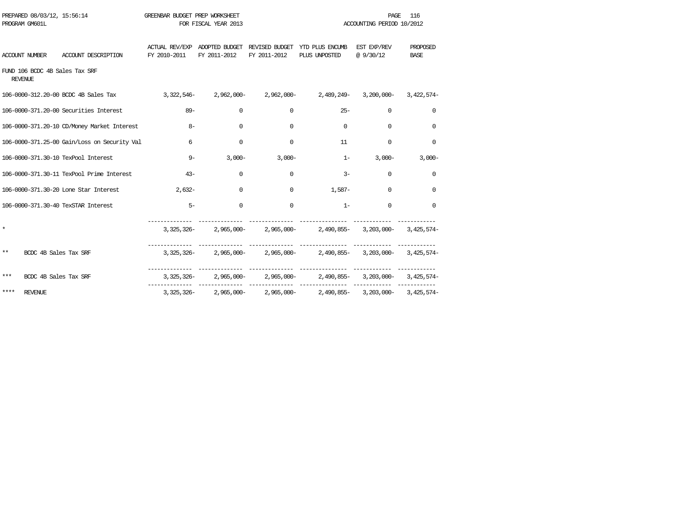| PROGRAM GM601L | PREPARED 08/03/12, 15:56:14 |                                                                                                   | GREENBAR BUDGET PREP WORKSHEET | FOR FISCAL YEAR 2013 |              |                                                                                                   | <b>PAGE</b><br>ACCOUNTING PERIOD 10/2012 | 116                     |
|----------------|-----------------------------|---------------------------------------------------------------------------------------------------|--------------------------------|----------------------|--------------|---------------------------------------------------------------------------------------------------|------------------------------------------|-------------------------|
| ACCOUNT NUMBER |                             | ACCOUNT DESCRIPTION                                                                               | FY 2010-2011                   | FY 2011-2012         | FY 2011-2012 | ACTUAL REV/EXP ADOPTED BUDGET REVISED BUDGET YTD PLUS ENCUMB<br>PLUS UNPOSTED                     | EST EXP/REV<br>@ 9/30/12                 | PROPOSED<br><b>BASE</b> |
| REVENUE        |                             | FUND 106 BCDC 4B Sales Tax SRF                                                                    |                                |                      |              |                                                                                                   |                                          |                         |
|                |                             | 106-0000-312.20-00 BCDC 4B Sales Tax 3,322,546-2,962,000-2,962,000-2,489,249-3,200,000-3,422,574- |                                |                      |              |                                                                                                   |                                          |                         |
|                |                             | 106-0000-371.20-00 Securities Interest                                                            | $89 -$                         | $\Omega$             | $\Omega$     | $25 -$                                                                                            | $\Omega$                                 | $\Omega$                |
|                |                             | 106-0000-371.20-10 CD/Money Market Interest                                                       | $8-$                           | $\Omega$             | $\Omega$     | $\Omega$                                                                                          | $\Omega$                                 | $\Omega$                |
|                |                             | 106-0000-371.25-00 Gain/Loss on Security Val                                                      | 6                              | $\Omega$             | $\Omega$     | 11                                                                                                | $\Omega$                                 | $\Omega$                |
|                |                             | 106-0000-371.30-10 TexPool Interest                                                               | $9 -$                          | $3,000-$             | $3,000-$     | $1 -$                                                                                             | $3,000-$                                 | $3,000-$                |
|                |                             | 106-0000-371.30-11 TexPool Prime Interest                                                         | $43 -$                         | $\Omega$             | $\Omega$     | $3 -$                                                                                             | $\mathbf 0$                              | $\Omega$                |
|                |                             | 106-0000-371.30-20 Lone Star Interest                                                             | $2.632-$                       | $\Omega$             | $\Omega$     | $1.587-$                                                                                          | $\Omega$                                 | $\Omega$                |
|                |                             | 106-0000-371.30-40 TexSTAR Interest                                                               | $5 -$                          | $\Omega$             | $\Omega$     | $1 -$                                                                                             | $\Omega$                                 | $\Omega$                |
| $\star$        |                             |                                                                                                   |                                |                      |              | ________________<br>3, 325, 326- 2, 965, 000- 2, 965, 000- 2, 490, 855- 3, 203, 000- 3, 425, 574- |                                          |                         |
| $***$          | BCDC 4B Sales Tax SRF       |                                                                                                   |                                |                      |              | 3,325,326- 2,965,000- 2,965,000- 2,490,855- 3,203,000- 3,425,574-                                 |                                          |                         |
| $***$          | BCDC 4B Sales Tax SRF       |                                                                                                   |                                |                      |              | 3,325,326- 2,965,000- 2,965,000- 2,490,855- 3,203,000- 3,425,574-                                 |                                          |                         |
| ****           | REVENUE                     |                                                                                                   |                                |                      |              | 3,325,326- 2,965,000- 2,965,000- 2,490,855- 3,203,000- 3,425,574-                                 |                                          |                         |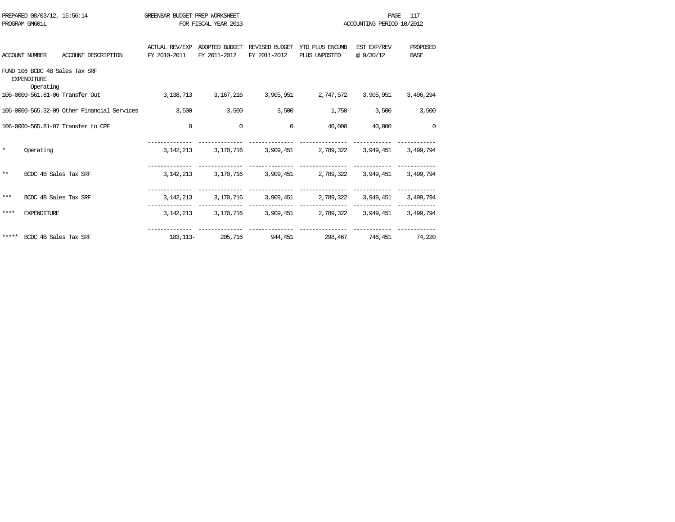|         | PREPARED 08/03/12, 15:56:14 |                                             | GREENBAR BUDGET PREP WORKSHEET |                      |                         |                                                             | PAGE.                     | 117         |
|---------|-----------------------------|---------------------------------------------|--------------------------------|----------------------|-------------------------|-------------------------------------------------------------|---------------------------|-------------|
|         | PROGRAM GM601L              |                                             |                                | FOR FISCAL YEAR 2013 |                         |                                                             | ACCOUNTING PERIOD 10/2012 |             |
|         |                             |                                             | ACTUAL REV/EXP                 |                      |                         | ADOPTED BUDGET REVISED BUDGET YTD PLUS ENCUMB               | EST EXP/REV               | PROPOSED    |
|         | <b>ACCOUNT NUMBER</b>       | ACCOUNT DESCRIPTION                         | FY 2010-2011                   | FY 2011-2012         | FY 2011-2012            | PLUS UNPOSTED                                               | @9/30/12                  | <b>BASE</b> |
|         | <b>EXPENDITURE</b>          | FUND 106 BCDC 4B Sales Tax SRF              |                                |                      |                         |                                                             |                           |             |
|         | Operating                   | 106-0000-561.81-06 Transfer Out             | 3,138,713                      |                      | 3, 167, 216 3, 905, 951 | 2,747,572                                                   | 3,905,951                 | 3,496,294   |
|         |                             | 106-0000-565.32-09 Other Financial Services | 3,500                          | 3,500                | 3,500                   | 1,750                                                       | 3,500                     | 3,500       |
|         |                             | 106-0000-565.81-07 Transfer to CPF          | $\mathbf 0$                    | $\Omega$             | $\Omega$                | 40,000                                                      | 40,000                    | $\Omega$    |
| $\star$ | Operating                   |                                             | 3, 142, 213                    |                      |                         | 3,170,716 3,909,451 2,789,322 3,949,451                     |                           | 3,499,794   |
| **      | BCDC 4B Sales Tax SRF       |                                             |                                |                      |                         | 3, 142, 213 3, 170, 716 3, 909, 451 2, 789, 322 3, 949, 451 |                           | 3,499,794   |
| ***     | BCDC 4B Sales Tax SRF       |                                             |                                |                      |                         | 3, 142, 213 3, 170, 716 3, 909, 451 2, 789, 322 3, 949, 451 |                           | 3,499,794   |
| ****    | <b>EXPENDITURE</b>          |                                             |                                |                      |                         | 3, 142, 213 3, 170, 716 3, 909, 451 2, 789, 322 3, 949, 451 | ------------              | 3,499,794   |
|         | ***** BCDC 4B Sales Tax SRF |                                             |                                |                      |                         | 183,113- 205,716 944,451 298,467 746,451                    |                           | 74,220      |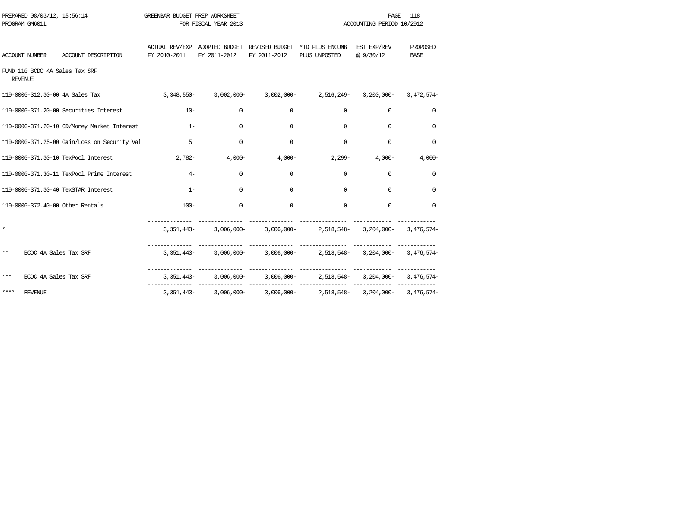|         | PREPARED 08/03/12, 15:56:14<br>PROGRAM GM601L    |                                              | GREENBAR BUDGET PREP WORKSHEET | FOR FISCAL YEAR 2013 |              |                                                                                           | <b>PAGE</b><br>ACCOUNTING PERIOD 10/2012 | 118                     |
|---------|--------------------------------------------------|----------------------------------------------|--------------------------------|----------------------|--------------|-------------------------------------------------------------------------------------------|------------------------------------------|-------------------------|
|         |                                                  |                                              |                                |                      |              |                                                                                           |                                          |                         |
|         |                                                  | ACCOUNT NUMBER ACCOUNT DESCRIPTION           | FY 2010-2011 FY 2011-2012      |                      | FY 2011-2012 | ACTUAL REV/EXP ADOPTED BUDGET REVISED BUDGET YTD PLUS ENCUMB EST EXP/REV<br>PLUS UNPOSTED | @9/30/12                                 | PROPOSED<br><b>BASE</b> |
|         | FUND 110 BCDC 4A Sales Tax SRF<br><b>REVENUE</b> |                                              |                                |                      |              |                                                                                           |                                          |                         |
|         |                                                  | 110-0000-312.30-00 4A Sales Tax              |                                |                      |              | $3,348,550-3,002,000-3,002,000-2,516,249-3,200,000-3,472,574-$                            |                                          |                         |
|         |                                                  | 110-0000-371.20-00 Securities Interest       | $10-$                          | $\mathbf 0$          | $\mathbf{0}$ | $\mathbf 0$                                                                               | $\mathbf 0$                              | $\mathbf 0$             |
|         |                                                  | 110-0000-371.20-10 CD/Money Market Interest  | $-1$ $-1$ $-1$ $-1$            | $\circ$              | $\Omega$     | $\Omega$                                                                                  | $\Omega$                                 | $\Omega$                |
|         |                                                  | 110-0000-371.25-00 Gain/Loss on Security Val | $\overline{5}$                 | $\mathbf 0$          | $\Omega$     | $\Omega$                                                                                  | $\Omega$                                 | $\Omega$                |
|         |                                                  | 110-0000-371.30-10 TexPool Interest          | $2,782 4,000 4,000-$           |                      |              |                                                                                           | $2,299 4,000-$                           | $4,000-$                |
|         |                                                  | 110-0000-371.30-11 TexPool Prime Interest    | $4-$                           | $\Omega$             | $\Omega$     | $\Omega$                                                                                  | $\Omega$                                 | $\Omega$                |
|         |                                                  | 110-0000-371.30-40 TexSTAR Interest          | $1 -$                          | $\Omega$             | $\Omega$     | $\Omega$                                                                                  | $\Omega$                                 | $\Omega$                |
|         |                                                  | 110-0000-372.40-00 Other Rentals             | $100 -$                        | $\Omega$             | $\Omega$     | $\Omega$                                                                                  | $\Omega$                                 | $\Omega$                |
| $\star$ |                                                  |                                              |                                |                      |              | 3, 351, 443-3, 006, 000-3, 006, 000-3, 518, 548-3, 204, 000-3, 476, 574-                  |                                          |                         |
| $***$   | BCDC 4A Sales Tax SRF                            |                                              |                                |                      |              | 3,351,443- 3,006,000- 3,006,000- 2,518,548- 3,204,000- 3,476,574-                         |                                          |                         |
| $***$   | BCDC 4A Sales Tax SRF                            |                                              |                                |                      |              | $3,351,443 3,006,000 3,006,000 2,518,548 3,204,000 3,476,574-$                            |                                          |                         |
| ****    | REVENUE                                          |                                              |                                |                      |              | 3,351,443- 3,006,000- 3,006,000- 2,518,548- 3,204,000- 3,476,574-                         |                                          |                         |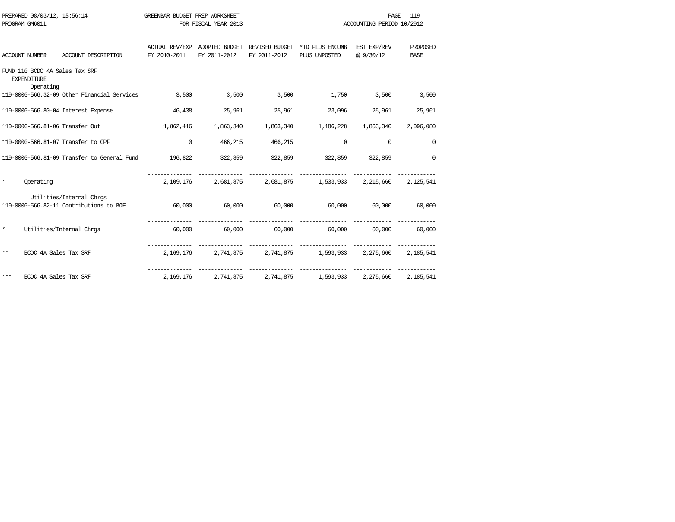| PROGRAM GM601L                  | PREPARED 08/03/12, 15:56:14                                         | GREENBAR BUDGET PREP WORKSHEET<br>FOR FISCAL YEAR 2013 |                                |                     |                                                             |                          | 119<br>PAGE<br>ACCOUNTING PERIOD 10/2012 |  |
|---------------------------------|---------------------------------------------------------------------|--------------------------------------------------------|--------------------------------|---------------------|-------------------------------------------------------------|--------------------------|------------------------------------------|--|
| <b>ACCOUNT NUMBER</b>           | ACCOUNT DESCRIPTION                                                 | ACTUAL REV/EXP<br>FY 2010-2011                         | ADOPTED BUDGET<br>FY 2011-2012 | FY 2011-2012        | REVISED BUDGET YTD PLUS ENCUMB<br>PLUS UNPOSTED             | EST EXP/REV<br>@ 9/30/12 | PROPOSED<br><b>BASE</b>                  |  |
| <b>EXPENDITURE</b><br>Operating | FUND 110 BCDC 4A Sales Tax SRF                                      |                                                        |                                |                     |                                                             |                          |                                          |  |
|                                 | 110-0000-566.32-09 Other Financial Services                         | 3,500                                                  | 3,500                          | 3,500               | 1,750                                                       | 3,500                    | 3,500                                    |  |
|                                 | 110-0000-566.80-04 Interest Expense                                 | 46,438                                                 | 25,961                         | 25,961              | 23,096                                                      | 25,961                   | 25,961                                   |  |
|                                 | 110-0000-566.81-06 Transfer Out                                     | 1,862,416                                              | 1,863,340                      | 1,863,340           | 1,186,228                                                   | 1,863,340                | 2,096,080                                |  |
|                                 | 110-0000-566.81-07 Transfer to CPF                                  | $\mathbf 0$                                            | 466,215                        | 466,215             | $\mathbf 0$                                                 | 0                        | $\mathbf 0$                              |  |
|                                 | 110-0000-566.81-09 Transfer to General Fund                         | 196,822                                                | 322,859                        |                     | 322,859 322,859 322,859                                     |                          | $\Omega$                                 |  |
| $\star$<br>Operating            |                                                                     |                                                        |                                |                     | 2,109,176 2,681,875 2,681,875 1,533,933 2,215,660           |                          | 2,125,541                                |  |
|                                 | Utilities/Internal Chrgs<br>110-0000-566.82-11 Contributions to BOF | 60,000                                                 |                                | $60,000$ $60,000$   | 60,000                                                      | 60,000                   | 60,000                                   |  |
| $\star$                         | Utilities/Internal Chros                                            | 60,000                                                 |                                |                     | $60,000$ $60,000$ $60,000$                                  |                          | 60,000 60,000                            |  |
| $***$                           | BCDC 4A Sales Tax SRF                                               |                                                        |                                |                     | 2,169,176 2,741,875 2,741,875 1,593,933 2,275,660 2,185,541 |                          |                                          |  |
| ***                             | BCDC 4A Sales Tax SRF                                               | 2,169,176                                              |                                | 2,741,875 2,741,875 | 1,593,933                                                   | 2,275,660                | 2,185,541                                |  |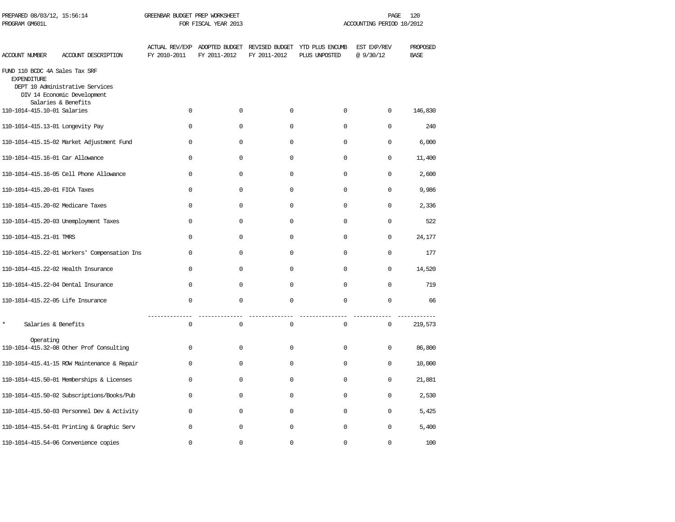| PREPARED 08/03/12, 15:56:14<br>PROGRAM GM601L        |                                                                                       | GREENBAR BUDGET PREP WORKSHEET<br>FOR FISCAL YEAR 2013 |              |              | PAGE<br>120<br>ACCOUNTING PERIOD 10/2012                                      |                         |                         |  |
|------------------------------------------------------|---------------------------------------------------------------------------------------|--------------------------------------------------------|--------------|--------------|-------------------------------------------------------------------------------|-------------------------|-------------------------|--|
| ACCOUNT NUMBER                                       | ACCOUNT DESCRIPTION                                                                   | FY 2010-2011                                           | FY 2011-2012 | FY 2011-2012 | ACTUAL REV/EXP ADOPTED BUDGET REVISED BUDGET YTD PLUS ENCUMB<br>PLUS UNPOSTED | EST EXP/REV<br>@9/30/12 | PROPOSED<br><b>BASE</b> |  |
| FUND 110 BCDC 4A Sales Tax SRF<br><b>EXPENDITURE</b> | DEPT 10 Administrative Services<br>DIV 14 Economic Development<br>Salaries & Benefits |                                                        |              |              |                                                                               |                         |                         |  |
| 110-1014-415.10-01 Salaries                          |                                                                                       | $\Omega$                                               | $\Omega$     | $\Omega$     | $\Omega$                                                                      | $\Omega$                | 146,830                 |  |
| 110-1014-415.13-01 Longevity Pay                     |                                                                                       | $\Omega$                                               | $\Omega$     | $\Omega$     | $\Omega$                                                                      | $\Omega$                | 240                     |  |
|                                                      | 110-1014-415.15-02 Market Adjustment Fund                                             | $\Omega$                                               | $\Omega$     | $\Omega$     | $\Omega$                                                                      | $\Omega$                | 6,000                   |  |
| 110-1014-415.16-01 Car Allowance                     |                                                                                       | 0                                                      | $\mathbf 0$  | 0            | $\mathbf{0}$                                                                  | $\mathbf 0$             | 11,400                  |  |
|                                                      | 110-1014-415.16-05 Cell Phone Allowance                                               | $\mathbf{0}$                                           | $\mathbf 0$  | $\mathbf 0$  | 0                                                                             | $\Omega$                | 2,600                   |  |
| 110-1014-415.20-01 FICA Taxes                        |                                                                                       | $\mathbf 0$                                            | $\mathbf 0$  | $\mathbf 0$  | 0                                                                             | $\mathbf 0$             | 9,986                   |  |
| 110-1014-415.20-02 Medicare Taxes                    |                                                                                       | $\mathbf 0$                                            | $\mathbf 0$  | $\mathbf 0$  | $\mathbf 0$                                                                   | $\mathbf 0$             | 2,336                   |  |
|                                                      | 110-1014-415.20-03 Unemployment Taxes                                                 | $\mathbf 0$                                            | $\mathbf 0$  | $\mathbf 0$  | $\mathbf 0$                                                                   | $\mathbf 0$             | 522                     |  |
| 110-1014-415.21-01 TMRS                              |                                                                                       | $\mathbf 0$                                            | $\mathbf 0$  | $\mathbf 0$  | $\mathbf 0$                                                                   | $\mathbf 0$             | 24,177                  |  |
|                                                      | 110-1014-415.22-01 Workers' Compensation Ins                                          | $\Omega$                                               | $\mathbf 0$  | $\mathbf 0$  | $\mathbf 0$                                                                   | $\mathbf 0$             | 177                     |  |
|                                                      | 110-1014-415.22-02 Health Insurance                                                   | $\Omega$                                               | $\mathbf 0$  | $\mathbf 0$  | 0                                                                             | $\mathbf 0$             | 14,520                  |  |
|                                                      | 110-1014-415.22-04 Dental Insurance                                                   | $\Omega$                                               | $\Omega$     | $\Omega$     | $\Omega$                                                                      | $\Omega$                | 719                     |  |
| 110-1014-415.22-05 Life Insurance                    |                                                                                       | $\Omega$                                               | $\Omega$     | $\Omega$     | $\Omega$                                                                      | $\Omega$                | 66                      |  |
| $\star$<br>Salaries & Benefits                       |                                                                                       | $\mathbf 0$                                            | $\mathbf 0$  | $\mathbf 0$  | $\mathbf 0$                                                                   | $\mathbf 0$             | 219,573                 |  |
| Operating                                            | 110-1014-415.32-08 Other Prof Consulting                                              | $\mathbf{0}$                                           | $\mathbf 0$  | $\mathbf 0$  | 0                                                                             | $\mathbf 0$             | 86,800                  |  |
|                                                      | 110-1014-415.41-15 ROW Maintenance & Repair                                           | $\mathbf{0}$                                           | $\mathbf 0$  | $\Omega$     | $\mathbf{0}$                                                                  | 0                       | 10,000                  |  |
|                                                      | 110-1014-415.50-01 Memberships & Licenses                                             | $\mathbf{0}$                                           | $\mathbf 0$  | $\mathbf 0$  | $\mathbf 0$                                                                   | $\mathbf 0$             | 21,881                  |  |
|                                                      | 110-1014-415.50-02 Subscriptions/Books/Pub                                            | $\Omega$                                               | $\mathbf 0$  | $\mathbf 0$  | $\mathbf 0$                                                                   | $\Omega$                | 2,530                   |  |
|                                                      | 110-1014-415.50-03 Personnel Dev & Activity                                           | $\Omega$                                               | $\mathbf 0$  | $\Omega$     | $\mathbf 0$                                                                   | $\Omega$                | 5,425                   |  |
|                                                      | 110-1014-415.54-01 Printing & Graphic Serv                                            | $\Omega$                                               | $\mathbf 0$  | $\Omega$     | 0                                                                             | $\mathbf 0$             | 5,400                   |  |
|                                                      | 110-1014-415.54-06 Convenience copies                                                 | $\Omega$                                               | $\mathbf 0$  | $\Omega$     | $\Omega$                                                                      | $\Omega$                | 100                     |  |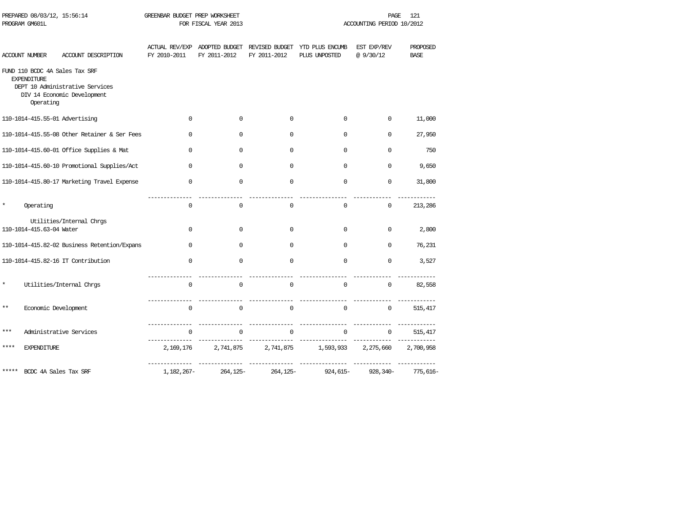|         | PREPARED 08/03/12, 15:56:14<br>PROGRAM GM601L                     |                                                                | GREENBAR BUDGET PREP WORKSHEET | FOR FISCAL YEAR 2013                          |              |                                                 | PAGE<br>ACCOUNTING PERIOD 10/2012 | 121                     |
|---------|-------------------------------------------------------------------|----------------------------------------------------------------|--------------------------------|-----------------------------------------------|--------------|-------------------------------------------------|-----------------------------------|-------------------------|
|         |                                                                   |                                                                |                                |                                               |              |                                                 |                                   |                         |
|         | <b>ACCOUNT NUMBER</b>                                             | ACCOUNT DESCRIPTION                                            | FY 2010-2011                   | ACTUAL REV/EXP ADOPTED BUDGET<br>FY 2011-2012 | FY 2011-2012 | REVISED BUDGET YTD PLUS ENCUMB<br>PLUS UNPOSTED | EST EXP/REV<br>@ 9/30/12          | PROPOSED<br><b>BASE</b> |
|         | FUND 110 BCDC 4A Sales Tax SRF<br><b>EXPENDITURE</b><br>Operating | DEPT 10 Administrative Services<br>DIV 14 Economic Development |                                |                                               |              |                                                 |                                   |                         |
|         | 110-1014-415.55-01 Advertising                                    |                                                                | $\Omega$                       | $\Omega$                                      | $\mathbf 0$  | $\Omega$                                        | $\Omega$                          | 11,000                  |
|         |                                                                   | 110-1014-415.55-08 Other Retainer & Ser Fees                   | $\Omega$                       | $\Omega$                                      | $\Omega$     | $\Omega$                                        | $\Omega$                          | 27,950                  |
|         |                                                                   | 110-1014-415.60-01 Office Supplies & Mat                       | $\mathbf 0$                    | $\Omega$                                      | $\mathbf 0$  | $\mathbf 0$                                     | $\mathbf 0$                       | 750                     |
|         |                                                                   | 110-1014-415.60-10 Promotional Supplies/Act                    | $\Omega$                       | $\Omega$                                      | $\Omega$     | $\Omega$                                        | $\Omega$                          | 9,650                   |
|         |                                                                   | 110-1014-415.80-17 Marketing Travel Expense                    | $\mathbf 0$                    | $\mathbf 0$                                   | $\mathbf 0$  | $\mathbf 0$                                     | $\mathbf 0$                       | 31,800                  |
| $\star$ | Operating                                                         |                                                                | $\mathbf 0$                    | $\mathbf 0$                                   | 0            | $\mathbf 0$                                     | 0                                 | 213,286                 |
|         | 110-1014-415.63-04 Water                                          | Utilities/Internal Chrgs                                       | $\Omega$                       | $\Omega$                                      | $\Omega$     | $\Omega$                                        | $\Omega$                          | 2,800                   |
|         |                                                                   | 110-1014-415.82-02 Business Retention/Expans                   | $\Omega$                       | $\Omega$                                      | $\mathbf 0$  | $\Omega$                                        | $\Omega$                          | 76,231                  |
|         |                                                                   | 110-1014-415.82-16 IT Contribution                             | $\Omega$                       | $\Omega$                                      | $\Omega$     | $\Omega$                                        | $\Omega$                          | 3,527                   |
| $\star$ |                                                                   | Utilities/Internal Chrgs                                       | 0                              | $\mathbf 0$                                   | $\mathsf 0$  | $\mathsf 0$                                     | 0                                 | 82,558                  |
| $***$   | Economic Development                                              |                                                                | ---------------<br>$\Omega$    | $\Omega$                                      | $\mathbf 0$  | $\mathbf 0$                                     | $\mathbf 0$                       | 515,417                 |
| ***     |                                                                   | Administrative Services                                        | $\mathbf 0$                    | $\mathbf 0$                                   | $\mathbf 0$  | $\mathbf 0$                                     | 0                                 | 515,417                 |
| ****    | <b>EXPENDITURE</b>                                                |                                                                | 2,169,176                      | 2,741,875                                     | 2,741,875    | 1,593,933                                       | 2,275,660                         | 2,700,958               |
|         | BCDC 4A Sales Tax SRF                                             |                                                                | 1,182,267-                     | 264,125-                                      | 264,125-     | ________________<br>924,615-                    | 928,340-                          | 775,616-                |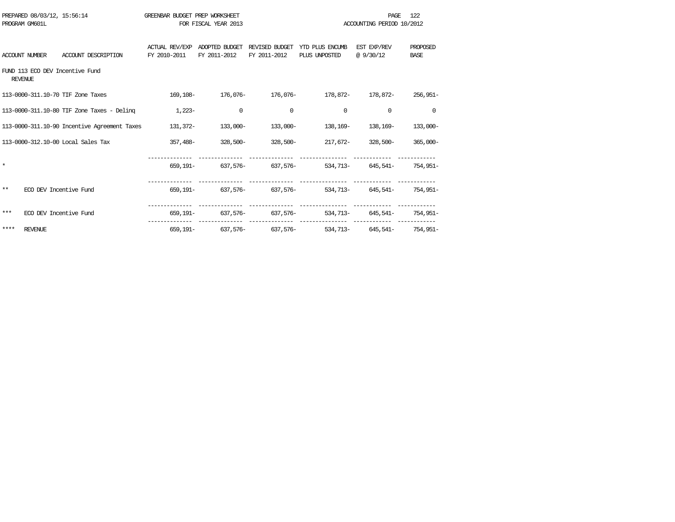|       | PREPARED 08/03/12, 15:56:14<br>PROGRAM GM601L |                                              | GREENBAR BUDGET PREP WORKSHEET | FOR FISCAL YEAR 2013           |                                |                                                                         | <b>PAGE</b><br>ACCOUNTING PERIOD 10/2012 | 122                            |
|-------|-----------------------------------------------|----------------------------------------------|--------------------------------|--------------------------------|--------------------------------|-------------------------------------------------------------------------|------------------------------------------|--------------------------------|
|       | ACCOUNT NUMBER                                | ACCOUNT DESCRIPTION                          | ACTUAL REV/EXP<br>FY 2010-2011 | ADOPTED BUDGET<br>FY 2011-2012 | REVISED BUDGET<br>FY 2011-2012 | YTD PLUS ENCUMB<br>PLUS UNPOSTED                                        | EST EXP/REV<br>@9/30/12                  | <b>PROPOSED</b><br><b>BASE</b> |
|       | <b>REVENUE</b>                                | FUND 113 ECO DEV Incentive Fund              |                                |                                |                                |                                                                         |                                          |                                |
|       |                                               | 113-0000-311.10-70 TIF Zone Taxes            |                                |                                |                                | 169,108- 176,076- 176,076- 178,872- 178,872-                            |                                          | $256,951-$                     |
|       |                                               | 113-0000-311.10-80 TIF Zone Taxes - Deling   | $1,223-$                       | $\Omega$                       | $\Omega$                       | $\Omega$                                                                | $\Omega$                                 | $\Omega$                       |
|       |                                               | 113-0000-311.10-90 Incentive Agreement Taxes |                                | $131,372 133,000-$             | $133,000-$                     | 138,169-                                                                | 138,169-                                 | 133,000-                       |
|       |                                               | 113-0000-312.10-00 Local Sales Tax           |                                |                                |                                |                                                                         |                                          | $365.000 -$                    |
|       |                                               |                                              |                                |                                |                                | $659.191 - 637.576 - 637.576 - 637.576 - 534.713 - 645.541 - 754.951 -$ |                                          |                                |
| $* *$ | ECO DEV Incentive Fund                        |                                              |                                |                                |                                | $659.191 - 637.576 - 637.576 - 637.576 - 534.713 - 645.541 - 754.951 -$ |                                          |                                |
| ***   | ECO DEV Incentive Fund                        |                                              |                                |                                |                                | 659,191- 637,576- 637,576- 534,713- 645,541- 754,951-                   |                                          |                                |
| ****  | <b>REVENUE</b>                                |                                              |                                |                                |                                | 659,191- 637,576- 637,576- 534,713- 645,541- 754,951-                   |                                          |                                |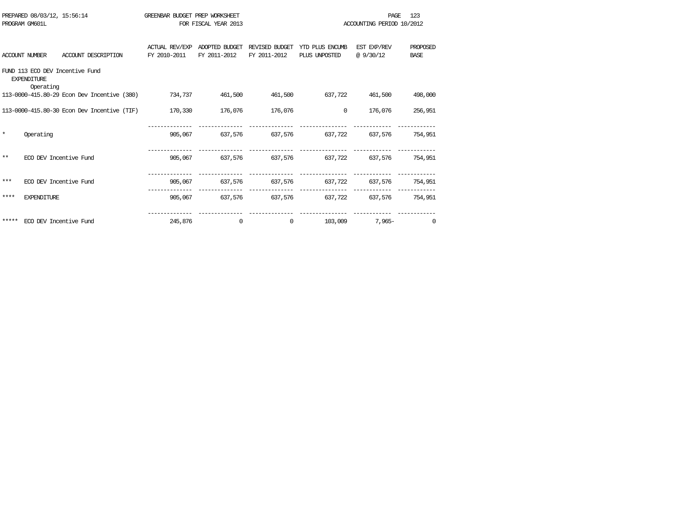|         | PREPARED 08/03/12, 15:56:14     |                                             | GREENBAR BUDGET PREP WORKSHEET |                      |                |                                         | PAGE                      | 123         |
|---------|---------------------------------|---------------------------------------------|--------------------------------|----------------------|----------------|-----------------------------------------|---------------------------|-------------|
|         | PROGRAM GM601L                  |                                             |                                | FOR FISCAL YEAR 2013 |                |                                         | ACCOUNTING PERIOD 10/2012 |             |
|         |                                 |                                             |                                |                      |                |                                         |                           |             |
|         |                                 |                                             | <b>ACTUAL REV/EXP</b>          | ADOPTED BUDGET       | REVISED BUDGET | YTD PLUS ENCUMB                         | EST EXP/REV               | PROPOSED    |
|         | <b>ACCOUNT NUMBER</b>           | ACCOUNT DESCRIPTION                         | FY 2010-2011                   | FY 2011-2012         | FY 2011-2012   | PLUS UNPOSTED                           | @ 9/30/12                 | <b>BASE</b> |
|         | <b>EXPENDITURE</b><br>Operating | FUND 113 ECO DEV Incentive Fund             |                                |                      |                |                                         |                           |             |
|         |                                 | 113-0000-415.80-29 Econ Dev Incentive (380) | 734,737                        | 461,500              | 461,500        | 637,722                                 | 461,500                   | 498,000     |
|         |                                 | 113-0000-415.80-30 Econ Dev Incentive (TIF) | 170,330                        | 176,076              | 176,076        | $\overline{0}$                          | 176,076                   | 256,951     |
|         |                                 |                                             |                                |                      |                |                                         |                           |             |
| $\star$ | Operating                       |                                             |                                |                      |                | 905,067 637,576 637,576 637,722 637,576 |                           | 754,951     |
|         |                                 |                                             |                                |                      |                |                                         |                           |             |
| $* *$   |                                 | ECO DEV Incentive Fund                      | 905,067                        |                      |                |                                         |                           | 754,951     |
|         |                                 |                                             |                                |                      |                |                                         |                           |             |
| ***     |                                 | ECO DEV Incentive Fund                      | 905,067                        | 637,576              | 637,576        | 637, 722 637, 576                       |                           | 754,951     |
| ****    | <b>EXPENDITURE</b>              |                                             |                                |                      |                | 905,067 637,576 637,576 637,722 637,576 |                           | 754,951     |
|         |                                 |                                             |                                |                      |                |                                         |                           |             |
|         | ***** ECO DEV Incentive Fund    |                                             | 245,876                        | $\mathbf 0$          | $\Omega$       | 103,009                                 | $7.965 -$                 | $\Omega$    |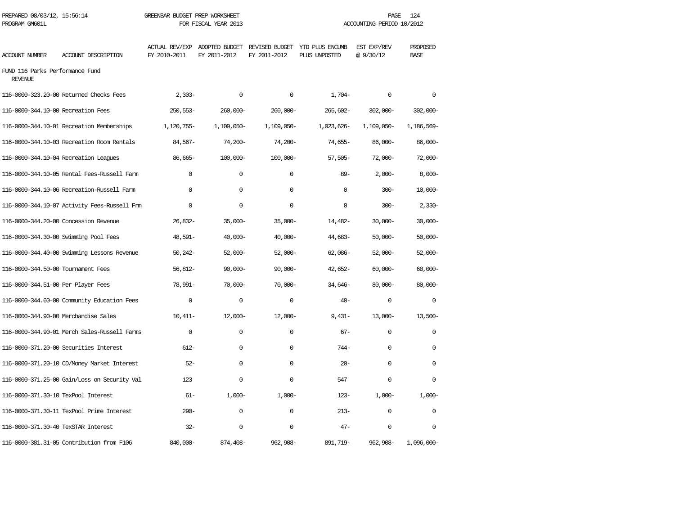| PREPARED 08/03/12, 15:56:14<br>PROGRAM GM601L     |                                              | GREENBAR BUDGET PREP WORKSHEET | FOR FISCAL YEAR 2013 |                                                                              |               | PAGE<br>ACCOUNTING PERIOD 10/2012 | 124                     |
|---------------------------------------------------|----------------------------------------------|--------------------------------|----------------------|------------------------------------------------------------------------------|---------------|-----------------------------------|-------------------------|
| <b>ACCOUNT NUMBER</b>                             | ACCOUNT DESCRIPTION                          | FY 2010-2011                   | FY 2011-2012         | ACTUAL REV/EXP ADOPTED BUDGET REVISED BUDGET YTD PLUS ENCUMB<br>FY 2011-2012 | PLUS UNPOSTED | EST EXP/REV<br>@9/30/12           | PROPOSED<br><b>BASE</b> |
| FUND 116 Parks Performance Fund<br><b>REVENUE</b> |                                              |                                |                      |                                                                              |               |                                   |                         |
|                                                   | 116-0000-323.20-00 Returned Checks Fees      | $2,303-$                       | $\Omega$             | $\mathbf 0$                                                                  | $1,704-$      | $\mathbf 0$                       | $\Omega$                |
| 116-0000-344.10-00 Recreation Fees                |                                              | $250,553-$                     | 260,000-             | $260,000 -$                                                                  | 265,602-      | $302,000 -$                       | $302,000 -$             |
|                                                   | 116-0000-344.10-01 Recreation Memberships    | 1,120,755-                     | 1,109,050-           | 1,109,050-                                                                   | 1,023,626-    | 1,109,050-                        | 1,186,569-              |
|                                                   | 116-0000-344.10-03 Recreation Room Rentals   | $84,567-$                      | $74.200 -$           | $74,200-$                                                                    | 74,655-       | $86,000 -$                        | $86,000 -$              |
|                                                   | 116-0000-344.10-04 Recreation Leagues        | 86,665-                        | $100,000 -$          | $100,000 -$                                                                  | $57,505-$     | $72,000-$                         | $72,000-$               |
|                                                   | 116-0000-344.10-05 Rental Fees-Russell Farm  | $\Omega$                       | $\Omega$             | $\Omega$                                                                     | $89 -$        | $2,000-$                          | $8,000-$                |
|                                                   | 116-0000-344.10-06 Recreation-Russell Farm   | $\mathbf 0$                    | $\mathbf 0$          | $\mathbf 0$                                                                  | $\mathbf 0$   | $300 -$                           | $10,000 -$              |
|                                                   | 116-0000-344.10-07 Activity Fees-Russell Frm | $\mathbf{0}$                   | $\mathbf 0$          | $\mathbf 0$                                                                  | $\mathbf 0$   | $300 -$                           | $2,330-$                |
|                                                   | 116-0000-344.20-00 Concession Revenue        | 26,832-                        | $35,000-$            | $35,000-$                                                                    | 14,482-       | $30,000 -$                        | $30,000 -$              |
|                                                   | 116-0000-344.30-00 Swimming Pool Fees        | 48,591-                        | $40,000-$            | $40,000 -$                                                                   | 44,683-       | $50,000 -$                        | $50,000 -$              |
|                                                   | 116-0000-344.40-00 Swimming Lessons Revenue  | $50,242-$                      | $52,000-$            | $52,000 -$                                                                   | $62,086-$     | $52,000 -$                        | $52,000-$               |
| 116-0000-344.50-00 Tournament Fees                |                                              | $56,812-$                      | $90,000 -$           | $90,000 -$                                                                   | $42,652-$     | $60,000 -$                        | $60,000 -$              |
| 116-0000-344.51-00 Per Player Fees                |                                              | 78,991-                        | $70,000 -$           | $70,000 -$                                                                   | 34,646-       | $80,000 -$                        | $80,000 -$              |
|                                                   | 116-0000-344.60-00 Community Education Fees  | $\mathbf{0}$                   | $\Omega$             | $\mathbf 0$                                                                  | $40 -$        | $\mathbf 0$                       | $\mathbf 0$             |
| 116-0000-344.90-00 Merchandise Sales              |                                              | $10,411-$                      | $12,000-$            | $12,000-$                                                                    | $9,431-$      | $13,000-$                         | $13,500-$               |
|                                                   | 116-0000-344.90-01 Merch Sales-Russell Farms | $\mathbf 0$                    | $\Omega$             | $\mathbf 0$                                                                  | $67-$         | $\Omega$                          | $\mathbf 0$             |
|                                                   | 116-0000-371.20-00 Securities Interest       | $612-$                         | $\Omega$             | $\Omega$                                                                     | $744-$        | $\Omega$                          | $\Omega$                |
|                                                   | 116-0000-371.20-10 CD/Money Market Interest  | $52 -$                         | $\Omega$             | $\Omega$                                                                     | $20 -$        | $\Omega$                          | $\Omega$                |
|                                                   | 116-0000-371.25-00 Gain/Loss on Security Val | 123                            | $\Omega$             | 0                                                                            | 547           | $\Omega$                          | $\Omega$                |
| 116-0000-371.30-10 TexPool Interest               |                                              | $61 -$                         | $1,000-$             | $1,000-$                                                                     | $123 -$       | $1,000-$                          | $1,000-$                |
|                                                   | 116-0000-371.30-11 TexPool Prime Interest    | $290 -$                        | $\mathbf 0$          | 0                                                                            | $213-$        | $\mathbf 0$                       | $\mathbf 0$             |
| 116-0000-371.30-40 TexSTAR Interest               |                                              | $32 -$                         | $\mathbf 0$          | $\mathbf 0$                                                                  | $47 -$        | $\mathbf 0$                       | 0                       |
|                                                   | 116-0000-381.31-05 Contribution from F106    | 840,000-                       | 874,408-             | 962,908-                                                                     | 891,719-      | 962,908-                          | $1,096,000 -$           |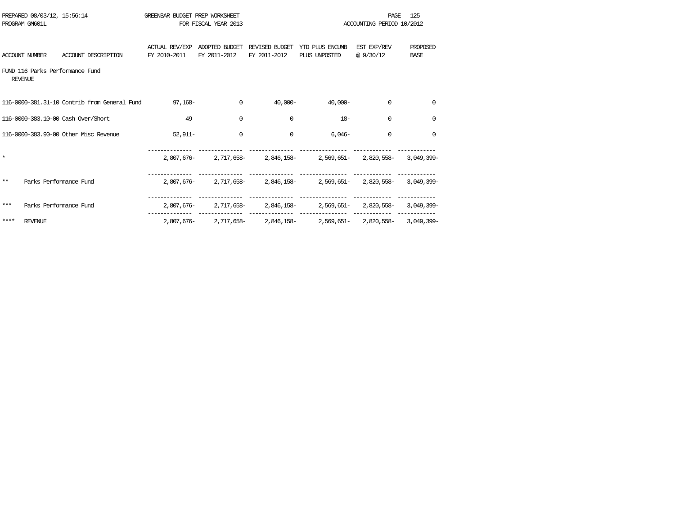|       | PREPARED 08/03/12, 15:56:14<br>PROGRAM GM601L |                                              | GREENBAR BUDGET PREP WORKSHEET | FOR FISCAL YEAR 2013           |                                |                                                                   | <b>PAGE</b><br>ACCOUNTING PERIOD 10/2012 | 125                     |
|-------|-----------------------------------------------|----------------------------------------------|--------------------------------|--------------------------------|--------------------------------|-------------------------------------------------------------------|------------------------------------------|-------------------------|
|       | <b>ACCOUNT NUMBER</b>                         | ACCOUNT DESCRIPTION                          | ACTUAL REV/EXP<br>FY 2010-2011 | ADOPTED BUDGET<br>FY 2011-2012 | REVISED BUDGET<br>FY 2011-2012 | YTD PLUS ENCUMB<br>PLUS UNPOSTED                                  | EST EXP/REV<br>@9/30/12                  | PROPOSED<br><b>BASE</b> |
|       | <b>REVENUE</b>                                | FUND 116 Parks Performance Fund              |                                |                                |                                |                                                                   |                                          |                         |
|       |                                               | 116-0000-381.31-10 Contrib from General Fund | $97,168-$                      | $\mathbf 0$                    | $40.000 -$                     | $40.000 -$                                                        | $\Omega$                                 | $\mathbf 0$             |
|       |                                               | 116-0000-383.10-00 Cash Over/Short           | 49                             | $\mathbf 0$                    | $\mathbf 0$                    | $18-$                                                             | 0                                        | $\mathbf 0$             |
|       |                                               | 116-0000-383.90-00 Other Misc Revenue        | $52.911-$                      | $\mathbf 0$                    | $\Omega$                       | $6.046-$                                                          | $\Omega$                                 | $\Omega$                |
|       |                                               |                                              |                                |                                |                                | 2,807,676- 2,717,658- 2,846,158- 2,569,651- 2,820,558- 3,049,399- |                                          |                         |
| $* *$ | Parks Performance Fund                        |                                              |                                |                                |                                | 2,807,676- 2,717,658- 2,846,158- 2,569,651- 2,820,558- 3,049,399- |                                          |                         |
| ***   | Parks Performance Fund                        |                                              |                                |                                |                                | 2,807,676-2,717,658-2,846,158-2,569,651-2,820,558-3,049,399-      |                                          |                         |
| ****  | <b>REVENUE</b>                                |                                              |                                |                                |                                | 2,807,676-2,717,658-2,846,158-2,569,651-2,820,558-3,049,399-      |                                          |                         |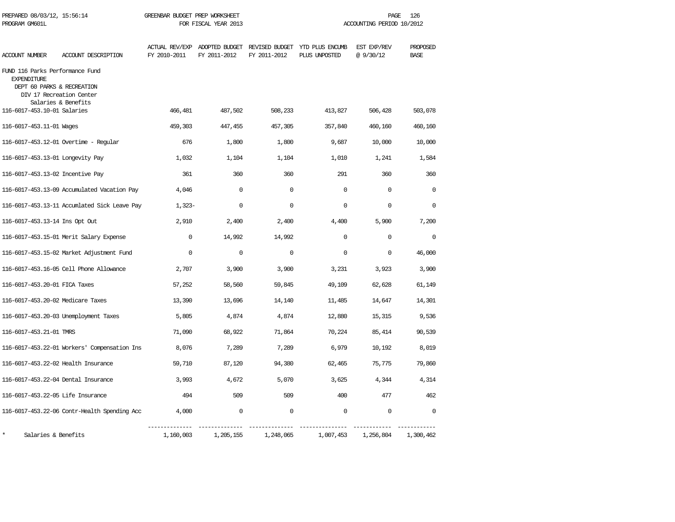| PREPARED 08/03/12, 15:56:14<br>PROGRAM GM601L                                                                   |                                              | GREENBAR BUDGET PREP WORKSHEET | FOR FISCAL YEAR 2013 |              |                                                                               | PAGE<br>ACCOUNTING PERIOD 10/2012 | 126                     |
|-----------------------------------------------------------------------------------------------------------------|----------------------------------------------|--------------------------------|----------------------|--------------|-------------------------------------------------------------------------------|-----------------------------------|-------------------------|
| ACCOUNT NUMBER                                                                                                  | ACCOUNT DESCRIPTION                          | FY 2010-2011                   | FY 2011-2012         | FY 2011-2012 | ACTUAL REV/EXP ADOPTED BUDGET REVISED BUDGET YTD PLUS ENCUMB<br>PLUS UNPOSTED | EST EXP/REV<br>@9/30/12           | PROPOSED<br><b>BASE</b> |
| FUND 116 Parks Performance Fund<br><b>EXPENDITURE</b><br>DEPT 60 PARKS & RECREATION<br>DIV 17 Recreation Center | Salaries & Benefits                          |                                |                      |              |                                                                               |                                   |                         |
| 116-6017-453.10-01 Salaries                                                                                     |                                              | 466,481                        | 487,502              | 508,233      | 413,827                                                                       | 506,428                           | 503,078                 |
| 116-6017-453.11-01 Wages                                                                                        |                                              | 459,303                        | 447,455              | 457,305      | 357,840                                                                       | 460,160                           | 460,160                 |
|                                                                                                                 | 116-6017-453.12-01 Overtime - Regular        | 676                            | 1,800                | 1,800        | 9,687                                                                         | 10,000                            | 10,000                  |
| 116-6017-453.13-01 Longevity Pay                                                                                |                                              | 1,032                          | 1,104                | 1,104        | 1,010                                                                         | 1,241                             | 1,584                   |
| 116-6017-453.13-02 Incentive Pay                                                                                |                                              | 361                            | 360                  | 360          | 291                                                                           | 360                               | 360                     |
|                                                                                                                 | 116-6017-453.13-09 Accumulated Vacation Pay  | 4,046                          | $\mathbf 0$          | $\mathbf 0$  | $\mathbf 0$                                                                   | $\mathbf 0$                       | $\Omega$                |
|                                                                                                                 | 116-6017-453.13-11 Accumlated Sick Leave Pay | $1,323-$                       | 0                    | 0            | 0                                                                             | 0                                 | 0                       |
| 116-6017-453.13-14 Ins Opt Out                                                                                  |                                              | 2,910                          | 2,400                | 2,400        | 4,400                                                                         | 5,900                             | 7,200                   |
|                                                                                                                 | 116-6017-453.15-01 Merit Salary Expense      | $\Omega$                       | 14,992               | 14,992       | $\Omega$                                                                      | $\Omega$                          | $\Omega$                |
|                                                                                                                 | 116-6017-453.15-02 Market Adjustment Fund    | $\mathbf 0$                    | $\mathsf 0$          | $\mathbf 0$  | 0                                                                             | $\mathbf 0$                       | 46,000                  |
|                                                                                                                 | 116-6017-453.16-05 Cell Phone Allowance      | 2,707                          | 3,900                | 3,900        | 3,231                                                                         | 3,923                             | 3,900                   |
| 116-6017-453.20-01 FICA Taxes                                                                                   |                                              | 57,252                         | 58,560               | 59,845       | 49,109                                                                        | 62,628                            | 61,149                  |
| 116-6017-453.20-02 Medicare Taxes                                                                               |                                              | 13,390                         | 13,696               | 14,140       | 11,485                                                                        | 14,647                            | 14,301                  |
|                                                                                                                 | 116-6017-453.20-03 Unemployment Taxes        | 5,805                          | 4,874                | 4,874        | 12,880                                                                        | 15,315                            | 9,536                   |
| 116-6017-453.21-01 TMRS                                                                                         |                                              | 71,090                         | 68,922               | 71,864       | 70,224                                                                        | 85,414                            | 90,539                  |
|                                                                                                                 | 116-6017-453.22-01 Workers' Compensation Ins | 8,076                          | 7,289                | 7,289        | 6,979                                                                         | 10,192                            | 8,019                   |
| 116-6017-453.22-02 Health Insurance                                                                             |                                              | 59,710                         | 87,120               | 94,380       | 62,465                                                                        | 75,775                            | 79,860                  |
| 116-6017-453.22-04 Dental Insurance                                                                             |                                              | 3,993                          | 4,672                | 5,070        | 3,625                                                                         | 4,344                             | 4,314                   |
| 116-6017-453.22-05 Life Insurance                                                                               |                                              | 494                            | 509                  | 509          | 400                                                                           | 477                               | 462                     |
|                                                                                                                 | 116-6017-453.22-06 Contr-Health Spending Acc | 4,000                          | $\mathbf 0$          | $\mathbf 0$  | $\mathbf 0$                                                                   | 0                                 | $\mathbf 0$             |
| $\star$<br>Salaries & Benefits                                                                                  |                                              | 1,160,003                      | 1,205,155            | 1,248,065    | 1,007,453                                                                     | 1,256,804                         | 1,300,462               |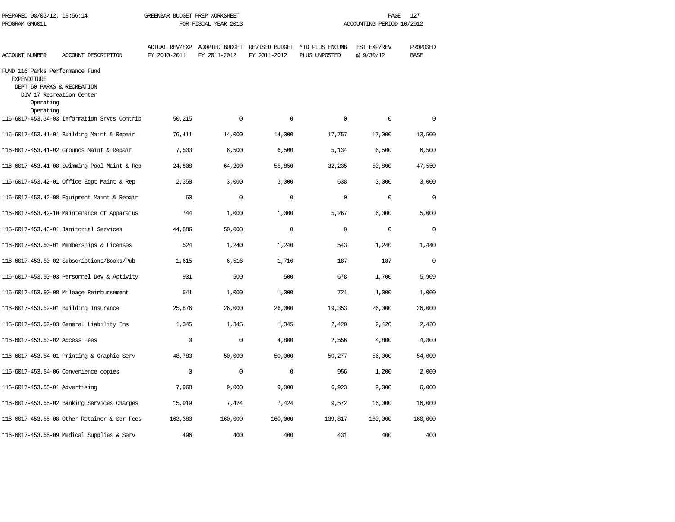| PROGRAM GM601L                                                                  |                                                        | FOR FISCAL YEAR 2013                  |                                               |                | ACCOUNTING PERIOD 10/2012        |                         |                         |  |
|---------------------------------------------------------------------------------|--------------------------------------------------------|---------------------------------------|-----------------------------------------------|----------------|----------------------------------|-------------------------|-------------------------|--|
| <b>ACCOUNT NUMBER</b>                                                           | ACCOUNT DESCRIPTION                                    | <b>ACTUAL REV/EXP</b><br>FY 2010-2011 | ADOPTED BUDGET REVISED BUDGET<br>FY 2011-2012 | FY 2011-2012   | YTD PLUS ENCUMB<br>PLUS UNPOSTED | EST EXP/REV<br>@9/30/12 | PROPOSED<br><b>BASE</b> |  |
| FUND 116 Parks Performance Fund<br><b>EXPENDITURE</b><br>Operating<br>Operating | DEPT 60 PARKS & RECREATION<br>DIV 17 Recreation Center |                                       |                                               |                |                                  |                         |                         |  |
|                                                                                 | 116-6017-453.34-03 Information Srvcs Contrib           | 50,215                                | $\Omega$                                      | $\Omega$       | $\Omega$                         | $\Omega$                | $\Omega$                |  |
|                                                                                 | 116-6017-453.41-01 Building Maint & Repair             | 76,411                                | 14,000                                        | 14,000         | 17,757                           | 17,000                  | 13,500                  |  |
|                                                                                 | 116-6017-453.41-02 Grounds Maint & Repair              | 7,503                                 | 6,500                                         | 6,500          | 5,134                            | 6,500                   | 6,500                   |  |
|                                                                                 | 116-6017-453.41-08 Swimming Pool Maint & Rep           | 24,808                                | 64,200                                        | 55,850         | 32,235                           | 50,800                  | 47,550                  |  |
|                                                                                 | 116-6017-453.42-01 Office Eqpt Maint & Rep             | 2,358                                 | 3,000                                         | 3,000          | 638                              | 3,000                   | 3,000                   |  |
|                                                                                 | 116-6017-453.42-08 Equipment Maint & Repair            | 60                                    | 0                                             | $\mathbf 0$    | $\mathbf 0$                      | 0                       | $\mathbf 0$             |  |
|                                                                                 | 116-6017-453.42-10 Maintenance of Apparatus            | 744                                   | 1,000                                         | 1,000          | 5,267                            | 6,000                   | 5,000                   |  |
|                                                                                 | 116-6017-453.43-01 Janitorial Services                 | 44,886                                | 50,000                                        | $\overline{0}$ | $\Omega$                         | 0                       | $\mathbf 0$             |  |
|                                                                                 | 116-6017-453.50-01 Memberships & Licenses              | 524                                   | 1,240                                         | 1,240          | 543                              | 1,240                   | 1,440                   |  |
|                                                                                 | 116-6017-453.50-02 Subscriptions/Books/Pub             | 1,615                                 | 6,516                                         | 1,716          | 187                              | 187                     | $\Omega$                |  |
|                                                                                 | 116-6017-453.50-03 Personnel Dev & Activity            | 931                                   | 500                                           | 500            | 678                              | 1,700                   | 5,909                   |  |
|                                                                                 | 116-6017-453.50-08 Mileage Reimbursement               | 541                                   | 1,000                                         | 1,000          | 721                              | 1,000                   | 1,000                   |  |
|                                                                                 | 116-6017-453.52-01 Building Insurance                  | 25,876                                | 26,000                                        | 26,000         | 19,353                           | 26,000                  | 26,000                  |  |
|                                                                                 | 116-6017-453.52-03 General Liability Ins               | 1,345                                 | 1,345                                         | 1,345          | 2,420                            | 2,420                   | 2,420                   |  |
| 116-6017-453.53-02 Access Fees                                                  |                                                        | $\Omega$                              | $\Omega$                                      | 4,800          | 2,556                            | 4,800                   | 4,800                   |  |
|                                                                                 | 116-6017-453.54-01 Printing & Graphic Serv             | 48,783                                | 50,000                                        | 50,000         | 50,277                           | 56,000                  | 54,000                  |  |
|                                                                                 | 116-6017-453.54-06 Convenience copies                  | $\mathbf 0$                           | 0                                             | $\mathbf 0$    | 956                              | 1,200                   | 2,000                   |  |
| 116-6017-453.55-01 Advertising                                                  |                                                        | 7,968                                 | 9,000                                         | 9,000          | 6,923                            | 9,000                   | 6,000                   |  |
|                                                                                 | 116-6017-453.55-02 Banking Services Charges            | 15,919                                | 7,424                                         | 7,424          | 9,572                            | 16,000                  | 16,000                  |  |
|                                                                                 | 116-6017-453.55-08 Other Retainer & Ser Fees           | 163,380                               | 160,000                                       | 160,000        | 139,817                          | 160,000                 | 160,000                 |  |
|                                                                                 | 116-6017-453.55-09 Medical Supplies & Serv             | 496                                   | 400                                           | 400            | 431                              | 400                     | 400                     |  |

PREPARED 08/03/12, 15:56:14 GREENBAR BUDGET PREP WORKSHEET **FREED AGE 127** PAGE 127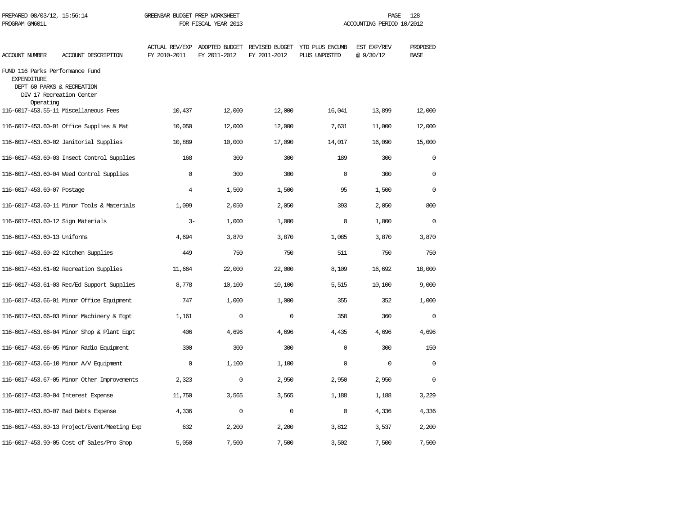| PREPARED 08/03/12, 15:56:14<br>PROGRAM GM601L                                                    |                                              | GREENBAR BUDGET PREP WORKSHEET<br>FOR FISCAL YEAR 2013 |              |              | 128<br>PAGE<br>ACCOUNTING PERIOD 10/2012                                      |                         |                         |  |
|--------------------------------------------------------------------------------------------------|----------------------------------------------|--------------------------------------------------------|--------------|--------------|-------------------------------------------------------------------------------|-------------------------|-------------------------|--|
| <b>ACCOUNT NUMBER</b>                                                                            | ACCOUNT DESCRIPTION                          | FY 2010-2011                                           | FY 2011-2012 | FY 2011-2012 | ACTUAL REV/EXP ADOPTED BUDGET REVISED BUDGET YTD PLUS ENCUMB<br>PLUS UNPOSTED | EST EXP/REV<br>@9/30/12 | PROPOSED<br><b>BASE</b> |  |
| FUND 116 Parks Performance Fund<br><b>EXPENDITURE</b><br>DEPT 60 PARKS & RECREATION<br>Operating | DIV 17 Recreation Center                     |                                                        |              |              |                                                                               |                         |                         |  |
|                                                                                                  | 116-6017-453.55-11 Miscellaneous Fees        | 10,437                                                 | 12,000       | 12,000       | 16,041                                                                        | 13,899                  | 12,000                  |  |
|                                                                                                  | 116-6017-453.60-01 Office Supplies & Mat     | 10,050                                                 | 12,000       | 12,000       | 7,631                                                                         | 11,000                  | 12,000                  |  |
|                                                                                                  | 116-6017-453.60-02 Janitorial Supplies       | 10,889                                                 | 10,000       | 17,090       | 14,017                                                                        | 16,090                  | 15,000                  |  |
|                                                                                                  | 116-6017-453.60-03 Insect Control Supplies   | 168                                                    | 300          | 300          | 189                                                                           | 300                     | $\mathbf 0$             |  |
|                                                                                                  | 116-6017-453.60-04 Weed Control Supplies     | $\mathbf 0$                                            | 300          | 300          | $\mathbf 0$                                                                   | 300                     | $\mathbf 0$             |  |
| 116-6017-453.60-07 Postage                                                                       |                                              | $\overline{4}$                                         | 1,500        | 1,500        | 95                                                                            | 1,500                   | $\mathbf 0$             |  |
|                                                                                                  | 116-6017-453.60-11 Minor Tools & Materials   | 1,099                                                  | 2,050        | 2,050        | 393                                                                           | 2,050                   | 800                     |  |
| 116-6017-453.60-12 Sign Materials                                                                |                                              | $3 -$                                                  | 1,000        | 1,000        | $\Omega$                                                                      | 1,000                   | $\Omega$                |  |
| 116-6017-453.60-13 Uniforms                                                                      |                                              | 4,694                                                  | 3,870        | 3,870        | 1,085                                                                         | 3,870                   | 3,870                   |  |
| 116-6017-453.60-22 Kitchen Supplies                                                              |                                              | 449                                                    | 750          | 750          | 511                                                                           | 750                     | 750                     |  |
|                                                                                                  | 116-6017-453.61-02 Recreation Supplies       | 11,664                                                 | 22,000       | 22,000       | 8,109                                                                         | 16,692                  | 18,000                  |  |
|                                                                                                  | 116-6017-453.61-03 Rec/Ed Support Supplies   | 8,778                                                  | 10,100       | 10,100       | 5,515                                                                         | 10,100                  | 9,000                   |  |
|                                                                                                  | 116-6017-453.66-01 Minor Office Equipment    | 747                                                    | 1,000        | 1,000        | 355                                                                           | 352                     | 1,000                   |  |
|                                                                                                  | 116-6017-453.66-03 Minor Machinery & Eqpt    | 1,161                                                  | $\mathsf 0$  | $\mathsf 0$  | 358                                                                           | 360                     | $\mathbf 0$             |  |
|                                                                                                  | 116-6017-453.66-04 Minor Shop & Plant Eqpt   | 406                                                    | 4,696        | 4,696        | 4,435                                                                         | 4,696                   | 4,696                   |  |
|                                                                                                  | 116-6017-453.66-05 Minor Radio Equipment     | 300                                                    | 300          | 300          | $\mathbf 0$                                                                   | 300                     | 150                     |  |
|                                                                                                  | 116-6017-453.66-10 Minor A/V Equipment       | $\Omega$                                               | 1,100        | 1,100        | $\Omega$                                                                      | $\mathbf 0$             | $\mathbf 0$             |  |
|                                                                                                  | 116-6017-453.67-05 Minor Other Improvements  | 2,323                                                  | $\Omega$     | 2,950        | 2,950                                                                         | 2,950                   | $\Omega$                |  |
| 116-6017-453.80-04 Interest Expense                                                              |                                              | 11,750                                                 | 3,565        | 3,565        | 1,188                                                                         | 1,188                   | 3,229                   |  |
|                                                                                                  | 116-6017-453.80-07 Bad Debts Expense         | 4,336                                                  | 0            | 0            | $\Omega$                                                                      | 4,336                   | 4,336                   |  |
|                                                                                                  | 116-6017-453.80-13 Project/Event/Meeting Exp | 632                                                    | 2,200        | 2,200        | 3,812                                                                         | 3,537                   | 2,200                   |  |
|                                                                                                  | 116-6017-453.90-05 Cost of Sales/Pro Shop    | 5,050                                                  | 7,500        | 7,500        | 3,502                                                                         | 7,500                   | 7,500                   |  |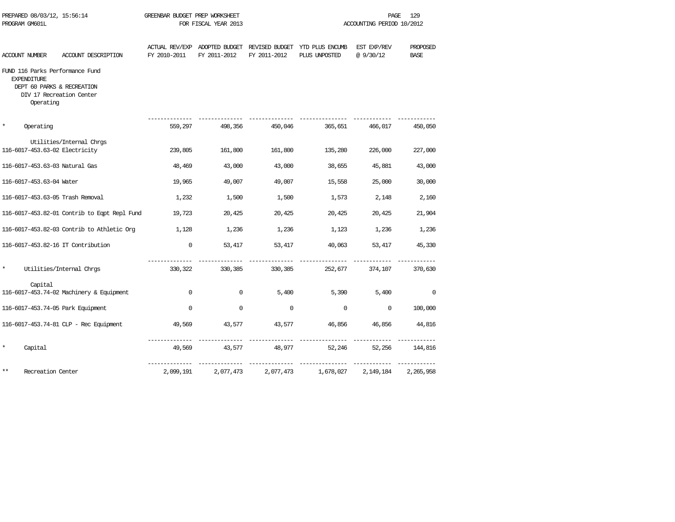| PROGRAM GM601L     | PREPARED 08/03/12, 15:56:14 |                                                                                           | GREENBAR BUDGET PREP WORKSHEET | FOR FISCAL YEAR 2013 |              |                                                                               | PAGE<br>ACCOUNTING PERIOD 10/2012 | 129                      |
|--------------------|-----------------------------|-------------------------------------------------------------------------------------------|--------------------------------|----------------------|--------------|-------------------------------------------------------------------------------|-----------------------------------|--------------------------|
| ACCOUNT NUMBER     |                             | ACCOUNT DESCRIPTION                                                                       | FY 2010-2011                   | FY 2011-2012         | FY 2011-2012 | ACTUAL REV/EXP ADOPTED BUDGET REVISED BUDGET YTD PLUS ENCUMB<br>PLUS UNPOSTED | EST EXP/REV<br>@9/30/12           | PROPOSED<br><b>BASE</b>  |
| <b>EXPENDITURE</b> | Operating                   | FUND 116 Parks Performance Fund<br>DEPT 60 PARKS & RECREATION<br>DIV 17 Recreation Center |                                |                      |              |                                                                               |                                   |                          |
| $\star$            | Operating                   |                                                                                           | 559,297                        | 498,356              | 450,046      | 365,651                                                                       | 466,017                           | 450,050                  |
|                    |                             | Utilities/Internal Chrgs<br>116-6017-453.63-02 Electricity                                | 239,805                        | 161,800              | 161,800      | 135,280                                                                       | 226,000                           | 227,000                  |
|                    |                             | 116-6017-453.63-03 Natural Gas                                                            | 48,469                         | 43,000               | 43,000       | 38,655                                                                        | 45,881                            | 43,000                   |
|                    | 116-6017-453.63-04 Water    |                                                                                           | 19,965                         | 49,007               | 49,007       | 15,558                                                                        | 25,000                            | 30,000                   |
|                    |                             | 116-6017-453.63-05 Trash Removal                                                          | 1,232                          | 1,500                | 1,500        | 1,573                                                                         | 2,148                             | 2,160                    |
|                    |                             | 116-6017-453.82-01 Contrib to Eqpt Repl Fund                                              | 19,723                         | 20,425               | 20,425       | 20,425                                                                        | 20,425                            | 21,904                   |
|                    |                             | 116-6017-453.82-03 Contrib to Athletic Org                                                | 1,128                          | 1,236                | 1,236        | 1,123                                                                         | 1,236                             | 1,236                    |
|                    |                             | 116-6017-453.82-16 IT Contribution                                                        | $\mathbf 0$                    | 53,417               | 53,417       | 40,063                                                                        | 53,417                            | 45,330                   |
| $\star$            |                             | Utilities/Internal Chrgs                                                                  | 330,322                        | 330,385              | 330,385      | 252,677                                                                       | 374,107                           | 370,630                  |
|                    | Capital                     | 116-6017-453.74-02 Machinery & Equipment                                                  | $\Omega$                       | 0                    | 5,400        | 5,390                                                                         | 5,400                             | $\overline{\phantom{0}}$ |
|                    |                             | 116-6017-453.74-05 Park Equipment                                                         | $\Omega$                       | $\Omega$             | $\mathbf 0$  | $\mathbf 0$                                                                   | $\Omega$                          | 100,000                  |
|                    |                             | 116-6017-453.74-81 CLP - Rec Equipment                                                    | 49,569                         | 43,577               | 43,577       | 46,856                                                                        | 46,856                            | 44,816                   |
| $\star$            | Capital                     |                                                                                           | 49,569                         | 43,577               | 48,977       | 52,246                                                                        | 52,256                            | 144,816                  |
| $***$              | Recreation Center           |                                                                                           | 2,099,191                      | 2,077,473            | 2,077,473    | 1,678,027                                                                     | 2,149,184                         | 2,265,958                |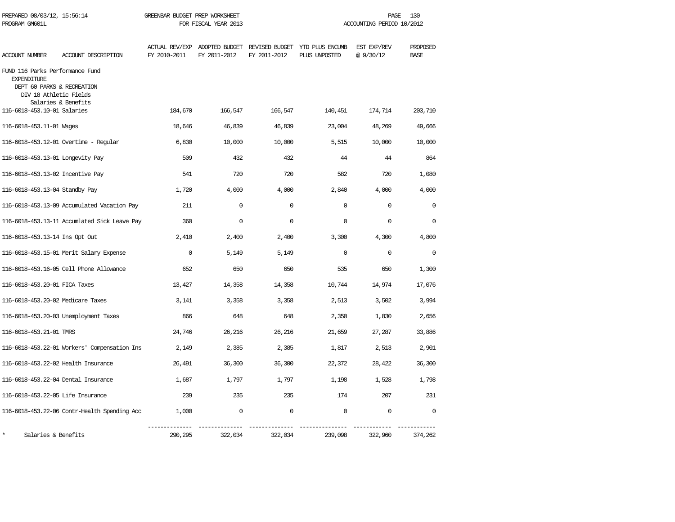| PREPARED 08/03/12, 15:56:14<br>PROGRAM GM601L                                                                 |                                              | GREENBAR BUDGET PREP WORKSHEET | FOR FISCAL YEAR 2013 |              |                                                                               |                         | PAGE<br>130<br>ACCOUNTING PERIOD 10/2012 |  |
|---------------------------------------------------------------------------------------------------------------|----------------------------------------------|--------------------------------|----------------------|--------------|-------------------------------------------------------------------------------|-------------------------|------------------------------------------|--|
| <b>ACCOUNT NUMBER</b>                                                                                         | ACCOUNT DESCRIPTION                          | FY 2010-2011                   | FY 2011-2012         | FY 2011-2012 | ACTUAL REV/EXP ADOPTED BUDGET REVISED BUDGET YTD PLUS ENCUMB<br>PLUS UNPOSTED | EST EXP/REV<br>@9/30/12 | PROPOSED<br><b>BASE</b>                  |  |
| FUND 116 Parks Performance Fund<br><b>EXPENDITURE</b><br>DEPT 60 PARKS & RECREATION<br>DIV 18 Athletic Fields | Salaries & Benefits                          |                                |                      |              |                                                                               |                         |                                          |  |
| 116-6018-453.10-01 Salaries                                                                                   |                                              | 184,670                        | 166,547              | 166,547      | 140,451                                                                       | 174,714                 | 203,710                                  |  |
| 116-6018-453.11-01 Wages                                                                                      |                                              | 18,646                         | 46,839               | 46,839       | 23,004                                                                        | 48,269                  | 49,666                                   |  |
|                                                                                                               | 116-6018-453.12-01 Overtime - Regular        | 6,830                          | 10,000               | 10,000       | 5,515                                                                         | 10,000                  | 10,000                                   |  |
| 116-6018-453.13-01 Longevity Pay                                                                              |                                              | 509                            | 432                  | 432          | 44                                                                            | 44                      | 864                                      |  |
| 116-6018-453.13-02 Incentive Pay                                                                              |                                              | 541                            | 720                  | 720          | 582                                                                           | 720                     | 1,080                                    |  |
| 116-6018-453.13-04 Standby Pay                                                                                |                                              | 1,720                          | 4,000                | 4,000        | 2,840                                                                         | 4,000                   | 4,000                                    |  |
|                                                                                                               | 116-6018-453.13-09 Accumulated Vacation Pay  | 211                            | $\Omega$             | $\Omega$     | $\Omega$                                                                      | $\Omega$                | $\Omega$                                 |  |
|                                                                                                               | 116-6018-453.13-11 Accumlated Sick Leave Pay | 360                            | $\Omega$             | $\Omega$     | $\Omega$                                                                      | $\Omega$                | $\Omega$                                 |  |
| 116-6018-453.13-14 Ins Opt Out                                                                                |                                              | 2,410                          | 2,400                | 2,400        | 3,300                                                                         | 4,300                   | 4,800                                    |  |
|                                                                                                               | 116-6018-453.15-01 Merit Salary Expense      | $\mathbf 0$                    | 5,149                | 5,149        | $\Omega$                                                                      | $\mathbf 0$             | $\Omega$                                 |  |
|                                                                                                               | 116-6018-453.16-05 Cell Phone Allowance      | 652                            | 650                  | 650          | 535                                                                           | 650                     | 1,300                                    |  |
| 116-6018-453.20-01 FICA Taxes                                                                                 |                                              | 13,427                         | 14,358               | 14,358       | 10,744                                                                        | 14,974                  | 17,076                                   |  |
| 116-6018-453.20-02 Medicare Taxes                                                                             |                                              | 3,141                          | 3,358                | 3,358        | 2,513                                                                         | 3,502                   | 3,994                                    |  |
|                                                                                                               | 116-6018-453.20-03 Unemployment Taxes        | 866                            | 648                  | 648          | 2,350                                                                         | 1,830                   | 2,656                                    |  |
| 116-6018-453.21-01 TMRS                                                                                       |                                              | 24,746                         | 26,216               | 26,216       | 21,659                                                                        | 27,287                  | 33,886                                   |  |
|                                                                                                               | 116-6018-453.22-01 Workers' Compensation Ins | 2,149                          | 2,385                | 2,385        | 1,817                                                                         | 2,513                   | 2,901                                    |  |
| 116-6018-453.22-02 Health Insurance                                                                           |                                              | 26,491                         | 36,300               | 36,300       | 22,372                                                                        | 28,422                  | 36,300                                   |  |
| 116-6018-453.22-04 Dental Insurance                                                                           |                                              | 1,687                          | 1,797                | 1,797        | 1,198                                                                         | 1,528                   | 1,798                                    |  |
| 116-6018-453.22-05 Life Insurance                                                                             |                                              | 239                            | 235                  | 235          | 174                                                                           | 207                     | 231                                      |  |
|                                                                                                               | 116-6018-453.22-06 Contr-Health Spending Acc | 1,000                          | 0                    | 0            | $\mathbf 0$                                                                   | 0                       | $\Omega$                                 |  |
| Salaries & Benefits                                                                                           |                                              | 290,295                        | 322,034              | 322,034      | 239,098                                                                       | 322,960                 | 374,262                                  |  |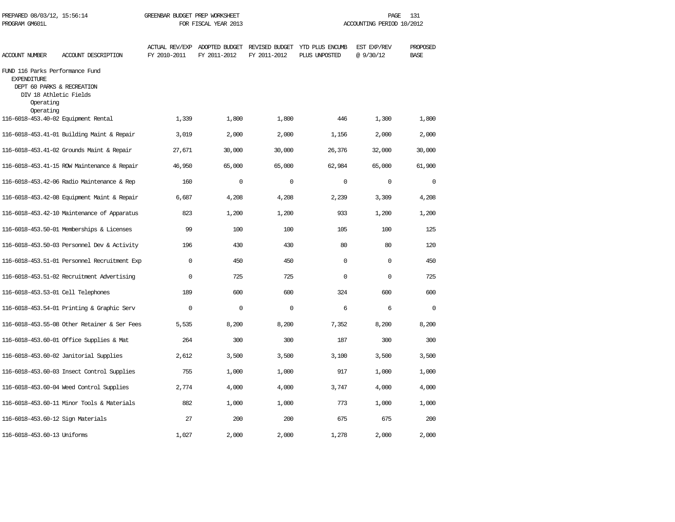| PREPARED 08/03/12, 15:56:14<br>PROGRAM GM601L                                                                              |                                              | GREENBAR BUDGET PREP WORKSHEET        | FOR FISCAL YEAR 2013           |                                | 131<br>PAGE<br>ACCOUNTING PERIOD 10/2012 |                         |                         |  |
|----------------------------------------------------------------------------------------------------------------------------|----------------------------------------------|---------------------------------------|--------------------------------|--------------------------------|------------------------------------------|-------------------------|-------------------------|--|
| ACCOUNT NUMBER                                                                                                             | ACCOUNT DESCRIPTION                          | <b>ACTUAL REV/EXP</b><br>FY 2010-2011 | ADOPTED BUDGET<br>FY 2011-2012 | REVISED BUDGET<br>FY 2011-2012 | YTD PLUS ENCUMB<br>PLUS UNPOSTED         | EST EXP/REV<br>@9/30/12 | PROPOSED<br><b>BASE</b> |  |
| FUND 116 Parks Performance Fund<br><b>EXPENDITURE</b><br>DEPT 60 PARKS & RECREATION<br>DIV 18 Athletic Fields<br>Operating |                                              |                                       |                                |                                |                                          |                         |                         |  |
| Operating<br>116-6018-453.40-02 Equipment Rental                                                                           |                                              | 1,339                                 | 1,800                          | 1,800                          | 446                                      | 1,300                   | 1,800                   |  |
|                                                                                                                            | 116-6018-453.41-01 Building Maint & Repair   | 3,019                                 | 2,000                          | 2,000                          | 1,156                                    | 2,000                   | 2,000                   |  |
|                                                                                                                            | 116-6018-453.41-02 Grounds Maint & Repair    | 27,671                                | 30,000                         | 30,000                         | 26,376                                   | 32,000                  | 30,000                  |  |
|                                                                                                                            | 116-6018-453.41-15 ROW Maintenance & Repair  | 46,950                                | 65,000                         | 65,000                         | 62,984                                   | 65,000                  | 61,900                  |  |
|                                                                                                                            | 116-6018-453.42-06 Radio Maintenance & Rep   | 160                                   | $\Omega$                       | $\Omega$                       | $\Omega$                                 | $\Omega$                | $\Omega$                |  |
|                                                                                                                            | 116-6018-453.42-08 Equipment Maint & Repair  | 6,687                                 | 4,208                          | 4,208                          | 2,239                                    | 3,309                   | 4,208                   |  |
|                                                                                                                            | 116-6018-453.42-10 Maintenance of Apparatus  | 823                                   | 1,200                          | 1,200                          | 933                                      | 1,200                   | 1,200                   |  |
|                                                                                                                            | 116-6018-453.50-01 Memberships & Licenses    | 99                                    | 100                            | 100                            | 105                                      | 100                     | 125                     |  |
|                                                                                                                            | 116-6018-453.50-03 Personnel Dev & Activity  | 196                                   | 430                            | 430                            | 80                                       | 80                      | 120                     |  |
|                                                                                                                            | 116-6018-453.51-01 Personnel Recruitment Exp | $\Omega$                              | 450                            | 450                            | $\Omega$                                 | $\mathbf 0$             | 450                     |  |
|                                                                                                                            | 116-6018-453.51-02 Recruitment Advertising   | $\Omega$                              | 725                            | 725                            | $\Omega$                                 | $\Omega$                | 725                     |  |
| 116-6018-453.53-01 Cell Telephones                                                                                         |                                              | 189                                   | 600                            | 600                            | 324                                      | 600                     | 600                     |  |
|                                                                                                                            | 116-6018-453.54-01 Printing & Graphic Serv   | $\mathbf 0$                           | $\mathbf 0$                    | $\mathbf 0$                    | 6                                        | 6                       | $\mathbf 0$             |  |
|                                                                                                                            | 116-6018-453.55-08 Other Retainer & Ser Fees | 5,535                                 | 8,200                          | 8,200                          | 7,352                                    | 8,200                   | 8,200                   |  |
|                                                                                                                            | 116-6018-453.60-01 Office Supplies & Mat     | 264                                   | 300                            | 300                            | 187                                      | 300                     | 300                     |  |
|                                                                                                                            | 116-6018-453.60-02 Janitorial Supplies       | 2,612                                 | 3,500                          | 3,500                          | 3,100                                    | 3,500                   | 3,500                   |  |
|                                                                                                                            | 116-6018-453.60-03 Insect Control Supplies   | 755                                   | 1,000                          | 1,000                          | 917                                      | 1,000                   | 1,000                   |  |
|                                                                                                                            | 116-6018-453.60-04 Weed Control Supplies     | 2,774                                 | 4,000                          | 4,000                          | 3,747                                    | 4,000                   | 4,000                   |  |
|                                                                                                                            | 116-6018-453.60-11 Minor Tools & Materials   | 882                                   | 1,000                          | 1,000                          | 773                                      | 1,000                   | 1,000                   |  |
| 116-6018-453.60-12 Sign Materials                                                                                          |                                              | 27                                    | 200                            | 200                            | 675                                      | 675                     | 200                     |  |
| 116-6018-453.60-13 Uniforms                                                                                                |                                              | 1,027                                 | 2,000                          | 2,000                          | 1,278                                    | 2,000                   | 2,000                   |  |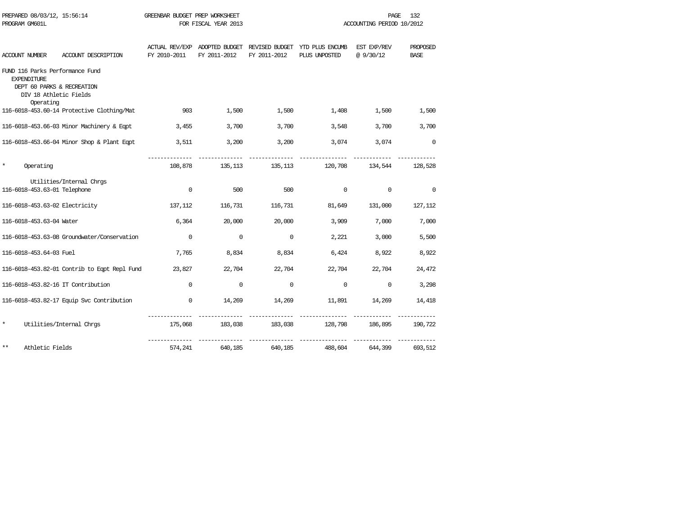| PREPARED 08/03/12, 15:56:14<br>PROGRAM GM601L                      |                                                      | GREENBAR BUDGET PREP WORKSHEET | FOR FISCAL YEAR 2013 |                  |                                                                          | PAGE<br>ACCOUNTING PERIOD 10/2012 | 132         |
|--------------------------------------------------------------------|------------------------------------------------------|--------------------------------|----------------------|------------------|--------------------------------------------------------------------------|-----------------------------------|-------------|
|                                                                    |                                                      |                                |                      |                  | ACTUAL REV/EXP ADOPTED BUDGET REVISED BUDGET YTD PLUS ENCUMB EST EXP/REV |                                   | PROPOSED    |
| ACCOUNT NUMBER                                                     | ACCOUNT DESCRIPTION                                  | FY 2010-2011                   | FY 2011-2012         | FY 2011-2012     | PLUS UNPOSTED                                                            | @9/30/12                          | <b>BASE</b> |
| FUND 116 Parks Performance Fund<br><b>EXPENDITURE</b><br>Operating | DEPT 60 PARKS & RECREATION<br>DIV 18 Athletic Fields |                                |                      |                  |                                                                          |                                   |             |
|                                                                    | 116-6018-453.60-14 Protective Clothing/Mat           | 903                            | 1,500                | 1,500            | 1,408                                                                    | 1,500                             | 1,500       |
|                                                                    | 116-6018-453.66-03 Minor Machinery & Eqpt            | 3,455                          | 3,700                | 3,700            | 3,548                                                                    | 3,700                             | 3,700       |
|                                                                    | 116-6018-453.66-04 Minor Shop & Plant Eqpt           | 3,511                          |                      | 3,200<br>3,200   | 3,074                                                                    | 3,074                             | $\Omega$    |
| $\star$<br>Operating                                               |                                                      | 108,878                        | 135,113              | 135,113          | 120,708                                                                  | 134,544                           | 128,528     |
|                                                                    | Utilities/Internal Chrgs                             |                                |                      |                  |                                                                          |                                   |             |
| 116-6018-453.63-01 Telephone                                       |                                                      | $\mathbf 0$                    | 500                  | 500              | $\mathbf 0$                                                              | $\mathbf 0$                       | $\mathbf 0$ |
| 116-6018-453.63-02 Electricity                                     |                                                      | 137,112                        | 116,731              | 116,731          | 81,649                                                                   | 131,000                           | 127,112     |
| 116-6018-453.63-04 Water                                           |                                                      | 6,364                          | 20,000               | 20,000           | 3,909                                                                    | 7,000                             | 7,000       |
|                                                                    | 116-6018-453.63-08 Groundwater/Conservation          | $\Omega$                       | $\Omega$             | $\Omega$         | 2,221                                                                    | 3,000                             | 5,500       |
| 116-6018-453.64-03 Fuel                                            |                                                      | 7,765                          | 8,834                | 8,834            | 6,424                                                                    | 8,922                             | 8,922       |
|                                                                    | 116-6018-453.82-01 Contrib to Eqpt Repl Fund         | 23,827                         |                      | 22,704<br>22,704 | 22,704                                                                   | 22,704                            | 24,472      |
|                                                                    | 116-6018-453.82-16 IT Contribution                   | 0                              | $\mathbf 0$          | $\mathbf 0$      | $\mathbf 0$                                                              | 0                                 | 3,298       |
|                                                                    | 116-6018-453.82-17 Equip Svc Contribution            | $\overline{0}$                 | 14,269               | 14,269           |                                                                          | 11,891 14,269                     | 14,418      |
| $\star$                                                            | Utilities/Internal Chrgs                             |                                | 175,068 183,038      |                  | 183,038 128,798 186,895                                                  |                                   | 190,722     |
| $***$<br>Athletic Fields                                           |                                                      | 574,241                        | 640,185              | 640,185          | 488,604                                                                  | 644,399                           | 693,512     |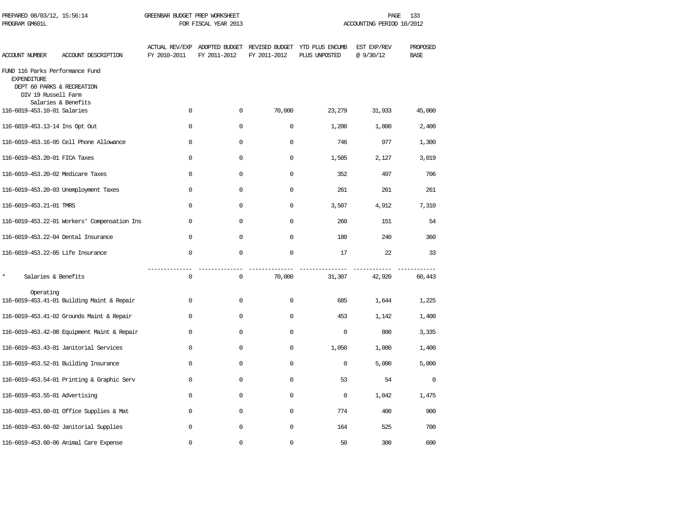| PREPARED 08/03/12, 15:56:14<br>PROGRAM GM601L                                                              |                                              | GREENBAR BUDGET PREP WORKSHEET | FOR FISCAL YEAR 2013 |              |                                                                               | PAGE<br>ACCOUNTING PERIOD 10/2012 | 133                     |
|------------------------------------------------------------------------------------------------------------|----------------------------------------------|--------------------------------|----------------------|--------------|-------------------------------------------------------------------------------|-----------------------------------|-------------------------|
| <b>ACCOUNT NUMBER</b>                                                                                      | ACCOUNT DESCRIPTION                          | FY 2010-2011                   | FY 2011-2012         | FY 2011-2012 | ACTUAL REV/EXP ADOPTED BUDGET REVISED BUDGET YTD PLUS ENCUMB<br>PLUS UNPOSTED | EST EXP/REV<br>@9/30/12           | PROPOSED<br><b>BASE</b> |
| FUND 116 Parks Performance Fund<br><b>EXPENDITURE</b><br>DEPT 60 PARKS & RECREATION<br>DIV 19 Russell Farm |                                              |                                |                      |              |                                                                               |                                   |                         |
| 116-6019-453.10-01 Salaries                                                                                | Salaries & Benefits                          | $\Omega$                       | $\mathbf 0$          | 70,000       | 23,279                                                                        | 31,933                            | 45,000                  |
| 116-6019-453.13-14 Ins Opt Out                                                                             |                                              | $\Omega$                       | $\Omega$             | $\mathbf 0$  | 1,200                                                                         | 1,800                             | 2,400                   |
|                                                                                                            | 116-6019-453.16-05 Cell Phone Allowance      | 0                              | $\mathbf 0$          | $\mathbf 0$  | 746                                                                           | 977                               | 1,300                   |
| 116-6019-453.20-01 FICA Taxes                                                                              |                                              | $\mathbf 0$                    | $\mathbf 0$          | $\mathbf 0$  | 1,505                                                                         | 2,127                             | 3,019                   |
| 116-6019-453.20-02 Medicare Taxes                                                                          |                                              | $\mathbf 0$                    | $\mathbf 0$          | $\mathbf 0$  | 352                                                                           | 497                               | 706                     |
|                                                                                                            | 116-6019-453.20-03 Unemployment Taxes        | $\mathbf 0$                    | $\mathbf 0$          | $\Omega$     | 261                                                                           | 261                               | 261                     |
| 116-6019-453.21-01 TMRS                                                                                    |                                              | $\Omega$                       | $\mathbf 0$          | $\Omega$     | 3,507                                                                         | 4,912                             | 7,310                   |
|                                                                                                            | 116-6019-453.22-01 Workers' Compensation Ins | $\Omega$                       | $\Omega$             | $\Omega$     | 260                                                                           | 151                               | 54                      |
| 116-6019-453.22-04 Dental Insurance                                                                        |                                              | $\Omega$                       | $\Omega$             | $\Omega$     | 180                                                                           | 240                               | 360                     |
| 116-6019-453.22-05 Life Insurance                                                                          |                                              | $\Omega$                       | $\mathbf 0$          | $\mathbf 0$  | 17                                                                            | 22                                | 33                      |
| $\star$<br>Salaries & Benefits                                                                             |                                              | $\mathbf 0$                    | $\mathsf{O}$         | 70,000       | 31,307                                                                        | 42,920                            | 60,443                  |
| Operating                                                                                                  | 116-6019-453.41-01 Building Maint & Repair   | $\mathbf{0}$                   | 0                    | $\mathbf 0$  | 685                                                                           | 1,644                             | 1,225                   |
|                                                                                                            | 116-6019-453.41-02 Grounds Maint & Repair    | $\Omega$                       | $\mathbf 0$          | $\Omega$     | 453                                                                           | 1,142                             | 1,400                   |
|                                                                                                            | 116-6019-453.42-08 Equipment Maint & Repair  | $\Omega$                       | $\mathbf 0$          | $\mathbf 0$  | $\mathbf 0$                                                                   | 800                               | 3,335                   |
|                                                                                                            | 116-6019-453.43-01 Janitorial Services       | $\Omega$                       | $\mathbf 0$          | $\mathbf 0$  | 1,050                                                                         | 1,000                             | 1,400                   |
|                                                                                                            | 116-6019-453.52-01 Building Insurance        | $\mathbf 0$                    | 0                    | 0            | $\mathbf 0$                                                                   | 5,000                             | 5,000                   |
|                                                                                                            | 116-6019-453.54-01 Printing & Graphic Serv   | 0                              | 0                    | $\mathbf 0$  | 53                                                                            | 54                                | $\mathbf 0$             |
| 116-6019-453.55-01 Advertising                                                                             |                                              | $\Omega$                       | $\mathbf 0$          | 0            | $\mathbf 0$                                                                   | 1,042                             | 1,475                   |
|                                                                                                            | 116-6019-453.60-01 Office Supplies & Mat     | $\Omega$                       | $\Omega$             | $\Omega$     | 774                                                                           | 400                               | 900                     |
|                                                                                                            | 116-6019-453.60-02 Janitorial Supplies       | $\mathbf 0$                    | $\mathbf 0$          | $\Omega$     | 164                                                                           | 525                               | 700                     |
|                                                                                                            | 116-6019-453.60-06 Animal Care Expense       | $\Omega$                       | $\mathbf 0$          | $\mathbf 0$  | 50                                                                            | 300                               | 600                     |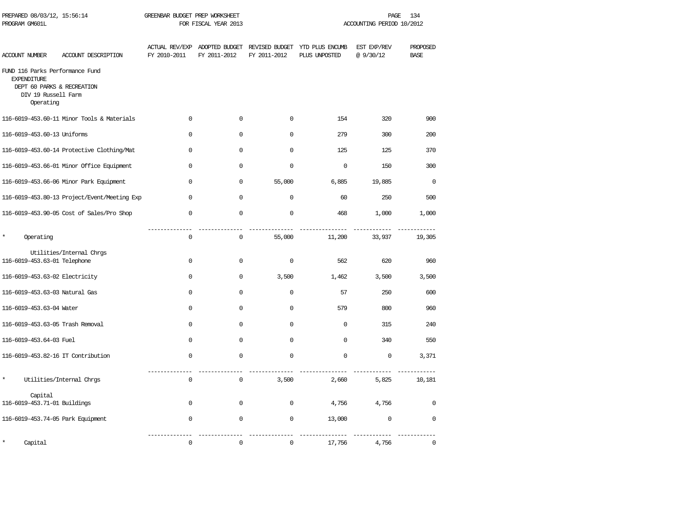| PREPARED 08/03/12, 15:56:14<br>PROGRAM GM601L                                                                           |                                              | GREENBAR BUDGET PREP WORKSHEET<br>FOR FISCAL YEAR 2013 |                                               |                                | 134<br>PAGE<br>ACCOUNTING PERIOD 10/2012 |                          |                         |  |
|-------------------------------------------------------------------------------------------------------------------------|----------------------------------------------|--------------------------------------------------------|-----------------------------------------------|--------------------------------|------------------------------------------|--------------------------|-------------------------|--|
| ACCOUNT NUMBER                                                                                                          | ACCOUNT DESCRIPTION                          | FY 2010-2011                                           | ACTUAL REV/EXP ADOPTED BUDGET<br>FY 2011-2012 | REVISED BUDGET<br>FY 2011-2012 | YTD PLUS ENCUMB<br>PLUS UNPOSTED         | EST EXP/REV<br>@ 9/30/12 | PROPOSED<br><b>BASE</b> |  |
| FUND 116 Parks Performance Fund<br><b>EXPENDITURE</b><br>DEPT 60 PARKS & RECREATION<br>DIV 19 Russell Farm<br>Operating |                                              |                                                        |                                               |                                |                                          |                          |                         |  |
|                                                                                                                         | 116-6019-453.60-11 Minor Tools & Materials   | 0                                                      | $\mathbf 0$                                   | 0                              | 154                                      | 320                      | 900                     |  |
| 116-6019-453.60-13 Uniforms                                                                                             |                                              | 0                                                      | $\mathbf 0$                                   | $\mathbf 0$                    | 279                                      | 300                      | 200                     |  |
|                                                                                                                         | 116-6019-453.60-14 Protective Clothing/Mat   | 0                                                      | $\Omega$                                      | $\mathbf 0$                    | 125                                      | 125                      | 370                     |  |
|                                                                                                                         | 116-6019-453.66-01 Minor Office Equipment    | 0                                                      | $\Omega$                                      | $\mathbf 0$                    | $\mathbf 0$                              | 150                      | 300                     |  |
|                                                                                                                         | 116-6019-453.66-06 Minor Park Equipment      | 0                                                      | $\mathbf 0$                                   | 55,000                         | 6,885                                    | 19,885                   | $\mathbf 0$             |  |
|                                                                                                                         | 116-6019-453.80-13 Project/Event/Meeting Exp | 0                                                      | $\mathbf 0$                                   | $\mathbf 0$                    | 60                                       | 250                      | 500                     |  |
|                                                                                                                         | 116-6019-453.90-05 Cost of Sales/Pro Shop    | $\Omega$                                               | $\Omega$                                      | $\Omega$                       | 468                                      | 1,000                    | 1,000                   |  |
| $\star$<br>Operating                                                                                                    |                                              | 0                                                      | $\mathbf 0$                                   | 55,000                         | 11,200                                   | 33,937                   | 19,305                  |  |
| 116-6019-453.63-01 Telephone                                                                                            | Utilities/Internal Chrgs                     | 0                                                      | $\mathbf 0$                                   | $\mathbf 0$                    | 562                                      | 620                      | 960                     |  |
| 116-6019-453.63-02 Electricity                                                                                          |                                              | 0                                                      | $\mathbf 0$                                   | 3,500                          | 1,462                                    | 3,500                    | 3,500                   |  |
| 116-6019-453.63-03 Natural Gas                                                                                          |                                              | 0                                                      | $\mathbf 0$                                   | $\mathbf 0$                    | 57                                       | 250                      | 600                     |  |
| 116-6019-453.63-04 Water                                                                                                |                                              | 0                                                      | $\mathbf 0$                                   | $\mathbf 0$                    | 579                                      | 800                      | 960                     |  |
| 116-6019-453.63-05 Trash Removal                                                                                        |                                              | 0                                                      | $\Omega$                                      | $\mathbf 0$                    | $\mathbf 0$                              | 315                      | 240                     |  |
| 116-6019-453.64-03 Fuel                                                                                                 |                                              | $\Omega$                                               | $\Omega$                                      | $\Omega$                       | $\Omega$                                 | 340                      | 550                     |  |
| 116-6019-453.82-16 IT Contribution                                                                                      |                                              | 0                                                      | $\mathbf 0$                                   | $\Omega$                       | $\Omega$                                 | $\mathsf 0$              | 3,371                   |  |
| $\star$                                                                                                                 | Utilities/Internal Chrgs                     | 0                                                      | $\mathbf 0$                                   | 3,500                          | 2,660                                    | 5,825                    | 10,181                  |  |
| Capital<br>116-6019-453.71-01 Buildings                                                                                 |                                              | 0                                                      | $\mathbf 0$                                   | $\mathbf 0$                    | 4,756                                    | 4,756                    | $\mathbf 0$             |  |
| 116-6019-453.74-05 Park Equipment                                                                                       |                                              | 0                                                      | $\mathbf 0$                                   | $\mathbf 0$                    | 13,000                                   | $\mathbf 0$              | $\mathbf 0$             |  |
| Capital                                                                                                                 |                                              | 0                                                      | $\mathbf 0$                                   | $\mathbf 0$                    | 17,756                                   | 4,756                    | $\mathbf 0$             |  |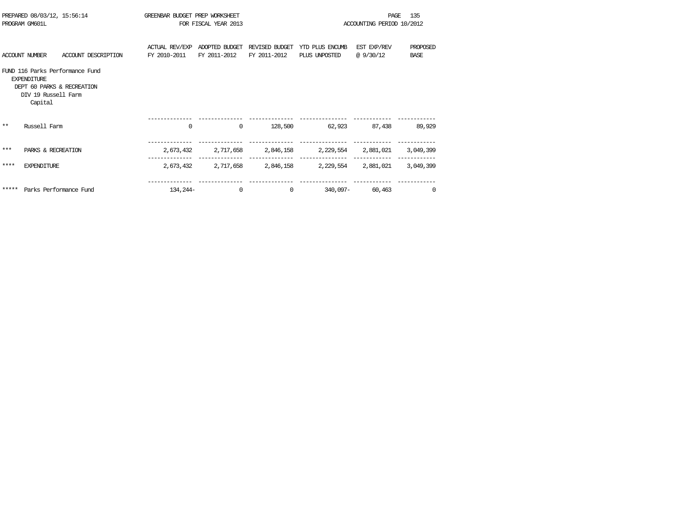|       | PREPARED 08/03/12, 15:56:14<br>PROGRAM GM601L                                      |                                 | GREENBAR BUDGET PREP WORKSHEET | FOR FISCAL YEAR 2013           |                                |                                                             | PAGE<br>ACCOUNTING PERIOD 10/2012 | 135                     |
|-------|------------------------------------------------------------------------------------|---------------------------------|--------------------------------|--------------------------------|--------------------------------|-------------------------------------------------------------|-----------------------------------|-------------------------|
|       | ACCOUNT NUMBER                                                                     | ACCOUNT DESCRIPTION             | ACTUAL REV/EXP<br>FY 2010-2011 | ADOPTED BUDGET<br>FY 2011-2012 | REVISED BUDGET<br>FY 2011-2012 | YTD PLUS ENCUMB<br>PLUS UNPOSTED                            | EST EXP/REV<br>@9/30/12           | PROPOSED<br><b>BASE</b> |
|       | <b>EXPENDITURE</b><br>DEPT 60 PARKS & RECREATION<br>DIV 19 Russell Farm<br>Capital | FUND 116 Parks Performance Fund |                                |                                |                                |                                                             |                                   |                         |
| $* *$ | Russell Farm                                                                       |                                 | $\mathbf 0$                    | $\mathbf 0$                    | 128,500                        | 62,923 87,438                                               |                                   | 89,929                  |
| ***   | PARKS & RECREATION                                                                 |                                 | 2,673,432                      |                                |                                | 2,717,658 2,846,158 2,229,554 2,881,021                     |                                   | 3,049,399               |
| ****  | <b>EXPENDITURE</b>                                                                 |                                 |                                |                                |                                | 2,673,432 2,717,658 2,846,158 2,229,554 2,881,021 3,049,399 |                                   |                         |
| ***** | Parks Performance Fund                                                             |                                 | 134, 244-                      | $\mathbf 0$                    | $\Omega$                       | 340,097–                                                    | 60,463                            | $\mathbf{0}$            |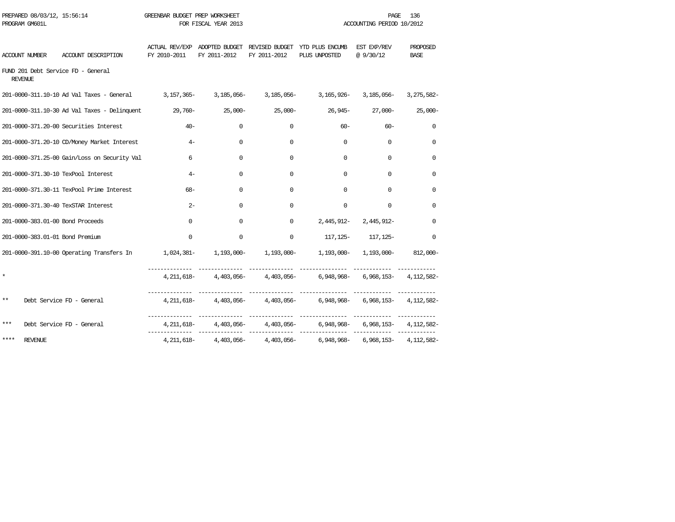| PROGRAM GM601L                                       |                                                                                                                              |              | FOR FISCAL YEAR 2013 |                        |                                                                                   | ACCOUNTING PERIOD 10/2012        |                         |
|------------------------------------------------------|------------------------------------------------------------------------------------------------------------------------------|--------------|----------------------|------------------------|-----------------------------------------------------------------------------------|----------------------------------|-------------------------|
| ACCOUNT NUMBER                                       | ACCOUNT DESCRIPTION                                                                                                          | FY 2010-2011 | FY 2011-2012         | FY 2011-2012           | ACTUAL REV/EXP ADOPTED BUDGET REVISED BUDGET YTD PLUS ENCUMB<br>PLUS UNPOSTED     | EST EXP/REV<br>@ 9/30/12         | PROPOSED<br><b>BASE</b> |
| FUND 201 Debt Service FD - General<br><b>REVENUE</b> |                                                                                                                              |              |                      |                        |                                                                                   |                                  |                         |
|                                                      | 201-0000-311.10-10 Ad Val Taxes - General 3, 157, 365- 3, 185, 056- 3, 185, 056- 3, 165, 926- 3, 185, 056- 3, 275, 582-      |              |                      |                        |                                                                                   |                                  |                         |
|                                                      | -201-0000-311.10-30 Ad Val Taxes - Delinquent 29,760- 25,000- 25,000- 26,900- 26,945- 27,000-                                |              |                      |                        |                                                                                   |                                  | $25,000-$               |
|                                                      | 201-0000-371.20-00 Securities Interest                                                                                       | $40 -$       | $\Omega$             | $\Omega$               | $60 -$                                                                            | $60 -$                           | $\Omega$                |
|                                                      | 201-0000-371.20-10 CD/Money Market Interest                                                                                  | $4-$         | $\Omega$             | $\Omega$               | $\Omega$                                                                          | $\Omega$                         | $\Omega$                |
|                                                      | 201-0000-371.25-00 Gain/Loss on Security Val                                                                                 | 6            | $\Omega$             | $\Omega$               | $\Omega$                                                                          | $\Omega$                         | $\Omega$                |
| 201-0000-371.30-10 TexPool Interest                  |                                                                                                                              | $4-$         | 0                    | $\Omega$               | $\Omega$                                                                          | $\mathbf 0$                      | 0                       |
|                                                      | 201-0000-371.30-11 TexPool Prime Interest                                                                                    | $68-$        | $\Omega$             | $\Omega$               | $\Omega$                                                                          | $\Omega$                         | $\Omega$                |
| 201-0000-371.30-40 TexSTAR Interest                  |                                                                                                                              | $2 -$        | $\Omega$             | $\Omega$               | $\Omega$                                                                          | $\Omega$                         | $\Omega$                |
| 201-0000-383.01-00 Bond Proceeds                     |                                                                                                                              | $\Omega$     | 0                    |                        | $0$ 2.445.912- 2.445.912-                                                         |                                  | $\mathbf 0$             |
| 201-0000-383.01-01 Bond Premium                      |                                                                                                                              | $\Omega$     | $\Omega$             | $\Omega$               |                                                                                   | 117, 125 - 117, 125 -            | $\Omega$                |
|                                                      | 201-0000-391.10-00 Operating Transfers In $1,024,381 1,193,000 1,193,000 1,193,000 1,193,000 1,193,000 1,193,000 1,193,000-$ |              |                      |                        |                                                                                   |                                  |                         |
|                                                      |                                                                                                                              |              |                      |                        | 4,211,618-4,403,056-4,403,056-6,948,968-6,968,153-4,112,582-                      |                                  |                         |
| $***$                                                | Debt Service FD - General                                                                                                    |              |                      |                        | 4, 211, 618 - 4, 403, 056 - 4, 403, 056 - 6, 948, 968 - 6, 968, 153 - 4, 112, 582 |                                  |                         |
| ***                                                  | Debt Service FD - General                                                                                                    |              |                      |                        |                                                                                   |                                  |                         |
| ****<br><b>REVENUE</b>                               |                                                                                                                              | 4,211,618-   |                      | $4,403,056 4,403,056-$ |                                                                                   | 6,948,968- 6,968,153- 4,112,582- |                         |

PREPARED 08/03/12, 15:56:14 GREENBAR BUDGET PREP WORKSHEET **FREED ASSESSED ASSESSED ASSESSED**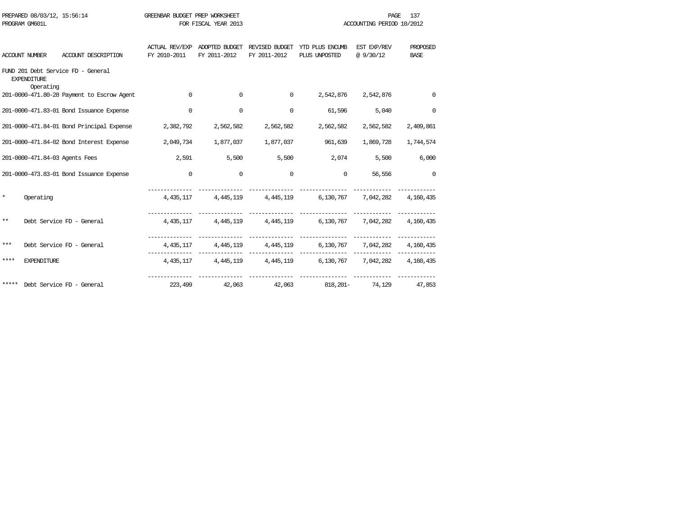|         | PREPARED 08/03/12, 15:56:14    |                                            | GREENBAR BUDGET PREP WORKSHEET |                      |                     |                                                                          | PAGE                      | 137         |
|---------|--------------------------------|--------------------------------------------|--------------------------------|----------------------|---------------------|--------------------------------------------------------------------------|---------------------------|-------------|
|         | PROGRAM GM601L                 |                                            |                                | FOR FISCAL YEAR 2013 |                     |                                                                          | ACCOUNTING PERIOD 10/2012 |             |
|         |                                |                                            |                                |                      |                     |                                                                          |                           |             |
|         |                                |                                            |                                |                      |                     | ACTUAL REV/EXP ADOPTED BUDGET REVISED BUDGET YTD PLUS ENCUMB EST EXP/REV |                           | PROPOSED    |
|         | ACCOUNT NUMBER                 | ACCOUNT DESCRIPTION                        | FY 2010-2011                   | FY 2011-2012         | FY 2011-2012        | PLUS UNPOSTED                                                            | @9/30/12                  | <b>BASE</b> |
|         | <b>EXPENDITURE</b>             | FUND 201 Debt Service FD - General         |                                |                      |                     |                                                                          |                           |             |
|         | Operating                      |                                            |                                |                      |                     |                                                                          |                           |             |
|         |                                | 201-0000-471.80-28 Payment to Escrow Agent | $\Omega$                       | $\Omega$             | $\Omega$            | 2,542,876                                                                | 2,542,876                 | $\Omega$    |
|         |                                | 201-0000-471.83-01 Bond Issuance Expense   | $\mathbf 0$                    | $\mathbf 0$          | $\Omega$            | 61,596                                                                   | 5,040                     | $\Omega$    |
|         |                                | 201-0000-471.84-01 Bond Principal Expense  | 2,382,792                      |                      | 2,562,582 2,562,582 | 2,562,582                                                                | 2,562,582                 | 2,409,861   |
|         |                                | 201-0000-471.84-02 Bond Interest Expense   | 2,049,734                      |                      |                     | 1,877,037 1,877,037 961,639                                              | 1,869,728                 | 1,744,574   |
|         | 201-0000-471.84-03 Agents Fees |                                            | 2,591                          |                      | 5,500 5,500         | 2,074                                                                    | 5,500                     | 6,000       |
|         |                                | 201-0000-473.83-01 Bond Issuance Expense   | $\mathbf 0$                    | $\Omega$             | $\Omega$            | $\Omega$                                                                 | 56,556                    | $\Omega$    |
| $\star$ | Operating                      |                                            |                                |                      |                     | 4,435,117 4,445,119 4,445,119 6,130,767 7,042,282 4,160,435              |                           |             |
|         |                                |                                            |                                |                      |                     |                                                                          |                           |             |
| $***$   |                                | Debt Service FD - General                  |                                |                      |                     | 4,435,117 4,445,119 4,445,119 6,130,767 7,042,282 4,160,435              |                           |             |
| ***     |                                | Debt Service FD - General                  |                                |                      |                     | 4,435,117 4,445,119 4,445,119 6,130,767 7,042,282 4,160,435              |                           |             |
| ****    | <b>EXPENDITURE</b>             |                                            |                                |                      |                     | 4,435,117 4,445,119 4,445,119 6,130,767 7,042,282 4,160,435              |                           |             |
|         |                                |                                            |                                |                      |                     |                                                                          |                           |             |
|         |                                | ***** Debt Service FD - General            | 223,499                        |                      |                     | 42,063 42,063 818,201- 74,129 47,853                                     |                           |             |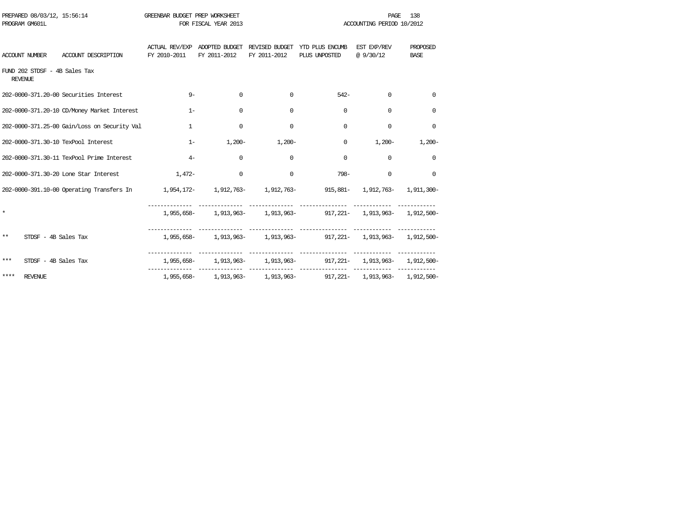| PREPARED 08/03/12, 15:56:14<br>PROGRAM GM601L                                                             |              | GREENBAR BUDGET PREP WORKSHEET<br>FOR FISCAL YEAR 2013 |                |                                                                               |                          | 138<br><b>PAGE</b><br>ACCOUNTING PERIOD 10/2012 |
|-----------------------------------------------------------------------------------------------------------|--------------|--------------------------------------------------------|----------------|-------------------------------------------------------------------------------|--------------------------|-------------------------------------------------|
| ACCOUNT DESCRIPTION<br>ACCOUNT NUMBER                                                                     | FY 2010-2011 | FY 2011-2012                                           | FY 2011-2012   | ACTUAL REV/EXP ADOPTED BUDGET REVISED BUDGET YTD PLUS ENCUMB<br>PLUS UNPOSTED | EST EXP/REV<br>@ 9/30/12 | PROPOSED<br><b>BASE</b>                         |
| FUND 202 STDSF - 4B Sales Tax<br><b>REVENUE</b>                                                           |              |                                                        |                |                                                                               |                          |                                                 |
| 202-0000-371.20-00 Securities Interest                                                                    | $9 -$        | $\Omega$                                               | $\Omega$       | $542-$                                                                        | $\Omega$                 | $\Omega$                                        |
| 202-0000-371.20-10 CD/Money Market Interest                                                               | $1 -$        | $\mathbf 0$                                            | $\Omega$       | $\Omega$                                                                      | $\Omega$                 | $\Omega$                                        |
| 202-0000-371.25-00 Gain/Loss on Security Val                                                              | $\mathbf{1}$ | $\mathbf 0$                                            | $\mathbf 0$    | $\Omega$                                                                      | $\Omega$                 | 0                                               |
| 202-0000-371.30-10 TexPool Interest                                                                       | $1-$         |                                                        | $1,200-1,200-$ | $\mathbf{0}$                                                                  | $1,200-$                 | $1,200-$                                        |
| 202-0000-371.30-11 TexPool Prime Interest                                                                 | $4-$         | $\mathbf 0$                                            | $\Omega$       | $\Omega$                                                                      | $\mathbf 0$              | $\Omega$                                        |
| 202-0000-371.30-20 Lone Star Interest                                                                     | $1.472-$     | $\mathbf 0$                                            | $\Omega$       | 798-                                                                          | $\Omega$                 | $\Omega$                                        |
| 202-0000-391.10-00 Operating Transfers In 1,954,172- 1,912,763- 1,912,763- 915,881- 1,912,763- 1,911,300- |              |                                                        |                |                                                                               |                          |                                                 |
| $\star$                                                                                                   |              |                                                        |                | 1,955,658- 1,913,963- 1,913,963- 917,221- 1,913,963- 1,912,500-               |                          |                                                 |
| $***$<br>STDSF - 4B Sales Tax                                                                             |              |                                                        |                | 1,955,658- 1,913,963- 1,913,963- 917,221- 1,913,963- 1,912,500-               |                          |                                                 |
| $***$<br>STDSF - 4B Sales Tax                                                                             |              |                                                        |                | 1,955,658- 1,913,963- 1,913,963- 917,221- 1,913,963- 1,912,500-               |                          |                                                 |
| ****<br>REVENUE                                                                                           |              |                                                        |                | 1,955,658- 1,913,963- 1,913,963- 917,221- 1,913,963- 1,912,500-               |                          |                                                 |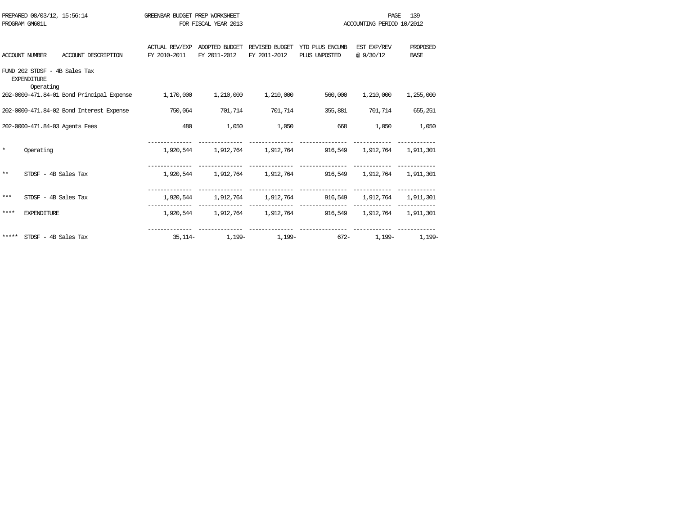|         | PREPARED 08/03/12, 15:56:14<br>PROGRAM GM601L                    | GREENBAR BUDGET PREP WORKSHEET        | FOR FISCAL YEAR 2013           | PAGE<br>ACCOUNTING PERIOD 10/2012 |                                                           |                          |                                |
|---------|------------------------------------------------------------------|---------------------------------------|--------------------------------|-----------------------------------|-----------------------------------------------------------|--------------------------|--------------------------------|
|         | <b>ACCOUNT NUMBER</b><br>ACCOUNT DESCRIPTION                     | <b>ACTUAL REV/EXP</b><br>FY 2010-2011 | ADOPTED BUDGET<br>FY 2011-2012 | REVISED BUDGET<br>FY 2011-2012    | YTD PLUS ENCUMB<br>PLUS UNPOSTED                          | EST EXP/REV<br>@ 9/30/12 | <b>PROPOSED</b><br><b>BASE</b> |
|         | FUND 202 STDSF - 4B Sales Tax<br><b>EXPENDITURE</b><br>Operating |                                       |                                |                                   |                                                           |                          |                                |
|         | 202-0000-471.84-01 Bond Principal Expense                        | 1,170,000                             | 1,210,000                      | 1,210,000                         | 560,000                                                   | 1,210,000                | 1,255,000                      |
|         | 202-0000-471.84-02 Bond Interest Expense                         | 750,064                               | 701,714                        | 701,714                           |                                                           | 355,881 701,714          | 655,251                        |
|         | 202-0000-471.84-03 Agents Fees                                   | 480                                   | 1,050                          | 1,050                             | 668                                                       | 1,050                    | 1,050                          |
| $\star$ | Operating                                                        |                                       |                                |                                   | 1,920,544 1,912,764 1,912,764 916,549 1,912,764 1,911,301 |                          |                                |
| $* *$   | STDSF - 4B Sales Tax                                             |                                       |                                |                                   | 1,920,544 1,912,764 1,912,764 916,549 1,912,764 1,911,301 |                          |                                |
| ***     | STDSF - 4B Sales Tax                                             |                                       |                                |                                   | 1,920,544 1,912,764 1,912,764 916,549 1,912,764 1,911,301 |                          |                                |
| ****    | <b>EXPENDITURE</b>                                               |                                       |                                |                                   | 1,920,544 1,912,764 1,912,764 916,549 1,912,764 1,911,301 |                          |                                |
|         | ***** STDSF - 4B Sales Tax                                       |                                       |                                | $35,114-1,199-1,199-$             |                                                           | 672-<br>1,199-           | 1,199-                         |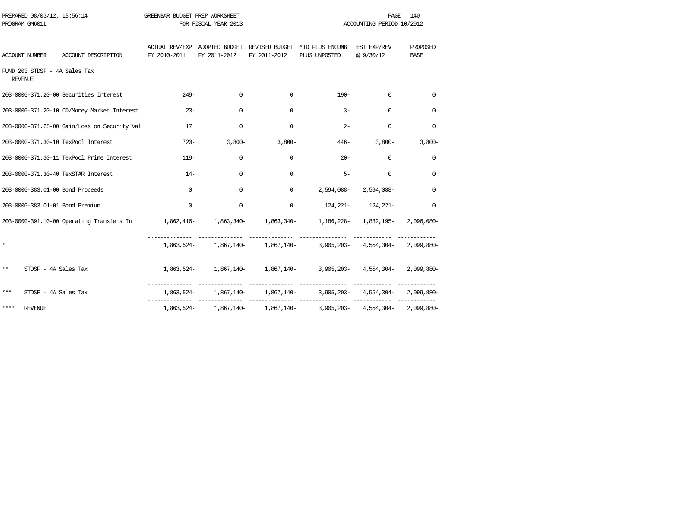| PREPARED 08/03/12, 15:56:14<br>PROGRAM GM601L                                                               | GREENBAR BUDGET PREP WORKSHEET | FOR FISCAL YEAR 2013 |                      |                                                                                           | PAGE<br>ACCOUNTING PERIOD 10/2012 | 140                     |  |
|-------------------------------------------------------------------------------------------------------------|--------------------------------|----------------------|----------------------|-------------------------------------------------------------------------------------------|-----------------------------------|-------------------------|--|
| ACCOUNT DESCRIPTION<br>ACCOUNT NUMBER                                                                       | FY 2010-2011                   | FY 2011-2012         | FY 2011-2012         | ACTUAL REV/EXP ADOPTED BUDGET REVISED BUDGET YTD PLUS ENCUMB EST EXP/REV<br>PLUS UNPOSTED | @ 9/30/12                         | PROPOSED<br><b>BASE</b> |  |
| FUND 203 STDSF - 4A Sales Tax<br><b>REVENUE</b>                                                             |                                |                      |                      |                                                                                           |                                   |                         |  |
| 203-0000-371.20-00 Securities Interest                                                                      | $249-$                         | $\mathbf 0$          | $\Omega$             | $190 -$                                                                                   | $\mathbf 0$                       | $\Omega$                |  |
| 203-0000-371.20-10 CD/Money Market Interest                                                                 | $23 -$                         | $\mathbf 0$          | $\Omega$             | $3-$                                                                                      | $\Omega$                          | $\Omega$                |  |
| 203-0000-371.25-00 Gain/Loss on Security Val                                                                | 17                             | 0                    | $\mathbf 0$          | $2 -$                                                                                     | $\mathbf 0$                       | $\mathbf 0$             |  |
| 203-0000-371.30-10 TexPool Interest                                                                         | $720 -$                        |                      | $3,800-$<br>$3,800-$ |                                                                                           | $446 - 3,800 -$                   | $3,800-$                |  |
| 203-0000-371.30-11 TexPool Prime Interest                                                                   | $119-$                         | 0                    | $\Omega$             | $20 -$                                                                                    | $\mathbf 0$                       | $\mathbf 0$             |  |
| 203-0000-371.30-40 TexSTAR Interest                                                                         | $14-$                          | $\Omega$             | $\Omega$             | $5 -$                                                                                     | $\Omega$                          | $\Omega$                |  |
| 203-0000-383.01-00 Bond Proceeds                                                                            | $\Omega$                       | $\mathbf 0$          | $\Omega$             |                                                                                           | 2,594,088-2,594,088-              | $\mathbf 0$             |  |
| 203-0000-383.01-01 Bond Premium                                                                             | $\Omega$                       | $\mathbf 0$          | $\Omega$             | $124,221 - 124,221 -$                                                                     |                                   | $\Omega$                |  |
| 203-0000-391.10-00 Operating Transfers In 1,862,416- 1,863,340- 1,863,340- 1,186,228- 1,832,195- 2,096,080- |                                |                      |                      |                                                                                           |                                   |                         |  |
| $\star$                                                                                                     |                                |                      |                      | 1,863,524- 1,867,140- 1,867,140- 3,905,203- 4,554,304- 2,099,880-                         |                                   |                         |  |
| $***$<br>STDSF - 4A Sales Tax                                                                               |                                |                      |                      | 1,863,524- 1,867,140- 1,867,140- 3,905,203- 4,554,304- 2,099,880-                         |                                   |                         |  |
| ***<br>STDSF - 4A Sales Tax                                                                                 |                                |                      |                      | $1,863,524 1,867,140 1,867,140 3,905,203 4,554,304 2,099,880-$                            |                                   |                         |  |
| ****<br>REVENUE                                                                                             |                                |                      |                      | $1,863,524 - 1,867,140 - 1,867,140 - 3,905,203 - 4,554,304 - 2,099,880 -$                 |                                   |                         |  |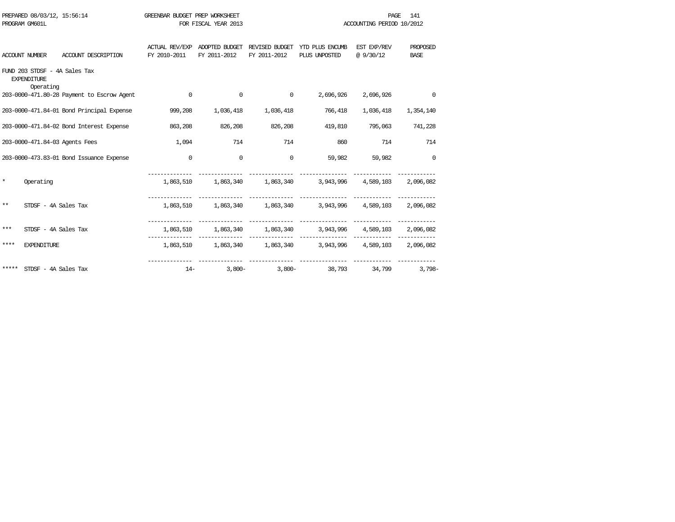| PREPARED 08/03/12, 15:56:14<br>PROGRAM GM601L |                                                                  |                                            | GREENBAR BUDGET PREP WORKSHEET        | FOR FISCAL YEAR 2013           |                                |                                                             | 141<br>PAGE<br>ACCOUNTING PERIOD 10/2012 |                         |
|-----------------------------------------------|------------------------------------------------------------------|--------------------------------------------|---------------------------------------|--------------------------------|--------------------------------|-------------------------------------------------------------|------------------------------------------|-------------------------|
|                                               | <b>ACCOUNT NUMBER</b>                                            | ACCOUNT DESCRIPTION                        | <b>ACTUAL REV/EXP</b><br>FY 2010-2011 | ADOPTED BUDGET<br>FY 2011-2012 | REVISED BUDGET<br>FY 2011-2012 | YTD PLUS ENCUMB<br>PLUS UNPOSTED                            | EST EXP/REV<br>@ 9/30/12                 | PROPOSED<br><b>BASE</b> |
|                                               | FUND 203 STDSF - 4A Sales Tax<br><b>EXPENDITURE</b><br>Operating |                                            |                                       |                                |                                |                                                             |                                          |                         |
|                                               |                                                                  | 203-0000-471.80-28 Payment to Escrow Agent | $\mathbf 0$                           | $\circ$                        | $\mathbf 0$                    | 2,696,926                                                   | 2,696,926                                | $\Omega$                |
|                                               |                                                                  | 203-0000-471.84-01 Bond Principal Expense  | 999,208                               | 1,036,418                      | 1,036,418                      | 766,418                                                     | 1,036,418                                | 1,354,140               |
|                                               |                                                                  | 203-0000-471.84-02 Bond Interest Expense   | 863,208                               | 826,208                        | 826,208                        | 419,810                                                     | 795,063                                  | 741,228                 |
|                                               |                                                                  | 203-0000-471.84-03 Agents Fees             | 1,094                                 | 714                            | 714                            | 860                                                         | 714                                      | 714                     |
|                                               |                                                                  | 203-0000-473.83-01 Bond Issuance Expense   | $\mathbf 0$                           | $\overline{0}$                 | $\mathbf 0$                    | 59,982                                                      | 59,982                                   | $\mathbf 0$             |
| $\star$                                       | Operating                                                        |                                            |                                       |                                |                                | 1,863,510 1,863,340 1,863,340 3,943,996 4,589,103 2,096,082 |                                          |                         |
| $* *$                                         | STDSF - 4A Sales Tax                                             |                                            |                                       |                                |                                | 1,863,510 1,863,340 1,863,340 3,943,996 4,589,103 2,096,082 |                                          |                         |
| ***                                           | STDSF - 4A Sales Tax                                             |                                            |                                       |                                |                                | 1,863,510 1,863,340 1,863,340 3,943,996 4,589,103           |                                          | 2,096,082               |
| ****                                          | <b>EXPENDITURE</b>                                               |                                            |                                       |                                | -------------                  | 1,863,510 1,863,340 1,863,340 3,943,996 4,589,103 2,096,082 |                                          |                         |
| *****                                         | STDSF - 4A Sales Tax                                             |                                            | $14-$                                 | $3,800-$                       | $3,800-$                       | 38,793                                                      | 34,799                                   | $3,798-$                |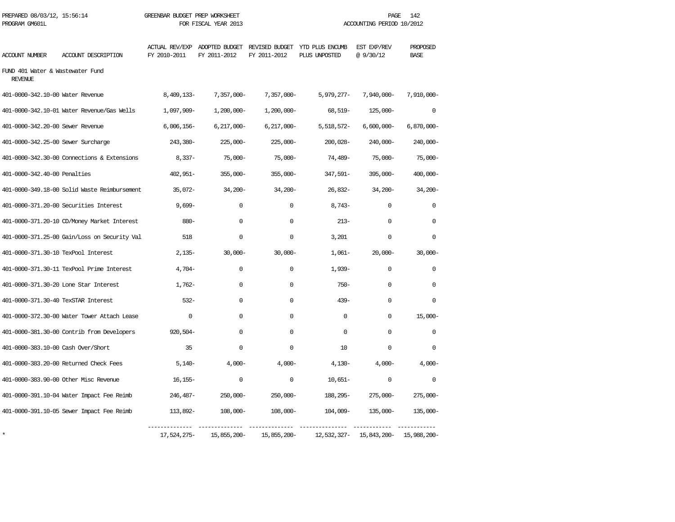| PREPARED 08/03/12, 15:56:14<br>PROGRAM GM601L      | GREENBAR BUDGET PREP WORKSHEET | FOR FISCAL YEAR 2013 | 142<br>PAGE<br>ACCOUNTING PERIOD 10/2012 |                                                                               |                         |                         |
|----------------------------------------------------|--------------------------------|----------------------|------------------------------------------|-------------------------------------------------------------------------------|-------------------------|-------------------------|
| ACCOUNT DESCRIPTION<br>ACCOUNT NUMBER              | FY 2010-2011                   | FY 2011-2012         | FY 2011-2012                             | ACTUAL REV/EXP ADOPTED BUDGET REVISED BUDGET YTD PLUS ENCUMB<br>PLUS UNPOSTED | EST EXP/REV<br>@9/30/12 | PROPOSED<br><b>BASE</b> |
| FUND 401 Water & Wastewater Fund<br><b>REVENUE</b> |                                |                      |                                          |                                                                               |                         |                         |
| 401-0000-342.10-00 Water Revenue                   | 8,409,133-                     | $7,357,000 -$        | $7,357,000 -$                            | 5,979,277-                                                                    | $7,940,000 -$           | 7,910,000-              |
| 401-0000-342.10-01 Water Revenue/Gas Wells         | 1,097,909-                     | $1,200,000 -$        | $1,200,000 -$                            | 68,519-                                                                       | $125,000 -$             | $\mathbf 0$             |
| 401-0000-342.20-00 Sewer Revenue                   | $6,006,156 -$                  | $6,217,000 -$        | $6,217,000 -$                            | 5,518,572-                                                                    | $6,600,000 -$           | $6,870,000 -$           |
| 401-0000-342.25-00 Sewer Surcharge                 | 243,380-                       | $225,000-$           | $225,000-$                               | $200,028-$                                                                    | 240,000-                | $240,000-$              |
| 401-0000-342.30-00 Connections & Extensions        | $8,337-$                       | $75,000-$            | $75,000-$                                | 74,489-                                                                       | $75,000 -$              | $75,000-$               |
| 401-0000-342.40-00 Penalties                       | $402,951-$                     | $355,000-$           | $355,000 -$                              | 347,591-                                                                      | $395,000 -$             | 400,000-                |
| 401-0000-349.18-00 Solid Waste Reimbursement       | $35,072-$                      | $34,200-$            | $34,200 -$                               | $26,832-$                                                                     | $34,200-$               | $34,200-$               |
| 401-0000-371.20-00 Securities Interest             | $9,699-$                       | $\Omega$             | 0                                        | $8,743-$                                                                      | $\Omega$                | $\Omega$                |
| 401-0000-371.20-10 CD/Money Market Interest        | $880 -$                        | 0                    | 0                                        | $213-$                                                                        | $\Omega$                | $\Omega$                |
| 401-0000-371.25-00 Gain/Loss on Security Val       | 518                            | $\Omega$             | $\Omega$                                 | 3,201                                                                         | $\Omega$                | $\Omega$                |
| 401-0000-371.30-10 TexPool Interest                | $2,135-$                       | $30,000 -$           | $30,000 -$                               | $1,061-$                                                                      | $20,000-$               | $30,000 -$              |
| 401-0000-371.30-11 TexPool Prime Interest          | $4,704-$                       | 0                    | 0                                        | $1,939-$                                                                      | $\Omega$                | $\Omega$                |
| 401-0000-371.30-20 Lone Star Interest              | $1,762-$                       | 0                    | $\Omega$                                 | $750 -$                                                                       | $\Omega$                | $\Omega$                |
| 401-0000-371.30-40 TexSTAR Interest                | $532 -$                        | $\Omega$             | $\Omega$                                 | $439 -$                                                                       | $\cap$                  | $\Omega$                |
| 401-0000-372.30-00 Water Tower Attach Lease        | $\Omega$                       | $\Omega$             | $\Omega$                                 | $\Omega$                                                                      | $\Omega$                | $15,000-$               |
| 401-0000-381.30-00 Contrib from Developers         | $920,504-$                     | $\mathbf 0$          | $\mathbf 0$                              | $\Omega$                                                                      | $\Omega$                | $\mathbf 0$             |
| 401-0000-383.10-00 Cash Over/Short                 | 35                             | $\mathbf 0$          | 0                                        | 10                                                                            | $\mathbf 0$             | $\Omega$                |
| 401-0000-383.20-00 Returned Check Fees             | $5,140-$                       | $4,000-$             | $4,000-$                                 | $4,130-$                                                                      | $4,000-$                | $4,000-$                |
| 401-0000-383.90-00 Other Misc Revenue              | $16, 155 -$                    | 0                    | 0                                        | $10,651-$                                                                     | 0                       | $\mathbf 0$             |
| 401-0000-391.10-04 Water Impact Fee Reimb          | 246,487-                       | $250,000 -$          | $250,000 -$                              | 188,295-                                                                      | $275,000 -$             | $275,000-$              |
| 401-0000-391.10-05 Sewer Impact Fee Reimb          | 113,892-                       | $108,000 -$          | $108,000 -$                              | 104,009-                                                                      | 135,000-                | $135,000 -$             |
|                                                    | 17,524,275-                    | 15,855,200-          | 15,855,200-                              | 12,532,327-                                                                   | 15,843,200-             | 15,988,200-             |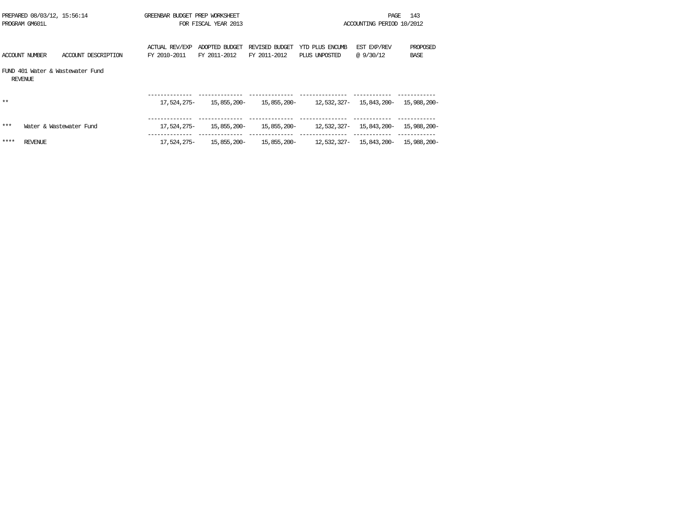|       | PREPARED 08/03/12, 15:56:14<br>PROGRAM GM601L      | GREENBAR BUDGET PREP WORKSHEET | FOR FISCAL YEAR 2013           |                                |                                                 | PAGE<br>ACCOUNTING PERIOD 10/2012 | 143                     |
|-------|----------------------------------------------------|--------------------------------|--------------------------------|--------------------------------|-------------------------------------------------|-----------------------------------|-------------------------|
|       | ACCOUNT NUMBER<br>ACCOUNT DESCRIPTION              | ACTUAL REV/EXP<br>FY 2010-2011 | ADOPTED BUDGET<br>FY 2011-2012 | REVISED BUDGET<br>FY 2011-2012 | YTD PLUS ENCUMB<br>PLUS UNPOSTED                | EST EXP/REV<br>@ 9/30/12          | PROPOSED<br><b>BASE</b> |
|       | FIND 401 Water & Wastewater Fund<br><b>REVENUE</b> |                                |                                |                                |                                                 |                                   |                         |
| $* *$ |                                                    | 17,524,275-                    | 15,855,200-                    |                                | 15,855,200-12,532,327-15,843,200-               |                                   | 15,988,200-             |
| ***   | Water & Wastewater Fund                            | 17,524,275-                    | 15,855,200-                    |                                | 15,855,200- 12,532,327- 15,843,200- 15,988,200- |                                   |                         |
| ****  | REVENUE                                            | 17,524,275–                    | 15,855,200-                    |                                | 15,855,200- 12,532,327- 15,843,200- 15,988,200- |                                   |                         |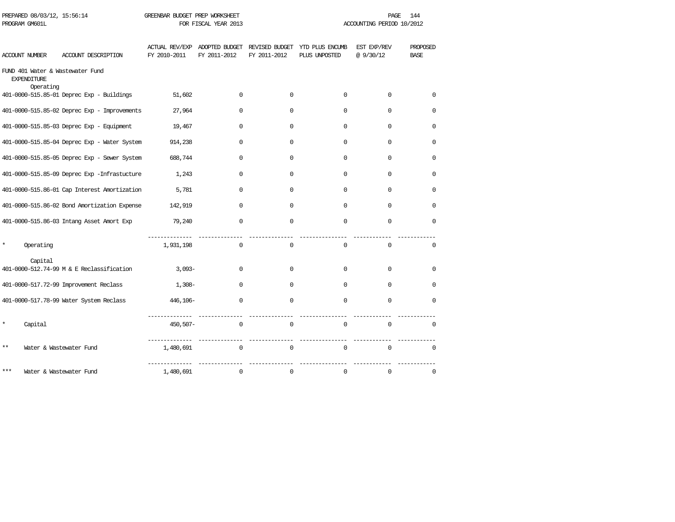| PROGRAM GM601L |                                 |                                              | FOR FISCAL YEAR 2013 |                                               |              | ACCOUNTING PERIOD 10/2012                       |                          |                                |  |
|----------------|---------------------------------|----------------------------------------------|----------------------|-----------------------------------------------|--------------|-------------------------------------------------|--------------------------|--------------------------------|--|
| ACCOUNT NUMBER |                                 | ACCOUNT DESCRIPTION                          | FY 2010-2011         | ACTUAL REV/EXP ADOPTED BUDGET<br>FY 2011-2012 | FY 2011-2012 | REVISED BUDGET YTD PLUS ENCUMB<br>PLUS UNPOSTED | EST EXP/REV<br>@ 9/30/12 | <b>PROPOSED</b><br><b>BASE</b> |  |
|                | <b>EXPENDITURE</b><br>Operating | FUND 401 Water & Wastewater Fund             |                      |                                               |              |                                                 |                          |                                |  |
|                |                                 | 401-0000-515.85-01 Deprec Exp - Buildings    | 51,602               | $\Omega$                                      | $\Omega$     | $\Omega$                                        | $\Omega$                 | $\Omega$                       |  |
|                |                                 | 401-0000-515.85-02 Deprec Exp - Improvements | 27,964               | $\Omega$                                      | $\Omega$     | $\Omega$                                        | $\mathbf 0$              | $\mathbf 0$                    |  |
|                |                                 | 401-0000-515.85-03 Deprec Exp - Equipment    | 19,467               | $\mathbf 0$                                   | $\Omega$     | $\Omega$                                        | $\Omega$                 | 0                              |  |
|                |                                 | 401-0000-515.85-04 Deprec Exp - Water System | 914,238              | $\Omega$                                      | $\Omega$     | $\Omega$                                        | $\Omega$                 | $\Omega$                       |  |
|                |                                 | 401-0000-515.85-05 Deprec Exp - Sewer System | 688,744              | $\Omega$                                      | $\Omega$     | $\mathbf 0$                                     | 0                        | $\mathbf 0$                    |  |
|                |                                 | 401-0000-515.85-09 Deprec Exp -Infrastucture | 1,243                | $\Omega$                                      | $\Omega$     | $\Omega$                                        | $\Omega$                 | 0                              |  |
|                |                                 | 401-0000-515.86-01 Cap Interest Amortization | 5,781                | $\Omega$                                      | $\Omega$     | $\Omega$                                        | $\Omega$                 | $\Omega$                       |  |
|                |                                 | 401-0000-515.86-02 Bond Amortization Expense | 142,919              | $\Omega$                                      | $\Omega$     | $\Omega$                                        | $\Omega$                 | $\Omega$                       |  |
|                |                                 | 401-0000-515.86-03 Intang Asset Amort Exp    | 79,240               | $\mathbf 0$                                   | $\Omega$     | $\Omega$                                        | $\Omega$                 | $\Omega$                       |  |
| *              | Operating                       |                                              | 1,931,198            | $\Omega$                                      | $\Omega$     | $\Omega$                                        | $\Omega$                 | 0                              |  |
|                | Capital                         | 401-0000-512.74-99 M & E Reclassification    | $3,093-$             | $\Omega$                                      | $\Omega$     | $\Omega$                                        | $\Omega$                 | $\mathbf 0$                    |  |
|                |                                 | 401-0000-517.72-99 Improvement Reclass       | $1,308-$             | $\Omega$                                      | $\Omega$     | $\Omega$                                        | $\Omega$                 | $\Omega$                       |  |
|                |                                 | 401-0000-517.78-99 Water System Reclass      | 446,106-             | $\Omega$                                      | $\Omega$     | $\Omega$                                        | $\Omega$                 | $\Omega$                       |  |
| ×              | Capital                         |                                              | 450,507-             | $\Omega$                                      | $\mathbf 0$  | $\mathbf 0$                                     | $\mathbf 0$              | $\mathbf{0}$                   |  |
| $***$          |                                 | Water & Wastewater Fund                      | 1,480,691            | $\mathbf 0$                                   | $\mathbf 0$  | $\Omega$                                        | $\mathbf 0$              | $\Omega$                       |  |
| ***            |                                 | Water & Wastewater Fund                      | 1,480,691            | $\mathbf 0$                                   | $\mathbf 0$  | $\mathbf 0$                                     | $\mathbf 0$              | $\mathbf 0$                    |  |

PREPARED 08/03/12, 15:56:14 GREENBAR BUDGET PREP WORKSHEET **PAGE 144** PAGE 144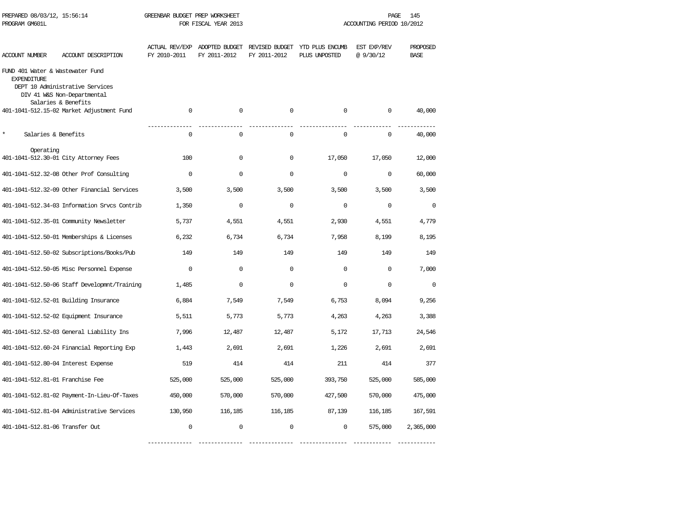| PREPARED 08/03/12, 15:56:14<br>PROGRAM GM601L          |                                                                                       | GREENBAR BUDGET PREP WORKSHEET | FOR FISCAL YEAR 2013                          |              |                                                 | PAGE<br>145<br>ACCOUNTING PERIOD 10/2012 |                         |  |
|--------------------------------------------------------|---------------------------------------------------------------------------------------|--------------------------------|-----------------------------------------------|--------------|-------------------------------------------------|------------------------------------------|-------------------------|--|
| ACCOUNT NUMBER                                         | ACCOUNT DESCRIPTION                                                                   | FY 2010-2011                   | ACTUAL REV/EXP ADOPTED BUDGET<br>FY 2011-2012 | FY 2011-2012 | REVISED BUDGET YTD PLUS ENCUMB<br>PLUS UNPOSTED | EST EXP/REV<br>@9/30/12                  | PROPOSED<br><b>BASE</b> |  |
| FUND 401 Water & Wastewater Fund<br><b>EXPENDITURE</b> | DEPT 10 Administrative Services<br>DIV 41 W&S Non-Departmental<br>Salaries & Benefits |                                |                                               |              |                                                 |                                          |                         |  |
|                                                        | 401-1041-512.15-02 Market Adjustment Fund                                             | $\mathbf 0$                    | $\mathbf 0$                                   | $\mathbf 0$  | $\mathbf 0$                                     | $\mathbf 0$                              | 40,000                  |  |
| $\star$<br>Salaries & Benefits                         |                                                                                       | $\mathbf 0$                    | $\mathbf 0$                                   | $\mathbf 0$  | $\mathbf 0$                                     | $\mathbf 0$                              | 40,000                  |  |
| Operating                                              | 401-1041-512.30-01 City Attorney Fees                                                 | 100                            | $\mathbf 0$                                   | $\mathbf 0$  | 17,050                                          | 17,050                                   | 12,000                  |  |
|                                                        | 401-1041-512.32-08 Other Prof Consulting                                              | $\Omega$                       | $\mathbf 0$                                   | $\Omega$     | $\Omega$                                        | $\Omega$                                 | 60,000                  |  |
|                                                        | 401-1041-512.32-09 Other Financial Services                                           | 3,500                          | 3,500                                         | 3,500        | 3,500                                           | 3,500                                    | 3,500                   |  |
|                                                        | 401-1041-512.34-03 Information Srvcs Contrib                                          | 1,350                          | $\mathbf 0$                                   | $\mathbf 0$  | $\Omega$                                        | $\Omega$                                 | $\Omega$                |  |
|                                                        | 401-1041-512.35-01 Community Newsletter                                               | 5,737                          | 4,551                                         | 4,551        | 2,930                                           | 4,551                                    | 4,779                   |  |
|                                                        | 401-1041-512.50-01 Memberships & Licenses                                             | 6,232                          | 6,734                                         | 6,734        | 7,958                                           | 8,199                                    | 8,195                   |  |
|                                                        | 401-1041-512.50-02 Subscriptions/Books/Pub                                            | 149                            | 149                                           | 149          | 149                                             | 149                                      | 149                     |  |
|                                                        | 401-1041-512.50-05 Misc Personnel Expense                                             | $\mathbf 0$                    | $\Omega$                                      | $\mathbf 0$  | $\mathbf 0$                                     | $\Omega$                                 | 7,000                   |  |
|                                                        | 401-1041-512.50-06 Staff Developmnt/Training                                          | 1,485                          | $\Omega$                                      | $\Omega$     | $\Omega$                                        | $\Omega$                                 | $\Omega$                |  |
|                                                        | 401-1041-512.52-01 Building Insurance                                                 | 6,884                          | 7,549                                         | 7,549        | 6,753                                           | 8,094                                    | 9,256                   |  |
|                                                        | 401-1041-512.52-02 Equipment Insurance                                                | 5,511                          | 5,773                                         | 5,773        | 4,263                                           | 4,263                                    | 3,388                   |  |
|                                                        | 401-1041-512.52-03 General Liability Ins                                              | 7,996                          | 12,487                                        | 12,487       | 5,172                                           | 17,713                                   | 24,546                  |  |
|                                                        | 401-1041-512.60-24 Financial Reporting Exp                                            | 1,443                          | 2,691                                         | 2,691        | 1,226                                           | 2,691                                    | 2,691                   |  |
| 401-1041-512.80-04 Interest Expense                    |                                                                                       | 519                            | 414                                           | 414          | 211                                             | 414                                      | 377                     |  |
| 401-1041-512.81-01 Franchise Fee                       |                                                                                       | 525,000                        | 525,000                                       | 525,000      | 393,750                                         | 525,000                                  | 585,000                 |  |
|                                                        | 401-1041-512.81-02 Payment-In-Lieu-Of-Taxes                                           | 450,000                        | 570,000                                       | 570,000      | 427,500                                         | 570,000                                  | 475,000                 |  |
|                                                        | 401-1041-512.81-04 Administrative Services                                            | 130,950                        | 116,185                                       | 116,185      | 87,139                                          | 116,185                                  | 167,591                 |  |
| 401-1041-512.81-06 Transfer Out                        |                                                                                       | $\Omega$                       | $\Omega$                                      | $\Omega$     | $\Omega$                                        | 575,000                                  | 2,365,000               |  |

-------------- -------------- -------------- --------------- ------------ ------------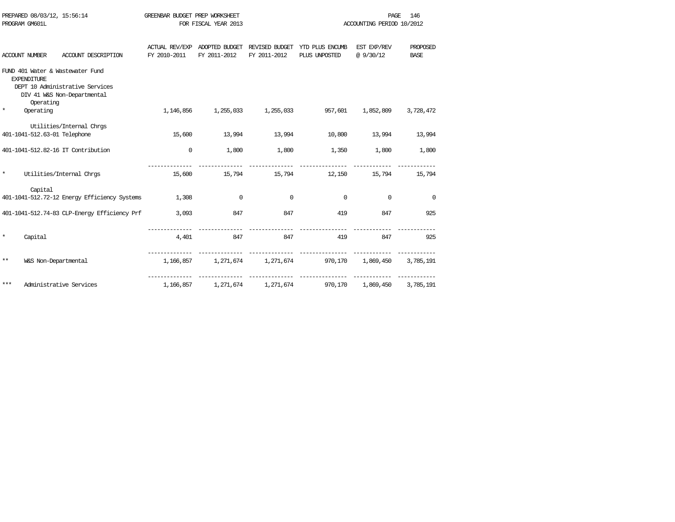|                    | PREPARED 08/03/12, 15:56:14                  | GREENBAR BUDGET PREP WORKSHEET |                      |              |                                                              | PAGE                      | 146         |
|--------------------|----------------------------------------------|--------------------------------|----------------------|--------------|--------------------------------------------------------------|---------------------------|-------------|
| PROGRAM GM601L     |                                              |                                | FOR FISCAL YEAR 2013 |              |                                                              | ACCOUNTING PERIOD 10/2012 |             |
|                    |                                              |                                |                      |              |                                                              |                           |             |
|                    |                                              |                                |                      |              | ACTUAL REV/EXP ADOPTED BUDGET REVISED BUDGET YTD PLUS ENCUMB | EST EXP/REV               | PROPOSED    |
| ACCOUNT NUMBER     | ACCOUNT DESCRIPTION                          | FY 2010-2011                   | FY 2011-2012         | FY 2011-2012 | PLUS UNPOSTED                                                | @9/30/12                  | <b>BASE</b> |
|                    | FUND 401 Water & Wastewater Fund             |                                |                      |              |                                                              |                           |             |
| <b>EXPENDITURE</b> |                                              |                                |                      |              |                                                              |                           |             |
|                    | DEPT 10 Administrative Services              |                                |                      |              |                                                              |                           |             |
|                    | DIV 41 W&S Non-Departmental                  |                                |                      |              |                                                              |                           |             |
| $\star$            | Operating                                    |                                |                      |              |                                                              |                           |             |
| Operating          |                                              |                                |                      |              | 1,146,856 1,255,033 1,255,033 957,601                        | 1,852,809                 | 3,728,472   |
|                    | Utilities/Internal Chrgs                     |                                |                      |              |                                                              |                           |             |
|                    | 401-1041-512.63-01 Telephone                 | 15,600                         | 13,994               | 13,994       | 10,800                                                       | 13,994                    | 13,994      |
|                    | 401-1041-512.82-16 IT Contribution           | $\mathbf 0$                    | 1,800                | 1,800        | 1,350                                                        | 1,800                     | 1,800       |
|                    |                                              |                                |                      |              |                                                              |                           |             |
| $\star$            | Utilities/Internal Chros                     | 15,600                         | 15,794               |              | 15,794 12,150                                                | 15,794                    | 15,794      |
|                    |                                              |                                |                      |              |                                                              |                           |             |
| Capital            |                                              |                                |                      |              |                                                              |                           |             |
|                    | 401-1041-512.72-12 Energy Efficiency Systems | 1,308                          | $\Omega$             | $\Omega$     | $\Omega$                                                     | 0                         | $\mathbf 0$ |
|                    | 401-1041-512.74-83 CLP-Energy Efficiency Prf | 3,093                          | 847                  | 847          | 419                                                          | 847                       | 925         |
|                    |                                              |                                |                      |              |                                                              |                           |             |
| $\star$<br>Capital |                                              | 4,401                          | 847                  | 847          | 419                                                          | 847                       | 925         |
|                    |                                              |                                |                      |              |                                                              |                           |             |
|                    |                                              |                                |                      |              |                                                              |                           |             |
| $***$              | W&S Non-Departmental                         |                                |                      |              | 1,166,857 1,271,674 1,271,674 970,170 1,869,450 3,785,191    |                           |             |
|                    |                                              |                                |                      |              |                                                              |                           |             |
| $***$              | Administrative Services                      |                                |                      |              | 1,166,857 1,271,674 1,271,674 970,170 1,869,450              |                           | 3,785,191   |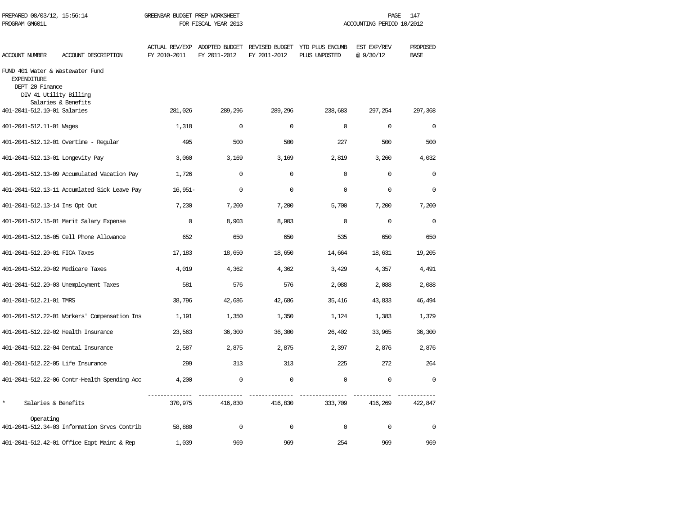| PREPARED 08/03/12, 15:56:14<br>PROGRAM GM601L                                                       |                                              | GREENBAR BUDGET PREP WORKSHEET        | FOR FISCAL YEAR 2013 |              | 147<br>PAGE<br>ACCOUNTING PERIOD 10/2012                       |                         |                         |  |  |
|-----------------------------------------------------------------------------------------------------|----------------------------------------------|---------------------------------------|----------------------|--------------|----------------------------------------------------------------|-------------------------|-------------------------|--|--|
| ACCOUNT NUMBER                                                                                      | ACCOUNT DESCRIPTION                          | <b>ACTUAL REV/EXP</b><br>FY 2010-2011 | FY 2011-2012         | FY 2011-2012 | ADOPTED BUDGET REVISED BUDGET YTD PLUS ENCUMB<br>PLUS UNPOSTED | EST EXP/REV<br>@9/30/12 | PROPOSED<br><b>BASE</b> |  |  |
| FUND 401 Water & Wastewater Fund<br><b>EXPENDITURE</b><br>DEPT 20 Finance<br>DIV 41 Utility Billing |                                              |                                       |                      |              |                                                                |                         |                         |  |  |
| 401-2041-512.10-01 Salaries                                                                         | Salaries & Benefits                          | 281,026                               | 289,296              | 289,296      | 238,683                                                        | 297,254                 | 297,368                 |  |  |
| 401-2041-512.11-01 Wages                                                                            |                                              | 1,318                                 | $\Omega$             | $\Omega$     | $\Omega$                                                       | $\Omega$                | $\Omega$                |  |  |
|                                                                                                     | 401-2041-512.12-01 Overtime - Regular        | 495                                   | 500                  | 500          | 227                                                            | 500                     | 500                     |  |  |
| 401-2041-512.13-01 Longevity Pay                                                                    |                                              | 3,060                                 | 3,169                | 3,169        | 2,819                                                          | 3,260                   | 4,032                   |  |  |
|                                                                                                     | 401-2041-512.13-09 Accumulated Vacation Pay  | 1,726                                 | 0                    | $\mathbf 0$  | $\Omega$                                                       | $\overline{0}$          | 0                       |  |  |
|                                                                                                     | 401-2041-512.13-11 Accumlated Sick Leave Pay | $16,951-$                             | $\mathbf 0$          | $\mathbf 0$  | $\Omega$                                                       | $\mathbf 0$             | $\mathbf 0$             |  |  |
| 401-2041-512.13-14 Ins Opt Out                                                                      |                                              | 7,230                                 | 7,200                | 7,200        | 5,700                                                          | 7,200                   | 7,200                   |  |  |
|                                                                                                     | 401-2041-512.15-01 Merit Salary Expense      | $\mathbf 0$                           | 8,903                | 8,903        | $\Omega$                                                       | $\Omega$                | $\mathbf 0$             |  |  |
|                                                                                                     | 401-2041-512.16-05 Cell Phone Allowance      | 652                                   | 650                  | 650          | 535                                                            | 650                     | 650                     |  |  |
| 401-2041-512.20-01 FICA Taxes                                                                       |                                              | 17,183                                | 18,650               | 18,650       | 14,664                                                         | 18,631                  | 19,205                  |  |  |
| 401-2041-512.20-02 Medicare Taxes                                                                   |                                              | 4,019                                 | 4,362                | 4,362        | 3,429                                                          | 4,357                   | 4,491                   |  |  |
|                                                                                                     | 401-2041-512.20-03 Unemployment Taxes        | 581                                   | 576                  | 576          | 2,088                                                          | 2,088                   | 2,088                   |  |  |
| 401-2041-512.21-01 TMRS                                                                             |                                              | 38,796                                | 42,686               | 42,686       | 35,416                                                         | 43,833                  | 46,494                  |  |  |
|                                                                                                     | 401-2041-512.22-01 Workers' Compensation Ins | 1,191                                 | 1,350                | 1,350        | 1,124                                                          | 1,383                   | 1,379                   |  |  |
| 401-2041-512.22-02 Health Insurance                                                                 |                                              | 23,563                                | 36,300               | 36,300       | 26,402                                                         | 33,965                  | 36,300                  |  |  |
| 401-2041-512.22-04 Dental Insurance                                                                 |                                              | 2,587                                 | 2,875                | 2,875        | 2,397                                                          | 2,876                   | 2,876                   |  |  |
| 401-2041-512.22-05 Life Insurance                                                                   |                                              | 299                                   | 313                  | 313          | 225                                                            | 272                     | 264                     |  |  |
|                                                                                                     | 401-2041-512.22-06 Contr-Health Spending Acc | 4,200                                 | $\mathbf 0$          | $\mathbf 0$  | $\mathbf 0$                                                    | $\mathbf 0$             | $\mathbf{0}$            |  |  |
| $\star$<br>Salaries & Benefits                                                                      |                                              | 370,975                               | 416,830              | 416,830      | 333,709                                                        | 416,269                 | 422,847                 |  |  |
| Operating                                                                                           | 401-2041-512.34-03 Information Srvcs Contrib | 58,880                                | $\mathbf 0$          | $\mathbf 0$  | $\mathbf 0$                                                    | $\mathbf 0$             | $\mathbf 0$             |  |  |
|                                                                                                     | 401-2041-512.42-01 Office Eqpt Maint & Rep   | 1,039                                 | 969                  | 969          | 254                                                            | 969                     | 969                     |  |  |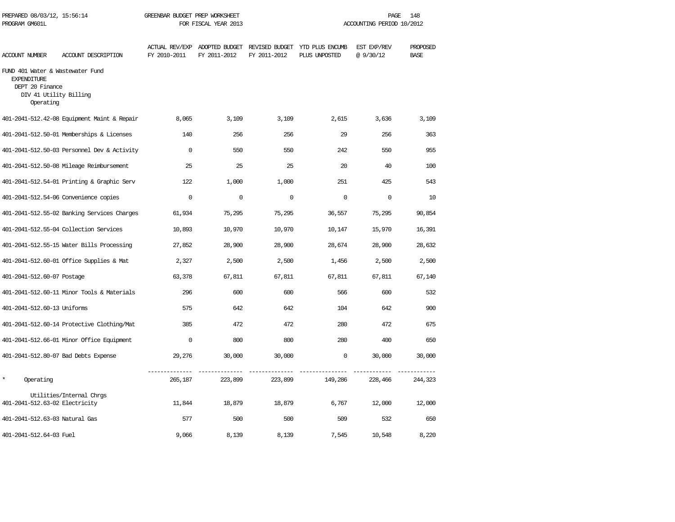| PREPARED 08/03/12, 15:56:14<br>PROGRAM GM601L                                                                    |                                             | GREENBAR BUDGET PREP WORKSHEET<br>FOR FISCAL YEAR 2013 |              |              | PAGE<br>148<br>ACCOUNTING PERIOD 10/2012                                      |                         |                         |  |
|------------------------------------------------------------------------------------------------------------------|---------------------------------------------|--------------------------------------------------------|--------------|--------------|-------------------------------------------------------------------------------|-------------------------|-------------------------|--|
| ACCOUNT NUMBER                                                                                                   | ACCOUNT DESCRIPTION                         | FY 2010-2011                                           | FY 2011-2012 | FY 2011-2012 | ACTUAL REV/EXP ADOPTED BUDGET REVISED BUDGET YTD PLUS ENCUMB<br>PLUS UNPOSTED | EST EXP/REV<br>@9/30/12 | PROPOSED<br><b>BASE</b> |  |
| FUND 401 Water & Wastewater Fund<br><b>EXPENDITURE</b><br>DEPT 20 Finance<br>DIV 41 Utility Billing<br>Operating |                                             |                                                        |              |              |                                                                               |                         |                         |  |
|                                                                                                                  | 401-2041-512.42-08 Equipment Maint & Repair | 8,065                                                  | 3,109        | 3,109        | 2,615                                                                         | 3,636                   | 3,109                   |  |
|                                                                                                                  | 401-2041-512.50-01 Memberships & Licenses   | 140                                                    | 256          | 256          | 29                                                                            | 256                     | 363                     |  |
|                                                                                                                  | 401-2041-512.50-03 Personnel Dev & Activity | $\mathbf 0$                                            | 550          | 550          | 242                                                                           | 550                     | 955                     |  |
|                                                                                                                  | 401-2041-512.50-08 Mileage Reimbursement    | 25                                                     | 25           | 25           | 20                                                                            | 40                      | 100                     |  |
|                                                                                                                  | 401-2041-512.54-01 Printing & Graphic Serv  | 122                                                    | 1,000        | 1,000        | 251                                                                           | 425                     | 543                     |  |
|                                                                                                                  | 401-2041-512.54-06 Convenience copies       | $\Omega$                                               | $\Omega$     | $\Omega$     | $\Omega$                                                                      | $\Omega$                | 10                      |  |
|                                                                                                                  | 401-2041-512.55-02 Banking Services Charges | 61,934                                                 | 75,295       | 75,295       | 36,557                                                                        | 75,295                  | 90,854                  |  |
|                                                                                                                  | 401-2041-512.55-04 Collection Services      | 10,893                                                 | 10,970       | 10,970       | 10,147                                                                        | 15,970                  | 16,391                  |  |
|                                                                                                                  | 401-2041-512.55-15 Water Bills Processing   | 27,852                                                 | 28,900       | 28,900       | 28,674                                                                        | 28,900                  | 28,632                  |  |
|                                                                                                                  | 401-2041-512.60-01 Office Supplies & Mat    | 2,327                                                  | 2,500        | 2,500        | 1,456                                                                         | 2,500                   | 2,500                   |  |
| 401-2041-512.60-07 Postage                                                                                       |                                             | 63,378                                                 | 67,811       | 67,811       | 67,811                                                                        | 67,811                  | 67,140                  |  |
|                                                                                                                  | 401-2041-512.60-11 Minor Tools & Materials  | 296                                                    | 600          | 600          | 566                                                                           | 600                     | 532                     |  |
| 401-2041-512.60-13 Uniforms                                                                                      |                                             | 575                                                    | 642          | 642          | 104                                                                           | 642                     | 900                     |  |
|                                                                                                                  | 401-2041-512.60-14 Protective Clothing/Mat  | 385                                                    | 472          | 472          | 280                                                                           | 472                     | 675                     |  |
|                                                                                                                  | 401-2041-512.66-01 Minor Office Equipment   | $\mathbf 0$                                            | 800          | 800          | 280                                                                           | 400                     | 650                     |  |
|                                                                                                                  | 401-2041-512.80-07 Bad Debts Expense        | 29,276                                                 | 30,000       | 30,000       | $\mathbf 0$                                                                   | 30,000                  | 30,000                  |  |
| $\star$<br>Operating                                                                                             |                                             | 265,187                                                | 223,899      | 223,899      | 149,286                                                                       | 228,466                 | 244,323                 |  |
| 401-2041-512.63-02 Electricity                                                                                   | Utilities/Internal Chrgs                    | 11,844                                                 | 18,879       | 18,879       | 6,767                                                                         | 12,000                  | 12,000                  |  |
| 401-2041-512.63-03 Natural Gas                                                                                   |                                             | 577                                                    | 500          | 500          | 509                                                                           | 532                     | 650                     |  |
| 401-2041-512.64-03 Fuel                                                                                          |                                             | 9,066                                                  | 8,139        | 8,139        | 7,545                                                                         | 10,548                  | 8,220                   |  |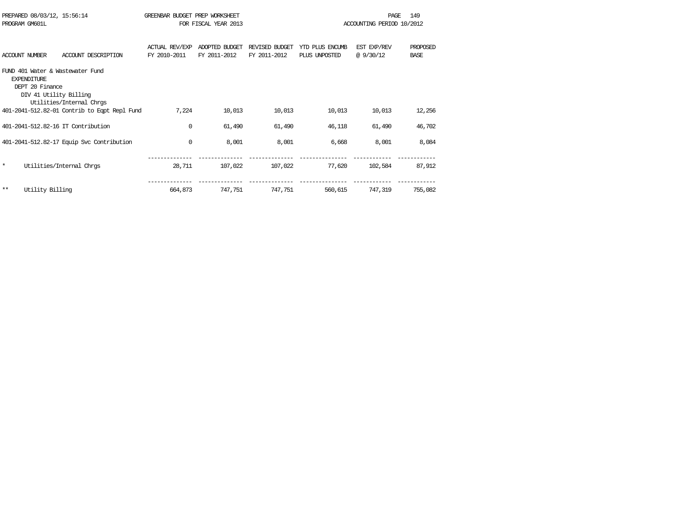|         | PREPARED 08/03/12, 15:56:14<br>PROGRAM GM601L                   |                                                              | GREENBAR BUDGET PREP WORKSHEET<br>FOR FISCAL YEAR 2013 | 149<br><b>PAGE</b><br>ACCOUNTING PERIOD 10/2012 |                                |                                  |                         |                         |
|---------|-----------------------------------------------------------------|--------------------------------------------------------------|--------------------------------------------------------|-------------------------------------------------|--------------------------------|----------------------------------|-------------------------|-------------------------|
|         | ACCOUNT NUMBER                                                  | ACCOUNT DESCRIPTION                                          | <b>ACTUAL REV/EXP</b><br>FY 2010-2011                  | ADOPTED BUDGET<br>FY 2011-2012                  | REVISED BUDGET<br>FY 2011-2012 | YTD PLUS ENCUMB<br>PLUS UNPOSTED | EST EXP/REV<br>@9/30/12 | PROPOSED<br><b>BASE</b> |
|         | <b>EXPENDITURE</b><br>DEPT 20 Finance<br>DIV 41 Utility Billing | FUND 401 Water & Wastewater Fund<br>Utilities/Internal Chrgs |                                                        |                                                 |                                |                                  |                         |                         |
|         |                                                                 | 401-2041-512.82-01 Contrib to Eqpt Repl Fund                 | 7,224                                                  | 10,013                                          | 10,013                         | 10,013                           | 10,013                  | 12,256                  |
|         |                                                                 | 401-2041-512.82-16 IT Contribution                           | $\Omega$                                               | 61,490                                          | 61,490                         | 46,118                           | 61,490                  | 46,702                  |
|         |                                                                 | 401-2041-512.82-17 Equip Svc Contribution                    | 0                                                      | 8,001                                           | 8,001                          | 6,668                            | 8,001                   | 8,084                   |
| $\star$ |                                                                 | Utilities/Internal Chros                                     | 28,711                                                 | 107,022                                         | 107,022                        | 77,620                           | 102,584                 | 87,912                  |
| $***$   | Utility Billing                                                 |                                                              | 664,873                                                | 747,751                                         | 747.751                        | 560,615                          | 747,319                 | 755,082                 |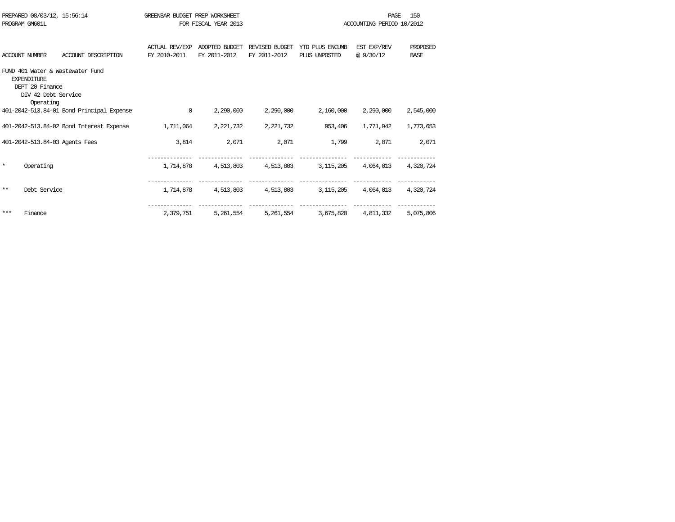|         | PREPARED 08/03/12, 15:56:14<br>PROGRAM GM601L                             |                                           | GREENBAR BUDGET PREP WORKSHEET        | FOR FISCAL YEAR 2013           | PAGE.<br>ACCOUNTING PERIOD 10/2012 |                                  |                         |                                |
|---------|---------------------------------------------------------------------------|-------------------------------------------|---------------------------------------|--------------------------------|------------------------------------|----------------------------------|-------------------------|--------------------------------|
|         | <b>ACCOUNT NUMBER</b>                                                     | ACCOUNT DESCRIPTION                       | <b>ACTUAL REV/EXP</b><br>FY 2010-2011 | ADOPTED BUDGET<br>FY 2011-2012 | REVISED BUDGET<br>FY 2011-2012     | YTD PLUS ENCUMB<br>PLUS UNPOSTED | EST EXP/REV<br>@9/30/12 | <b>PROPOSED</b><br><b>BASE</b> |
|         | <b>EXPENDITURE</b><br>DEPT 20 Finance<br>DIV 42 Debt Service<br>Operating | FUND 401 Water & Wastewater Fund          |                                       |                                |                                    |                                  |                         |                                |
|         |                                                                           | 401-2042-513.84-01 Bond Principal Expense | $\mathbf 0$                           | 2,290,000                      | 2,290,000                          | 2,160,000                        | 2,290,000               | 2,545,000                      |
|         |                                                                           | 401-2042-513.84-02 Bond Interest Expense  | 1,711,064                             | 2,221,732                      | 2, 221, 732                        | 953,406                          | 1,771,942               | 1,773,653                      |
|         | 401-2042-513.84-03 Agents Fees                                            |                                           | 3,814                                 | 2,071                          | 2,071                              | 1,799                            | 2,071                   | 2,071                          |
| $\star$ | Operating                                                                 |                                           | 1,714,878                             | 4,513,803                      | 4,513,803                          | 3,115,205                        | 4,064,013               | 4,320,724                      |
| **      | Debt Service                                                              |                                           | 1,714,878                             | 4,513,803                      | 4,513,803                          | 3,115,205                        | 4,064,013               | 4,320,724                      |
| ***     | Finance                                                                   |                                           | 2,379,751                             | 5,261,554                      | 5,261,554                          | 3,675,820                        | 4,811,332               | 5,075,806                      |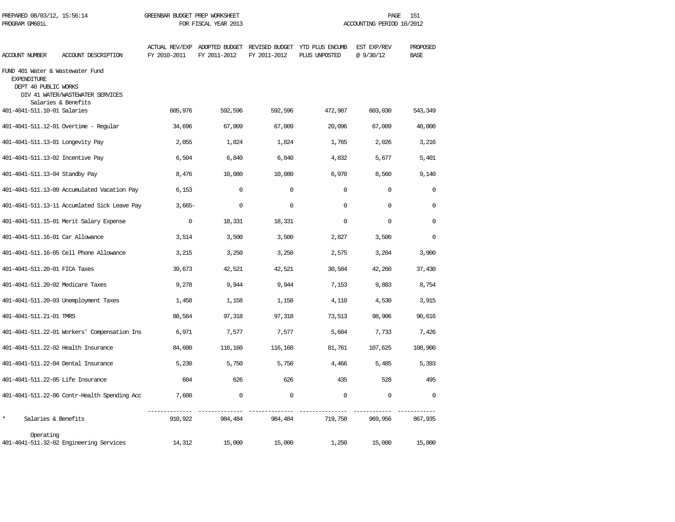| PREPARED 08/03/12, 15:56:14<br>PROGRAM GM601L                                  |                                              | GREENBAR BUDGET PREP WORKSHEET<br>FOR FISCAL YEAR 2013 |              |              | PAGE<br>151<br>ACCOUNTING PERIOD 10/2012                                      |                         |                         |  |
|--------------------------------------------------------------------------------|----------------------------------------------|--------------------------------------------------------|--------------|--------------|-------------------------------------------------------------------------------|-------------------------|-------------------------|--|
| ACCOUNT NUMBER                                                                 | ACCOUNT DESCRIPTION                          | FY 2010-2011                                           | FY 2011-2012 | FY 2011-2012 | ACTUAL REV/EXP ADOPTED BUDGET REVISED BUDGET YTD PLUS ENCUMB<br>PLUS UNPOSTED | EST EXP/REV<br>@9/30/12 | PROPOSED<br><b>BASE</b> |  |
| FUND 401 Water & Wastewater Fund<br><b>EXPENDITURE</b><br>DEPT 40 PUBLIC WORKS | DIV 41 WATER/WASTEWATER SERVICES             |                                                        |              |              |                                                                               |                         |                         |  |
| 401-4041-511.10-01 Salaries                                                    | Salaries & Benefits                          | 605,976                                                | 592,596      | 592,596      | 472,987                                                                       | 603,030                 | 543,349                 |  |
|                                                                                | 401-4041-511.12-01 Overtime - Regular        | 34,696                                                 | 67,009       | 67,009       | 20,096                                                                        | 67,009                  | 40,000                  |  |
| 401-4041-511.13-01 Longevity Pay                                               |                                              | 2,055                                                  | 1,824        | 1,824        | 1,765                                                                         | 2,026                   | 3,216                   |  |
| 401-4041-511.13-02 Incentive Pay                                               |                                              | 6,504                                                  | 6,840        | 6,840        | 4,832                                                                         | 5,677                   | 5,401                   |  |
| 401-4041-511.13-04 Standby Pay                                                 |                                              | 8,476                                                  | 10,080       | 10,080       | 6,970                                                                         | 8,560                   | 9,140                   |  |
|                                                                                | 401-4041-511.13-09 Accumulated Vacation Pay  | 6,153                                                  | $\circ$      | $\mathbf 0$  | $\mathbf{0}$                                                                  | $\mathbf 0$             | 0                       |  |
|                                                                                | 401-4041-511.13-11 Accumlated Sick Leave Pay | $3,665-$                                               | $\mathbf 0$  | $\mathbf 0$  | $\mathbf 0$                                                                   | $\mathbf 0$             | $\Omega$                |  |
|                                                                                | 401-4041-511.15-01 Merit Salary Expense      | $\mathbf{0}$                                           | 18,331       | 18,331       | $\Omega$                                                                      | $\Omega$                | $\Omega$                |  |
| 401-4041-511.16-01 Car Allowance                                               |                                              | 3,514                                                  | 3,500        | 3,500        | 2,827                                                                         | 3,500                   | $\Omega$                |  |
|                                                                                | 401-4041-511.16-05 Cell Phone Allowance      | 3,215                                                  | 3,250        | 3,250        | 2,575                                                                         | 3,204                   | 3,900                   |  |
| 401-4041-511.20-01 FICA Taxes                                                  |                                              | 39,673                                                 | 42,521       | 42,521       | 30,584                                                                        | 42,260                  | 37,430                  |  |
| 401-4041-511.20-02 Medicare Taxes                                              |                                              | 9,278                                                  | 9,944        | 9,944        | 7,153                                                                         | 9,883                   | 8,754                   |  |
|                                                                                | 401-4041-511.20-03 Unemployment Taxes        | 1,458                                                  | 1,158        | 1,158        | 4,110                                                                         | 4,530                   | 3,915                   |  |
| 401-4041-511.21-01 TMRS                                                        |                                              | 88,584                                                 | 97,318       | 97,318       | 73,513                                                                        | 98,906                  | 90,616                  |  |
|                                                                                | 401-4041-511.22-01 Workers' Compensation Ins | 6,971                                                  | 7,577        | 7,577        | 5,684                                                                         | 7,733                   | 7,426                   |  |
| 401-4041-511.22-02 Health Insurance                                            |                                              | 84,600                                                 | 116,160      | 116,160      | 81,761                                                                        | 107,625                 | 108,900                 |  |
| 401-4041-511.22-04 Dental Insurance                                            |                                              | 5,230                                                  | 5,750        | 5,750        | 4,466                                                                         | 5,485                   | 5,393                   |  |
| 401-4041-511.22-05 Life Insurance                                              |                                              | 604                                                    | 626          | 626          | 435                                                                           | 528                     | 495                     |  |
|                                                                                | 401-4041-511.22-06 Contr-Health Spending Acc | 7,600                                                  | $\mathbf 0$  | $\mathbf 0$  | $\mathbf 0$                                                                   | $\mathbf 0$             | $\Omega$                |  |
| $\star$<br>Salaries & Benefits                                                 |                                              | 910,922                                                | 984,484      | 984,484      | 719,758                                                                       | 969,956                 | 867,935                 |  |
| Operating                                                                      | 401-4041-511.32-02 Engineering Services      | 14,312                                                 | 15,000       | 15,000       | 1,250                                                                         | 15,000                  | 15,000                  |  |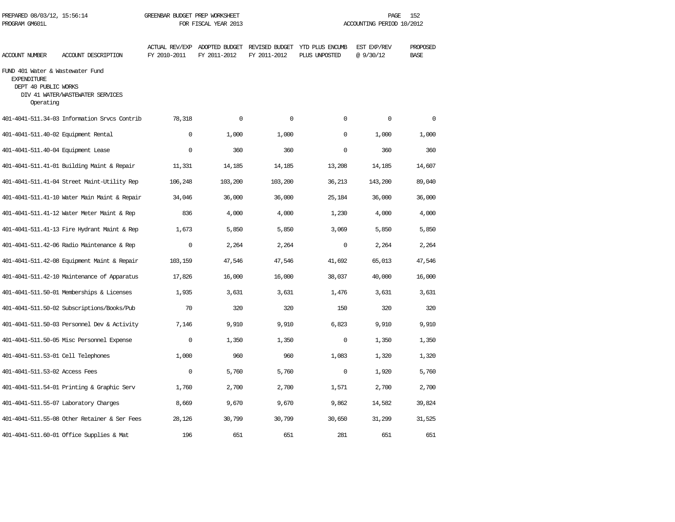| PROGRAM GM601L                                                                              |                                              |              | FOR FISCAL YEAR 2013 |              | ACCOUNTING PERIOD 10/2012                                                     |                          |                         |  |
|---------------------------------------------------------------------------------------------|----------------------------------------------|--------------|----------------------|--------------|-------------------------------------------------------------------------------|--------------------------|-------------------------|--|
| <b>ACCOUNT NUMBER</b>                                                                       | ACCOUNT DESCRIPTION                          | FY 2010-2011 | FY 2011-2012         | FY 2011-2012 | ACTUAL REV/EXP ADOPTED BUDGET REVISED BUDGET YTD PLUS ENCUMB<br>PLUS UNPOSTED | EST EXP/REV<br>@ 9/30/12 | PROPOSED<br><b>BASE</b> |  |
| FUND 401 Water & Wastewater Fund<br><b>EXPENDITURE</b><br>DEPT 40 PUBLIC WORKS<br>Operating | DIV 41 WATER/WASTEWATER SERVICES             |              |                      |              |                                                                               |                          |                         |  |
|                                                                                             | 401-4041-511.34-03 Information Srvcs Contrib | 78,318       | $\Omega$             | $\Omega$     | $\Omega$                                                                      | $\mathsf 0$              | $\Omega$                |  |
| 401-4041-511.40-02 Equipment Rental                                                         |                                              | $\Omega$     | 1,000                | 1,000        | $\Omega$                                                                      | 1,000                    | 1,000                   |  |
| 401-4041-511.40-04 Equipment Lease                                                          |                                              | $\Omega$     | 360                  | 360          | $\Omega$                                                                      | 360                      | 360                     |  |
|                                                                                             | 401-4041-511.41-01 Building Maint & Repair   | 11,331       | 14,185               | 14,185       | 13,208                                                                        | 14,185                   | 14,607                  |  |
|                                                                                             | 401-4041-511.41-04 Street Maint-Utility Rep  | 106,248      | 103,200              | 103,200      | 36,213                                                                        | 143,200                  | 89,040                  |  |
|                                                                                             | 401-4041-511.41-10 Water Main Maint & Repair | 34,046       | 36,000               | 36,000       | 25,184                                                                        | 36,000                   | 36,000                  |  |
|                                                                                             | 401-4041-511.41-12 Water Meter Maint & Rep   | 836          | 4,000                | 4,000        | 1,230                                                                         | 4,000                    | 4,000                   |  |
|                                                                                             | 401-4041-511.41-13 Fire Hydrant Maint & Rep  | 1,673        | 5,850                | 5,850        | 3,069                                                                         | 5,850                    | 5,850                   |  |
|                                                                                             | 401-4041-511.42-06 Radio Maintenance & Rep   | $\Omega$     | 2,264                | 2,264        | $\Omega$                                                                      | 2,264                    | 2,264                   |  |
|                                                                                             | 401-4041-511.42-08 Equipment Maint & Repair  | 103,159      | 47,546               | 47,546       | 41,692                                                                        | 65,013                   | 47,546                  |  |
|                                                                                             | 401-4041-511.42-10 Maintenance of Apparatus  | 17,826       | 16,000               | 16,000       | 38,037                                                                        | 40,000                   | 16,000                  |  |
|                                                                                             | 401-4041-511.50-01 Memberships & Licenses    | 1,935        | 3,631                | 3,631        | 1,476                                                                         | 3,631                    | 3,631                   |  |
|                                                                                             | 401-4041-511.50-02 Subscriptions/Books/Pub   | 70           | 320                  | 320          | 150                                                                           | 320                      | 320                     |  |
|                                                                                             | 401-4041-511.50-03 Personnel Dev & Activity  | 7,146        | 9,910                | 9,910        | 6,823                                                                         | 9,910                    | 9,910                   |  |
|                                                                                             | 401-4041-511.50-05 Misc Personnel Expense    | $\mathbf 0$  | 1,350                | 1,350        | 0                                                                             | 1,350                    | 1,350                   |  |
| 401-4041-511.53-01 Cell Telephones                                                          |                                              | 1,000        | 960                  | 960          | 1,083                                                                         | 1,320                    | 1,320                   |  |
| 401-4041-511.53-02 Access Fees                                                              |                                              | $\mathbf 0$  | 5,760                | 5,760        | $\mathbf 0$                                                                   | 1,920                    | 5,760                   |  |
|                                                                                             | 401-4041-511.54-01 Printing & Graphic Serv   | 1,760        | 2,700                | 2,700        | 1,571                                                                         | 2,700                    | 2,700                   |  |
|                                                                                             | 401-4041-511.55-07 Laboratory Charges        | 8,669        | 9,670                | 9,670        | 9,862                                                                         | 14,582                   | 39,824                  |  |
|                                                                                             | 401-4041-511.55-08 Other Retainer & Ser Fees | 28,126       | 30,799               | 30,799       | 30,650                                                                        | 31,299                   | 31,525                  |  |
|                                                                                             | 401-4041-511.60-01 Office Supplies & Mat     | 196          | 651                  | 651          | 281                                                                           | 651                      | 651                     |  |

PREPARED 08/03/12, 15:56:14 GREENBAR BUDGET PREP WORKSHEET **FREED AGE 152** PAGE 152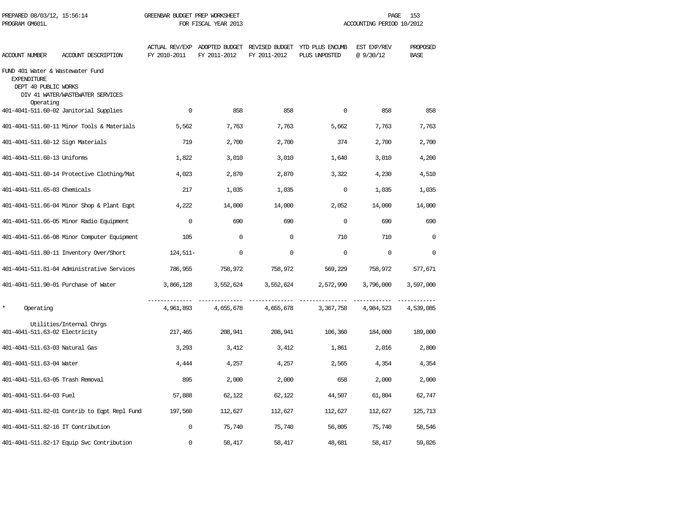| PREPARED 08/03/12, 15:56:14<br>PROGRAM GM601L                                  |                                              | GREENBAR BUDGET PREP WORKSHEET<br>FOR FISCAL YEAR 2013 |              |              | PAGE<br>153<br>ACCOUNTING PERIOD 10/2012                                      |                         |                         |  |
|--------------------------------------------------------------------------------|----------------------------------------------|--------------------------------------------------------|--------------|--------------|-------------------------------------------------------------------------------|-------------------------|-------------------------|--|
| <b>ACCOUNT NUMBER</b>                                                          | ACCOUNT DESCRIPTION                          | FY 2010-2011                                           | FY 2011-2012 | FY 2011-2012 | ACTUAL REV/EXP ADOPTED BUDGET REVISED BUDGET YTD PLUS ENCUMB<br>PLUS UNPOSTED | EST EXP/REV<br>@9/30/12 | PROPOSED<br><b>BASE</b> |  |
| FUND 401 Water & Wastewater Fund<br><b>EXPENDITURE</b><br>DEPT 40 PUBLIC WORKS | DIV 41 WATER/WASTEWATER SERVICES             |                                                        |              |              |                                                                               |                         |                         |  |
| Operating                                                                      | 401-4041-511.60-02 Janitorial Supplies       | $\mathbf 0$                                            | 858          | 858          | $\Omega$                                                                      | 858                     | 858                     |  |
|                                                                                | 401-4041-511.60-11 Minor Tools & Materials   | 5,562                                                  | 7,763        | 7,763        | 5,662                                                                         | 7,763                   | 7,763                   |  |
| 401-4041-511.60-12 Sign Materials                                              |                                              | 719                                                    | 2,700        | 2,700        | 374                                                                           | 2,700                   | 2,700                   |  |
| 401-4041-511.60-13 Uniforms                                                    |                                              | 1,822                                                  | 3,010        | 3,010        | 1,640                                                                         | 3,010                   | 4,200                   |  |
|                                                                                | 401-4041-511.60-14 Protective Clothing/Mat   | 4,023                                                  | 2,870        | 2,870        | 3,322                                                                         | 4,230                   | 4,510                   |  |
| 401-4041-511.65-03 Chemicals                                                   |                                              | 217                                                    | 1,035        | 1,035        | $\mathbf 0$                                                                   | 1,035                   | 1,035                   |  |
|                                                                                | 401-4041-511.66-04 Minor Shop & Plant Eqpt   | 4,222                                                  | 14,000       | 14,000       | 2,052                                                                         | 14,000                  | 14,000                  |  |
|                                                                                | 401-4041-511.66-05 Minor Radio Equipment     | $\Omega$                                               | 690          | 690          | $\Omega$                                                                      | 690                     | 690                     |  |
|                                                                                | 401-4041-511.66-08 Minor Computer Equipment  | 105                                                    | $\Omega$     | $\Omega$     | 710                                                                           | 710                     | $\Omega$                |  |
|                                                                                | 401-4041-511.80-11 Inventory Over/Short      | $124,511-$                                             | $\Omega$     | $\Omega$     | $\Omega$                                                                      | $\Omega$                | $\Omega$                |  |
|                                                                                | 401-4041-511.81-04 Administrative Services   | 786,955                                                | 758,972      | 758,972      | 569,229                                                                       | 758,972                 | 577,671                 |  |
|                                                                                | 401-4041-511.90-01 Purchase of Water         | 3,866,128                                              | 3,552,624    | 3,552,624    | 2,572,990                                                                     | 3,796,000               | 3,597,000               |  |
| $\star$<br>Operating                                                           |                                              | 4,961,893                                              | 4,655,678    | 4,655,678    | 3,367,758                                                                     | 4,984,523               | 4,539,085               |  |
| 401-4041-511.63-02 Electricity                                                 | Utilities/Internal Chrgs                     | 217,465                                                | 208,941      | 208,941      | 106,360                                                                       | 184,000                 | 189,000                 |  |
| 401-4041-511.63-03 Natural Gas                                                 |                                              | 3,293                                                  | 3,412        | 3,412        | 1,861                                                                         | 2,016                   | 2,800                   |  |
| 401-4041-511.63-04 Water                                                       |                                              | 4,444                                                  | 4,257        | 4,257        | 2,565                                                                         | 4,354                   | 4,354                   |  |
| 401-4041-511.63-05 Trash Removal                                               |                                              | 895                                                    | 2,000        | 2,000        | 658                                                                           | 2,000                   | 2,000                   |  |
| 401-4041-511.64-03 Fuel                                                        |                                              | 57,888                                                 | 62,122       | 62,122       | 44,507                                                                        | 61,804                  | 62,747                  |  |
|                                                                                | 401-4041-511.82-01 Contrib to Eqpt Repl Fund | 197,560                                                | 112,627      | 112,627      | 112,627                                                                       | 112,627                 | 125,713                 |  |
| 401-4041-511.82-16 IT Contribution                                             |                                              | $\mathbf 0$                                            | 75,740       | 75,740       | 56,805                                                                        | 75,740                  | 58,546                  |  |
|                                                                                | 401-4041-511.82-17 Equip Svc Contribution    | $\mathbf 0$                                            | 58,417       | 58,417       | 48,681                                                                        | 58,417                  | 59,026                  |  |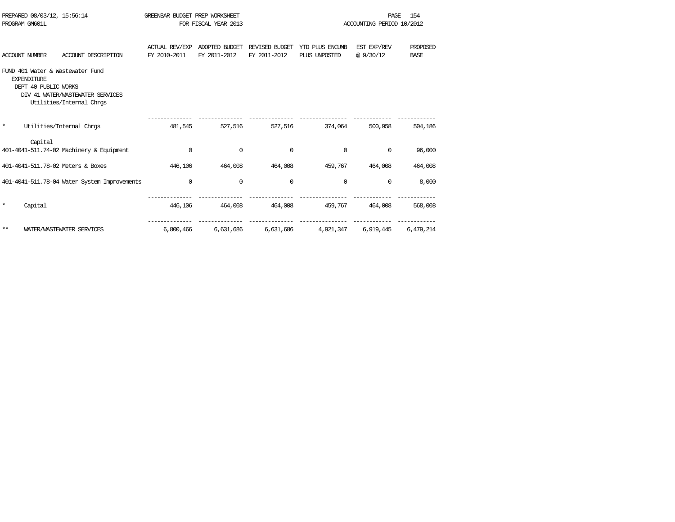| PREPARED 08/03/12, 15:56:14<br>PROGRAM GM601L                                                                                                  |                                       | GREENBAR BUDGET PREP WORKSHEET<br>FOR FISCAL YEAR 2013 |                                |                                  | PAGE<br>ACCOUNTING PERIOD 10/2012 | 154                     |
|------------------------------------------------------------------------------------------------------------------------------------------------|---------------------------------------|--------------------------------------------------------|--------------------------------|----------------------------------|-----------------------------------|-------------------------|
| <b>ACCOUNT NUMBER</b><br>ACCOUNT DESCRIPTION                                                                                                   | <b>ACTUAL REV/EXP</b><br>FY 2010-2011 | ADOPTED BUDGET<br>FY 2011-2012                         | REVISED BUDGET<br>FY 2011-2012 | YTD PLUS ENCUMB<br>PLUS UNPOSTED | EST EXP/REV<br>@9/30/12           | PROPOSED<br><b>BASE</b> |
| FUND 401 Water & Wastewater Fund<br><b>EXPENDITURE</b><br>DEPT 40 PUBLIC WORKS<br>DIV 41 WATER/WASTEWATER SERVICES<br>Utilities/Internal Chros |                                       |                                                        |                                |                                  |                                   |                         |
| $\star$<br>Utilities/Internal Chros                                                                                                            | 481,545                               | 527,516                                                | 527,516                        | 374,064                          | 500,958                           | 504,186                 |
| Capital<br>401-4041-511.74-02 Machinery & Equipment                                                                                            | $\Omega$                              | $\mathbf 0$                                            | $\Omega$                       | $\Omega$                         | $\Omega$                          | 96,000                  |
| 401-4041-511.78-02 Meters & Boxes                                                                                                              | 446,106                               | 464,008                                                | 464,008                        | 459,767                          | 464,008                           | 464,008                 |
| 401-4041-511.78-04 Water System Improvements                                                                                                   | $\mathbf 0$                           | $\mathbf 0$                                            | $\mathbf 0$                    | 0                                | 0                                 | 8,000                   |
| $\star$<br>Capital                                                                                                                             | 446,106                               | 464,008                                                | 464,008                        | 459,767                          | 464,008                           | 568,008                 |
| $***$<br>WATER/WASTEWATER SERVICES                                                                                                             | 6,800,466                             | 6,631,686                                              | 6,631,686                      | 4,921,347                        | 6,919,445                         | 6,479,214               |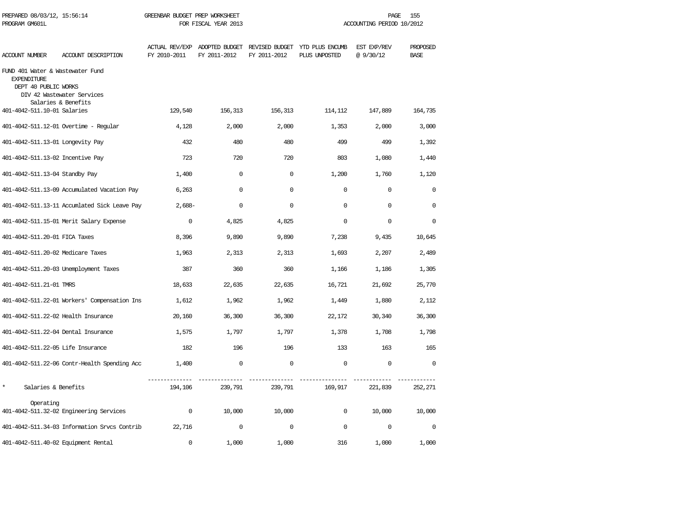| PREPARED 08/03/12, 15:56:14<br>PROGRAM GM601L                                  |                                                   | GREENBAR BUDGET PREP WORKSHEET | FOR FISCAL YEAR 2013 | ACCOUNTING PERIOD 10/2012 | PAGE<br>155                                                                   |                         |                         |
|--------------------------------------------------------------------------------|---------------------------------------------------|--------------------------------|----------------------|---------------------------|-------------------------------------------------------------------------------|-------------------------|-------------------------|
| ACCOUNT NUMBER                                                                 | ACCOUNT DESCRIPTION                               | FY 2010-2011                   | FY 2011-2012         | FY 2011-2012              | ACTUAL REV/EXP ADOPTED BUDGET REVISED BUDGET YTD PLUS ENCUMB<br>PLUS UNPOSTED | EST EXP/REV<br>@9/30/12 | PROPOSED<br><b>BASE</b> |
| FUND 401 Water & Wastewater Fund<br><b>EXPENDITURE</b><br>DEPT 40 PUBLIC WORKS | DIV 42 Wastewater Services<br>Salaries & Benefits |                                |                      |                           |                                                                               |                         |                         |
| 401-4042-511.10-01 Salaries                                                    |                                                   | 129,540                        | 156,313              | 156,313                   | 114,112                                                                       | 147,889                 | 164,735                 |
|                                                                                | 401-4042-511.12-01 Overtime - Regular             | 4,128                          | 2,000                | 2,000                     | 1,353                                                                         | 2,000                   | 3,000                   |
| 401-4042-511.13-01 Longevity Pay                                               |                                                   | 432                            | 480                  | 480                       | 499                                                                           | 499                     | 1,392                   |
| 401-4042-511.13-02 Incentive Pay                                               |                                                   | 723                            | 720                  | 720                       | 803                                                                           | 1,080                   | 1,440                   |
| 401-4042-511.13-04 Standby Pay                                                 |                                                   | 1,400                          | $\mathbf 0$          | $\mathbf 0$               | 1,200                                                                         | 1,760                   | 1,120                   |
|                                                                                | 401-4042-511.13-09 Accumulated Vacation Pay       | 6,263                          | $\mathbf 0$          | $\Omega$                  | $\mathbf 0$                                                                   | $\mathbf 0$             | $\Omega$                |
|                                                                                | 401-4042-511.13-11 Accumlated Sick Leave Pay      | $2,688-$                       | $\Omega$             | $\Omega$                  | $\Omega$                                                                      | $\Omega$                | $\Omega$                |
|                                                                                | 401-4042-511.15-01 Merit Salary Expense           | $\Omega$                       | 4,825                | 4,825                     | $\Omega$                                                                      | $\Omega$                | $\Omega$                |
| 401-4042-511.20-01 FICA Taxes                                                  |                                                   | 8,396                          | 9,890                | 9,890                     | 7,238                                                                         | 9,435                   | 10,645                  |
| 401-4042-511.20-02 Medicare Taxes                                              |                                                   | 1,963                          | 2,313                | 2,313                     | 1,693                                                                         | 2,207                   | 2,489                   |
|                                                                                | 401-4042-511.20-03 Unemployment Taxes             | 387                            | 360                  | 360                       | 1,166                                                                         | 1,186                   | 1,305                   |
| 401-4042-511.21-01 TMRS                                                        |                                                   | 18,633                         | 22,635               | 22,635                    | 16,721                                                                        | 21,692                  | 25,770                  |
|                                                                                | 401-4042-511.22-01 Workers' Compensation Ins      | 1,612                          | 1,962                | 1,962                     | 1,449                                                                         | 1,880                   | 2,112                   |
| 401-4042-511.22-02 Health Insurance                                            |                                                   | 20,160                         | 36,300               | 36,300                    | 22,172                                                                        | 30,340                  | 36,300                  |
| 401-4042-511.22-04 Dental Insurance                                            |                                                   | 1,575                          | 1,797                | 1,797                     | 1,378                                                                         | 1,708                   | 1,798                   |
| 401-4042-511.22-05 Life Insurance                                              |                                                   | 182                            | 196                  | 196                       | 133                                                                           | 163                     | 165                     |
|                                                                                | 401-4042-511,22-06 Contr-Health Spending Acc      | 1,400                          | 0                    | 0                         | $\mathbf 0$                                                                   | $\mathbf 0$             | $\Omega$                |
| $\star$<br>Salaries & Benefits                                                 |                                                   | 194,106                        | 239,791              | 239,791                   | 169,917                                                                       | 221,839                 | 252,271                 |
| Operating                                                                      | 401-4042-511.32-02 Engineering Services           | $\mathbf 0$                    | 10,000               | 10,000                    | $\Omega$                                                                      | 10,000                  | 10,000                  |
|                                                                                | 401-4042-511.34-03 Information Srvcs Contrib      | 22,716                         | $\mathbf 0$          | $\mathbf 0$               | $\mathbf 0$                                                                   | $\mathbf 0$             | $\mathbf 0$             |
| 401-4042-511.40-02 Equipment Rental                                            |                                                   | $\Omega$                       | 1,000                | 1,000                     | 316                                                                           | 1,000                   | 1,000                   |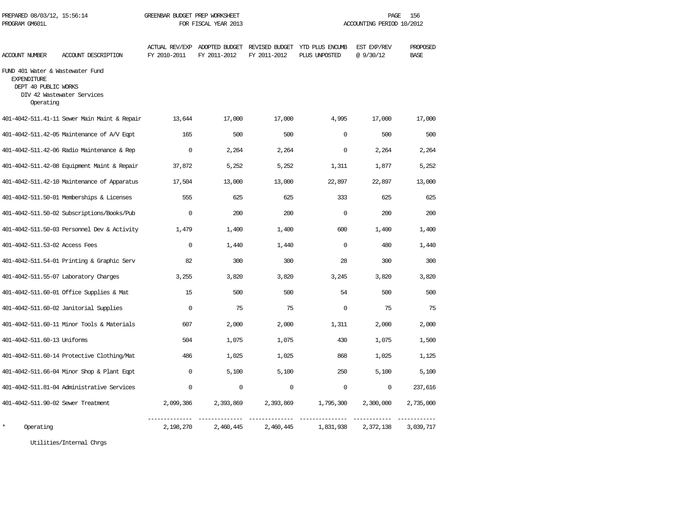| PREPARED 08/03/12, 15:56:14<br>PROGRAM GM601L                                               |                                              | GREENBAR BUDGET PREP WORKSHEET<br>FOR FISCAL YEAR 2013 |                                               |              | 156<br>PAGE.<br>ACCOUNTING PERIOD 10/2012       |                         |                         |  |
|---------------------------------------------------------------------------------------------|----------------------------------------------|--------------------------------------------------------|-----------------------------------------------|--------------|-------------------------------------------------|-------------------------|-------------------------|--|
| <b>ACCOUNT NUMBER</b>                                                                       | ACCOUNT DESCRIPTION                          | FY 2010-2011                                           | ACTUAL REV/EXP ADOPTED BUDGET<br>FY 2011-2012 | FY 2011-2012 | REVISED BUDGET YTD PLUS ENCUMB<br>PLUS UNPOSTED | EST EXP/REV<br>@9/30/12 | PROPOSED<br><b>BASE</b> |  |
| FUND 401 Water & Wastewater Fund<br><b>EXPENDITURE</b><br>DEPT 40 PUBLIC WORKS<br>Operating | DIV 42 Wastewater Services                   |                                                        |                                               |              |                                                 |                         |                         |  |
|                                                                                             | 401-4042-511.41-11 Sewer Main Maint & Repair | 13,644                                                 | 17,000                                        | 17,000       | 4,995                                           | 17,000                  | 17,000                  |  |
|                                                                                             | 401-4042-511.42-05 Maintenance of A/V Eqpt   | 165                                                    | 500                                           | 500          | 0                                               | 500                     | 500                     |  |
|                                                                                             | 401-4042-511.42-06 Radio Maintenance & Rep   | $\mathbf 0$                                            | 2,264                                         | 2,264        | 0                                               | 2,264                   | 2,264                   |  |
|                                                                                             | 401-4042-511.42-08 Equipment Maint & Repair  | 37,872                                                 | 5,252                                         | 5,252        | 1,311                                           | 1,877                   | 5,252                   |  |
|                                                                                             | 401-4042-511.42-10 Maintenance of Apparatus  | 17,504                                                 | 13,000                                        | 13,000       | 22,897                                          | 22,897                  | 13,000                  |  |
|                                                                                             | 401-4042-511.50-01 Memberships & Licenses    | 555                                                    | 625                                           | 625          | 333                                             | 625                     | 625                     |  |
|                                                                                             | 401-4042-511.50-02 Subscriptions/Books/Pub   | $\Omega$                                               | 200                                           | 200          | $\Omega$                                        | 200                     | 200                     |  |
|                                                                                             | 401-4042-511.50-03 Personnel Dev & Activity  | 1,479                                                  | 1,400                                         | 1,400        | 600                                             | 1,400                   | 1,400                   |  |
| 401-4042-511.53-02 Access Fees                                                              |                                              | $\mathbf 0$                                            | 1,440                                         | 1,440        | $\mathbf 0$                                     | 480                     | 1,440                   |  |
|                                                                                             | 401-4042-511.54-01 Printing & Graphic Serv   | 82                                                     | 300                                           | 300          | 28                                              | 300                     | 300                     |  |
|                                                                                             | 401-4042-511.55-07 Laboratory Charges        | 3,255                                                  | 3,820                                         | 3,820        | 3,245                                           | 3,820                   | 3,820                   |  |
|                                                                                             | 401-4042-511.60-01 Office Supplies & Mat     | 15                                                     | 500                                           | 500          | 54                                              | 500                     | 500                     |  |
|                                                                                             | 401-4042-511.60-02 Janitorial Supplies       | $\Omega$                                               | 75                                            | 75           | 0                                               | 75                      | 75                      |  |
|                                                                                             | 401-4042-511.60-11 Minor Tools & Materials   | 607                                                    | 2,000                                         | 2,000        | 1,311                                           | 2,000                   | 2,000                   |  |
| 401-4042-511.60-13 Uniforms                                                                 |                                              | 504                                                    | 1,075                                         | 1,075        | 430                                             | 1,075                   | 1,500                   |  |
|                                                                                             | 401-4042-511.60-14 Protective Clothing/Mat   | 486                                                    | 1,025                                         | 1,025        | 868                                             | 1,025                   | 1,125                   |  |
|                                                                                             | 401-4042-511.66-04 Minor Shop & Plant Eqpt   | $\Omega$                                               | 5,100                                         | 5,100        | 250                                             | 5,100                   | 5,100                   |  |
|                                                                                             | 401-4042-511.81-04 Administrative Services   | $\Omega$                                               | $\mathbf 0$                                   | $\Omega$     | $\mathbf 0$                                     | $\mathbf 0$             | 237,616                 |  |
| 401-4042-511.90-02 Sewer Treatment                                                          |                                              | 2,099,386                                              | 2,393,869                                     | 2,393,869    | 1,795,300                                       | 2,300,000               | 2,735,000               |  |
| $\star$<br>Operating                                                                        |                                              | 2,198,270                                              | 2,460,445                                     | 2,460,445    | 1,831,938                                       | 2,372,138               | 3,039,717               |  |

Utilities/Internal Chrgs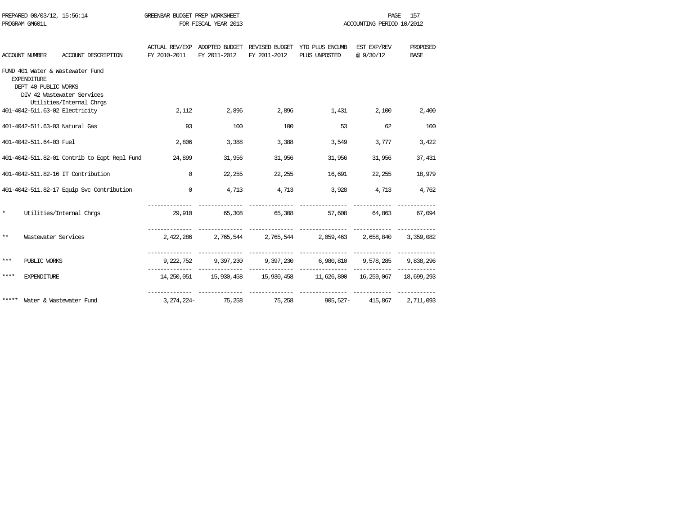|         | PROGRAM GM601L                             |                                                                                            | FOR FISCAL YEAR 2013      |        |              | ACCOUNTING PERIOD 10/2012                                                                 |                            |                         |  |
|---------|--------------------------------------------|--------------------------------------------------------------------------------------------|---------------------------|--------|--------------|-------------------------------------------------------------------------------------------|----------------------------|-------------------------|--|
|         | ACCOUNT NUMBER                             | ACCOUNT DESCRIPTION                                                                        | FY 2010-2011 FY 2011-2012 |        | FY 2011-2012 | ACTUAL REV/EXP ADOPTED BUDGET REVISED BUDGET YTD PLUS ENCUMB EST EXP/REV<br>PLUS UNPOSTED | @ 9/30/12                  | PROPOSED<br><b>BASE</b> |  |
|         | <b>EXPENDITIRE</b><br>DEPT 40 PUBLIC WORKS | FUND 401 Water & Wastewater Fund<br>DIV 42 Wastewater Services<br>Utilities/Internal Chrgs |                           |        |              |                                                                                           |                            |                         |  |
|         |                                            | 401-4042-511.63-02 Electricity                                                             | 2,112                     | 2,896  | 2,896        | 1,431                                                                                     | 2,100                      | 2,400                   |  |
|         |                                            | 401-4042-511.63-03 Natural Gas                                                             | 93                        | 100    | 100          | 53                                                                                        | 62                         | 100                     |  |
|         | 401-4042-511.64-03 Fuel                    |                                                                                            | 2,806                     | 3,388  | 3,388        | 3,549                                                                                     | 3,777                      | 3,422                   |  |
|         |                                            | 401-4042-511.82-01 Contrib to Egpt Repl Fund 24,899                                        |                           | 31,956 | 31,956       | 31,956                                                                                    | 31,956                     | 37,431                  |  |
|         |                                            | 401-4042-511.82-16 IT Contribution                                                         | $\Omega$                  | 22,255 | 22,255       | 16,691                                                                                    | 22,255                     | 18,979                  |  |
|         |                                            | 401-4042-511.82-17 Equip Svc Contribution                                                  | $\Omega$                  | 4,713  | 4,713        |                                                                                           | 3,928 4,713 4,762          |                         |  |
| $\star$ |                                            | Utilities/Internal Chros                                                                   |                           |        |              | 29,910 65,308 65,308 57,608 64,863 67,094                                                 |                            |                         |  |
| $***$   |                                            | Wastewater Services                                                                        |                           |        |              | 2,422,286    2,765,544    2,765,544     2,059,463   2,658,840   3,359,082                 |                            |                         |  |
| ***     | PUBLIC WORKS                               |                                                                                            |                           |        |              | 9,222,752 9,397,230 9,397,230 6,980,810 9,578,285 9,838,296                               |                            |                         |  |
| ****    | <b>EXPENDITURE</b>                         |                                                                                            |                           |        |              | 14,250,051 15,930,458 15,930,458 11,626,800 16,259,067 18,699,293                         |                            |                         |  |
|         |                                            | ***** Water & Wastewater Fund                                                              | 3, 274, 224-              | 75,258 | 75,258       |                                                                                           | 905,527- 415,867 2,711,093 |                         |  |

PREPARED 08/03/12, 15:56:14 GREENBAR BUDGET PREP WORKSHEET **FREED AGE 157** PAGE 157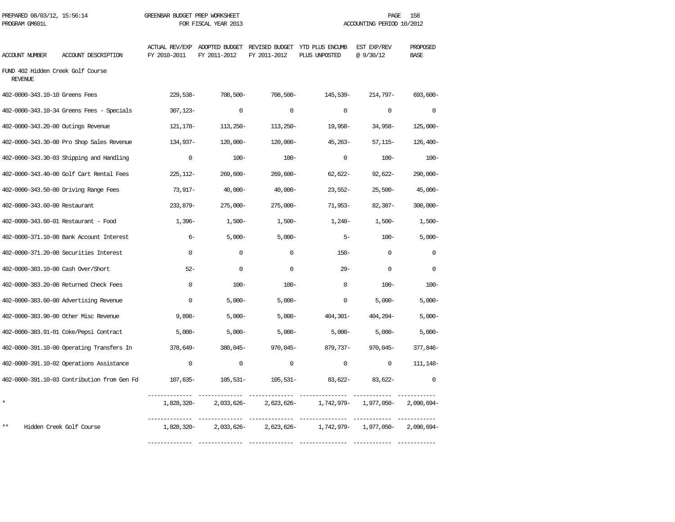| PROGRAM GM601L                                      |                                             |              | FOR FISCAL YEAR 2013 |                                                                              |                  | ACCOUNTING PERIOD 10/2012 |                         |
|-----------------------------------------------------|---------------------------------------------|--------------|----------------------|------------------------------------------------------------------------------|------------------|---------------------------|-------------------------|
| ACCOUNT NUMBER                                      | ACCOUNT DESCRIPTION                         | FY 2010-2011 | FY 2011-2012         | ACTUAL REV/EXP ADOPTED BUDGET REVISED BUDGET YTD PLUS ENCUMB<br>FY 2011-2012 | PLUS UNPOSTED    | EST EXP/REV<br>@9/30/12   | PROPOSED<br><b>BASE</b> |
| FUND 402 Hidden Creek Golf Course<br><b>REVENUE</b> |                                             |              |                      |                                                                              |                  |                           |                         |
| 402-0000-343.10-10 Greens Fees                      |                                             | $229,538-$   | 708,500-             | 708,500-                                                                     | 145,539-         | 214,797-                  | 693,600-                |
|                                                     | 402-0000-343.10-34 Greens Fees - Specials   | $307, 123 -$ | $\Omega$             | $\Omega$                                                                     | $\Omega$         | $\Omega$                  | $\Omega$                |
| 402-0000-343.20-00 Outings Revenue                  |                                             | 121,178–     | $113,250-$           | 113,250-                                                                     | 19,958-          | 34,958-                   | $125,000-$              |
|                                                     | 402-0000-343.30-00 Pro Shop Sales Revenue   | 134,937-     | $120,000 -$          | $120,000 -$                                                                  | $45,263-$        | $57,115-$                 | $126,400-$              |
|                                                     | 402-0000-343.30-03 Shipping and Handling    | $\mathbf 0$  | $100 -$              | $100 -$                                                                      | $\mathbf 0$      | $100 -$                   | $100 -$                 |
|                                                     | 402-0000-343.40-00 Golf Cart Rental Fees    | $225,112-$   | $269,600 -$          | $269,600 -$                                                                  | 62,622-          | $92,622-$                 | $290,000 -$             |
|                                                     | 402-0000-343.50-00 Driving Range Fees       | 73,917-      | $40,000-$            | $40,000-$                                                                    | $23.552-$        | $25,500-$                 | $45,000 -$              |
| 402-0000-343.60-00 Restaurant                       |                                             | 233,879-     | $275,000 -$          | $275,000 -$                                                                  | 71,953-          | $82,387-$                 | $300,000 -$             |
|                                                     | 402-0000-343.60-01 Restaurant - Food        | $1,396-$     | $1,500-$             | $1,500-$                                                                     | 1,248-           | $1,500-$                  | $1,500-$                |
|                                                     | 402-0000-371.10-00 Bank Account Interest    | $6-$         | $5.000 -$            | $5,000-$                                                                     | $5-$             | $100 -$                   | $5.000 -$               |
|                                                     | 402-0000-371.20-00 Securities Interest      | $\mathbf{0}$ | 0                    | 0                                                                            | $150-$           | 0                         | $\mathbf 0$             |
| 402-0000-383.10-00 Cash Over/Short                  |                                             | $52 -$       | $\mathbf 0$          | $\mathbf 0$                                                                  | $29 -$           | $\mathbf 0$               | $\mathbf 0$             |
|                                                     | 402-0000-383.20-00 Returned Check Fees      | $\Omega$     | $100 -$              | $100 -$                                                                      | $\Omega$         | $100 -$                   | $100 -$                 |
|                                                     | 402-0000-383.60-00 Advertising Revenue      | $\mathbf 0$  | $5,000-$             | $5,000-$                                                                     | $\mathbf 0$      | $5,000-$                  | $5,000-$                |
|                                                     | 402-0000-383.90-00 Other Misc Revenue       | $9,898-$     | $5,000-$             | $5,000-$                                                                     | 404,301-         | $404,204-$                | $5,000-$                |
|                                                     | 402-0000-383.91-01 Coke/Pepsi Contract      | $5,000-$     | $5,000-$             | $5,000-$                                                                     | $5,000 -$        | $5,000 -$                 | $5,000-$                |
|                                                     | 402-0000-391.10-00 Operating Transfers In   | 378,649-     | 380,045-             | 970,045-                                                                     | 879,737-         | 970,045-                  | 377,846-                |
|                                                     | 402-0000-391.10-02 Operations Assistance    | $\mathbf 0$  | $\mathbf 0$          | $\mathbf 0$                                                                  | $\mathbf 0$      | $\mathbf{0}$              | 111, 148-               |
|                                                     | 402-0000-391.10-03 Contribution from Gen Fd | 107,635–     | 105,531-             |                                                                              | 105,531- 83,622- | $83,622-$                 | $\mathbf 0$             |
| ×                                                   |                                             | 1,828,320-   | 2,033,626-           | 2,623,626-                                                                   | 1,742,979–       | 1,977,050-                | $2,090,694-$            |
| **                                                  | Hidden Creek Golf Course                    | 1,828,320-   | 2,033,626-           | 2,623,626-                                                                   | 1,742,979–       | 1,977,050-                | $2,090,694-$            |
|                                                     |                                             |              |                      |                                                                              |                  |                           |                         |

PREPARED 08/03/12, 15:56:14 GREENBAR BUDGET PREP WORKSHEET PAGE 158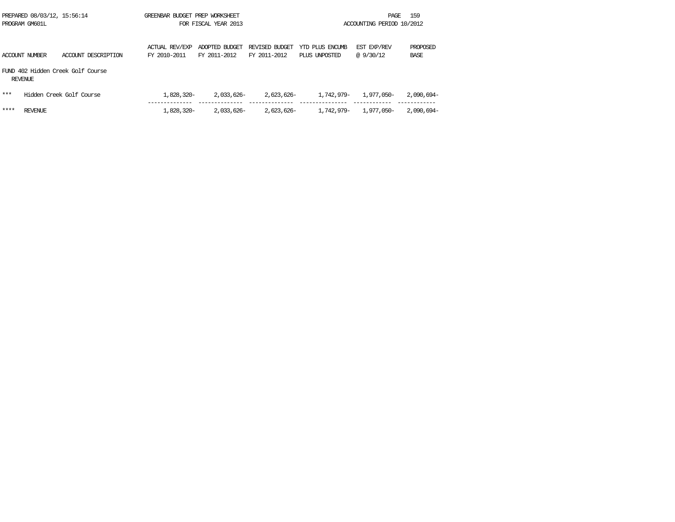| PREPARED 08/03/12, 15:56:14<br>PROGRAM GM601L |                       |                                   | GREENBAR BUDGET PREP WORKSHEET<br>FOR FISCAL YEAR 2013 |                                |                                | ACCOUNTING PERIOD 10/2012        |                          |                  |  |
|-----------------------------------------------|-----------------------|-----------------------------------|--------------------------------------------------------|--------------------------------|--------------------------------|----------------------------------|--------------------------|------------------|--|
|                                               | <b>ACCOUNT NUMBER</b> | ACCOUNT DESCRIPTION               | ACTUAL REV/EXP<br>FY 2010-2011                         | ADOPTED BUDGET<br>FY 2011-2012 | REVISED BUDGET<br>FY 2011-2012 | YTD PLUS ENCUMB<br>PLUS UNPOSTED | EST EXP/REV<br>@ 9/30/12 | PROPOSED<br>BASE |  |
|                                               | REVENUE               | FUND 402 Hidden Creek Golf Course |                                                        |                                |                                |                                  |                          |                  |  |
| ***                                           |                       | Hidden Creek Golf Course          | 1,828,320-                                             | 2,033,626-                     | 2,623,626-                     | 1,742,979-                       | 1,977,050-               | 2,090,694-       |  |
| ****                                          | REVENUE               |                                   | 1,828,320-                                             | 2,033,626-                     | 2,623,626-                     | 1,742,979-                       | 1,977,050-               | 2,090,694-       |  |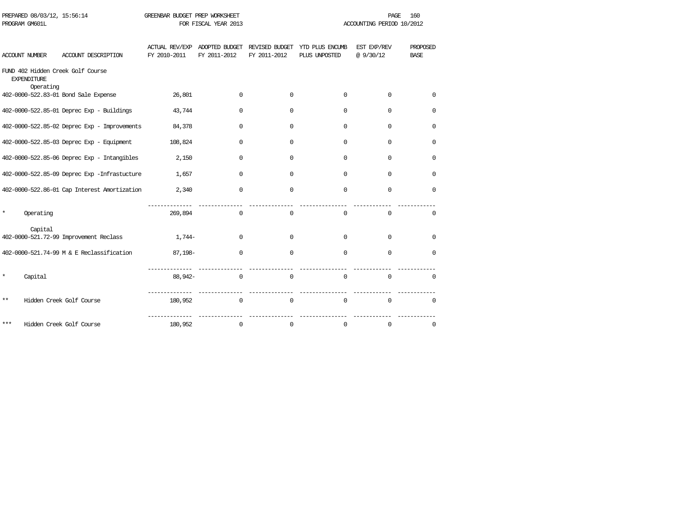|     | PROGRAM GM601L                  |                                              | FOR FISCAL YEAR 2013 |                                               |                                | ACCOUNTING PERIOD 10/2012        |                         |                         |  |
|-----|---------------------------------|----------------------------------------------|----------------------|-----------------------------------------------|--------------------------------|----------------------------------|-------------------------|-------------------------|--|
|     | ACCOUNT NUMBER                  | ACCOUNT DESCRIPTION                          | FY 2010-2011         | ACTUAL REV/EXP ADOPTED BUDGET<br>FY 2011-2012 | REVISED BUDGET<br>FY 2011-2012 | YTD PLUS ENCUMB<br>PLUS UNPOSTED | EST EXP/REV<br>@9/30/12 | PROPOSED<br><b>BASE</b> |  |
|     | <b>EXPENDITURE</b><br>Operating | FUND 402 Hidden Creek Golf Course            |                      |                                               |                                |                                  |                         |                         |  |
|     |                                 | 402-0000-522.83-01 Bond Sale Expense         | 26,801               | 0                                             | $\mathbf 0$                    | 0                                | $\Omega$                | $\Omega$                |  |
|     |                                 | 402-0000-522.85-01 Deprec Exp - Buildings    | 43,744               | 0                                             | $\mathbf 0$                    | 0                                | $\Omega$                | 0                       |  |
|     |                                 | 402-0000-522.85-02 Deprec Exp - Improvements | 84,378               | 0                                             | 0                              | 0                                | 0                       | 0                       |  |
|     |                                 | 402-0000-522.85-03 Deprec Exp - Equipment    | 108,824              | $\Omega$                                      | $\Omega$                       | $\Omega$                         | $\Omega$                | 0                       |  |
|     |                                 | 402-0000-522.85-06 Deprec Exp - Intangibles  | 2,150                | $\Omega$                                      | $\Omega$                       | $\Omega$                         | $\Omega$                | 0                       |  |
|     |                                 | 402-0000-522.85-09 Deprec Exp -Infrastucture | 1,657                | $\Omega$                                      | $\Omega$                       | $\Omega$                         | $\Omega$                | $\Omega$                |  |
|     |                                 | 402-0000-522.86-01 Cap Interest Amortization | 2,340                | $\mathbf 0$                                   | $\mathbf 0$                    | $\mathbf 0$                      | $\mathbf 0$             | $\mathbf 0$             |  |
| *   | Operating                       |                                              | 269,894              | $\mathbf 0$                                   | $\mathbf 0$                    | 0                                | $\mathbf 0$             | 0                       |  |
|     | Capital                         | 402-0000-521.72-99 Improvement Reclass       | 1,744-               | $\Omega$                                      | $\mathbf 0$                    | $\Omega$                         | $\Omega$                | $\Omega$                |  |
|     |                                 | 402-0000-521.74-99 M & E Reclassification    | 87,198-              | $\mathbf 0$                                   | $\mathbf 0$                    | $\mathbf 0$                      | $\mathbf 0$             | $\mathbf 0$             |  |
| *   | Capital                         |                                              | 88,942-              | $\mathbf 0$                                   | $\mathbf 0$                    | $\Omega$                         | $\Omega$                | $\Omega$                |  |
| **  |                                 | Hidden Creek Golf Course                     | 180,952              | $\mathbf 0$                                   | $\mathbf 0$                    | $\Omega$                         | $\Omega$                | $\Omega$                |  |
| *** |                                 | Hidden Creek Golf Course                     | 180,952              | 0                                             | 0                              | 0                                | $\mathsf 0$             | 0                       |  |

PREPARED 08/03/12, 15:56:14 GREENBAR BUDGET PREP WORKSHEET **FREE PAGE** 160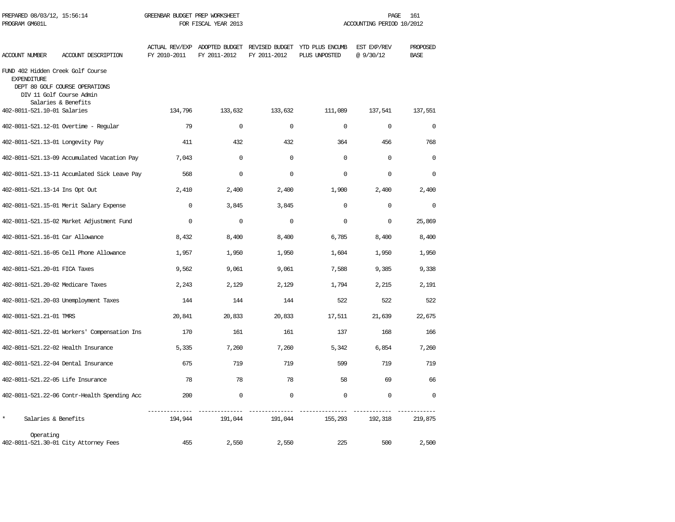| PREPARED 08/03/12, 15:56:14<br>PROGRAM GM601L           |                                                            | GREENBAR BUDGET PREP WORKSHEET<br>FOR FISCAL YEAR 2013 |              |              | PAGE<br>161<br>ACCOUNTING PERIOD 10/2012                                                  |             |                         |  |
|---------------------------------------------------------|------------------------------------------------------------|--------------------------------------------------------|--------------|--------------|-------------------------------------------------------------------------------------------|-------------|-------------------------|--|
| ACCOUNT NUMBER                                          | ACCOUNT DESCRIPTION                                        | FY 2010-2011                                           | FY 2011-2012 | FY 2011-2012 | ACTUAL REV/EXP ADOPTED BUDGET REVISED BUDGET YTD PLUS ENCUMB EST EXP/REV<br>PLUS UNPOSTED | @9/30/12    | PROPOSED<br><b>BASE</b> |  |
| FUND 402 Hidden Creek Golf Course<br><b>EXPENDITURE</b> | DEPT 80 GOLF COURSE OPERATIONS<br>DIV 11 Golf Course Admin |                                                        |              |              |                                                                                           |             |                         |  |
| 402-8011-521.10-01 Salaries                             | Salaries & Benefits                                        | 134,796                                                | 133,632      | 133,632      | 111,089                                                                                   | 137,541     | 137,551                 |  |
|                                                         | 402-8011-521.12-01 Overtime - Regular                      | 79                                                     | $\Omega$     | $\Omega$     | $\Omega$                                                                                  | $\Omega$    | $\Omega$                |  |
| 402-8011-521.13-01 Longevity Pay                        |                                                            | 411                                                    | 432          | 432          | 364                                                                                       | 456         | 768                     |  |
|                                                         | 402-8011-521.13-09 Accumulated Vacation Pay                | 7,043                                                  | 0            | $\mathbf 0$  | $\Omega$                                                                                  | $\mathbf 0$ | $\Omega$                |  |
|                                                         | 402-8011-521.13-11 Accumlated Sick Leave Pay               | 568                                                    | $\Omega$     | $\Omega$     | $\Omega$                                                                                  | 0           | $\Omega$                |  |
| 402-8011-521.13-14 Ins Opt Out                          |                                                            | 2,410                                                  | 2,400        | 2,400        | 1,900                                                                                     | 2,400       | 2,400                   |  |
|                                                         | 402-8011-521.15-01 Merit Salary Expense                    | $\mathbf 0$                                            | 3,845        | 3,845        | $\mathbf 0$                                                                               | $\mathbf 0$ | $\mathbf 0$             |  |
|                                                         | 402-8011-521.15-02 Market Adjustment Fund                  | $\Omega$                                               | $\Omega$     | $\Omega$     | $\Omega$                                                                                  | $\mathbf 0$ | 25,869                  |  |
| 402-8011-521.16-01 Car Allowance                        |                                                            | 8,432                                                  | 8,400        | 8,400        | 6,785                                                                                     | 8,400       | 8,400                   |  |
|                                                         | 402-8011-521.16-05 Cell Phone Allowance                    | 1,957                                                  | 1,950        | 1,950        | 1,604                                                                                     | 1,950       | 1,950                   |  |
| 402-8011-521.20-01 FICA Taxes                           |                                                            | 9,562                                                  | 9,061        | 9,061        | 7,588                                                                                     | 9,385       | 9,338                   |  |
| 402-8011-521.20-02 Medicare Taxes                       |                                                            | 2,243                                                  | 2,129        | 2,129        | 1,794                                                                                     | 2,215       | 2,191                   |  |
|                                                         | 402-8011-521.20-03 Unemployment Taxes                      | 144                                                    | 144          | 144          | 522                                                                                       | 522         | 522                     |  |
| 402-8011-521.21-01 TMRS                                 |                                                            | 20,841                                                 | 20,833       | 20,833       | 17,511                                                                                    | 21,639      | 22,675                  |  |
|                                                         | 402-8011-521.22-01 Workers' Compensation Ins               | 170                                                    | 161          | 161          | 137                                                                                       | 168         | 166                     |  |
|                                                         | 402-8011-521.22-02 Health Insurance                        | 5,335                                                  | 7,260        | 7,260        | 5,342                                                                                     | 6,854       | 7,260                   |  |
|                                                         | 402-8011-521.22-04 Dental Insurance                        | 675                                                    | 719          | 719          | 599                                                                                       | 719         | 719                     |  |
| 402-8011-521.22-05 Life Insurance                       |                                                            | 78                                                     | 78           | 78           | 58                                                                                        | 69          | 66                      |  |
|                                                         | 402-8011-521.22-06 Contr-Health Spending Acc               | 200                                                    | $\mathbf 0$  | $\mathbf 0$  | $\mathbf 0$                                                                               | $\mathbf 0$ | $\Omega$                |  |
| $\star$<br>Salaries & Benefits                          |                                                            | -----------<br>194,944                                 | 191,044      | 191,044      | ________________<br>155,293                                                               | 192,318     | 219,875                 |  |
| Operating                                               | 402-8011-521.30-01 City Attorney Fees                      | 455                                                    | 2,550        | 2,550        | 225                                                                                       | 500         | 2,500                   |  |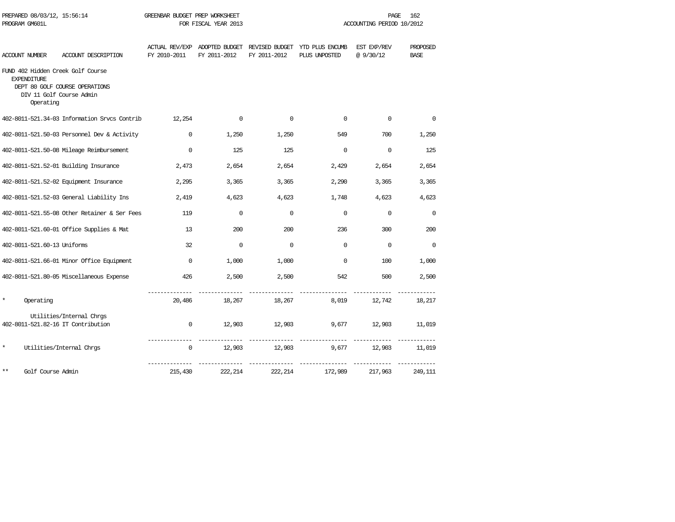| PROGRAM GM601L     |                                                                                                              |              | FOR FISCAL YEAR 2013 |              | ACCOUNTING PERIOD 10/2012                                                     |                          |                         |  |
|--------------------|--------------------------------------------------------------------------------------------------------------|--------------|----------------------|--------------|-------------------------------------------------------------------------------|--------------------------|-------------------------|--|
| ACCOUNT NUMBER     | ACCOUNT DESCRIPTION                                                                                          | FY 2010-2011 | FY 2011-2012         | FY 2011-2012 | ACTUAL REV/EXP ADOPTED BUDGET REVISED BUDGET YTD PLUS ENCUMB<br>PLUS UNPOSTED | EST EXP/REV<br>@ 9/30/12 | PROPOSED<br><b>BASE</b> |  |
| <b>EXPENDITURE</b> | FUND 402 Hidden Creek Golf Course<br>DEPT 80 GOLF COURSE OPERATIONS<br>DIV 11 Golf Course Admin<br>Operating |              |                      |              |                                                                               |                          |                         |  |
|                    | 402-8011-521.34-03 Information Srvcs Contrib                                                                 | 12,254       | $\mathbf 0$          | $\mathbf 0$  | $\mathbf 0$                                                                   | $\mathbf 0$              | 0                       |  |
|                    | 402-8011-521.50-03 Personnel Dev & Activity                                                                  | 0            | 1,250                | 1,250        | 549                                                                           | 700                      | 1,250                   |  |
|                    | 402-8011-521.50-08 Mileage Reimbursement                                                                     | $\Omega$     | 125                  | 125          | $\mathbf 0$                                                                   | $\Omega$                 | 125                     |  |
|                    | 402-8011-521.52-01 Building Insurance                                                                        | 2,473        | 2,654                | 2,654        | 2,429                                                                         | 2,654                    | 2,654                   |  |
|                    | 402-8011-521.52-02 Equipment Insurance                                                                       | 2,295        | 3,365                | 3,365        | 2,290                                                                         | 3,365                    | 3,365                   |  |
|                    | 402-8011-521.52-03 General Liability Ins                                                                     | 2,419        | 4,623                | 4,623        | 1,748                                                                         | 4,623                    | 4,623                   |  |
|                    | 402-8011-521.55-08 Other Retainer & Ser Fees                                                                 | 119          | $\Omega$             | $\Omega$     | $\Omega$                                                                      | $\Omega$                 | $\Omega$                |  |
|                    | 402-8011-521.60-01 Office Supplies & Mat                                                                     | 13           | 200                  | 200          | 236                                                                           | 300                      | 200                     |  |
|                    | 402-8011-521.60-13 Uniforms                                                                                  | 32           | $\mathbf 0$          | $\Omega$     | $\mathbf 0$                                                                   | $\mathbf 0$              | $\mathbf 0$             |  |
|                    | 402-8011-521.66-01 Minor Office Equipment                                                                    | $\mathbf{0}$ | 1,000                | 1,000        | $\Omega$                                                                      | 100                      | 1,000                   |  |
|                    | 402-8011-521.80-05 Miscellaneous Expense                                                                     | 426          | 2,500                | 2,500        | 542                                                                           | 500                      | 2,500                   |  |
| *<br>Operating     |                                                                                                              | 20,486       | 18,267               | 18,267       | 8,019                                                                         | 12,742                   | 18,217                  |  |
|                    | Utilities/Internal Chros<br>402-8011-521.82-16 IT Contribution                                               | 0            | 12,903               | 12,903       | 9,677                                                                         | 12,903                   | 11,019                  |  |
| $^{\star}$         | Utilities/Internal Chros                                                                                     | $\mathbf{0}$ | 12,903               | 12,903       | 9,677                                                                         | 12,903                   | 11,019                  |  |
| $***$              | Golf Course Admin                                                                                            | 215,430      | 222, 214             | 222, 214     | 172,989                                                                       | 217,963                  | 249,111                 |  |

PREPARED 08/03/12, 15:56:14 GREENBAR BUDGET PREP WORKSHEET **FREED ASSESSED ASSESSED FROM A PAGE** 162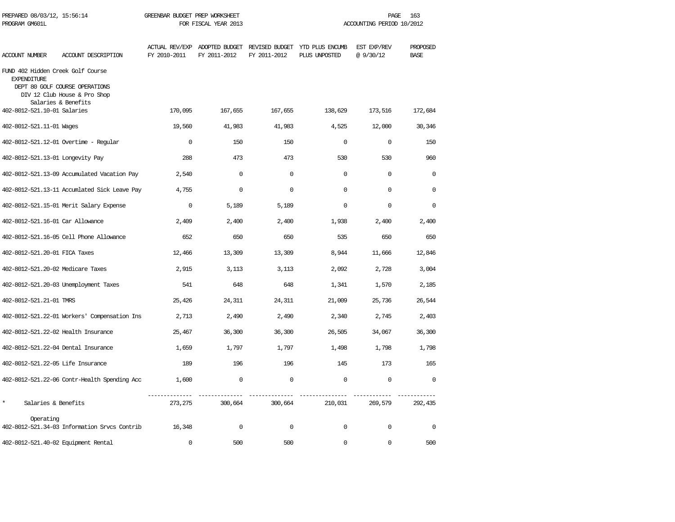| PREPARED 08/03/12, 15:56:14<br>PROGRAM GM601L           |                                                                                       | GREENBAR BUDGET PREP WORKSHEET<br>FOR FISCAL YEAR 2013 |              |              | 163<br>PAGE<br>ACCOUNTING PERIOD 10/2012                                      |                          |                         |  |
|---------------------------------------------------------|---------------------------------------------------------------------------------------|--------------------------------------------------------|--------------|--------------|-------------------------------------------------------------------------------|--------------------------|-------------------------|--|
| ACCOUNT NUMBER                                          | ACCOUNT DESCRIPTION                                                                   | FY 2010-2011                                           | FY 2011-2012 | FY 2011-2012 | ACTUAL REV/EXP ADOPTED BUDGET REVISED BUDGET YTD PLUS ENCUMB<br>PLUS UNPOSTED | EST EXP/REV<br>@ 9/30/12 | PROPOSED<br><b>BASE</b> |  |
| FUND 402 Hidden Creek Golf Course<br><b>EXPENDITURE</b> | DEPT 80 GOLF COURSE OPERATIONS<br>DIV 12 Club House & Pro Shop<br>Salaries & Benefits |                                                        |              |              |                                                                               |                          |                         |  |
| 402-8012-521.10-01 Salaries                             |                                                                                       | 170,095                                                | 167,655      | 167,655      | 138,629                                                                       | 173,516                  | 172,684                 |  |
| 402-8012-521.11-01 Wages                                |                                                                                       | 19,560                                                 | 41,983       | 41,983       | 4,525                                                                         | 12,000                   | 30,346                  |  |
|                                                         | 402-8012-521.12-01 Overtime - Regular                                                 | $\Omega$                                               | 150          | 150          | $\Omega$                                                                      | $\Omega$                 | 150                     |  |
| 402-8012-521.13-01 Longevity Pay                        |                                                                                       | 288                                                    | 473          | 473          | 530                                                                           | 530                      | 960                     |  |
|                                                         | 402-8012-521.13-09 Accumulated Vacation Pay                                           | 2,540                                                  | $\Omega$     | $\Omega$     | $\Omega$                                                                      | $\Omega$                 | $\Omega$                |  |
|                                                         | 402-8012-521.13-11 Accumlated Sick Leave Pay                                          | 4,755                                                  | 0            | $\mathbf 0$  | $\Omega$                                                                      | $\mathbf 0$              | 0                       |  |
|                                                         | 402-8012-521.15-01 Merit Salary Expense                                               | $\mathbf 0$                                            | 5,189        | 5,189        | $\Omega$                                                                      | $\mathbf 0$              | $\mathbf 0$             |  |
| 402-8012-521.16-01 Car Allowance                        |                                                                                       | 2,409                                                  | 2,400        | 2,400        | 1,938                                                                         | 2,400                    | 2,400                   |  |
|                                                         | 402-8012-521.16-05 Cell Phone Allowance                                               | 652                                                    | 650          | 650          | 535                                                                           | 650                      | 650                     |  |
| 402-8012-521.20-01 FICA Taxes                           |                                                                                       | 12,466                                                 | 13,309       | 13,309       | 8,944                                                                         | 11,666                   | 12,846                  |  |
| 402-8012-521.20-02 Medicare Taxes                       |                                                                                       | 2,915                                                  | 3,113        | 3,113        | 2,092                                                                         | 2,728                    | 3,004                   |  |
|                                                         | 402-8012-521.20-03 Unemployment Taxes                                                 | 541                                                    | 648          | 648          | 1,341                                                                         | 1,570                    | 2,185                   |  |
| 402-8012-521.21-01 TMRS                                 |                                                                                       | 25,426                                                 | 24,311       | 24,311       | 21,009                                                                        | 25,736                   | 26,544                  |  |
|                                                         | 402-8012-521.22-01 Workers' Compensation Ins                                          | 2,713                                                  | 2,490        | 2,490        | 2,340                                                                         | 2,745                    | 2,403                   |  |
|                                                         | 402-8012-521.22-02 Health Insurance                                                   | 25,467                                                 | 36,300       | 36,300       | 26,505                                                                        | 34,067                   | 36,300                  |  |
|                                                         | 402-8012-521.22-04 Dental Insurance                                                   | 1,659                                                  | 1,797        | 1,797        | 1,498                                                                         | 1,798                    | 1,798                   |  |
| 402-8012-521.22-05 Life Insurance                       |                                                                                       | 189                                                    | 196          | 196          | 145                                                                           | 173                      | 165                     |  |
|                                                         | 402-8012-521.22-06 Contr-Health Spending Acc                                          | 1,600                                                  | $\mathbf 0$  | $\mathbf 0$  | $\mathbf 0$                                                                   | $\mathbf 0$              | $\Omega$                |  |
| $\star$<br>Salaries & Benefits                          |                                                                                       | 273, 275                                               | 300,664      | 300,664      | 210,031                                                                       | 269,579                  | 292,435                 |  |
| Operating                                               | 402-8012-521.34-03 Information Srvcs Contrib                                          | 16,348                                                 | $\mathbf 0$  | $\Omega$     | $\Omega$                                                                      | $\mathbf 0$              | $\mathbf 0$             |  |
|                                                         | 402-8012-521.40-02 Equipment Rental                                                   | $\Omega$                                               | 500          | 500          | $\Omega$                                                                      | $\mathbf 0$              | 500                     |  |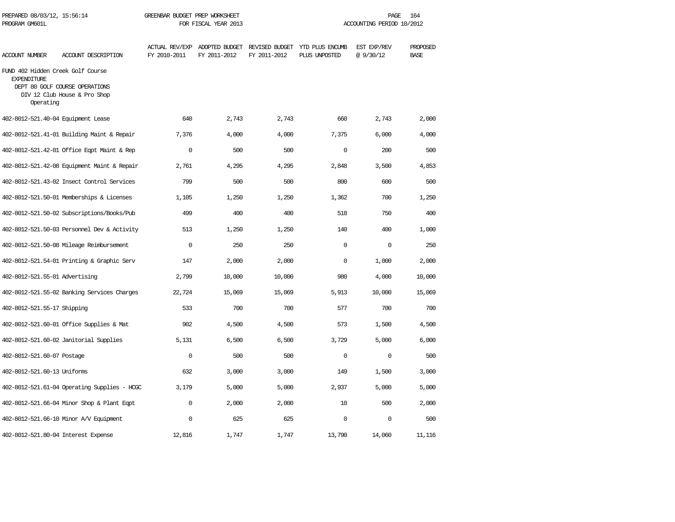| PREPARED 08/03/12, 15:56:14<br>PROGRAM GM601L                        |                                                                | GREENBAR BUDGET PREP WORKSHEET<br>FOR FISCAL YEAR 2013 |                                               |              | 164<br>PAGE<br>ACCOUNTING PERIOD 10/2012        |                         |                         |  |
|----------------------------------------------------------------------|----------------------------------------------------------------|--------------------------------------------------------|-----------------------------------------------|--------------|-------------------------------------------------|-------------------------|-------------------------|--|
| ACCOUNT NUMBER                                                       | ACCOUNT DESCRIPTION                                            | FY 2010-2011                                           | ACTUAL REV/EXP ADOPTED BUDGET<br>FY 2011-2012 | FY 2011-2012 | REVISED BUDGET YTD PLUS ENCUMB<br>PLUS UNPOSTED | EST EXP/REV<br>@9/30/12 | PROPOSED<br><b>BASE</b> |  |
| FUND 402 Hidden Creek Golf Course<br><b>EXPENDITURE</b><br>Operating | DEPT 80 GOLF COURSE OPERATIONS<br>DIV 12 Club House & Pro Shop |                                                        |                                               |              |                                                 |                         |                         |  |
|                                                                      | 402-8012-521.40-04 Equipment Lease                             | 640                                                    | 2,743                                         | 2,743        | 660                                             | 2,743                   | 2,000                   |  |
|                                                                      | 402-8012-521.41-01 Building Maint & Repair                     | 7,376                                                  | 4,000                                         | 4,000        | 7,375                                           | 6,000                   | 4,000                   |  |
|                                                                      | 402-8012-521.42-01 Office Eqpt Maint & Rep                     | $\Omega$                                               | 500                                           | 500          | $\Omega$                                        | 200                     | 500                     |  |
|                                                                      | 402-8012-521.42-08 Equipment Maint & Repair                    | 2,761                                                  | 4,295                                         | 4,295        | 2,848                                           | 3,500                   | 4,853                   |  |
|                                                                      | 402-8012-521.43-02 Insect Control Services                     | 799                                                    | 500                                           | 500          | 800                                             | 600                     | 500                     |  |
|                                                                      | 402-8012-521.50-01 Memberships & Licenses                      | 1,105                                                  | 1,250                                         | 1,250        | 1,362                                           | 700                     | 1,250                   |  |
|                                                                      | 402-8012-521.50-02 Subscriptions/Books/Pub                     | 499                                                    | 400                                           | 400          | 518                                             | 750                     | 400                     |  |
|                                                                      | 402-8012-521.50-03 Personnel Dev & Activity                    | 513                                                    | 1,250                                         | 1,250        | 140                                             | 400                     | 1,000                   |  |
|                                                                      | 402-8012-521.50-08 Mileage Reimbursement                       | $\mathbf 0$                                            | 250                                           | 250          | $\mathbf 0$                                     | $\mathbf 0$             | 250                     |  |
|                                                                      | 402-8012-521.54-01 Printing & Graphic Serv                     | 147                                                    | 2,000                                         | 2,000        | $\Omega$                                        | 1,000                   | 2,000                   |  |
| 402-8012-521.55-01 Advertising                                       |                                                                | 2,799                                                  | 10,000                                        | 10,000       | 980                                             | 4,000                   | 10,000                  |  |
|                                                                      | 402-8012-521.55-02 Banking Services Charges                    | 22,724                                                 | 15,069                                        | 15,069       | 5,913                                           | 10,000                  | 15,069                  |  |
| 402-8012-521.55-17 Shipping                                          |                                                                | 533                                                    | 700                                           | 700          | 577                                             | 700                     | 700                     |  |
|                                                                      | 402-8012-521.60-01 Office Supplies & Mat                       | 902                                                    | 4,500                                         | 4,500        | 573                                             | 1,500                   | 4,500                   |  |
|                                                                      | 402-8012-521.60-02 Janitorial Supplies                         | 5,131                                                  | 6,500                                         | 6,500        | 3,729                                           | 5,000                   | 6,000                   |  |
| 402-8012-521.60-07 Postage                                           |                                                                | $\mathbf 0$                                            | 500                                           | 500          | $\Omega$                                        | $\mathbf 0$             | 500                     |  |
| 402-8012-521.60-13 Uniforms                                          |                                                                | 632                                                    | 3,000                                         | 3,000        | 149                                             | 1,500                   | 3,000                   |  |
|                                                                      | 402-8012-521.61-04 Operating Supplies - HCGC                   | 3,179                                                  | 5,000                                         | 5,000        | 2,937                                           | 5,000                   | 5,000                   |  |
|                                                                      | 402-8012-521.66-04 Minor Shop & Plant Eqpt                     | $\Omega$                                               | 2,000                                         | 2,000        | 10                                              | 500                     | 2,000                   |  |
|                                                                      | 402-8012-521.66-10 Minor A/V Equipment                         | $\mathbf 0$                                            | 625                                           | 625          | $\mathbf 0$                                     | $\mathbf 0$             | 500                     |  |
|                                                                      | 402-8012-521.80-04 Interest Expense                            | 12,816                                                 | 1,747                                         | 1,747        | 13,790                                          | 14,060                  | 11,116                  |  |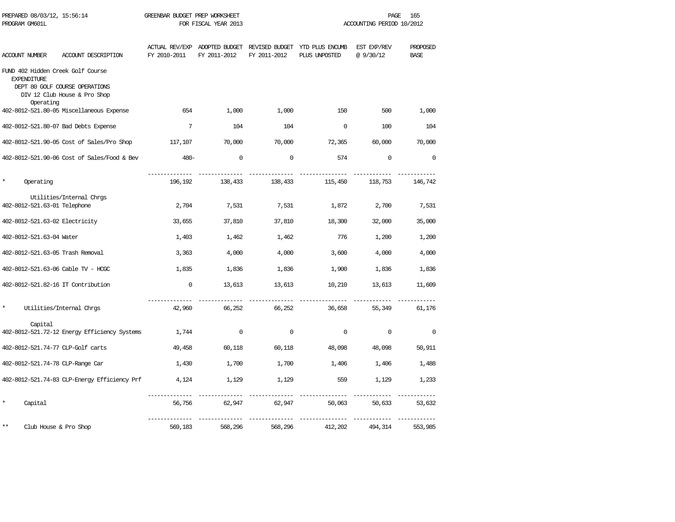| PREPARED 08/03/12, 15:56:14<br>PROGRAM GM601L |                                                                                                     | GREENBAR BUDGET PREP WORKSHEET | FOR FISCAL YEAR 2013                          | PAGE<br>ACCOUNTING PERIOD 10/2012 |                                                 |                         | 165                     |
|-----------------------------------------------|-----------------------------------------------------------------------------------------------------|--------------------------------|-----------------------------------------------|-----------------------------------|-------------------------------------------------|-------------------------|-------------------------|
| <b>ACCOUNT NUMBER</b>                         | ACCOUNT DESCRIPTION                                                                                 | FY 2010-2011                   | ACTUAL REV/EXP ADOPTED BUDGET<br>FY 2011-2012 | FY 2011-2012                      | REVISED BUDGET YTD PLUS ENCUMB<br>PLUS UNPOSTED | EST EXP/REV<br>@9/30/12 | PROPOSED<br><b>BASE</b> |
| <b>EXPENDITURE</b><br>Operating               | FUND 402 Hidden Creek Golf Course<br>DEPT 80 GOLF COURSE OPERATIONS<br>DIV 12 Club House & Pro Shop |                                |                                               |                                   |                                                 |                         |                         |
|                                               | 402-8012-521.80-05 Miscellaneous Expense                                                            | 654                            | 1,000                                         | 1,000                             | 150                                             | 500                     | 1,000                   |
|                                               | 402-8012-521.80-07 Bad Debts Expense                                                                | 7                              | 104                                           | 104                               | $\mathbf 0$                                     | 100                     | 104                     |
|                                               | 402-8012-521.90-05 Cost of Sales/Pro Shop                                                           | 117,107                        | 70,000                                        | 70,000                            | 72,365                                          | 60,000                  | 70,000                  |
|                                               | 402-8012-521.90-06 Cost of Sales/Food & Bev                                                         | $480 -$                        | $\mathbf 0$                                   | 0                                 | 574                                             | $\mathbf 0$             | $\mathbf 0$             |
| Operating                                     |                                                                                                     | 196,192                        | 138,433                                       | 138,433                           | 115,450                                         | 118,753                 | 146,742                 |
| 402-8012-521.63-01 Telephone                  | Utilities/Internal Chrgs                                                                            | 2,704                          | 7,531                                         | 7,531                             | 1,872                                           | 2,700                   | 7,531                   |
| 402-8012-521.63-02 Electricity                |                                                                                                     | 33,655                         | 37,810                                        | 37,810                            | 18,300                                          | 32,000                  | 35,000                  |
| 402-8012-521.63-04 Water                      |                                                                                                     | 1,403                          | 1,462                                         | 1,462                             | 776                                             | 1,200                   | 1,200                   |
|                                               | 402-8012-521.63-05 Trash Removal                                                                    | 3,363                          | 4,000                                         | 4,000                             | 3,600                                           | 4,000                   | 4,000                   |
|                                               | 402-8012-521.63-06 Cable TV - HCGC                                                                  | 1,835                          | 1,836                                         | 1,836                             | 1,900                                           | 1,836                   | 1,836                   |
|                                               | 402-8012-521.82-16 IT Contribution                                                                  | $\mathbf 0$                    | 13,613                                        | 13,613                            | 10,210                                          | 13,613                  | 11,609                  |
| $\star$                                       | Utilities/Internal Chrgs                                                                            | 42,960                         | 66,252                                        | 66,252                            | 36,658                                          | 55,349                  | 61,176                  |
| Capital                                       |                                                                                                     |                                |                                               |                                   |                                                 |                         |                         |
|                                               | 402-8012-521.72-12 Energy Efficiency Systems                                                        | 1,744                          | $\mathbf 0$                                   | $\mathbf 0$                       | $\mathbf 0$                                     | $\mathbf 0$             | $\mathbf 0$             |
|                                               | 402-8012-521.74-77 CLP-Golf carts                                                                   | 49,458                         | 60,118                                        | 60,118                            | 48,098                                          | 48,098                  | 50,911                  |
|                                               | 402-8012-521.74-78 CLP-Range Car                                                                    | 1,430                          | 1,700                                         | 1,700                             | 1,406                                           | 1,406                   | 1,488                   |
|                                               | 402-8012-521.74-83 CLP-Energy Efficiency Prf                                                        | 4,124                          | 1,129                                         | 1,129                             | 559                                             | 1,129                   | 1,233                   |
| $\star$<br>Capital                            |                                                                                                     | 56,756                         | 62,947                                        | 62,947                            | 50,063                                          | 50,633                  | 53,632                  |
| $**$                                          | Club House & Pro Shop                                                                               | 569,183                        | 568,296                                       | 568,296                           | 412,202                                         | 494,314                 | 553,985                 |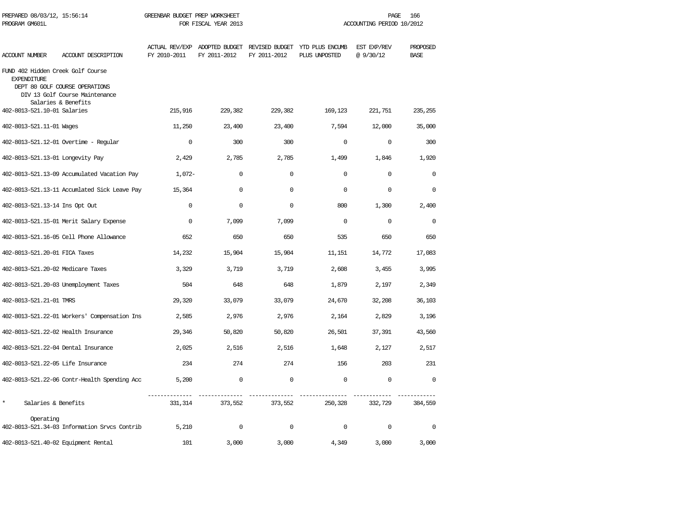| PREPARED 08/03/12, 15:56:14<br>PROGRAM GM601L           |                                                                                         | GREENBAR BUDGET PREP WORKSHEET<br>FOR FISCAL YEAR 2013 |              |              | 166<br>PAGE<br>ACCOUNTING PERIOD 10/2012                                      |                          |                         |  |
|---------------------------------------------------------|-----------------------------------------------------------------------------------------|--------------------------------------------------------|--------------|--------------|-------------------------------------------------------------------------------|--------------------------|-------------------------|--|
| ACCOUNT NUMBER                                          | ACCOUNT DESCRIPTION                                                                     | FY 2010-2011                                           | FY 2011-2012 | FY 2011-2012 | ACTUAL REV/EXP ADOPTED BUDGET REVISED BUDGET YTD PLUS ENCUMB<br>PLUS UNPOSTED | EST EXP/REV<br>@ 9/30/12 | PROPOSED<br><b>BASE</b> |  |
| FUND 402 Hidden Creek Golf Course<br><b>EXPENDITURE</b> | DEPT 80 GOLF COURSE OPERATIONS<br>DIV 13 Golf Course Maintenance<br>Salaries & Benefits |                                                        |              |              |                                                                               |                          |                         |  |
| 402-8013-521.10-01 Salaries                             |                                                                                         | 215,916                                                | 229,382      | 229,382      | 169,123                                                                       | 221,751                  | 235,255                 |  |
| 402-8013-521.11-01 Wages                                |                                                                                         | 11,250                                                 | 23,400       | 23,400       | 7,594                                                                         | 12,000                   | 35,000                  |  |
|                                                         | 402-8013-521.12-01 Overtime - Regular                                                   | $\Omega$                                               | 300          | 300          | $\Omega$                                                                      | $\Omega$                 | 300                     |  |
| 402-8013-521.13-01 Longevity Pay                        |                                                                                         | 2,429                                                  | 2,785        | 2,785        | 1,499                                                                         | 1,846                    | 1,920                   |  |
|                                                         | 402-8013-521.13-09 Accumulated Vacation Pay                                             | $1.072-$                                               | $\Omega$     | $\Omega$     | $\Omega$                                                                      | $\Omega$                 | $\Omega$                |  |
|                                                         | 402-8013-521.13-11 Accumlated Sick Leave Pay                                            | 15,364                                                 | $\mathbf 0$  | $\mathbf 0$  | $\Omega$                                                                      | $\mathbf 0$              | 0                       |  |
| 402-8013-521.13-14 Ins Opt Out                          |                                                                                         | $\Omega$                                               | $\mathbf 0$  | $\mathbf 0$  | 800                                                                           | 1,300                    | 2,400                   |  |
|                                                         | 402-8013-521.15-01 Merit Salary Expense                                                 | $\mathbf 0$                                            | 7,099        | 7,099        | $\Omega$                                                                      | $\Omega$                 | $\mathbf{0}$            |  |
|                                                         | 402-8013-521.16-05 Cell Phone Allowance                                                 | 652                                                    | 650          | 650          | 535                                                                           | 650                      | 650                     |  |
| 402-8013-521.20-01 FICA Taxes                           |                                                                                         | 14,232                                                 | 15,904       | 15,904       | 11,151                                                                        | 14,772                   | 17,083                  |  |
| 402-8013-521.20-02 Medicare Taxes                       |                                                                                         | 3,329                                                  | 3,719        | 3,719        | 2,608                                                                         | 3,455                    | 3,995                   |  |
|                                                         | 402-8013-521.20-03 Unemployment Taxes                                                   | 504                                                    | 648          | 648          | 1,879                                                                         | 2,197                    | 2,349                   |  |
| 402-8013-521.21-01 TMRS                                 |                                                                                         | 29,320                                                 | 33,079       | 33,079       | 24,670                                                                        | 32,208                   | 36,103                  |  |
|                                                         | 402-8013-521.22-01 Workers' Compensation Ins                                            | 2,585                                                  | 2,976        | 2,976        | 2,164                                                                         | 2,829                    | 3,196                   |  |
|                                                         | 402-8013-521.22-02 Health Insurance                                                     | 29,346                                                 | 50,820       | 50,820       | 26,501                                                                        | 37,391                   | 43,560                  |  |
|                                                         | 402-8013-521.22-04 Dental Insurance                                                     | 2,025                                                  | 2,516        | 2,516        | 1,648                                                                         | 2,127                    | 2,517                   |  |
| 402-8013-521.22-05 Life Insurance                       |                                                                                         | 234                                                    | 274          | 274          | 156                                                                           | 203                      | 231                     |  |
|                                                         | 402-8013-521.22-06 Contr-Health Spending Acc                                            | 5,200                                                  | $\mathbf 0$  | $\mathbf 0$  | $\mathbf 0$                                                                   | $\mathbf 0$              | $\Omega$                |  |
| $\star$<br>Salaries & Benefits                          |                                                                                         | 331, 314                                               | 373,552      | 373,552      | 250,328                                                                       | 332,729                  | 384,559                 |  |
| Operating                                               | 402-8013-521.34-03 Information Srvcs Contrib                                            | 5,210                                                  | $\mathbf 0$  | $\mathbf 0$  | $\Omega$                                                                      | $\mathbf 0$              | 0                       |  |
| 402-8013-521.40-02 Equipment Rental                     |                                                                                         | 101                                                    | 3,000        | 3,000        | 4,349                                                                         | 3,000                    | 3,000                   |  |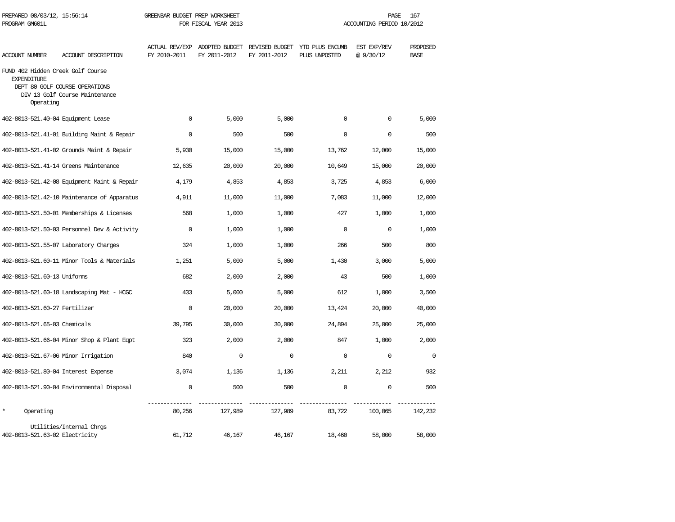| PREPARED 08/03/12, 15:56:14<br>PROGRAM GM601L                        |                                                                  | GREENBAR BUDGET PREP WORKSHEET<br>FOR FISCAL YEAR 2013 |              |              | PAGE<br>167<br>ACCOUNTING PERIOD 10/2012                                      |                          |                         |  |
|----------------------------------------------------------------------|------------------------------------------------------------------|--------------------------------------------------------|--------------|--------------|-------------------------------------------------------------------------------|--------------------------|-------------------------|--|
| <b>ACCOUNT NUMBER</b>                                                | ACCOUNT DESCRIPTION                                              | FY 2010-2011                                           | FY 2011-2012 | FY 2011-2012 | ACTUAL REV/EXP ADOPTED BUDGET REVISED BUDGET YTD PLUS ENCUMB<br>PLUS UNPOSTED | EST EXP/REV<br>@ 9/30/12 | PROPOSED<br><b>BASE</b> |  |
| FUND 402 Hidden Creek Golf Course<br><b>EXPENDITURE</b><br>Operating | DEPT 80 GOLF COURSE OPERATIONS<br>DIV 13 Golf Course Maintenance |                                                        |              |              |                                                                               |                          |                         |  |
| 402-8013-521.40-04 Equipment Lease                                   |                                                                  | $\mathbf{0}$                                           | 5,000        | 5,000        | $\mathbf 0$                                                                   | $\mathbf 0$              | 5,000                   |  |
|                                                                      | 402-8013-521.41-01 Building Maint & Repair                       | $\mathbf 0$                                            | 500          | 500          | $\Omega$                                                                      | $\mathbf 0$              | 500                     |  |
|                                                                      | 402-8013-521.41-02 Grounds Maint & Repair                        | 5,930                                                  | 15,000       | 15,000       | 13,762                                                                        | 12,000                   | 15,000                  |  |
|                                                                      | 402-8013-521.41-14 Greens Maintenance                            | 12,635                                                 | 20,000       | 20,000       | 10,649                                                                        | 15,000                   | 20,000                  |  |
|                                                                      | 402-8013-521.42-08 Equipment Maint & Repair                      | 4,179                                                  | 4,853        | 4,853        | 3,725                                                                         | 4,853                    | 6,000                   |  |
|                                                                      | 402-8013-521.42-10 Maintenance of Apparatus                      | 4,911                                                  | 11,000       | 11,000       | 7,083                                                                         | 11,000                   | 12,000                  |  |
|                                                                      | 402-8013-521.50-01 Memberships & Licenses                        | 568                                                    | 1,000        | 1,000        | 427                                                                           | 1,000                    | 1,000                   |  |
|                                                                      | 402-8013-521.50-03 Personnel Dev & Activity                      | $\Omega$                                               | 1,000        | 1,000        | $\Omega$                                                                      | $\Omega$                 | 1,000                   |  |
|                                                                      | 402-8013-521.55-07 Laboratory Charges                            | 324                                                    | 1,000        | 1,000        | 266                                                                           | 500                      | 800                     |  |
|                                                                      | 402-8013-521.60-11 Minor Tools & Materials                       | 1,251                                                  | 5,000        | 5,000        | 1,430                                                                         | 3,000                    | 5,000                   |  |
| 402-8013-521.60-13 Uniforms                                          |                                                                  | 682                                                    | 2,000        | 2,000        | 43                                                                            | 500                      | 1,000                   |  |
|                                                                      | 402-8013-521.60-18 Landscaping Mat - HCGC                        | 433                                                    | 5,000        | 5,000        | 612                                                                           | 1,000                    | 3,500                   |  |
| 402-8013-521.60-27 Fertilizer                                        |                                                                  | $\Omega$                                               | 20,000       | 20,000       | 13,424                                                                        | 20,000                   | 40,000                  |  |
| 402-8013-521.65-03 Chemicals                                         |                                                                  | 39,795                                                 | 30,000       | 30,000       | 24,894                                                                        | 25,000                   | 25,000                  |  |
|                                                                      | 402-8013-521.66-04 Minor Shop & Plant Eqpt                       | 323                                                    | 2,000        | 2,000        | 847                                                                           | 1,000                    | 2,000                   |  |
|                                                                      | 402-8013-521.67-06 Minor Irrigation                              | 840                                                    | $\Omega$     | $\Omega$     | $\Omega$                                                                      | $\Omega$                 | $\Omega$                |  |
|                                                                      | 402-8013-521.80-04 Interest Expense                              | 3,074                                                  | 1,136        | 1,136        | 2,211                                                                         | 2,212                    | 932                     |  |
|                                                                      | 402-8013-521.90-04 Environmental Disposal                        | $\mathbf 0$                                            | 500          | 500          | $\mathbf 0$                                                                   | $\mathbf 0$              | 500                     |  |
| $\star$<br>Operating                                                 |                                                                  | 80,256                                                 | 127,989      | 127,989      | 83,722                                                                        | 100,065                  | 142,232                 |  |
| 402-8013-521.63-02 Electricity                                       | Utilities/Internal Chrgs                                         | 61,712                                                 | 46,167       | 46,167       | 18,460                                                                        | 58,000                   | 58,000                  |  |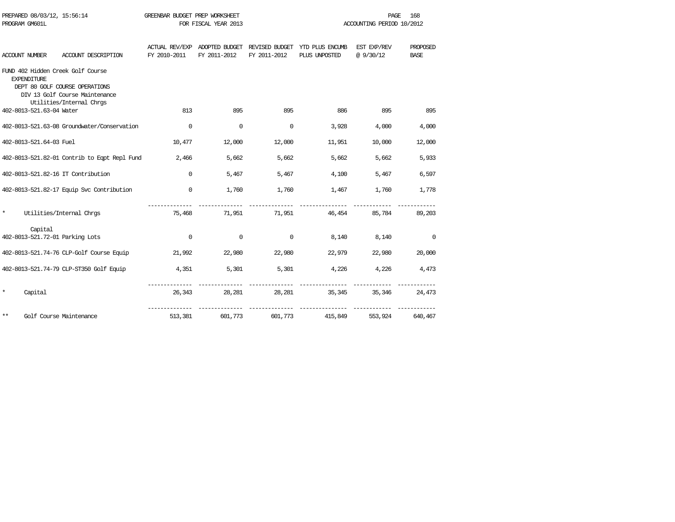| PROGRAM GM601L |                          |                                                                                                                                   |              | FOR FISCAL YEAR 2013      |              |                                                                               | ACCOUNTING PERIOD 10/2012 |                         |
|----------------|--------------------------|-----------------------------------------------------------------------------------------------------------------------------------|--------------|---------------------------|--------------|-------------------------------------------------------------------------------|---------------------------|-------------------------|
| ACCOUNT NUMBER |                          | ACCOUNT DESCRIPTION                                                                                                               | FY 2010-2011 | FY 2011-2012              | FY 2011-2012 | ACTUAL REV/EXP ADOPTED BUDGET REVISED BUDGET YTD PLUS ENCUMB<br>PLUS UNPOSTED | EST EXP/REV<br>@9/30/12   | PROPOSED<br><b>BASE</b> |
|                | <b>EXPENDITURE</b>       | FUND 402 Hidden Creek Golf Course<br>DEPT 80 GOLF COURSE OPERATIONS<br>DIV 13 Golf Course Maintenance<br>Utilities/Internal Chrgs |              |                           |              |                                                                               |                           |                         |
|                | 402-8013-521.63-04 Water |                                                                                                                                   | 813          | 895                       | 895          | 886                                                                           | 895                       | 895                     |
|                |                          | 402-8013-521.63-08 Groundwater/Conservation                                                                                       | $\Omega$     | $\mathbf 0$               | 0            | 3,928                                                                         | 4,000                     | 4,000                   |
|                | 402-8013-521.64-03 Fuel  |                                                                                                                                   | 10,477       | 12,000                    | 12,000       | 11,951                                                                        | 10,000                    | 12,000                  |
|                |                          | 402-8013-521.82-01 Contrib to Eqpt Repl Fund                                                                                      | 2,466        | 5,662                     | 5,662        | 5,662                                                                         | 5,662                     | 5,933                   |
|                |                          | 402-8013-521.82-16 IT Contribution                                                                                                | $\Omega$     | 5,467                     | 5,467        | 4,100                                                                         | 5,467                     | 6,597                   |
|                |                          | 402-8013-521.82-17 Equip Svc Contribution                                                                                         | $\mathbf 0$  | 1,760                     | 1,760        | 1,467                                                                         | 1,760                     | 1,778                   |
| $\star$        |                          | Utilities/Internal Chrgs                                                                                                          |              | 75,468                    |              | 71,951 71,951 46,454                                                          |                           | 85,784 89,203           |
|                | Capital                  | 402-8013-521.72-01 Parking Lots                                                                                                   | $\Omega$     | 0                         | 0            | 8,140                                                                         | 8,140                     | $\circ$                 |
|                |                          | 402-8013-521.74-76 CLP-Golf Course Equip                                                                                          | 21,992       | 22,980                    | 22,980       | 22,979                                                                        | 22,980                    | 20,000                  |
|                |                          | 402-8013-521.74-79 CLP-ST350 Golf Equip                                                                                           | 4,351        | 5,301                     | 5,301        | 4,226                                                                         | 4,226                     | 4,473                   |
| $\star$        | Capital                  |                                                                                                                                   | 26,343       | ---------------<br>28,281 | 28,281       | 35,345                                                                        | 35,346                    | 24,473                  |
| $***$          |                          | Golf Course Maintenance                                                                                                           | 513,381      | 601,773                   | 601,773      | 415,849                                                                       | 553,924                   | 640,467                 |

PREPARED 08/03/12, 15:56:14 GREENBAR BUDGET PREP WORKSHEET **FREED ASSESSED ASSESSED FROM A PAGE** 168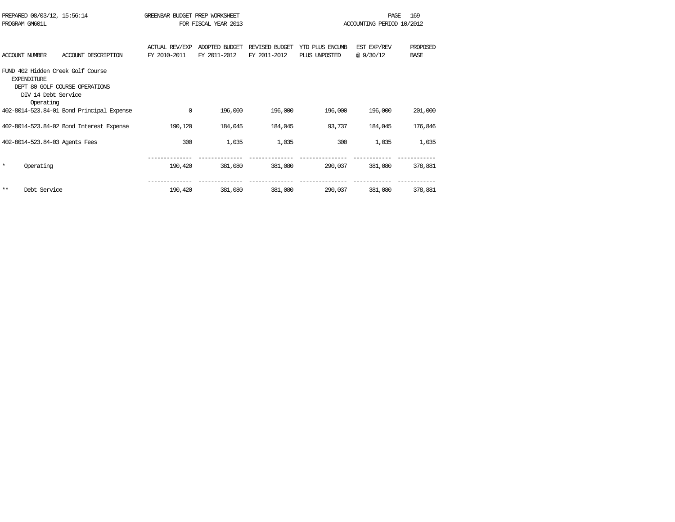|         | PREPARED 08/03/12, 15:56:14<br>PROGRAM GM601L           |                                                                     | GREENBAR BUDGET PREP WORKSHEET        | FOR FISCAL YEAR 2013           |                                |                                  | PAGE<br>ACCOUNTING PERIOD 10/2012 | 169                     |
|---------|---------------------------------------------------------|---------------------------------------------------------------------|---------------------------------------|--------------------------------|--------------------------------|----------------------------------|-----------------------------------|-------------------------|
|         | <b>ACCOUNT NUMBER</b>                                   | ACCOUNT DESCRIPTION                                                 | <b>ACTUAL REV/EXP</b><br>FY 2010-2011 | ADOPTED BUDGET<br>FY 2011-2012 | REVISED BUDGET<br>FY 2011-2012 | YTD PLUS ENCUMB<br>PLUS UNPOSTED | EST EXP/REV<br>@9/30/12           | PROPOSED<br><b>BASE</b> |
|         | <b>EXPENDITURE</b><br>DIV 14 Debt. Service<br>Operating | FUND 402 Hidden Creek Golf Course<br>DEPT 80 GOLF COURSE OPERATIONS |                                       |                                |                                |                                  |                                   |                         |
|         |                                                         | 402-8014-523.84-01 Bond Principal Expense                           | 0                                     | 196,000                        | 196,000                        | 196,000                          | 196,000                           | 201,000                 |
|         |                                                         | 402-8014-523.84-02 Bond Interest Expense                            | 190,120                               | 184,045                        | 184,045                        | 93,737                           | 184,045                           | 176,846                 |
|         |                                                         | 402-8014-523.84-03 Agents Fees                                      | 300                                   | 1,035                          | 1,035                          | 300                              | 1,035                             | 1,035                   |
| $\star$ | Operating                                               |                                                                     | 190,420                               | 381,080                        | 381,080                        | 290,037                          | 381,080                           | 378,881                 |
| $***$   | Debt Service                                            |                                                                     | 190,420                               | 381,080                        | 381,080                        | 290,037                          | 381,080                           | 378,881                 |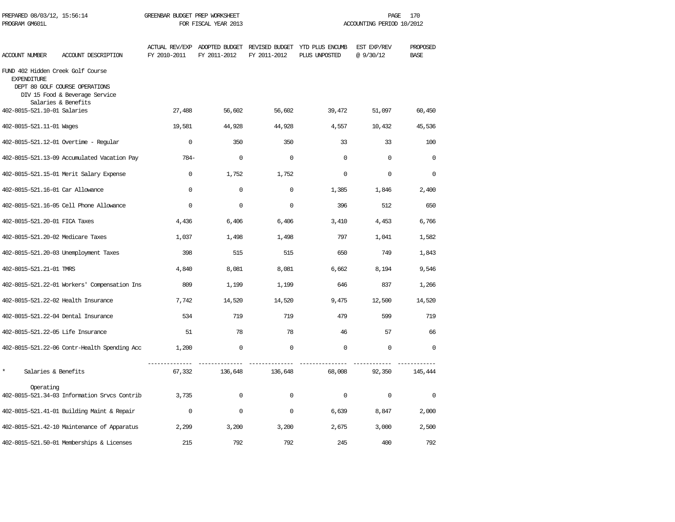| PREPARED 08/03/12, 15:56:14<br>PROGRAM GM601L           |                                                                                         | GREENBAR BUDGET PREP WORKSHEET | FOR FISCAL YEAR 2013 | PAGE<br>ACCOUNTING PERIOD 10/2012 |                                                                               |                         | 170                     |
|---------------------------------------------------------|-----------------------------------------------------------------------------------------|--------------------------------|----------------------|-----------------------------------|-------------------------------------------------------------------------------|-------------------------|-------------------------|
| <b>ACCOUNT NUMBER</b>                                   | ACCOUNT DESCRIPTION                                                                     | FY 2010-2011                   | FY 2011-2012         | FY 2011-2012                      | ACTUAL REV/EXP ADOPTED BUDGET REVISED BUDGET YTD PLUS ENCUMB<br>PLUS UNPOSTED | EST EXP/REV<br>@9/30/12 | PROPOSED<br><b>BASE</b> |
| FUND 402 Hidden Creek Golf Course<br><b>EXPENDITURE</b> | DEPT 80 GOLF COURSE OPERATIONS<br>DIV 15 Food & Beverage Service<br>Salaries & Benefits |                                |                      |                                   |                                                                               |                         |                         |
| 402-8015-521.10-01 Salaries                             |                                                                                         | 27,488                         | 56,602               | 56,602                            | 39,472                                                                        | 51,097                  | 60,450                  |
| 402-8015-521.11-01 Wages                                |                                                                                         | 19,581                         | 44,928               | 44,928                            | 4,557                                                                         | 10,432                  | 45,536                  |
|                                                         | 402-8015-521.12-01 Overtime - Regular                                                   | $\Omega$                       | 350                  | 350                               | 33                                                                            | 33                      | 100                     |
|                                                         | 402-8015-521.13-09 Accumulated Vacation Pay                                             | $784-$                         | $\mathbf 0$          | $\Omega$                          | $\Omega$                                                                      | $\Omega$                | $\Omega$                |
|                                                         | 402-8015-521.15-01 Merit Salary Expense                                                 | $\Omega$                       | 1,752                | 1,752                             | $\Omega$                                                                      | $\Omega$                | $\Omega$                |
| 402-8015-521.16-01 Car Allowance                        |                                                                                         | $\Omega$                       | $\mathbf 0$          | $\mathbf 0$                       | 1,385                                                                         | 1,846                   | 2,400                   |
|                                                         | 402-8015-521.16-05 Cell Phone Allowance                                                 | $\mathbf{0}$                   | $\mathbf 0$          | $\mathbf 0$                       | 396                                                                           | 512                     | 650                     |
| 402-8015-521.20-01 FICA Taxes                           |                                                                                         | 4,436                          | 6,406                | 6,406                             | 3,410                                                                         | 4,453                   | 6,766                   |
| 402-8015-521.20-02 Medicare Taxes                       |                                                                                         | 1,037                          | 1,498                | 1,498                             | 797                                                                           | 1,041                   | 1,582                   |
|                                                         | 402-8015-521.20-03 Unemployment Taxes                                                   | 398                            | 515                  | 515                               | 650                                                                           | 749                     | 1,843                   |
| 402-8015-521.21-01 TMRS                                 |                                                                                         | 4,840                          | 8,081                | 8,081                             | 6,662                                                                         | 8,194                   | 9,546                   |
|                                                         | 402-8015-521.22-01 Workers' Compensation Ins                                            | 809                            | 1,199                | 1,199                             | 646                                                                           | 837                     | 1,266                   |
| 402-8015-521.22-02 Health Insurance                     |                                                                                         | 7,742                          | 14,520               | 14,520                            | 9,475                                                                         | 12,500                  | 14,520                  |
| 402-8015-521.22-04 Dental Insurance                     |                                                                                         | 534                            | 719                  | 719                               | 479                                                                           | 599                     | 719                     |
| 402-8015-521.22-05 Life Insurance                       |                                                                                         | 51                             | 78                   | 78                                | 46                                                                            | 57                      | 66                      |
|                                                         | 402-8015-521.22-06 Contr-Health Spending Acc                                            | 1,200                          | $\mathbf 0$          | $\mathbf 0$                       | $\mathbf 0$                                                                   | $\mathbf 0$             | $\Omega$                |
| $\star$<br>Salaries & Benefits                          |                                                                                         | 67,332                         | 136,648              | 136,648                           | 68,008                                                                        | 92,350                  | 145,444                 |
| Operating                                               | 402-8015-521.34-03 Information Srvcs Contrib                                            | 3,735                          | $\mathbf 0$          | $\mathbf 0$                       | $\Omega$                                                                      | $\Omega$                | $\mathbf 0$             |
|                                                         | 402-8015-521.41-01 Building Maint & Repair                                              | $\mathbf 0$                    | $\mathbf 0$          | $\mathbf 0$                       | 6,639                                                                         | 8,847                   | 2,000                   |
|                                                         | 402-8015-521.42-10 Maintenance of Apparatus                                             | 2,299                          | 3,200                | 3,200                             | 2,675                                                                         | 3,000                   | 2,500                   |
|                                                         | 402-8015-521.50-01 Memberships & Licenses                                               | 215                            | 792                  | 792                               | 245                                                                           | 400                     | 792                     |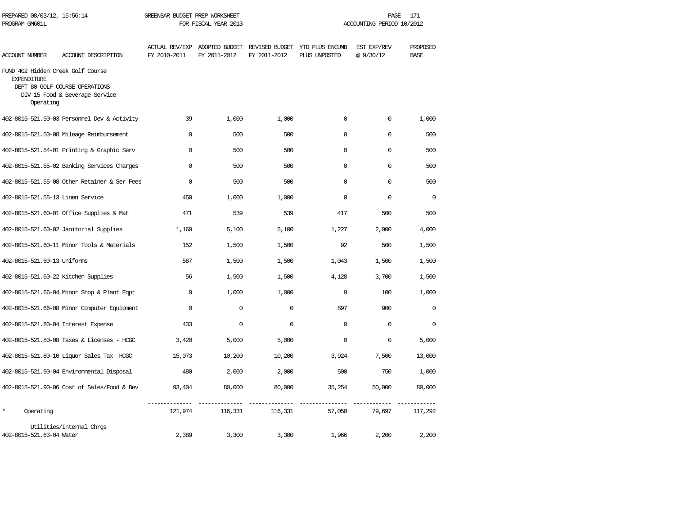| PROGRAM GM601L                                                       |                                                                  | FOR FISCAL YEAR 2013 |              |              | ACCOUNTING PERIOD 10/2012                                                     |                         |                         |  |
|----------------------------------------------------------------------|------------------------------------------------------------------|----------------------|--------------|--------------|-------------------------------------------------------------------------------|-------------------------|-------------------------|--|
| ACCOUNT NUMBER                                                       | ACCOUNT DESCRIPTION                                              | FY 2010-2011         | FY 2011-2012 | FY 2011-2012 | ACTUAL REV/EXP ADOPTED BUDGET REVISED BUDGET YTD PLUS ENCUMB<br>PLUS UNPOSTED | EST EXP/REV<br>@9/30/12 | PROPOSED<br><b>BASE</b> |  |
| FUND 402 Hidden Creek Golf Course<br><b>EXPENDITURE</b><br>Operating | DEPT 80 GOLF COURSE OPERATIONS<br>DIV 15 Food & Beverage Service |                      |              |              |                                                                               |                         |                         |  |
|                                                                      | 402-8015-521.50-03 Personnel Dev & Activity                      | 39                   | 1,000        | 1,000        | $\mathbf 0$                                                                   | 0                       | 1,000                   |  |
|                                                                      | 402-8015-521.50-08 Mileage Reimbursement                         | $\Omega$             | 500          | 500          | $\Omega$                                                                      | $\Omega$                | 500                     |  |
|                                                                      | 402-8015-521.54-01 Printing & Graphic Serv                       | $\Omega$             | 500          | 500          | $\mathbf{0}$                                                                  | $\mathbf 0$             | 500                     |  |
|                                                                      | 402-8015-521.55-02 Banking Services Charges                      | $\Omega$             | 500          | 500          | $\Omega$                                                                      | $\Omega$                | 500                     |  |
|                                                                      | 402-8015-521.55-08 Other Retainer & Ser Fees                     | $\mathbf 0$          | 500          | 500          | 0                                                                             | $\mathbf 0$             | 500                     |  |
| 402-8015-521.55-13 Linen Service                                     |                                                                  | 450                  | 1,000        | 1,000        | $\Omega$                                                                      | $\Omega$                | $\Omega$                |  |
|                                                                      | 402-8015-521.60-01 Office Supplies & Mat                         | 471                  | 539          | 539          | 417                                                                           | 500                     | 500                     |  |
|                                                                      | 402-8015-521.60-02 Janitorial Supplies                           | 1,160                | 5,100        | 5,100        | 1,227                                                                         | 2,000                   | 4,000                   |  |
|                                                                      | 402-8015-521.60-11 Minor Tools & Materials                       | 152                  | 1,500        | 1,500        | 92                                                                            | 500                     | 1,500                   |  |
| 402-8015-521.60-13 Uniforms                                          |                                                                  | 587                  | 1,500        | 1,500        | 1,043                                                                         | 1,500                   | 1,500                   |  |
|                                                                      | 402-8015-521.60-22 Kitchen Supplies                              | 56                   | 1,500        | 1,500        | 4,128                                                                         | 3,700                   | 1,500                   |  |
|                                                                      | 402-8015-521.66-04 Minor Shop & Plant Eqpt                       | $\Omega$             | 1,000        | 1,000        | 9                                                                             | 100                     | 1,000                   |  |
|                                                                      | 402-8015-521.66-08 Minor Computer Equipment                      | $\Omega$             | $\mathbf 0$  | $\Omega$     | 897                                                                           | 900                     | $\Omega$                |  |
|                                                                      | 402-8015-521.80-04 Interest Expense                              | 433                  | $\mathbf 0$  | $\mathbf 0$  | 0                                                                             | $\mathbf 0$             | $\mathbf 0$             |  |
|                                                                      | 402-8015-521.80-08 Taxes & Licenses - HCGC                       | 3,420                | 5,000        | 5,000        | $\mathbf{0}$                                                                  | $\mathbf 0$             | 5,000                   |  |
|                                                                      | 402-8015-521.80-10 Liquor Sales Tax HCGC                         | 15,073               | 10,200       | 10,200       | 3,924                                                                         | 7,500                   | 13,000                  |  |
|                                                                      | 402-8015-521.90-04 Environmental Disposal                        | 480                  | 2,000        | 2,000        | 500                                                                           | 750                     | 1,000                   |  |
|                                                                      | 402-8015-521.90-06 Cost of Sales/Food & Bev                      | 93,404               | 80,000       | 80,000       | 35,254                                                                        | 50,000                  | 80,000                  |  |
| $\star$<br>Operating                                                 |                                                                  | 121,974              | 116,331      | 116,331      | 57,050                                                                        | 79,697                  | 117,292                 |  |
| 402-8015-521.63-04 Water                                             | Utilities/Internal Chrgs                                         | 2,389                | 3,300        | 3,300        | 1,966                                                                         | 2,200                   | 2,200                   |  |

PREPARED 08/03/12, 15:56:14 GREENBAR BUDGET PREP WORKSHEET PAGE 171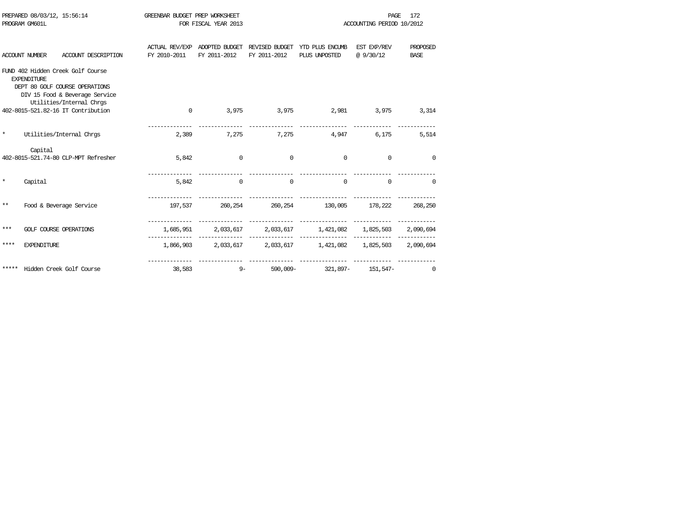|         | PREPARED 08/03/12, 15:56:14<br>PROGRAM GM601L |                                                                                                                                   | GREENBAR BUDGET PREP WORKSHEET        | FOR FISCAL YEAR 2013 |                |                                                                | 172<br>PAGE<br>ACCOUNTING PERIOD 10/2012 |                         |  |
|---------|-----------------------------------------------|-----------------------------------------------------------------------------------------------------------------------------------|---------------------------------------|----------------------|----------------|----------------------------------------------------------------|------------------------------------------|-------------------------|--|
|         | <b>ACCOUNT NUMBER</b>                         | ACCOUNT DESCRIPTION                                                                                                               | <b>ACTUAL REV/EXP</b><br>FY 2010-2011 | FY 2011-2012         | FY 2011-2012   | ADOPTED BUDGET REVISED BUDGET YTD PLUS ENCUMB<br>PLUS UNPOSTED | EST EXP/REV<br>@9/30/12                  | PROPOSED<br><b>BASE</b> |  |
|         | <b>EXPENDITURE</b>                            | FUND 402 Hidden Creek Golf Course<br>DEPT 80 GOLF COURSE OPERATIONS<br>DIV 15 Food & Beverage Service<br>Utilities/Internal Chrgs |                                       |                      |                |                                                                |                                          |                         |  |
|         |                                               | 402-8015-521.82-16 IT Contribution                                                                                                | $\mathbf{0}$                          |                      |                | 3,975 3,975 2,981 3,975                                        |                                          | 3,314                   |  |
| $\star$ |                                               | Utilities/Internal Chros                                                                                                          | 2,389                                 |                      |                | 7,275 7,275 4,947                                              | 6,175                                    | 5,514                   |  |
|         | Capital                                       | 402-8015-521.74-80 CLP-MPT Refresher                                                                                              | 5,842                                 | $\circ$              | $\overline{0}$ | $\overline{0}$                                                 | $\Omega$                                 | $\Omega$                |  |
| $\star$ | Capital                                       |                                                                                                                                   | 5,842                                 | $\Omega$             | $\sim$ 0       | $\Omega$                                                       | $\Omega$                                 | $\Omega$                |  |
| **      |                                               | Food & Beverage Service                                                                                                           | 197,537                               |                      |                | 260, 254 260, 254 130, 005 178, 222 268, 250                   |                                          |                         |  |
| ***     |                                               | <b>GOLF COURSE OPERATIONS</b>                                                                                                     |                                       |                      |                | 1,685,951 2,033,617 2,033,617 1,421,082 1,825,503 2,090,694    |                                          |                         |  |
| ****    | <b>EXPENDITURE</b>                            |                                                                                                                                   |                                       |                      |                | 1,866,903 2,033,617 2,033,617 1,421,082 1,825,503 2,090,694    |                                          |                         |  |
| *****   |                                               | Hidden Creek Golf Course                                                                                                          | 38,583                                | $9 -$                | 590,009-       | 321,897-                                                       | 151,547-                                 | $\Omega$                |  |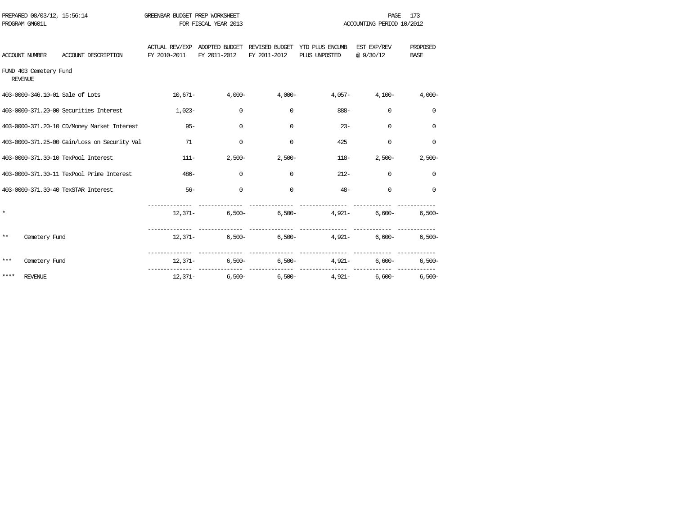| PREPARED 08/03/12, 15:56:14<br>PROGRAM GM601L |                                              | GREENBAR BUDGET PREP WORKSHEET | FOR FISCAL YEAR 2013 |                      |                                                                               | <b>PAGE</b><br>ACCOUNTING PERIOD 10/2012 | 173                     |
|-----------------------------------------------|----------------------------------------------|--------------------------------|----------------------|----------------------|-------------------------------------------------------------------------------|------------------------------------------|-------------------------|
| ACCOUNT NUMBER                                | ACCOUNT DESCRIPTION                          | FY 2010-2011                   | FY 2011-2012         | FY 2011-2012         | ACTUAL REV/EXP ADOPTED BUDGET REVISED BUDGET YTD PLUS ENCUMB<br>PLUS UNPOSTED | EST EXP/REV<br>@ 9/30/12                 | PROPOSED<br><b>BASE</b> |
| FUND 403 Cemetery Fund<br><b>REVENUE</b>      |                                              |                                |                      |                      |                                                                               |                                          |                         |
| 403-0000-346.10-01 Sale of Lots               |                                              | $10,671-$                      | $4,000-$             | 4,000-               |                                                                               | $4,057 4,100-$                           | $4,000-$                |
|                                               | 403-0000-371.20-00 Securities Interest       | $1,023-$                       | $\Omega$             | $\Omega$             | 888-                                                                          | $\Omega$                                 | $\Omega$                |
|                                               | 403-0000-371.20-10 CD/Money Market Interest  | $95 -$                         | $\mathbf 0$          | $\Omega$             | $23 -$                                                                        | $\Omega$                                 | $\mathbf 0$             |
|                                               | 403-0000-371.25-00 Gain/Loss on Security Val | 71                             | $\mathbf 0$          | 0                    | 425                                                                           | $\mathbf 0$                              | 0                       |
|                                               | 403-0000-371.30-10 TexPool Interest          | $111 -$                        |                      | $2,500-$<br>$2,500-$ |                                                                               | $2,500-$<br>$118-$                       | $2,500-$                |
|                                               | 403-0000-371.30-11 TexPool Prime Interest    | $486 -$                        | $\mathbf 0$          | $\Omega$             | $212-$                                                                        | $\mathbf 0$                              | $\Omega$                |
|                                               | 403-0000-371.30-40 TexSTAR Interest          | $56-$                          | $\mathbf 0$          | $\Omega$             | $48 -$                                                                        | $\Omega$                                 | $\Omega$                |
| $\star$                                       |                                              |                                | $12,371-$            |                      | $6,500 6,500 4,921 6,600 6,500-$                                              |                                          |                         |
| $***$<br>Cemetery Fund                        |                                              |                                |                      |                      | $12,371-$ 6,500- 6,500- 4,921- 6,600- 6,500-                                  |                                          |                         |
| ***<br>Cemetery Fund                          |                                              |                                |                      |                      | $12,371-$ 6,500- 6,500- 4,921-                                                | $6.600 -$                                | $6.500 -$               |
| ****<br><b>REVENUE</b>                        |                                              |                                |                      |                      | $12,371-$ 6,500- 6,500- 4,921- 6,600- 6,500-                                  |                                          |                         |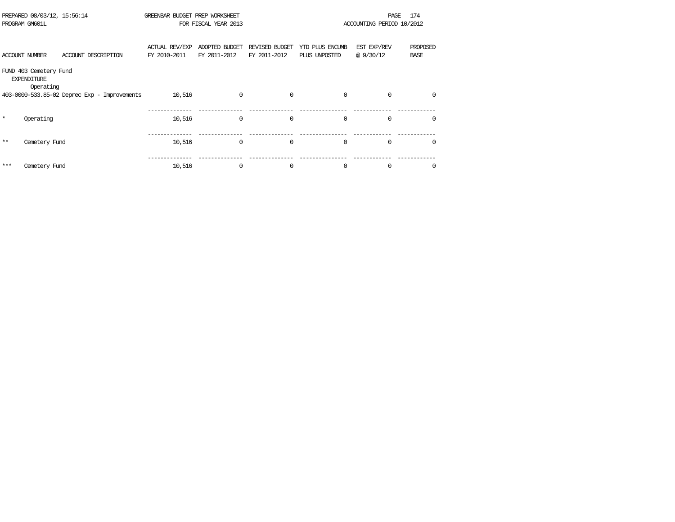|            | PREPARED 08/03/12, 15:56:14<br>PROGRAM GM601L             |                                              | GREENBAR BUDGET PREP WORKSHEET | FOR FISCAL YEAR 2013           |                                |                                  | PAGE<br>ACCOUNTING PERIOD 10/2012 | 174                     |
|------------|-----------------------------------------------------------|----------------------------------------------|--------------------------------|--------------------------------|--------------------------------|----------------------------------|-----------------------------------|-------------------------|
|            | <b>ACCOUNT NUMBER</b>                                     | ACCOUNT DESCRIPTION                          | ACTUAL REV/EXP<br>FY 2010-2011 | ADOPTED BUDGET<br>FY 2011-2012 | REVISED BUDGET<br>FY 2011-2012 | YTD PLUS ENCUMB<br>PLUS UNPOSTED | EST EXP/REV<br>@ 9/30/12          | PROPOSED<br><b>BASE</b> |
|            | FUND 403 Cemetery Fund<br><b>EXPENDITURE</b><br>Operating |                                              |                                |                                |                                |                                  |                                   |                         |
|            |                                                           | 403-0000-533.85-02 Deprec Exp - Improvements | 10,516                         | $\Omega$                       | $\Omega$                       | $\Omega$                         | $\Omega$                          | $\Omega$                |
| $^{\star}$ | Operating                                                 |                                              | 10,516                         | $\Omega$                       | $\Omega$                       | $\Omega$                         | $\Omega$                          | $\Omega$                |
| $***$      | Cemetery Fund                                             |                                              | 10,516                         | $\Omega$                       | $\mathbf 0$                    | $\mathbf 0$                      | $\Omega$                          | $\Omega$                |
| ***        | Cemetery Fund                                             |                                              | 10,516                         | $\Omega$                       | $\mathbf 0$                    | 0                                | $\Omega$                          | $\Omega$                |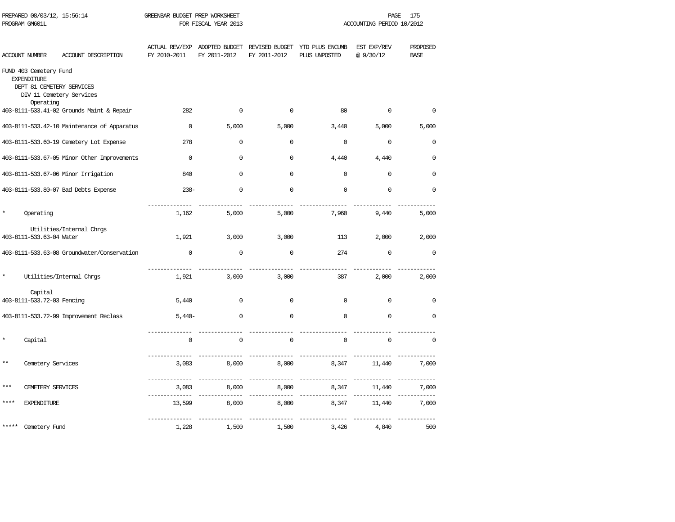|          | PREPARED 08/03/12, 15:56:14<br>PROGRAM GM601L                                          |                                             | GREENBAR BUDGET PREP WORKSHEET | FOR FISCAL YEAR 2013                          |                                |                                  | PAGE<br>ACCOUNTING PERIOD 10/2012 | 175                     |
|----------|----------------------------------------------------------------------------------------|---------------------------------------------|--------------------------------|-----------------------------------------------|--------------------------------|----------------------------------|-----------------------------------|-------------------------|
|          | ACCOUNT NUMBER                                                                         | ACCOUNT DESCRIPTION                         | FY 2010-2011                   | ACTUAL REV/EXP ADOPTED BUDGET<br>FY 2011-2012 | REVISED BUDGET<br>FY 2011-2012 | YTD PLUS ENCUMB<br>PLUS UNPOSTED | EST EXP/REV<br>@ 9/30/12          | PROPOSED<br><b>BASE</b> |
|          | FUND 403 Cemetery Fund<br><b>EXPENDITURE</b><br>DEPT 81 CEMETERY SERVICES<br>Operating | DIV 11 Cemetery Services                    |                                |                                               |                                |                                  |                                   |                         |
|          |                                                                                        | 403-8111-533.41-02 Grounds Maint & Repair   | 282                            | $\mathsf{O}\xspace$                           | 0                              | 80                               | $\Omega$                          | $\Omega$                |
|          |                                                                                        | 403-8111-533.42-10 Maintenance of Apparatus | $\mathbf 0$                    | 5,000                                         | 5,000                          | 3,440                            | 5,000                             | 5,000                   |
|          |                                                                                        | 403-8111-533.60-19 Cemetery Lot Expense     | 278                            | $\mathbf 0$                                   | $\mathbf 0$                    | $\mathbf 0$                      | $\Omega$                          | $\mathbf 0$             |
|          |                                                                                        | 403-8111-533.67-05 Minor Other Improvements | $\Omega$                       | $\mathsf{O}\xspace$                           | $\Omega$                       | 4,440                            | 4,440                             | $\Omega$                |
|          |                                                                                        | 403-8111-533.67-06 Minor Irrigation         | 840                            | 0                                             | $\mathbf 0$                    | $\mathbf 0$                      | $\mathbf 0$                       | $\mathbf 0$             |
|          |                                                                                        | 403-8111-533.80-07 Bad Debts Expense        | $238-$                         | $\Omega$                                      | $\mathbf 0$                    | $\Omega$                         | $\Omega$                          | $\Omega$                |
| $^\star$ | Operating                                                                              |                                             | 1,162                          | 5,000                                         | 5,000                          | 7,960                            | 9,440                             | 5,000                   |
|          |                                                                                        | Utilities/Internal Chrgs                    |                                |                                               |                                |                                  |                                   |                         |
|          | 403-8111-533.63-04 Water                                                               |                                             | 1,921                          | 3,000                                         | 3,000                          | 113                              | 2,000                             | 2,000                   |
|          |                                                                                        | 403-8111-533.63-08 Groundwater/Conservation | $\mathbf 0$                    | $\mathbf 0$                                   | $\mathbf 0$                    | 274                              | $\mathbf 0$                       | $\mathbf 0$             |
| $\star$  |                                                                                        | Utilities/Internal Chrgs                    | 1,921                          | 3,000                                         | 3,000                          | 387                              | 2,000                             | 2,000                   |
|          | Capital<br>403-8111-533.72-03 Fencing                                                  |                                             | 5,440                          | $\mathbf 0$                                   | $\mathbf 0$                    | $\Omega$                         | $\Omega$                          | 0                       |
|          |                                                                                        | 403-8111-533.72-99 Improvement Reclass      | $5,440-$                       | $\mathbf 0$                                   | $\mathbf 0$                    | $\Omega$                         | $\Omega$                          | $\mathbf 0$             |
|          | Capital                                                                                |                                             | $\Omega$                       | $\mathbf{0}$                                  | $\Omega$                       | $\mathbf 0$                      | $\Omega$                          | $\Omega$                |
| $* *$    | Cemetery Services                                                                      |                                             | 3,083                          | 8,000                                         | 8,000                          | 8,347                            | 11,440                            | 7,000                   |
| ***      | CEMETERY SERVICES                                                                      |                                             | _______________<br>3,083       | 8,000                                         | 8,000                          | ___________<br>8,347             | 11,440                            | 7,000                   |
|          | <b>EXPENDITURE</b>                                                                     |                                             | 13,599                         | 8,000                                         | 8,000                          | 8,347                            | 11,440                            | 7,000                   |
|          | Cemetery Fund                                                                          |                                             | 1,228                          | 1,500                                         | 1,500                          | 3,426                            | 4,840                             | 500                     |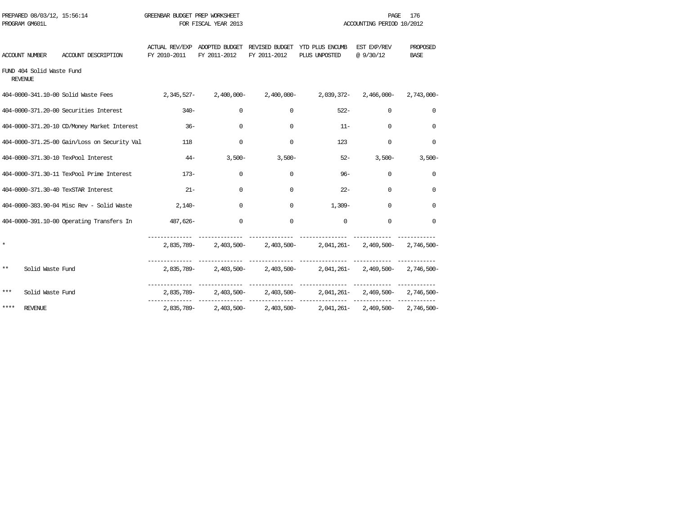| PROGRAM GM601L | PREPARED 08/03/12, 15:56:14 |                                                                                                   | GREENBAR BUDGET PREP WORKSHEET | FOR FISCAL YEAR 2013 |              |                                                                                           | PAGE<br>ACCOUNTING PERIOD 10/2012 | 176              |
|----------------|-----------------------------|---------------------------------------------------------------------------------------------------|--------------------------------|----------------------|--------------|-------------------------------------------------------------------------------------------|-----------------------------------|------------------|
| ACCOUNT NUMBER |                             | ACCOUNT DESCRIPTION                                                                               | FY 2010-2011 FY 2011-2012      |                      | FY 2011-2012 | ACTUAL REV/EXP ADOPTED BUDGET REVISED BUDGET YTD PLUS ENCUMB EST EXP/REV<br>PLUS UNPOSTED | @ 9/30/12                         | PROPOSED<br>BASE |
| REVENUE        | FUND 404 Solid Waste Fund   |                                                                                                   |                                |                      |              |                                                                                           |                                   |                  |
|                |                             | 404-0000-341.10-00 Solid Waste Fees 2,345,527-2,400,000-2,400,000-2,4039,372-2,466,000-2,743,000- |                                |                      |              |                                                                                           |                                   |                  |
|                |                             | 404-0000-371.20-00 Securities Interest                                                            | $340-$                         | $\Omega$             | $\Omega$     | $522 -$                                                                                   | 0                                 | $\Omega$         |
|                |                             | 404-0000-371.20-10 CD/Money Market Interest                                                       | $36-$                          | $\mathbf 0$          | $\Omega$     | $11 -$                                                                                    | $\mathbf 0$                       | $\Omega$         |
|                |                             | 404-0000-371.25-00 Gain/Loss on Security Val                                                      | 118                            | $\Omega$             | $\Omega$     | 123                                                                                       | $\Omega$                          | $\Omega$         |
|                |                             | 404-0000-371.30-10 TexPool Interest                                                               |                                | $3.500 -$<br>$44-$   | $3,500-$     |                                                                                           | $52 -$<br>$3,500-$                | $3,500-$         |
|                |                             | 404-0000-371.30-11 TexPool Prime Interest                                                         | $173-$                         | $\Omega$             | $\Omega$     | $96 -$                                                                                    | $\Omega$                          | $\Omega$         |
|                |                             | 404-0000-371.30-40 TexSTAR Interest                                                               | $21 -$                         | 0                    | $\Omega$     | $22 -$                                                                                    | $\mathbf 0$                       | $\Omega$         |
|                |                             | 404-0000-383.90-04 Misc Rev - Solid Waste                                                         | $2.140 -$                      | $\Omega$             | $\Omega$     | $1,309-$                                                                                  | $\Omega$                          | $\Omega$         |
|                |                             | 404-0000-391.10-00 Operating Transfers In                                                         | -626, 487                      | $\mathbf 0$          | $\Omega$     | $\Omega$                                                                                  | $\Omega$                          | $\Omega$         |
| $\star$        |                             |                                                                                                   |                                |                      |              | 2,835,789-2,403,500-2,403,500-2,041,261-2,469,500-2,746,500-                              |                                   |                  |
| $***$          | Solid Waste Fund            |                                                                                                   |                                |                      |              | 2,835,789- 2,403,500- 2,403,500- 2,041,261- 2,469,500- 2,746,500-                         |                                   |                  |
| $***$          | Solid Waste Fund            |                                                                                                   |                                |                      |              | 2,835,789- 2,403,500- 2,403,500- 2,041,261- 2,469,500- 2,746,500-                         |                                   |                  |
| ****           | REVENUE                     |                                                                                                   |                                |                      |              | 2,835,789-2,403,500-2,403,500-2,041,261-2,469,500-2,746,500-                              |                                   |                  |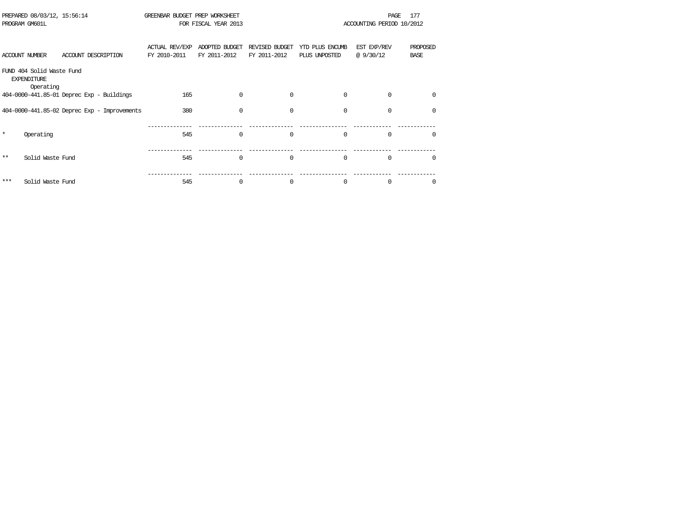|                                                                                                             | PREPARED 08/03/12, 15:56:14<br>PROGRAM GM601L |                                              | GREENBAR BUDGET PREP WORKSHEET<br>FOR FISCAL YEAR 2013 |                                |                                | 177<br>PAGE<br>ACCOUNTING PERIOD 10/2012 |                         |                         |  |  |
|-------------------------------------------------------------------------------------------------------------|-----------------------------------------------|----------------------------------------------|--------------------------------------------------------|--------------------------------|--------------------------------|------------------------------------------|-------------------------|-------------------------|--|--|
|                                                                                                             | ACCOUNT NUMBER                                | ACCOUNT DESCRIPTION                          | <b>ACTUAL REV/EXP</b><br>FY 2010-2011                  | ADOPTED BUDGET<br>FY 2011-2012 | REVISED BUDGET<br>FY 2011-2012 | YTD PLUS ENCUMB<br>PLUS UNPOSTED         | EST EXP/REV<br>@9/30/12 | PROPOSED<br><b>BASE</b> |  |  |
| FUND 404 Solid Waste Fund<br><b>EXPENDITURE</b><br>Operating<br>$404-0000-441.85-01$ Deprec Exp - Buildings |                                               |                                              |                                                        |                                |                                |                                          |                         |                         |  |  |
|                                                                                                             |                                               |                                              | 165                                                    | 0                              | $\mathbf 0$                    | $\mathbf 0$                              | $\mathbf 0$             | $\mathbf 0$             |  |  |
|                                                                                                             |                                               | 404-0000-441.85-02 Deprec Exp - Improvements | 380                                                    | $\Omega$                       | $\Omega$                       | $\Omega$                                 | $\Omega$                | $\mathbf 0$             |  |  |
| $\star$                                                                                                     | Operating                                     |                                              | 545                                                    | $\Omega$                       | $\Omega$                       | $\Omega$                                 | $\Omega$                | $\Omega$                |  |  |
| $***$                                                                                                       | Solid Waste Fund                              |                                              | 545                                                    | $\Omega$                       | $\Omega$                       | $\Omega$                                 | $\Omega$                | $\Omega$                |  |  |
| ***                                                                                                         | Solid Waste Fund                              |                                              | 545                                                    | 0                              | 0                              | 0                                        | 0                       | 0                       |  |  |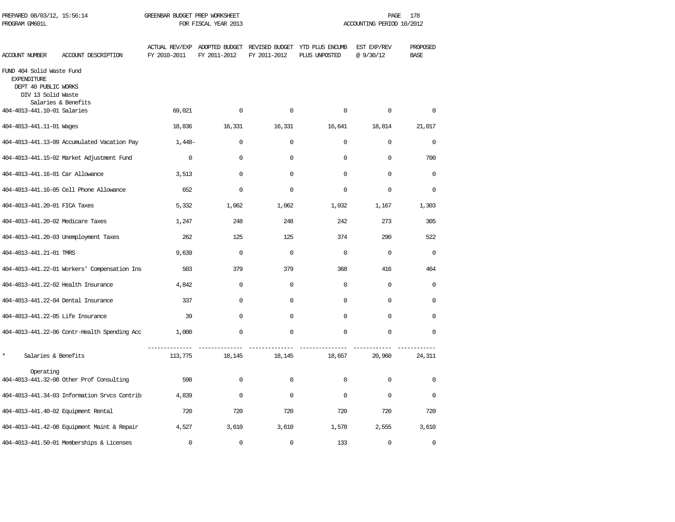| PREPARED 08/03/12, 15:56:14<br>PROGRAM GM601L                                                 |                                              | GREENBAR BUDGET PREP WORKSHEET | FOR FISCAL YEAR 2013 |              |                                                                               | PAGE<br>ACCOUNTING PERIOD 10/2012 | 178                     |
|-----------------------------------------------------------------------------------------------|----------------------------------------------|--------------------------------|----------------------|--------------|-------------------------------------------------------------------------------|-----------------------------------|-------------------------|
| <b>ACCOUNT NUMBER</b>                                                                         | ACCOUNT DESCRIPTION                          | FY 2010-2011                   | FY 2011-2012         | FY 2011-2012 | ACTUAL REV/EXP ADOPTED BUDGET REVISED BUDGET YTD PLUS ENCUMB<br>PLUS UNPOSTED | EST EXP/REV<br>@9/30/12           | PROPOSED<br><b>BASE</b> |
| FUND 404 Solid Waste Fund<br><b>EXPENDITURE</b><br>DEPT 40 PUBLIC WORKS<br>DIV 13 Solid Waste | Salaries & Benefits                          |                                |                      |              |                                                                               |                                   |                         |
| 404-4013-441.10-01 Salaries                                                                   |                                              | 69,021                         | $\Omega$             | $\Omega$     | $\Omega$                                                                      | $\Omega$                          | $\Omega$                |
| 404-4013-441.11-01 Wages                                                                      |                                              | 18,836                         | 16,331               | 16,331       | 16,641                                                                        | 18,814                            | 21,017                  |
|                                                                                               | 404-4013-441.13-09 Accumulated Vacation Pay  | $1,448-$                       | $\mathbf 0$          | $\mathbf 0$  | 0                                                                             | $\mathbf 0$                       | $\mathbf 0$             |
|                                                                                               | 404-4013-441.15-02 Market Adjustment Fund    | $\mathbf 0$                    | $\mathbf 0$          | $\mathbf 0$  | 0                                                                             | $\mathbf 0$                       | 700                     |
| 404-4013-441.16-01 Car Allowance                                                              |                                              | 3,513                          | $\mathbf 0$          | $\mathbf 0$  | 0                                                                             | $\Omega$                          | $\mathbf 0$             |
|                                                                                               | 404-4013-441.16-05 Cell Phone Allowance      | 652                            | $\mathbf 0$          | $\mathbf 0$  | 0                                                                             | $\Omega$                          | $\mathbf 0$             |
| 404-4013-441.20-01 FICA Taxes                                                                 |                                              | 5,332                          | 1,062                | 1,062        | 1,032                                                                         | 1,167                             | 1,303                   |
| 404-4013-441.20-02 Medicare Taxes                                                             |                                              | 1,247                          | 248                  | 248          | 242                                                                           | 273                               | 305                     |
|                                                                                               | 404-4013-441.20-03 Unemployment Taxes        | 262                            | 125                  | 125          | 374                                                                           | 290                               | 522                     |
| 404-4013-441.21-01 TMRS                                                                       |                                              | 9,639                          | $\mathbf 0$          | $\mathbf 0$  | 0                                                                             | $\mathbf 0$                       | $\mathbf 0$             |
|                                                                                               | 404-4013-441.22-01 Workers' Compensation Ins | 503                            | 379                  | 379          | 368                                                                           | 416                               | 464                     |
| 404-4013-441.22-02 Health Insurance                                                           |                                              | 4,842                          | $\mathbf 0$          | $\mathbf 0$  | $\mathbf 0$                                                                   | $\mathbf 0$                       | $\mathbf 0$             |
| 404-4013-441.22-04 Dental Insurance                                                           |                                              | 337                            | $\mathbf 0$          | $\mathbf 0$  | 0                                                                             | $\mathbf 0$                       | 0                       |
| 404-4013-441.22-05 Life Insurance                                                             |                                              | 39                             | $\Omega$             | $\Omega$     | $\Omega$                                                                      | $\Omega$                          | $\Omega$                |
|                                                                                               | 404-4013-441.22-06 Contr-Health Spending Acc | 1,000                          | 0                    | $\Omega$     | 0                                                                             | $\Omega$                          | $\Omega$                |
| $\star$<br>Salaries & Benefits                                                                |                                              | 113,775                        | 18,145               | 18,145       | 18,657                                                                        | 20,960                            | 24,311                  |
| Operating                                                                                     | 404-4013-441.32-08 Other Prof Consulting     | 598                            | $\Omega$             | $\Omega$     | $\Omega$                                                                      | $\Omega$                          | $\Omega$                |
|                                                                                               | 404-4013-441.34-03 Information Srvcs Contrib | 4,839                          | $\Omega$             | $\Omega$     | $\Omega$                                                                      | $\Omega$                          | $\Omega$                |
| 404-4013-441.40-02 Equipment Rental                                                           |                                              | 720                            | 720                  | 720          | 720                                                                           | 720                               | 720                     |
|                                                                                               | 404-4013-441.42-08 Equipment Maint & Repair  | 4,527                          | 3,610                | 3,610        | 1,578                                                                         | 2,555                             | 3,610                   |
|                                                                                               | 404-4013-441.50-01 Memberships & Licenses    | $\mathbf 0$                    | $\mathbf 0$          | $\mathbf 0$  | 133                                                                           | $\mathbf 0$                       | $\mathbf 0$             |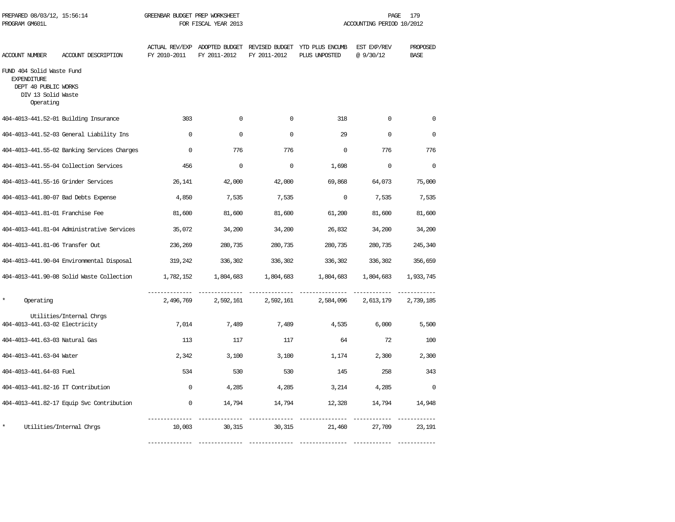| PREPARED 08/03/12, 15:56:14<br>PROGRAM GM601L                                                              |                                             | GREENBAR BUDGET PREP WORKSHEET<br>FOR FISCAL YEAR 2013 |              |              | PAGE<br>179<br>ACCOUNTING PERIOD 10/2012                                      |                         |                         |  |
|------------------------------------------------------------------------------------------------------------|---------------------------------------------|--------------------------------------------------------|--------------|--------------|-------------------------------------------------------------------------------|-------------------------|-------------------------|--|
| ACCOUNT NUMBER                                                                                             | ACCOUNT DESCRIPTION                         | FY 2010-2011                                           | FY 2011-2012 | FY 2011-2012 | ACTUAL REV/EXP ADOPTED BUDGET REVISED BUDGET YTD PLUS ENCUMB<br>PLUS UNPOSTED | EST EXP/REV<br>@9/30/12 | PROPOSED<br><b>BASE</b> |  |
| FUND 404 Solid Waste Fund<br><b>EXPENDITURE</b><br>DEPT 40 PUBLIC WORKS<br>DIV 13 Solid Waste<br>Operating |                                             |                                                        |              |              |                                                                               |                         |                         |  |
|                                                                                                            | 404-4013-441.52-01 Building Insurance       | 303                                                    | $\mathbf 0$  | $\mathbf 0$  | 318                                                                           | $\mathbf 0$             | $\mathbf 0$             |  |
|                                                                                                            | 404-4013-441.52-03 General Liability Ins    | $\Omega$                                               | $\Omega$     | $\Omega$     | 29                                                                            | $\Omega$                | $\Omega$                |  |
|                                                                                                            | 404-4013-441.55-02 Banking Services Charges | $\Omega$                                               | 776          | 776          | $\Omega$                                                                      | 776                     | 776                     |  |
|                                                                                                            | 404-4013-441.55-04 Collection Services      | 456                                                    | $\mathbf 0$  | $\mathbf 0$  | 1,698                                                                         | $\mathbf 0$             | $\Omega$                |  |
| 404-4013-441.55-16 Grinder Services                                                                        |                                             | 26,141                                                 | 42,000       | 42,000       | 69,868                                                                        | 64,073                  | 75,000                  |  |
| 404-4013-441.80-07 Bad Debts Expense                                                                       |                                             | 4,850                                                  | 7,535        | 7,535        | $\Omega$                                                                      | 7,535                   | 7,535                   |  |
| 404-4013-441.81-01 Franchise Fee                                                                           |                                             | 81,600                                                 | 81,600       | 81,600       | 61,200                                                                        | 81,600                  | 81,600                  |  |
|                                                                                                            | 404-4013-441.81-04 Administrative Services  | 35,072                                                 | 34,200       | 34,200       | 26,832                                                                        | 34,200                  | 34,200                  |  |
| 404-4013-441.81-06 Transfer Out                                                                            |                                             | 236,269                                                | 280,735      | 280,735      | 280,735                                                                       | 280,735                 | 245,340                 |  |
|                                                                                                            | 404-4013-441.90-04 Environmental Disposal   | 319,242                                                | 336,302      | 336,302      | 336,302                                                                       | 336,302                 | 356,659                 |  |
|                                                                                                            | 404-4013-441.90-08 Solid Waste Collection   | 1,782,152                                              | 1,804,683    | 1,804,683    | 1,804,683                                                                     | 1,804,683               | 1,933,745               |  |
| $\star$<br>Operating                                                                                       |                                             | 2,496,769                                              | 2,592,161    | 2,592,161    | 2,584,096                                                                     | 2,613,179               | 2,739,185               |  |
| 404-4013-441.63-02 Electricity                                                                             | Utilities/Internal Chrgs                    | 7,014                                                  | 7,489        | 7,489        | 4,535                                                                         | 6,000                   | 5,500                   |  |
| 404-4013-441.63-03 Natural Gas                                                                             |                                             | 113                                                    | 117          | 117          | 64                                                                            | 72                      | 100                     |  |
| 404-4013-441.63-04 Water                                                                                   |                                             | 2,342                                                  | 3,100        | 3,100        | 1,174                                                                         | 2,300                   | 2,300                   |  |
| 404-4013-441.64-03 Fuel                                                                                    |                                             | 534                                                    | 530          | 530          | 145                                                                           | 258                     | 343                     |  |
| 404-4013-441.82-16 IT Contribution                                                                         |                                             | $\mathbf 0$                                            | 4,285        | 4,285        | 3,214                                                                         | 4,285                   | $\Omega$                |  |
|                                                                                                            | 404-4013-441.82-17 Equip Svc Contribution   | $\mathbf{0}$                                           | 14,794       | 14,794       | 12,328                                                                        | 14,794                  | 14,948                  |  |
| $\star$                                                                                                    | Utilities/Internal Chros                    | 10,003                                                 | 30,315       | 30,315       | 21,460                                                                        | 27,709                  | 23,191                  |  |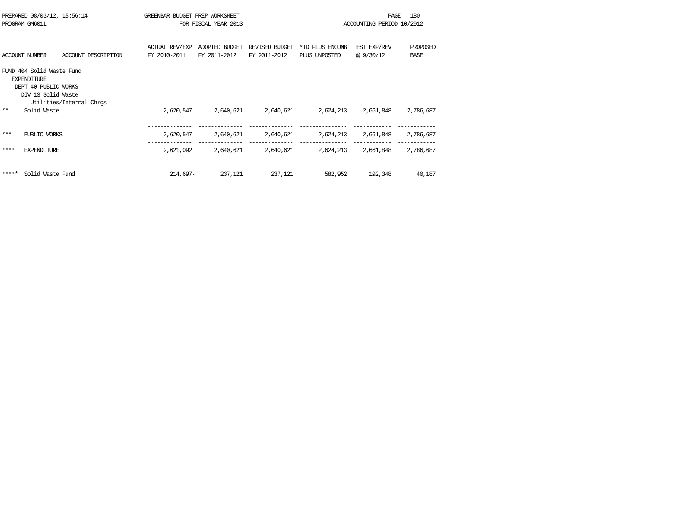|       | PREPARED 08/03/12, 15:56:14<br>PROGRAM GM601L                                                 |                          | GREENBAR BUDGET PREP WORKSHEET | FOR FISCAL YEAR 2013           |                                |                                  | <b>PAGE</b><br>ACCOUNTING PERIOD 10/2012 | 180                     |
|-------|-----------------------------------------------------------------------------------------------|--------------------------|--------------------------------|--------------------------------|--------------------------------|----------------------------------|------------------------------------------|-------------------------|
|       | <b>ACCOUNT NUMBER</b>                                                                         | ACCOUNT DESCRIPTION      | ACTUAL REV/EXP<br>FY 2010-2011 | ADOPTED BUDGET<br>FY 2011-2012 | REVISED BUDGET<br>FY 2011-2012 | YTD PLUS ENCUMB<br>PLUS UNPOSTED | EST EXP/REV<br>@9/30/12                  | PROPOSED<br><b>BASE</b> |
|       | FUND 404 Solid Waste Fund<br><b>EXPENDITURE</b><br>DEPT 40 PUBLIC WORKS<br>DIV 13 Solid Waste | Utilities/Internal Chrgs |                                |                                |                                |                                  |                                          |                         |
| $* *$ | Solid Waste                                                                                   |                          | 2,620,547                      | 2,640,621                      | 2,640,621                      | 2,624,213                        | 2,661,848                                | 2,786,687               |
| ***   | PUBLIC WORKS                                                                                  |                          | 2,620,547                      | 2,640,621                      | 2,640,621                      | 2,624,213                        | 2,661,848                                | 2,786,687               |
| ****  | <b>EXPENDITURE</b>                                                                            |                          | 2,621,092                      | 2,640,621                      | 2,640,621                      | 2,624,213                        | 2,661,848                                | 2,786,687               |
| ***** | Solid Waste Fund                                                                              |                          | $214,697-$                     | 237,121                        | 237,121                        | 582,952                          | 192,348                                  | 40,187                  |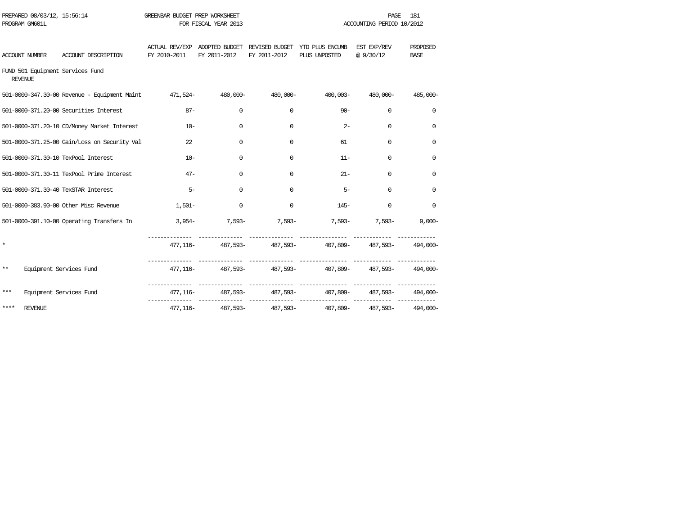| PROGRAM GM601L                                     |                                                                 |              | FOR FISCAL YEAR 2013 |                                                              | ACCOUNTING PERIOD 10/2012                                         |                          |                         |  |
|----------------------------------------------------|-----------------------------------------------------------------|--------------|----------------------|--------------------------------------------------------------|-------------------------------------------------------------------|--------------------------|-------------------------|--|
| ACCOUNT NUMBER                                     | ACCOUNT DESCRIPTION                                             | FY 2010-2011 | FY 2011-2012         | ACTUAL REV/EXP ADOPTED BUDGET REVISED BUDGET<br>FY 2011-2012 | YTD PLUS ENCUMB<br>PLUS UNPOSTED                                  | EST EXP/REV<br>@ 9/30/12 | PROPOSED<br><b>BASE</b> |  |
| FUND 501 Equipment Services Fund<br><b>REVENUE</b> |                                                                 |              |                      |                                                              |                                                                   |                          |                         |  |
|                                                    | -501-0000-347.30-00 Revenue - Equipment Maint 471,524- 480,000- |              |                      | 480,000-                                                     | 400,003-                                                          | 480,000-                 | 485,000-                |  |
|                                                    | 501-0000-371.20-00 Securities Interest                          | $87 -$       | $\Omega$             | 0                                                            | $90 -$                                                            | $\Omega$                 | $\mathbf 0$             |  |
|                                                    | 501-0000-371.20-10 CD/Money Market Interest                     | $10 -$       | $\Omega$             | $\Omega$                                                     | $2 -$                                                             | $\Omega$                 | $\Omega$                |  |
|                                                    | 501-0000-371.25-00 Gain/Loss on Security Val                    | 22.          | $\Omega$             | $\Omega$                                                     | 61                                                                | $\Omega$                 | $\Omega$                |  |
| 501-0000-371.30-10 TexPool Interest                |                                                                 | $10 -$       | $\Omega$             | $\mathbf 0$                                                  | $11 -$                                                            | $\Omega$                 | 0                       |  |
|                                                    | 501-0000-371.30-11 TexPool Prime Interest                       | $47-$        | $\Omega$             | 0                                                            | $21 -$                                                            | $\Omega$                 | 0                       |  |
| 501-0000-371.30-40 TexSTAR Interest                |                                                                 | $5-$         | $\Omega$             | 0                                                            | $5 -$                                                             | $\Omega$                 | $\mathbf 0$             |  |
|                                                    | 501-0000-383.90-00 Other Misc Revenue                           | $1,501-$     | $\Omega$             | $\Omega$                                                     |                                                                   | $145-$<br>$\Omega$       | $\Omega$                |  |
|                                                    | 501-0000-391.10-00 Operating Transfers In                       |              |                      |                                                              | $3,954-7,593-7,593-7,593-7,593-7,593-$                            |                          | $9,000 -$               |  |
| $\star$                                            |                                                                 |              |                      |                                                              | 477,116- 487,593- 487,593- 487,593- 407,809- 487,593- 494,000-    |                          |                         |  |
| $***$                                              | Equipment Services Fund                                         |              |                      |                                                              | 477,116- 487,593- 487,593- 487,593- 407,809- 487,593- 494,000-    |                          |                         |  |
| $***$                                              | Equipment Services Fund                                         |              |                      |                                                              | 477,116- 487,593- 487,593- 487,593- 407,809- 487,593- 494,000-    |                          |                         |  |
| ****<br><b>REVENUE</b>                             |                                                                 |              |                      |                                                              | 407, 116 - 487, 593 - 487, 593 - 407, 809 - 487, 593 - 494, 000 - |                          |                         |  |

PREPARED 08/03/12, 15:56:14 GREENBAR BUDGET PREP WORKSHEET PAGE 181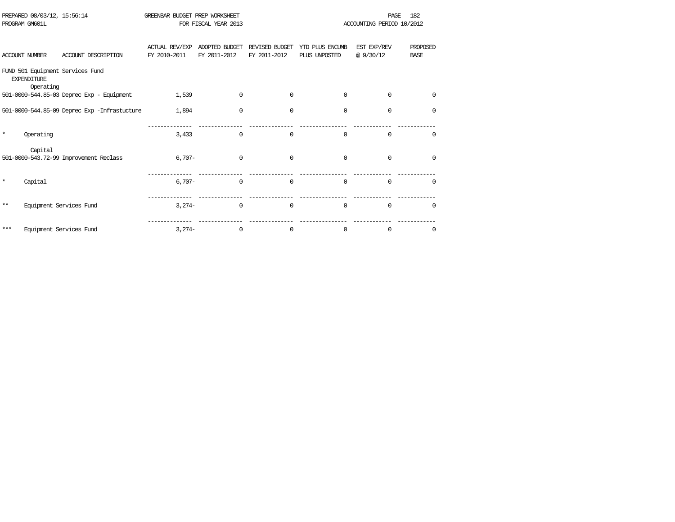| PROGRAM GM601L |                                 |                                              |                                       | FOR FISCAL YEAR 2013           |                                | ACCOUNTING PERIOD 10/2012        |                          |                         |  |
|----------------|---------------------------------|----------------------------------------------|---------------------------------------|--------------------------------|--------------------------------|----------------------------------|--------------------------|-------------------------|--|
|                | <b>ACCOUNT NUMBER</b>           | ACCOUNT DESCRIPTION                          | <b>ACTUAL REV/EXP</b><br>FY 2010-2011 | ADOPTED BUDGET<br>FY 2011-2012 | REVISED BUDGET<br>FY 2011-2012 | YTD PLUS ENCUMB<br>PLUS UNPOSTED | EST EXP/REV<br>@ 9/30/12 | PROPOSED<br><b>BASE</b> |  |
|                | <b>EXPENDITURE</b><br>Operating | FUND 501 Equipment Services Fund             |                                       |                                |                                |                                  |                          |                         |  |
|                |                                 | 501-0000-544.85-03 Deprec Exp - Equipment    | 1,539                                 | $\Omega$                       | $\Omega$                       | $\Omega$                         | $\Omega$                 | $\Omega$                |  |
|                |                                 | 501-0000-544.85-09 Deprec Exp -Infrastucture | 1,894                                 | 0                              | $\mathbf 0$                    | $\mathbf 0$                      | 0                        | $\Omega$                |  |
| $\star$        | Operating                       |                                              | 3,433                                 | $\Omega$                       | $\mathbf 0$                    | $\Omega$                         | $\Omega$                 | $\Omega$                |  |
|                | Capital                         | 501-0000-543.72-99 Improvement Reclass       | $6.707 -$                             | $\Omega$                       | $\Omega$                       | $\Omega$                         | $\Omega$                 | $\Omega$                |  |
| $\star$        | Capital                         |                                              | $6.707 -$                             | $\Omega$                       | $\Omega$                       | $\Omega$                         | $\Omega$                 | $\Omega$                |  |
| $* *$          |                                 | Equipment Services Fund                      | $3.274-$                              | $\Omega$                       | $\Omega$                       | $\Omega$                         | $\Omega$                 | $\Omega$                |  |
| ***            |                                 | Equipment Services Fund                      | $3,274-$                              | $\Omega$                       | 0                              | $\Omega$                         | 0                        | $\Omega$                |  |

PREPARED 08/03/12, 15:56:14 GREENBAR BUDGET PREP WORKSHEET **FREED AGE 182** PAGE 182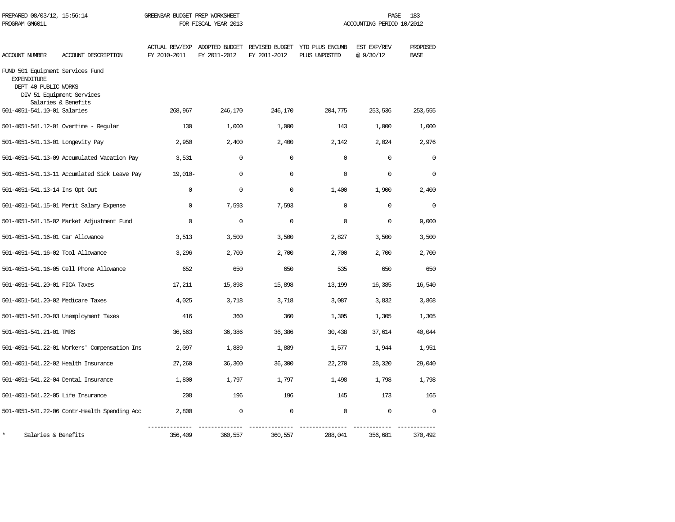| PREPARED 08/03/12, 15:56:14<br>PROGRAM GM601L                                  |                                                  | GREENBAR BUDGET PREP WORKSHEET<br>FOR FISCAL YEAR 2013 |              |              |                                                                               | 183<br>PAGE<br>ACCOUNTING PERIOD 10/2012 |                         |  |
|--------------------------------------------------------------------------------|--------------------------------------------------|--------------------------------------------------------|--------------|--------------|-------------------------------------------------------------------------------|------------------------------------------|-------------------------|--|
| ACCOUNT NUMBER                                                                 | ACCOUNT DESCRIPTION                              | FY 2010-2011                                           | FY 2011-2012 | FY 2011-2012 | ACTUAL REV/EXP ADOPTED BUDGET REVISED BUDGET YTD PLUS ENCUMB<br>PLUS UNPOSTED | EST EXP/REV<br>@9/30/12                  | PROPOSED<br><b>BASE</b> |  |
| FUND 501 Equipment Services Fund<br><b>EXPENDITURE</b><br>DEPT 40 PUBLIC WORKS | DIV 51 Equipment Services<br>Salaries & Benefits |                                                        |              |              |                                                                               |                                          |                         |  |
| 501-4051-541.10-01 Salaries                                                    |                                                  | 268,967                                                | 246,170      | 246,170      | 204,775                                                                       | 253,536                                  | 253,555                 |  |
|                                                                                | 501-4051-541.12-01 Overtime - Regular            | 130                                                    | 1,000        | 1,000        | 143                                                                           | 1,000                                    | 1,000                   |  |
| 501-4051-541.13-01 Longevity Pay                                               |                                                  | 2,950                                                  | 2,400        | 2,400        | 2,142                                                                         | 2,024                                    | 2,976                   |  |
|                                                                                | 501-4051-541.13-09 Accumulated Vacation Pay      | 3,531                                                  | $\Omega$     | $\Omega$     | $\Omega$                                                                      | $\Omega$                                 | $\Omega$                |  |
|                                                                                | 501-4051-541.13-11 Accumlated Sick Leave Pay     | $19,010-$                                              | $\mathbf 0$  | 0            | $\mathbf 0$                                                                   | $\mathbf 0$                              | 0                       |  |
| 501-4051-541.13-14 Ins Opt Out                                                 |                                                  | $\mathbf 0$                                            | $\mathbf 0$  | $\mathbf 0$  | 1,400                                                                         | 1,900                                    | 2,400                   |  |
|                                                                                | 501-4051-541.15-01 Merit Salary Expense          | $\Omega$                                               | 7,593        | 7,593        | $\Omega$                                                                      | $\Omega$                                 | $\Omega$                |  |
|                                                                                | 501-4051-541.15-02 Market Adjustment Fund        | $\Omega$                                               | 0            | $\mathbf 0$  | $\Omega$                                                                      | 0                                        | 9,000                   |  |
| 501-4051-541.16-01 Car Allowance                                               |                                                  | 3,513                                                  | 3,500        | 3,500        | 2,827                                                                         | 3,500                                    | 3,500                   |  |
| 501-4051-541.16-02 Tool Allowance                                              |                                                  | 3,296                                                  | 2,700        | 2,700        | 2,700                                                                         | 2,700                                    | 2,700                   |  |
|                                                                                | 501-4051-541.16-05 Cell Phone Allowance          | 652                                                    | 650          | 650          | 535                                                                           | 650                                      | 650                     |  |
| 501-4051-541.20-01 FICA Taxes                                                  |                                                  | 17,211                                                 | 15,898       | 15,898       | 13,199                                                                        | 16,385                                   | 16,540                  |  |
| 501-4051-541.20-02 Medicare Taxes                                              |                                                  | 4,025                                                  | 3,718        | 3,718        | 3,087                                                                         | 3,832                                    | 3,868                   |  |
|                                                                                | 501-4051-541.20-03 Unemployment Taxes            | 416                                                    | 360          | 360          | 1,305                                                                         | 1,305                                    | 1,305                   |  |
| 501-4051-541.21-01 TMRS                                                        |                                                  | 36,563                                                 | 36,386       | 36,386       | 30,438                                                                        | 37,614                                   | 40,044                  |  |
|                                                                                | 501-4051-541.22-01 Workers' Compensation Ins     | 2,097                                                  | 1,889        | 1,889        | 1,577                                                                         | 1,944                                    | 1,951                   |  |
| 501-4051-541.22-02 Health Insurance                                            |                                                  | 27,260                                                 | 36,300       | 36,300       | 22,270                                                                        | 28,320                                   | 29,040                  |  |
| 501-4051-541.22-04 Dental Insurance                                            |                                                  | 1,800                                                  | 1,797        | 1,797        | 1,498                                                                         | 1,798                                    | 1,798                   |  |
| 501-4051-541.22-05 Life Insurance                                              |                                                  | 208                                                    | 196          | 196          | 145                                                                           | 173                                      | 165                     |  |
|                                                                                | 501-4051-541.22-06 Contr-Health Spending Acc     | 2,800                                                  | $\mathbf 0$  | $\mathbf 0$  | $\mathbf 0$                                                                   | $\mathbf 0$                              | $\Omega$                |  |
| $\star$<br>Salaries & Benefits                                                 |                                                  | 356,409                                                | 360,557      | 360,557      | 288,041                                                                       | 356,681                                  | 370,492                 |  |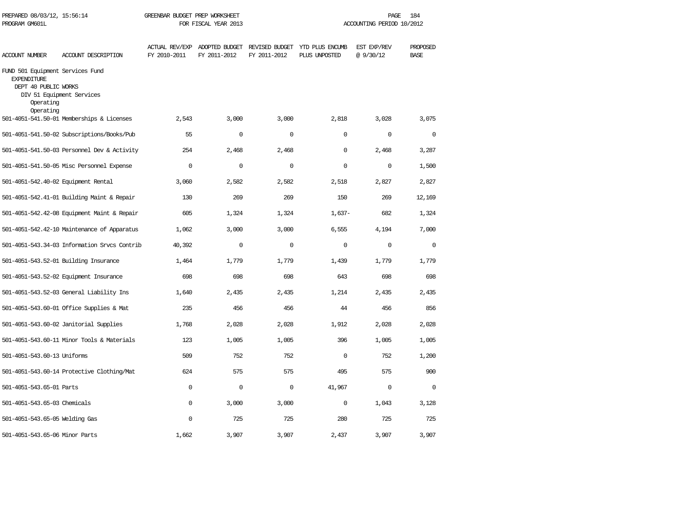| PREPARED 08/03/12, 15:56:14<br>PROGRAM GM601L                                                            |                                              | GREENBAR BUDGET PREP WORKSHEET<br>FOR FISCAL YEAR 2013 |              |              | 184<br>PAGE<br>ACCOUNTING PERIOD 10/2012                                      |                         |                         |  |
|----------------------------------------------------------------------------------------------------------|----------------------------------------------|--------------------------------------------------------|--------------|--------------|-------------------------------------------------------------------------------|-------------------------|-------------------------|--|
| ACCOUNT NUMBER                                                                                           | ACCOUNT DESCRIPTION                          | FY 2010-2011                                           | FY 2011-2012 | FY 2011-2012 | ACTUAL REV/EXP ADOPTED BUDGET REVISED BUDGET YTD PLUS ENCUMB<br>PLUS UNPOSTED | EST EXP/REV<br>@9/30/12 | PROPOSED<br><b>BASE</b> |  |
| FUND 501 Equipment Services Fund<br><b>EXPENDITURE</b><br>DEPT 40 PUBLIC WORKS<br>Operating<br>Operating | DIV 51 Equipment Services                    |                                                        |              |              |                                                                               |                         |                         |  |
|                                                                                                          | 501-4051-541.50-01 Memberships & Licenses    | 2,543                                                  | 3,000        | 3,000        | 2,818                                                                         | 3,028                   | 3,075                   |  |
|                                                                                                          | 501-4051-541.50-02 Subscriptions/Books/Pub   | 55                                                     | $\mathbf{0}$ | $\Omega$     | $\Omega$                                                                      | $\mathbf 0$             | $\Omega$                |  |
|                                                                                                          | 501-4051-541.50-03 Personnel Dev & Activity  | 254                                                    | 2,468        | 2,468        | $\Omega$                                                                      | 2,468                   | 3,287                   |  |
|                                                                                                          | 501-4051-541.50-05 Misc Personnel Expense    | $\Omega$                                               | $\mathbf 0$  | $\Omega$     | $\Omega$                                                                      | $\Omega$                | 1,500                   |  |
| 501-4051-542.40-02 Equipment Rental                                                                      |                                              | 3,060                                                  | 2,582        | 2,582        | 2,518                                                                         | 2,827                   | 2,827                   |  |
|                                                                                                          | 501-4051-542.41-01 Building Maint & Repair   | 130                                                    | 269          | 269          | 150                                                                           | 269                     | 12,169                  |  |
|                                                                                                          | 501-4051-542.42-08 Equipment Maint & Repair  | 605                                                    | 1,324        | 1,324        | $1,637-$                                                                      | 682                     | 1,324                   |  |
|                                                                                                          | 501-4051-542.42-10 Maintenance of Apparatus  | 1,062                                                  | 3,000        | 3,000        | 6,555                                                                         | 4,194                   | 7,000                   |  |
|                                                                                                          | 501-4051-543.34-03 Information Srvcs Contrib | 40,392                                                 | $\mathbf 0$  | $\mathsf 0$  | $\mathbf 0$                                                                   | $\mathbf 0$             | $\mathbf 0$             |  |
|                                                                                                          | 501-4051-543.52-01 Building Insurance        | 1,464                                                  | 1,779        | 1,779        | 1,439                                                                         | 1,779                   | 1,779                   |  |
|                                                                                                          | 501-4051-543.52-02 Equipment Insurance       | 698                                                    | 698          | 698          | 643                                                                           | 698                     | 698                     |  |
|                                                                                                          | 501-4051-543.52-03 General Liability Ins     | 1,640                                                  | 2,435        | 2,435        | 1,214                                                                         | 2,435                   | 2,435                   |  |
|                                                                                                          | 501-4051-543.60-01 Office Supplies & Mat     | 235                                                    | 456          | 456          | 44                                                                            | 456                     | 856                     |  |
|                                                                                                          | 501-4051-543.60-02 Janitorial Supplies       | 1,768                                                  | 2,028        | 2,028        | 1,912                                                                         | 2,028                   | 2,028                   |  |
|                                                                                                          | 501-4051-543.60-11 Minor Tools & Materials   | 123                                                    | 1,005        | 1,005        | 396                                                                           | 1,005                   | 1,005                   |  |
| 501-4051-543.60-13 Uniforms                                                                              |                                              | 509                                                    | 752          | 752          | $\Omega$                                                                      | 752                     | 1,200                   |  |
|                                                                                                          | 501-4051-543.60-14 Protective Clothing/Mat   | 624                                                    | 575          | 575          | 495                                                                           | 575                     | 900                     |  |
| 501-4051-543.65-01 Parts                                                                                 |                                              | $\mathbf 0$                                            | $\mathbf 0$  | $\mathsf 0$  | 41,967                                                                        | $\mathbf 0$             | $\mathbf 0$             |  |
| 501-4051-543.65-03 Chemicals                                                                             |                                              | $\mathbf 0$                                            | 3,000        | 3,000        | $\mathbf 0$                                                                   | 1,043                   | 3,128                   |  |
| 501-4051-543.65-05 Welding Gas                                                                           |                                              | $\mathbf 0$                                            | 725          | 725          | 280                                                                           | 725                     | 725                     |  |
| 501-4051-543.65-06 Minor Parts                                                                           |                                              | 1,662                                                  | 3,907        | 3,907        | 2,437                                                                         | 3,907                   | 3,907                   |  |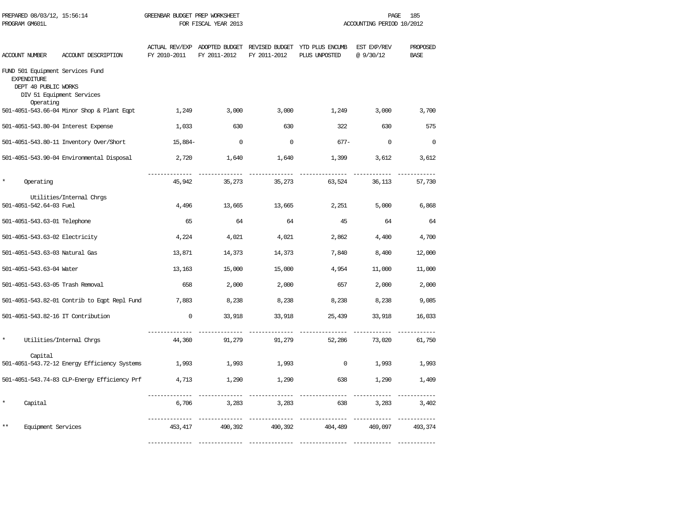| PREPARED 08/03/12, 15:56:14<br>PROGRAM GM601L                                               |                                              | GREENBAR BUDGET PREP WORKSHEET<br>FOR FISCAL YEAR 2013 |              |              |                                                                               | PAGE<br>185<br>ACCOUNTING PERIOD 10/2012 |                         |  |  |
|---------------------------------------------------------------------------------------------|----------------------------------------------|--------------------------------------------------------|--------------|--------------|-------------------------------------------------------------------------------|------------------------------------------|-------------------------|--|--|
| ACCOUNT NUMBER                                                                              | ACCOUNT DESCRIPTION                          | FY 2010-2011                                           | FY 2011-2012 | FY 2011-2012 | ACTUAL REV/EXP ADOPTED BUDGET REVISED BUDGET YTD PLUS ENCUMB<br>PLUS UNPOSTED | EST EXP/REV<br>@9/30/12                  | PROPOSED<br><b>BASE</b> |  |  |
| FUND 501 Equipment Services Fund<br><b>EXPENDITURE</b><br>DEPT 40 PUBLIC WORKS<br>Operating | DIV 51 Equipment Services                    |                                                        |              |              |                                                                               |                                          |                         |  |  |
|                                                                                             | 501-4051-543.66-04 Minor Shop & Plant Eqpt   | 1,249                                                  | 3,000        | 3,000        | 1,249                                                                         | 3,000                                    | 3,700                   |  |  |
| 501-4051-543.80-04 Interest Expense                                                         |                                              | 1,033                                                  | 630          | 630          | 322                                                                           | 630                                      | 575                     |  |  |
|                                                                                             | 501-4051-543.80-11 Inventory Over/Short      | 15,884-                                                | $\mathbf 0$  | $\mathbf 0$  | $677 -$                                                                       | $\mathbf 0$                              | $\mathbf 0$             |  |  |
|                                                                                             | 501-4051-543.90-04 Environmental Disposal    | 2,720                                                  | 1,640        | 1,640        | 1,399                                                                         | 3,612                                    | 3,612                   |  |  |
| Operating                                                                                   |                                              | 45,942                                                 | 35,273       | 35,273       | 63,524                                                                        | 36,113                                   | 57,730                  |  |  |
| 501-4051-542.64-03 Fuel                                                                     | Utilities/Internal Chrgs                     | 4,496                                                  | 13,665       | 13,665       | 2,251                                                                         | 5,000                                    | 6,868                   |  |  |
| 501-4051-543.63-01 Telephone                                                                |                                              | 65                                                     | 64           | 64           | 45                                                                            | 64                                       | 64                      |  |  |
| 501-4051-543.63-02 Electricity                                                              |                                              | 4,224                                                  | 4,021        | 4,021        | 2,862                                                                         | 4,400                                    | 4,700                   |  |  |
| 501-4051-543.63-03 Natural Gas                                                              |                                              | 13,871                                                 | 14,373       | 14,373       | 7,840                                                                         | 8,400                                    | 12,000                  |  |  |
| 501-4051-543.63-04 Water                                                                    |                                              | 13,163                                                 | 15,000       | 15,000       | 4,954                                                                         | 11,000                                   | 11,000                  |  |  |
| 501-4051-543.63-05 Trash Removal                                                            |                                              | 658                                                    | 2,000        | 2,000        | 657                                                                           | 2,000                                    | 2,000                   |  |  |
|                                                                                             | 501-4051-543.82-01 Contrib to Eqpt Repl Fund | 7,883                                                  | 8,238        | 8,238        | 8,238                                                                         | 8,238                                    | 9,085                   |  |  |
| 501-4051-543.82-16 IT Contribution                                                          |                                              | $\mathbf 0$                                            | 33,918       | 33,918       | 25,439                                                                        | 33,918                                   | 16,033                  |  |  |
| $\star$                                                                                     | Utilities/Internal Chrgs                     | 44,360                                                 | 91,279       | 91,279       | 52,286                                                                        | 73,020                                   | 61,750                  |  |  |
| Capital                                                                                     | 501-4051-543.72-12 Energy Efficiency Systems | 1,993                                                  | 1,993        | 1,993        | $\mathbf 0$                                                                   | 1,993                                    | 1,993                   |  |  |
|                                                                                             | 501-4051-543.74-83 CLP-Energy Efficiency Prf | 4,713                                                  | 1,290        | 1,290        | 638                                                                           | 1,290                                    | 1,409                   |  |  |
| Capital                                                                                     |                                              | 6,706                                                  | 3,283        | 3,283        | 638                                                                           | 3,283                                    | 3,402                   |  |  |
| $**$<br>Equipment Services                                                                  |                                              | 453, 417                                               | 490,392      | 490,392      | 404,489                                                                       | 469,097                                  | 493,374                 |  |  |

-------------- -------------- -------------- --------------- ------------ ------------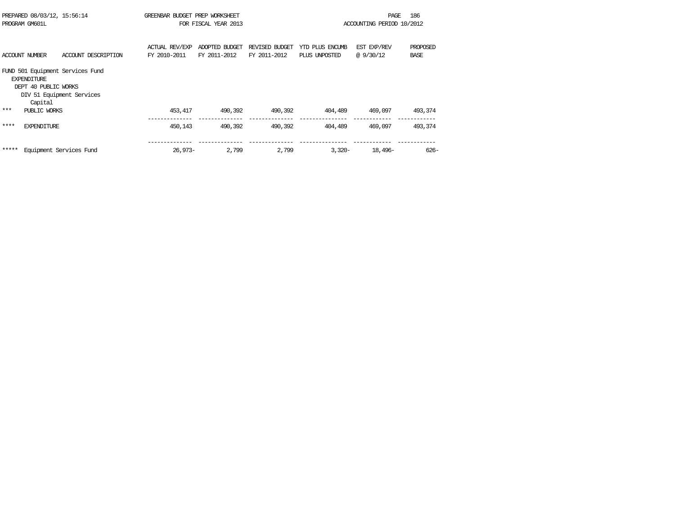|                       |                     |                                                                                                                                                                 |                |                                                                   |                 | PAGE        | 186                       |
|-----------------------|---------------------|-----------------------------------------------------------------------------------------------------------------------------------------------------------------|----------------|-------------------------------------------------------------------|-----------------|-------------|---------------------------|
| PROGRAM GM601L        |                     |                                                                                                                                                                 |                |                                                                   |                 |             |                           |
|                       |                     |                                                                                                                                                                 |                |                                                                   |                 |             |                           |
|                       |                     |                                                                                                                                                                 |                |                                                                   |                 |             |                           |
|                       |                     | ACTUAL REV/EXP                                                                                                                                                  | ADOPTED BUDGET | REVISED BUDGET                                                    | YTD PLUS ENCUMB | EST EXP/REV | PROPOSED                  |
| <b>ACCOUNT NUMBER</b> | ACCOUNT DESCRIPTION | FY 2010-2011                                                                                                                                                    | FY 2011-2012   | FY 2011-2012                                                      | PLUS UNPOSTED   | @ 9/30/12   | <b>BASE</b>               |
|                       |                     |                                                                                                                                                                 |                |                                                                   |                 |             |                           |
|                       |                     |                                                                                                                                                                 |                |                                                                   |                 |             |                           |
| <b>EXPENDITURE</b>    |                     |                                                                                                                                                                 |                |                                                                   |                 |             |                           |
|                       |                     |                                                                                                                                                                 |                |                                                                   |                 |             |                           |
|                       |                     |                                                                                                                                                                 |                |                                                                   |                 |             |                           |
| Capital               |                     |                                                                                                                                                                 |                |                                                                   |                 |             |                           |
|                       |                     | 453,417                                                                                                                                                         | 490,392        | 490,392                                                           | 404,489         | 469,097     | 493,374                   |
|                       |                     |                                                                                                                                                                 |                |                                                                   |                 |             |                           |
| <b>EXPENDITURE</b>    |                     | 450,143                                                                                                                                                         | 490,392        | 490,392                                                           | 404,489         | 469,097     | 493,374                   |
|                       |                     |                                                                                                                                                                 |                |                                                                   |                 |             |                           |
|                       |                     |                                                                                                                                                                 |                |                                                                   |                 |             |                           |
|                       |                     |                                                                                                                                                                 | 2,799          | 2,799                                                             | $3,320-$        | 18,496-     | $626-$                    |
|                       |                     | PREPARED 08/03/12, 15:56:14<br>FUND 501 Equipment Services Fund<br>DEPT 40 PUBLIC WORKS<br>DIV 51 Equipment Services<br>PUBLIC WORKS<br>Equipment Services Fund |                | GREENBAR BUDGET PREP WORKSHEET<br>FOR FISCAL YEAR 2013<br>26,973- |                 |             | ACCOUNTING PERIOD 10/2012 |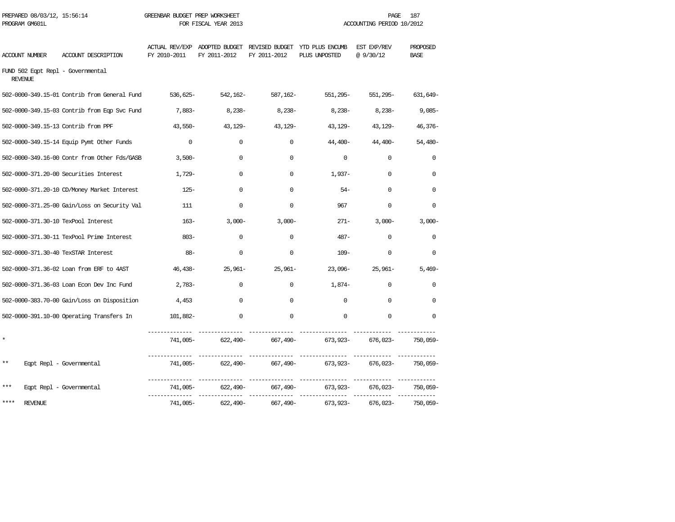| PROGRAM GM601L                                      |                                              |              | FOR FISCAL YEAR 2013 |              | ACCOUNTING PERIOD 10/2012                                                     |                         |                         |
|-----------------------------------------------------|----------------------------------------------|--------------|----------------------|--------------|-------------------------------------------------------------------------------|-------------------------|-------------------------|
| <b>ACCOUNT NUMBER</b>                               | ACCOUNT DESCRIPTION                          | FY 2010-2011 | FY 2011-2012         | FY 2011-2012 | ACTUAL REV/EXP ADOPTED BUDGET REVISED BUDGET YTD PLUS ENCUMB<br>PLUS UNPOSTED | EST EXP/REV<br>@9/30/12 | PROPOSED<br><b>BASE</b> |
| FUND 502 Eqpt Repl - Governmental<br><b>REVENUE</b> |                                              |              |                      |              |                                                                               |                         |                         |
|                                                     | 502-0000-349.15-01 Contrib from General Fund | 536,625-     | 542,162-             | 587,162-     | 551,295-                                                                      | 551,295-                | 631,649-                |
|                                                     | 502-0000-349.15-03 Contrib from Eqp Svc Fund | 7,883-       | $8,238-$             | 8,238-       | $8,238-$                                                                      | 8,238-                  | $9,085-$                |
| 502-0000-349.15-13 Contrib from PPF                 |                                              | $43,550-$    | 43,129-              | 43,129-      | 43,129-                                                                       | 43,129-                 | $46,376-$               |
|                                                     | 502-0000-349.15-14 Equip Pymt Other Funds    | $\mathbf 0$  | $\Omega$             | $\mathbf 0$  | $44,400-$                                                                     | 44,400-                 | $54,480-$               |
|                                                     | 502-0000-349.16-00 Contr from Other Fds/GASB | $3,500-$     | $\mathbf 0$          | $\mathbf 0$  | $\mathbf 0$                                                                   | $\Omega$                | $\mathbf 0$             |
|                                                     | 502-0000-371.20-00 Securities Interest       | $1.729 -$    | $\Omega$             | $\Omega$     | $1.937-$                                                                      | $\Omega$                | $\Omega$                |
|                                                     | 502-0000-371.20-10 CD/Money Market Interest  | $125 -$      | $\Omega$             | $\Omega$     | $54-$                                                                         | $\Omega$                | $\Omega$                |
|                                                     | 502-0000-371.25-00 Gain/Loss on Security Val | 111          | $\Omega$             | $\Omega$     | 967                                                                           | $\Omega$                | $\Omega$                |
| 502-0000-371.30-10 TexPool Interest                 |                                              | $163-$       | $3,000-$             | $3,000-$     | $271 -$                                                                       | $3,000-$                | $3,000-$                |
|                                                     | 502-0000-371.30-11 TexPool Prime Interest    | $803 -$      | $\Omega$             | $\mathbf 0$  | $487 -$                                                                       | $\Omega$                | $\mathbf 0$             |
| 502-0000-371.30-40 TexSTAR Interest                 |                                              | $88 -$       | $\mathbf 0$          | $\mathbf 0$  | $109 -$                                                                       | $\mathbf 0$             | $\mathbf 0$             |
|                                                     | 502-0000-371.36-02 Loan from ERF to 4AST     | 46,438-      | 25,961-              | $25,961-$    | 23,096-                                                                       | $25,961-$               | $5.469-$                |
|                                                     | 502-0000-371.36-03 Loan Econ Dev Inc Fund    | $2,783-$     | $\Omega$             | $\mathbf{0}$ | 1,874-                                                                        | $\Omega$                | $\Omega$                |
|                                                     | 502-0000-383.70-00 Gain/Loss on Disposition  | 4,453        | $\Omega$             | $\Omega$     | $\Omega$                                                                      | $\Omega$                | $\Omega$                |
|                                                     | 502-0000-391.10-00 Operating Transfers In    | 101,882-     | $\Omega$             | $\Omega$     | $\Omega$                                                                      | $\Omega$                | $\Omega$                |
| $\star$                                             |                                              | 741,005-     | 622,490-             | 667,490-     | 673,923-                                                                      | 676,023-                | 750,059-                |
| $***$                                               | Eqpt Repl - Governmental                     | 741,005-     |                      | ------------ | --------------                                                                | ------------            | 750,059-                |
| ***                                                 | Eqpt Repl - Governmental                     | 741,005-     | 622,490-             | 667,490-     | 673,923-                                                                      | 676,023-                | 750,059-                |
| ****<br><b>REVENUE</b>                              |                                              | 741,005–     | 622,490-             | 667,490-     | 673,923–                                                                      | 676,023-                | 750,059-                |

PREPARED 08/03/12, 15:56:14 GREENBAR BUDGET PREP WORKSHEET **FREED AGE 187** PAGE 187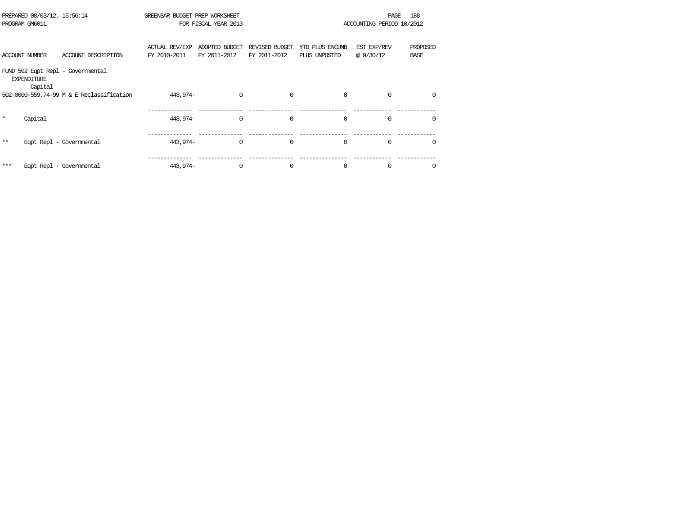|         | PREPARED 08/03/12, 15:56:14<br>PROGRAM GM601L |                                           | GREENBAR BUDGET PREP WORKSHEET        | FOR FISCAL YEAR 2013           |                                |                                  | PAGE<br>ACCOUNTING PERIOD 10/2012 | 188                     |
|---------|-----------------------------------------------|-------------------------------------------|---------------------------------------|--------------------------------|--------------------------------|----------------------------------|-----------------------------------|-------------------------|
|         |                                               |                                           |                                       |                                |                                |                                  |                                   |                         |
|         | <b>ACCOUNT NUMBER</b>                         | ACCOUNT DESCRIPTION                       | <b>ACTUAL REV/EXP</b><br>FY 2010-2011 | ADOPTED BUDGET<br>FY 2011-2012 | REVISED BUDGET<br>FY 2011-2012 | YTD PLUS ENCUMB<br>PLUS UNPOSTED | EST EXP/REV<br>@9/30/12           | PROPOSED<br><b>BASE</b> |
|         | <b>EXPENDITURE</b><br>Capital                 | FUND 502 Eqpt Repl - Governmental         |                                       |                                |                                |                                  |                                   |                         |
|         |                                               | 502-0000-559.74-99 M & E Reclassification | 443,974-                              | $\mathbf 0$                    | 0                              | $\mathbf 0$                      | $\Omega$                          | $\Omega$                |
| $\star$ | Capital                                       |                                           | 443,974-                              | $\Omega$                       | $\Omega$                       | $\Omega$                         | $\Omega$                          | $\Omega$                |
| $* *$   |                                               | Eqpt Repl - Governmental                  | 443,974-                              | $\Omega$                       | 0                              | $\Omega$                         | $\Omega$                          | $\Omega$                |
| ***     |                                               | Eqpt Repl - Governmental                  | 443,974-                              | $\mathbf 0$                    | 0                              | $\mathbf 0$                      | 0                                 | 0                       |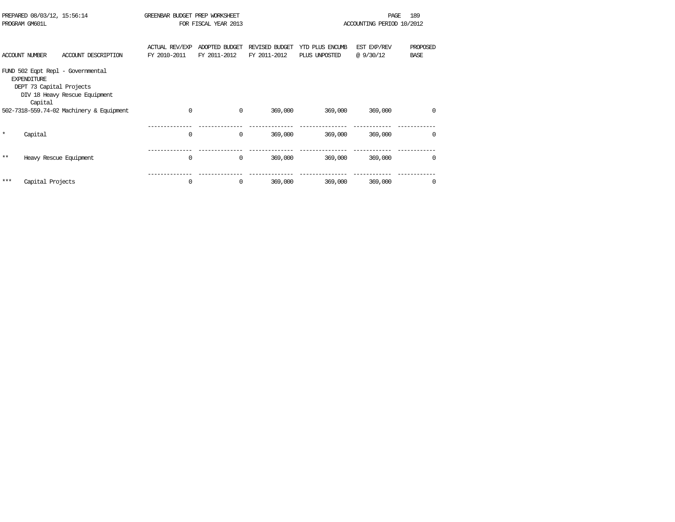|         | PREPARED 08/03/12, 15:56:14<br>PROGRAM GM601L             |                                                                    | GREENBAR BUDGET PREP WORKSHEET<br>FOR FISCAL YEAR 2013 |                                |                                |                                  | 189<br>PAGE<br>ACCOUNTING PERIOD 10/2012 |                         |  |
|---------|-----------------------------------------------------------|--------------------------------------------------------------------|--------------------------------------------------------|--------------------------------|--------------------------------|----------------------------------|------------------------------------------|-------------------------|--|
|         | ACCOUNT NUMBER                                            | ACCOUNT DESCRIPTION                                                | <b>ACTUAL REV/EXP</b><br>FY 2010-2011                  | ADOPTED BUDGET<br>FY 2011-2012 | REVISED BUDGET<br>FY 2011-2012 | YTD PLUS ENCUMB<br>PLUS UNPOSTED | EST EXP/REV<br>@9/30/12                  | PROPOSED<br><b>BASE</b> |  |
|         | <b>EXPENDITURE</b><br>DEPT 73 Capital Projects<br>Capital | FUND 502 Eqpt Repl - Governmental<br>DIV 18 Heavy Rescue Equipment |                                                        |                                |                                |                                  |                                          |                         |  |
|         |                                                           | 502-7318-559.74-02 Machinery & Equipment                           | $\Omega$                                               | $\mathbf 0$                    | 369,000                        | 369,000                          | 369,000                                  | $\Omega$                |  |
| $\star$ | Capital                                                   |                                                                    | 0                                                      | 0                              | 369,000                        | 369,000                          | 369,000                                  | 0                       |  |
| $***$   | Heavy Rescue Equipment                                    |                                                                    | $\Omega$                                               | 0                              | 369,000                        | 369,000                          | 369,000                                  |                         |  |
| ***     | Capital Projects                                          |                                                                    | 0                                                      | 0                              | 369,000                        | 369,000                          | 369,000                                  |                         |  |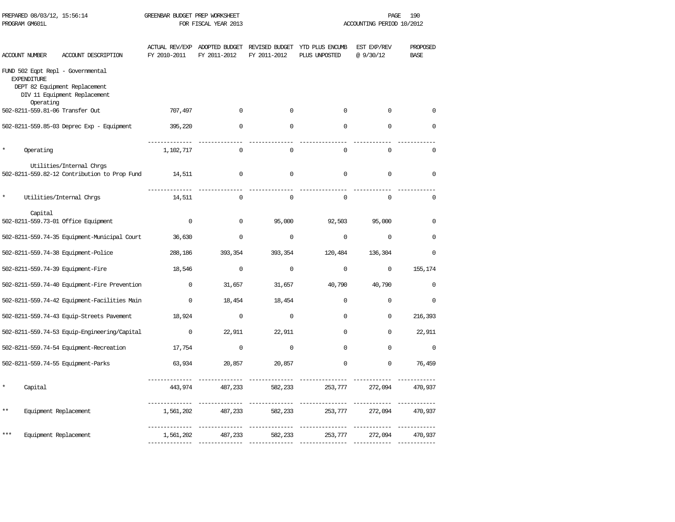| PREPARED 08/03/12, 15:56:14<br>PROGRAM GM601L           |                                                                          | GREENBAR BUDGET PREP WORKSHEET | FOR FISCAL YEAR 2013                          | PAGE<br>ACCOUNTING PERIOD 10/2012 |                                                 |                          | 190                     |
|---------------------------------------------------------|--------------------------------------------------------------------------|--------------------------------|-----------------------------------------------|-----------------------------------|-------------------------------------------------|--------------------------|-------------------------|
| <b>ACCOUNT NUMBER</b>                                   | ACCOUNT DESCRIPTION                                                      | FY 2010-2011                   | ACTUAL REV/EXP ADOPTED BUDGET<br>FY 2011-2012 | FY 2011-2012                      | REVISED BUDGET YTD PLUS ENCUMB<br>PLUS UNPOSTED | EST EXP/REV<br>@ 9/30/12 | PROPOSED<br><b>BASE</b> |
| FUND 502 Eqpt Repl - Governmental<br><b>EXPENDITURE</b> | DEPT 82 Equipment Replacement<br>DIV 11 Equipment Replacement            |                                |                                               |                                   |                                                 |                          |                         |
| Operating                                               |                                                                          |                                |                                               |                                   |                                                 |                          |                         |
| 502-8211-559.81-06 Transfer Out                         |                                                                          | 707,497                        | $\mathbf 0$                                   | $\mathbf 0$                       | $\mathbf 0$                                     | $\mathbf 0$              | $\Omega$                |
|                                                         | 502-8211-559.85-03 Deprec Exp - Equipment                                | 395,220                        | $\mathbf 0$                                   | $\mathbf 0$                       | $\mathbf 0$                                     | $\mathbf 0$              | $\mathbf 0$             |
| Operating                                               |                                                                          | 1,102,717                      | 0                                             | $\mathbf 0$                       | $\mathbf 0$                                     | $\mathbf 0$              | 0                       |
|                                                         | Utilities/Internal Chrgs<br>502-8211-559.82-12 Contribution to Prop Fund | 14,511                         | $\mathsf 0$                                   | $\mathbf 0$                       | $\mathbf 0$                                     | $\mathbf 0$              | $\mathbf 0$             |
|                                                         | Utilities/Internal Chrgs                                                 | 14,511                         | $\Omega$                                      | $\mathbf 0$                       | $\Omega$                                        | $\mathbf 0$              | $\Omega$                |
| Capital<br>502-8211-559.73-01 Office Equipment          |                                                                          | $\mathbf 0$                    | $\mathbf 0$                                   | 95,000                            | 92,503                                          | 95,000                   | $\mathbf 0$             |
|                                                         | 502-8211-559.74-35 Equipment-Municipal Court                             | 36,630                         | 0                                             | $\Omega$                          | $\mathbf 0$                                     | $\mathbf 0$              | $\Omega$                |
| 502-8211-559.74-38 Equipment-Police                     |                                                                          | 288,186                        | 393,354                                       | 393,354                           | 120,484                                         | 136,304                  | $\Omega$                |
| 502-8211-559.74-39 Equipment-Fire                       |                                                                          | 18,546                         | $\Omega$                                      | $\Omega$                          | $\mathbf 0$                                     | $\mathbf 0$              | 155,174                 |
|                                                         | 502-8211-559.74-40 Equipment-Fire Prevention                             | $\mathbf 0$                    | 31,657                                        | 31,657                            | 40,790                                          | 40,790                   | $\mathbf 0$             |
|                                                         | 502-8211-559.74-42 Equipment-Facilities Main                             | $\Omega$                       | 18,454                                        | 18,454                            | $\Omega$                                        | $\Omega$                 | $\Omega$                |
|                                                         | 502-8211-559.74-43 Equip-Streets Pavement                                | 18,924                         | $\mathbf 0$                                   | $\mathbf 0$                       | $\mathbf 0$                                     | 0                        | 216,393                 |
|                                                         | 502-8211-559.74-53 Equip-Engineering/Capital                             | $\mathbf 0$                    | 22,911                                        | 22,911                            | 0                                               | 0                        | 22,911                  |
|                                                         | 502-8211-559.74-54 Equipment-Recreation                                  | 17,754                         | $\mathbf 0$                                   | $\Omega$                          | $\Omega$                                        | $\Omega$                 | $\Omega$                |
| 502-8211-559.74-55 Equipment-Parks                      |                                                                          | 63,934                         | 20,857                                        | 20,857                            | $\Omega$                                        | 0                        | 76,459                  |
| Capital                                                 |                                                                          | 443,974                        | 487,233                                       | 582,233                           | 253,777                                         | 272,094                  | 470,937                 |
| $***$<br>Equipment Replacement                          |                                                                          | 1,561,202                      | 487,233                                       | 582,233                           | 253,777                                         | 272,094                  | 470,937                 |
| ***<br>Equipment Replacement                            |                                                                          | 1,561,202                      | 487,233                                       | 582,233                           | 253,777                                         | 272,094                  | 470,937                 |
|                                                         |                                                                          |                                |                                               |                                   |                                                 |                          |                         |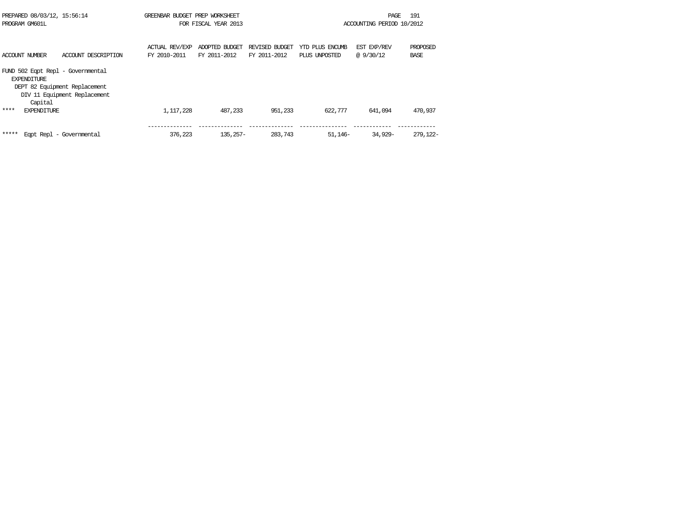| PREPARED 08/03/12, 15:56:14<br>PROGRAM GM601L                      |                                                               | GREENBAR BUDGET PREP WORKSHEET | FOR FISCAL YEAR 2013           |                                |                                  | PAGE<br>ACCOUNTING PERIOD 10/2012 | 191              |
|--------------------------------------------------------------------|---------------------------------------------------------------|--------------------------------|--------------------------------|--------------------------------|----------------------------------|-----------------------------------|------------------|
| ACCOUNT NUMBER                                                     | ACCOUNT DESCRIPTION                                           | ACTUAL REV/EXP<br>FY 2010-2011 | ADOPTED BUDGET<br>FY 2011-2012 | REVISED BUDGET<br>FY 2011-2012 | YTD PLUS ENCUMB<br>PLUS UNPOSTED | EST EXP/REV<br>@ 9/30/12          | PROPOSED<br>BASE |
| FUND 502 Egpt Repl - Governmental<br><b>EXPENDITURE</b><br>Capital | DEPT 82 Equipment Replacement<br>DIV 11 Equipment Replacement |                                |                                |                                |                                  |                                   |                  |
| ****<br><b>EXPENDITURE</b>                                         |                                                               | 1,117,228                      | 487,233                        | 951,233                        | 622,777                          | 641,094                           | 470,937          |
| *****                                                              | Eqpt Repl - Governmental                                      | 376,223                        | $135.257-$                     | 283,743                        | 51,146-                          | 34,929-                           | 279,122-         |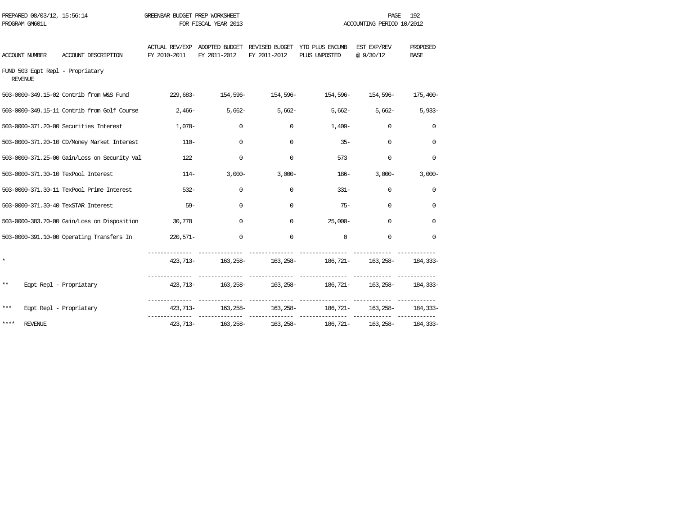| PREPARED 08/03/12, 15:56:14<br>PROGRAM GM601L |                                              | GREENBAR BUDGET PREP WORKSHEET<br>FOR FISCAL YEAR 2013 |                    |              | 192<br><b>PAGE</b><br>ACCOUNTING PERIOD 10/2012                                           |                   |                         |  |
|-----------------------------------------------|----------------------------------------------|--------------------------------------------------------|--------------------|--------------|-------------------------------------------------------------------------------------------|-------------------|-------------------------|--|
| ACCOUNT NUMBER                                | ACCOUNT DESCRIPTION                          | FY 2010-2011                                           | FY 2011-2012       | FY 2011-2012 | ACTUAL REV/EXP ADOPTED BUDGET REVISED BUDGET YTD PLUS ENCUMB EST EXP/REV<br>PLUS UNPOSTED | @9/30/12          | PROPOSED<br><b>BASE</b> |  |
| FUND 503 Eqpt Repl - Propriatary<br>REVENUE   |                                              |                                                        |                    |              |                                                                                           |                   |                         |  |
|                                               | 503-0000-349.15-02 Contrib from W&S Fund     |                                                        |                    |              | 229,683- 154,596- 154,596- 154,596- 154,596- 154,596- 175,400-                            |                   |                         |  |
|                                               | 503-0000-349.15-11 Contrib from Golf Course  | 2,466-                                                 |                    | $5,662-$     | $5,662-$                                                                                  | $5,662 - 5,662 -$ | $5,933-$                |  |
|                                               | 503-0000-371.20-00 Securities Interest       | 1,078-                                                 | $\mathbf 0$        | $\mathbf{0}$ | 1,409-                                                                                    | 0                 | 0                       |  |
|                                               | 503-0000-371.20-10 CD/Money Market Interest  | $110-$                                                 | $\Omega$           | $\mathbf 0$  | $35 -$                                                                                    | $\Omega$          | $\Omega$                |  |
|                                               | 503-0000-371.25-00 Gain/Loss on Security Val | 122                                                    | $\Omega$           | 0            | 573                                                                                       | $\Omega$          | $\Omega$                |  |
| 503-0000-371.30-10 TexPool Interest           |                                              |                                                        | $114-$<br>$3,000-$ | $3,000-$     | 186-                                                                                      | $3,000-$          | $3,000-$                |  |
|                                               | 503-0000-371.30-11 TexPool Prime Interest    | $532 -$                                                | 0                  | 0            | $331 -$                                                                                   | $\Omega$          | 0                       |  |
| 503-0000-371.30-40 TexSTAR Interest           |                                              | $59-$                                                  | $\Omega$           | $\mathbf 0$  | $75 -$                                                                                    | $\Omega$          | $\Omega$                |  |
|                                               | 503-0000-383.70-00 Gain/Loss on Disposition  | 30,778                                                 | $\mathbf 0$        | $\mathbf{0}$ | $25,000-$                                                                                 | 0                 | $\Omega$                |  |
|                                               | 503-0000-391.10-00 Operating Transfers In    | 220,571-                                               | $\Omega$           | $\Omega$     | $\Omega$                                                                                  | $\Omega$          | $\Omega$                |  |
| $\star$                                       |                                              |                                                        |                    |              | 423,713- 163,258- 163,258- 163,258- 186,721- 163,258- 184,333-                            |                   |                         |  |
| $***$                                         | Eqpt Repl - Propriatary                      |                                                        |                    |              | $423,713$ $ 163,258$ $163,258$ $ 163,258$ $ 184,333$                                      |                   |                         |  |
| ***                                           | Eqpt Repl - Propriatary                      |                                                        |                    |              | 423,713- 163,258- 163,258- 186,721- 163,258-                                              |                   | 184,333-                |  |
| ****<br><b>REVENUE</b>                        |                                              | 423,713-                                               | 163,258-           | 163,258-     | 186,721-                                                                                  | 163,258-          | 184,333-                |  |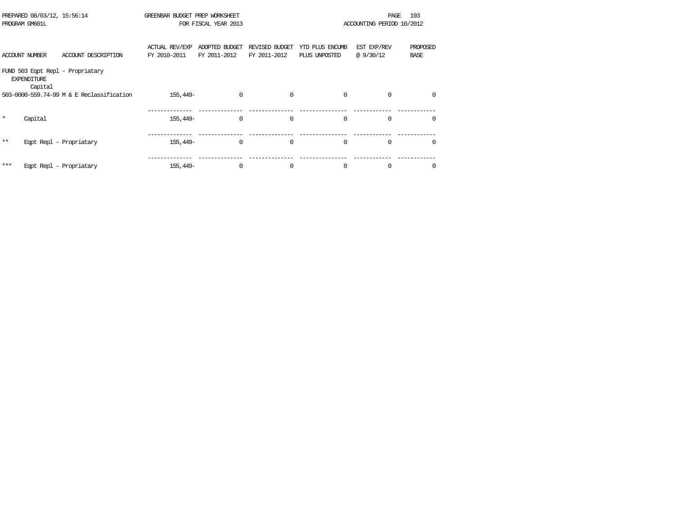|         | PREPARED 08/03/12, 15:56:14<br>PROGRAM GM601L |                                           | GREENBAR BUDGET PREP WORKSHEET | FOR FISCAL YEAR 2013           |                                |                                  | PAGE<br>ACCOUNTING PERIOD 10/2012 | 193                     |
|---------|-----------------------------------------------|-------------------------------------------|--------------------------------|--------------------------------|--------------------------------|----------------------------------|-----------------------------------|-------------------------|
|         | <b>ACCOUNT NUMBER</b>                         | ACCOUNT DESCRIPTION                       | ACTUAL REV/EXP<br>FY 2010-2011 | ADOPTED BUDGET<br>FY 2011-2012 | REVISED BUDGET<br>FY 2011-2012 | YTD PLUS ENCUMB<br>PLUS UNPOSTED | EST EXP/REV<br>@9/30/12           | PROPOSED<br><b>BASE</b> |
|         | <b>EXPENDITURE</b><br>Capital                 | FUND 503 Eqpt Repl - Propriatary          |                                |                                |                                |                                  |                                   |                         |
|         |                                               | 503-0000-559.74-99 M & E Reclassification | 155,449-                       | $\mathbf 0$                    | $\Omega$                       | $\mathbf 0$                      | $\Omega$                          | 0                       |
| $\star$ | Capital                                       |                                           | 155,449-                       | $\Omega$                       | $\Omega$                       | $\Omega$                         | $\Omega$                          | $\Omega$                |
| $***$   |                                               | Eqpt Repl - Propriatary                   | 155,449–                       | 0                              | $\mathbf 0$                    | $\mathbf 0$                      | $\Omega$                          | 0                       |
| ***     |                                               | Eqpt Repl - Propriatary                   | 155,449-                       | $\Omega$                       | $\Omega$                       | $\mathbf 0$                      | $\Omega$                          | $\Omega$                |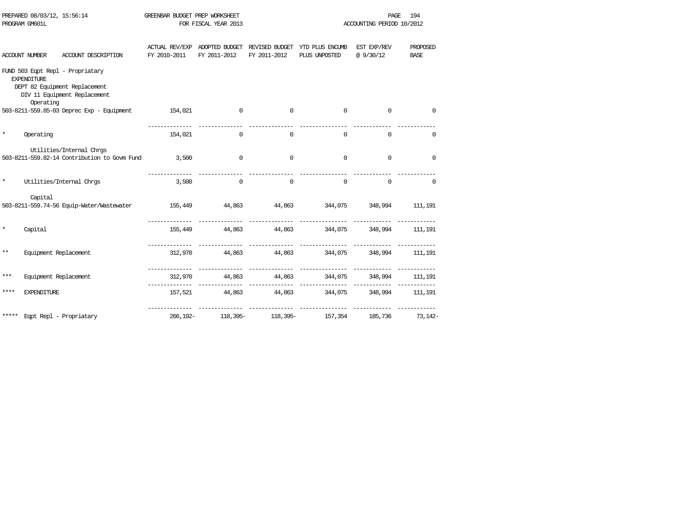| PREPARED 08/03/12, 15:56:14 |                                 |                                                                                                   | GREENBAR BUDGET PREP WORKSHEET |              |              | 194<br>PAGE                                                                |             |                         |  |
|-----------------------------|---------------------------------|---------------------------------------------------------------------------------------------------|--------------------------------|--------------|--------------|----------------------------------------------------------------------------|-------------|-------------------------|--|
| PROGRAM GM601L              |                                 |                                                                                                   | FOR FISCAL YEAR 2013           |              |              | ACCOUNTING PERIOD 10/2012                                                  |             |                         |  |
|                             | <b>ACCOUNT NUMBER</b>           | ACCOUNT DESCRIPTION                                                                               | ACTUAL REV/EXP<br>FY 2010-2011 | FY 2011-2012 | FY 2011-2012 | ADOPTED BUDGET REVISED BUDGET YTD PLUS ENCUMB EST EXP/REV<br>PLUS UNPOSTED | @9/30/12    | PROPOSED<br><b>BASE</b> |  |
|                             | <b>EXPENDITURE</b><br>Operating | FUND 503 Eqpt Repl - Propriatary<br>DEPT 82 Equipment Replacement<br>DIV 11 Equipment Replacement |                                |              |              |                                                                            |             |                         |  |
|                             |                                 | 503-8211-559.85-03 Deprec Exp - Equipment                                                         | 154,021                        | $\mathbf{0}$ | $\mathbf{0}$ | 0                                                                          | $\mathbf 0$ | 0                       |  |
| $\star$                     | Operating                       |                                                                                                   | 154,021                        | $\Omega$     | $\mathbf 0$  | $\mathbf 0$                                                                | 0           | $\mathbf 0$             |  |
|                             |                                 | Utilities/Internal Chros<br>503-8211-559.82-14 Contribution to Govm Fund 3,500                    |                                | $\mathbf{0}$ | $\mathbf{0}$ | $\Omega$                                                                   | 0           | $\mathbf 0$             |  |
| $\star$                     |                                 | Utilities/Internal Chrgs                                                                          | 3,500                          | $\circ$      | $\mathbf{0}$ | $\Omega$                                                                   | $\mathbf 0$ | $\mathbf 0$             |  |
|                             | Capital                         | 503-8211-559.74-56 Equip-Water/Wastewater                                                         |                                |              |              | 155,449 44,863 44,863 344,075 348,994 111,191                              |             |                         |  |
|                             | Capital                         |                                                                                                   |                                |              |              | 155,449 44,863 44,863 344,075 348,994 111,191                              |             |                         |  |
| $***$                       | Equipment Replacement           |                                                                                                   |                                |              |              | 312,970 44,863 44,863 344,075 348,994 111,191                              |             |                         |  |
| $***$                       | Equipment Replacement           |                                                                                                   |                                |              |              | 312,970 44,863 44,863 344,075 348,994 111,191                              |             |                         |  |
| ****                        | <b>EXPENDITURE</b>              |                                                                                                   |                                |              |              | 157,521 44,863 44,863 344,075 348,994                                      |             | 111,191                 |  |
|                             |                                 | ***** Eqpt Repl - Propriatary                                                                     |                                |              |              | 266,192- 118,395- 118,395- 157,354 185,736 73,142-                         |             |                         |  |

PREPARED 08/03/12, 15:56:14 GREENBAR BUDGET PREP WORKSHEET CHARGE 194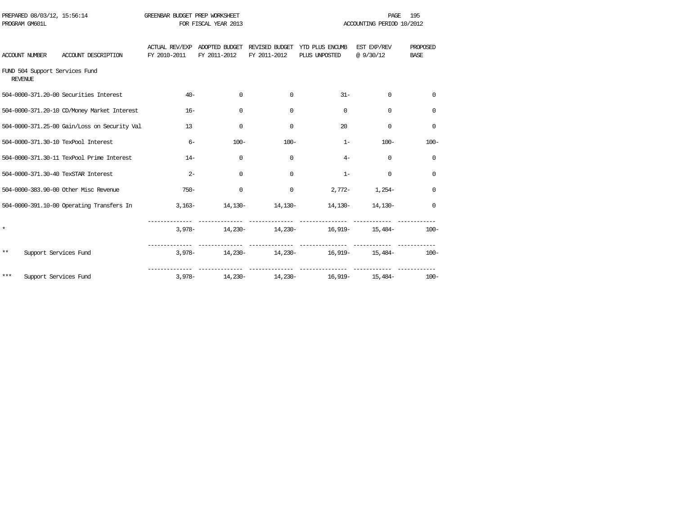| PREPARED 08/03/12, 15:56:14<br>PROGRAM GM601L |                                              | GREENBAR BUDGET PREP WORKSHEET | FOR FISCAL YEAR 2013 |              |                                                                               | <b>PAGE</b><br>ACCOUNTING PERIOD 10/2012 | 195                     |
|-----------------------------------------------|----------------------------------------------|--------------------------------|----------------------|--------------|-------------------------------------------------------------------------------|------------------------------------------|-------------------------|
|                                               |                                              |                                |                      |              |                                                                               |                                          |                         |
| ACCOUNT NUMBER                                | ACCOUNT DESCRIPTION                          | FY 2010-2011                   | FY 2011-2012         | FY 2011-2012 | ACTUAL REV/EXP ADOPTED BUDGET REVISED BUDGET YTD PLUS ENCUMB<br>PLUS UNPOSTED | EST EXP/REV<br>@ 9/30/12                 | PROPOSED<br><b>BASE</b> |
| REVENUE                                       | FUND 504 Support Services Fund               |                                |                      |              |                                                                               |                                          |                         |
|                                               | 504-0000-371.20-00 Securities Interest       | $40 -$                         | $\mathbf 0$          | $\Omega$     | $31 -$                                                                        | $\mathbf 0$                              | $\Omega$                |
|                                               | 504-0000-371.20-10 CD/Money Market Interest  | $16-$                          | 0                    | $\Omega$     | $\Omega$                                                                      | $\Omega$                                 | $\Omega$                |
|                                               | 504-0000-371.25-00 Gain/Loss on Security Val | 13                             | 0                    | $\Omega$     | 20                                                                            | $\Omega$                                 | 0                       |
|                                               | 504-0000-371.30-10 TexPool Interest          | $6-$                           | $100 -$              | $100 -$      | $1-$                                                                          | $100 -$                                  | $100 -$                 |
|                                               | 504-0000-371.30-11 TexPool Prime Interest    | $14-$                          | $\Omega$             | $\Omega$     | $4-$                                                                          | $\Omega$                                 | $\Omega$                |
|                                               | 504-0000-371.30-40 TexSTAR Interest          | $2 -$                          | $\Omega$             | $\Omega$     | $1 -$                                                                         | $\Omega$                                 | $\Omega$                |
|                                               | 504-0000-383.90-00 Other Misc Revenue        | $750 -$                        | 0                    | $\mathbf{0}$ |                                                                               | $2,772-1,254-$                           | 0                       |
|                                               | 504-0000-391.10-00 Operating Transfers In    |                                |                      |              | $3,163-$ 14,130- 14,130- 14,130- 14,130-                                      |                                          | 0                       |
| $\star$                                       |                                              |                                |                      |              | $3,978 14,230 14,230 16,919 15,484-$                                          |                                          | $100 -$                 |
| **                                            | Support Services Fund                        |                                |                      |              | $3,978 14,230 14,230 16,919 15,484-$                                          |                                          | $100-$                  |
| $***$                                         | Support Services Fund                        |                                |                      |              | $3,978 - 14,230 - 14,230 - 16,919 - 15,484 -$                                 |                                          | $100 -$                 |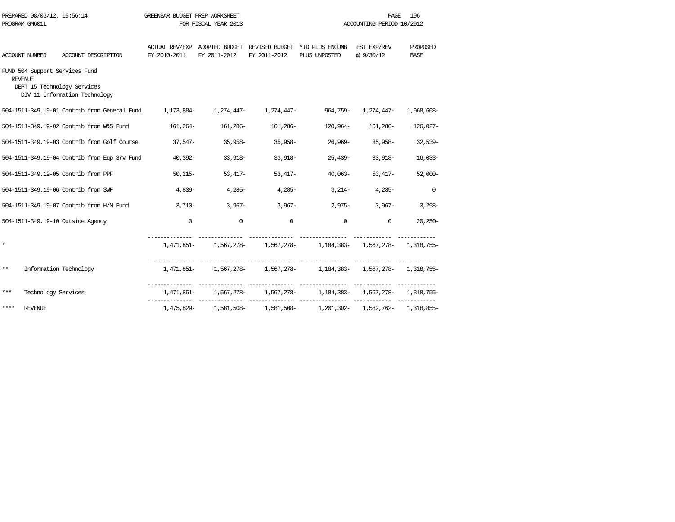| PREPARED 08/03/12, 15:56:14<br>PROGRAM GM601L |                                                  |                                                                                     | GREENBAR BUDGET PREP WORKSHEET<br>FOR FISCAL YEAR 2013 |                       |              | 196<br>PAGE<br>ACCOUNTING PERIOD 10/2012                                      |                          |                         |
|-----------------------------------------------|--------------------------------------------------|-------------------------------------------------------------------------------------|--------------------------------------------------------|-----------------------|--------------|-------------------------------------------------------------------------------|--------------------------|-------------------------|
|                                               | <b>ACCOUNT NUMBER</b>                            | ACCOUNT DESCRIPTION                                                                 | FY 2010-2011                                           | FY 2011-2012          | FY 2011-2012 | ACTUAL REV/EXP ADOPTED BUDGET REVISED BUDGET YTD PLUS ENCUMB<br>PLUS UNPOSTED | EST EXP/REV<br>@ 9/30/12 | PROPOSED<br><b>BASE</b> |
|                                               | FUND 504 Support Services Fund<br><b>REVENUE</b> | DEPT 15 Technology Services<br>DIV 11 Information Technology                        |                                                        |                       |              |                                                                               |                          |                         |
|                                               |                                                  | -504-1511-349.19-01 Contrib from General Fund 1,173,884 1,274,447 1,274,447 964,759 |                                                        |                       |              |                                                                               | 1,274,447-               | 1,068,608-              |
|                                               |                                                  | 504-1511-349.19-02 Contrib from W&S Fund                                            |                                                        | 161, 264 - 161, 286 - | 161,286–     | 120,964-                                                                      | 161,286-                 | 126,027-                |
|                                               |                                                  | 504-1511-349.19-03 Contrib from Golf Course                                         |                                                        | 37,547- 35,958-       | 35,958-      | 26,969-                                                                       | 35,958-                  | $32,539-$               |
|                                               |                                                  | 504-1511-349.19-04 Contrib from Eqp Srv Fund                                        | 40,392-                                                | 33,918-               | $33,918-$    | 25,439-                                                                       | 33,918-                  | $16,033-$               |
|                                               |                                                  | 504-1511-349.19-05 Contrib from PPF                                                 |                                                        | $50,215-$<br>53,417-  | $53,417-$    | 40,063-                                                                       | $53,417-$                | $52,000-$               |
|                                               |                                                  | 504-1511-349.19-06 Contrib from SWF                                                 | 4,839-                                                 | $4.285 -$             | $4.285-$     | $3,214-$                                                                      | $4,285-$                 | $\mathbf 0$             |
|                                               |                                                  | 504-1511-349.19-07 Contrib from H/M Fund                                            | 3,710-                                                 | $3,967-$              | $3,967-$     | $2,975-$                                                                      | $3,967-$                 | $3,298-$                |
|                                               |                                                  | 504-1511-349.19-10 Outside Agency                                                   | $\mathbf 0$                                            | $\mathbf 0$           | $\mathbf 0$  | $\mathbf 0$                                                                   | $\mathbf 0$              | $20,250-$               |
| $\star$                                       |                                                  |                                                                                     |                                                        |                       |              | 1,471,851- 1,567,278- 1,567,278- 1,184,383- 1,567,278- 1,318,755-             |                          |                         |
| $***$                                         | Information Technology                           |                                                                                     |                                                        |                       |              | 1,471,851- 1,567,278- 1,567,278- 1,184,383- 1,567,278- 1,318,755-             |                          |                         |
| $***$                                         | Technology Services                              |                                                                                     |                                                        |                       |              | 1,471,851- 1,567,278- 1,567,278- 1,184,383- 1,567,278- 1,318,755-             |                          |                         |
| ****                                          | <b>REVENUE</b>                                   |                                                                                     |                                                        |                       |              | 1,475,829- 1,581,508- 1,581,508- 1,201,302- 1,582,762- 1,318,855-             |                          |                         |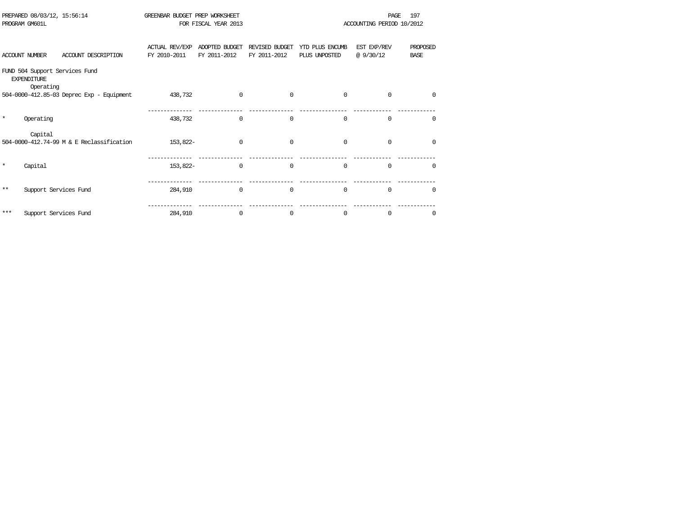|         | PREPARED 08/03/12, 15:56:14<br>PROGRAM GM601L                     | GREENBAR BUDGET PREP WORKSHEET        | FOR FISCAL YEAR 2013           |                                |                                  |                         | 197<br>PAGE<br>ACCOUNTING PERIOD 10/2012 |  |
|---------|-------------------------------------------------------------------|---------------------------------------|--------------------------------|--------------------------------|----------------------------------|-------------------------|------------------------------------------|--|
|         | ACCOUNT DESCRIPTION<br><b>ACCOUNT NUMBER</b>                      | <b>ACTUAL REV/EXP</b><br>FY 2010-2011 | ADOPTED BUDGET<br>FY 2011-2012 | REVISED BUDGET<br>FY 2011-2012 | YTD PLUS ENCUMB<br>PLUS UNPOSTED | EST EXP/REV<br>@9/30/12 | PROPOSED<br><b>BASE</b>                  |  |
|         | FUND 504 Support Services Fund<br><b>EXPENDITURE</b><br>Operating |                                       |                                |                                |                                  |                         |                                          |  |
|         | 504-0000-412.85-03 Deprec Exp - Equipment                         | 438,732                               | $\Omega$                       | $\Omega$                       | $\Omega$                         | $\Omega$                | $\Omega$                                 |  |
| $\star$ | Operating                                                         | 438,732                               | $\Omega$                       | $\Omega$                       | $\Omega$                         | $\Omega$                | $\Omega$                                 |  |
|         | Capital<br>504-0000-412.74-99 M & E Reclassification              | 153,822-                              | $\Omega$                       | $\Omega$                       | $\Omega$                         | $\mathbf 0$             | <sup>0</sup>                             |  |
| $\star$ | Capital                                                           | 153,822-                              | 0                              | $\Omega$                       | $\Omega$                         | $\Omega$                | $\Omega$                                 |  |
| $* *$   | Support Services Fund                                             | 284,910                               | $\Omega$                       | $\Omega$                       | $\Omega$                         | $\Omega$                | $\Omega$                                 |  |
| ***     | Support Services Fund                                             | 284,910                               | 0                              | $\Omega$                       | $\Omega$                         | 0                       | 0                                        |  |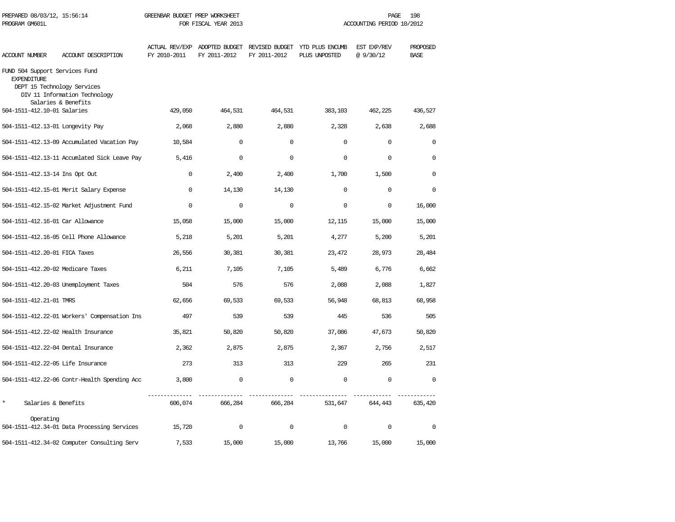| PREPARED 08/03/12, 15:56:14<br>PROGRAM GM601L        |                                                                                     | GREENBAR BUDGET PREP WORKSHEET<br>FOR FISCAL YEAR 2013 |              |              | 198<br>PAGE<br>ACCOUNTING PERIOD 10/2012                                      |                          |                         |  |
|------------------------------------------------------|-------------------------------------------------------------------------------------|--------------------------------------------------------|--------------|--------------|-------------------------------------------------------------------------------|--------------------------|-------------------------|--|
| ACCOUNT NUMBER                                       | ACCOUNT DESCRIPTION                                                                 | FY 2010-2011                                           | FY 2011-2012 | FY 2011-2012 | ACTUAL REV/EXP ADOPTED BUDGET REVISED BUDGET YTD PLUS ENCUMB<br>PLUS UNPOSTED | EST EXP/REV<br>@ 9/30/12 | PROPOSED<br><b>BASE</b> |  |
| FUND 504 Support Services Fund<br><b>EXPENDITURE</b> | DEPT 15 Technology Services<br>DIV 11 Information Technology<br>Salaries & Benefits |                                                        |              |              |                                                                               |                          |                         |  |
| 504-1511-412.10-01 Salaries                          |                                                                                     | 429,050                                                | 464,531      | 464,531      | 383,103                                                                       | 462,225                  | 436,527                 |  |
| 504-1511-412.13-01 Longevity Pay                     |                                                                                     | 2,068                                                  | 2,880        | 2,880        | 2,328                                                                         | 2,638                    | 2,688                   |  |
|                                                      | 504-1511-412.13-09 Accumulated Vacation Pay                                         | 10,584                                                 | $\mathbf 0$  | $\Omega$     | $\Omega$                                                                      | $\mathbf 0$              | $\mathbf 0$             |  |
|                                                      | 504-1511-412.13-11 Accumlated Sick Leave Pay                                        | 5,416                                                  | $\mathbf 0$  | $\mathbf 0$  | $\Omega$                                                                      | $\mathbf 0$              | 0                       |  |
| 504-1511-412.13-14 Ins Opt Out                       |                                                                                     | $\mathbf 0$                                            | 2,400        | 2,400        | 1,700                                                                         | 1,500                    | 0                       |  |
|                                                      | 504-1511-412.15-01 Merit Salary Expense                                             | $\mathbf 0$                                            | 14,130       | 14,130       | $\mathbf 0$                                                                   | $\mathbf 0$              | 0                       |  |
|                                                      | 504-1511-412.15-02 Market Adjustment Fund                                           | $\mathbf 0$                                            | $\mathbf 0$  | $\mathbf 0$  | $\mathbf 0$                                                                   | $\mathbf 0$              | 16,000                  |  |
| 504-1511-412.16-01 Car Allowance                     |                                                                                     | 15,058                                                 | 15,000       | 15,000       | 12,115                                                                        | 15,000                   | 15,000                  |  |
|                                                      | 504-1511-412.16-05 Cell Phone Allowance                                             | 5,218                                                  | 5,201        | 5,201        | 4,277                                                                         | 5,200                    | 5,201                   |  |
| 504-1511-412.20-01 FICA Taxes                        |                                                                                     | 26,556                                                 | 30,381       | 30,381       | 23,472                                                                        | 28,973                   | 28,484                  |  |
| 504-1511-412.20-02 Medicare Taxes                    |                                                                                     | 6,211                                                  | 7,105        | 7,105        | 5,489                                                                         | 6,776                    | 6,662                   |  |
|                                                      | 504-1511-412.20-03 Unemployment Taxes                                               | 504                                                    | 576          | 576          | 2,088                                                                         | 2,088                    | 1,827                   |  |
| 504-1511-412.21-01 TMRS                              |                                                                                     | 62,656                                                 | 69,533       | 69,533       | 56,948                                                                        | 68,813                   | 68,958                  |  |
|                                                      | 504-1511-412.22-01 Workers' Compensation Ins                                        | 497                                                    | 539          | 539          | 445                                                                           | 536                      | 505                     |  |
|                                                      | 504-1511-412.22-02 Health Insurance                                                 | 35,821                                                 | 50,820       | 50,820       | 37,086                                                                        | 47,673                   | 50,820                  |  |
|                                                      | 504-1511-412.22-04 Dental Insurance                                                 | 2,362                                                  | 2,875        | 2,875        | 2,367                                                                         | 2,756                    | 2,517                   |  |
| 504-1511-412.22-05 Life Insurance                    |                                                                                     | 273                                                    | 313          | 313          | 229                                                                           | 265                      | 231                     |  |
|                                                      | 504-1511-412.22-06 Contr-Health Spending Acc                                        | 3,800                                                  | $\mathbf 0$  | $\mathbf 0$  | $\mathbf 0$                                                                   | $\mathbf 0$              | $\mathbf{0}$            |  |
| $\star$<br>Salaries & Benefits                       |                                                                                     | 606,074                                                | 666,284      | 666,284      | 531,647                                                                       | 644,443                  | 635,420                 |  |
| Operating                                            | 504-1511-412.34-01 Data Processing Services                                         | 15,720                                                 | $\mathbf 0$  | $\mathbf 0$  | $\mathbf{0}$                                                                  | $\mathbf 0$              | $\mathbf 0$             |  |
|                                                      | 504-1511-412.34-02 Computer Consulting Serv                                         | 7,533                                                  | 15,000       | 15,000       | 13,766                                                                        | 15,000                   | 15,000                  |  |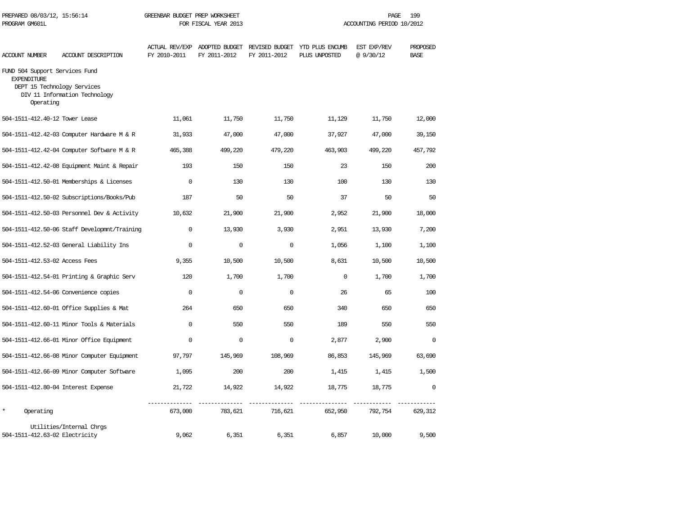| PREPARED 08/03/12, 15:56:14<br>PROGRAM GM601L                     |                                                              | GREENBAR BUDGET PREP WORKSHEET<br>FOR FISCAL YEAR 2013 |                                                              |              | 199<br>PAGE<br>ACCOUNTING PERIOD 10/2012 |                         |                         |  |
|-------------------------------------------------------------------|--------------------------------------------------------------|--------------------------------------------------------|--------------------------------------------------------------|--------------|------------------------------------------|-------------------------|-------------------------|--|
| ACCOUNT NUMBER                                                    | ACCOUNT DESCRIPTION                                          | FY 2010-2011                                           | ACTUAL REV/EXP ADOPTED BUDGET REVISED BUDGET<br>FY 2011-2012 | FY 2011-2012 | YTD PLUS ENCUMB<br>PLUS UNPOSTED         | EST EXP/REV<br>@9/30/12 | PROPOSED<br><b>BASE</b> |  |
| FUND 504 Support Services Fund<br><b>EXPENDITURE</b><br>Operating | DEPT 15 Technology Services<br>DIV 11 Information Technology |                                                        |                                                              |              |                                          |                         |                         |  |
| 504-1511-412.40-12 Tower Lease                                    |                                                              | 11,061                                                 | 11,750                                                       | 11,750       | 11,129                                   | 11,750                  | 12,000                  |  |
|                                                                   | 504-1511-412.42-03 Computer Hardware M & R                   | 31,933                                                 | 47,000                                                       | 47,000       | 37,927                                   | 47,000                  | 39,150                  |  |
|                                                                   | 504-1511-412.42-04 Computer Software M & R                   | 465,388                                                | 499,220                                                      | 479,220      | 463,903                                  | 499,220                 | 457,792                 |  |
|                                                                   | 504-1511-412.42-08 Equipment Maint & Repair                  | 193                                                    | 150                                                          | 150          | 23                                       | 150                     | 200                     |  |
|                                                                   | 504-1511-412.50-01 Memberships & Licenses                    | $\Omega$                                               | 130                                                          | 130          | 100                                      | 130                     | 130                     |  |
|                                                                   | 504-1511-412.50-02 Subscriptions/Books/Pub                   | 187                                                    | 50                                                           | 50           | 37                                       | 50                      | 50                      |  |
|                                                                   | 504-1511-412.50-03 Personnel Dev & Activity                  | 10,632                                                 | 21,900                                                       | 21,900       | 2,952                                    | 21,900                  | 18,000                  |  |
|                                                                   | 504-1511-412.50-06 Staff Developmnt/Training                 | $\mathbf{0}$                                           | 13,930                                                       | 3,930        | 2,951                                    | 13,930                  | 7,200                   |  |
|                                                                   | 504-1511-412.52-03 General Liability Ins                     | $\Omega$                                               | $\mathbf 0$                                                  | $\mathbf 0$  | 1,056                                    | 1,100                   | 1,100                   |  |
| 504-1511-412.53-02 Access Fees                                    |                                                              | 9,355                                                  | 10,500                                                       | 10,500       | 8,631                                    | 10,500                  | 10,500                  |  |
|                                                                   | 504-1511-412.54-01 Printing & Graphic Serv                   | 120                                                    | 1,700                                                        | 1,700        | $\Omega$                                 | 1,700                   | 1,700                   |  |
|                                                                   | 504-1511-412.54-06 Convenience copies                        | $\mathbf 0$                                            | $\mathbf 0$                                                  | $\mathbf 0$  | 26                                       | 65                      | 100                     |  |
|                                                                   | 504-1511-412.60-01 Office Supplies & Mat                     | 264                                                    | 650                                                          | 650          | 340                                      | 650                     | 650                     |  |
|                                                                   | 504-1511-412.60-11 Minor Tools & Materials                   | $\Omega$                                               | 550                                                          | 550          | 189                                      | 550                     | 550                     |  |
|                                                                   | 504-1511-412.66-01 Minor Office Equipment                    | $\Omega$                                               | $\Omega$                                                     | $\mathbf 0$  | 2,877                                    | 2,900                   | $\mathbf 0$             |  |
|                                                                   | 504-1511-412.66-08 Minor Computer Equipment                  | 97,797                                                 | 145,969                                                      | 108,969      | 86,853                                   | 145,969                 | 63,690                  |  |
|                                                                   | 504-1511-412.66-09 Minor Computer Software                   | 1,095                                                  | 200                                                          | 200          | 1,415                                    | 1,415                   | 1,500                   |  |
|                                                                   | 504-1511-412.80-04 Interest Expense                          | 21,722                                                 | 14,922                                                       | 14,922       | 18,775                                   | 18,775                  | $\mathbf 0$             |  |
| $\star$<br>Operating                                              |                                                              | 673,000                                                | 783,621                                                      | 716,621      | 652,950                                  | 792,754                 | 629,312                 |  |
| 504-1511-412.63-02 Electricity                                    | Utilities/Internal Chrgs                                     | 9,062                                                  | 6,351                                                        | 6,351        | 6,857                                    | 10,000                  | 9,500                   |  |